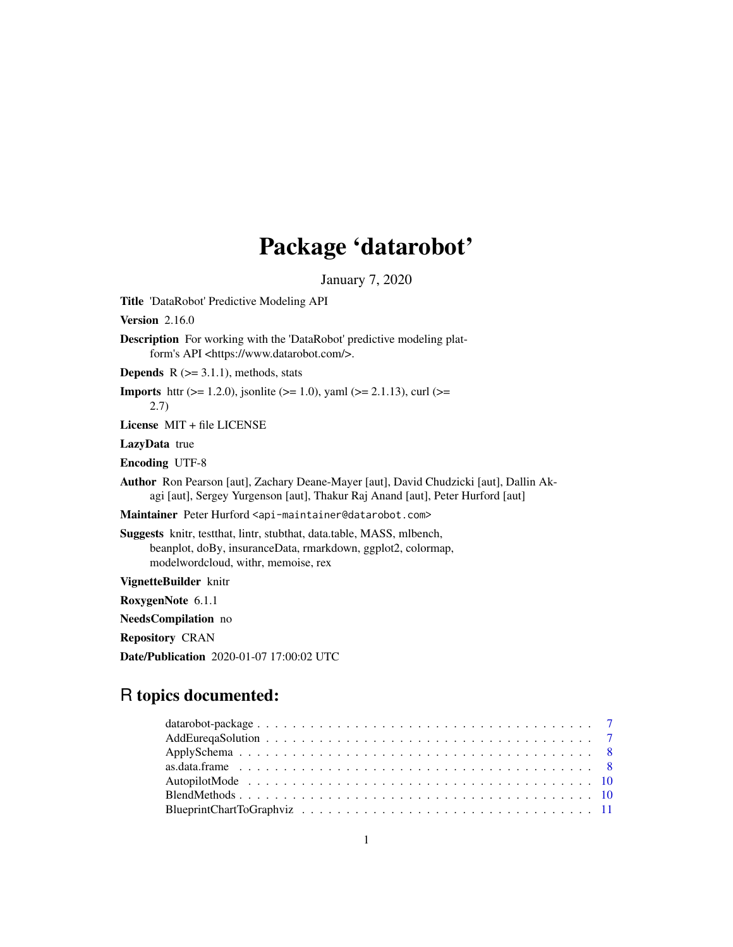# Package 'datarobot'

January 7, 2020

Title 'DataRobot' Predictive Modeling API

Version 2.16.0

Description For working with the 'DataRobot' predictive modeling platform's API <https://www.datarobot.com/>.

**Depends**  $R$  ( $>= 3.1.1$ ), methods, stats

**Imports** http: ( $> = 1.2.0$ ), jsonlite ( $> = 1.0$ ), yaml ( $> = 2.1.13$ ), curl ( $> = 1.0$ ) 2.7)

License MIT + file LICENSE

LazyData true

Encoding UTF-8

Author Ron Pearson [aut], Zachary Deane-Mayer [aut], David Chudzicki [aut], Dallin Akagi [aut], Sergey Yurgenson [aut], Thakur Raj Anand [aut], Peter Hurford [aut]

Maintainer Peter Hurford <api-maintainer@datarobot.com>

Suggests knitr, testthat, lintr, stubthat, data.table, MASS, mlbench, beanplot, doBy, insuranceData, rmarkdown, ggplot2, colormap, modelwordcloud, withr, memoise, rex

VignetteBuilder knitr

RoxygenNote 6.1.1

NeedsCompilation no

Repository CRAN

Date/Publication 2020-01-07 17:00:02 UTC

## R topics documented: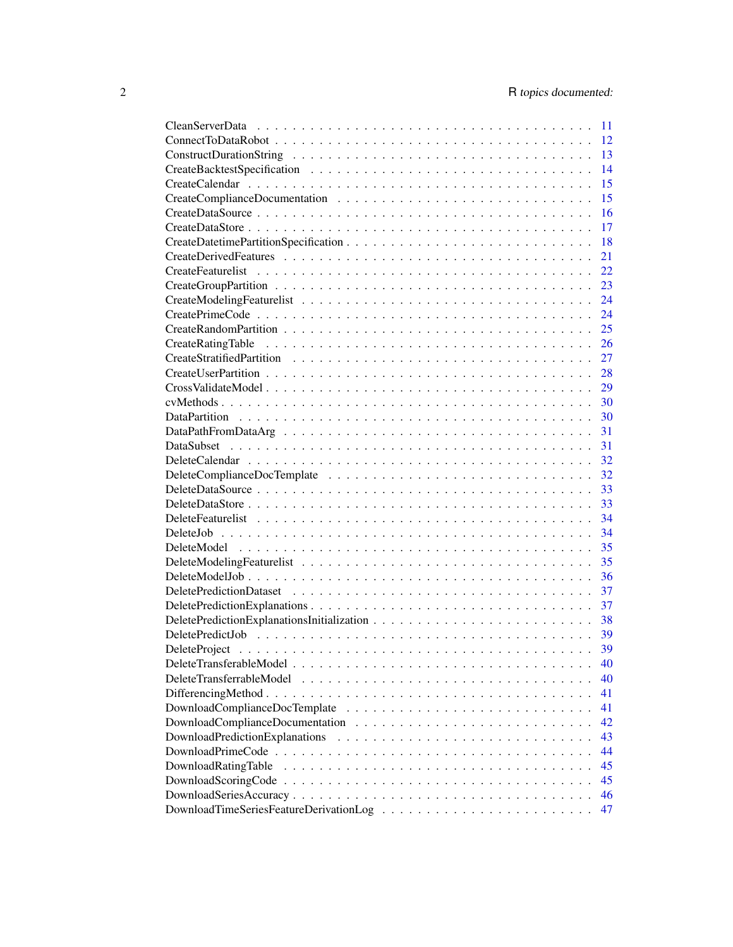|                          | 11 |
|--------------------------|----|
|                          | 12 |
|                          | 13 |
|                          | 14 |
|                          | 15 |
|                          | 15 |
|                          | 16 |
|                          | 17 |
|                          | 18 |
|                          | 21 |
|                          | 22 |
|                          | 23 |
|                          | 24 |
|                          | 24 |
|                          | 25 |
| CreateRatingTable        | 26 |
|                          | 27 |
|                          | 28 |
|                          | 29 |
|                          | 30 |
|                          | 30 |
|                          | 31 |
|                          | 31 |
|                          | 32 |
|                          | 32 |
|                          | 33 |
|                          | 33 |
|                          | 34 |
|                          | 34 |
|                          |    |
|                          | 35 |
|                          | 35 |
|                          | 36 |
|                          | 37 |
|                          | 37 |
|                          | 38 |
|                          | 39 |
|                          | 39 |
|                          | 40 |
| DeleteTransferrableModel | 40 |
|                          | 41 |
|                          | 41 |
|                          | 42 |
|                          | 43 |
|                          | 44 |
| DownloadRatingTable      | 45 |
|                          | 45 |
|                          | 46 |
|                          | 47 |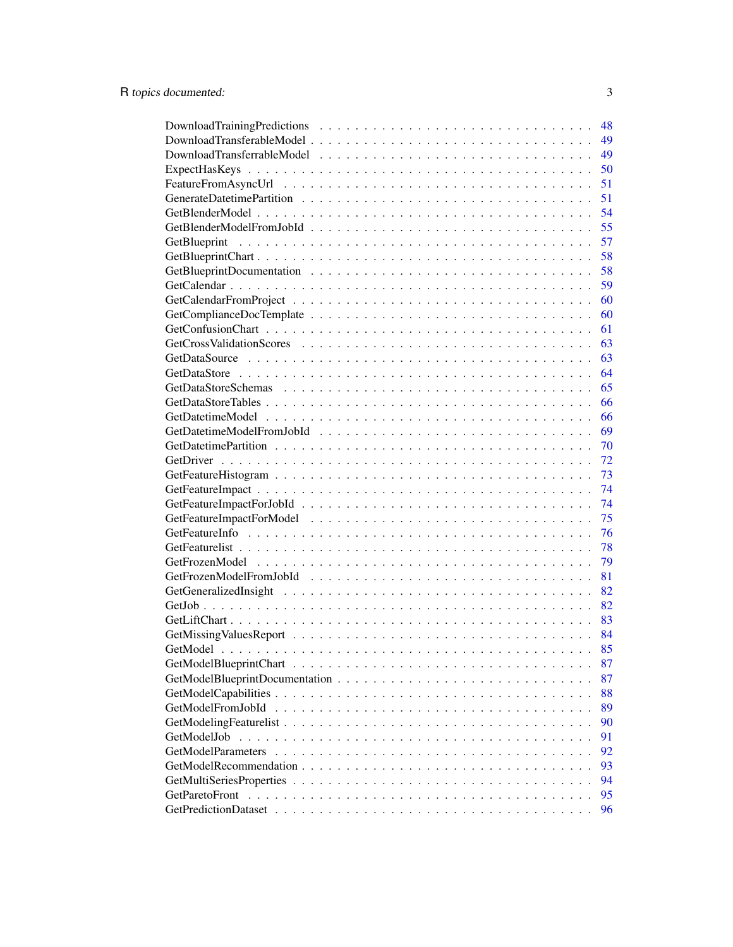|                   | 48 |
|-------------------|----|
|                   | 49 |
|                   | 49 |
|                   | 50 |
|                   | 51 |
|                   | 51 |
|                   | 54 |
|                   | 55 |
|                   | 57 |
|                   | 58 |
|                   | 58 |
|                   | 59 |
|                   | 60 |
|                   | 60 |
|                   | 61 |
|                   | 63 |
|                   | 63 |
|                   | 64 |
|                   | 65 |
|                   | 66 |
|                   | 66 |
|                   | 69 |
|                   | 70 |
|                   | 72 |
|                   | 73 |
|                   | 74 |
|                   | 74 |
|                   | 75 |
|                   | 76 |
|                   | 78 |
|                   | 79 |
|                   | 81 |
|                   | 82 |
|                   | 82 |
|                   | 83 |
|                   |    |
|                   | 85 |
|                   | 87 |
|                   | 87 |
|                   | 88 |
| GetModelFromJobId | 89 |
|                   | 90 |
| GetModelJob       | 91 |
|                   | 92 |
|                   | 93 |
|                   | 94 |
|                   | 95 |
|                   | 96 |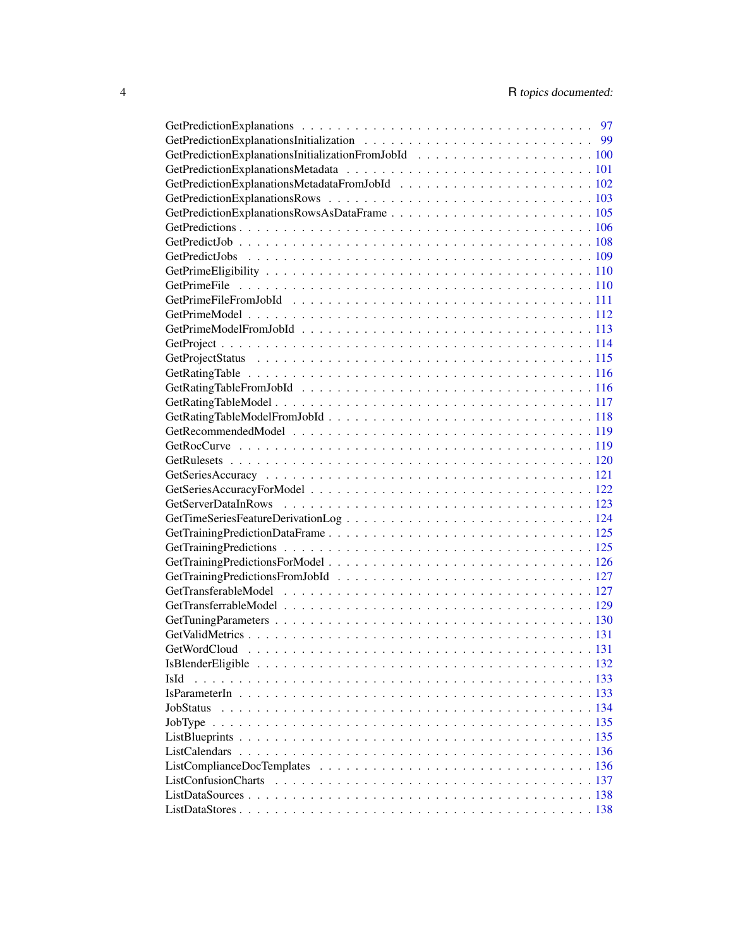| IsId      |  |
|-----------|--|
|           |  |
| JobStatus |  |
|           |  |
|           |  |
|           |  |
|           |  |
|           |  |
|           |  |
|           |  |
|           |  |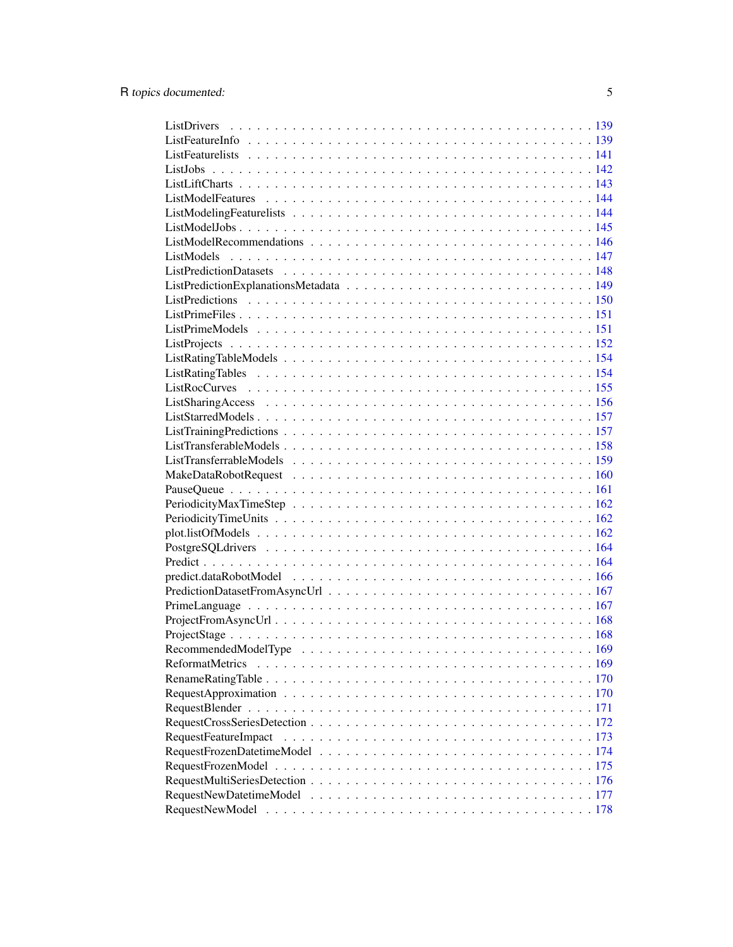| RequestFeatureImpact |  |
|----------------------|--|
|                      |  |
|                      |  |
|                      |  |
|                      |  |
|                      |  |
|                      |  |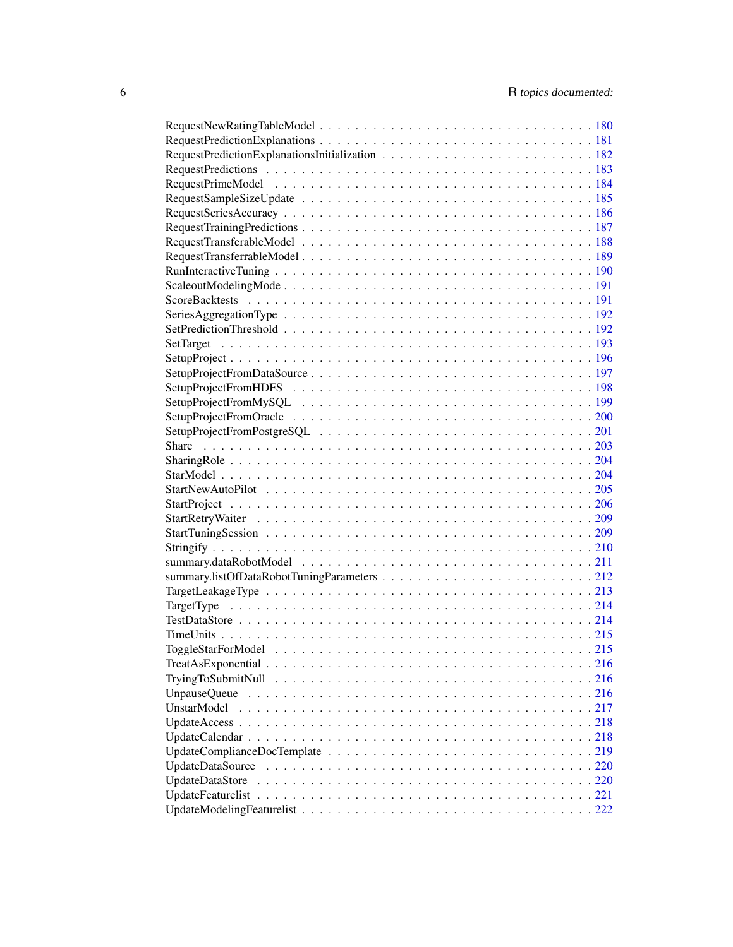| UnstarModel     |  |
|-----------------|--|
|                 |  |
|                 |  |
|                 |  |
|                 |  |
| UpdateDataStore |  |
|                 |  |
|                 |  |
|                 |  |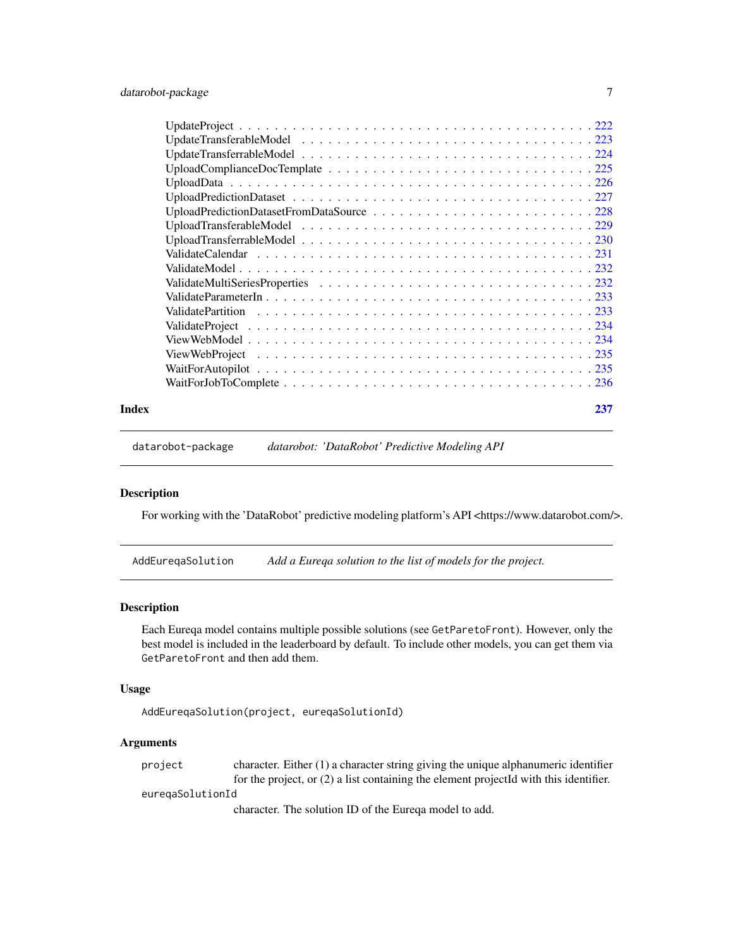<span id="page-6-0"></span>

#### **Index** [237](#page-236-0)

datarobot-package *datarobot: 'DataRobot' Predictive Modeling API*

### Description

For working with the 'DataRobot' predictive modeling platform's API <https://www.datarobot.com/>.

AddEureqaSolution *Add a Eureqa solution to the list of models for the project.*

### Description

Each Eureqa model contains multiple possible solutions (see GetParetoFront). However, only the best model is included in the leaderboard by default. To include other models, you can get them via GetParetoFront and then add them.

### Usage

```
AddEureqaSolution(project, eureqaSolutionId)
```
### Arguments

| project          | character. Either $(1)$ a character string giving the unique alphanumeric identifier    |
|------------------|-----------------------------------------------------------------------------------------|
|                  | for the project, or $(2)$ a list containing the element projected with this identifier. |
| euregaSolutionId |                                                                                         |
|                  | $1 \t\t m1$ $1 \t\t m$ $1 \t\t m$ $1 \t\t m$ $1 \t\t m$                                 |

character. The solution ID of the Eureqa model to add.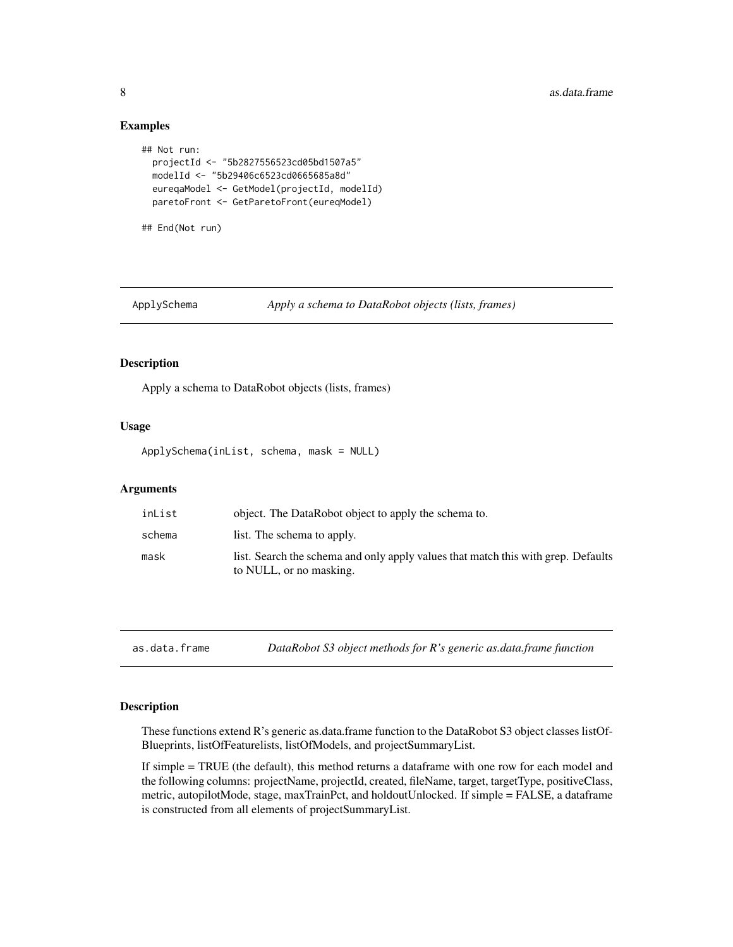### Examples

```
## Not run:
 projectId <- "5b2827556523cd05bd1507a5"
 modelId <- "5b29406c6523cd0665685a8d"
 eureqaModel <- GetModel(projectId, modelId)
 paretoFront <- GetParetoFront(eureqModel)
## End(Not run)
```

```
ApplySchema Apply a schema to DataRobot objects (lists, frames)
```
### Description

Apply a schema to DataRobot objects (lists, frames)

#### Usage

ApplySchema(inList, schema, mask = NULL)

#### Arguments

| inList | object. The DataRobot object to apply the schema to.                                                         |
|--------|--------------------------------------------------------------------------------------------------------------|
| schema | list. The schema to apply.                                                                                   |
| mask   | list. Search the schema and only apply values that match this with grep. Defaults<br>to NULL, or no masking. |

as.data.frame *DataRobot S3 object methods for R's generic as.data.frame function*

#### Description

These functions extend R's generic as.data.frame function to the DataRobot S3 object classes listOf-Blueprints, listOfFeaturelists, listOfModels, and projectSummaryList.

If simple = TRUE (the default), this method returns a dataframe with one row for each model and the following columns: projectName, projectId, created, fileName, target, targetType, positiveClass, metric, autopilotMode, stage, maxTrainPct, and holdoutUnlocked. If simple = FALSE, a dataframe is constructed from all elements of projectSummaryList.

<span id="page-7-0"></span>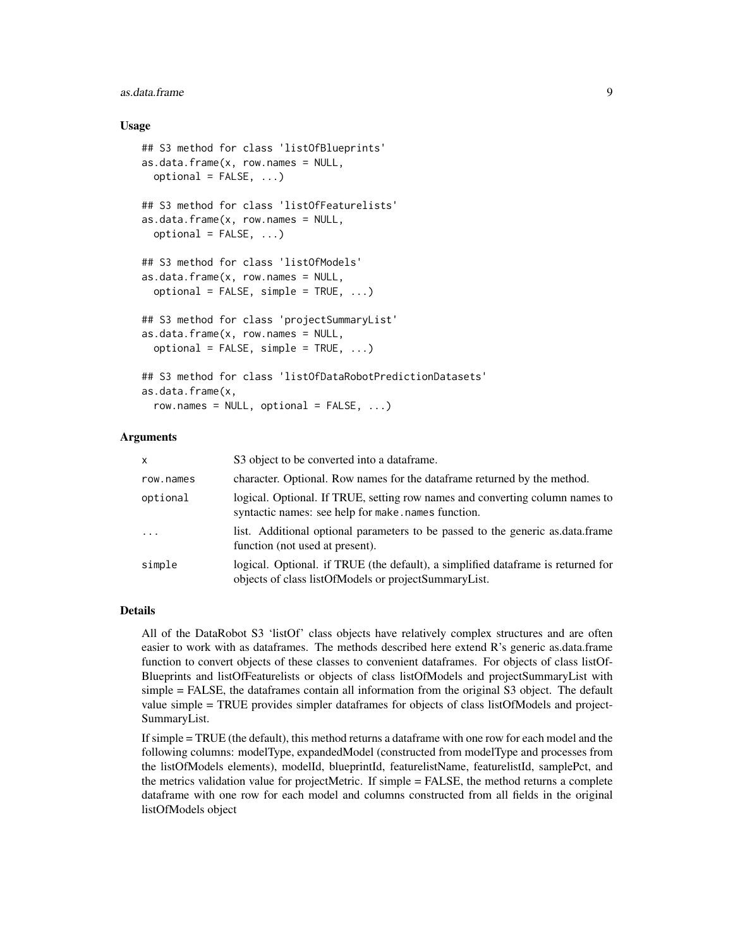#### as.data.frame 9

#### Usage

```
## S3 method for class 'listOfBlueprints'
as.data.frame(x, row.name = NULL,optional = FALSE, ...)## S3 method for class 'listOfFeaturelists'
as.data.frame(x, row.name = NULL,optional = FALSE, ...)## S3 method for class 'listOfModels'
as.data.frame(x, row.names = NULL,
 optional = FALSE, simple = TRUE, ...)## S3 method for class 'projectSummaryList'
as.data frame(x, row.name = NULL,optional = FALSE, simple = TRUE, ...)## S3 method for class 'listOfDataRobotPredictionDatasets'
as.data.frame(x,
  row.name = NULL, optional = FALSE, ...)
```
#### Arguments

| $\mathsf{x}$ | S3 object to be converted into a data frame.                                                                                              |
|--------------|-------------------------------------------------------------------------------------------------------------------------------------------|
| row.names    | character. Optional. Row names for the data frame returned by the method.                                                                 |
| optional     | logical. Optional. If TRUE, setting row names and converting column names to<br>syntactic names: see help for make.names function.        |
| $\ddotsc$    | list. Additional optional parameters to be passed to the generic as data frame<br>function (not used at present).                         |
| simple       | logical. Optional. if TRUE (the default), a simplified data frame is returned for<br>objects of class listOfModels or projectSummaryList. |

### Details

All of the DataRobot S3 'listOf' class objects have relatively complex structures and are often easier to work with as dataframes. The methods described here extend R's generic as.data.frame function to convert objects of these classes to convenient dataframes. For objects of class listOf-Blueprints and listOfFeaturelists or objects of class listOfModels and projectSummaryList with simple = FALSE, the dataframes contain all information from the original S3 object. The default value simple = TRUE provides simpler dataframes for objects of class listOfModels and project-SummaryList.

If simple = TRUE (the default), this method returns a dataframe with one row for each model and the following columns: modelType, expandedModel (constructed from modelType and processes from the listOfModels elements), modelId, blueprintId, featurelistName, featurelistId, samplePct, and the metrics validation value for projectMetric. If simple = FALSE, the method returns a complete dataframe with one row for each model and columns constructed from all fields in the original listOfModels object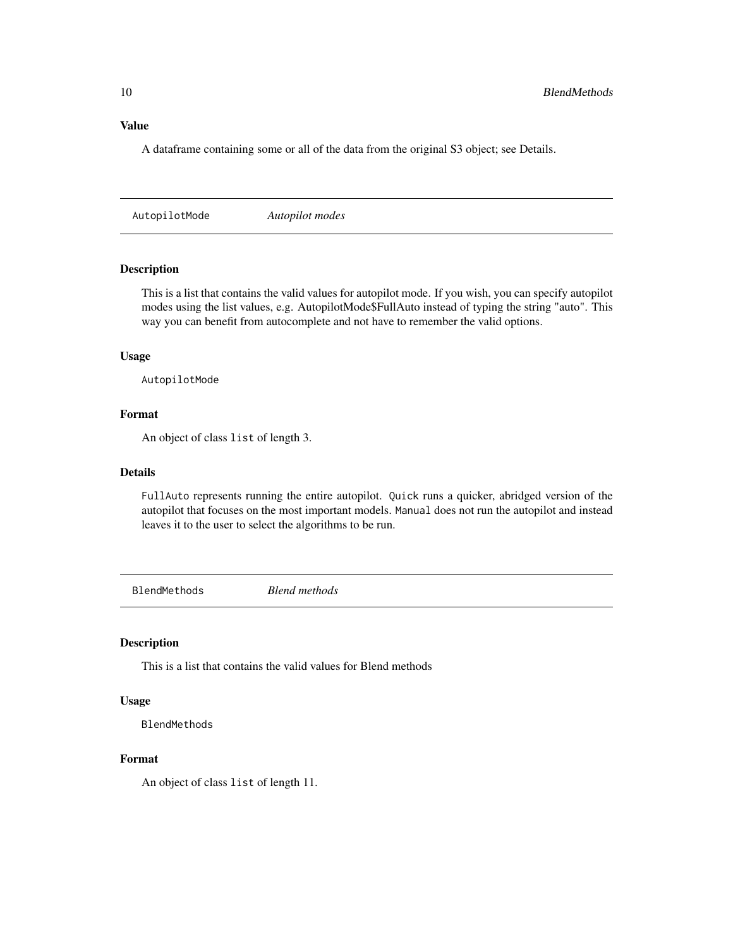### <span id="page-9-0"></span>Value

A dataframe containing some or all of the data from the original S3 object; see Details.

AutopilotMode *Autopilot modes*

### Description

This is a list that contains the valid values for autopilot mode. If you wish, you can specify autopilot modes using the list values, e.g. AutopilotMode\$FullAuto instead of typing the string "auto". This way you can benefit from autocomplete and not have to remember the valid options.

#### Usage

AutopilotMode

### Format

An object of class list of length 3.

### Details

FullAuto represents running the entire autopilot. Quick runs a quicker, abridged version of the autopilot that focuses on the most important models. Manual does not run the autopilot and instead leaves it to the user to select the algorithms to be run.

BlendMethods *Blend methods*

#### Description

This is a list that contains the valid values for Blend methods

#### Usage

BlendMethods

### Format

An object of class list of length 11.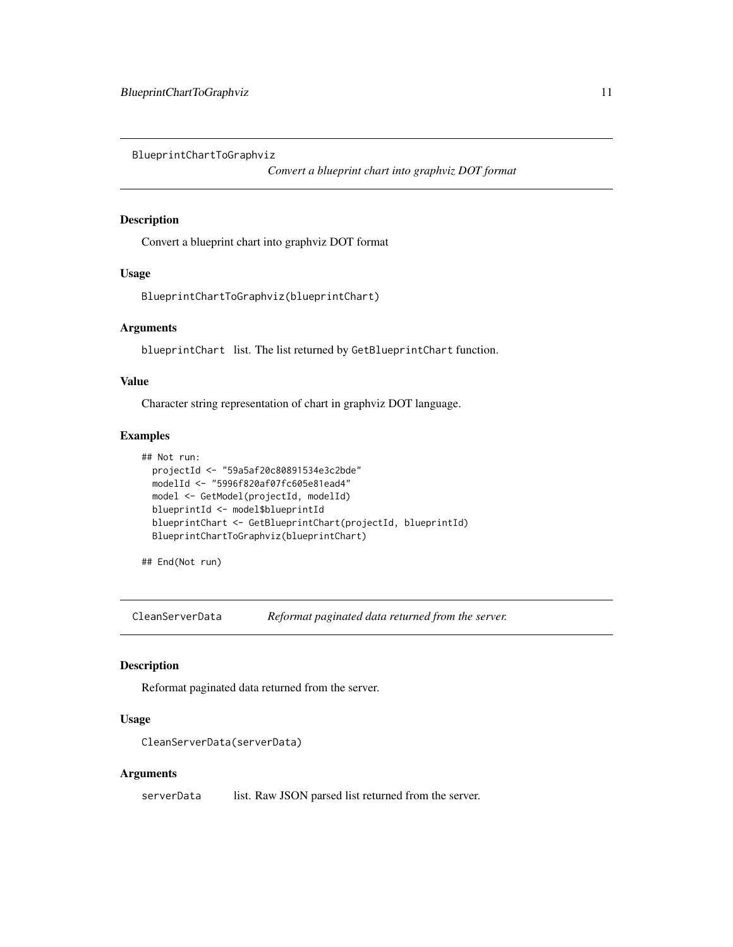<span id="page-10-0"></span>BlueprintChartToGraphviz

*Convert a blueprint chart into graphviz DOT format*

### Description

Convert a blueprint chart into graphviz DOT format

#### Usage

BlueprintChartToGraphviz(blueprintChart)

### Arguments

blueprintChart list. The list returned by GetBlueprintChart function.

### Value

Character string representation of chart in graphviz DOT language.

#### Examples

```
## Not run:
 projectId <- "59a5af20c80891534e3c2bde"
 modelId <- "5996f820af07fc605e81ead4"
 model <- GetModel(projectId, modelId)
 blueprintId <- model$blueprintId
 blueprintChart <- GetBlueprintChart(projectId, blueprintId)
 BlueprintChartToGraphviz(blueprintChart)
```
## End(Not run)

CleanServerData *Reformat paginated data returned from the server.*

### Description

Reformat paginated data returned from the server.

#### Usage

```
CleanServerData(serverData)
```
#### Arguments

serverData list. Raw JSON parsed list returned from the server.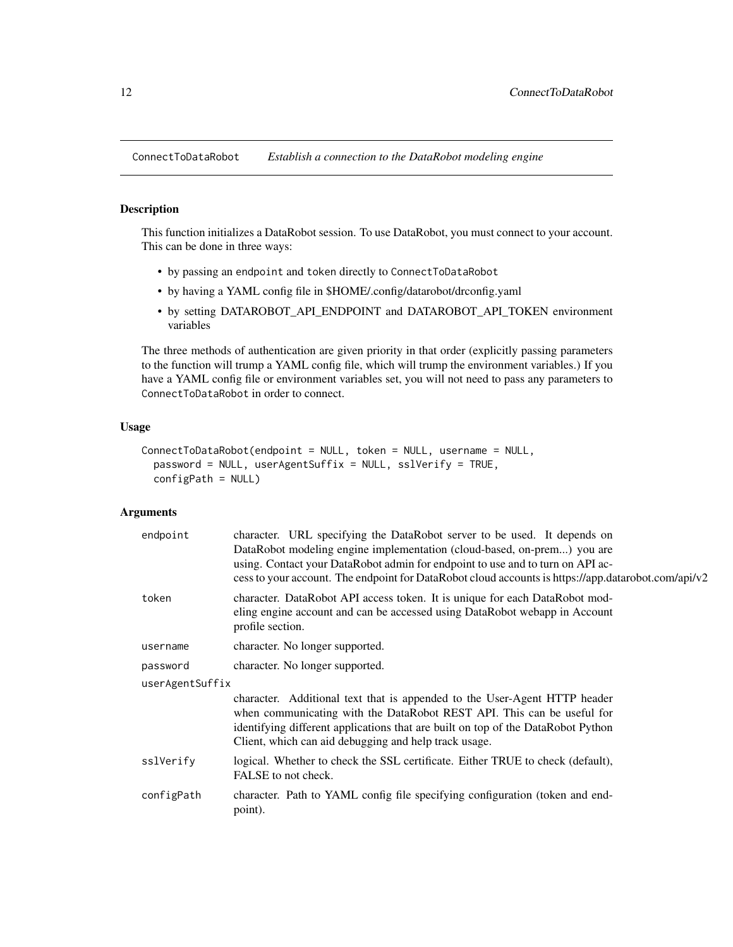<span id="page-11-0"></span>ConnectToDataRobot *Establish a connection to the DataRobot modeling engine*

### Description

This function initializes a DataRobot session. To use DataRobot, you must connect to your account. This can be done in three ways:

- by passing an endpoint and token directly to ConnectToDataRobot
- by having a YAML config file in \$HOME/.config/datarobot/drconfig.yaml
- by setting DATAROBOT\_API\_ENDPOINT and DATAROBOT\_API\_TOKEN environment variables

The three methods of authentication are given priority in that order (explicitly passing parameters to the function will trump a YAML config file, which will trump the environment variables.) If you have a YAML config file or environment variables set, you will not need to pass any parameters to ConnectToDataRobot in order to connect.

### Usage

```
ConnectToDataRobot(endpoint = NULL, token = NULL, username = NULL,
 password = NULL, userAgentSuffix = NULL, sslVerify = TRUE,
 configPath = NULL)
```

| endpoint        | character. URL specifying the DataRobot server to be used. It depends on<br>DataRobot modeling engine implementation (cloud-based, on-prem) you are<br>using. Contact your DataRobot admin for endpoint to use and to turn on API ac-<br>cess to your account. The endpoint for DataRobot cloud accounts is https://app.datarobot.com/api/v2 |  |  |  |  |  |
|-----------------|----------------------------------------------------------------------------------------------------------------------------------------------------------------------------------------------------------------------------------------------------------------------------------------------------------------------------------------------|--|--|--|--|--|
| token           | character. DataRobot API access token. It is unique for each DataRobot mod-<br>eling engine account and can be accessed using DataRobot webapp in Account<br>profile section.                                                                                                                                                                |  |  |  |  |  |
| username        | character. No longer supported.                                                                                                                                                                                                                                                                                                              |  |  |  |  |  |
| password        | character. No longer supported.                                                                                                                                                                                                                                                                                                              |  |  |  |  |  |
| userAgentSuffix |                                                                                                                                                                                                                                                                                                                                              |  |  |  |  |  |
|                 | character. Additional text that is appended to the User-Agent HTTP header<br>when communicating with the DataRobot REST API. This can be useful for<br>identifying different applications that are built on top of the DataRobot Python<br>Client, which can aid debugging and help track usage.                                             |  |  |  |  |  |
| sslVerify       | logical. Whether to check the SSL certificate. Either TRUE to check (default),<br>FALSE to not check.                                                                                                                                                                                                                                        |  |  |  |  |  |
| configPath      | character. Path to YAML config file specifying configuration (token and end-<br>point).                                                                                                                                                                                                                                                      |  |  |  |  |  |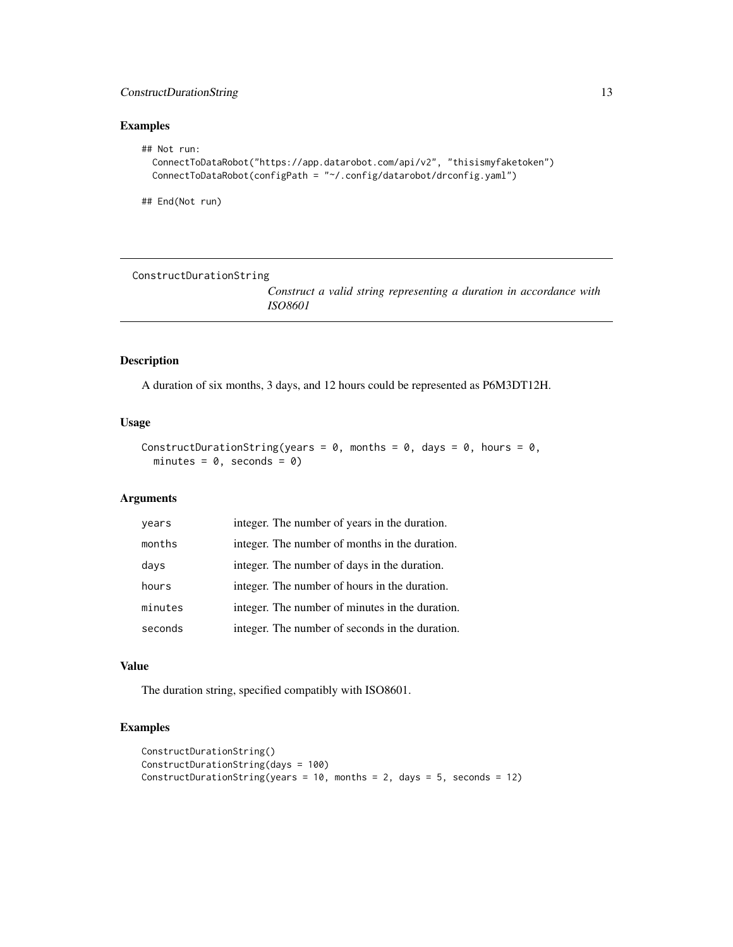### <span id="page-12-0"></span>ConstructDurationString 13

### Examples

```
## Not run:
 ConnectToDataRobot("https://app.datarobot.com/api/v2", "thisismyfaketoken")
 ConnectToDataRobot(configPath = "~/.config/datarobot/drconfig.yaml")
```
## End(Not run)

ConstructDurationString

*Construct a valid string representing a duration in accordance with ISO8601*

### Description

A duration of six months, 3 days, and 12 hours could be represented as P6M3DT12H.

#### Usage

```
ConstructDurationString(years = 0, months = 0, days = 0, hours = 0,
 minutes = 0, seconds = 0)
```
#### Arguments

| years   | integer. The number of years in the duration.   |
|---------|-------------------------------------------------|
| months  | integer. The number of months in the duration.  |
| days    | integer. The number of days in the duration.    |
| hours   | integer. The number of hours in the duration.   |
| minutes | integer. The number of minutes in the duration. |
| seconds | integer. The number of seconds in the duration. |

### Value

The duration string, specified compatibly with ISO8601.

### Examples

```
ConstructDurationString()
ConstructDurationString(days = 100)
ConstructDurationString(years = 10, months = 2, days = 5, seconds = 12)
```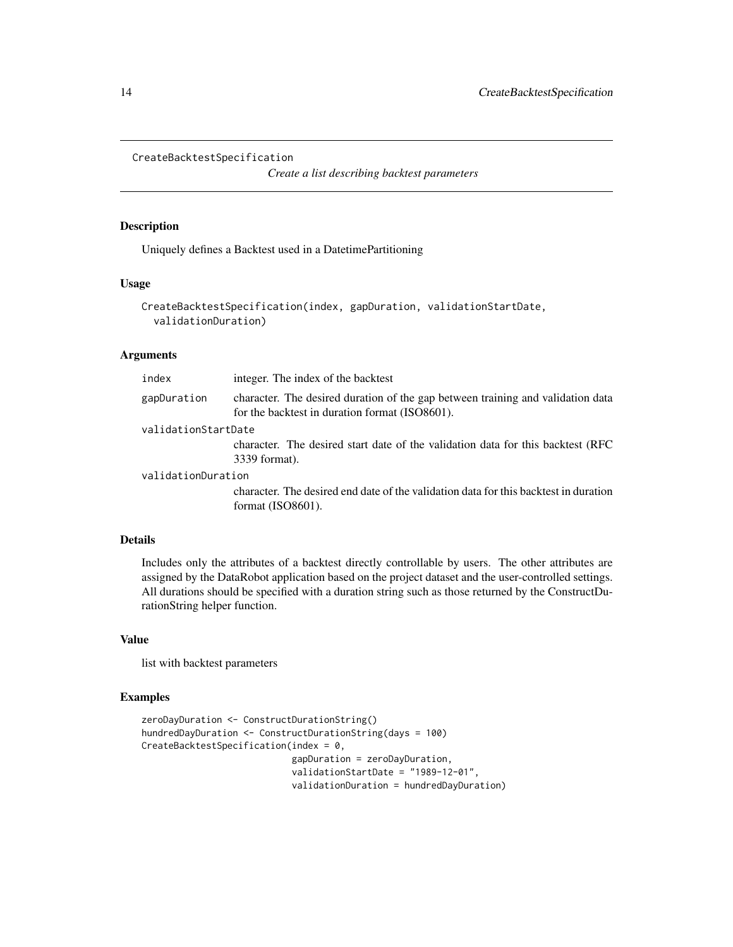```
CreateBacktestSpecification
```
*Create a list describing backtest parameters*

#### Description

Uniquely defines a Backtest used in a DatetimePartitioning

#### Usage

```
CreateBacktestSpecification(index, gapDuration, validationStartDate,
  validationDuration)
```
### Arguments

| integer. The index of the backtest                                                                                                |
|-----------------------------------------------------------------------------------------------------------------------------------|
| character. The desired duration of the gap between training and validation data<br>for the backtest in duration format (ISO8601). |
| validationStartDate                                                                                                               |
| character. The desired start date of the validation data for this backtest (RFC)<br>3339 format).                                 |
| validationDuration                                                                                                                |
| character. The desired end date of the validation data for this backtest in duration<br>format $(ISO8601)$ .                      |
|                                                                                                                                   |

### Details

Includes only the attributes of a backtest directly controllable by users. The other attributes are assigned by the DataRobot application based on the project dataset and the user-controlled settings. All durations should be specified with a duration string such as those returned by the ConstructDurationString helper function.

#### Value

list with backtest parameters

#### Examples

```
zeroDayDuration <- ConstructDurationString()
hundredDayDuration <- ConstructDurationString(days = 100)
CreateBacktestSpecification(index = 0,
                           gapDuration = zeroDayDuration,
                           validationStartDate = "1989-12-01",
                           validationDuration = hundredDayDuration)
```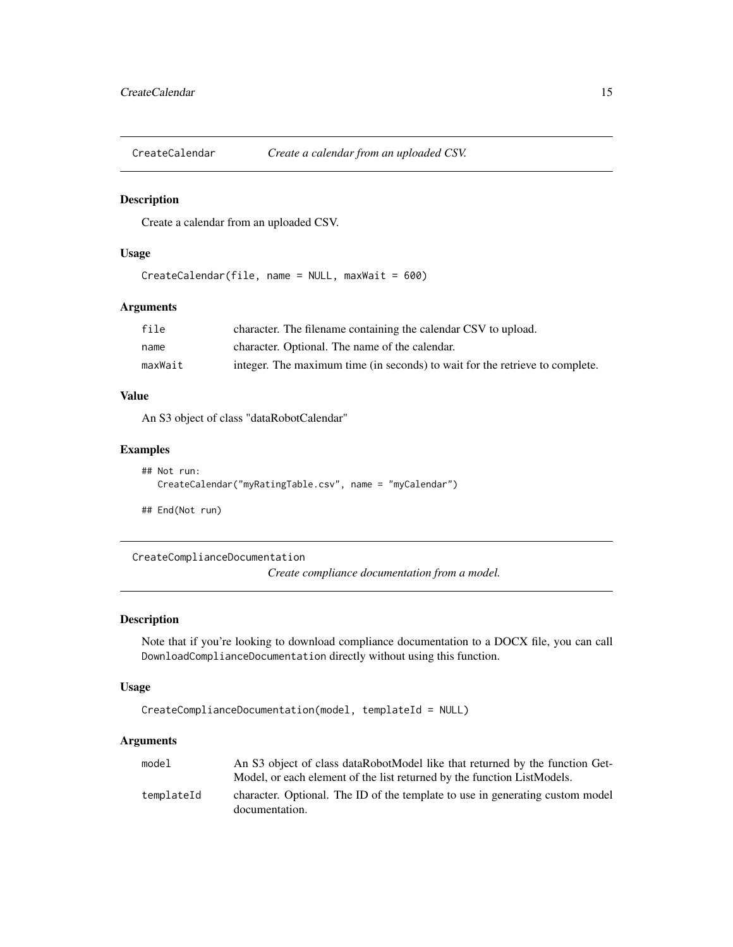<span id="page-14-0"></span>CreateCalendar *Create a calendar from an uploaded CSV.*

#### Description

Create a calendar from an uploaded CSV.

#### Usage

CreateCalendar(file, name = NULL, maxWait = 600)

#### Arguments

| file    | character. The filename containing the calendar CSV to upload.               |
|---------|------------------------------------------------------------------------------|
| name    | character. Optional. The name of the calendar.                               |
| maxWait | integer. The maximum time (in seconds) to wait for the retrieve to complete. |

### Value

An S3 object of class "dataRobotCalendar"

### Examples

```
## Not run:
  CreateCalendar("myRatingTable.csv", name = "myCalendar")
```
## End(Not run)

CreateComplianceDocumentation

*Create compliance documentation from a model.*

### Description

Note that if you're looking to download compliance documentation to a DOCX file, you can call DownloadComplianceDocumentation directly without using this function.

#### Usage

```
CreateComplianceDocumentation(model, templateId = NULL)
```

| model      | An S3 object of class dataRobotModel like that returned by the function Get-<br>Model, or each element of the list returned by the function ListModels. |
|------------|---------------------------------------------------------------------------------------------------------------------------------------------------------|
| templateId | character. Optional. The ID of the template to use in generating custom model<br>documentation.                                                         |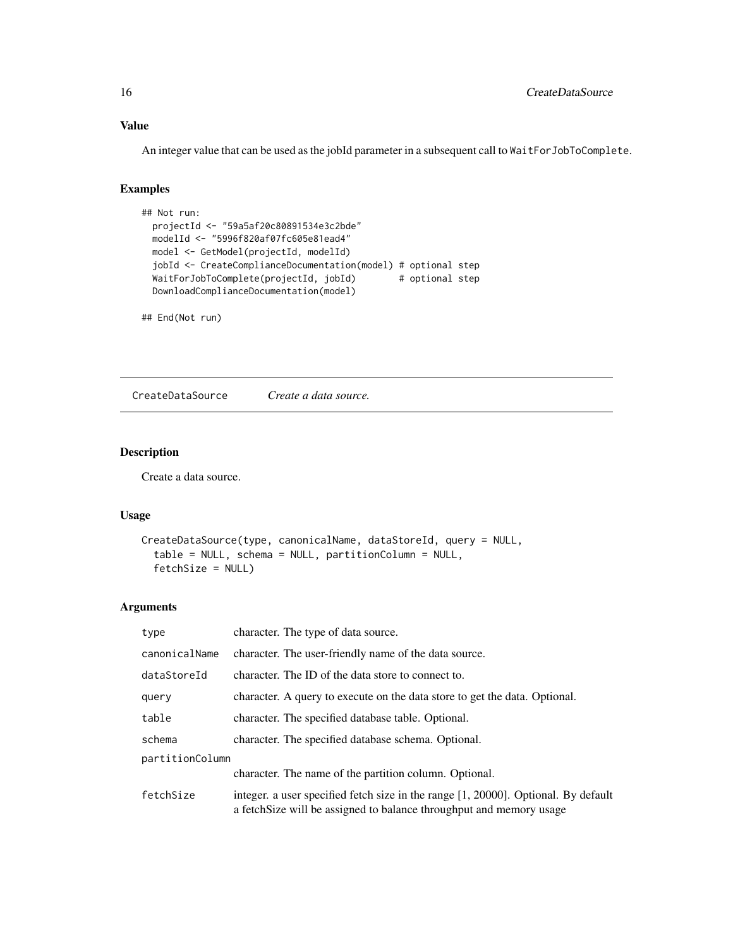### Value

An integer value that can be used as the jobId parameter in a subsequent call to WaitForJobToComplete.

#### Examples

```
## Not run:
 projectId <- "59a5af20c80891534e3c2bde"
 modelId <- "5996f820af07fc605e81ead4"
 model <- GetModel(projectId, modelId)
 jobId <- CreateComplianceDocumentation(model) # optional step
 WaitForJobToComplete(projectId, jobId) # optional step
 DownloadComplianceDocumentation(model)
```
## End(Not run)

CreateDataSource *Create a data source.*

### Description

Create a data source.

#### Usage

```
CreateDataSource(type, canonicalName, dataStoreId, query = NULL,
  table = NULL, schema = NULL, partitionColumn = NULL,
  fetchSize = NULL)
```

| type            | character. The type of data source.                                                                                                                           |  |
|-----------------|---------------------------------------------------------------------------------------------------------------------------------------------------------------|--|
| canonicalName   | character. The user-friendly name of the data source.                                                                                                         |  |
| dataStoreId     | character. The ID of the data store to connect to.                                                                                                            |  |
| query           | character. A query to execute on the data store to get the data. Optional.                                                                                    |  |
| table           | character. The specified database table. Optional.                                                                                                            |  |
| schema          | character. The specified database schema. Optional.                                                                                                           |  |
| partitionColumn |                                                                                                                                                               |  |
|                 | character. The name of the partition column. Optional.                                                                                                        |  |
| fetchSize       | integer. a user specified fetch size in the range $[1, 20000]$ . Optional. By default<br>a fetch Size will be assigned to balance throughput and memory usage |  |

<span id="page-15-0"></span>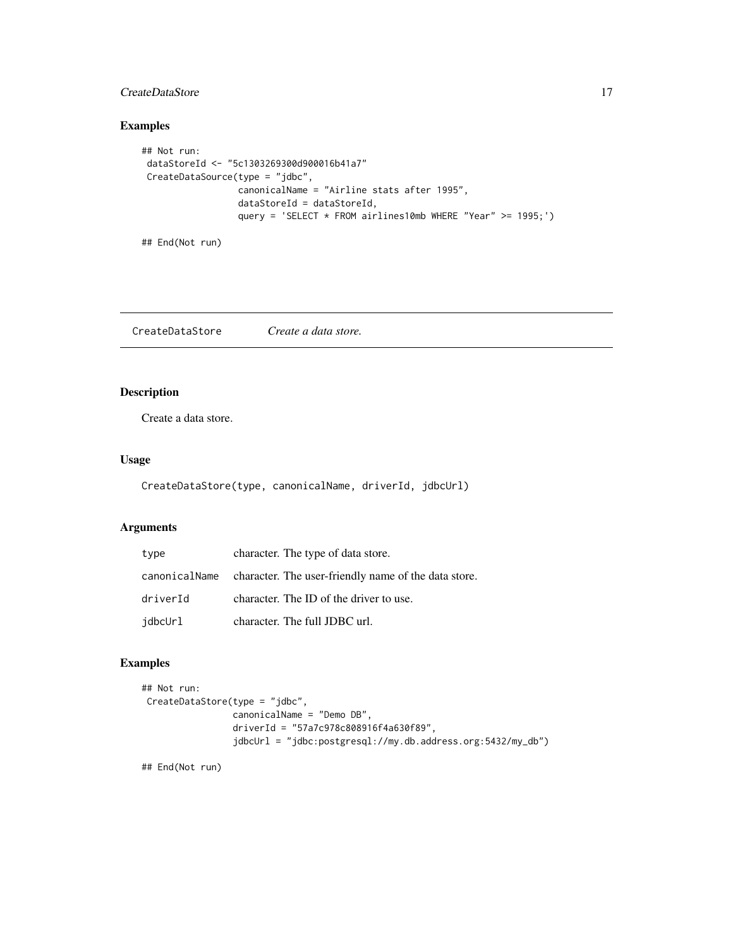### <span id="page-16-0"></span>CreateDataStore 17

### Examples

```
## Not run:
dataStoreId <- "5c1303269300d900016b41a7"
CreateDataSource(type = "jdbc",
                 canonicalName = "Airline stats after 1995",
                 dataStoreId = dataStoreId,
                 query = 'SELECT * FROM airlines10mb WHERE "Year" >= 1995;')
```
## End(Not run)

CreateDataStore *Create a data store.*

### Description

Create a data store.

### Usage

CreateDataStore(type, canonicalName, driverId, jdbcUrl)

### Arguments

| type     | character. The type of data store.                                 |
|----------|--------------------------------------------------------------------|
|          | canonicalName character. The user-friendly name of the data store. |
| driverId | character. The ID of the driver to use.                            |
| jdbcUrl  | character. The full JDBC url.                                      |

### Examples

```
## Not run:
CreateDataStore(type = "jdbc",
                canonicalName = "Demo DB",
                 driverId = "57a7c978c808916f4a630f89",
                 jdbcUrl = "jdbc:postgresql://my.db.address.org:5432/my_db")
```
## End(Not run)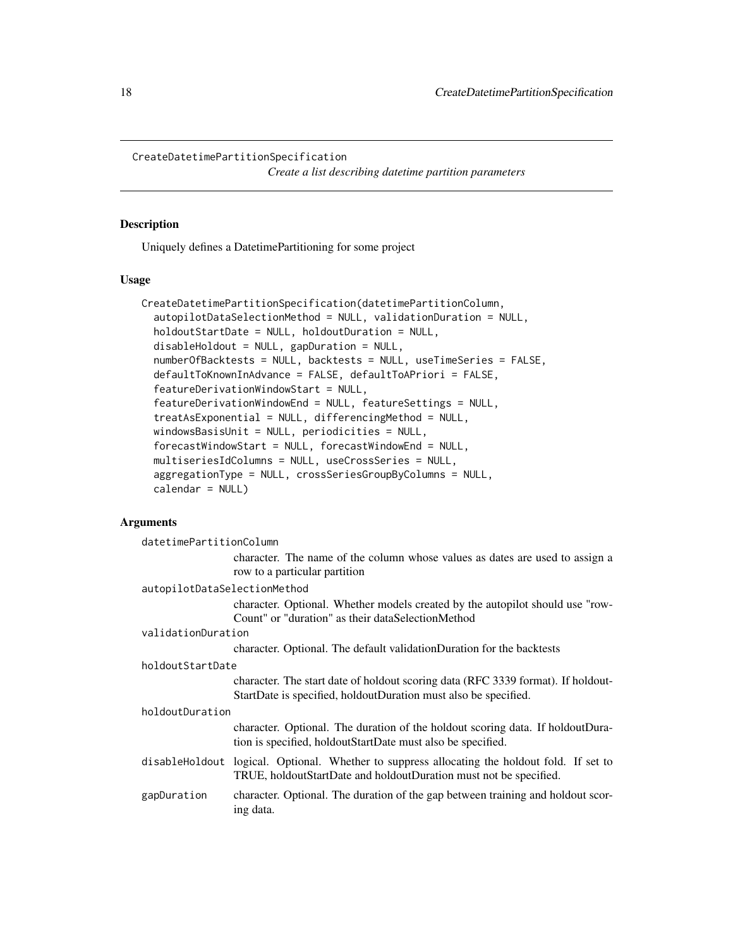```
CreateDatetimePartitionSpecification
```
*Create a list describing datetime partition parameters*

### Description

Uniquely defines a DatetimePartitioning for some project

### Usage

```
CreateDatetimePartitionSpecification(datetimePartitionColumn,
  autopilotDataSelectionMethod = NULL, validationDuration = NULL,
  holdoutStartDate = NULL, holdoutDuration = NULL,
  disableHoldout = NULL, gapDuration = NULL,
  numberOfBacktests = NULL, backtests = NULL, useTimeSeries = FALSE,
  defaultToKnownInAdvance = FALSE, defaultToAPriori = FALSE,
  featureDerivationWindowStart = NULL,
  featureDerivationWindowEnd = NULL, featureSettings = NULL,
  treatAsExponential = NULL, differencingMethod = NULL,
  windowsBasisUnit = NULL, periodicities = NULL,
  forecastWindowStart = NULL, forecastWindowEnd = NULL,
  multiseriesIdColumns = NULL, useCrossSeries = NULL,
  aggregationType = NULL, crossSeriesGroupByColumns = NULL,
  calendar = NULL)
```

| datetimePartitionColumn      |                                                                                                                                                                    |  |
|------------------------------|--------------------------------------------------------------------------------------------------------------------------------------------------------------------|--|
|                              | character. The name of the column whose values as dates are used to assign a                                                                                       |  |
|                              | row to a particular partition                                                                                                                                      |  |
| autopilotDataSelectionMethod |                                                                                                                                                                    |  |
|                              | character. Optional. Whether models created by the autopilot should use "row-                                                                                      |  |
|                              | Count" or "duration" as their dataSelectionMethod                                                                                                                  |  |
| validationDuration           |                                                                                                                                                                    |  |
|                              | character. Optional. The default validationDuration for the backtests                                                                                              |  |
| holdoutStartDate             |                                                                                                                                                                    |  |
|                              | character. The start date of holdout scoring data (RFC 3339 format). If holdout-                                                                                   |  |
|                              | StartDate is specified, holdoutDuration must also be specified.                                                                                                    |  |
| holdoutDuration              |                                                                                                                                                                    |  |
|                              | character. Optional. The duration of the holdout scoring data. If holdoutDura-<br>tion is specified, holdout Start Date must also be specified.                    |  |
|                              | disable Holdout logical. Optional. Whether to suppress allocating the holdout fold. If set to<br>TRUE, holdoutStartDate and holdoutDuration must not be specified. |  |
| gapDuration                  | character. Optional. The duration of the gap between training and holdout scor-<br>ing data.                                                                       |  |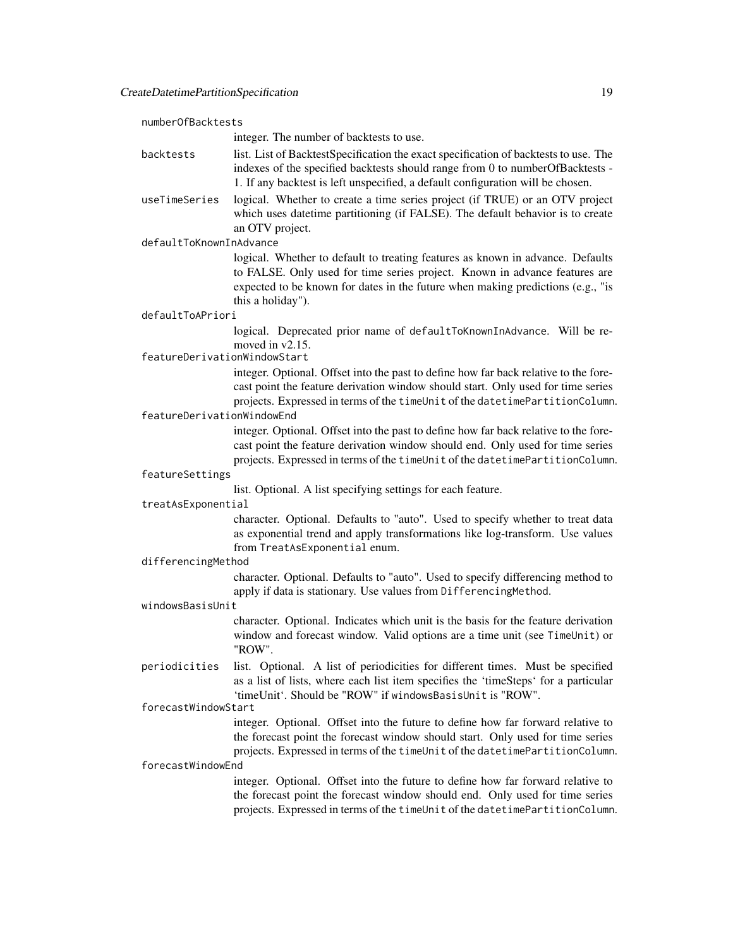| numberOfBacktests            |                                                                                                                                                                                                                                                                      |  |
|------------------------------|----------------------------------------------------------------------------------------------------------------------------------------------------------------------------------------------------------------------------------------------------------------------|--|
|                              | integer. The number of backtests to use.                                                                                                                                                                                                                             |  |
| backtests                    | list. List of BacktestSpecification the exact specification of backtests to use. The<br>indexes of the specified backtests should range from 0 to numberOfBacktests -<br>1. If any backtest is left unspecified, a default configuration will be chosen.             |  |
| useTimeSeries                | logical. Whether to create a time series project (if TRUE) or an OTV project<br>which uses datetime partitioning (if FALSE). The default behavior is to create<br>an OTV project.                                                                                    |  |
| defaultToKnownInAdvance      |                                                                                                                                                                                                                                                                      |  |
|                              | logical. Whether to default to treating features as known in advance. Defaults<br>to FALSE. Only used for time series project. Known in advance features are<br>expected to be known for dates in the future when making predictions (e.g., "is<br>this a holiday"). |  |
| defaultToAPriori             |                                                                                                                                                                                                                                                                      |  |
| featureDerivationWindowStart | logical. Deprecated prior name of defaultToKnownInAdvance. Will be re-<br>moved in $v2.15$ .                                                                                                                                                                         |  |
| featureDerivationWindowEnd   | integer. Optional. Offset into the past to define how far back relative to the fore-<br>cast point the feature derivation window should start. Only used for time series<br>projects. Expressed in terms of the timeUnit of the datetimePartitionColumn.             |  |
|                              | integer. Optional. Offset into the past to define how far back relative to the fore-<br>cast point the feature derivation window should end. Only used for time series<br>projects. Expressed in terms of the timeUnit of the datetimePartitionColumn.               |  |
| featureSettings              |                                                                                                                                                                                                                                                                      |  |
| treatAsExponential           | list. Optional. A list specifying settings for each feature.                                                                                                                                                                                                         |  |
|                              | character. Optional. Defaults to "auto". Used to specify whether to treat data<br>as exponential trend and apply transformations like log-transform. Use values<br>from TreatAsExponential enum.                                                                     |  |
| differencingMethod           |                                                                                                                                                                                                                                                                      |  |
|                              | character. Optional. Defaults to "auto". Used to specify differencing method to<br>apply if data is stationary. Use values from DifferencingMethod.                                                                                                                  |  |
| windowsBasisUnit             |                                                                                                                                                                                                                                                                      |  |
|                              | character. Optional. Indicates which unit is the basis for the feature derivation<br>window and forecast window. Valid options are a time unit (see TimeUnit) or<br>"ROW".                                                                                           |  |
| periodicities                | list. Optional. A list of periodicities for different times. Must be specified<br>as a list of lists, where each list item specifies the 'timeSteps' for a particular<br>'timeUnit'. Should be "ROW" if windowsBasisUnit is "ROW".                                   |  |
| forecastWindowStart          |                                                                                                                                                                                                                                                                      |  |
| forecastWindowEnd            | integer. Optional. Offset into the future to define how far forward relative to<br>the forecast point the forecast window should start. Only used for time series<br>projects. Expressed in terms of the timeUnit of the datetimePartitionColumn.                    |  |
|                              | integer. Optional. Offset into the future to define how far forward relative to<br>the forecast point the forecast window should end. Only used for time series<br>projects. Expressed in terms of the timeUnit of the datetimePartitionColumn.                      |  |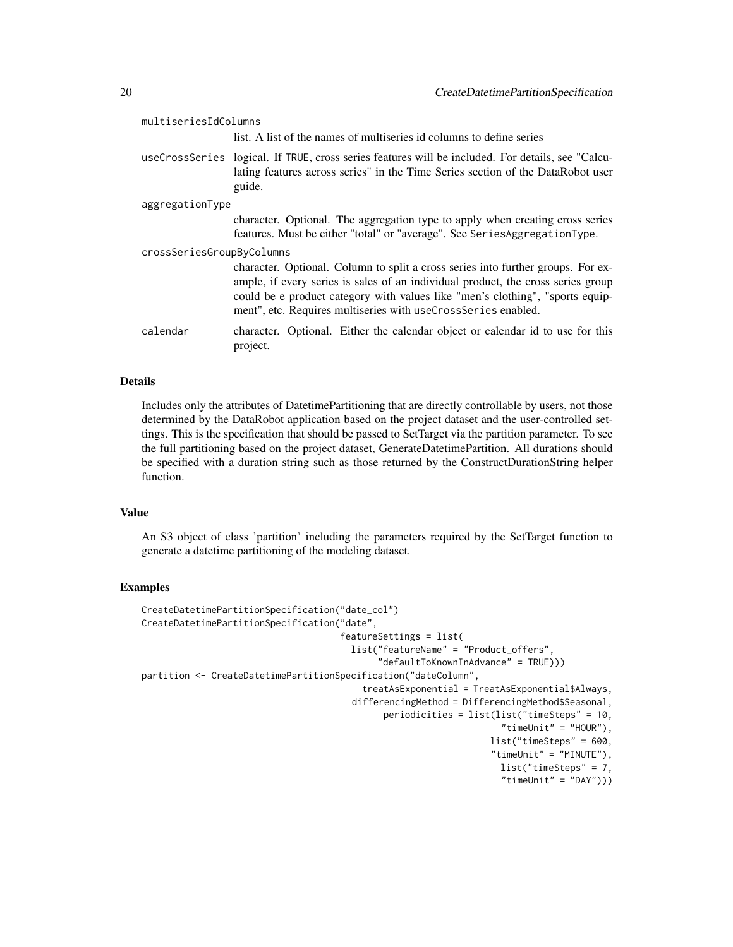| multiseriesIdColumns      |                                                                                                                                                                                                                                                                                                                        |  |
|---------------------------|------------------------------------------------------------------------------------------------------------------------------------------------------------------------------------------------------------------------------------------------------------------------------------------------------------------------|--|
|                           | list. A list of the names of multiseries id columns to define series                                                                                                                                                                                                                                                   |  |
|                           | useCrossSeries logical. If TRUE, cross series features will be included. For details, see "Calcu-<br>lating features across series" in the Time Series section of the DataRobot user<br>guide.                                                                                                                         |  |
| aggregationType           |                                                                                                                                                                                                                                                                                                                        |  |
|                           | character. Optional. The aggregation type to apply when creating cross series<br>features. Must be either "total" or "average". See SeriesAggregationType.                                                                                                                                                             |  |
| crossSeriesGroupByColumns |                                                                                                                                                                                                                                                                                                                        |  |
|                           | character. Optional. Column to split a cross series into further groups. For ex-<br>ample, if every series is sales of an individual product, the cross series group<br>could be e product category with values like "men's clothing", "sports equip-<br>ment", etc. Requires multiseries with useCrossSeries enabled. |  |
| calendar                  | character. Optional. Either the calendar object or calendar id to use for this<br>project.                                                                                                                                                                                                                             |  |
|                           |                                                                                                                                                                                                                                                                                                                        |  |

#### Details

Includes only the attributes of DatetimePartitioning that are directly controllable by users, not those determined by the DataRobot application based on the project dataset and the user-controlled settings. This is the specification that should be passed to SetTarget via the partition parameter. To see the full partitioning based on the project dataset, GenerateDatetimePartition. All durations should be specified with a duration string such as those returned by the ConstructDurationString helper function.

### Value

An S3 object of class 'partition' including the parameters required by the SetTarget function to generate a datetime partitioning of the modeling dataset.

#### Examples

```
CreateDatetimePartitionSpecification("date_col")
CreateDatetimePartitionSpecification("date",
                                     featureSettings = list(
                                       list("featureName" = "Product_offers",
                                             "defaultToKnownInAdvance" = TRUE)))
partition <- CreateDatetimePartitionSpecification("dateColumn",
                                         treatAsExponential = TreatAsExponential$Always,
                                       differencingMethod = DifferencingMethod$Seasonal,
                                             periodicities = list(list("timeSteps" = 10,
                                                                    "timeUnit" = "HOUR"),
                                                                  list("timeSteps" = 600,
                                                                  "timeUnit" = "MINUTE"),
                                                                   list("timeSteps" = 7,
                                                                    "timeUnit" = "DAY"))
```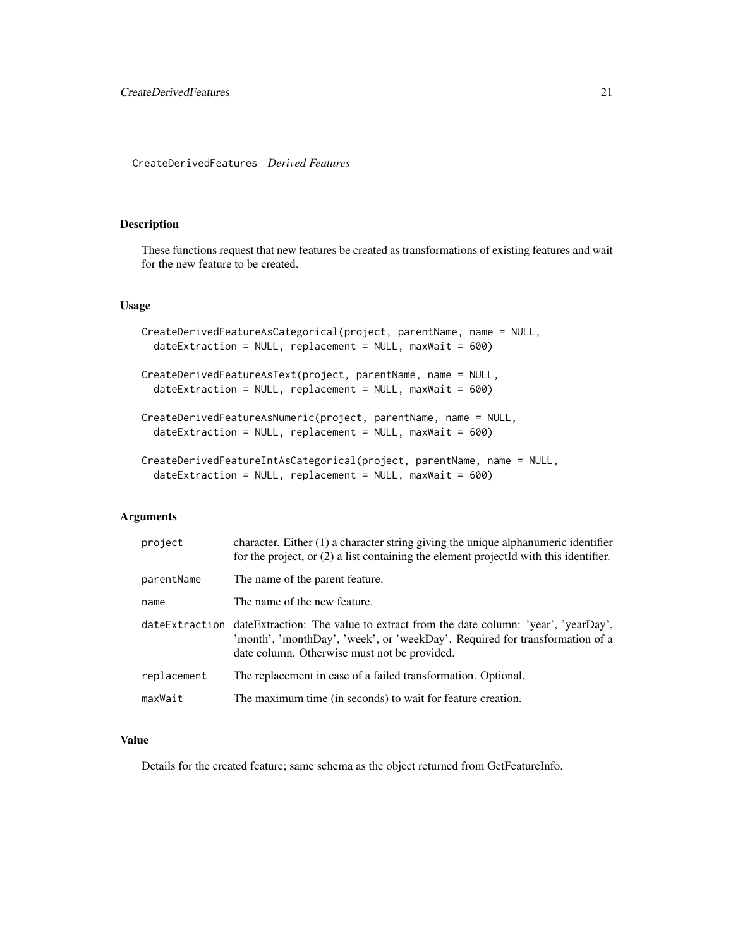#### <span id="page-20-0"></span>Description

These functions request that new features be created as transformations of existing features and wait for the new feature to be created.

#### Usage

```
CreateDerivedFeatureAsCategorical(project, parentName, name = NULL,
  dateExtraction = NULL, replacement = NULL, maxWait = 600)CreateDerivedFeatureAsText(project, parentName, name = NULL,
  dateExtraction = NULL, replacement = NULL, maxWait = 600)CreateDerivedFeatureAsNumeric(project, parentName, name = NULL,
  dateExtraction = NULL, replacement = NULL, maxWait = 600)CreateDerivedFeatureIntAsCategorical(project, parentName, name = NULL,
  dateExtraction = NULL, replacement = NULL, maxWait = 600)
```
#### Arguments

| project     | character. Either $(1)$ a character string giving the unique alphanumeric identifier<br>for the project, or (2) a list containing the element projectId with this identifier.                                               |
|-------------|-----------------------------------------------------------------------------------------------------------------------------------------------------------------------------------------------------------------------------|
| parentName  | The name of the parent feature.                                                                                                                                                                                             |
| name        | The name of the new feature.                                                                                                                                                                                                |
|             | dateExtraction dateExtraction: The value to extract from the date column: 'year', 'yearDay',<br>'month', 'monthDay', 'week', or 'weekDay'. Required for transformation of a<br>date column. Otherwise must not be provided. |
| replacement | The replacement in case of a failed transformation. Optional.                                                                                                                                                               |
| maxWait     | The maximum time (in seconds) to wait for feature creation.                                                                                                                                                                 |

### Value

Details for the created feature; same schema as the object returned from GetFeatureInfo.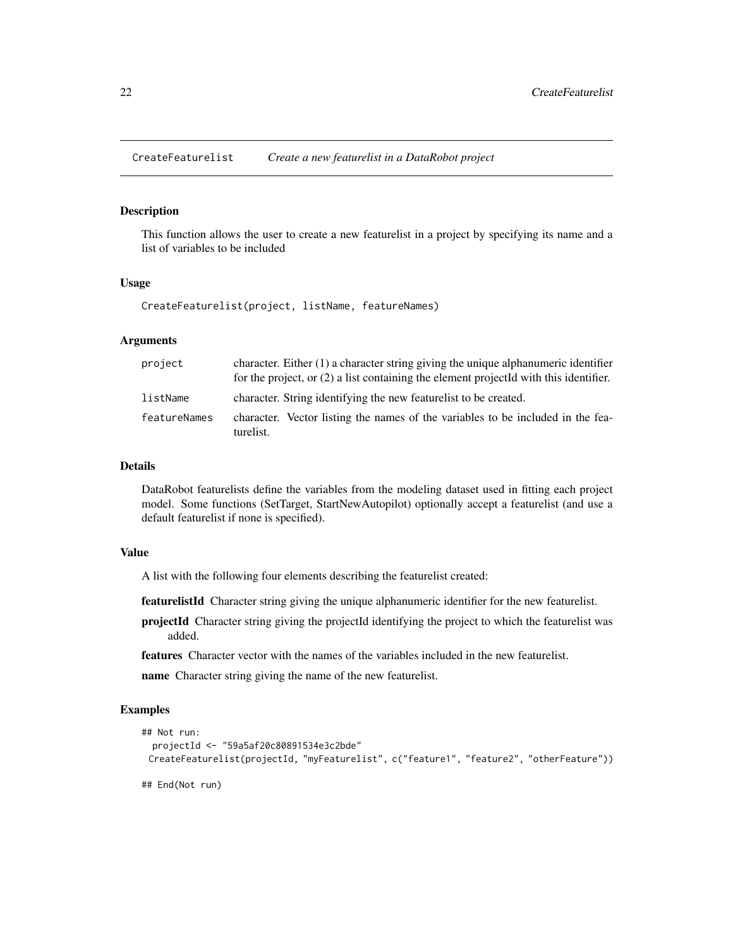<span id="page-21-0"></span>CreateFeaturelist *Create a new featurelist in a DataRobot project*

### Description

This function allows the user to create a new featurelist in a project by specifying its name and a list of variables to be included

#### Usage

CreateFeaturelist(project, listName, featureNames)

### Arguments

| project      | character. Either (1) a character string giving the unique alphanumeric identifier<br>for the project, or (2) a list containing the element projectId with this identifier. |
|--------------|-----------------------------------------------------------------------------------------------------------------------------------------------------------------------------|
| listName     | character. String identifying the new featurelist to be created.                                                                                                            |
| featureNames | character. Vector listing the names of the variables to be included in the fea-<br>turelist.                                                                                |

#### Details

DataRobot featurelists define the variables from the modeling dataset used in fitting each project model. Some functions (SetTarget, StartNewAutopilot) optionally accept a featurelist (and use a default featurelist if none is specified).

#### Value

A list with the following four elements describing the featurelist created:

featurelistId Character string giving the unique alphanumeric identifier for the new featurelist.

projectId Character string giving the projectId identifying the project to which the featurelist was added.

features Character vector with the names of the variables included in the new featurelist.

name Character string giving the name of the new featurelist.

### Examples

```
## Not run:
 projectId <- "59a5af20c80891534e3c2bde"
 CreateFeaturelist(projectId, "myFeaturelist", c("feature1", "feature2", "otherFeature"))
```
## End(Not run)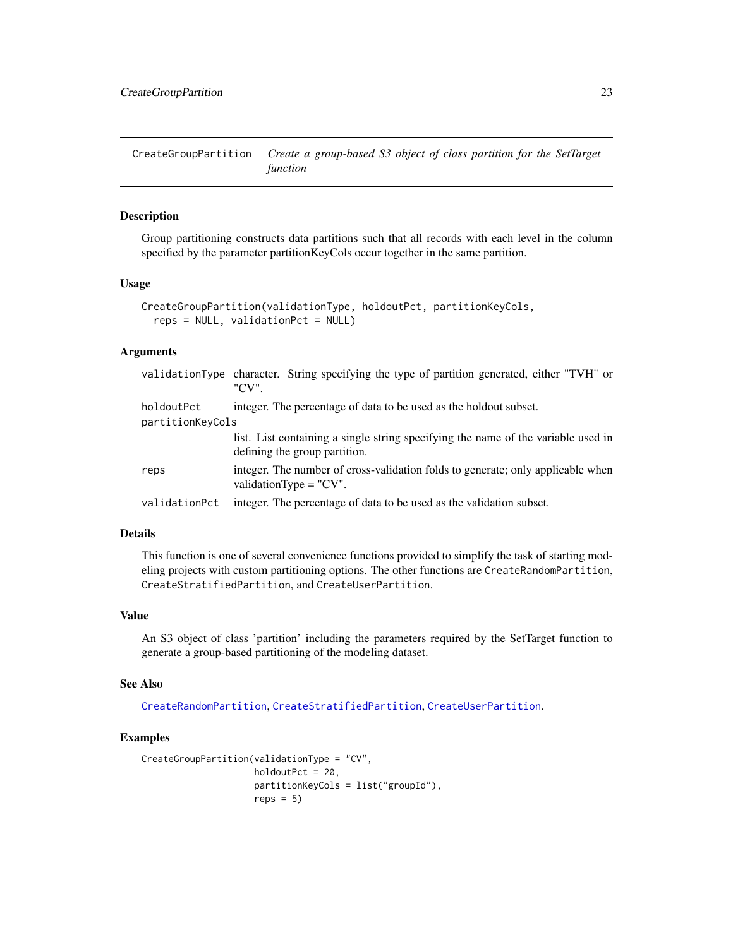<span id="page-22-1"></span><span id="page-22-0"></span>CreateGroupPartition *Create a group-based S3 object of class partition for the SetTarget function*

### Description

Group partitioning constructs data partitions such that all records with each level in the column specified by the parameter partitionKeyCols occur together in the same partition.

#### Usage

```
CreateGroupPartition(validationType, holdoutPct, partitionKeyCols,
  reps = NULL, validationPct = NULL)
```
#### Arguments

|                  | validationType character. String specifying the type of partition generated, either "TVH" or<br>"CV".              |  |
|------------------|--------------------------------------------------------------------------------------------------------------------|--|
| holdoutPct       | integer. The percentage of data to be used as the holdout subset.                                                  |  |
| partitionKeyCols |                                                                                                                    |  |
|                  | list. List containing a single string specifying the name of the variable used in<br>defining the group partition. |  |
| reps             | integer. The number of cross-validation folds to generate; only applicable when<br>validation Type $=$ "CV".       |  |
| validationPct    | integer. The percentage of data to be used as the validation subset.                                               |  |
|                  |                                                                                                                    |  |

### Details

This function is one of several convenience functions provided to simplify the task of starting modeling projects with custom partitioning options. The other functions are CreateRandomPartition, CreateStratifiedPartition, and CreateUserPartition.

#### Value

An S3 object of class 'partition' including the parameters required by the SetTarget function to generate a group-based partitioning of the modeling dataset.

#### See Also

[CreateRandomPartition](#page-24-1), [CreateStratifiedPartition](#page-26-1), [CreateUserPartition](#page-27-1).

#### Examples

```
CreateGroupPartition(validationType = "CV",
                    holdoutPct = 20,
                     partitionKeyCols = list("groupId"),
                     reps = 5)
```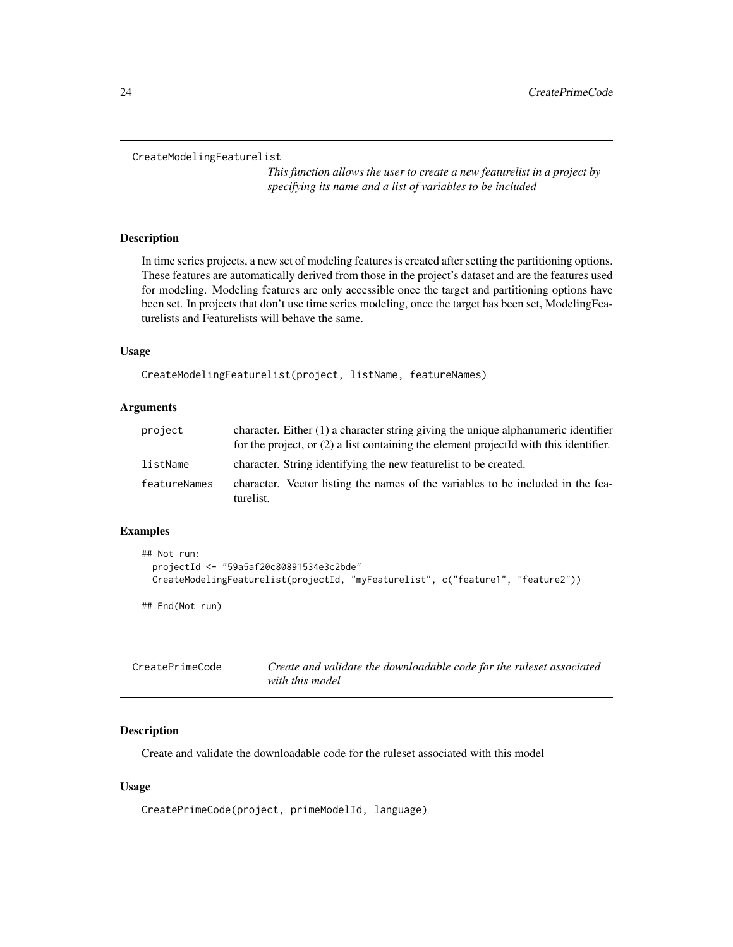```
CreateModelingFeaturelist
```
*This function allows the user to create a new featurelist in a project by specifying its name and a list of variables to be included*

### Description

In time series projects, a new set of modeling features is created after setting the partitioning options. These features are automatically derived from those in the project's dataset and are the features used for modeling. Modeling features are only accessible once the target and partitioning options have been set. In projects that don't use time series modeling, once the target has been set, ModelingFeaturelists and Featurelists will behave the same.

### Usage

CreateModelingFeaturelist(project, listName, featureNames)

### Arguments

| project      | character. Either (1) a character string giving the unique alphanumeric identifier<br>for the project, or $(2)$ a list containing the element projected with this identifier. |
|--------------|-------------------------------------------------------------------------------------------------------------------------------------------------------------------------------|
| listName     | character. String identifying the new featurelist to be created.                                                                                                              |
| featureNames | character. Vector listing the names of the variables to be included in the fea-<br>turelist.                                                                                  |

### Examples

```
## Not run:
 projectId <- "59a5af20c80891534e3c2bde"
 CreateModelingFeaturelist(projectId, "myFeaturelist", c("feature1", "feature2"))
```
## End(Not run)

| CreatePrimeCode | Create and validate the downloadable code for the ruleset associated |
|-----------------|----------------------------------------------------------------------|
|                 | with this model                                                      |

### Description

Create and validate the downloadable code for the ruleset associated with this model

#### Usage

CreatePrimeCode(project, primeModelId, language)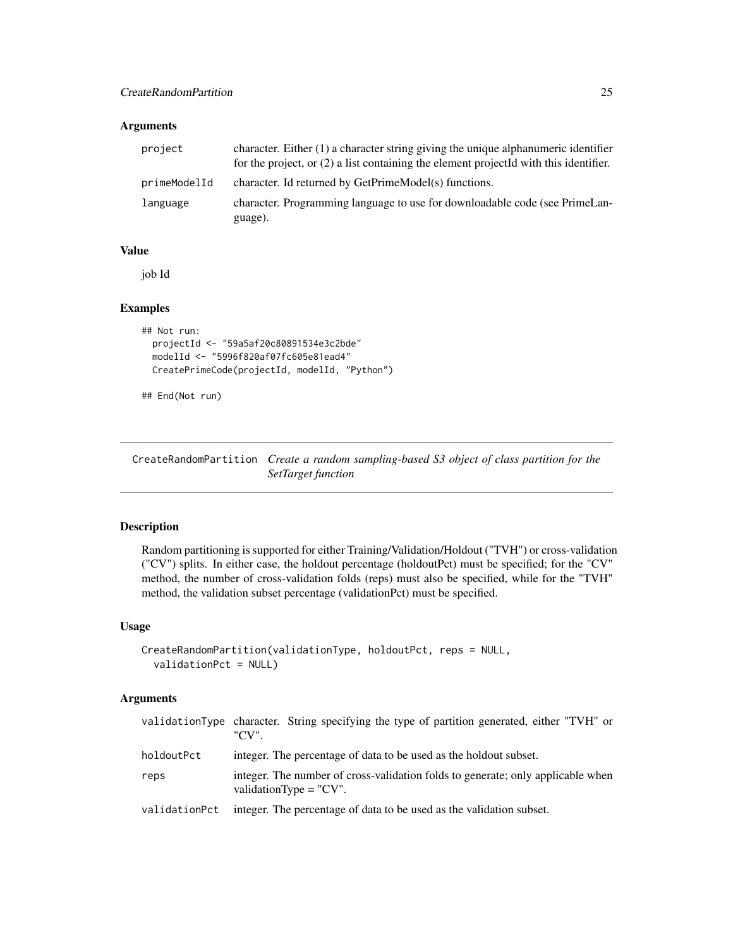### <span id="page-24-0"></span>Arguments

| project      | character. Either $(1)$ a character string giving the unique alphanumeric identifier<br>for the project, or $(2)$ a list containing the element projected with this identifier. |
|--------------|---------------------------------------------------------------------------------------------------------------------------------------------------------------------------------|
| primeModelId | character. Id returned by GetPrimeModel(s) functions.                                                                                                                           |
| language     | character. Programming language to use for downloadable code (see PrimeLan-<br>guage).                                                                                          |

### Value

job Id

### Examples

```
## Not run:
 projectId <- "59a5af20c80891534e3c2bde"
 modelId <- "5996f820af07fc605e81ead4"
 CreatePrimeCode(projectId, modelId, "Python")
```
## End(Not run)

<span id="page-24-1"></span>CreateRandomPartition *Create a random sampling-based S3 object of class partition for the SetTarget function*

### Description

Random partitioning is supported for either Training/Validation/Holdout ("TVH") or cross-validation ("CV") splits. In either case, the holdout percentage (holdoutPct) must be specified; for the "CV" method, the number of cross-validation folds (reps) must also be specified, while for the "TVH" method, the validation subset percentage (validationPct) must be specified.

#### Usage

```
CreateRandomPartition(validationType, holdoutPct, reps = NULL,
  validationPct = NULL)
```

|               | validationType character. String specifying the type of partition generated, either "TVH" or<br>"CV"         |
|---------------|--------------------------------------------------------------------------------------------------------------|
| holdoutPct    | integer. The percentage of data to be used as the holdout subset.                                            |
| reps          | integer. The number of cross-validation folds to generate; only applicable when<br>validation Type $=$ "CV". |
| validationPct | integer. The percentage of data to be used as the validation subset.                                         |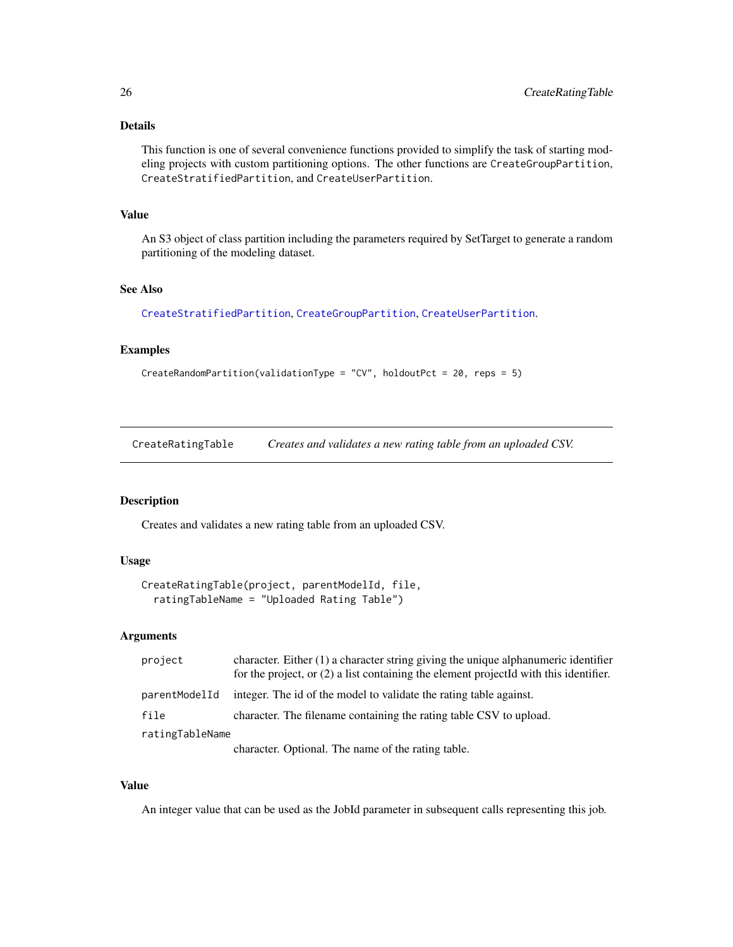### <span id="page-25-0"></span>Details

This function is one of several convenience functions provided to simplify the task of starting modeling projects with custom partitioning options. The other functions are CreateGroupPartition, CreateStratifiedPartition, and CreateUserPartition.

#### Value

An S3 object of class partition including the parameters required by SetTarget to generate a random partitioning of the modeling dataset.

### See Also

[CreateStratifiedPartition](#page-26-1), [CreateGroupPartition](#page-22-1), [CreateUserPartition](#page-27-1).

#### Examples

```
CreateRandomPartition(validationType = "CV", holdoutPct = 20, reps = 5)
```
CreateRatingTable *Creates and validates a new rating table from an uploaded CSV.*

### Description

Creates and validates a new rating table from an uploaded CSV.

#### Usage

```
CreateRatingTable(project, parentModelId, file,
  ratingTableName = "Uploaded Rating Table")
```
#### Arguments

| project         | character. Either $(1)$ a character string giving the unique alphanumeric identifier<br>for the project, or (2) a list containing the element projectId with this identifier. |
|-----------------|-------------------------------------------------------------------------------------------------------------------------------------------------------------------------------|
| parentModelId   | integer. The id of the model to validate the rating table against.                                                                                                            |
| file            | character. The filename containing the rating table CSV to upload.                                                                                                            |
| ratingTableName |                                                                                                                                                                               |
|                 | character. Optional. The name of the rating table.                                                                                                                            |

#### Value

An integer value that can be used as the JobId parameter in subsequent calls representing this job.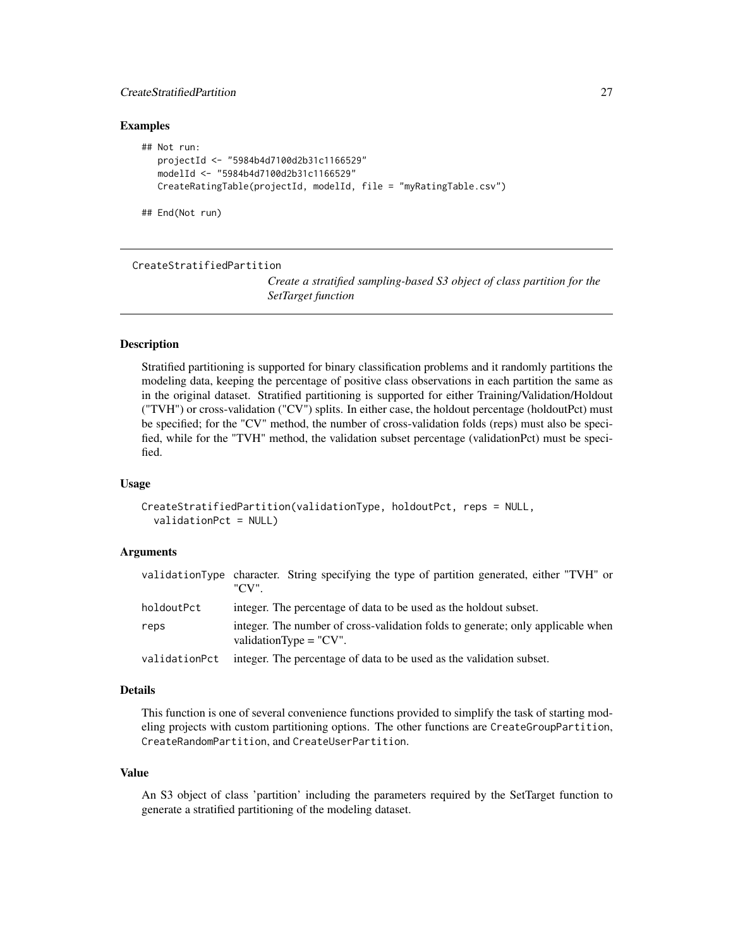### <span id="page-26-0"></span>CreateStratifiedPartition 27

#### Examples

```
## Not run:
  projectId <- "5984b4d7100d2b31c1166529"
  modelId <- "5984b4d7100d2b31c1166529"
  CreateRatingTable(projectId, modelId, file = "myRatingTable.csv")
```
## End(Not run)

<span id="page-26-1"></span>CreateStratifiedPartition

*Create a stratified sampling-based S3 object of class partition for the SetTarget function*

### Description

Stratified partitioning is supported for binary classification problems and it randomly partitions the modeling data, keeping the percentage of positive class observations in each partition the same as in the original dataset. Stratified partitioning is supported for either Training/Validation/Holdout ("TVH") or cross-validation ("CV") splits. In either case, the holdout percentage (holdoutPct) must be specified; for the "CV" method, the number of cross-validation folds (reps) must also be specified, while for the "TVH" method, the validation subset percentage (validationPct) must be specified.

#### Usage

```
CreateStratifiedPartition(validationType, holdoutPct, reps = NULL,
  validationPct = NULL)
```
### Arguments

|               | validationType character. String specifying the type of partition generated, either "TVH" or<br>"CV"         |
|---------------|--------------------------------------------------------------------------------------------------------------|
| holdoutPct    | integer. The percentage of data to be used as the holdout subset.                                            |
| reps          | integer. The number of cross-validation folds to generate; only applicable when<br>validationType = $"CV"$ . |
| validationPct | integer. The percentage of data to be used as the validation subset.                                         |

#### Details

This function is one of several convenience functions provided to simplify the task of starting modeling projects with custom partitioning options. The other functions are CreateGroupPartition, CreateRandomPartition, and CreateUserPartition.

#### Value

An S3 object of class 'partition' including the parameters required by the SetTarget function to generate a stratified partitioning of the modeling dataset.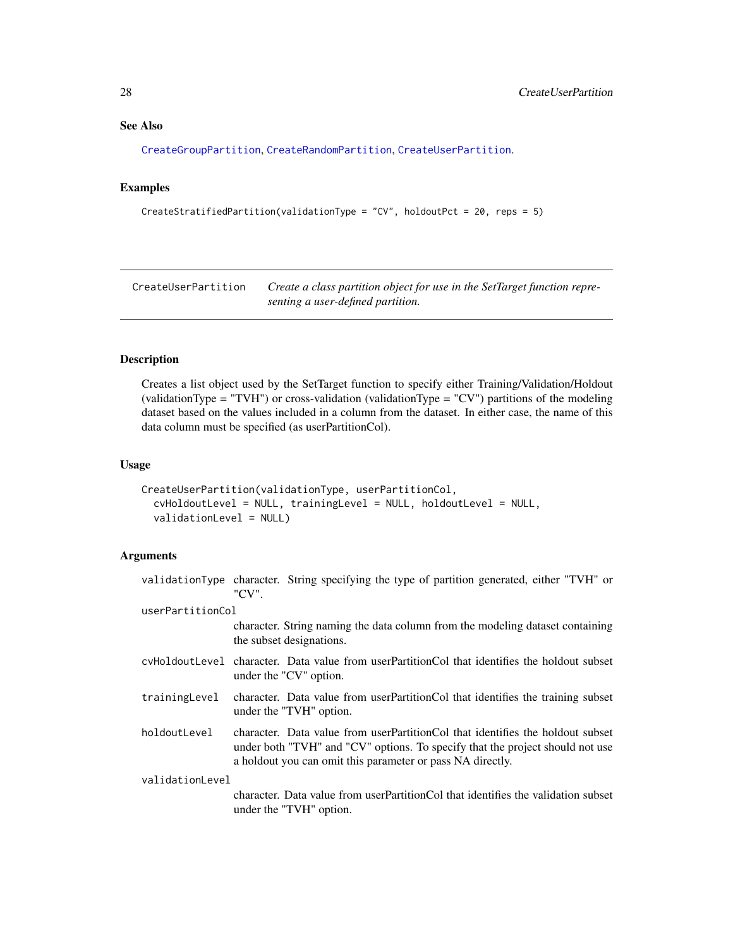### See Also

[CreateGroupPartition](#page-22-1), [CreateRandomPartition](#page-24-1), [CreateUserPartition](#page-27-1).

### Examples

```
CreateStratifiedPartition(validationType = "CV", holdoutPct = 20, reps = 5)
```
<span id="page-27-1"></span>CreateUserPartition *Create a class partition object for use in the SetTarget function representing a user-defined partition.*

#### Description

Creates a list object used by the SetTarget function to specify either Training/Validation/Holdout (validationType = "TVH") or cross-validation (validationType = "CV") partitions of the modeling dataset based on the values included in a column from the dataset. In either case, the name of this data column must be specified (as userPartitionCol).

### Usage

```
CreateUserPartition(validationType, userPartitionCol,
  cvHoldoutLevel = NULL, trainingLevel = NULL, holdoutLevel = NULL,
  validationLevel = NULL)
```

|                  | validationType character. String specifying the type of partition generated, either "TVH" or<br>"CV".                                                                                                                         |
|------------------|-------------------------------------------------------------------------------------------------------------------------------------------------------------------------------------------------------------------------------|
| userPartitionCol |                                                                                                                                                                                                                               |
|                  | character. String naming the data column from the modeling dataset containing<br>the subset designations.                                                                                                                     |
|                  | cyHoldoutLevel character. Data value from userPartitionCol that identifies the holdout subset<br>under the "CV" option.                                                                                                       |
| trainingLevel    | character. Data value from userPartitionCol that identifies the training subset<br>under the "TVH" option.                                                                                                                    |
| holdoutLevel     | character. Data value from userPartitionCol that identifies the holdout subset<br>under both "TVH" and "CV" options. To specify that the project should not use<br>a holdout you can omit this parameter or pass NA directly. |
| validationLevel  |                                                                                                                                                                                                                               |
|                  | character. Data value from user Partition Col that identifies the validation subset<br>under the "TVH" option.                                                                                                                |

<span id="page-27-0"></span>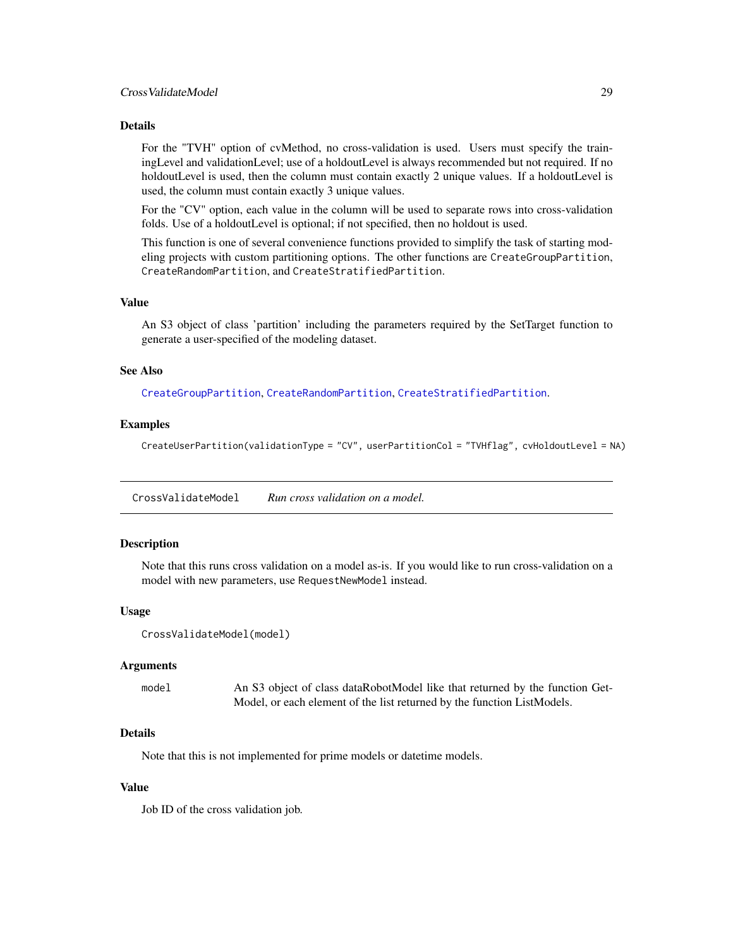#### <span id="page-28-0"></span>Details

For the "TVH" option of cvMethod, no cross-validation is used. Users must specify the trainingLevel and validationLevel; use of a holdoutLevel is always recommended but not required. If no holdoutLevel is used, then the column must contain exactly 2 unique values. If a holdoutLevel is used, the column must contain exactly 3 unique values.

For the "CV" option, each value in the column will be used to separate rows into cross-validation folds. Use of a holdoutLevel is optional; if not specified, then no holdout is used.

This function is one of several convenience functions provided to simplify the task of starting modeling projects with custom partitioning options. The other functions are CreateGroupPartition, CreateRandomPartition, and CreateStratifiedPartition.

#### Value

An S3 object of class 'partition' including the parameters required by the SetTarget function to generate a user-specified of the modeling dataset.

#### See Also

[CreateGroupPartition](#page-22-1), [CreateRandomPartition](#page-24-1), [CreateStratifiedPartition](#page-26-1).

#### Examples

CreateUserPartition(validationType = "CV", userPartitionCol = "TVHflag", cvHoldoutLevel = NA)

CrossValidateModel *Run cross validation on a model.*

#### Description

Note that this runs cross validation on a model as-is. If you would like to run cross-validation on a model with new parameters, use RequestNewModel instead.

#### Usage

```
CrossValidateModel(model)
```
#### Arguments

model An S3 object of class dataRobotModel like that returned by the function Get-Model, or each element of the list returned by the function ListModels.

### **Details**

Note that this is not implemented for prime models or datetime models.

#### Value

Job ID of the cross validation job.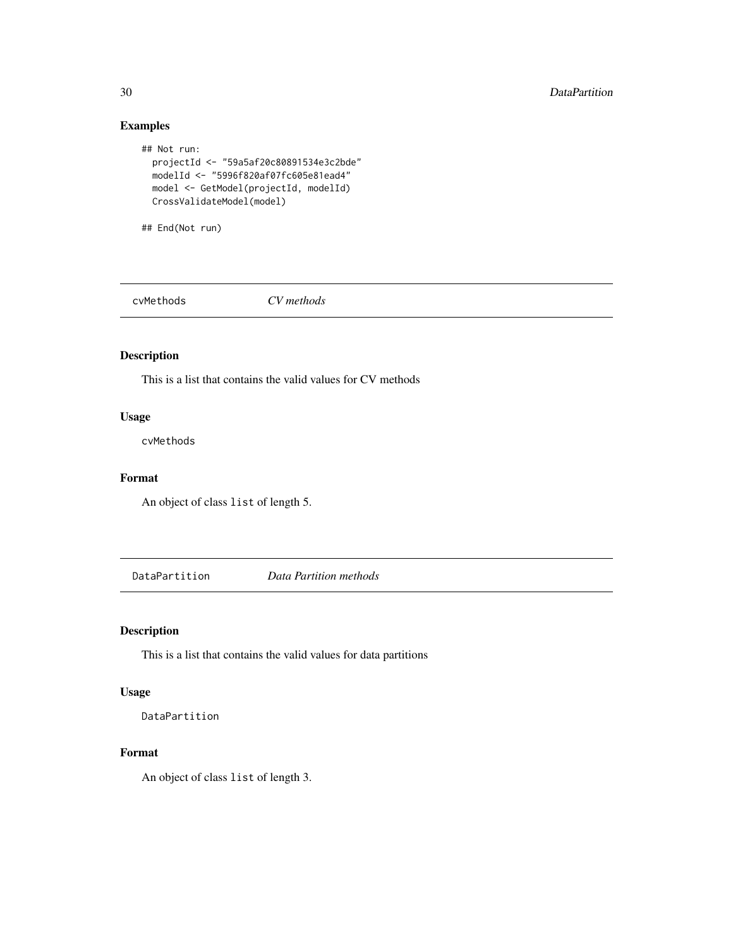### Examples

```
## Not run:
 projectId <- "59a5af20c80891534e3c2bde"
 modelId <- "5996f820af07fc605e81ead4"
 model <- GetModel(projectId, modelId)
 CrossValidateModel(model)
```
## End(Not run)

cvMethods *CV methods*

### Description

This is a list that contains the valid values for CV methods

### Usage

cvMethods

### Format

An object of class list of length 5.

DataPartition *Data Partition methods*

### Description

This is a list that contains the valid values for data partitions

### Usage

DataPartition

#### Format

An object of class list of length 3.

<span id="page-29-0"></span>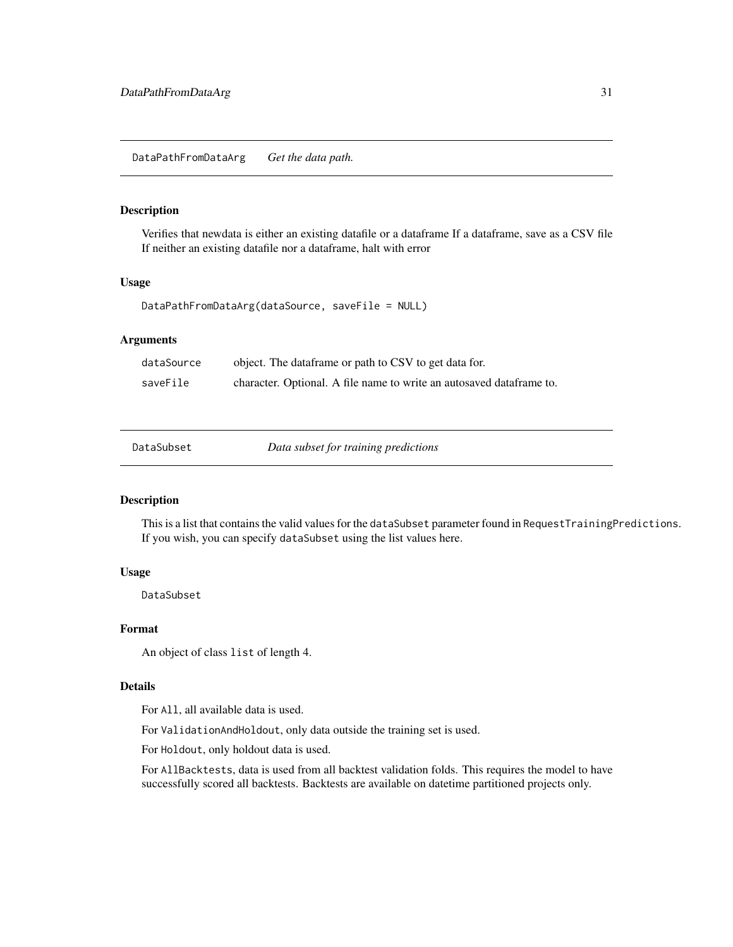### <span id="page-30-0"></span>Description

Verifies that newdata is either an existing datafile or a dataframe If a dataframe, save as a CSV file If neither an existing datafile nor a dataframe, halt with error

### Usage

```
DataPathFromDataArg(dataSource, saveFile = NULL)
```
### Arguments

| dataSource | object. The dataframe or path to CSV to get data for.                 |
|------------|-----------------------------------------------------------------------|
| saveFile   | character. Optional. A file name to write an autosaved data frame to. |

Data subset for training predictions

### Description

This is a list that contains the valid values for the dataSubset parameter found in RequestTrainingPredictions. If you wish, you can specify dataSubset using the list values here.

### Usage

DataSubset

#### Format

An object of class list of length 4.

#### Details

For All, all available data is used.

For ValidationAndHoldout, only data outside the training set is used.

For Holdout, only holdout data is used.

For AllBacktests, data is used from all backtest validation folds. This requires the model to have successfully scored all backtests. Backtests are available on datetime partitioned projects only.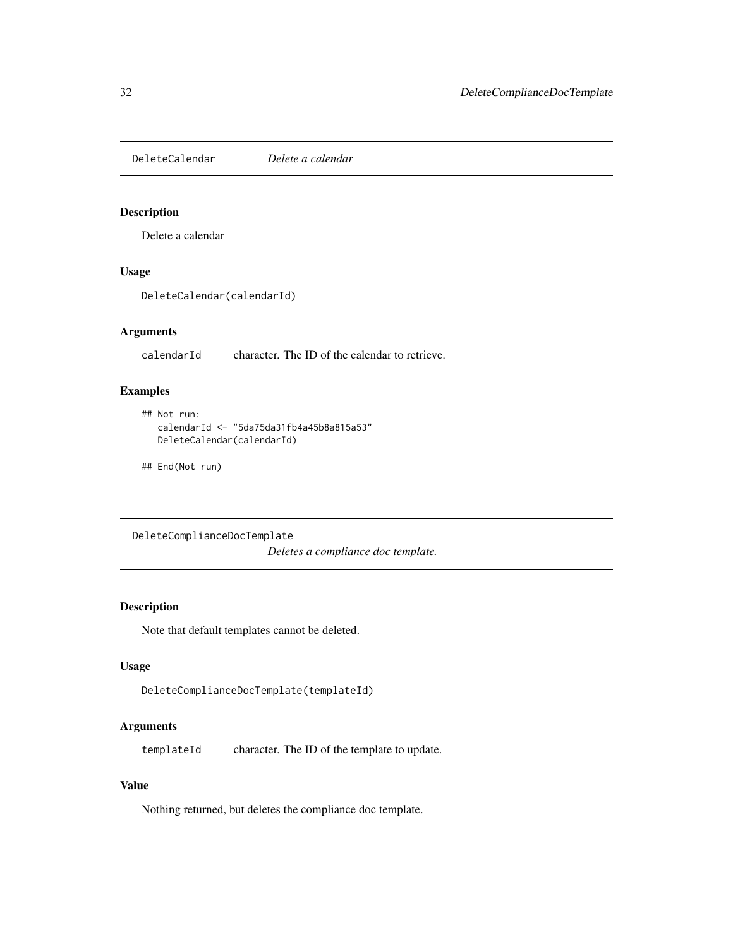<span id="page-31-0"></span>DeleteCalendar *Delete a calendar*

### Description

Delete a calendar

### Usage

DeleteCalendar(calendarId)

### Arguments

calendarId character. The ID of the calendar to retrieve.

### Examples

```
## Not run:
  calendarId <- "5da75da31fb4a45b8a815a53"
  DeleteCalendar(calendarId)
```
## End(Not run)

DeleteComplianceDocTemplate *Deletes a compliance doc template.*

### Description

Note that default templates cannot be deleted.

### Usage

```
DeleteComplianceDocTemplate(templateId)
```
### Arguments

templateId character. The ID of the template to update.

### Value

Nothing returned, but deletes the compliance doc template.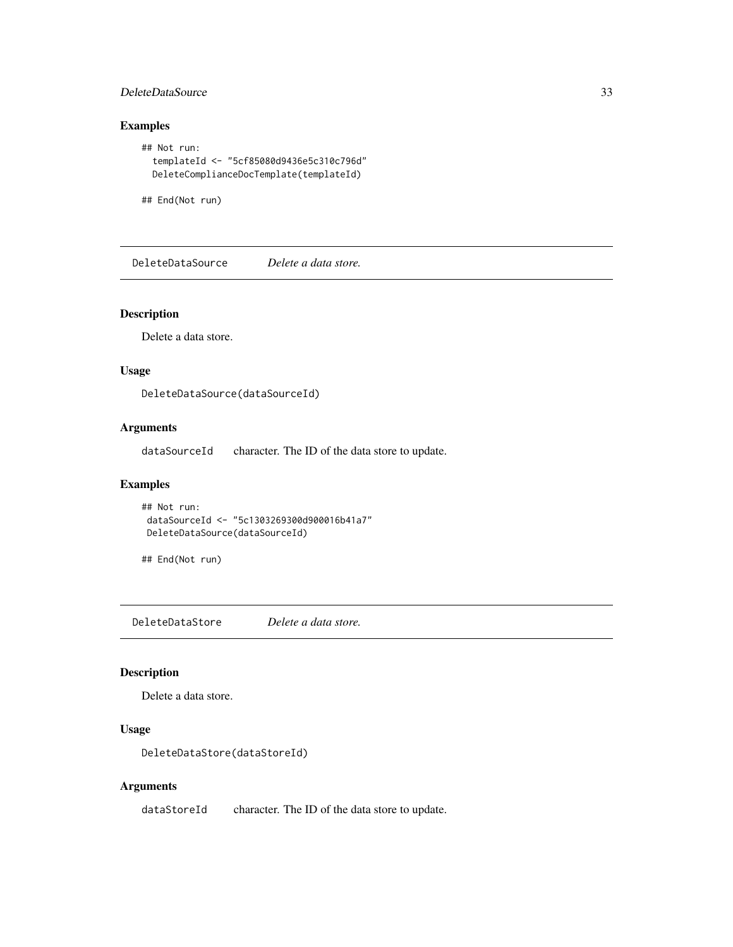### <span id="page-32-0"></span>DeleteDataSource 33

### Examples

```
## Not run:
 templateId <- "5cf85080d9436e5c310c796d"
 DeleteComplianceDocTemplate(templateId)
```
## End(Not run)

DeleteDataSource *Delete a data store.*

### Description

Delete a data store.

### Usage

DeleteDataSource(dataSourceId)

### Arguments

dataSourceId character. The ID of the data store to update.

### Examples

```
## Not run:
dataSourceId <- "5c1303269300d900016b41a7"
DeleteDataSource(dataSourceId)
```
## End(Not run)

DeleteDataStore *Delete a data store.*

### Description

Delete a data store.

### Usage

DeleteDataStore(dataStoreId)

### Arguments

dataStoreId character. The ID of the data store to update.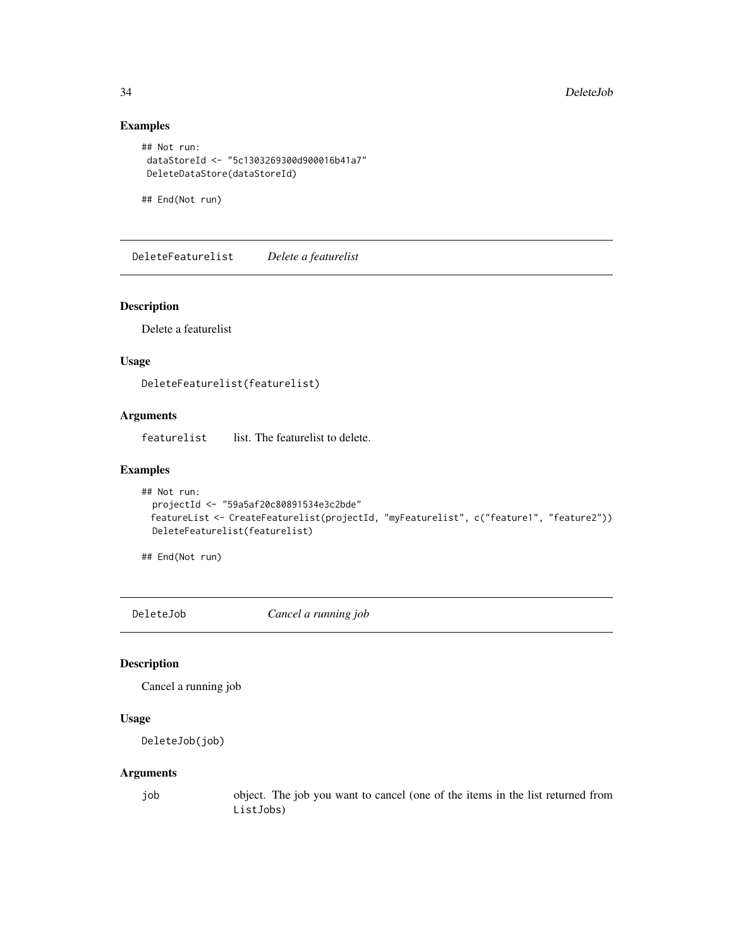### Examples

```
## Not run:
dataStoreId <- "5c1303269300d900016b41a7"
DeleteDataStore(dataStoreId)
```
## End(Not run)

DeleteFeaturelist *Delete a featurelist*

### Description

Delete a featurelist

### Usage

DeleteFeaturelist(featurelist)

### Arguments

featurelist list. The featurelist to delete.

#### Examples

```
## Not run:
 projectId <- "59a5af20c80891534e3c2bde"
 featureList <- CreateFeaturelist(projectId, "myFeaturelist", c("feature1", "feature2"))
 DeleteFeaturelist(featurelist)
```
## End(Not run)

DeleteJob *Cancel a running job*

### Description

Cancel a running job

### Usage

```
DeleteJob(job)
```
### Arguments

job object. The job you want to cancel (one of the items in the list returned from ListJobs)

<span id="page-33-0"></span>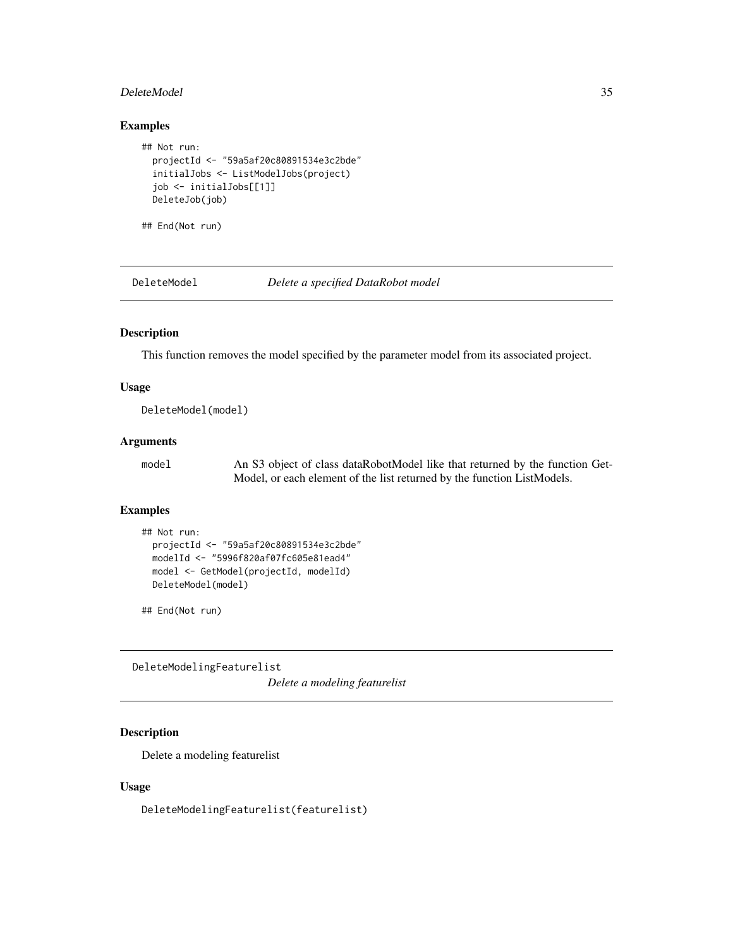#### <span id="page-34-0"></span>DeleteModel 35

### Examples

```
## Not run:
 projectId <- "59a5af20c80891534e3c2bde"
 initialJobs <- ListModelJobs(project)
 job <- initialJobs[[1]]
 DeleteJob(job)
```
## End(Not run)

DeleteModel *Delete a specified DataRobot model*

### Description

This function removes the model specified by the parameter model from its associated project.

### Usage

DeleteModel(model)

### Arguments

model An S3 object of class dataRobotModel like that returned by the function Get-Model, or each element of the list returned by the function ListModels.

### Examples

```
## Not run:
 projectId <- "59a5af20c80891534e3c2bde"
 modelId <- "5996f820af07fc605e81ead4"
 model <- GetModel(projectId, modelId)
 DeleteModel(model)
```
## End(Not run)

DeleteModelingFeaturelist

*Delete a modeling featurelist*

### Description

Delete a modeling featurelist

#### Usage

DeleteModelingFeaturelist(featurelist)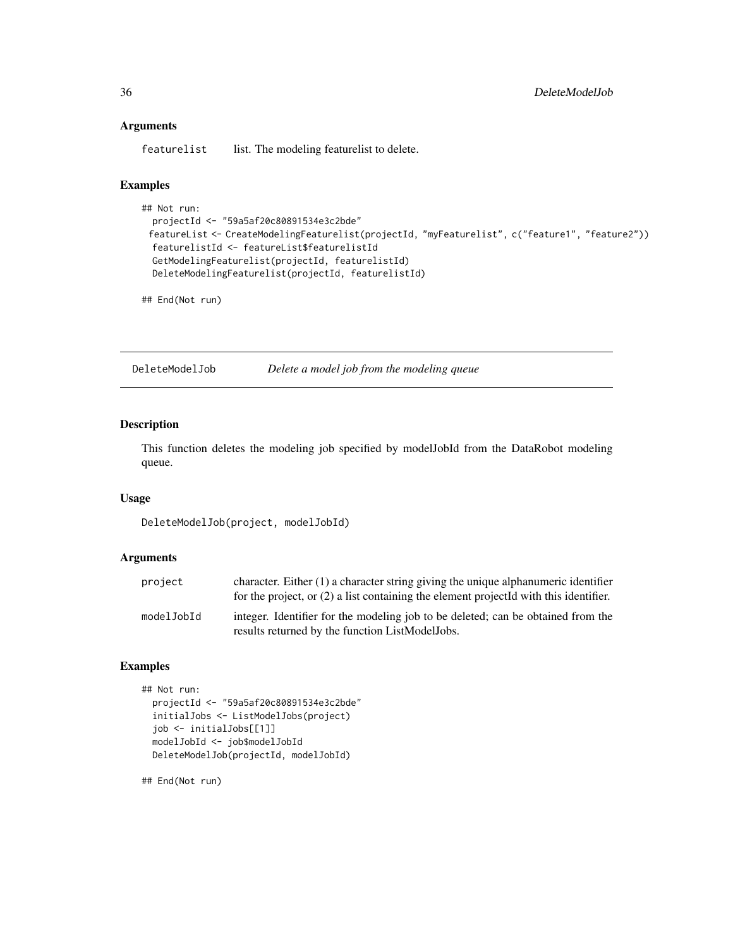#### Arguments

featurelist list. The modeling featurelist to delete.

### Examples

```
## Not run:
 projectId <- "59a5af20c80891534e3c2bde"
 featureList <- CreateModelingFeaturelist(projectId, "myFeaturelist", c("feature1", "feature2"))
 featurelistId <- featureList$featurelistId
 GetModelingFeaturelist(projectId, featurelistId)
 DeleteModelingFeaturelist(projectId, featurelistId)
```
## End(Not run)

DeleteModelJob *Delete a model job from the modeling queue*

### Description

This function deletes the modeling job specified by modelJobId from the DataRobot modeling queue.

#### Usage

DeleteModelJob(project, modelJobId)

#### Arguments

| project    | character. Either $(1)$ a character string giving the unique alphanumeric identifier<br>for the project, or $(2)$ a list containing the element projected with this identifier. |
|------------|---------------------------------------------------------------------------------------------------------------------------------------------------------------------------------|
| modelJobId | integer. Identifier for the modeling job to be deleted; can be obtained from the<br>results returned by the function ListModelJobs.                                             |

#### Examples

```
## Not run:
 projectId <- "59a5af20c80891534e3c2bde"
 initialJobs <- ListModelJobs(project)
 job <- initialJobs[[1]]
 modelJobId <- job$modelJobId
 DeleteModelJob(projectId, modelJobId)
```
## End(Not run)

<span id="page-35-0"></span>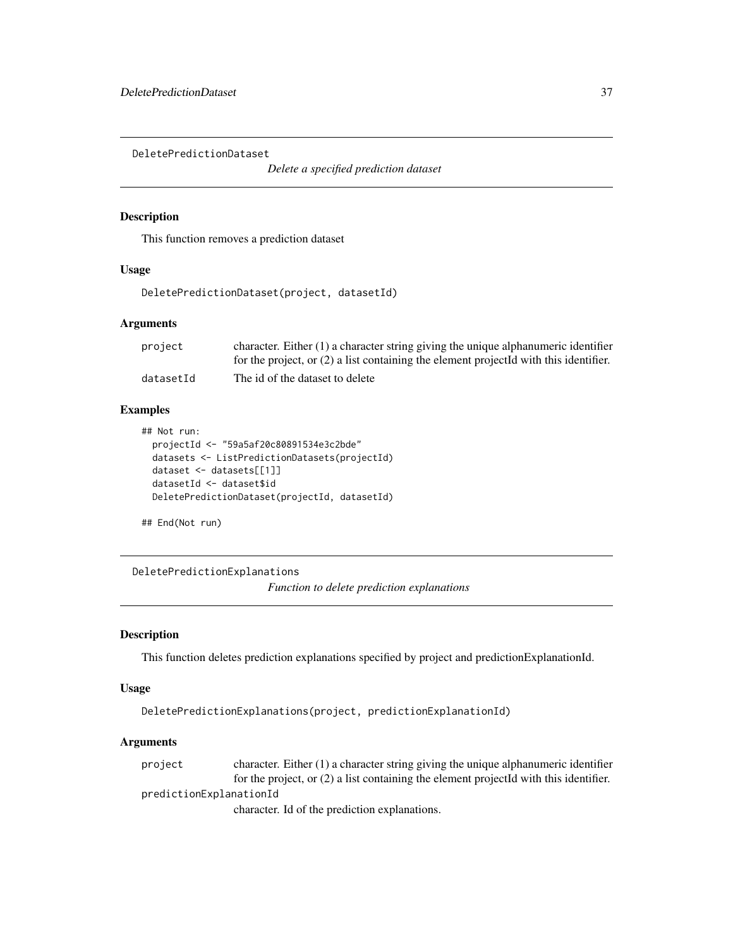DeletePredictionDataset

*Delete a specified prediction dataset*

# Description

This function removes a prediction dataset

## Usage

```
DeletePredictionDataset(project, datasetId)
```
### **Arguments**

| project   | character. Either $(1)$ a character string giving the unique alphanumeric identifier    |
|-----------|-----------------------------------------------------------------------------------------|
|           | for the project, or $(2)$ a list containing the element projected with this identifier. |
| datasetId | The id of the dataset to delete                                                         |

## Examples

```
## Not run:
 projectId <- "59a5af20c80891534e3c2bde"
 datasets <- ListPredictionDatasets(projectId)
 dataset <- datasets[[1]]
 datasetId <- dataset$id
 DeletePredictionDataset(projectId, datasetId)
```
## End(Not run)

DeletePredictionExplanations *Function to delete prediction explanations*

#### Description

This function deletes prediction explanations specified by project and predictionExplanationId.

### Usage

```
DeletePredictionExplanations(project, predictionExplanationId)
```
## Arguments

project character. Either (1) a character string giving the unique alphanumeric identifier for the project, or (2) a list containing the element projectId with this identifier. predictionExplanationId character. Id of the prediction explanations.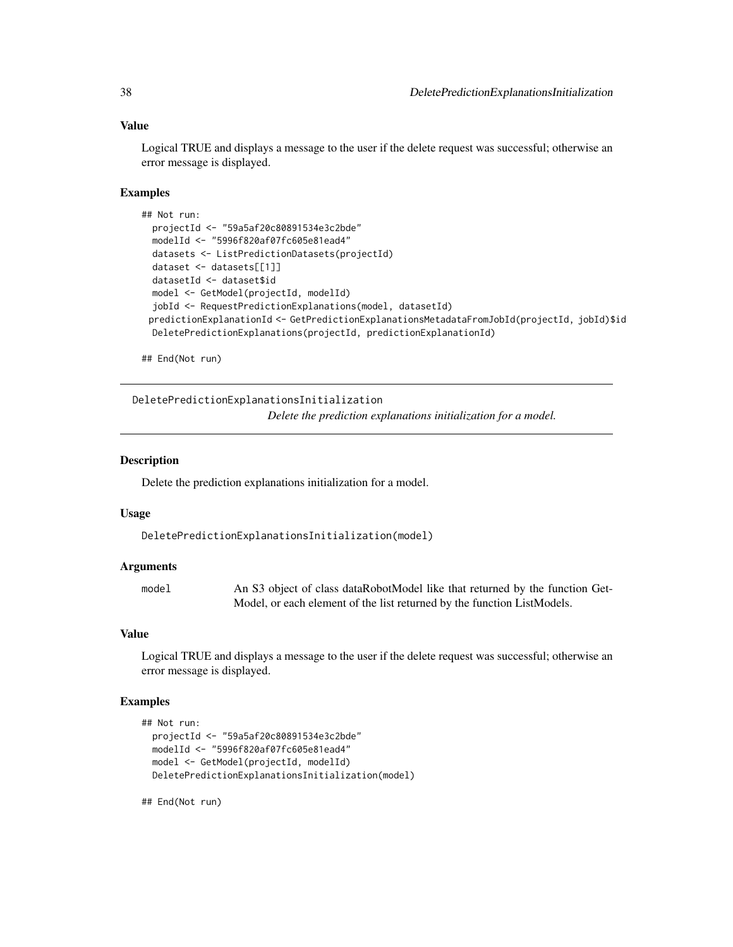## Value

Logical TRUE and displays a message to the user if the delete request was successful; otherwise an error message is displayed.

### Examples

```
## Not run:
 projectId <- "59a5af20c80891534e3c2bde"
 modelId <- "5996f820af07fc605e81ead4"
 datasets <- ListPredictionDatasets(projectId)
 dataset <- datasets[[1]]
 datasetId <- dataset$id
 model <- GetModel(projectId, modelId)
 jobId <- RequestPredictionExplanations(model, datasetId)
 predictionExplanationId <- GetPredictionExplanationsMetadataFromJobId(projectId, jobId)$id
 DeletePredictionExplanations(projectId, predictionExplanationId)
```
## End(Not run)

DeletePredictionExplanationsInitialization

*Delete the prediction explanations initialization for a model.*

## **Description**

Delete the prediction explanations initialization for a model.

#### Usage

```
DeletePredictionExplanationsInitialization(model)
```
### Arguments

model An S3 object of class dataRobotModel like that returned by the function Get-Model, or each element of the list returned by the function ListModels.

#### Value

Logical TRUE and displays a message to the user if the delete request was successful; otherwise an error message is displayed.

### Examples

```
## Not run:
 projectId <- "59a5af20c80891534e3c2bde"
 modelId <- "5996f820af07fc605e81ead4"
 model <- GetModel(projectId, modelId)
 DeletePredictionExplanationsInitialization(model)
```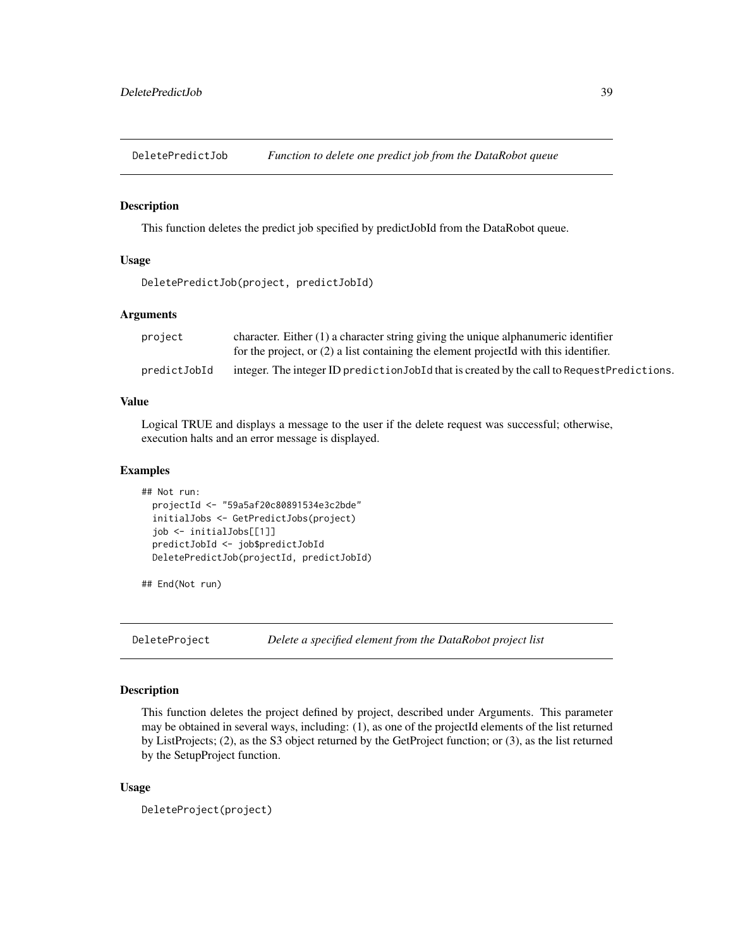DeletePredictJob *Function to delete one predict job from the DataRobot queue*

#### Description

This function deletes the predict job specified by predictJobId from the DataRobot queue.

#### Usage

```
DeletePredictJob(project, predictJobId)
```
## Arguments

| project      | character. Either (1) a character string giving the unique alphanumeric identifier           |
|--------------|----------------------------------------------------------------------------------------------|
|              | for the project, or $(2)$ a list containing the element projected with this identifier.      |
| predictJobId | integer. The integer ID prediction JobId that is created by the call to Request Predictions. |

## Value

Logical TRUE and displays a message to the user if the delete request was successful; otherwise, execution halts and an error message is displayed.

#### Examples

```
## Not run:
 projectId <- "59a5af20c80891534e3c2bde"
 initialJobs <- GetPredictJobs(project)
 job <- initialJobs[[1]]
 predictJobId <- job$predictJobId
 DeletePredictJob(projectId, predictJobId)
```
## End(Not run)

DeleteProject *Delete a specified element from the DataRobot project list*

## Description

This function deletes the project defined by project, described under Arguments. This parameter may be obtained in several ways, including: (1), as one of the projectId elements of the list returned by ListProjects; (2), as the S3 object returned by the GetProject function; or (3), as the list returned by the SetupProject function.

### Usage

```
DeleteProject(project)
```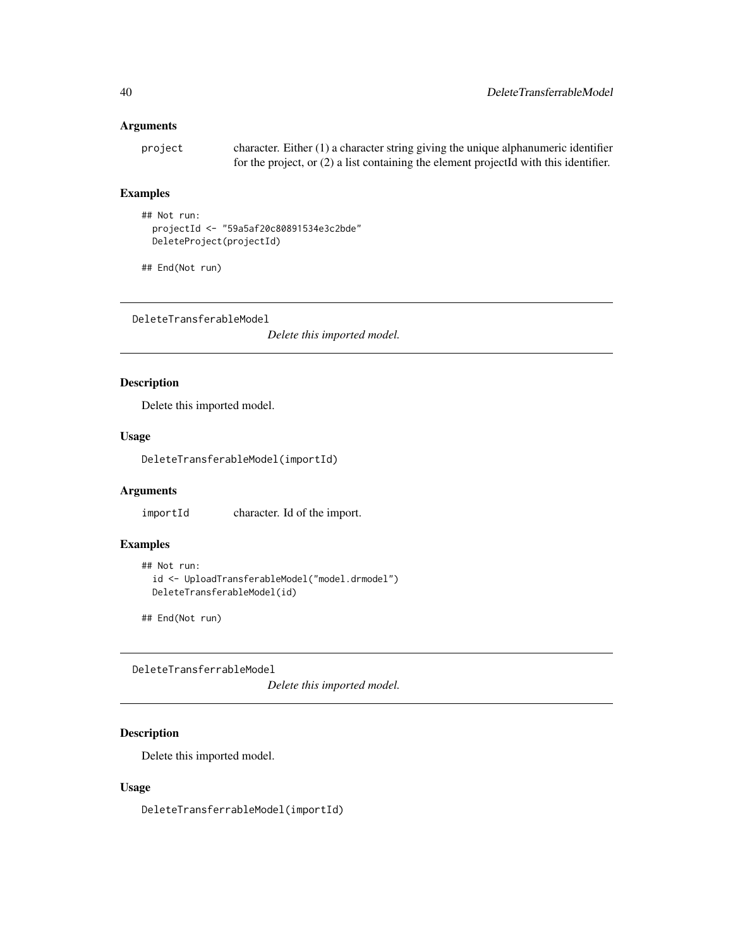## Arguments

project character. Either (1) a character string giving the unique alphanumeric identifier for the project, or (2) a list containing the element projectId with this identifier.

# Examples

```
## Not run:
 projectId <- "59a5af20c80891534e3c2bde"
 DeleteProject(projectId)
```

```
## End(Not run)
```
DeleteTransferableModel

*Delete this imported model.*

# Description

Delete this imported model.

## Usage

DeleteTransferableModel(importId)

# Arguments

importId character. Id of the import.

## Examples

```
## Not run:
 id <- UploadTransferableModel("model.drmodel")
 DeleteTransferableModel(id)
```
## End(Not run)

DeleteTransferrableModel

*Delete this imported model.*

## Description

Delete this imported model.

### Usage

DeleteTransferrableModel(importId)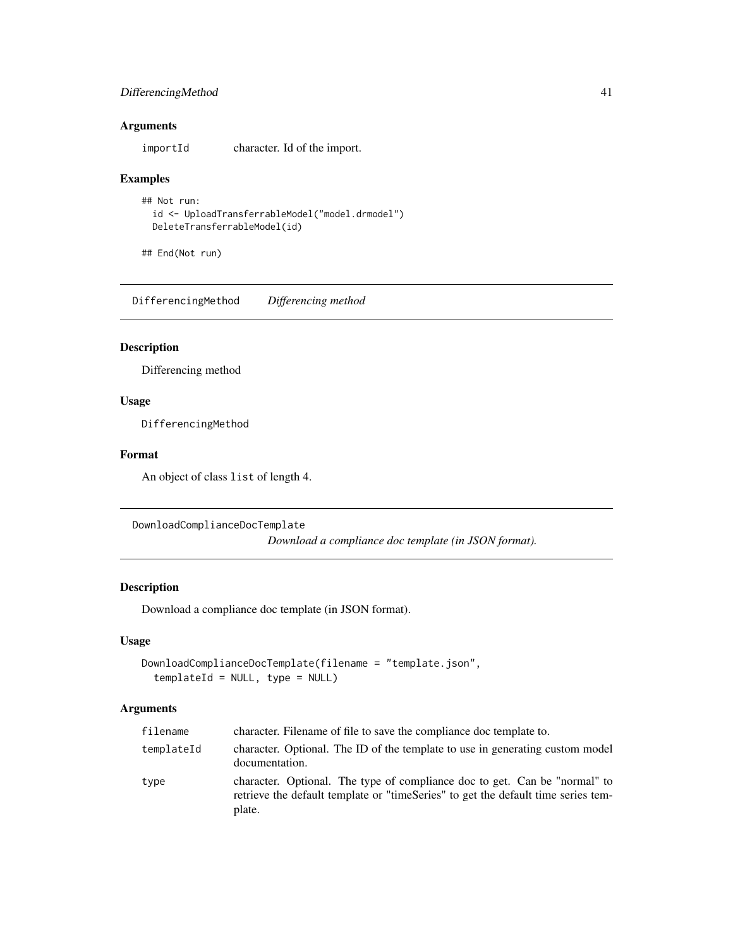## DifferencingMethod 41

## Arguments

importId character. Id of the import.

### Examples

```
## Not run:
 id <- UploadTransferrableModel("model.drmodel")
 DeleteTransferrableModel(id)
```
## End(Not run)

DifferencingMethod *Differencing method*

## Description

Differencing method

# Usage

DifferencingMethod

## Format

An object of class list of length 4.

DownloadComplianceDocTemplate

*Download a compliance doc template (in JSON format).*

### Description

Download a compliance doc template (in JSON format).

### Usage

```
DownloadComplianceDocTemplate(filename = "template.json",
  templateId = NULL, type = NULL)
```
## Arguments

| filename   | character. Filename of file to save the compliance doc template to.                                                                                                       |
|------------|---------------------------------------------------------------------------------------------------------------------------------------------------------------------------|
| templateId | character. Optional. The ID of the template to use in generating custom model<br>documentation.                                                                           |
| type       | character. Optional. The type of compliance doc to get. Can be "normal" to<br>retrieve the default template or "timeSeries" to get the default time series tem-<br>plate. |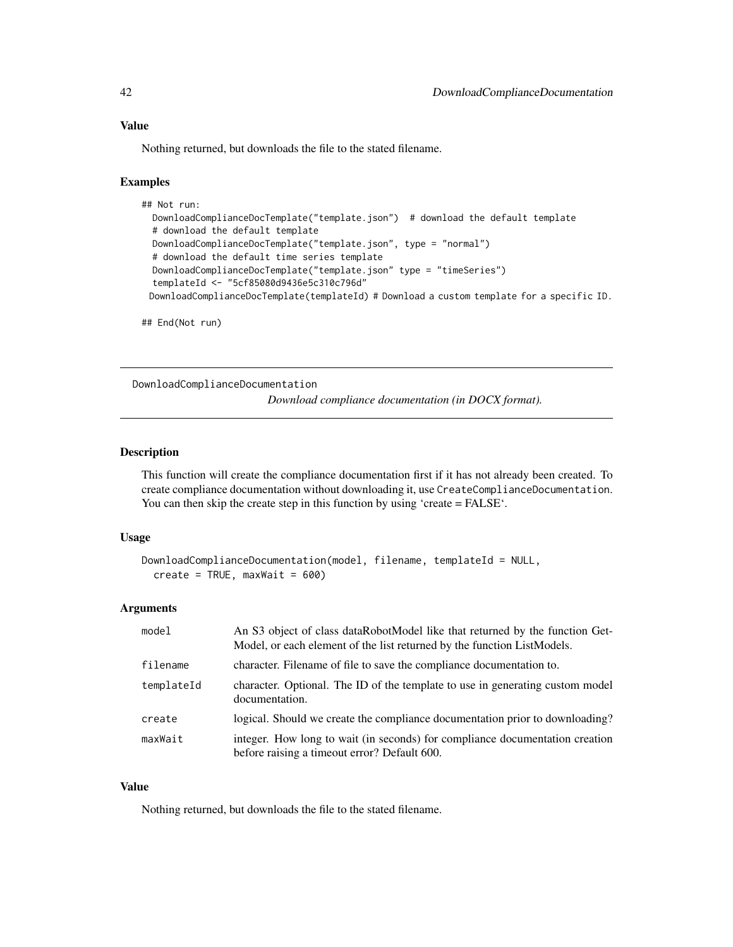Nothing returned, but downloads the file to the stated filename.

#### Examples

```
## Not run:
 DownloadComplianceDocTemplate("template.json") # download the default template
 # download the default template
 DownloadComplianceDocTemplate("template.json", type = "normal")
 # download the default time series template
 DownloadComplianceDocTemplate("template.json" type = "timeSeries")
 templateId <- "5cf85080d9436e5c310c796d"
 DownloadComplianceDocTemplate(templateId) # Download a custom template for a specific ID.
```
## End(Not run)

DownloadComplianceDocumentation

*Download compliance documentation (in DOCX format).*

#### Description

This function will create the compliance documentation first if it has not already been created. To create compliance documentation without downloading it, use CreateComplianceDocumentation. You can then skip the create step in this function by using 'create = FALSE'.

#### Usage

```
DownloadComplianceDocumentation(model, filename, templateId = NULL,
  create = TRUE, maxWait = 600)
```
#### Arguments

| model      | An S3 object of class dataRobotModel like that returned by the function Get-<br>Model, or each element of the list returned by the function ListModels. |
|------------|---------------------------------------------------------------------------------------------------------------------------------------------------------|
| filename   | character. Filename of file to save the compliance documentation to.                                                                                    |
| templateId | character. Optional. The ID of the template to use in generating custom model<br>documentation.                                                         |
| create     | logical. Should we create the compliance documentation prior to downloading?                                                                            |
| maxWait    | integer. How long to wait (in seconds) for compliance documentation creation<br>before raising a timeout error? Default 600.                            |

#### Value

Nothing returned, but downloads the file to the stated filename.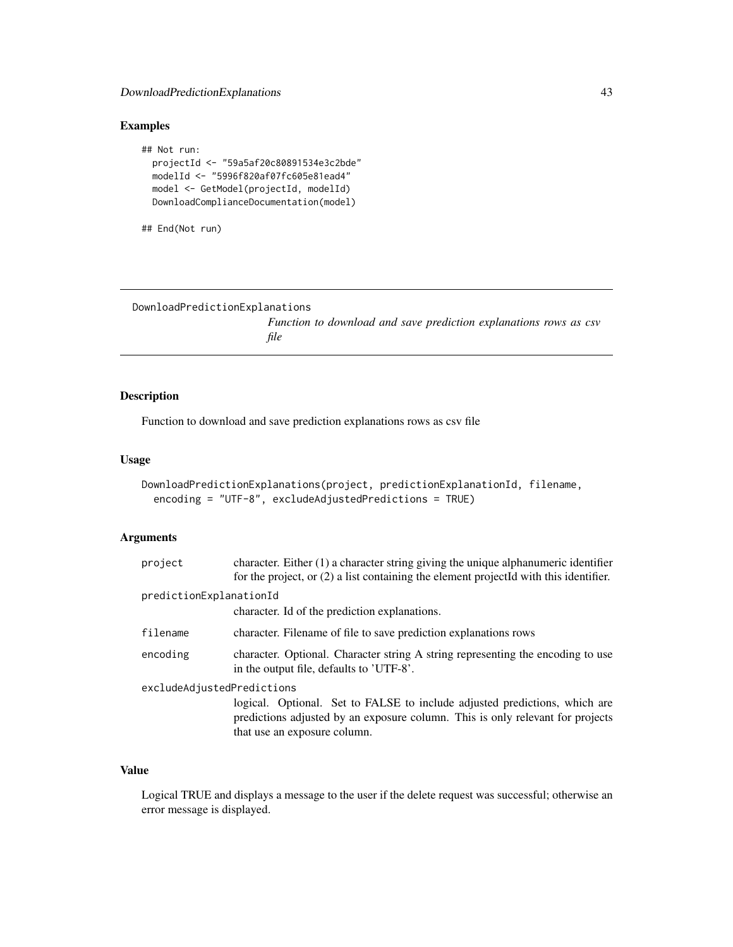## DownloadPredictionExplanations 43

## Examples

```
## Not run:
 projectId <- "59a5af20c80891534e3c2bde"
 modelId <- "5996f820af07fc605e81ead4"
 model <- GetModel(projectId, modelId)
 DownloadComplianceDocumentation(model)
```

```
## End(Not run)
```
DownloadPredictionExplanations

*Function to download and save prediction explanations rows as csv file*

## Description

Function to download and save prediction explanations rows as csv file

### Usage

```
DownloadPredictionExplanations(project, predictionExplanationId, filename,
 encoding = "UTF-8", excludeAdjustedPredictions = TRUE)
```
## Arguments

| project                    | character. Either $(1)$ a character string giving the unique alphanumeric identifier<br>for the project, or $(2)$ a list containing the element projected with this identifier.              |  |
|----------------------------|----------------------------------------------------------------------------------------------------------------------------------------------------------------------------------------------|--|
| predictionExplanationId    |                                                                                                                                                                                              |  |
|                            | character. Id of the prediction explanations.                                                                                                                                                |  |
| filename                   | character. Filename of file to save prediction explanations rows                                                                                                                             |  |
| encoding                   | character. Optional. Character string A string representing the encoding to use<br>in the output file, defaults to 'UTF-8'.                                                                  |  |
| excludeAdjustedPredictions |                                                                                                                                                                                              |  |
|                            | logical. Optional. Set to FALSE to include adjusted predictions, which are<br>predictions adjusted by an exposure column. This is only relevant for projects<br>that use an exposure column. |  |

## Value

Logical TRUE and displays a message to the user if the delete request was successful; otherwise an error message is displayed.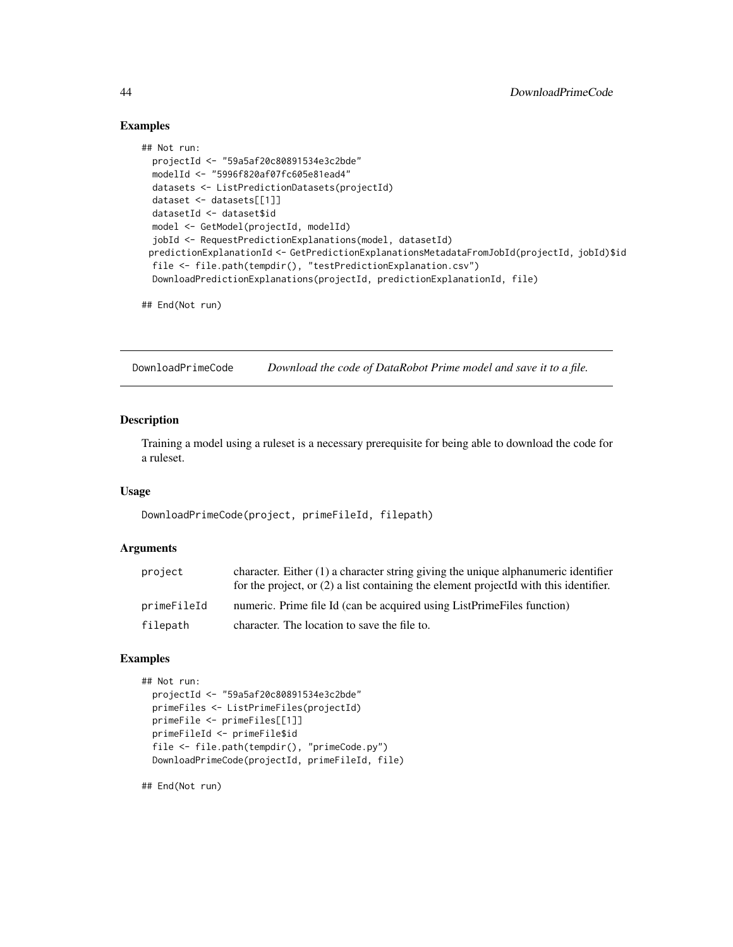### Examples

```
## Not run:
 projectId <- "59a5af20c80891534e3c2bde"
 modelId <- "5996f820af07fc605e81ead4"
 datasets <- ListPredictionDatasets(projectId)
 dataset <- datasets[[1]]
 datasetId <- dataset$id
 model <- GetModel(projectId, modelId)
 jobId <- RequestPredictionExplanations(model, datasetId)
 predictionExplanationId <- GetPredictionExplanationsMetadataFromJobId(projectId, jobId)$id
 file <- file.path(tempdir(), "testPredictionExplanation.csv")
 DownloadPredictionExplanations(projectId, predictionExplanationId, file)
```
## End(Not run)

DownloadPrimeCode *Download the code of DataRobot Prime model and save it to a file.*

## Description

Training a model using a ruleset is a necessary prerequisite for being able to download the code for a ruleset.

### Usage

DownloadPrimeCode(project, primeFileId, filepath)

#### Arguments

| project     | character. Either $(1)$ a character string giving the unique alphanumeric identifier<br>for the project, or $(2)$ a list containing the element projected with this identifier. |
|-------------|---------------------------------------------------------------------------------------------------------------------------------------------------------------------------------|
| primeFileId | numeric. Prime file Id (can be acquired using ListPrimeFiles function)                                                                                                          |
| filepath    | character. The location to save the file to.                                                                                                                                    |

### Examples

```
## Not run:
 projectId <- "59a5af20c80891534e3c2bde"
 primeFiles <- ListPrimeFiles(projectId)
 primeFile <- primeFiles[[1]]
 primeFileId <- primeFile$id
 file <- file.path(tempdir(), "primeCode.py")
 DownloadPrimeCode(projectId, primeFileId, file)
```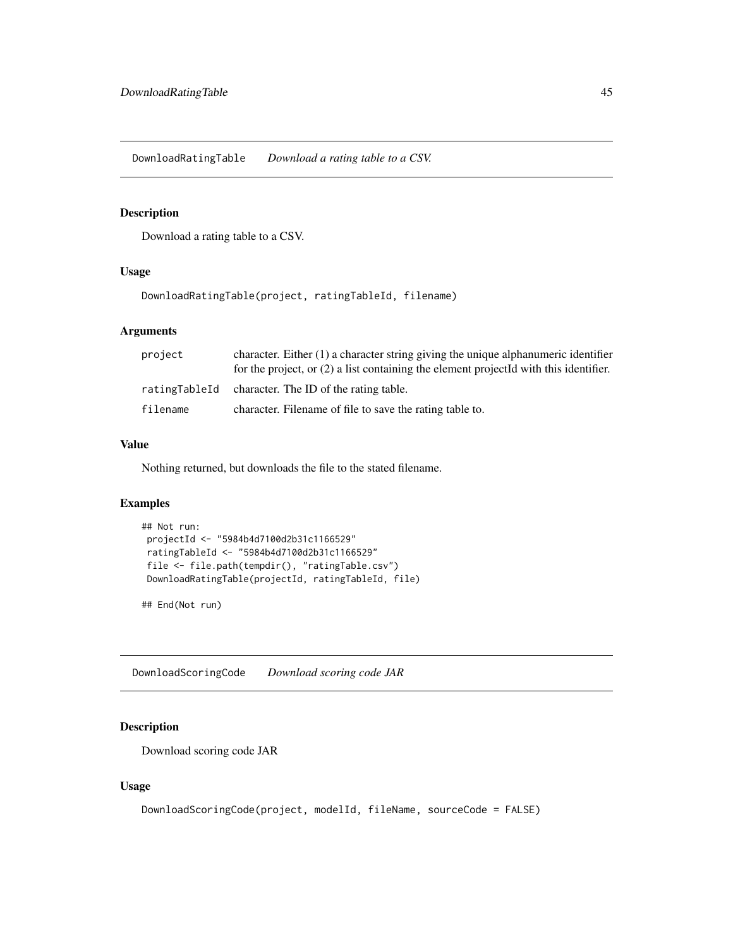DownloadRatingTable *Download a rating table to a CSV.*

### Description

Download a rating table to a CSV.

### Usage

DownloadRatingTable(project, ratingTableId, filename)

#### Arguments

| project  | character. Either $(1)$ a character string giving the unique alphanumeric identifier<br>for the project, or (2) a list containing the element projectId with this identifier. |
|----------|-------------------------------------------------------------------------------------------------------------------------------------------------------------------------------|
|          | ratingTableId character. The ID of the rating table.                                                                                                                          |
| filename | character. Filename of file to save the rating table to.                                                                                                                      |

#### Value

Nothing returned, but downloads the file to the stated filename.

## Examples

```
## Not run:
projectId <- "5984b4d7100d2b31c1166529"
ratingTableId <- "5984b4d7100d2b31c1166529"
file <- file.path(tempdir(), "ratingTable.csv")
DownloadRatingTable(projectId, ratingTableId, file)
```
## End(Not run)

DownloadScoringCode *Download scoring code JAR*

## Description

Download scoring code JAR

### Usage

```
DownloadScoringCode(project, modelId, fileName, sourceCode = FALSE)
```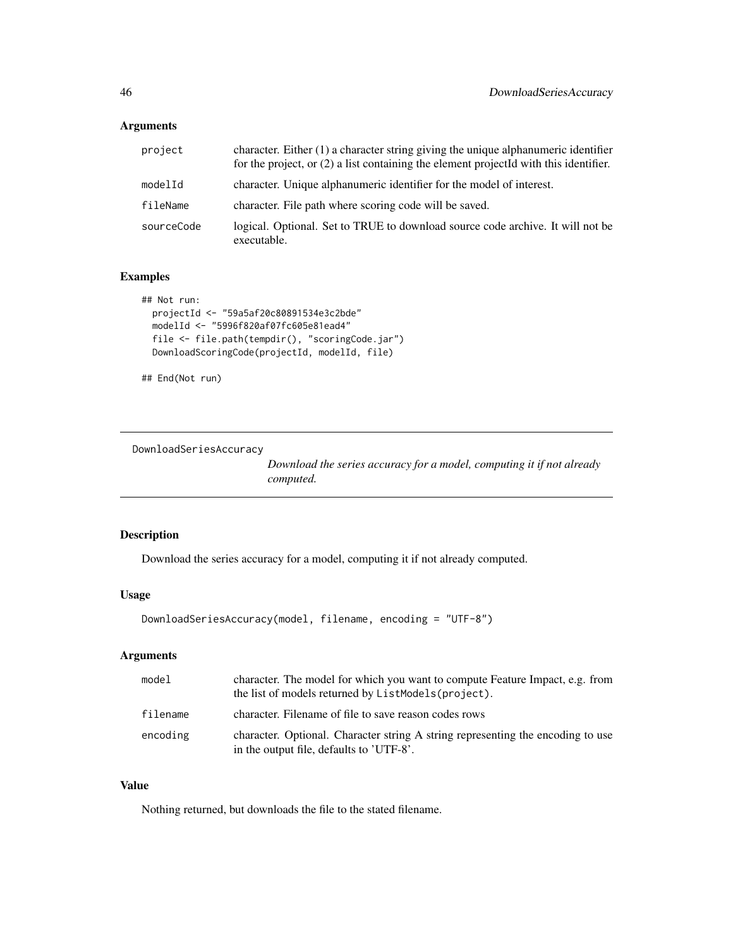# Arguments

| project    | character. Either $(1)$ a character string giving the unique alphanumeric identifier<br>for the project, or $(2)$ a list containing the element projected with this identifier. |
|------------|---------------------------------------------------------------------------------------------------------------------------------------------------------------------------------|
| modelId    | character. Unique alphanumeric identifier for the model of interest.                                                                                                            |
| fileName   | character. File path where scoring code will be saved.                                                                                                                          |
| sourceCode | logical. Optional. Set to TRUE to download source code archive. It will not be<br>executable.                                                                                   |

# Examples

```
## Not run:
  projectId <- "59a5af20c80891534e3c2bde"
  modelId <- "5996f820af07fc605e81ead4"
  file <- file.path(tempdir(), "scoringCode.jar")
  DownloadScoringCode(projectId, modelId, file)
```
## End(Not run)

DownloadSeriesAccuracy

*Download the series accuracy for a model, computing it if not already computed.*

# Description

Download the series accuracy for a model, computing it if not already computed.

## Usage

```
DownloadSeriesAccuracy(model, filename, encoding = "UTF-8")
```
## Arguments

| model    | character. The model for which you want to compute Feature Impact, e.g. from<br>the list of models returned by ListModels (project). |
|----------|--------------------------------------------------------------------------------------------------------------------------------------|
| filename | character. Filename of file to save reason codes rows                                                                                |
| encoding | character. Optional. Character string A string representing the encoding to use<br>in the output file, defaults to 'UTF-8'.          |

# Value

Nothing returned, but downloads the file to the stated filename.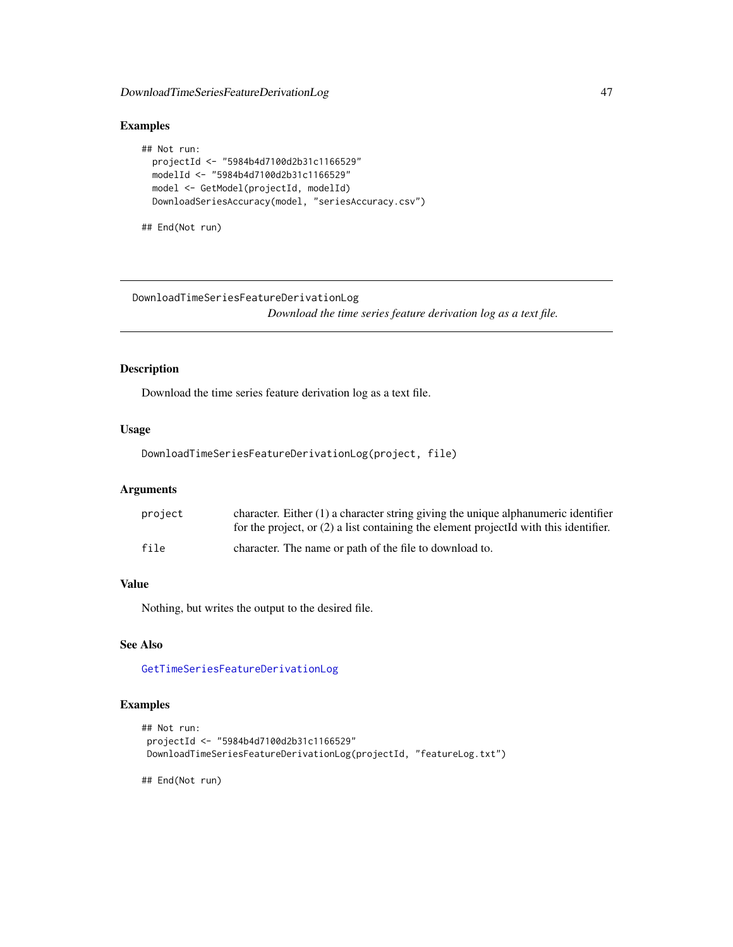## DownloadTimeSeriesFeatureDerivationLog 47

## Examples

```
## Not run:
 projectId <- "5984b4d7100d2b31c1166529"
 modelId <- "5984b4d7100d2b31c1166529"
 model <- GetModel(projectId, modelId)
 DownloadSeriesAccuracy(model, "seriesAccuracy.csv")
```

```
## End(Not run)
```
DownloadTimeSeriesFeatureDerivationLog *Download the time series feature derivation log as a text file.*

## Description

Download the time series feature derivation log as a text file.

#### Usage

DownloadTimeSeriesFeatureDerivationLog(project, file)

### Arguments

| project | character. Either $(1)$ a character string giving the unique alphanumeric identifier<br>for the project, or $(2)$ a list containing the element projected with this identifier. |
|---------|---------------------------------------------------------------------------------------------------------------------------------------------------------------------------------|
| file    | character. The name or path of the file to download to.                                                                                                                         |

### Value

Nothing, but writes the output to the desired file.

## See Also

[GetTimeSeriesFeatureDerivationLog](#page-123-0)

# Examples

```
## Not run:
projectId <- "5984b4d7100d2b31c1166529"
DownloadTimeSeriesFeatureDerivationLog(projectId, "featureLog.txt")
```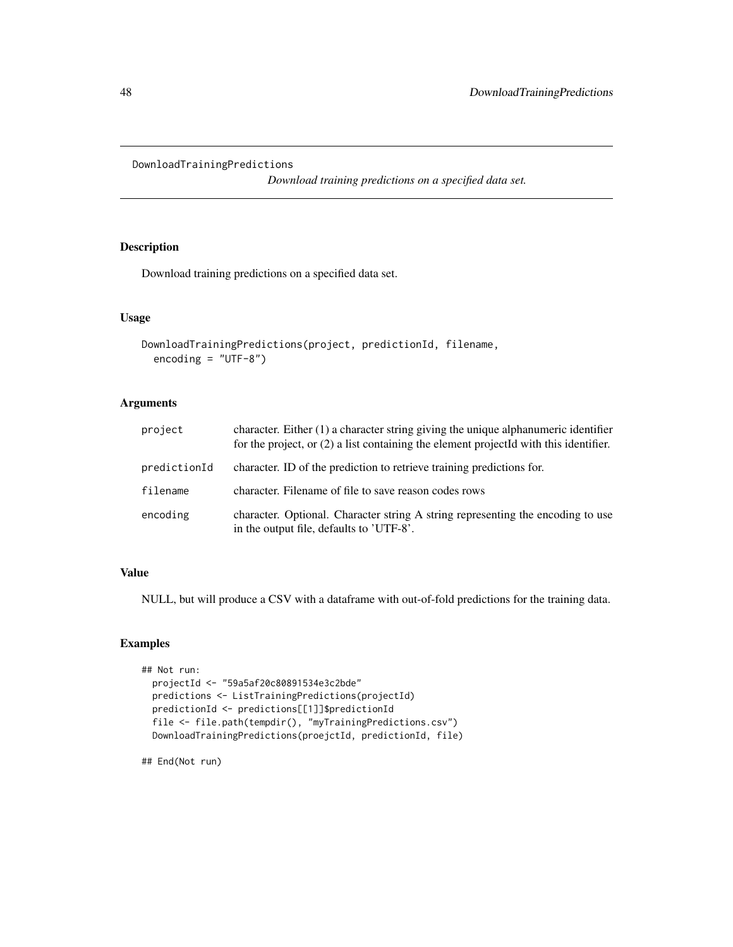DownloadTrainingPredictions

*Download training predictions on a specified data set.*

## Description

Download training predictions on a specified data set.

#### Usage

```
DownloadTrainingPredictions(project, predictionId, filename,
 encoding = "UTE-8")
```
### Arguments

| project      | character. Either $(1)$ a character string giving the unique alphanumeric identifier<br>for the project, or (2) a list containing the element projectId with this identifier. |
|--------------|-------------------------------------------------------------------------------------------------------------------------------------------------------------------------------|
| predictionId | character. ID of the prediction to retrieve training predictions for.                                                                                                         |
| filename     | character. Filename of file to save reason codes rows                                                                                                                         |
| encoding     | character. Optional. Character string A string representing the encoding to use<br>in the output file, defaults to 'UTF-8'.                                                   |

## Value

NULL, but will produce a CSV with a dataframe with out-of-fold predictions for the training data.

### Examples

```
## Not run:
 projectId <- "59a5af20c80891534e3c2bde"
 predictions <- ListTrainingPredictions(projectId)
 predictionId <- predictions[[1]]$predictionId
 file <- file.path(tempdir(), "myTrainingPredictions.csv")
 DownloadTrainingPredictions(proejctId, predictionId, file)
```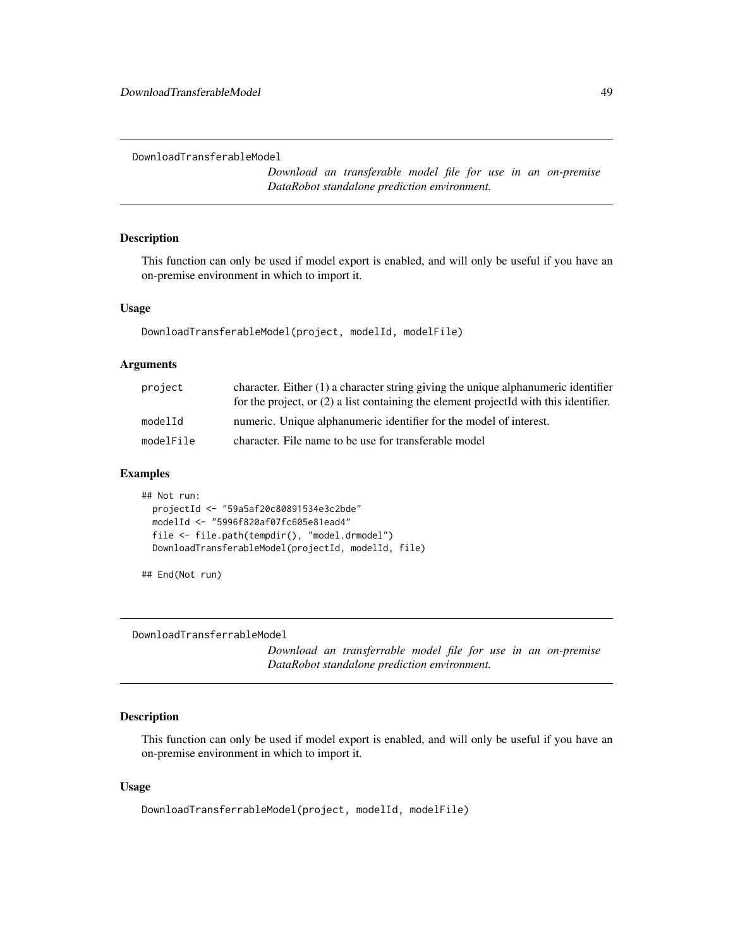```
DownloadTransferableModel
```
*Download an transferable model file for use in an on-premise DataRobot standalone prediction environment.*

# Description

This function can only be used if model export is enabled, and will only be useful if you have an on-premise environment in which to import it.

#### Usage

DownloadTransferableModel(project, modelId, modelFile)

### Arguments

| project   | character. Either $(1)$ a character string giving the unique alphanumeric identifier<br>for the project, or $(2)$ a list containing the element projected with this identifier. |
|-----------|---------------------------------------------------------------------------------------------------------------------------------------------------------------------------------|
| modelId   | numeric. Unique alphanumeric identifier for the model of interest.                                                                                                              |
| modelFile | character. File name to be use for transferable model                                                                                                                           |

## Examples

```
## Not run:
 projectId <- "59a5af20c80891534e3c2bde"
 modelId <- "5996f820af07fc605e81ead4"
 file <- file.path(tempdir(), "model.drmodel")
 DownloadTransferableModel(projectId, modelId, file)
```
## End(Not run)

DownloadTransferrableModel

*Download an transferrable model file for use in an on-premise DataRobot standalone prediction environment.*

## Description

This function can only be used if model export is enabled, and will only be useful if you have an on-premise environment in which to import it.

### Usage

DownloadTransferrableModel(project, modelId, modelFile)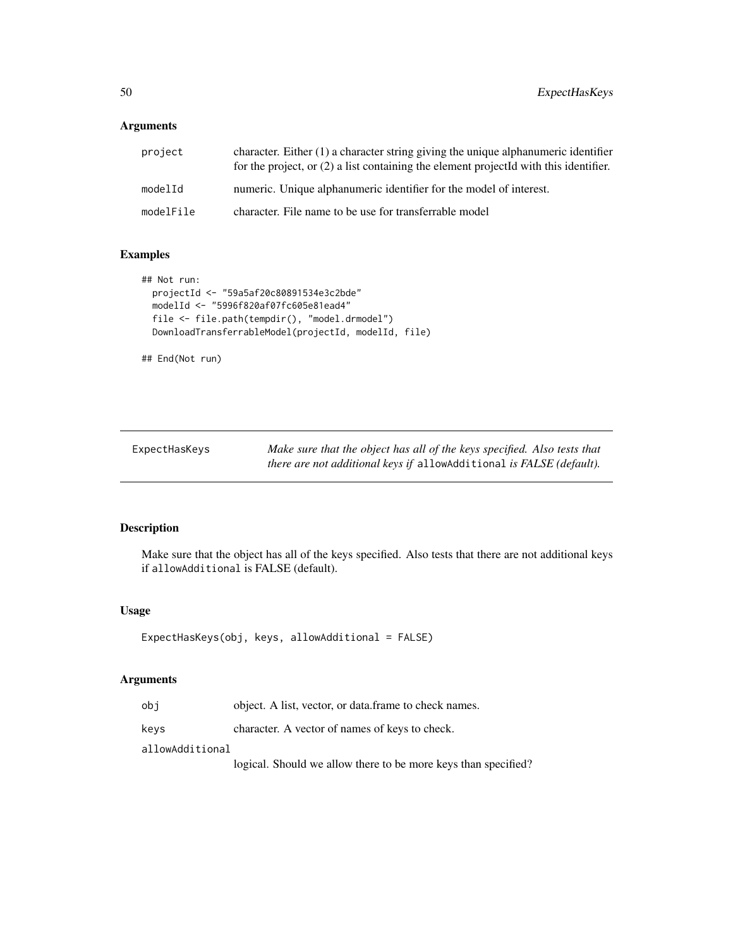### Arguments

| project   | character. Either $(1)$ a character string giving the unique alphanumeric identifier<br>for the project, or $(2)$ a list containing the element projected with this identifier. |
|-----------|---------------------------------------------------------------------------------------------------------------------------------------------------------------------------------|
| modelId   | numeric. Unique alphanumeric identifier for the model of interest.                                                                                                              |
| modelFile | character. File name to be use for transferrable model                                                                                                                          |

### Examples

```
## Not run:
 projectId <- "59a5af20c80891534e3c2bde"
 modelId <- "5996f820af07fc605e81ead4"
 file <- file.path(tempdir(), "model.drmodel")
 DownloadTransferrableModel(projectId, modelId, file)
```
## End(Not run)

ExpectHasKeys *Make sure that the object has all of the keys specified. Also tests that there are not additional keys if* allowAdditional *is FALSE (default).*

### Description

Make sure that the object has all of the keys specified. Also tests that there are not additional keys if allowAdditional is FALSE (default).

### Usage

```
ExpectHasKeys(obj, keys, allowAdditional = FALSE)
```
### Arguments

| obi | object. A list, vector, or data frame to check names. |
|-----|-------------------------------------------------------|
|-----|-------------------------------------------------------|

keys character. A vector of names of keys to check.

allowAdditional

logical. Should we allow there to be more keys than specified?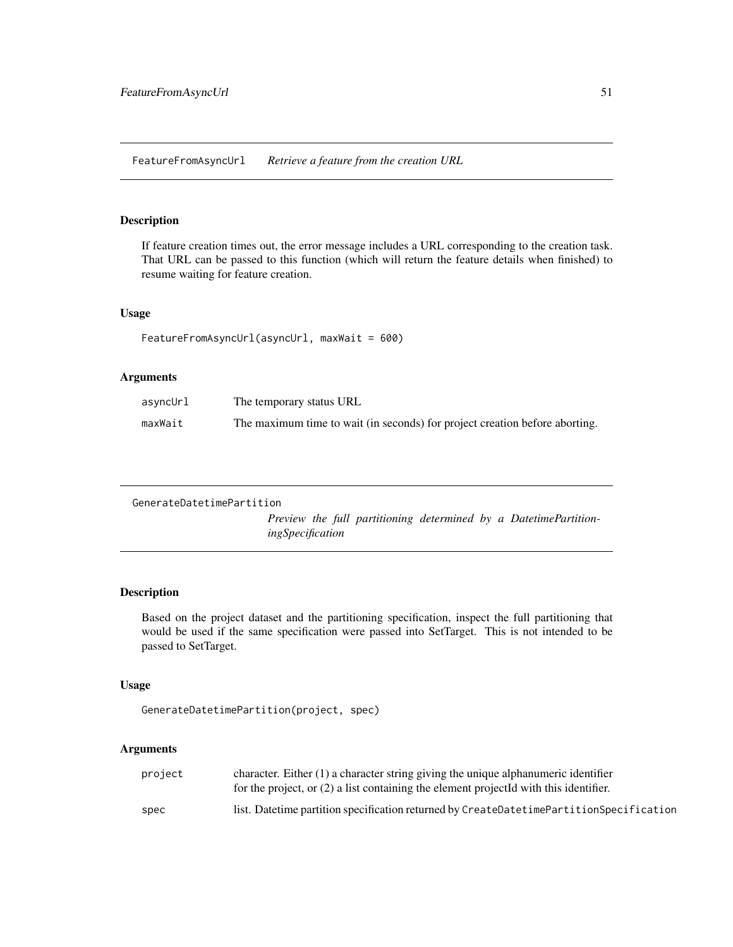FeatureFromAsyncUrl *Retrieve a feature from the creation URL*

## Description

If feature creation times out, the error message includes a URL corresponding to the creation task. That URL can be passed to this function (which will return the feature details when finished) to resume waiting for feature creation.

### Usage

```
FeatureFromAsyncUrl(asyncUrl, maxWait = 600)
```
## Arguments

| asyncUrl | The temporary status URL                                                    |
|----------|-----------------------------------------------------------------------------|
| maxWait  | The maximum time to wait (in seconds) for project creation before aborting. |

GenerateDatetimePartition

*Preview the full partitioning determined by a DatetimePartitioningSpecification*

### Description

Based on the project dataset and the partitioning specification, inspect the full partitioning that would be used if the same specification were passed into SetTarget. This is not intended to be passed to SetTarget.

### Usage

GenerateDatetimePartition(project, spec)

## Arguments

| project | character. Either $(1)$ a character string giving the unique alphanumeric identifier<br>for the project, or (2) a list containing the element projectId with this identifier. |
|---------|-------------------------------------------------------------------------------------------------------------------------------------------------------------------------------|
| spec    | list. Date time partition specification returned by CreateDate timePartitionSpecification                                                                                     |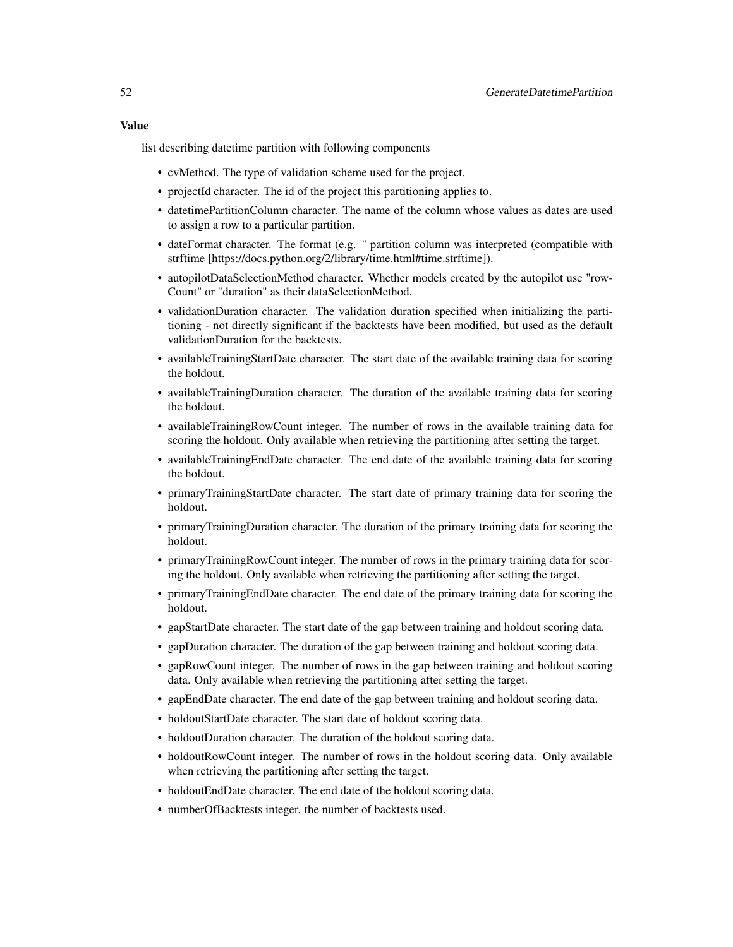### Value

list describing datetime partition with following components

- cvMethod. The type of validation scheme used for the project.
- projectId character. The id of the project this partitioning applies to.
- datetimePartitionColumn character. The name of the column whose values as dates are used to assign a row to a particular partition.
- dateFormat character. The format (e.g. " partition column was interpreted (compatible with strftime [https://docs.python.org/2/library/time.html#time.strftime]).
- autopilotDataSelectionMethod character. Whether models created by the autopilot use "row-Count" or "duration" as their dataSelectionMethod.
- validationDuration character. The validation duration specified when initializing the partitioning - not directly significant if the backtests have been modified, but used as the default validationDuration for the backtests.
- availableTrainingStartDate character. The start date of the available training data for scoring the holdout.
- availableTrainingDuration character. The duration of the available training data for scoring the holdout.
- availableTrainingRowCount integer. The number of rows in the available training data for scoring the holdout. Only available when retrieving the partitioning after setting the target.
- availableTrainingEndDate character. The end date of the available training data for scoring the holdout.
- primaryTrainingStartDate character. The start date of primary training data for scoring the holdout.
- primaryTrainingDuration character. The duration of the primary training data for scoring the holdout.
- primaryTrainingRowCount integer. The number of rows in the primary training data for scoring the holdout. Only available when retrieving the partitioning after setting the target.
- primaryTrainingEndDate character. The end date of the primary training data for scoring the holdout.
- gapStartDate character. The start date of the gap between training and holdout scoring data.
- gapDuration character. The duration of the gap between training and holdout scoring data.
- gapRowCount integer. The number of rows in the gap between training and holdout scoring data. Only available when retrieving the partitioning after setting the target.
- gapEndDate character. The end date of the gap between training and holdout scoring data.
- holdoutStartDate character. The start date of holdout scoring data.
- holdoutDuration character. The duration of the holdout scoring data.
- holdoutRowCount integer. The number of rows in the holdout scoring data. Only available when retrieving the partitioning after setting the target.
- holdoutEndDate character. The end date of the holdout scoring data.
- numberOfBacktests integer. the number of backtests used.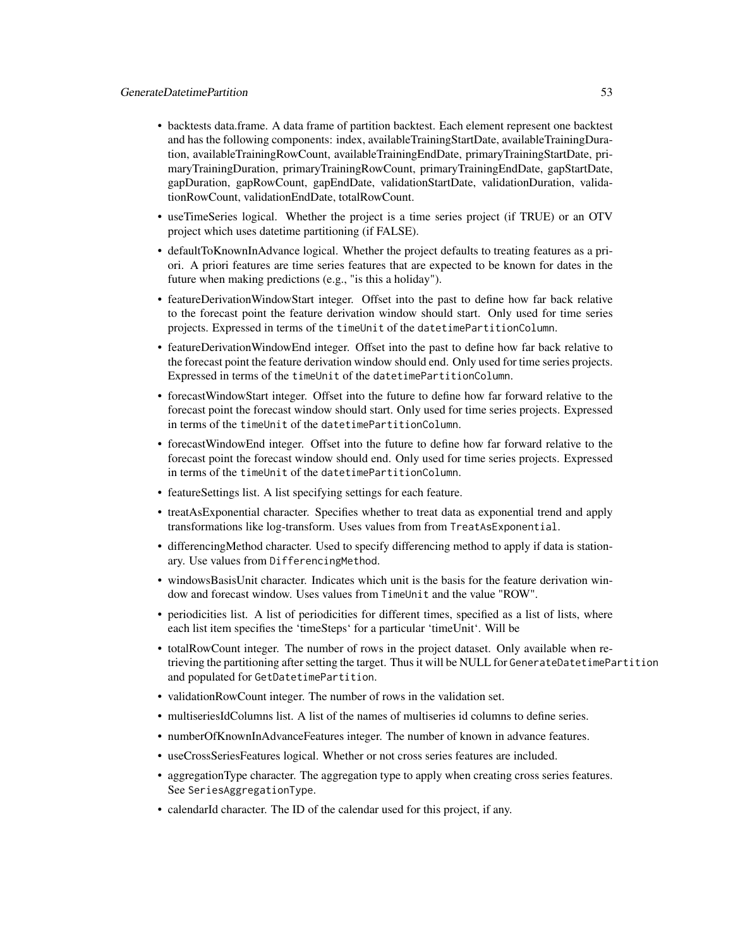- backtests data.frame. A data frame of partition backtest. Each element represent one backtest and has the following components: index, availableTrainingStartDate, availableTrainingDuration, availableTrainingRowCount, availableTrainingEndDate, primaryTrainingStartDate, primaryTrainingDuration, primaryTrainingRowCount, primaryTrainingEndDate, gapStartDate, gapDuration, gapRowCount, gapEndDate, validationStartDate, validationDuration, validationRowCount, validationEndDate, totalRowCount.
- useTimeSeries logical. Whether the project is a time series project (if TRUE) or an OTV project which uses datetime partitioning (if FALSE).
- defaultToKnownInAdvance logical. Whether the project defaults to treating features as a priori. A priori features are time series features that are expected to be known for dates in the future when making predictions (e.g., "is this a holiday").
- featureDerivationWindowStart integer. Offset into the past to define how far back relative to the forecast point the feature derivation window should start. Only used for time series projects. Expressed in terms of the timeUnit of the datetimePartitionColumn.
- featureDerivationWindowEnd integer. Offset into the past to define how far back relative to the forecast point the feature derivation window should end. Only used for time series projects. Expressed in terms of the timeUnit of the datetimePartitionColumn.
- forecastWindowStart integer. Offset into the future to define how far forward relative to the forecast point the forecast window should start. Only used for time series projects. Expressed in terms of the timeUnit of the datetimePartitionColumn.
- forecastWindowEnd integer. Offset into the future to define how far forward relative to the forecast point the forecast window should end. Only used for time series projects. Expressed in terms of the timeUnit of the datetimePartitionColumn.
- featureSettings list. A list specifying settings for each feature.
- treatAsExponential character. Specifies whether to treat data as exponential trend and apply transformations like log-transform. Uses values from from TreatAsExponential.
- differencingMethod character. Used to specify differencing method to apply if data is stationary. Use values from DifferencingMethod.
- windowsBasisUnit character. Indicates which unit is the basis for the feature derivation window and forecast window. Uses values from TimeUnit and the value "ROW".
- periodicities list. A list of periodicities for different times, specified as a list of lists, where each list item specifies the 'timeSteps' for a particular 'timeUnit'. Will be
- totalRowCount integer. The number of rows in the project dataset. Only available when retrieving the partitioning after setting the target. Thus it will be NULL for GenerateDatetimePartition and populated for GetDatetimePartition.
- validationRowCount integer. The number of rows in the validation set.
- multiseriesIdColumns list. A list of the names of multiseries id columns to define series.
- numberOfKnownInAdvanceFeatures integer. The number of known in advance features.
- useCrossSeriesFeatures logical. Whether or not cross series features are included.
- aggregationType character. The aggregation type to apply when creating cross series features. See SeriesAggregationType.
- calendarId character. The ID of the calendar used for this project, if any.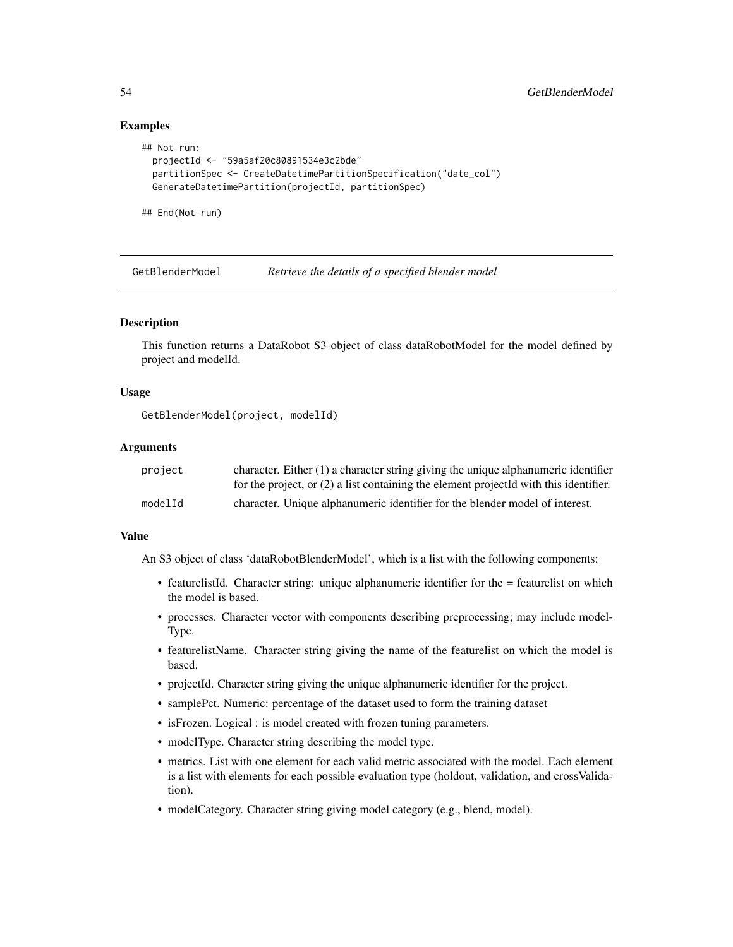### Examples

```
## Not run:
 projectId <- "59a5af20c80891534e3c2bde"
 partitionSpec <- CreateDatetimePartitionSpecification("date_col")
 GenerateDatetimePartition(projectId, partitionSpec)
```
## End(Not run)

GetBlenderModel *Retrieve the details of a specified blender model*

## **Description**

This function returns a DataRobot S3 object of class dataRobotModel for the model defined by project and modelId.

### Usage

GetBlenderModel(project, modelId)

#### Arguments

| project | character. Either $(1)$ a character string giving the unique alphanumeric identifier    |
|---------|-----------------------------------------------------------------------------------------|
|         | for the project, or $(2)$ a list containing the element projected with this identifier. |
| modelId | character. Unique alphanumeric identifier for the blender model of interest.            |

### Value

An S3 object of class 'dataRobotBlenderModel', which is a list with the following components:

- featurelistId. Character string: unique alphanumeric identifier for the = featurelist on which the model is based.
- processes. Character vector with components describing preprocessing; may include model-Type.
- featurelistName. Character string giving the name of the featurelist on which the model is based.
- projectId. Character string giving the unique alphanumeric identifier for the project.
- samplePct. Numeric: percentage of the dataset used to form the training dataset
- isFrozen. Logical : is model created with frozen tuning parameters.
- modelType. Character string describing the model type.
- metrics. List with one element for each valid metric associated with the model. Each element is a list with elements for each possible evaluation type (holdout, validation, and crossValidation).
- modelCategory. Character string giving model category (e.g., blend, model).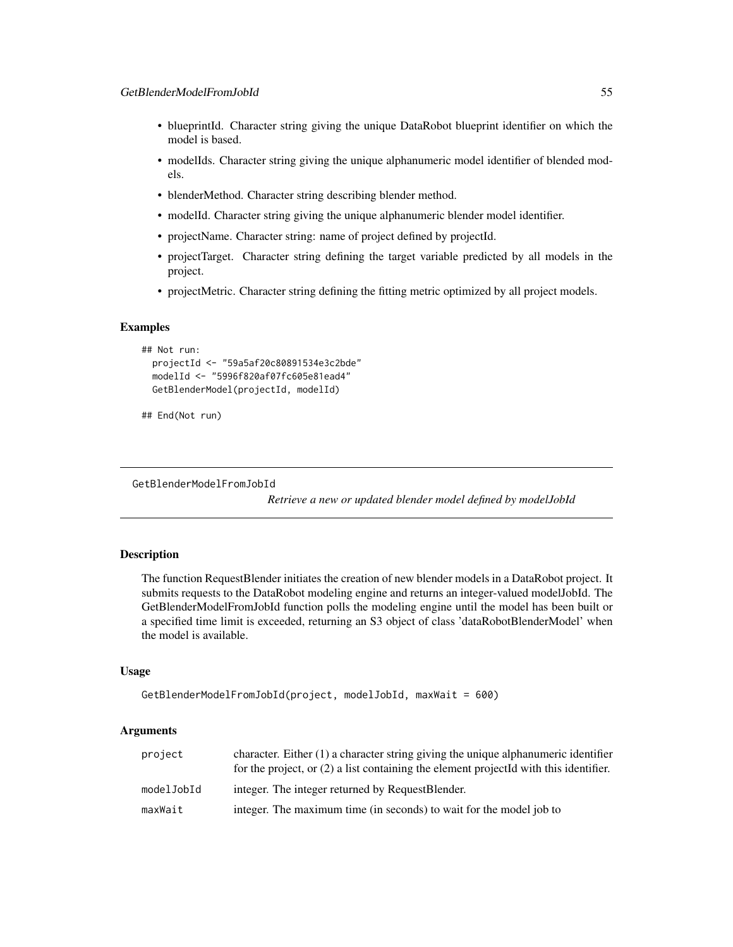- blueprintId. Character string giving the unique DataRobot blueprint identifier on which the model is based.
- modelIds. Character string giving the unique alphanumeric model identifier of blended models.
- blenderMethod. Character string describing blender method.
- modelId. Character string giving the unique alphanumeric blender model identifier.
- projectName. Character string: name of project defined by projectId.
- projectTarget. Character string defining the target variable predicted by all models in the project.
- projectMetric. Character string defining the fitting metric optimized by all project models.

#### Examples

```
## Not run:
 projectId <- "59a5af20c80891534e3c2bde"
 modelId <- "5996f820af07fc605e81ead4"
 GetBlenderModel(projectId, modelId)
```

```
## End(Not run)
```
GetBlenderModelFromJobId

*Retrieve a new or updated blender model defined by modelJobId*

### **Description**

The function RequestBlender initiates the creation of new blender models in a DataRobot project. It submits requests to the DataRobot modeling engine and returns an integer-valued modelJobId. The GetBlenderModelFromJobId function polls the modeling engine until the model has been built or a specified time limit is exceeded, returning an S3 object of class 'dataRobotBlenderModel' when the model is available.

### Usage

```
GetBlenderModelFromJobId(project, modelJobId, maxWait = 600)
```
### Arguments

| project    | character. Either $(1)$ a character string giving the unique alphanumeric identifier<br>for the project, or $(2)$ a list containing the element projected with this identifier. |
|------------|---------------------------------------------------------------------------------------------------------------------------------------------------------------------------------|
| modelJobId | integer. The integer returned by RequestBlender.                                                                                                                                |
| maxWait    | integer. The maximum time (in seconds) to wait for the model job to                                                                                                             |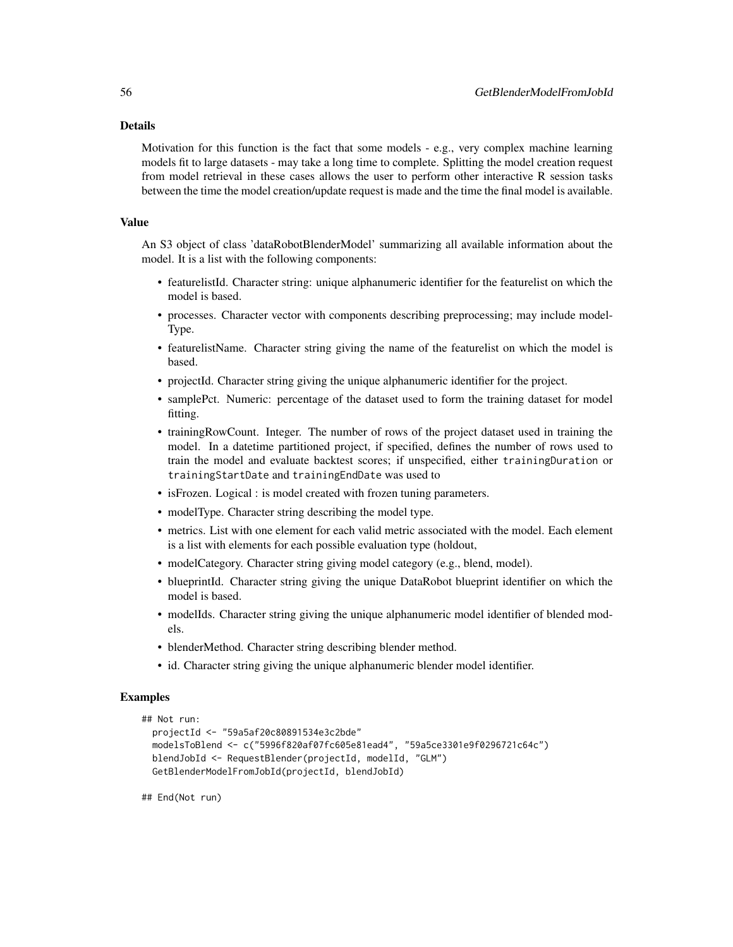#### Details

Motivation for this function is the fact that some models - e.g., very complex machine learning models fit to large datasets - may take a long time to complete. Splitting the model creation request from model retrieval in these cases allows the user to perform other interactive R session tasks between the time the model creation/update request is made and the time the final model is available.

### Value

An S3 object of class 'dataRobotBlenderModel' summarizing all available information about the model. It is a list with the following components:

- featurelistId. Character string: unique alphanumeric identifier for the featurelist on which the model is based.
- processes. Character vector with components describing preprocessing; may include model-Type.
- featurelistName. Character string giving the name of the featurelist on which the model is based.
- projectId. Character string giving the unique alphanumeric identifier for the project.
- samplePct. Numeric: percentage of the dataset used to form the training dataset for model fitting.
- trainingRowCount. Integer. The number of rows of the project dataset used in training the model. In a datetime partitioned project, if specified, defines the number of rows used to train the model and evaluate backtest scores; if unspecified, either trainingDuration or trainingStartDate and trainingEndDate was used to
- isFrozen. Logical : is model created with frozen tuning parameters.
- modelType. Character string describing the model type.
- metrics. List with one element for each valid metric associated with the model. Each element is a list with elements for each possible evaluation type (holdout,
- modelCategory. Character string giving model category (e.g., blend, model).
- blueprintId. Character string giving the unique DataRobot blueprint identifier on which the model is based.
- modelIds. Character string giving the unique alphanumeric model identifier of blended models.
- blenderMethod. Character string describing blender method.
- id. Character string giving the unique alphanumeric blender model identifier.

## Examples

```
## Not run:
 projectId <- "59a5af20c80891534e3c2bde"
 modelsToBlend <- c("5996f820af07fc605e81ead4", "59a5ce3301e9f0296721c64c")
 blendJobId <- RequestBlender(projectId, modelId, "GLM")
 GetBlenderModelFromJobId(projectId, blendJobId)
```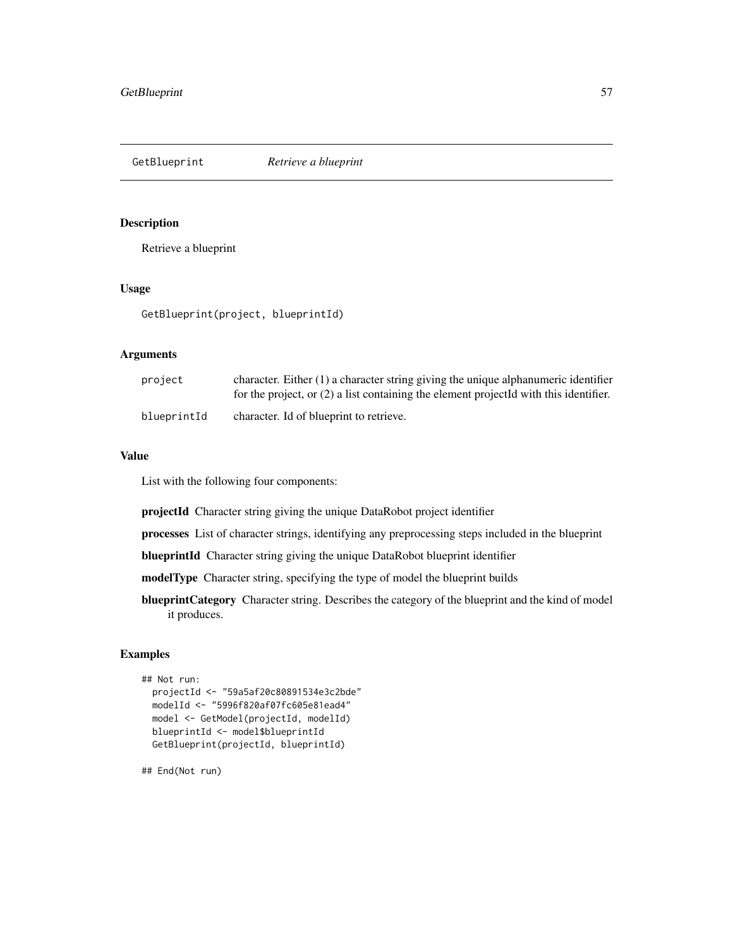GetBlueprint *Retrieve a blueprint*

### Description

Retrieve a blueprint

## Usage

GetBlueprint(project, blueprintId)

## Arguments

| project     | character. Either $(1)$ a character string giving the unique alphanumeric identifier<br>for the project, or $(2)$ a list containing the element projected with this identifier. |
|-------------|---------------------------------------------------------------------------------------------------------------------------------------------------------------------------------|
| blueprintId | character. Id of blueprint to retrieve.                                                                                                                                         |

## Value

List with the following four components:

projectId Character string giving the unique DataRobot project identifier

processes List of character strings, identifying any preprocessing steps included in the blueprint

blueprintId Character string giving the unique DataRobot blueprint identifier

modelType Character string, specifying the type of model the blueprint builds

blueprintCategory Character string. Describes the category of the blueprint and the kind of model it produces.

# Examples

```
## Not run:
 projectId <- "59a5af20c80891534e3c2bde"
 modelId <- "5996f820af07fc605e81ead4"
 model <- GetModel(projectId, modelId)
 blueprintId <- model$blueprintId
 GetBlueprint(projectId, blueprintId)
```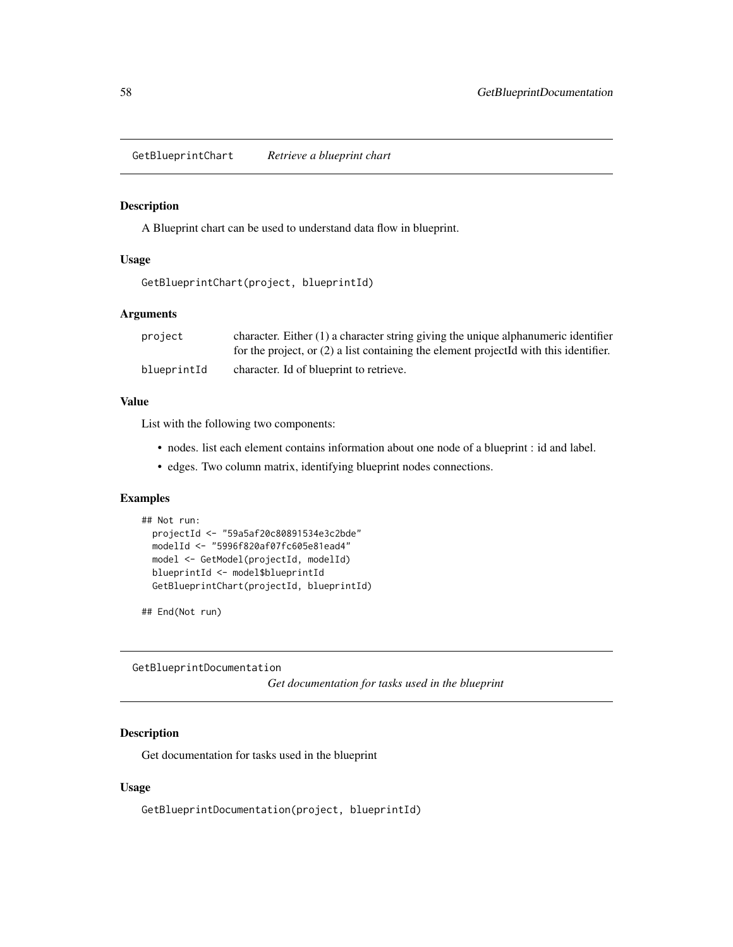GetBlueprintChart *Retrieve a blueprint chart*

### Description

A Blueprint chart can be used to understand data flow in blueprint.

#### Usage

```
GetBlueprintChart(project, blueprintId)
```
### Arguments

| project     | character. Either $(1)$ a character string giving the unique alphanumeric identifier    |
|-------------|-----------------------------------------------------------------------------------------|
|             | for the project, or $(2)$ a list containing the element projected with this identifier. |
| blueprintId | character. Id of blueprint to retrieve.                                                 |

### Value

List with the following two components:

- nodes. list each element contains information about one node of a blueprint : id and label.
- edges. Two column matrix, identifying blueprint nodes connections.

## Examples

```
## Not run:
 projectId <- "59a5af20c80891534e3c2bde"
 modelId <- "5996f820af07fc605e81ead4"
 model <- GetModel(projectId, modelId)
 blueprintId <- model$blueprintId
 GetBlueprintChart(projectId, blueprintId)
```
## End(Not run)

GetBlueprintDocumentation

*Get documentation for tasks used in the blueprint*

## Description

Get documentation for tasks used in the blueprint

### Usage

GetBlueprintDocumentation(project, blueprintId)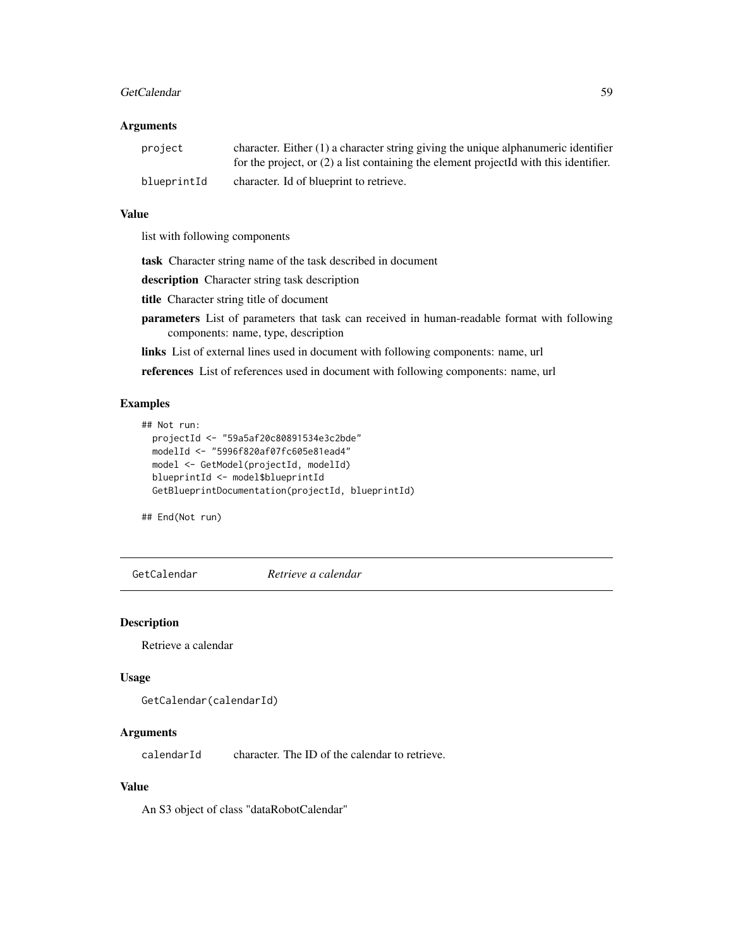#### GetCalendar 59

### Arguments

| project     | character. Either $(1)$ a character string giving the unique alphanumeric identifier<br>for the project, or $(2)$ a list containing the element projected with this identifier. |
|-------------|---------------------------------------------------------------------------------------------------------------------------------------------------------------------------------|
| blueprintId | character. Id of blueprint to retrieve.                                                                                                                                         |

#### Value

list with following components

task Character string name of the task described in document

description Character string task description

title Character string title of document

- parameters List of parameters that task can received in human-readable format with following components: name, type, description
- links List of external lines used in document with following components: name, url

references List of references used in document with following components: name, url

### Examples

```
## Not run:
 projectId <- "59a5af20c80891534e3c2bde"
 modelId <- "5996f820af07fc605e81ead4"
 model <- GetModel(projectId, modelId)
 blueprintId <- model$blueprintId
 GetBlueprintDocumentation(projectId, blueprintId)
```
## End(Not run)

GetCalendar *Retrieve a calendar*

#### Description

Retrieve a calendar

### Usage

```
GetCalendar(calendarId)
```
### Arguments

calendarId character. The ID of the calendar to retrieve.

## Value

An S3 object of class "dataRobotCalendar"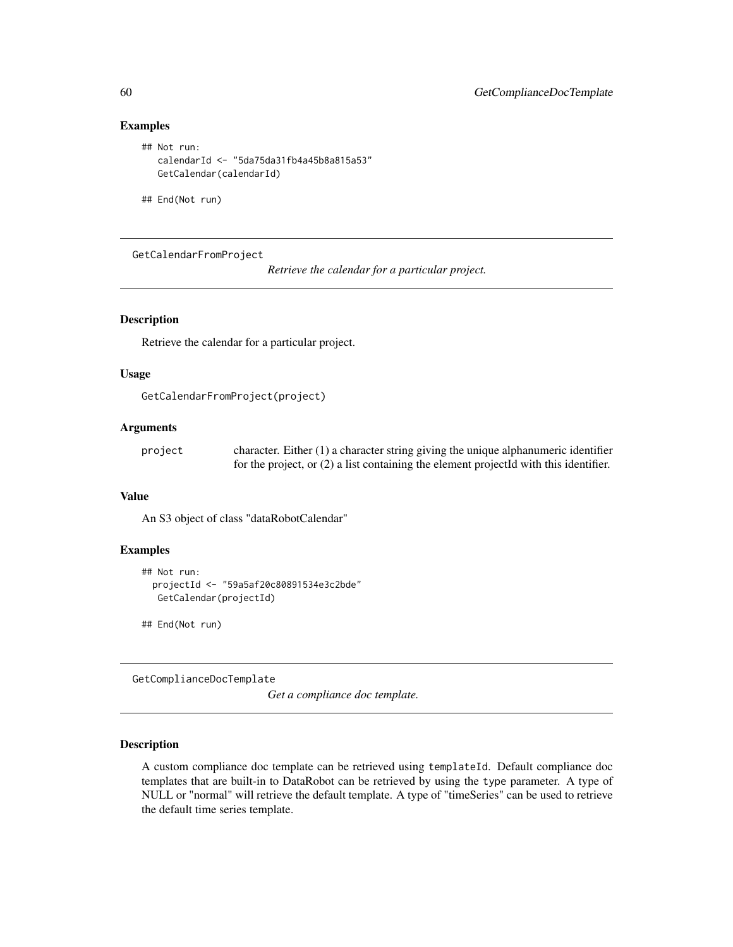# Examples

```
## Not run:
  calendarId <- "5da75da31fb4a45b8a815a53"
  GetCalendar(calendarId)
```
## End(Not run)

GetCalendarFromProject

*Retrieve the calendar for a particular project.*

### Description

Retrieve the calendar for a particular project.

## Usage

```
GetCalendarFromProject(project)
```
## Arguments

| project | character. Either $(1)$ a character string giving the unique alphanumeric identifier    |
|---------|-----------------------------------------------------------------------------------------|
|         | for the project, or $(2)$ a list containing the element projected with this identifier. |

### Value

An S3 object of class "dataRobotCalendar"

#### Examples

```
## Not run:
 projectId <- "59a5af20c80891534e3c2bde"
  GetCalendar(projectId)
```
## End(Not run)

GetComplianceDocTemplate

*Get a compliance doc template.*

### Description

A custom compliance doc template can be retrieved using templateId. Default compliance doc templates that are built-in to DataRobot can be retrieved by using the type parameter. A type of NULL or "normal" will retrieve the default template. A type of "timeSeries" can be used to retrieve the default time series template.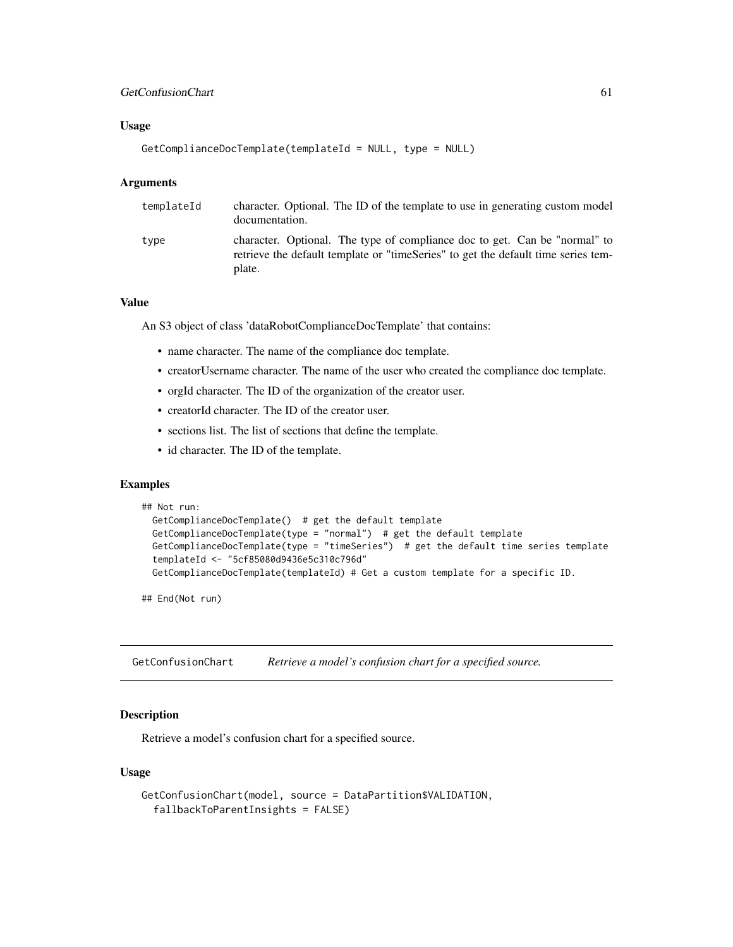## GetConfusionChart 61

## Usage

```
GetComplianceDocTemplate(templateId = NULL, type = NULL)
```
### Arguments

| templateId | character. Optional. The ID of the template to use in generating custom model<br>documentation.                                                                           |
|------------|---------------------------------------------------------------------------------------------------------------------------------------------------------------------------|
| type       | character. Optional. The type of compliance doc to get. Can be "normal" to<br>retrieve the default template or "timeSeries" to get the default time series tem-<br>plate. |

## Value

An S3 object of class 'dataRobotComplianceDocTemplate' that contains:

- name character. The name of the compliance doc template.
- creatorUsername character. The name of the user who created the compliance doc template.
- orgId character. The ID of the organization of the creator user.
- creatorId character. The ID of the creator user.
- sections list. The list of sections that define the template.
- id character. The ID of the template.

#### Examples

```
## Not run:
 GetComplianceDocTemplate() # get the default template
 GetComplianceDocTemplate(type = "normal") # get the default template
 GetComplianceDocTemplate(type = "timeSeries") # get the default time series template
 templateId <- "5cf85080d9436e5c310c796d"
 GetComplianceDocTemplate(templateId) # Get a custom template for a specific ID.
```
## End(Not run)

GetConfusionChart *Retrieve a model's confusion chart for a specified source.*

### Description

Retrieve a model's confusion chart for a specified source.

### Usage

```
GetConfusionChart(model, source = DataPartition$VALIDATION,
  fallbackToParentInsights = FALSE)
```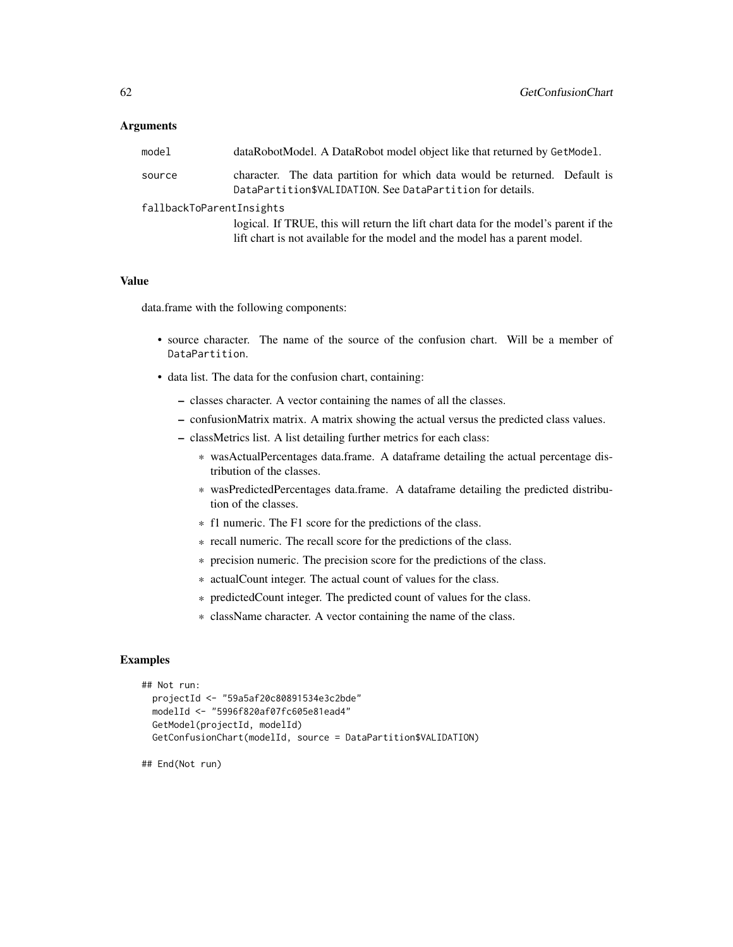### Arguments

| model                    | dataRobotModel. A DataRobot model object like that returned by GetModel.                                                                                            |  |
|--------------------------|---------------------------------------------------------------------------------------------------------------------------------------------------------------------|--|
| source                   | character. The data partition for which data would be returned. Default is<br>DataPartition\$VALIDATION. See DataPartition for details.                             |  |
| fallbackToParentInsights |                                                                                                                                                                     |  |
|                          | logical. If TRUE, this will return the lift chart data for the model's parent if the<br>lift chart is not available for the model and the model has a parent model. |  |

## Value

data.frame with the following components:

- source character. The name of the source of the confusion chart. Will be a member of DataPartition.
- data list. The data for the confusion chart, containing:
	- classes character. A vector containing the names of all the classes.
	- confusionMatrix matrix. A matrix showing the actual versus the predicted class values.
	- classMetrics list. A list detailing further metrics for each class:
		- \* wasActualPercentages data.frame. A dataframe detailing the actual percentage distribution of the classes.
		- \* wasPredictedPercentages data.frame. A dataframe detailing the predicted distribution of the classes.
		- \* f1 numeric. The F1 score for the predictions of the class.
		- \* recall numeric. The recall score for the predictions of the class.
		- \* precision numeric. The precision score for the predictions of the class.
		- \* actualCount integer. The actual count of values for the class.
		- \* predictedCount integer. The predicted count of values for the class.
		- \* className character. A vector containing the name of the class.

### Examples

```
## Not run:
 projectId <- "59a5af20c80891534e3c2bde"
 modelId <- "5996f820af07fc605e81ead4"
 GetModel(projectId, modelId)
 GetConfusionChart(modelId, source = DataPartition$VALIDATION)
```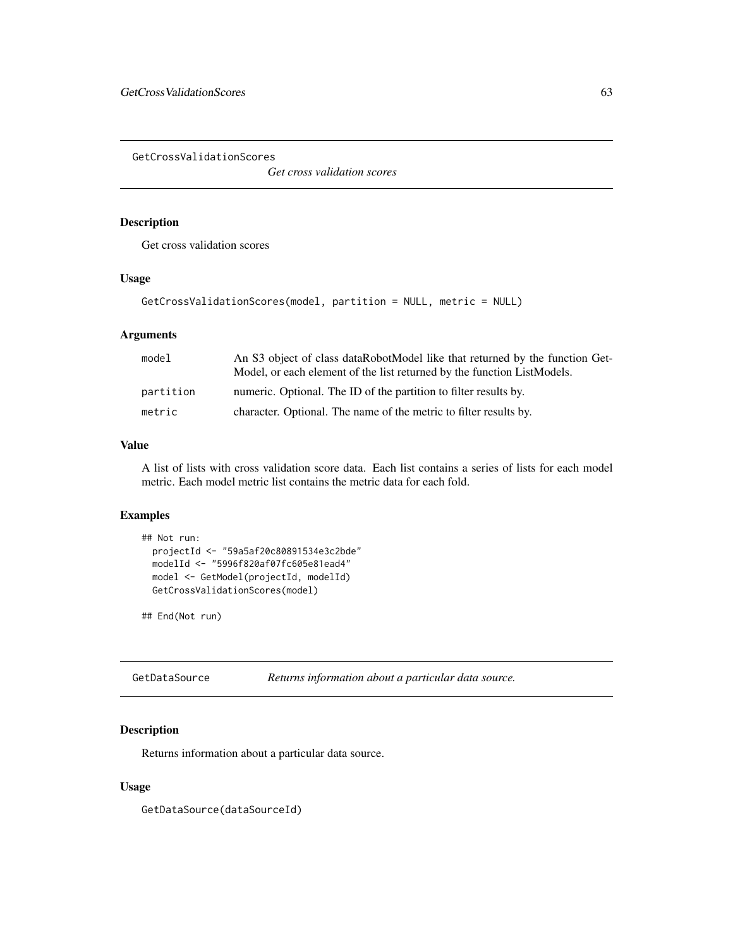GetCrossValidationScores

*Get cross validation scores*

## Description

Get cross validation scores

## Usage

```
GetCrossValidationScores(model, partition = NULL, metric = NULL)
```
## Arguments

| model     | An S3 object of class dataRobotModel like that returned by the function Get-<br>Model, or each element of the list returned by the function ListModels. |
|-----------|---------------------------------------------------------------------------------------------------------------------------------------------------------|
| partition | numeric. Optional. The ID of the partition to filter results by.                                                                                        |
| metric    | character. Optional. The name of the metric to filter results by.                                                                                       |

#### Value

A list of lists with cross validation score data. Each list contains a series of lists for each model metric. Each model metric list contains the metric data for each fold.

### Examples

```
## Not run:
 projectId <- "59a5af20c80891534e3c2bde"
 modelId <- "5996f820af07fc605e81ead4"
 model <- GetModel(projectId, modelId)
 GetCrossValidationScores(model)
```
## End(Not run)

GetDataSource *Returns information about a particular data source.*

## Description

Returns information about a particular data source.

## Usage

GetDataSource(dataSourceId)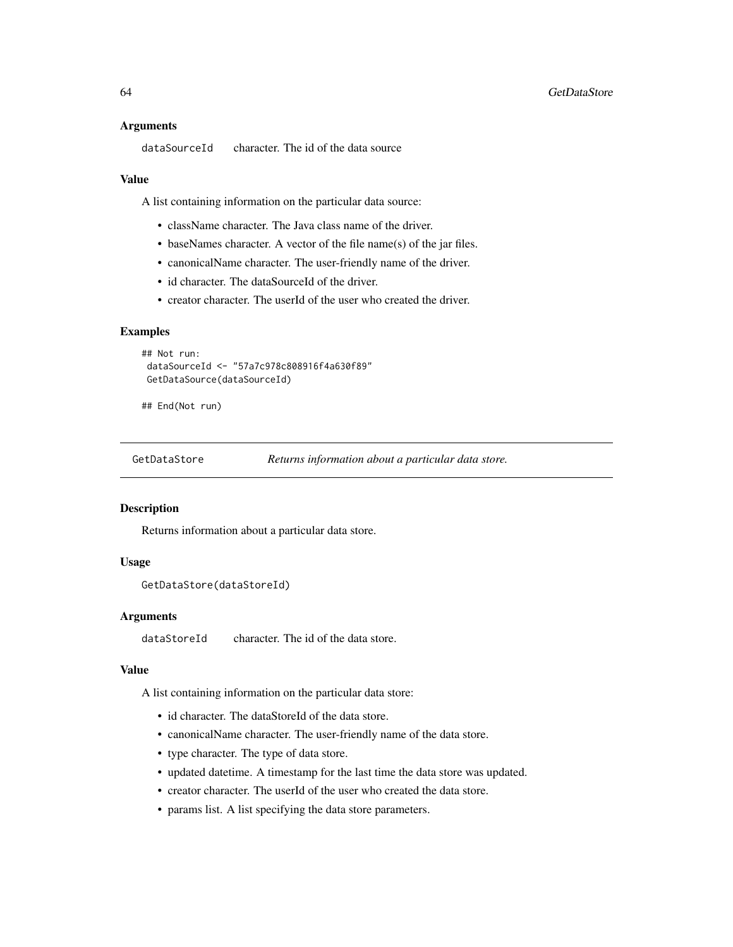#### Arguments

```
dataSourceId character. The id of the data source
```
#### Value

A list containing information on the particular data source:

- className character. The Java class name of the driver.
- baseNames character. A vector of the file name(s) of the jar files.
- canonicalName character. The user-friendly name of the driver.
- id character. The dataSourceId of the driver.
- creator character. The userId of the user who created the driver.

#### Examples

```
## Not run:
dataSourceId <- "57a7c978c808916f4a630f89"
GetDataSource(dataSourceId)
```
## End(Not run)

GetDataStore *Returns information about a particular data store.*

#### Description

Returns information about a particular data store.

#### Usage

```
GetDataStore(dataStoreId)
```
#### Arguments

dataStoreId character. The id of the data store.

### Value

A list containing information on the particular data store:

- id character. The dataStoreId of the data store.
- canonicalName character. The user-friendly name of the data store.
- type character. The type of data store.
- updated datetime. A timestamp for the last time the data store was updated.
- creator character. The userId of the user who created the data store.
- params list. A list specifying the data store parameters.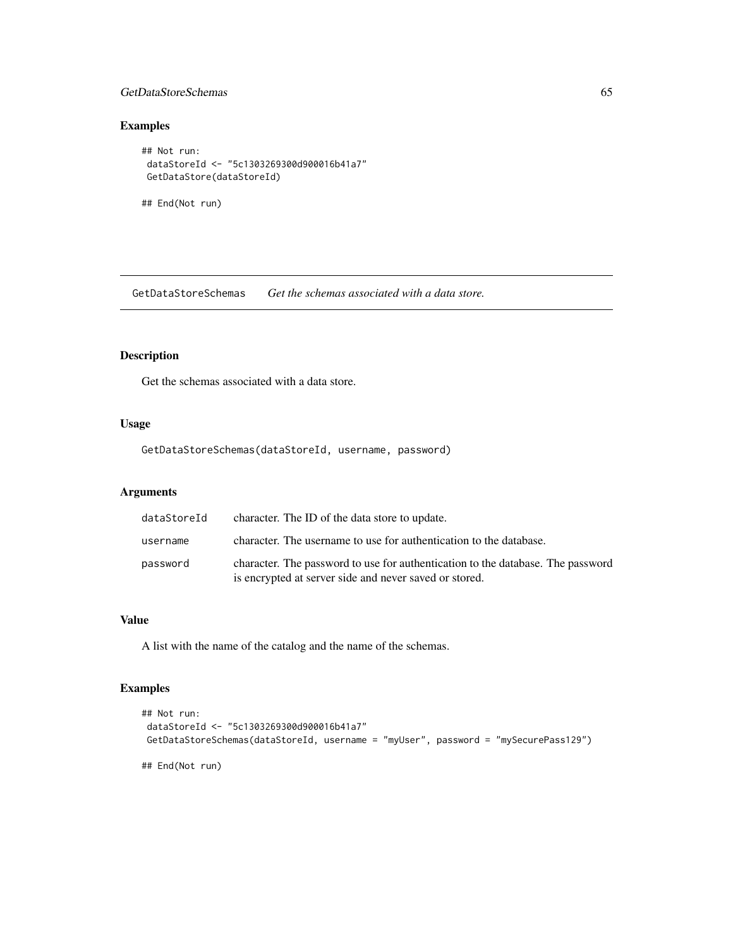## GetDataStoreSchemas 65

# Examples

```
## Not run:
dataStoreId <- "5c1303269300d900016b41a7"
GetDataStore(dataStoreId)
```
## End(Not run)

GetDataStoreSchemas *Get the schemas associated with a data store.*

# Description

Get the schemas associated with a data store.

### Usage

GetDataStoreSchemas(dataStoreId, username, password)

# Arguments

| dataStoreId | character. The ID of the data store to update.                                                                                            |
|-------------|-------------------------------------------------------------------------------------------------------------------------------------------|
| username    | character. The username to use for authentication to the database.                                                                        |
| password    | character. The password to use for authentication to the database. The password<br>is encrypted at server side and never saved or stored. |

## Value

A list with the name of the catalog and the name of the schemas.

## Examples

```
## Not run:
dataStoreId <- "5c1303269300d900016b41a7"
GetDataStoreSchemas(dataStoreId, username = "myUser", password = "mySecurePass129")
## End(Not run)
```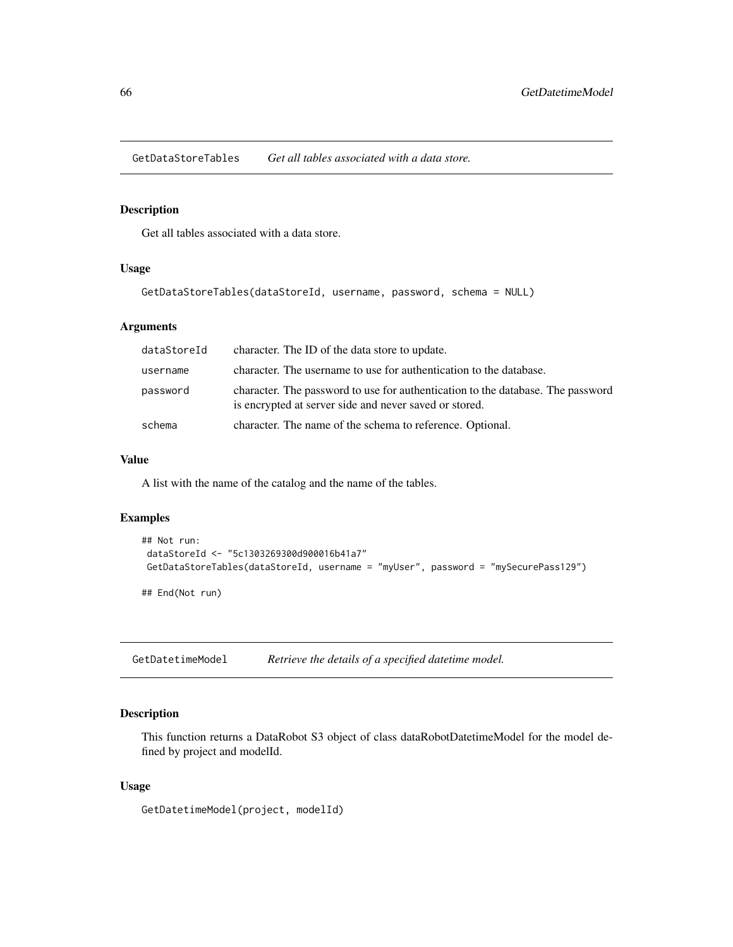GetDataStoreTables *Get all tables associated with a data store.*

## Description

Get all tables associated with a data store.

#### Usage

```
GetDataStoreTables(dataStoreId, username, password, schema = NULL)
```
## Arguments

| dataStoreId | character. The ID of the data store to update.                                                                                            |
|-------------|-------------------------------------------------------------------------------------------------------------------------------------------|
| username    | character. The username to use for authentication to the database.                                                                        |
| password    | character. The password to use for authentication to the database. The password<br>is encrypted at server side and never saved or stored. |
| schema      | character. The name of the schema to reference. Optional.                                                                                 |

## Value

A list with the name of the catalog and the name of the tables.

#### Examples

```
## Not run:
dataStoreId <- "5c1303269300d900016b41a7"
GetDataStoreTables(dataStoreId, username = "myUser", password = "mySecurePass129")
```
## End(Not run)

GetDatetimeModel *Retrieve the details of a specified datetime model.*

### Description

This function returns a DataRobot S3 object of class dataRobotDatetimeModel for the model defined by project and modelId.

#### Usage

GetDatetimeModel(project, modelId)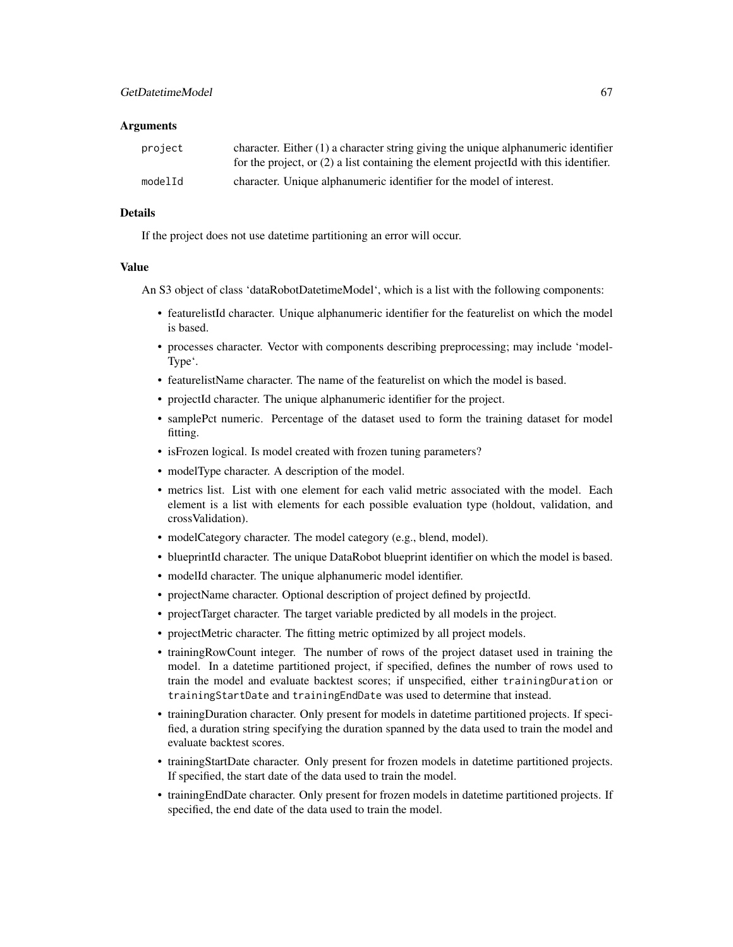#### **Arguments**

| project | character. Either $(1)$ a character string giving the unique alphanumeric identifier<br>for the project, or $(2)$ a list containing the element projected with this identifier. |
|---------|---------------------------------------------------------------------------------------------------------------------------------------------------------------------------------|
| modelId | character. Unique alphanumeric identifier for the model of interest.                                                                                                            |

## Details

If the project does not use datetime partitioning an error will occur.

#### Value

An S3 object of class 'dataRobotDatetimeModel', which is a list with the following components:

- featurelistId character. Unique alphanumeric identifier for the featurelist on which the model is based.
- processes character. Vector with components describing preprocessing; may include 'model-Type'.
- featurelistName character. The name of the featurelist on which the model is based.
- projectId character. The unique alphanumeric identifier for the project.
- samplePct numeric. Percentage of the dataset used to form the training dataset for model fitting.
- is Frozen logical. Is model created with frozen tuning parameters?
- modelType character. A description of the model.
- metrics list. List with one element for each valid metric associated with the model. Each element is a list with elements for each possible evaluation type (holdout, validation, and crossValidation).
- modelCategory character. The model category (e.g., blend, model).
- blueprintId character. The unique DataRobot blueprint identifier on which the model is based.
- modelId character. The unique alphanumeric model identifier.
- projectName character. Optional description of project defined by projectId.
- projectTarget character. The target variable predicted by all models in the project.
- projectMetric character. The fitting metric optimized by all project models.
- trainingRowCount integer. The number of rows of the project dataset used in training the model. In a datetime partitioned project, if specified, defines the number of rows used to train the model and evaluate backtest scores; if unspecified, either trainingDuration or trainingStartDate and trainingEndDate was used to determine that instead.
- trainingDuration character. Only present for models in datetime partitioned projects. If specified, a duration string specifying the duration spanned by the data used to train the model and evaluate backtest scores.
- trainingStartDate character. Only present for frozen models in datetime partitioned projects. If specified, the start date of the data used to train the model.
- trainingEndDate character. Only present for frozen models in datetime partitioned projects. If specified, the end date of the data used to train the model.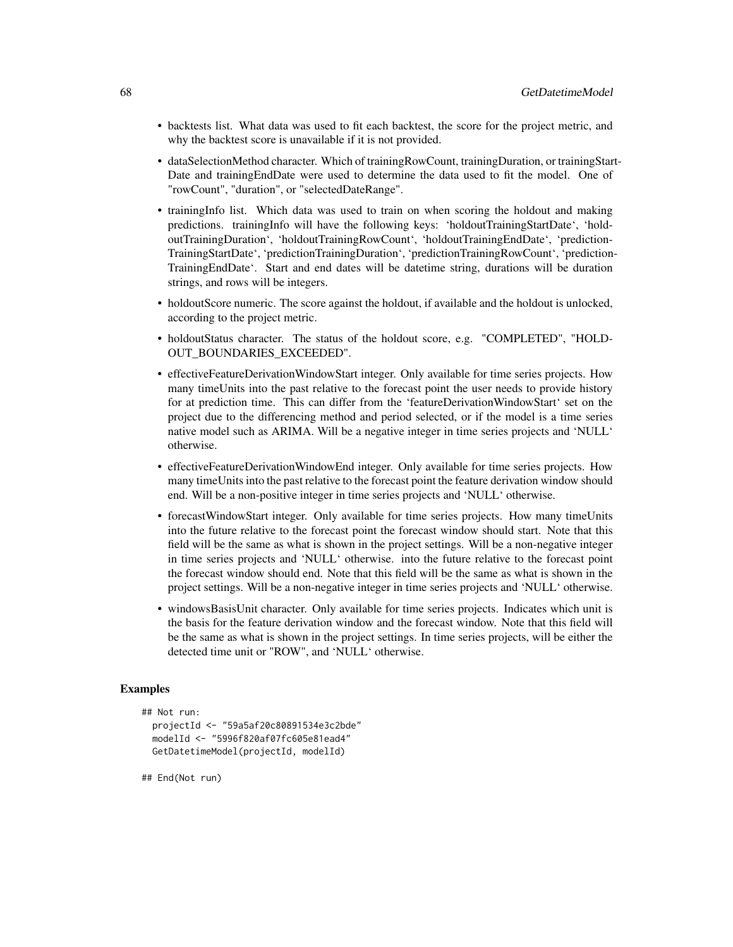- backtests list. What data was used to fit each backtest, the score for the project metric, and why the backtest score is unavailable if it is not provided.
- dataSelectionMethod character. Which of trainingRowCount, trainingDuration, or trainingStart-Date and trainingEndDate were used to determine the data used to fit the model. One of "rowCount", "duration", or "selectedDateRange".
- trainingInfo list. Which data was used to train on when scoring the holdout and making predictions. trainingInfo will have the following keys: 'holdoutTrainingStartDate', 'holdoutTrainingDuration', 'holdoutTrainingRowCount', 'holdoutTrainingEndDate', 'prediction-TrainingStartDate', 'predictionTrainingDuration', 'predictionTrainingRowCount', 'prediction-TrainingEndDate'. Start and end dates will be datetime string, durations will be duration strings, and rows will be integers.
- holdoutScore numeric. The score against the holdout, if available and the holdout is unlocked, according to the project metric.
- holdoutStatus character. The status of the holdout score, e.g. "COMPLETED", "HOLD-OUT\_BOUNDARIES\_EXCEEDED".
- effectiveFeatureDerivationWindowStart integer. Only available for time series projects. How many timeUnits into the past relative to the forecast point the user needs to provide history for at prediction time. This can differ from the 'featureDerivationWindowStart' set on the project due to the differencing method and period selected, or if the model is a time series native model such as ARIMA. Will be a negative integer in time series projects and 'NULL' otherwise.
- effectiveFeatureDerivationWindowEnd integer. Only available for time series projects. How many timeUnits into the past relative to the forecast point the feature derivation window should end. Will be a non-positive integer in time series projects and 'NULL' otherwise.
- forecastWindowStart integer. Only available for time series projects. How many timeUnits into the future relative to the forecast point the forecast window should start. Note that this field will be the same as what is shown in the project settings. Will be a non-negative integer in time series projects and 'NULL' otherwise. into the future relative to the forecast point the forecast window should end. Note that this field will be the same as what is shown in the project settings. Will be a non-negative integer in time series projects and 'NULL' otherwise.
- windowsBasisUnit character. Only available for time series projects. Indicates which unit is the basis for the feature derivation window and the forecast window. Note that this field will be the same as what is shown in the project settings. In time series projects, will be either the detected time unit or "ROW", and 'NULL' otherwise.

### Examples

```
## Not run:
 projectId <- "59a5af20c80891534e3c2bde"
 modelId <- "5996f820af07fc605e81ead4"
 GetDatetimeModel(projectId, modelId)
```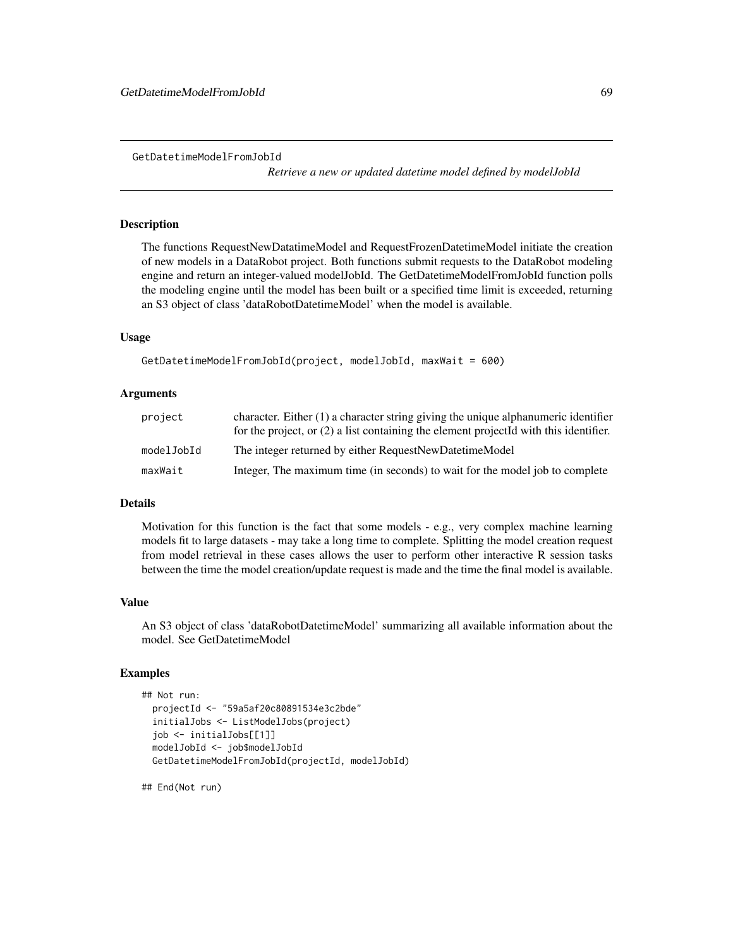*Retrieve a new or updated datetime model defined by modelJobId*

### Description

The functions RequestNewDatatimeModel and RequestFrozenDatetimeModel initiate the creation of new models in a DataRobot project. Both functions submit requests to the DataRobot modeling engine and return an integer-valued modelJobId. The GetDatetimeModelFromJobId function polls the modeling engine until the model has been built or a specified time limit is exceeded, returning an S3 object of class 'dataRobotDatetimeModel' when the model is available.

### Usage

```
GetDatetimeModelFromJobId(project, modelJobId, maxWait = 600)
```
#### Arguments

| project    | character. Either $(1)$ a character string giving the unique alphanumeric identifier<br>for the project, or $(2)$ a list containing the element projected with this identifier. |
|------------|---------------------------------------------------------------------------------------------------------------------------------------------------------------------------------|
| modelJobId | The integer returned by either RequestNewDatetimeModel                                                                                                                          |
| maxWait    | Integer, The maximum time (in seconds) to wait for the model job to complete                                                                                                    |

#### Details

Motivation for this function is the fact that some models - e.g., very complex machine learning models fit to large datasets - may take a long time to complete. Splitting the model creation request from model retrieval in these cases allows the user to perform other interactive R session tasks between the time the model creation/update request is made and the time the final model is available.

#### Value

An S3 object of class 'dataRobotDatetimeModel' summarizing all available information about the model. See GetDatetimeModel

#### Examples

```
## Not run:
 projectId <- "59a5af20c80891534e3c2bde"
 initialJobs <- ListModelJobs(project)
 job <- initialJobs[[1]]
 modelJobId <- job$modelJobId
 GetDatetimeModelFromJobId(projectId, modelJobId)
```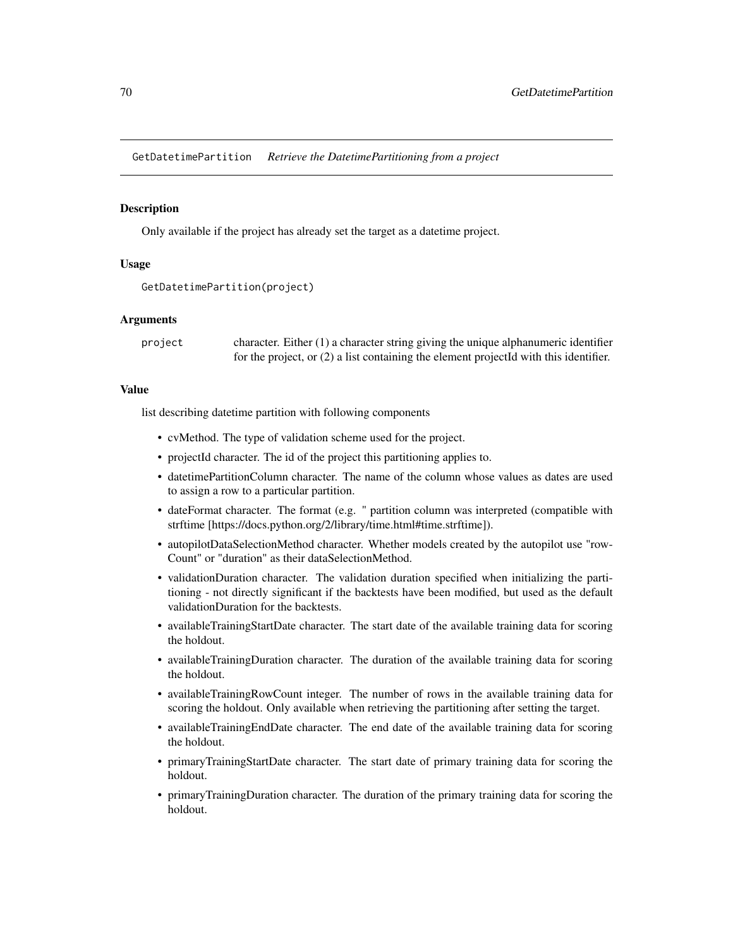GetDatetimePartition *Retrieve the DatetimePartitioning from a project*

### Description

Only available if the project has already set the target as a datetime project.

### Usage

```
GetDatetimePartition(project)
```
### Arguments

project character. Either (1) a character string giving the unique alphanumeric identifier for the project, or (2) a list containing the element projectId with this identifier.

## Value

list describing datetime partition with following components

- cvMethod. The type of validation scheme used for the project.
- projectId character. The id of the project this partitioning applies to.
- datetimePartitionColumn character. The name of the column whose values as dates are used to assign a row to a particular partition.
- dateFormat character. The format (e.g. " partition column was interpreted (compatible with strftime [https://docs.python.org/2/library/time.html#time.strftime]).
- autopilotDataSelectionMethod character. Whether models created by the autopilot use "row-Count" or "duration" as their dataSelectionMethod.
- validationDuration character. The validation duration specified when initializing the partitioning - not directly significant if the backtests have been modified, but used as the default validationDuration for the backtests.
- availableTrainingStartDate character. The start date of the available training data for scoring the holdout.
- availableTrainingDuration character. The duration of the available training data for scoring the holdout.
- availableTrainingRowCount integer. The number of rows in the available training data for scoring the holdout. Only available when retrieving the partitioning after setting the target.
- availableTrainingEndDate character. The end date of the available training data for scoring the holdout.
- primaryTrainingStartDate character. The start date of primary training data for scoring the holdout.
- primaryTrainingDuration character. The duration of the primary training data for scoring the holdout.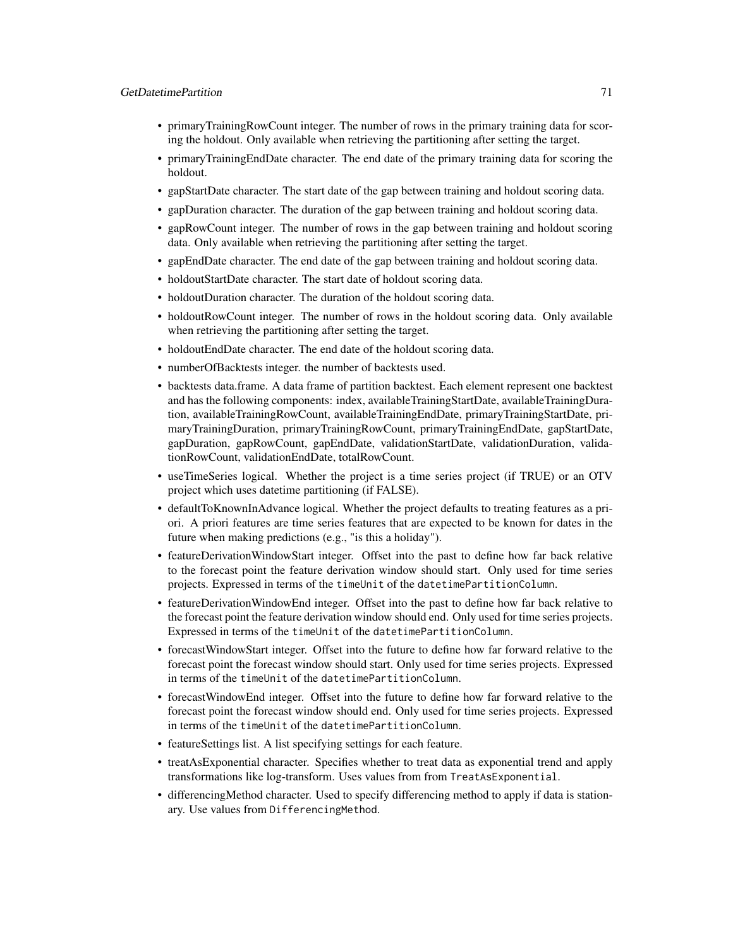## GetDatetimePartition 71

- primaryTrainingRowCount integer. The number of rows in the primary training data for scoring the holdout. Only available when retrieving the partitioning after setting the target.
- primaryTrainingEndDate character. The end date of the primary training data for scoring the holdout.
- gapStartDate character. The start date of the gap between training and holdout scoring data.
- gapDuration character. The duration of the gap between training and holdout scoring data.
- gapRowCount integer. The number of rows in the gap between training and holdout scoring data. Only available when retrieving the partitioning after setting the target.
- gapEndDate character. The end date of the gap between training and holdout scoring data.
- holdoutStartDate character. The start date of holdout scoring data.
- holdoutDuration character. The duration of the holdout scoring data.
- holdoutRowCount integer. The number of rows in the holdout scoring data. Only available when retrieving the partitioning after setting the target.
- holdoutEndDate character. The end date of the holdout scoring data.
- numberOfBacktests integer. the number of backtests used.
- backtests data.frame. A data frame of partition backtest. Each element represent one backtest and has the following components: index, availableTrainingStartDate, availableTrainingDuration, availableTrainingRowCount, availableTrainingEndDate, primaryTrainingStartDate, primaryTrainingDuration, primaryTrainingRowCount, primaryTrainingEndDate, gapStartDate, gapDuration, gapRowCount, gapEndDate, validationStartDate, validationDuration, validationRowCount, validationEndDate, totalRowCount.
- useTimeSeries logical. Whether the project is a time series project (if TRUE) or an OTV project which uses datetime partitioning (if FALSE).
- defaultToKnownInAdvance logical. Whether the project defaults to treating features as a priori. A priori features are time series features that are expected to be known for dates in the future when making predictions (e.g., "is this a holiday").
- featureDerivationWindowStart integer. Offset into the past to define how far back relative to the forecast point the feature derivation window should start. Only used for time series projects. Expressed in terms of the timeUnit of the datetimePartitionColumn.
- featureDerivationWindowEnd integer. Offset into the past to define how far back relative to the forecast point the feature derivation window should end. Only used for time series projects. Expressed in terms of the timeUnit of the datetimePartitionColumn.
- forecastWindowStart integer. Offset into the future to define how far forward relative to the forecast point the forecast window should start. Only used for time series projects. Expressed in terms of the timeUnit of the datetimePartitionColumn.
- forecastWindowEnd integer. Offset into the future to define how far forward relative to the forecast point the forecast window should end. Only used for time series projects. Expressed in terms of the timeUnit of the datetimePartitionColumn.
- featureSettings list. A list specifying settings for each feature.
- treatAsExponential character. Specifies whether to treat data as exponential trend and apply transformations like log-transform. Uses values from from TreatAsExponential.
- differencingMethod character. Used to specify differencing method to apply if data is stationary. Use values from DifferencingMethod.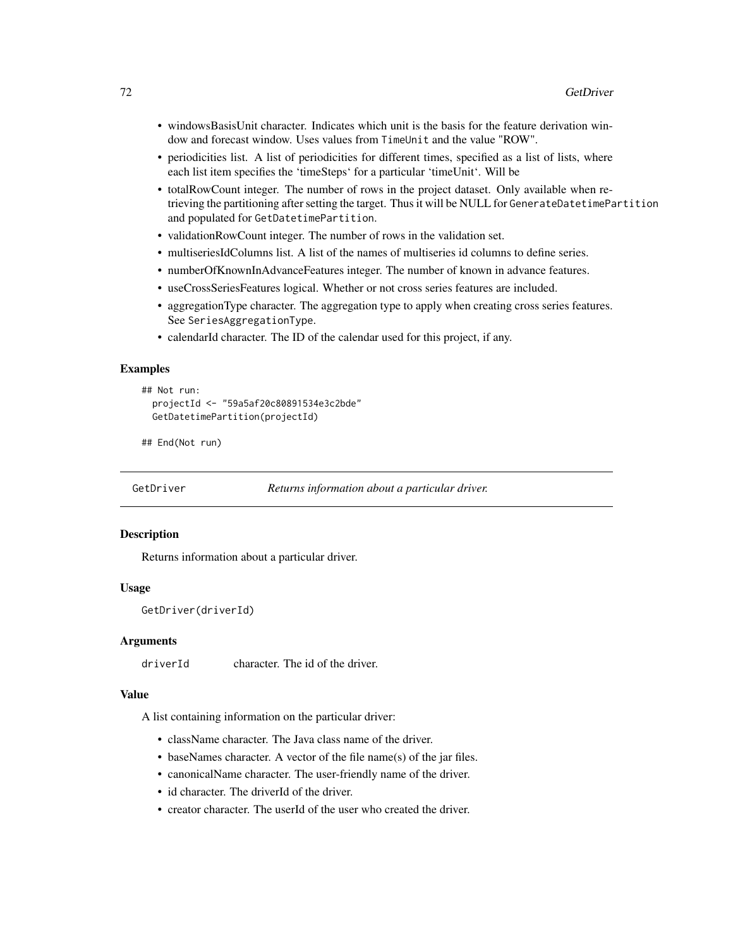- windowsBasisUnit character. Indicates which unit is the basis for the feature derivation window and forecast window. Uses values from TimeUnit and the value "ROW".
- periodicities list. A list of periodicities for different times, specified as a list of lists, where each list item specifies the 'timeSteps' for a particular 'timeUnit'. Will be
- totalRowCount integer. The number of rows in the project dataset. Only available when retrieving the partitioning after setting the target. Thus it will be NULL for GenerateDatetimePartition and populated for GetDatetimePartition.
- validationRowCount integer. The number of rows in the validation set.
- multiseriesIdColumns list. A list of the names of multiseries id columns to define series.
- numberOfKnownInAdvanceFeatures integer. The number of known in advance features.
- useCrossSeriesFeatures logical. Whether or not cross series features are included.
- aggregationType character. The aggregation type to apply when creating cross series features. See SeriesAggregationType.
- calendarId character. The ID of the calendar used for this project, if any.

### Examples

```
## Not run:
 projectId <- "59a5af20c80891534e3c2bde"
 GetDatetimePartition(projectId)
```
## End(Not run)

GetDriver *Returns information about a particular driver.*

#### Description

Returns information about a particular driver.

#### Usage

```
GetDriver(driverId)
```
### Arguments

driverId character. The id of the driver.

#### Value

A list containing information on the particular driver:

- className character. The Java class name of the driver.
- baseNames character. A vector of the file name(s) of the jar files.
- canonicalName character. The user-friendly name of the driver.
- id character. The driverId of the driver.
- creator character. The userId of the user who created the driver.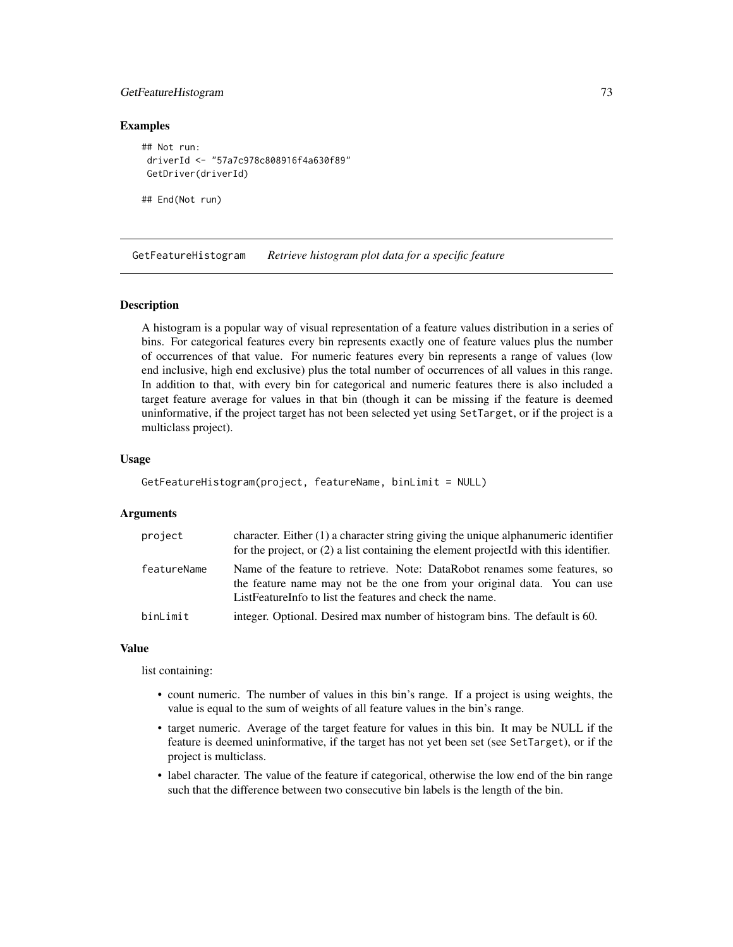# GetFeatureHistogram 73

## Examples

```
## Not run:
driverId <- "57a7c978c808916f4a630f89"
GetDriver(driverId)
```
## End(Not run)

GetFeatureHistogram *Retrieve histogram plot data for a specific feature*

## Description

A histogram is a popular way of visual representation of a feature values distribution in a series of bins. For categorical features every bin represents exactly one of feature values plus the number of occurrences of that value. For numeric features every bin represents a range of values (low end inclusive, high end exclusive) plus the total number of occurrences of all values in this range. In addition to that, with every bin for categorical and numeric features there is also included a target feature average for values in that bin (though it can be missing if the feature is deemed uninformative, if the project target has not been selected yet using SetTarget, or if the project is a multiclass project).

## Usage

```
GetFeatureHistogram(project, featureName, binLimit = NULL)
```
## Arguments

| project     | character. Either $(1)$ a character string giving the unique alphanumeric identifier<br>for the project, or $(2)$ a list containing the element projected with this identifier.                                    |
|-------------|--------------------------------------------------------------------------------------------------------------------------------------------------------------------------------------------------------------------|
| featureName | Name of the feature to retrieve. Note: DataRobot renames some features, so<br>the feature name may not be the one from your original data. You can use<br>ListFeatureInfo to list the features and check the name. |
| binLimit    | integer. Optional. Desired max number of histogram bins. The default is 60.                                                                                                                                        |

#### Value

list containing:

- count numeric. The number of values in this bin's range. If a project is using weights, the value is equal to the sum of weights of all feature values in the bin's range.
- target numeric. Average of the target feature for values in this bin. It may be NULL if the feature is deemed uninformative, if the target has not yet been set (see SetTarget), or if the project is multiclass.
- label character. The value of the feature if categorical, otherwise the low end of the bin range such that the difference between two consecutive bin labels is the length of the bin.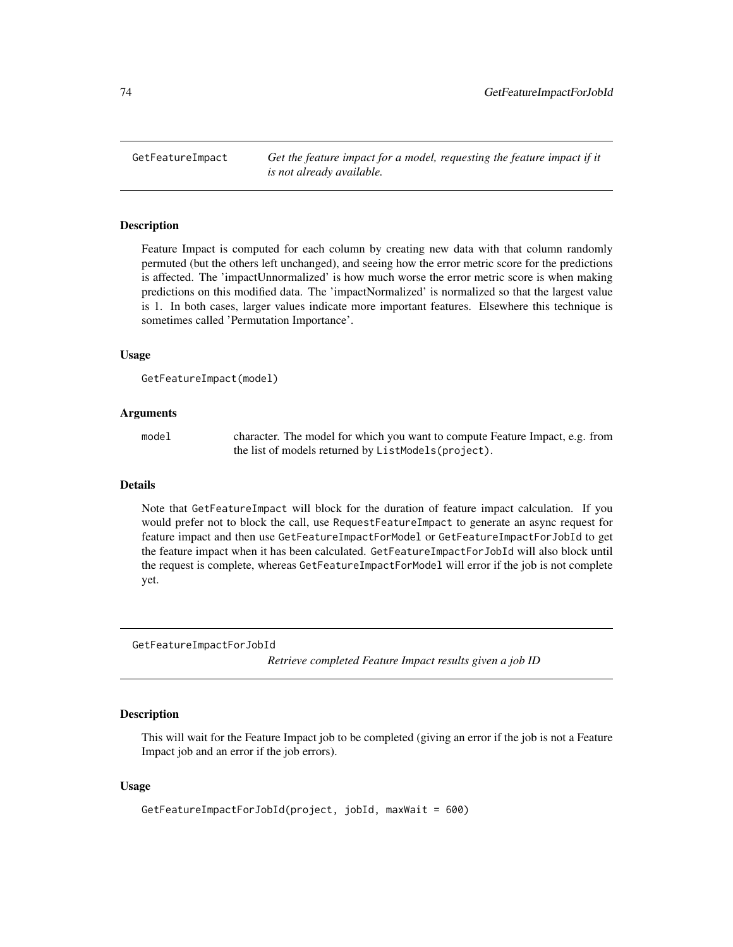GetFeatureImpact *Get the feature impact for a model, requesting the feature impact if it is not already available.*

## Description

Feature Impact is computed for each column by creating new data with that column randomly permuted (but the others left unchanged), and seeing how the error metric score for the predictions is affected. The 'impactUnnormalized' is how much worse the error metric score is when making predictions on this modified data. The 'impactNormalized' is normalized so that the largest value is 1. In both cases, larger values indicate more important features. Elsewhere this technique is sometimes called 'Permutation Importance'.

### Usage

```
GetFeatureImpact(model)
```
## Arguments

model character. The model for which you want to compute Feature Impact, e.g. from the list of models returned by ListModels(project).

#### Details

Note that GetFeatureImpact will block for the duration of feature impact calculation. If you would prefer not to block the call, use RequestFeatureImpact to generate an async request for feature impact and then use GetFeatureImpactForModel or GetFeatureImpactForJobId to get the feature impact when it has been calculated. GetFeatureImpactForJobId will also block until the request is complete, whereas GetFeatureImpactForModel will error if the job is not complete yet.

GetFeatureImpactForJobId

*Retrieve completed Feature Impact results given a job ID*

# Description

This will wait for the Feature Impact job to be completed (giving an error if the job is not a Feature Impact job and an error if the job errors).

# Usage

```
GetFeatureImpactForJobId(project, jobId, maxWait = 600)
```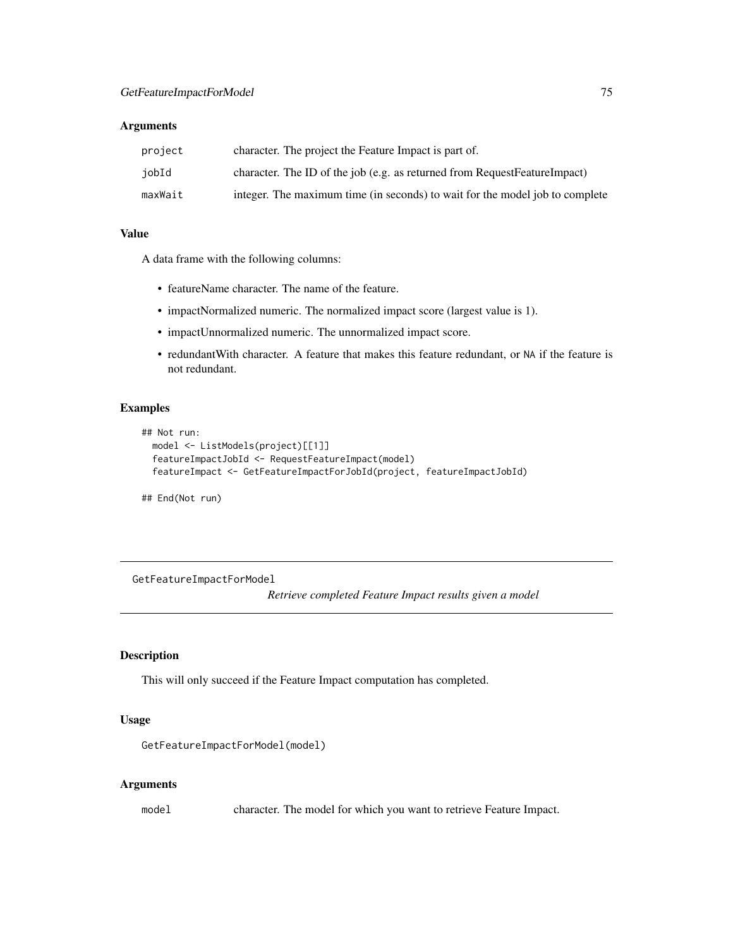# Arguments

| project | character. The project the Feature Impact is part of.                        |
|---------|------------------------------------------------------------------------------|
| jobId   | character. The ID of the job (e.g. as returned from RequestFeatureImpact)    |
| maxWait | integer. The maximum time (in seconds) to wait for the model job to complete |

#### Value

A data frame with the following columns:

- featureName character. The name of the feature.
- impactNormalized numeric. The normalized impact score (largest value is 1).
- impactUnnormalized numeric. The unnormalized impact score.
- redundantWith character. A feature that makes this feature redundant, or NA if the feature is not redundant.

# Examples

```
## Not run:
 model <- ListModels(project)[[1]]
 featureImpactJobId <- RequestFeatureImpact(model)
 featureImpact <- GetFeatureImpactForJobId(project, featureImpactJobId)
```
## End(Not run)

GetFeatureImpactForModel

*Retrieve completed Feature Impact results given a model*

## Description

This will only succeed if the Feature Impact computation has completed.

## Usage

```
GetFeatureImpactForModel(model)
```
# Arguments

model character. The model for which you want to retrieve Feature Impact.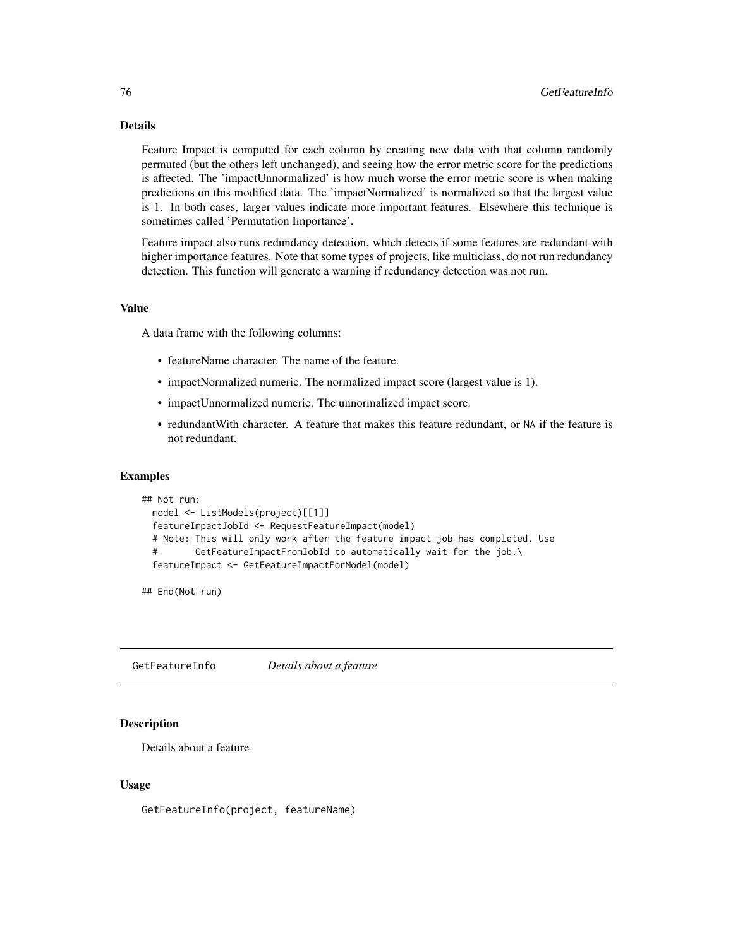# Details

Feature Impact is computed for each column by creating new data with that column randomly permuted (but the others left unchanged), and seeing how the error metric score for the predictions is affected. The 'impactUnnormalized' is how much worse the error metric score is when making predictions on this modified data. The 'impactNormalized' is normalized so that the largest value is 1. In both cases, larger values indicate more important features. Elsewhere this technique is sometimes called 'Permutation Importance'.

Feature impact also runs redundancy detection, which detects if some features are redundant with higher importance features. Note that some types of projects, like multiclass, do not run redundancy detection. This function will generate a warning if redundancy detection was not run.

# Value

A data frame with the following columns:

- featureName character. The name of the feature.
- impactNormalized numeric. The normalized impact score (largest value is 1).
- impactUnnormalized numeric. The unnormalized impact score.
- redundantWith character. A feature that makes this feature redundant, or NA if the feature is not redundant.

#### Examples

```
## Not run:
 model <- ListModels(project)[[1]]
 featureImpactJobId <- RequestFeatureImpact(model)
 # Note: This will only work after the feature impact job has completed. Use
 # GetFeatureImpactFromIobId to automatically wait for the job.\
 featureImpact <- GetFeatureImpactForModel(model)
```
## End(Not run)

GetFeatureInfo *Details about a feature*

# Description

Details about a feature

#### Usage

GetFeatureInfo(project, featureName)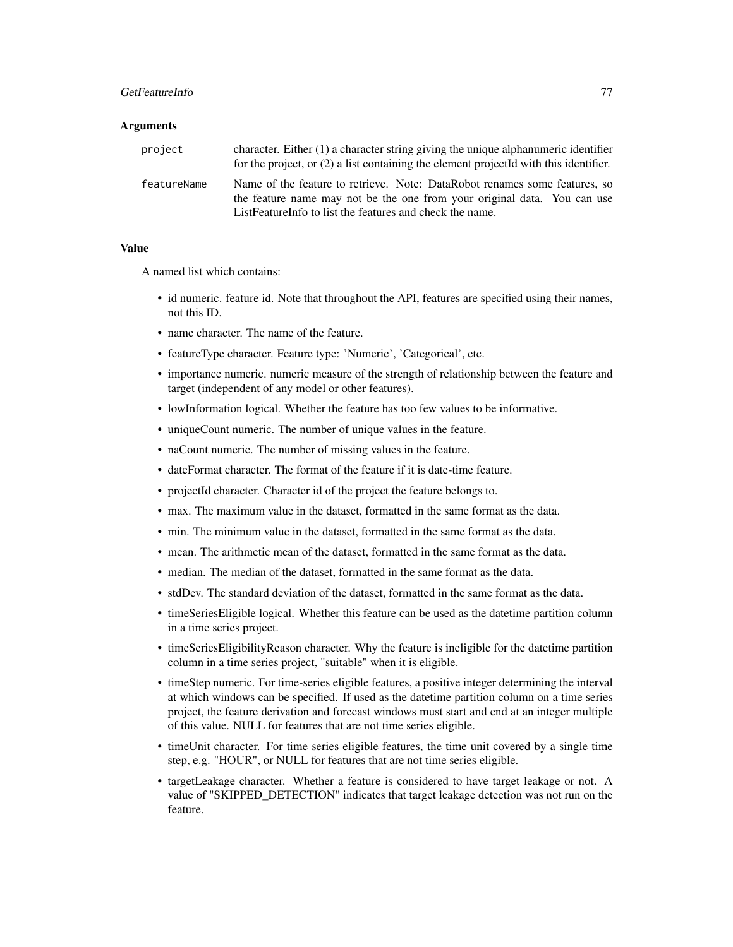# GetFeatureInfo 77

#### **Arguments**

| project     | character. Either (1) a character string giving the unique alphanumeric identifier<br>for the project, or (2) a list containing the element projectId with this identifier.                                        |
|-------------|--------------------------------------------------------------------------------------------------------------------------------------------------------------------------------------------------------------------|
| featureName | Name of the feature to retrieve. Note: DataRobot renames some features, so<br>the feature name may not be the one from your original data. You can use<br>ListFeatureInfo to list the features and check the name. |

## Value

A named list which contains:

- id numeric. feature id. Note that throughout the API, features are specified using their names, not this ID.
- name character. The name of the feature.
- featureType character. Feature type: 'Numeric', 'Categorical', etc.
- importance numeric. numeric measure of the strength of relationship between the feature and target (independent of any model or other features).
- lowInformation logical. Whether the feature has too few values to be informative.
- uniqueCount numeric. The number of unique values in the feature.
- naCount numeric. The number of missing values in the feature.
- dateFormat character. The format of the feature if it is date-time feature.
- projectId character. Character id of the project the feature belongs to.
- max. The maximum value in the dataset, formatted in the same format as the data.
- min. The minimum value in the dataset, formatted in the same format as the data.
- mean. The arithmetic mean of the dataset, formatted in the same format as the data.
- median. The median of the dataset, formatted in the same format as the data.
- stdDev. The standard deviation of the dataset, formatted in the same format as the data.
- timeSeriesEligible logical. Whether this feature can be used as the datetime partition column in a time series project.
- timeSeriesEligibilityReason character. Why the feature is ineligible for the datetime partition column in a time series project, "suitable" when it is eligible.
- timeStep numeric. For time-series eligible features, a positive integer determining the interval at which windows can be specified. If used as the datetime partition column on a time series project, the feature derivation and forecast windows must start and end at an integer multiple of this value. NULL for features that are not time series eligible.
- timeUnit character. For time series eligible features, the time unit covered by a single time step, e.g. "HOUR", or NULL for features that are not time series eligible.
- targetLeakage character. Whether a feature is considered to have target leakage or not. A value of "SKIPPED\_DETECTION" indicates that target leakage detection was not run on the feature.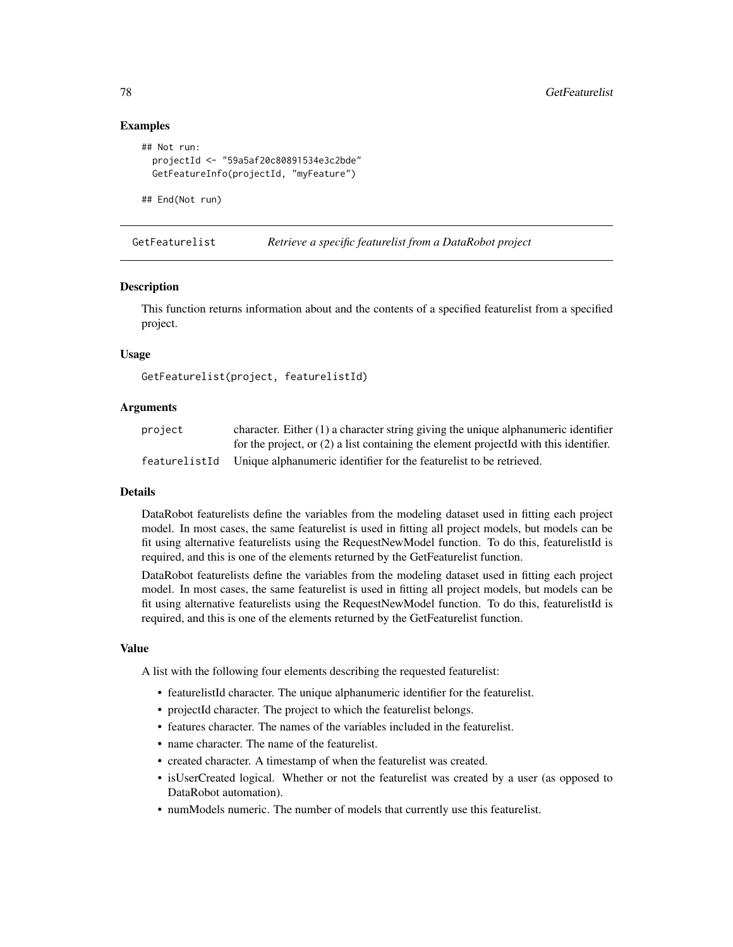# Examples

```
## Not run:
 projectId <- "59a5af20c80891534e3c2bde"
 GetFeatureInfo(projectId, "myFeature")
```
## End(Not run)

GetFeaturelist *Retrieve a specific featurelist from a DataRobot project*

## **Description**

This function returns information about and the contents of a specified featurelist from a specified project.

#### Usage

GetFeaturelist(project, featurelistId)

## Arguments

| project       | character. Either $(1)$ a character string giving the unique alphanumeric identifier    |
|---------------|-----------------------------------------------------------------------------------------|
|               | for the project, or $(2)$ a list containing the element projectId with this identifier. |
| featurelistId | Unique alphanumeric identifier for the featurelist to be retrieved.                     |

#### Details

DataRobot featurelists define the variables from the modeling dataset used in fitting each project model. In most cases, the same featurelist is used in fitting all project models, but models can be fit using alternative featurelists using the RequestNewModel function. To do this, featurelistId is required, and this is one of the elements returned by the GetFeaturelist function.

DataRobot featurelists define the variables from the modeling dataset used in fitting each project model. In most cases, the same featurelist is used in fitting all project models, but models can be fit using alternative featurelists using the RequestNewModel function. To do this, featurelistId is required, and this is one of the elements returned by the GetFeaturelist function.

#### Value

A list with the following four elements describing the requested featurelist:

- featurelistId character. The unique alphanumeric identifier for the featurelist.
- projectId character. The project to which the featurelist belongs.
- features character. The names of the variables included in the featurelist.
- name character. The name of the featurelist.
- created character. A timestamp of when the featurelist was created.
- isUserCreated logical. Whether or not the featurelist was created by a user (as opposed to DataRobot automation).
- numModels numeric. The number of models that currently use this featurelist.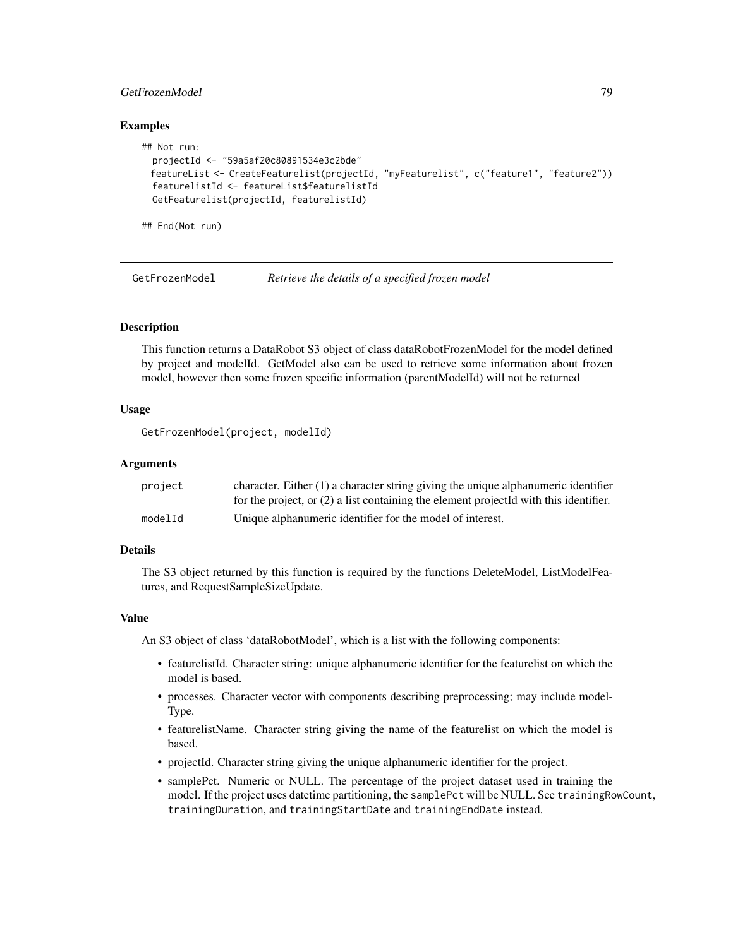# GetFrozenModel 79

## Examples

```
## Not run:
 projectId <- "59a5af20c80891534e3c2bde"
 featureList <- CreateFeaturelist(projectId, "myFeaturelist", c("feature1", "feature2"))
 featurelistId <- featureList$featurelistId
 GetFeaturelist(projectId, featurelistId)
```
## End(Not run)

GetFrozenModel *Retrieve the details of a specified frozen model*

# **Description**

This function returns a DataRobot S3 object of class dataRobotFrozenModel for the model defined by project and modelId. GetModel also can be used to retrieve some information about frozen model, however then some frozen specific information (parentModelId) will not be returned

#### Usage

GetFrozenModel(project, modelId)

## Arguments

| project | character. Either $(1)$ a character string giving the unique alphanumeric identifier    |
|---------|-----------------------------------------------------------------------------------------|
|         | for the project, or $(2)$ a list containing the element projected with this identifier. |
| modelId | Unique alphanumeric identifier for the model of interest.                               |

## Details

The S3 object returned by this function is required by the functions DeleteModel, ListModelFeatures, and RequestSampleSizeUpdate.

## Value

An S3 object of class 'dataRobotModel', which is a list with the following components:

- featurelistId. Character string: unique alphanumeric identifier for the featurelist on which the model is based.
- processes. Character vector with components describing preprocessing; may include model-Type.
- featurelistName. Character string giving the name of the featurelist on which the model is based.
- projectId. Character string giving the unique alphanumeric identifier for the project.
- samplePct. Numeric or NULL. The percentage of the project dataset used in training the model. If the project uses datetime partitioning, the samplePct will be NULL. See trainingRowCount, trainingDuration, and trainingStartDate and trainingEndDate instead.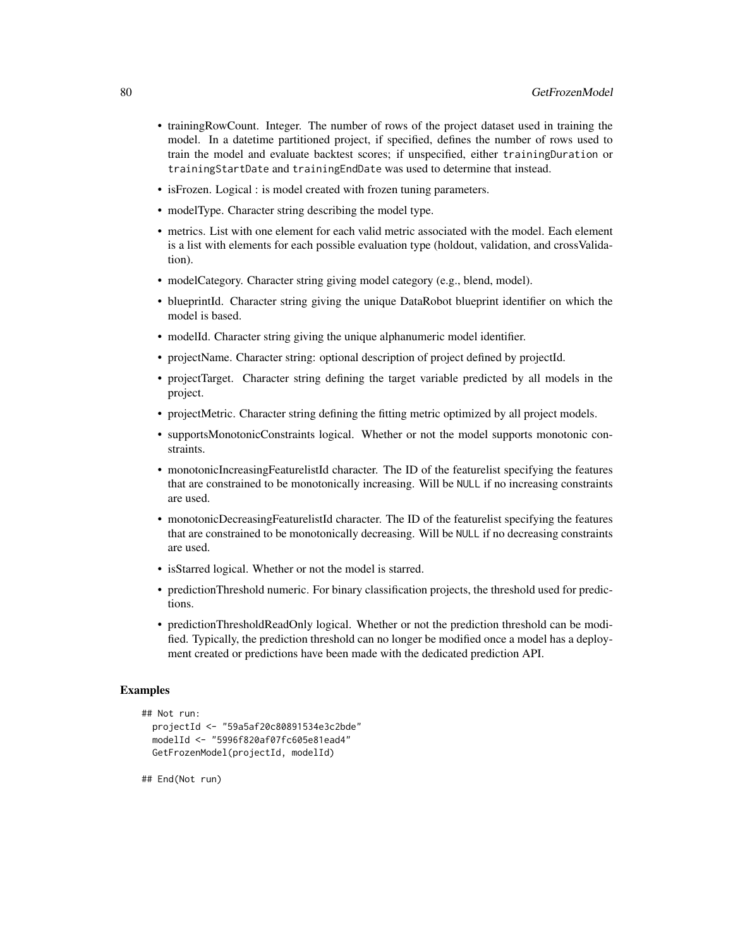- trainingRowCount. Integer. The number of rows of the project dataset used in training the model. In a datetime partitioned project, if specified, defines the number of rows used to train the model and evaluate backtest scores; if unspecified, either trainingDuration or trainingStartDate and trainingEndDate was used to determine that instead.
- isFrozen. Logical : is model created with frozen tuning parameters.
- modelType. Character string describing the model type.
- metrics. List with one element for each valid metric associated with the model. Each element is a list with elements for each possible evaluation type (holdout, validation, and crossValidation).
- modelCategory. Character string giving model category (e.g., blend, model).
- blueprintId. Character string giving the unique DataRobot blueprint identifier on which the model is based.
- modelId. Character string giving the unique alphanumeric model identifier.
- projectName. Character string: optional description of project defined by projectId.
- projectTarget. Character string defining the target variable predicted by all models in the project.
- projectMetric. Character string defining the fitting metric optimized by all project models.
- supportsMonotonicConstraints logical. Whether or not the model supports monotonic constraints.
- monotonicIncreasingFeaturelistId character. The ID of the featurelist specifying the features that are constrained to be monotonically increasing. Will be NULL if no increasing constraints are used.
- monotonicDecreasingFeaturelistId character. The ID of the featurelist specifying the features that are constrained to be monotonically decreasing. Will be NULL if no decreasing constraints are used.
- isStarred logical. Whether or not the model is starred.
- predictionThreshold numeric. For binary classification projects, the threshold used for predictions.
- predictionThresholdReadOnly logical. Whether or not the prediction threshold can be modified. Typically, the prediction threshold can no longer be modified once a model has a deployment created or predictions have been made with the dedicated prediction API.

# Examples

```
## Not run:
 projectId <- "59a5af20c80891534e3c2bde"
 modelId <- "5996f820af07fc605e81ead4"
 GetFrozenModel(projectId, modelId)
```
## End(Not run)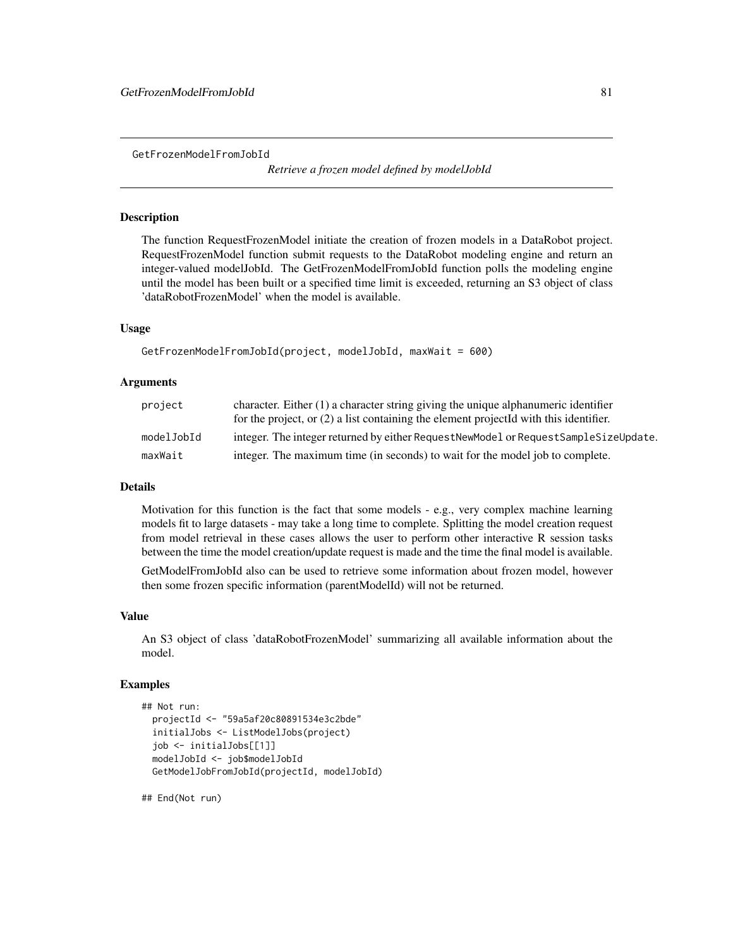GetFrozenModelFromJobId

*Retrieve a frozen model defined by modelJobId*

# Description

The function RequestFrozenModel initiate the creation of frozen models in a DataRobot project. RequestFrozenModel function submit requests to the DataRobot modeling engine and return an integer-valued modelJobId. The GetFrozenModelFromJobId function polls the modeling engine until the model has been built or a specified time limit is exceeded, returning an S3 object of class 'dataRobotFrozenModel' when the model is available.

## Usage

```
GetFrozenModelFromJobId(project, modelJobId, maxWait = 600)
```
## Arguments

| project    | character. Either $(1)$ a character string giving the unique alphanumeric identifier    |
|------------|-----------------------------------------------------------------------------------------|
|            | for the project, or $(2)$ a list containing the element projected with this identifier. |
| modelJobId | integer. The integer returned by either RequestNewModel or RequestSampleSizeUpdate.     |
| maxWait    | integer. The maximum time (in seconds) to wait for the model job to complete.           |

# Details

Motivation for this function is the fact that some models - e.g., very complex machine learning models fit to large datasets - may take a long time to complete. Splitting the model creation request from model retrieval in these cases allows the user to perform other interactive R session tasks between the time the model creation/update request is made and the time the final model is available.

GetModelFromJobId also can be used to retrieve some information about frozen model, however then some frozen specific information (parentModelId) will not be returned.

#### Value

An S3 object of class 'dataRobotFrozenModel' summarizing all available information about the model.

## Examples

```
## Not run:
 projectId <- "59a5af20c80891534e3c2bde"
 initialJobs <- ListModelJobs(project)
 job <- initialJobs[[1]]
 modelJobId <- job$modelJobId
 GetModelJobFromJobId(projectId, modelJobId)
```
## End(Not run)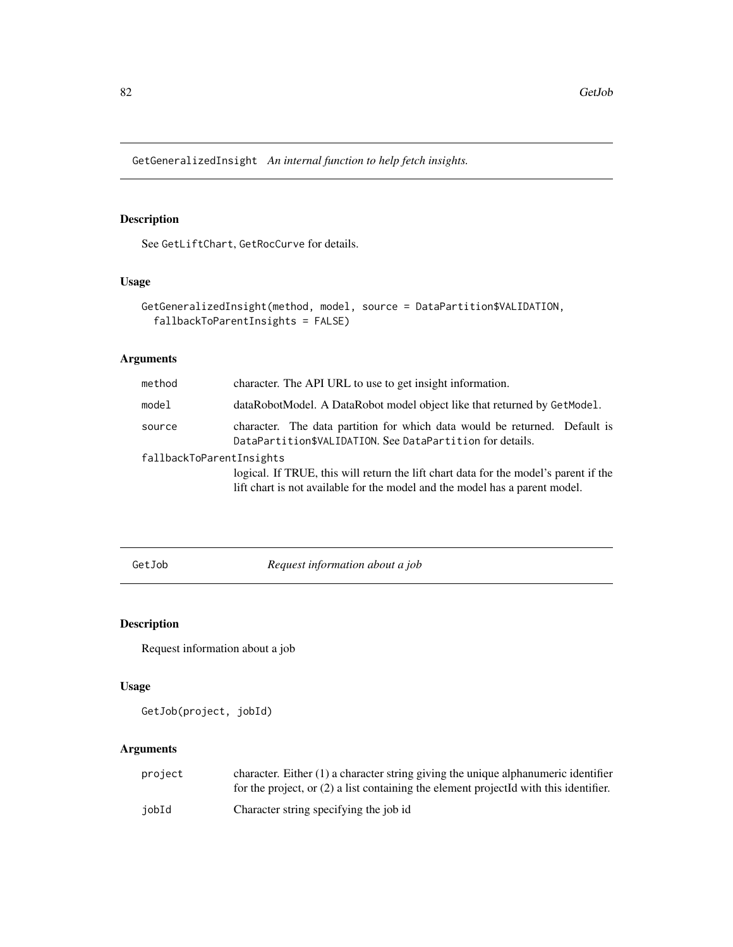GetGeneralizedInsight *An internal function to help fetch insights.*

# Description

See GetLiftChart, GetRocCurve for details.

# Usage

```
GetGeneralizedInsight(method, model, source = DataPartition$VALIDATION,
  fallbackToParentInsights = FALSE)
```
# Arguments

| method                   | character. The API URL to use to get insight information.                                                                               |  |
|--------------------------|-----------------------------------------------------------------------------------------------------------------------------------------|--|
| model                    | dataRobotModel. A DataRobot model object like that returned by GetModel.                                                                |  |
| source                   | character. The data partition for which data would be returned. Default is<br>DataPartition\$VALIDATION. See DataPartition for details. |  |
| fallbackToParentInsights |                                                                                                                                         |  |
|                          | logical. If TRUE, this will return the lift chart data for the model's parent if the                                                    |  |
|                          | lift chart is not available for the model and the model has a parent model.                                                             |  |

GetJob *Request information about a job*

# Description

Request information about a job

## Usage

GetJob(project, jobId)

| project | character. Either $(1)$ a character string giving the unique alphanumeric identifier<br>for the project, or $(2)$ a list containing the element projected with this identifier. |
|---------|---------------------------------------------------------------------------------------------------------------------------------------------------------------------------------|
| iobId   | Character string specifying the job id                                                                                                                                          |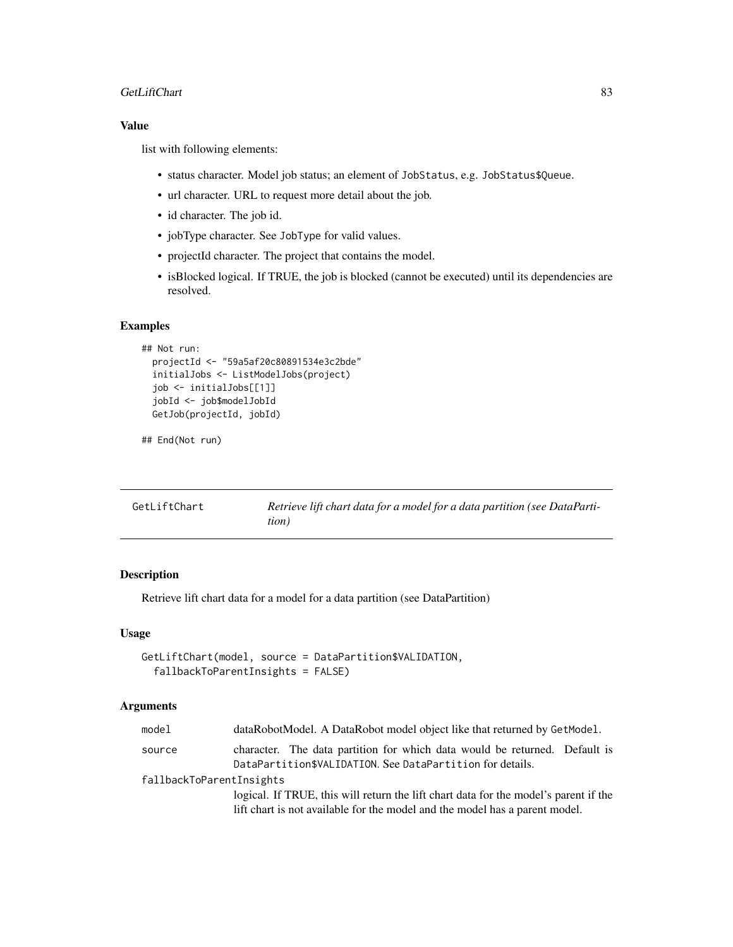## GetLiftChart 83

# Value

list with following elements:

- status character. Model job status; an element of JobStatus, e.g. JobStatus\$Queue.
- url character. URL to request more detail about the job.
- id character. The job id.
- jobType character. See JobType for valid values.
- projectId character. The project that contains the model.
- isBlocked logical. If TRUE, the job is blocked (cannot be executed) until its dependencies are resolved.

# Examples

```
## Not run:
 projectId <- "59a5af20c80891534e3c2bde"
 initialJobs <- ListModelJobs(project)
 job <- initialJobs[[1]]
 jobId <- job$modelJobId
 GetJob(projectId, jobId)
```

```
## End(Not run)
```

| GetLiftChart | Retrieve lift chart data for a model for a data partition (see DataParti- |
|--------------|---------------------------------------------------------------------------|
|              | tion)                                                                     |

# Description

Retrieve lift chart data for a model for a data partition (see DataPartition)

# Usage

```
GetLiftChart(model, source = DataPartition$VALIDATION,
  fallbackToParentInsights = FALSE)
```

| model                    | dataRobotModel. A DataRobot model object like that returned by GetModel.                                                                |  |
|--------------------------|-----------------------------------------------------------------------------------------------------------------------------------------|--|
| source                   | character. The data partition for which data would be returned. Default is<br>DataPartition\$VALIDATION. See DataPartition for details. |  |
| fallbackToParentInsights |                                                                                                                                         |  |
|                          | logical. If TRUE, this will return the lift chart data for the model's parent if the                                                    |  |
|                          | lift chart is not available for the model and the model has a parent model.                                                             |  |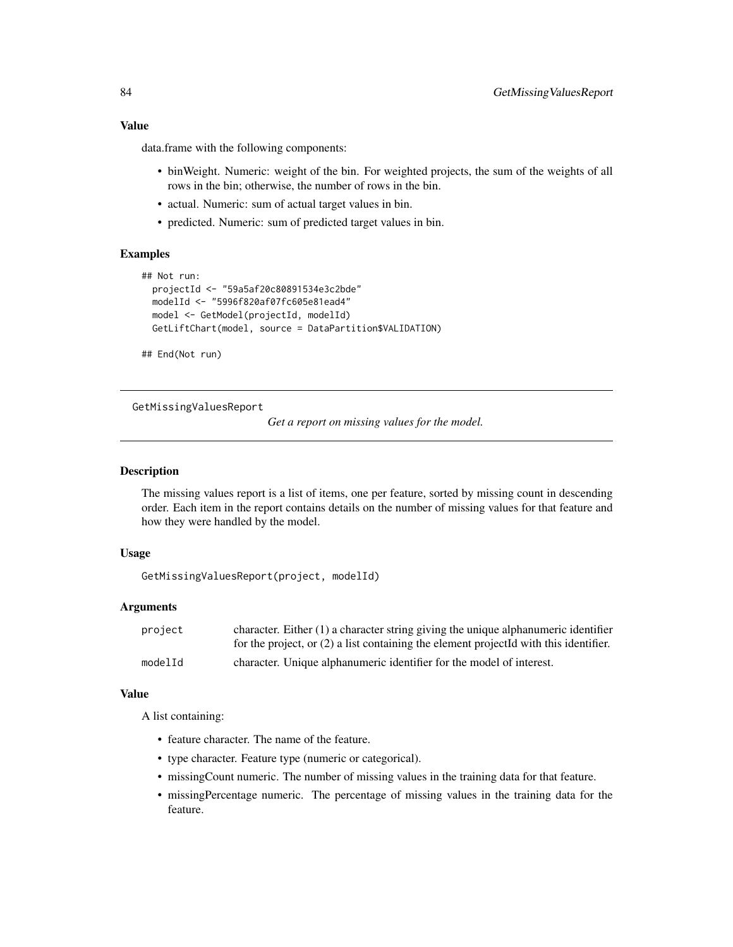# Value

data.frame with the following components:

- binWeight. Numeric: weight of the bin. For weighted projects, the sum of the weights of all rows in the bin; otherwise, the number of rows in the bin.
- actual. Numeric: sum of actual target values in bin.
- predicted. Numeric: sum of predicted target values in bin.

# Examples

```
## Not run:
 projectId <- "59a5af20c80891534e3c2bde"
 modelId <- "5996f820af07fc605e81ead4"
 model <- GetModel(projectId, modelId)
 GetLiftChart(model, source = DataPartition$VALIDATION)
```
## End(Not run)

GetMissingValuesReport

*Get a report on missing values for the model.*

## Description

The missing values report is a list of items, one per feature, sorted by missing count in descending order. Each item in the report contains details on the number of missing values for that feature and how they were handled by the model.

## Usage

GetMissingValuesReport(project, modelId)

#### Arguments

| project | character. Either $(1)$ a character string giving the unique alphanumeric identifier    |
|---------|-----------------------------------------------------------------------------------------|
|         | for the project, or $(2)$ a list containing the element projected with this identifier. |
| modelId | character. Unique alphanumeric identifier for the model of interest.                    |

# Value

A list containing:

- feature character. The name of the feature.
- type character. Feature type (numeric or categorical).
- missingCount numeric. The number of missing values in the training data for that feature.
- missingPercentage numeric. The percentage of missing values in the training data for the feature.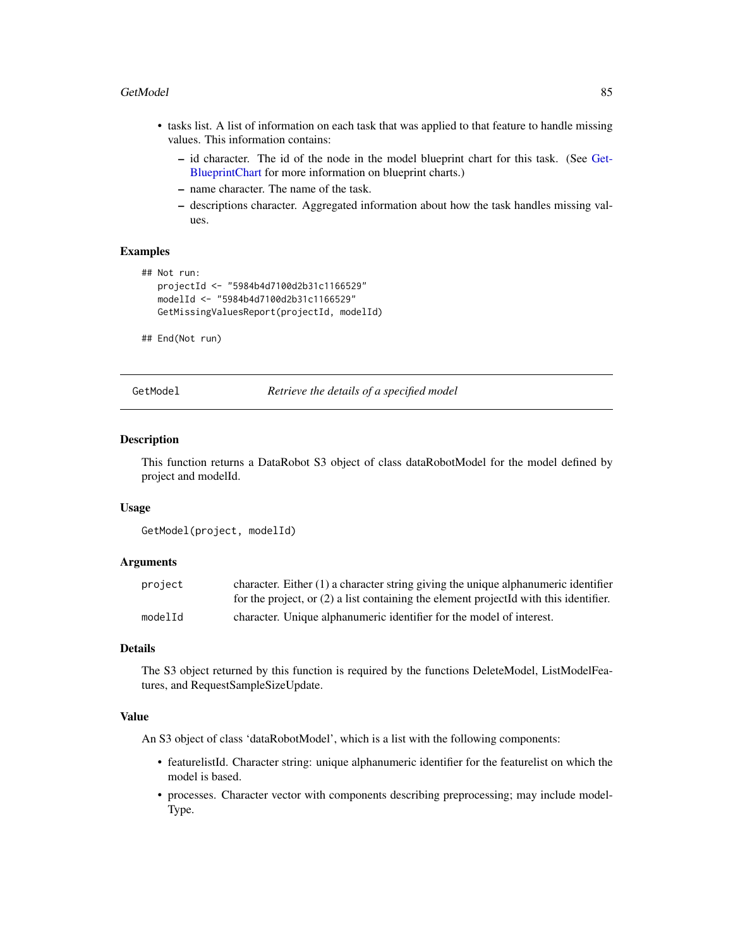#### GetModel 85

- tasks list. A list of information on each task that was applied to that feature to handle missing values. This information contains:
	- id character. The id of the node in the model blueprint chart for this task. (See [Get-](#page-57-0)[BlueprintChart](#page-57-0) for more information on blueprint charts.)
	- name character. The name of the task.
	- descriptions character. Aggregated information about how the task handles missing values.

## Examples

```
## Not run:
  projectId <- "5984b4d7100d2b31c1166529"
  modelId <- "5984b4d7100d2b31c1166529"
  GetMissingValuesReport(projectId, modelId)
```
## End(Not run)

GetModel *Retrieve the details of a specified model*

## **Description**

This function returns a DataRobot S3 object of class dataRobotModel for the model defined by project and modelId.

#### Usage

```
GetModel(project, modelId)
```
# Arguments

| project | character. Either $(1)$ a character string giving the unique alphanumeric identifier    |
|---------|-----------------------------------------------------------------------------------------|
|         | for the project, or $(2)$ a list containing the element projected with this identifier. |
| modelId | character. Unique alphanumeric identifier for the model of interest.                    |

#### Details

The S3 object returned by this function is required by the functions DeleteModel, ListModelFeatures, and RequestSampleSizeUpdate.

# Value

An S3 object of class 'dataRobotModel', which is a list with the following components:

- featurelistId. Character string: unique alphanumeric identifier for the featurelist on which the model is based.
- processes. Character vector with components describing preprocessing; may include model-Type.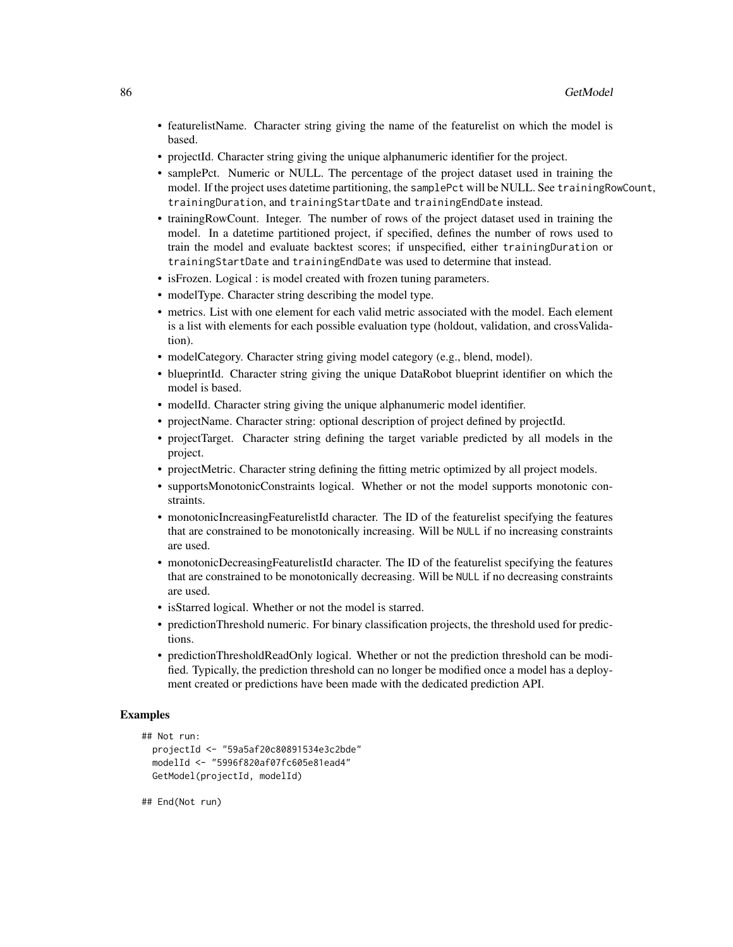- featurelistName. Character string giving the name of the featurelist on which the model is based.
- projectId. Character string giving the unique alphanumeric identifier for the project.
- samplePct. Numeric or NULL. The percentage of the project dataset used in training the model. If the project uses datetime partitioning, the samplePct will be NULL. See trainingRowCount, trainingDuration, and trainingStartDate and trainingEndDate instead.
- trainingRowCount. Integer. The number of rows of the project dataset used in training the model. In a datetime partitioned project, if specified, defines the number of rows used to train the model and evaluate backtest scores; if unspecified, either trainingDuration or trainingStartDate and trainingEndDate was used to determine that instead.
- is Frozen. Logical : is model created with frozen tuning parameters.
- modelType. Character string describing the model type.
- metrics. List with one element for each valid metric associated with the model. Each element is a list with elements for each possible evaluation type (holdout, validation, and crossValidation).
- modelCategory. Character string giving model category (e.g., blend, model).
- blueprintId. Character string giving the unique DataRobot blueprint identifier on which the model is based.
- modelId. Character string giving the unique alphanumeric model identifier.
- projectName. Character string: optional description of project defined by projectId.
- projectTarget. Character string defining the target variable predicted by all models in the project.
- projectMetric. Character string defining the fitting metric optimized by all project models.
- supportsMonotonicConstraints logical. Whether or not the model supports monotonic constraints.
- monotonicIncreasingFeaturelistId character. The ID of the featurelist specifying the features that are constrained to be monotonically increasing. Will be NULL if no increasing constraints are used.
- monotonicDecreasingFeaturelistId character. The ID of the featurelist specifying the features that are constrained to be monotonically decreasing. Will be NULL if no decreasing constraints are used.
- isStarred logical. Whether or not the model is starred.
- predictionThreshold numeric. For binary classification projects, the threshold used for predictions.
- predictionThresholdReadOnly logical. Whether or not the prediction threshold can be modified. Typically, the prediction threshold can no longer be modified once a model has a deployment created or predictions have been made with the dedicated prediction API.

# Examples

```
## Not run:
 projectId <- "59a5af20c80891534e3c2bde"
 modelId <- "5996f820af07fc605e81ead4"
 GetModel(projectId, modelId)
```
## End(Not run)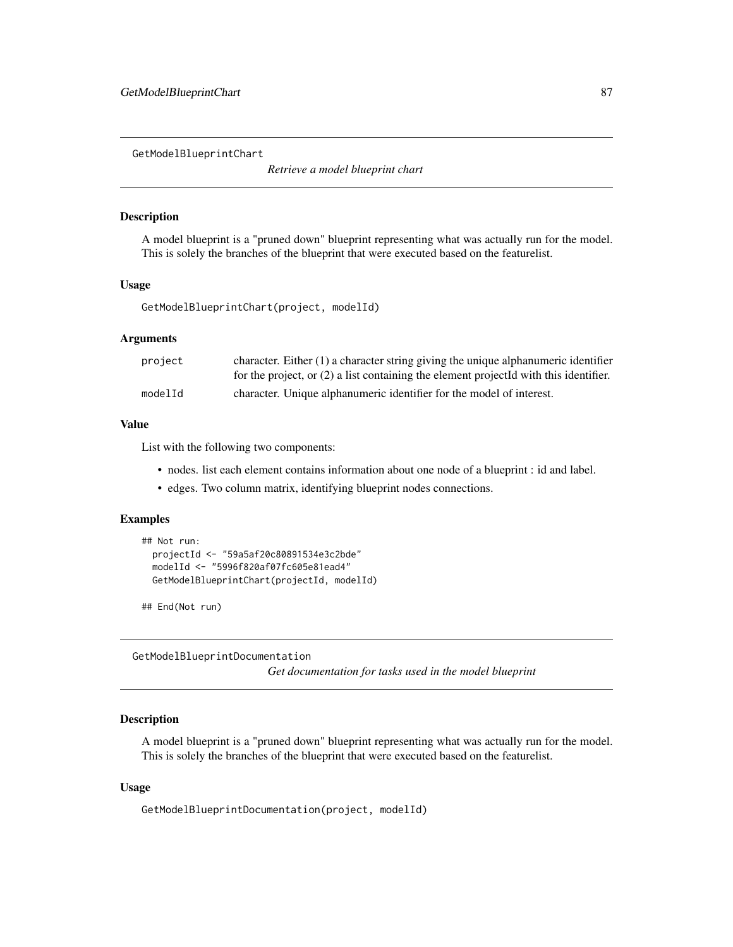GetModelBlueprintChart

*Retrieve a model blueprint chart*

# Description

A model blueprint is a "pruned down" blueprint representing what was actually run for the model. This is solely the branches of the blueprint that were executed based on the featurelist.

#### Usage

GetModelBlueprintChart(project, modelId)

#### Arguments

| project | character. Either $(1)$ a character string giving the unique alphanumeric identifier    |
|---------|-----------------------------------------------------------------------------------------|
|         | for the project, or $(2)$ a list containing the element projected with this identifier. |
| modelId | character. Unique alphanumeric identifier for the model of interest.                    |

## Value

List with the following two components:

- nodes. list each element contains information about one node of a blueprint : id and label.
- edges. Two column matrix, identifying blueprint nodes connections.

# Examples

```
## Not run:
 projectId <- "59a5af20c80891534e3c2bde"
 modelId <- "5996f820af07fc605e81ead4"
 GetModelBlueprintChart(projectId, modelId)
```
## End(Not run)

GetModelBlueprintDocumentation *Get documentation for tasks used in the model blueprint*

## Description

A model blueprint is a "pruned down" blueprint representing what was actually run for the model. This is solely the branches of the blueprint that were executed based on the featurelist.

# Usage

GetModelBlueprintDocumentation(project, modelId)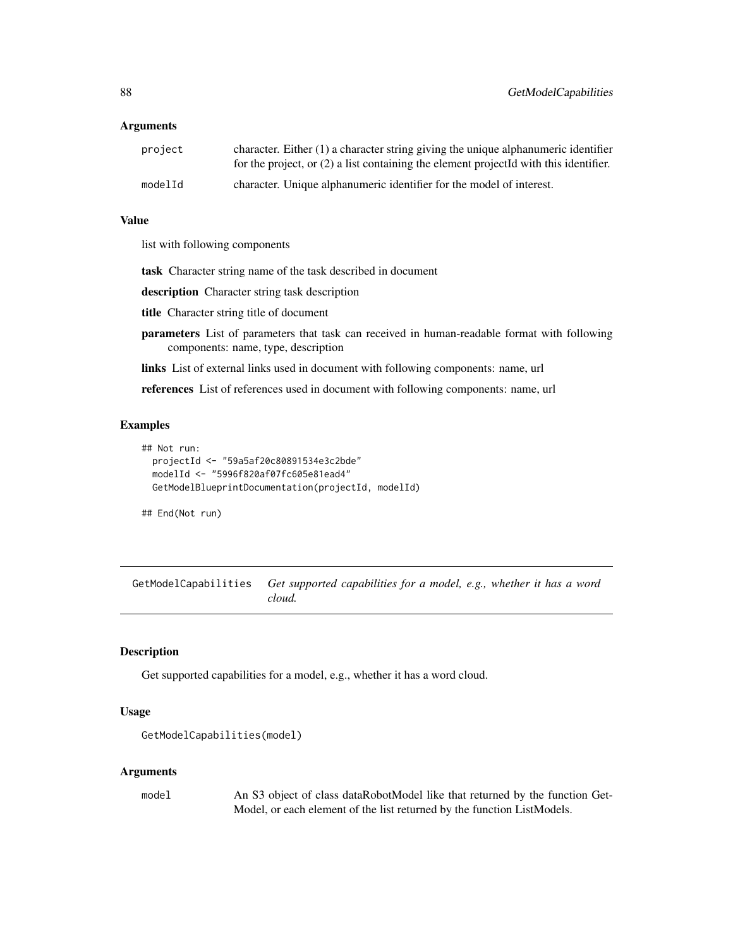## Arguments

| project | character. Either $(1)$ a character string giving the unique alphanumeric identifier<br>for the project, or $(2)$ a list containing the element projected with this identifier. |
|---------|---------------------------------------------------------------------------------------------------------------------------------------------------------------------------------|
| modelId | character. Unique alphanumeric identifier for the model of interest.                                                                                                            |

## Value

list with following components

task Character string name of the task described in document

description Character string task description

title Character string title of document

- parameters List of parameters that task can received in human-readable format with following components: name, type, description
- links List of external links used in document with following components: name, url

references List of references used in document with following components: name, url

## Examples

```
## Not run:
 projectId <- "59a5af20c80891534e3c2bde"
 modelId <- "5996f820af07fc605e81ead4"
 GetModelBlueprintDocumentation(projectId, modelId)
```
## End(Not run)

GetModelCapabilities *Get supported capabilities for a model, e.g., whether it has a word cloud.*

# Description

Get supported capabilities for a model, e.g., whether it has a word cloud.

## Usage

```
GetModelCapabilities(model)
```
#### Arguments

model An S3 object of class dataRobotModel like that returned by the function Get-Model, or each element of the list returned by the function ListModels.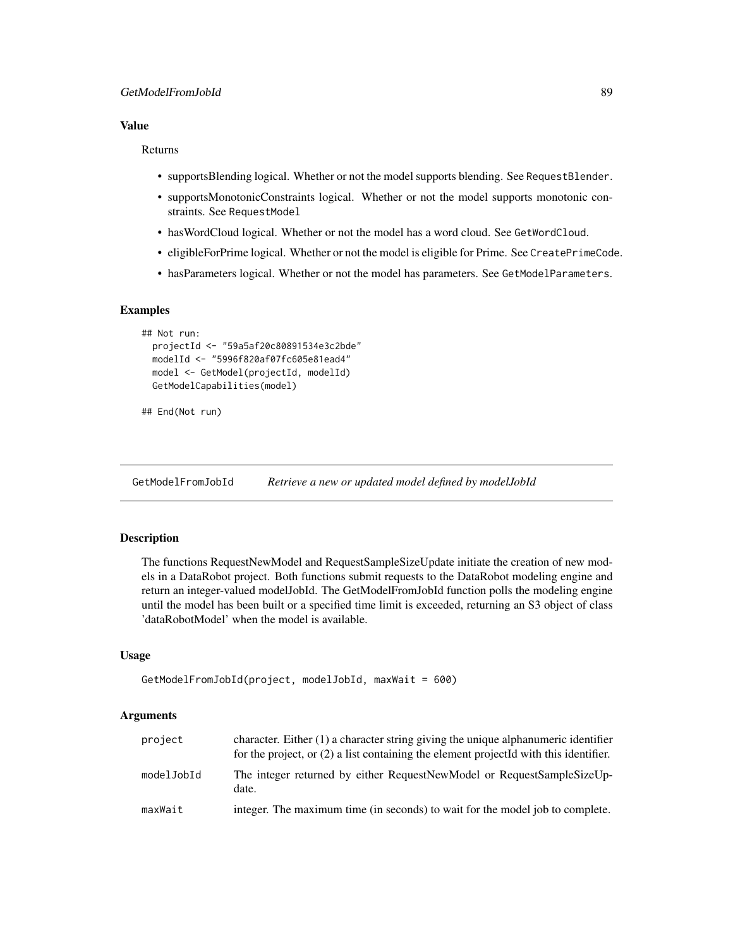# Value

#### Returns

- supportsBlending logical. Whether or not the model supports blending. See RequestBlender.
- supportsMonotonicConstraints logical. Whether or not the model supports monotonic constraints. See RequestModel
- hasWordCloud logical. Whether or not the model has a word cloud. See GetWordCloud.
- eligibleForPrime logical. Whether or not the model is eligible for Prime. See CreatePrimeCode.
- hasParameters logical. Whether or not the model has parameters. See GetModelParameters.

# Examples

```
## Not run:
 projectId <- "59a5af20c80891534e3c2bde"
 modelId <- "5996f820af07fc605e81ead4"
 model <- GetModel(projectId, modelId)
 GetModelCapabilities(model)
```

```
## End(Not run)
```
GetModelFromJobId *Retrieve a new or updated model defined by modelJobId*

# Description

The functions RequestNewModel and RequestSampleSizeUpdate initiate the creation of new models in a DataRobot project. Both functions submit requests to the DataRobot modeling engine and return an integer-valued modelJobId. The GetModelFromJobId function polls the modeling engine until the model has been built or a specified time limit is exceeded, returning an S3 object of class 'dataRobotModel' when the model is available.

# Usage

```
GetModelFromJobId(project, modelJobId, maxWait = 600)
```

| project    | character. Either (1) a character string giving the unique alphanumeric identifier<br>for the project, or $(2)$ a list containing the element projected with this identifier. |
|------------|-------------------------------------------------------------------------------------------------------------------------------------------------------------------------------|
| modelJobId | The integer returned by either RequestNewModel or RequestSampleSizeUp-<br>date.                                                                                               |
| maxWait    | integer. The maximum time (in seconds) to wait for the model job to complete.                                                                                                 |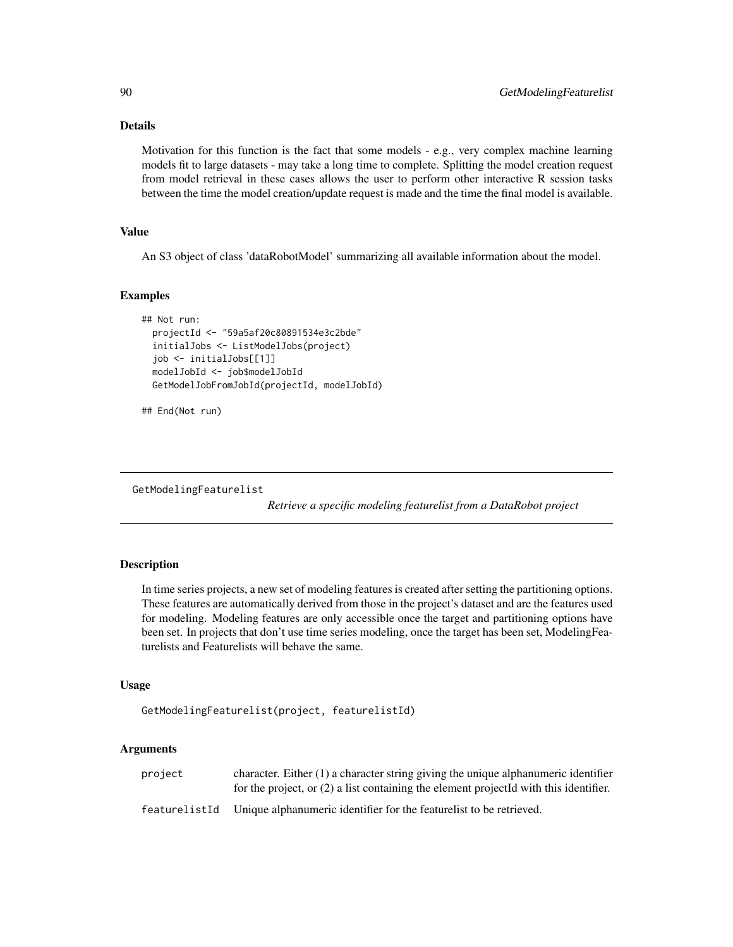# Details

Motivation for this function is the fact that some models - e.g., very complex machine learning models fit to large datasets - may take a long time to complete. Splitting the model creation request from model retrieval in these cases allows the user to perform other interactive R session tasks between the time the model creation/update request is made and the time the final model is available.

# Value

An S3 object of class 'dataRobotModel' summarizing all available information about the model.

# Examples

```
## Not run:
 projectId <- "59a5af20c80891534e3c2bde"
 initialJobs <- ListModelJobs(project)
 job <- initialJobs[[1]]
 modelJobId <- job$modelJobId
 GetModelJobFromJobId(projectId, modelJobId)
```

```
## End(Not run)
```
GetModelingFeaturelist

*Retrieve a specific modeling featurelist from a DataRobot project*

# Description

In time series projects, a new set of modeling features is created after setting the partitioning options. These features are automatically derived from those in the project's dataset and are the features used for modeling. Modeling features are only accessible once the target and partitioning options have been set. In projects that don't use time series modeling, once the target has been set, ModelingFeaturelists and Featurelists will behave the same.

#### Usage

```
GetModelingFeaturelist(project, featurelistId)
```

| project       | character. Either $(1)$ a character string giving the unique alphanumeric identifier<br>for the project, or $(2)$ a list containing the element projected with this identifier. |
|---------------|---------------------------------------------------------------------------------------------------------------------------------------------------------------------------------|
| featurelistId | Unique alphanumeric identifier for the featurelist to be retrieved.                                                                                                             |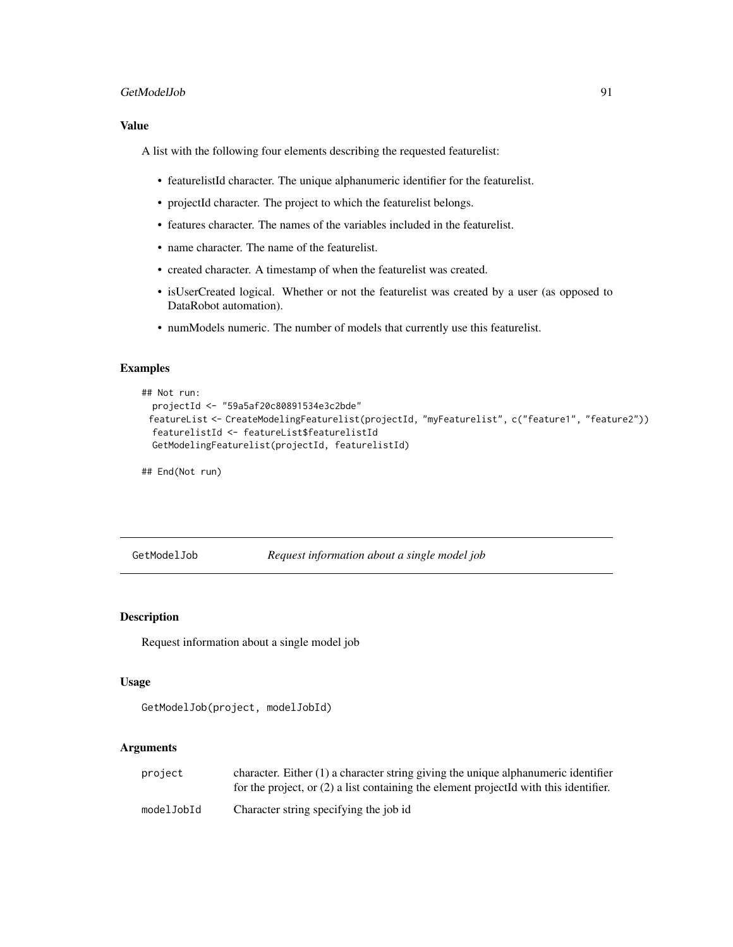## GetModelJob 91

# Value

A list with the following four elements describing the requested featurelist:

- featurelistId character. The unique alphanumeric identifier for the featurelist.
- projectId character. The project to which the featurelist belongs.
- features character. The names of the variables included in the featurelist.
- name character. The name of the featurelist.
- created character. A timestamp of when the featurelist was created.
- isUserCreated logical. Whether or not the featurelist was created by a user (as opposed to DataRobot automation).
- numModels numeric. The number of models that currently use this featurelist.

# Examples

```
## Not run:
 projectId <- "59a5af20c80891534e3c2bde"
 featureList <- CreateModelingFeaturelist(projectId, "myFeaturelist", c("feature1", "feature2"))
 featurelistId <- featureList$featurelistId
 GetModelingFeaturelist(projectId, featurelistId)
```
## End(Not run)

GetModelJob *Request information about a single model job*

## Description

Request information about a single model job

#### Usage

```
GetModelJob(project, modelJobId)
```

| project    | character. Either $(1)$ a character string giving the unique alphanumeric identifier<br>for the project, or $(2)$ a list containing the element projected with this identifier. |
|------------|---------------------------------------------------------------------------------------------------------------------------------------------------------------------------------|
| modelJobId | Character string specifying the job id                                                                                                                                          |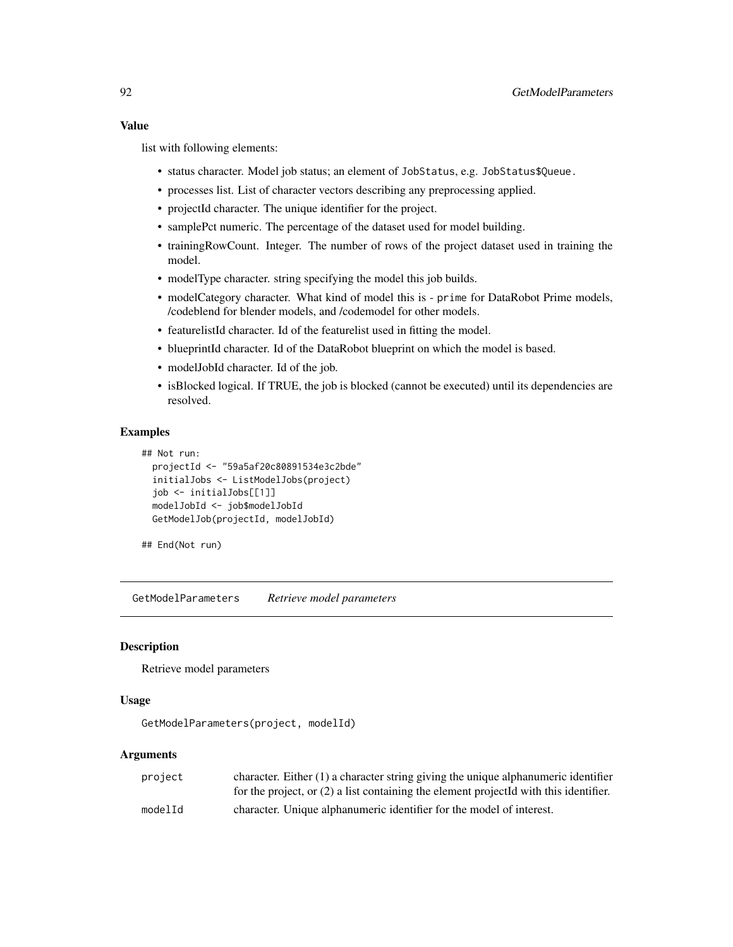list with following elements:

- status character. Model job status; an element of JobStatus, e.g. JobStatus\$Queue.
- processes list. List of character vectors describing any preprocessing applied.
- projectId character. The unique identifier for the project.
- samplePct numeric. The percentage of the dataset used for model building.
- trainingRowCount. Integer. The number of rows of the project dataset used in training the model.
- modelType character. string specifying the model this job builds.
- modelCategory character. What kind of model this is prime for DataRobot Prime models, /codeblend for blender models, and /codemodel for other models.
- featurelistId character. Id of the featurelist used in fitting the model.
- blueprintId character. Id of the DataRobot blueprint on which the model is based.
- modelJobId character. Id of the job.
- isBlocked logical. If TRUE, the job is blocked (cannot be executed) until its dependencies are resolved.

## Examples

```
## Not run:
 projectId <- "59a5af20c80891534e3c2bde"
 initialJobs <- ListModelJobs(project)
 job <- initialJobs[[1]]
 modelJobId <- job$modelJobId
 GetModelJob(projectId, modelJobId)
```
## End(Not run)

GetModelParameters *Retrieve model parameters*

## **Description**

Retrieve model parameters

## Usage

GetModelParameters(project, modelId)

| project | character. Either $(1)$ a character string giving the unique alphanumeric identifier    |
|---------|-----------------------------------------------------------------------------------------|
|         | for the project, or $(2)$ a list containing the element projected with this identifier. |
| modelId | character. Unique alphanumeric identifier for the model of interest.                    |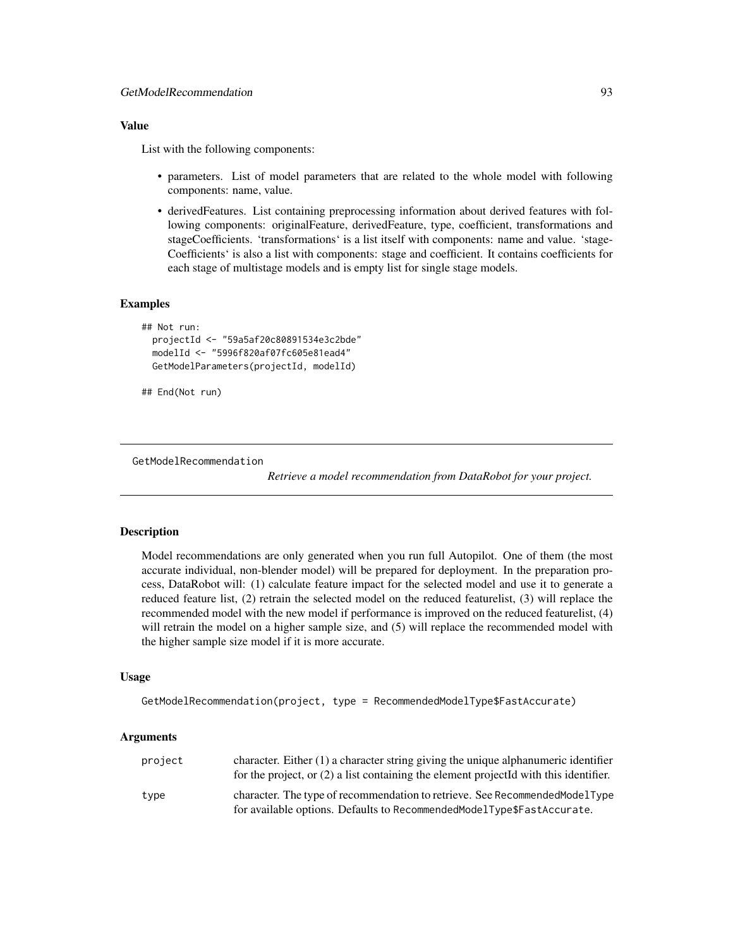# Value

List with the following components:

- parameters. List of model parameters that are related to the whole model with following components: name, value.
- derivedFeatures. List containing preprocessing information about derived features with following components: originalFeature, derivedFeature, type, coefficient, transformations and stageCoefficients. 'transformations' is a list itself with components: name and value. 'stage-Coefficients' is also a list with components: stage and coefficient. It contains coefficients for each stage of multistage models and is empty list for single stage models.

# **Examples**

```
## Not run:
 projectId <- "59a5af20c80891534e3c2bde"
 modelId <- "5996f820af07fc605e81ead4"
 GetModelParameters(projectId, modelId)
```

```
## End(Not run)
```
GetModelRecommendation

*Retrieve a model recommendation from DataRobot for your project.*

# Description

Model recommendations are only generated when you run full Autopilot. One of them (the most accurate individual, non-blender model) will be prepared for deployment. In the preparation process, DataRobot will: (1) calculate feature impact for the selected model and use it to generate a reduced feature list, (2) retrain the selected model on the reduced featurelist, (3) will replace the recommended model with the new model if performance is improved on the reduced featurelist, (4) will retrain the model on a higher sample size, and (5) will replace the recommended model with the higher sample size model if it is more accurate.

## Usage

```
GetModelRecommendation(project, type = RecommendedModelType$FastAccurate)
```

| project | character. Either $(1)$ a character string giving the unique alphanumeric identifier<br>for the project, or $(2)$ a list containing the element projected with this identifier. |
|---------|---------------------------------------------------------------------------------------------------------------------------------------------------------------------------------|
| type    | character. The type of recommendation to retrieve. See Recommended Model Type<br>for available options. Defaults to RecommendedModelType\$FastAccurate.                         |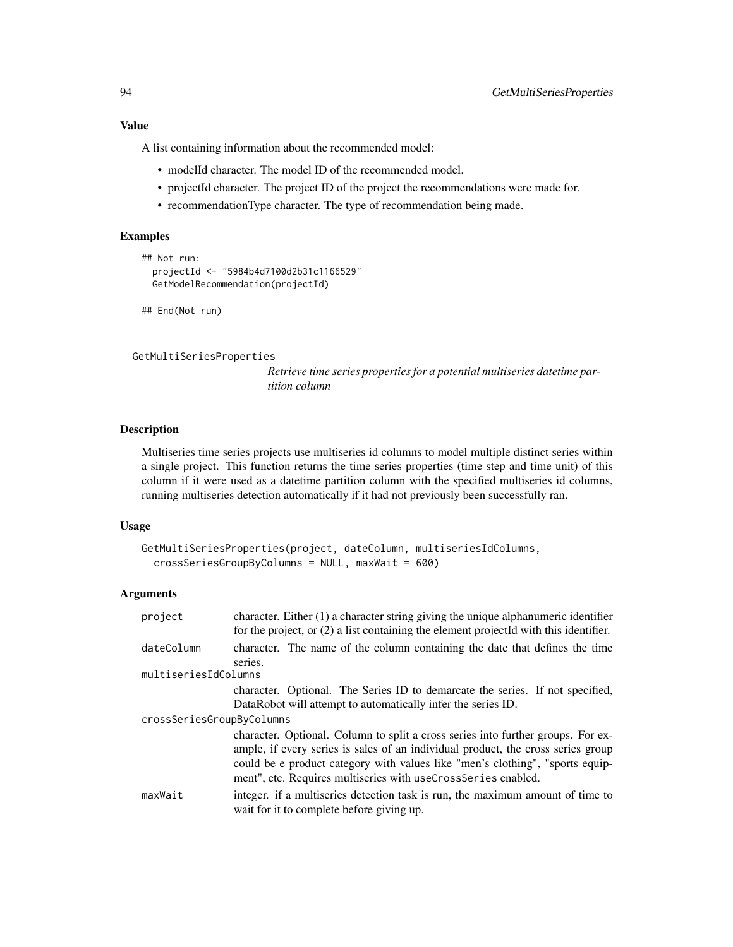A list containing information about the recommended model:

- modelId character. The model ID of the recommended model.
- projectId character. The project ID of the project the recommendations were made for.
- recommendationType character. The type of recommendation being made.

# Examples

```
## Not run:
 projectId <- "5984b4d7100d2b31c1166529"
 GetModelRecommendation(projectId)
```
## End(Not run)

GetMultiSeriesProperties

*Retrieve time series properties for a potential multiseries datetime partition column*

# Description

Multiseries time series projects use multiseries id columns to model multiple distinct series within a single project. This function returns the time series properties (time step and time unit) of this column if it were used as a datetime partition column with the specified multiseries id columns, running multiseries detection automatically if it had not previously been successfully ran.

## Usage

```
GetMultiSeriesProperties(project, dateColumn, multiseriesIdColumns,
 crossSeriesGroupByColumns = NULL, maxWait = 600)
```

| project                   | character. Either $(1)$ a character string giving the unique alphanumeric identifier<br>for the project, or $(2)$ a list containing the element projected with this identifier.                                                                                                                                        |
|---------------------------|------------------------------------------------------------------------------------------------------------------------------------------------------------------------------------------------------------------------------------------------------------------------------------------------------------------------|
| dateColumn                | character. The name of the column containing the date that defines the time<br>series.                                                                                                                                                                                                                                 |
| multiseriesIdColumns      |                                                                                                                                                                                                                                                                                                                        |
|                           | character. Optional. The Series ID to demarcate the series. If not specified,<br>DataRobot will attempt to automatically infer the series ID.                                                                                                                                                                          |
| crossSeriesGroupByColumns |                                                                                                                                                                                                                                                                                                                        |
|                           | character. Optional. Column to split a cross series into further groups. For ex-<br>ample, if every series is sales of an individual product, the cross series group<br>could be e product category with values like "men's clothing", "sports equip-<br>ment", etc. Requires multiseries with useCrossSeries enabled. |
| maxWait                   | integer, if a multiseries detection task is run, the maximum amount of time to<br>wait for it to complete before giving up.                                                                                                                                                                                            |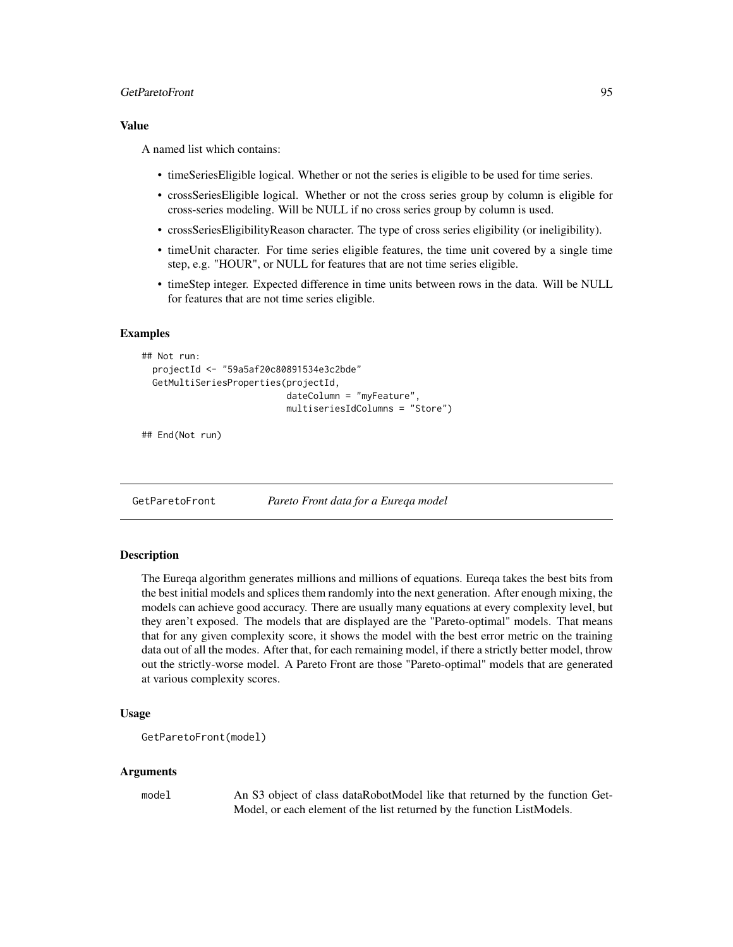# GetParetoFront 95

# Value

A named list which contains:

- timeSeriesEligible logical. Whether or not the series is eligible to be used for time series.
- crossSeriesEligible logical. Whether or not the cross series group by column is eligible for cross-series modeling. Will be NULL if no cross series group by column is used.
- crossSeriesEligibilityReason character. The type of cross series eligibility (or ineligibility).
- timeUnit character. For time series eligible features, the time unit covered by a single time step, e.g. "HOUR", or NULL for features that are not time series eligible.
- timeStep integer. Expected difference in time units between rows in the data. Will be NULL for features that are not time series eligible.

## Examples

```
## Not run:
 projectId <- "59a5af20c80891534e3c2bde"
 GetMultiSeriesProperties(projectId,
                           dateColumn = "myFeature",
                           multiseriesIdColumns = "Store")
```
## End(Not run)

GetParetoFront *Pareto Front data for a Eureqa model*

# Description

The Eureqa algorithm generates millions and millions of equations. Eureqa takes the best bits from the best initial models and splices them randomly into the next generation. After enough mixing, the models can achieve good accuracy. There are usually many equations at every complexity level, but they aren't exposed. The models that are displayed are the "Pareto-optimal" models. That means that for any given complexity score, it shows the model with the best error metric on the training data out of all the modes. After that, for each remaining model, if there a strictly better model, throw out the strictly-worse model. A Pareto Front are those "Pareto-optimal" models that are generated at various complexity scores.

# Usage

```
GetParetoFront(model)
```
#### Arguments

model An S3 object of class dataRobotModel like that returned by the function Get-Model, or each element of the list returned by the function ListModels.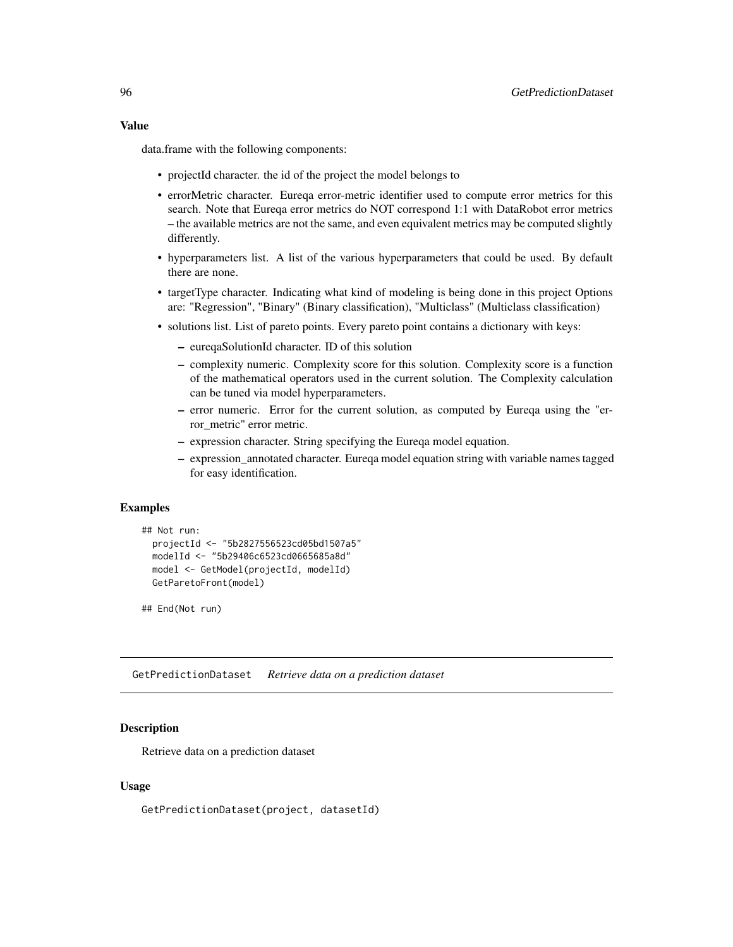## Value

data.frame with the following components:

- projectId character. the id of the project the model belongs to
- errorMetric character. Eureqa error-metric identifier used to compute error metrics for this search. Note that Eureqa error metrics do NOT correspond 1:1 with DataRobot error metrics – the available metrics are not the same, and even equivalent metrics may be computed slightly differently.
- hyperparameters list. A list of the various hyperparameters that could be used. By default there are none.
- targetType character. Indicating what kind of modeling is being done in this project Options are: "Regression", "Binary" (Binary classification), "Multiclass" (Multiclass classification)
- solutions list. List of pareto points. Every pareto point contains a dictionary with keys:
	- eureqaSolutionId character. ID of this solution
	- complexity numeric. Complexity score for this solution. Complexity score is a function of the mathematical operators used in the current solution. The Complexity calculation can be tuned via model hyperparameters.
	- error numeric. Error for the current solution, as computed by Eureqa using the "error\_metric" error metric.
	- expression character. String specifying the Eureqa model equation.
	- expression\_annotated character. Eureqa model equation string with variable names tagged for easy identification.

## Examples

```
## Not run:
 projectId <- "5b2827556523cd05bd1507a5"
 modelId <- "5b29406c6523cd0665685a8d"
 model <- GetModel(projectId, modelId)
 GetParetoFront(model)
```
## End(Not run)

GetPredictionDataset *Retrieve data on a prediction dataset*

# Description

Retrieve data on a prediction dataset

# Usage

GetPredictionDataset(project, datasetId)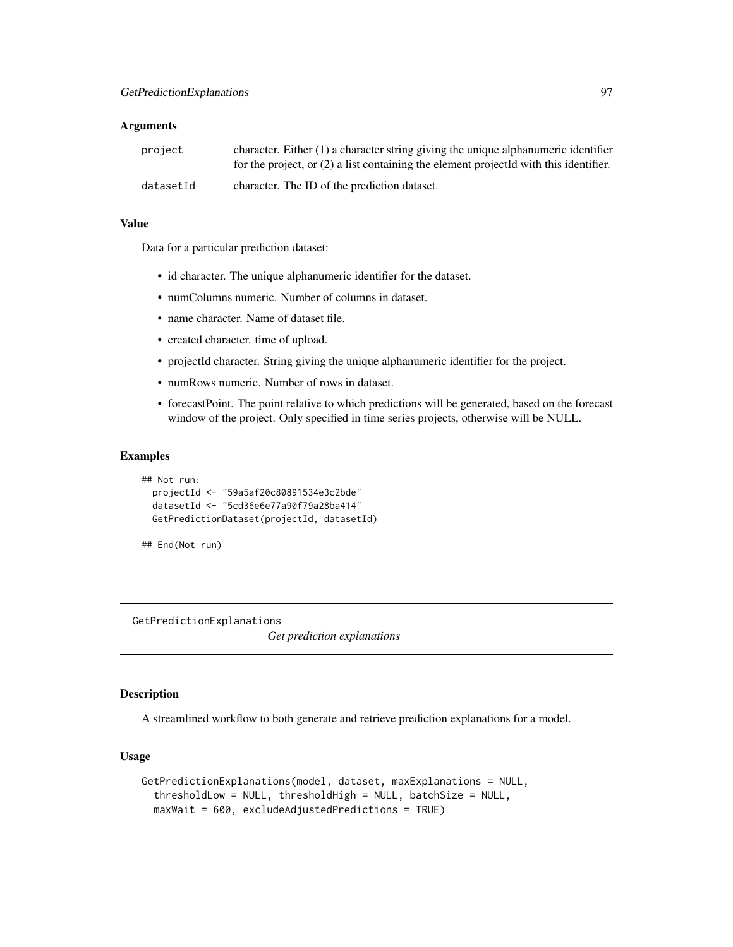### **Arguments**

| project   | character. Either $(1)$ a character string giving the unique alphanumeric identifier<br>for the project, or $(2)$ a list containing the element projected with this identifier. |
|-----------|---------------------------------------------------------------------------------------------------------------------------------------------------------------------------------|
| datasetId | character. The ID of the prediction dataset.                                                                                                                                    |

# Value

Data for a particular prediction dataset:

- id character. The unique alphanumeric identifier for the dataset.
- numColumns numeric. Number of columns in dataset.
- name character. Name of dataset file.
- created character. time of upload.
- projectId character. String giving the unique alphanumeric identifier for the project.
- numRows numeric. Number of rows in dataset.
- forecastPoint. The point relative to which predictions will be generated, based on the forecast window of the project. Only specified in time series projects, otherwise will be NULL.

# Examples

```
## Not run:
 projectId <- "59a5af20c80891534e3c2bde"
 datasetId <- "5cd36e6e77a90f79a28ba414"
 GetPredictionDataset(projectId, datasetId)
```

```
## End(Not run)
```
GetPredictionExplanations

*Get prediction explanations*

# Description

A streamlined workflow to both generate and retrieve prediction explanations for a model.

# Usage

```
GetPredictionExplanations(model, dataset, maxExplanations = NULL,
  thresholdLow = NULL, thresholdHigh = NULL, batchSize = NULL,
 maxWait = 600, excludeAdjustedPredictions = TRUE)
```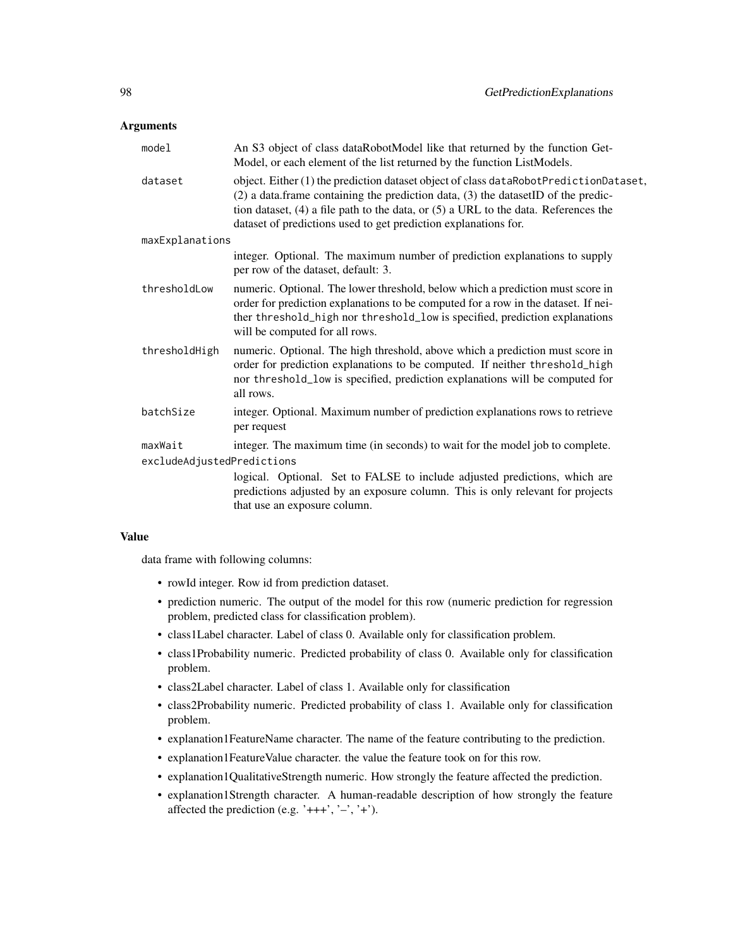# **Arguments**

| model                      | An S3 object of class dataRobotModel like that returned by the function Get-<br>Model, or each element of the list returned by the function ListModels.                                                                                                                                                                                        |
|----------------------------|------------------------------------------------------------------------------------------------------------------------------------------------------------------------------------------------------------------------------------------------------------------------------------------------------------------------------------------------|
| dataset                    | object. Either (1) the prediction dataset object of class dataRobotPredictionDataset,<br>$(2)$ a data. frame containing the prediction data, $(3)$ the dataset ID of the predic-<br>tion dataset, $(4)$ a file path to the data, or $(5)$ a URL to the data. References the<br>dataset of predictions used to get prediction explanations for. |
| maxExplanations            |                                                                                                                                                                                                                                                                                                                                                |
|                            | integer. Optional. The maximum number of prediction explanations to supply<br>per row of the dataset, default: 3.                                                                                                                                                                                                                              |
| thresholdLow               | numeric. Optional. The lower threshold, below which a prediction must score in<br>order for prediction explanations to be computed for a row in the dataset. If nei-<br>ther threshold_high nor threshold_low is specified, prediction explanations<br>will be computed for all rows.                                                          |
| thresholdHigh              | numeric. Optional. The high threshold, above which a prediction must score in<br>order for prediction explanations to be computed. If neither threshold_high<br>nor threshold_low is specified, prediction explanations will be computed for<br>all rows.                                                                                      |
| batchSize                  | integer. Optional. Maximum number of prediction explanations rows to retrieve<br>per request                                                                                                                                                                                                                                                   |
| maxWait                    | integer. The maximum time (in seconds) to wait for the model job to complete.                                                                                                                                                                                                                                                                  |
| excludeAdjustedPredictions | logical. Optional. Set to FALSE to include adjusted predictions, which are<br>predictions adjusted by an exposure column. This is only relevant for projects<br>that use an exposure column.                                                                                                                                                   |

# Value

data frame with following columns:

- rowId integer. Row id from prediction dataset.
- prediction numeric. The output of the model for this row (numeric prediction for regression problem, predicted class for classification problem).
- class1Label character. Label of class 0. Available only for classification problem.
- class1Probability numeric. Predicted probability of class 0. Available only for classification problem.
- class2Label character. Label of class 1. Available only for classification
- class2Probability numeric. Predicted probability of class 1. Available only for classification problem.
- explanation1FeatureName character. The name of the feature contributing to the prediction.
- explanation1FeatureValue character. the value the feature took on for this row.
- explanation1QualitativeStrength numeric. How strongly the feature affected the prediction.
- explanation1Strength character. A human-readable description of how strongly the feature affected the prediction (e.g. ' $+++$ ', ' $-$ ', ' $+$ ').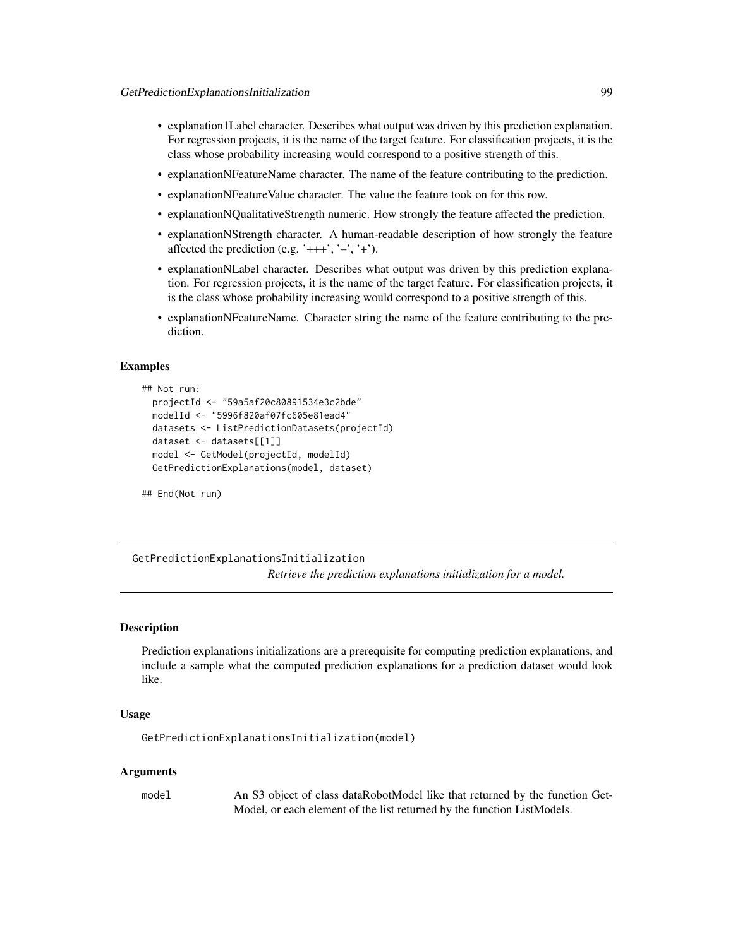- explanation1Label character. Describes what output was driven by this prediction explanation. For regression projects, it is the name of the target feature. For classification projects, it is the class whose probability increasing would correspond to a positive strength of this.
- explanationNFeatureName character. The name of the feature contributing to the prediction.
- explanationNFeatureValue character. The value the feature took on for this row.
- explanationNQualitativeStrength numeric. How strongly the feature affected the prediction.
- explanationNStrength character. A human-readable description of how strongly the feature affected the prediction (e.g. ' $+++$ ', ' $-$ ', ' $+$ ').
- explanationNLabel character. Describes what output was driven by this prediction explanation. For regression projects, it is the name of the target feature. For classification projects, it is the class whose probability increasing would correspond to a positive strength of this.
- explanationNFeatureName. Character string the name of the feature contributing to the prediction.

## Examples

```
## Not run:
 projectId <- "59a5af20c80891534e3c2bde"
 modelId <- "5996f820af07fc605e81ead4"
 datasets <- ListPredictionDatasets(projectId)
 dataset <- datasets[[1]]
 model <- GetModel(projectId, modelId)
 GetPredictionExplanations(model, dataset)
```
## End(Not run)

GetPredictionExplanationsInitialization *Retrieve the prediction explanations initialization for a model.*

#### **Description**

Prediction explanations initializations are a prerequisite for computing prediction explanations, and include a sample what the computed prediction explanations for a prediction dataset would look like.

## Usage

```
GetPredictionExplanationsInitialization(model)
```
#### Arguments

model An S3 object of class dataRobotModel like that returned by the function Get-Model, or each element of the list returned by the function ListModels.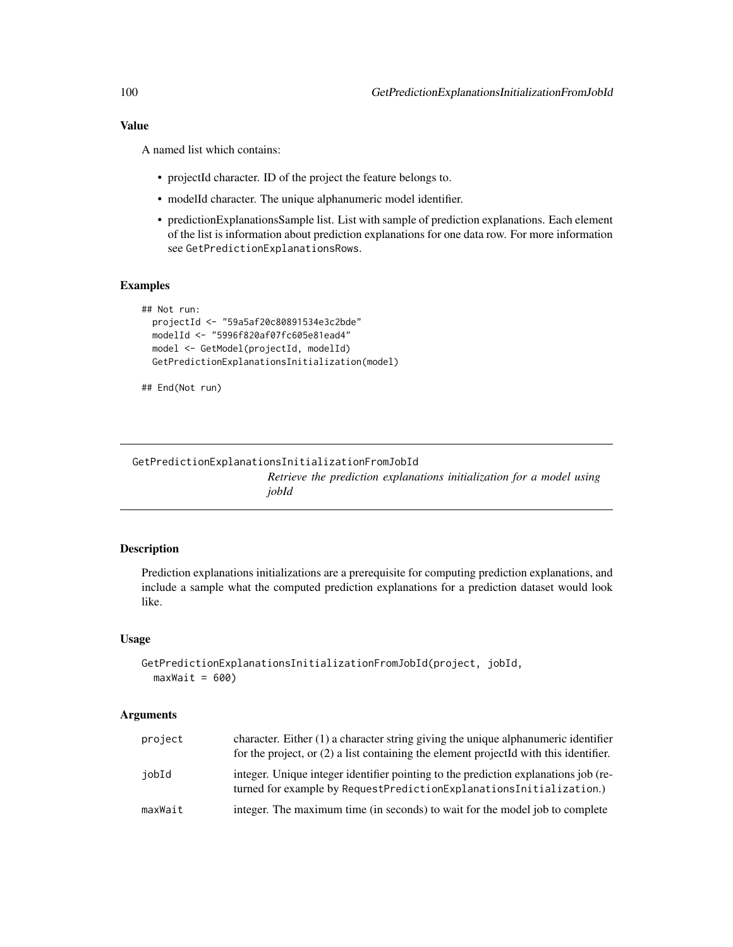# Value

A named list which contains:

- projectId character. ID of the project the feature belongs to.
- modelId character. The unique alphanumeric model identifier.
- predictionExplanationsSample list. List with sample of prediction explanations. Each element of the list is information about prediction explanations for one data row. For more information see GetPredictionExplanationsRows.

# Examples

```
## Not run:
 projectId <- "59a5af20c80891534e3c2bde"
 modelId <- "5996f820af07fc605e81ead4"
 model <- GetModel(projectId, modelId)
 GetPredictionExplanationsInitialization(model)
```

```
## End(Not run)
```
GetPredictionExplanationsInitializationFromJobId *Retrieve the prediction explanations initialization for a model using jobId*

# Description

Prediction explanations initializations are a prerequisite for computing prediction explanations, and include a sample what the computed prediction explanations for a prediction dataset would look like.

# Usage

```
GetPredictionExplanationsInitializationFromJobId(project, jobId,
  maxWait = 600)
```

| project | character. Either $(1)$ a character string giving the unique alphanumeric identifier<br>for the project, or $(2)$ a list containing the element projected with this identifier. |
|---------|---------------------------------------------------------------------------------------------------------------------------------------------------------------------------------|
| iobId   | integer. Unique integer identifier pointing to the prediction explanations job (re-<br>turned for example by RequestPredictionExplanationsInitialization.)                      |
| maxWait | integer. The maximum time (in seconds) to wait for the model job to complete                                                                                                    |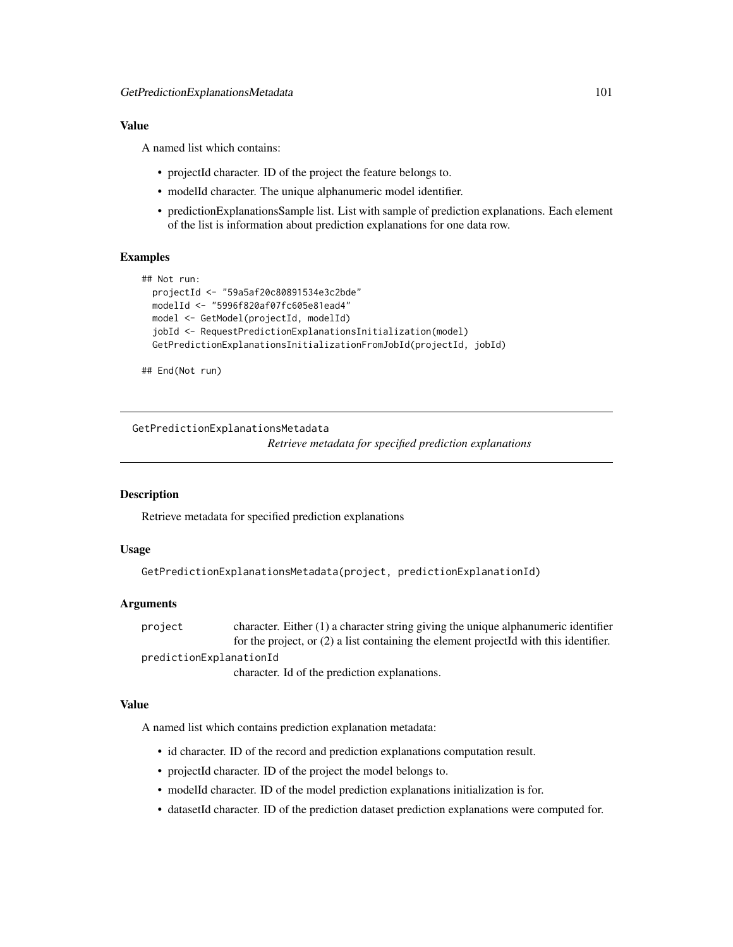# Value

A named list which contains:

- projectId character. ID of the project the feature belongs to.
- modelId character. The unique alphanumeric model identifier.
- predictionExplanationsSample list. List with sample of prediction explanations. Each element of the list is information about prediction explanations for one data row.

# Examples

```
## Not run:
 projectId <- "59a5af20c80891534e3c2bde"
 modelId <- "5996f820af07fc605e81ead4"
 model <- GetModel(projectId, modelId)
 jobId <- RequestPredictionExplanationsInitialization(model)
 GetPredictionExplanationsInitializationFromJobId(projectId, jobId)
```
## End(Not run)

GetPredictionExplanationsMetadata

*Retrieve metadata for specified prediction explanations*

## Description

Retrieve metadata for specified prediction explanations

#### Usage

```
GetPredictionExplanationsMetadata(project, predictionExplanationId)
```
# Arguments

project character. Either (1) a character string giving the unique alphanumeric identifier for the project, or (2) a list containing the element projectId with this identifier. predictionExplanationId character. Id of the prediction explanations.

## Value

A named list which contains prediction explanation metadata:

- id character. ID of the record and prediction explanations computation result.
- projectId character. ID of the project the model belongs to.
- modelId character. ID of the model prediction explanations initialization is for.
- datasetId character. ID of the prediction dataset prediction explanations were computed for.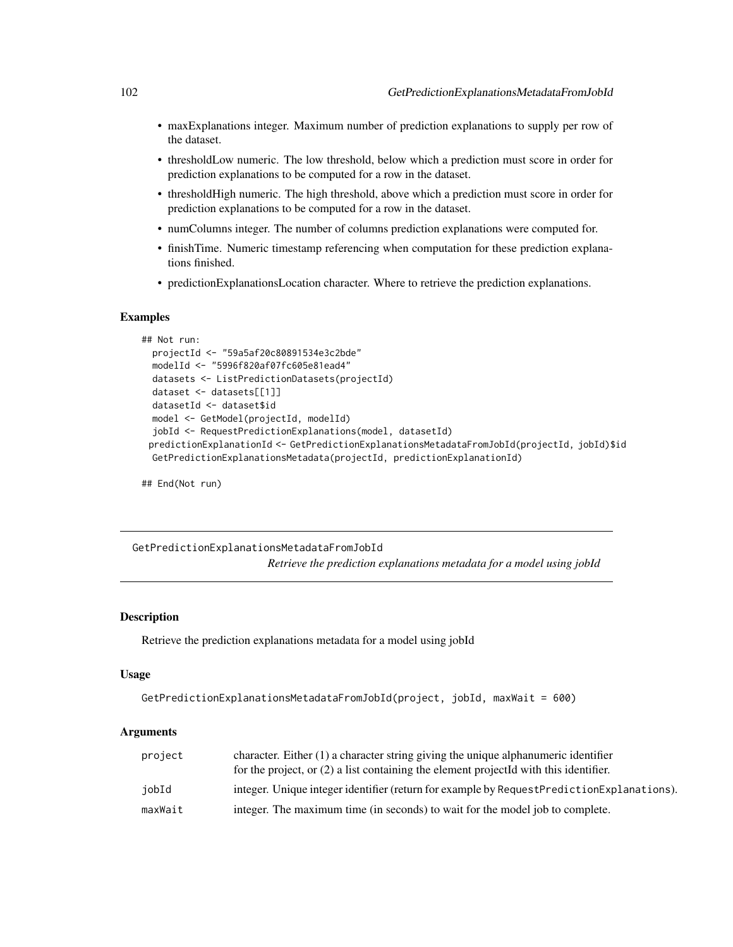- maxExplanations integer. Maximum number of prediction explanations to supply per row of the dataset.
- thresholdLow numeric. The low threshold, below which a prediction must score in order for prediction explanations to be computed for a row in the dataset.
- thresholdHigh numeric. The high threshold, above which a prediction must score in order for prediction explanations to be computed for a row in the dataset.
- numColumns integer. The number of columns prediction explanations were computed for.
- finishTime. Numeric timestamp referencing when computation for these prediction explanations finished.
- predictionExplanationsLocation character. Where to retrieve the prediction explanations.

# **Examples**

```
## Not run:
 projectId <- "59a5af20c80891534e3c2bde"
 modelId <- "5996f820af07fc605e81ead4"
 datasets <- ListPredictionDatasets(projectId)
 dataset <- datasets[[1]]
 datasetId <- dataset$id
 model <- GetModel(projectId, modelId)
 jobId <- RequestPredictionExplanations(model, datasetId)
 predictionExplanationId <- GetPredictionExplanationsMetadataFromJobId(projectId, jobId)$id
 GetPredictionExplanationsMetadata(projectId, predictionExplanationId)
```
## End(Not run)

GetPredictionExplanationsMetadataFromJobId *Retrieve the prediction explanations metadata for a model using jobId*

## Description

Retrieve the prediction explanations metadata for a model using jobId

## Usage

```
GetPredictionExplanationsMetadataFromJobId(project, jobId, maxWait = 600)
```

| project | character. Either $(1)$ a character string giving the unique alphanumeric identifier      |
|---------|-------------------------------------------------------------------------------------------|
|         | for the project, or $(2)$ a list containing the element projected with this identifier.   |
| jobId   | integer. Unique integer identifier (return for example by RequestPredictionExplanations). |
| maxWait | integer. The maximum time (in seconds) to wait for the model job to complete.             |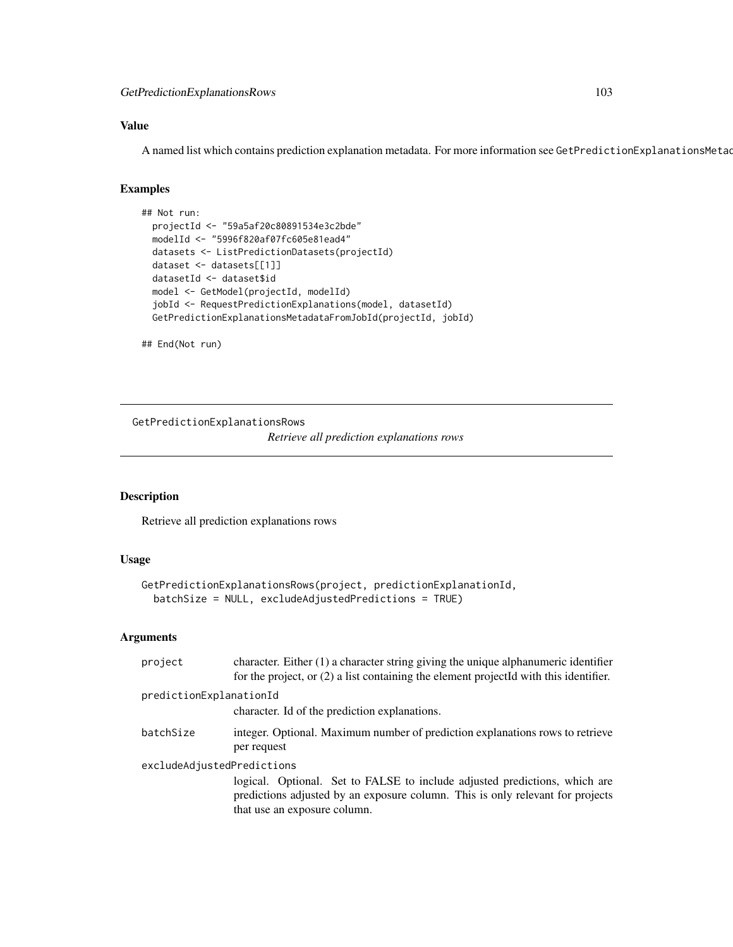GetPredictionExplanationsRows 103

# Value

A named list which contains prediction explanation metadata. For more information see GetPredictionExplanationsMetad

## Examples

```
## Not run:
 projectId <- "59a5af20c80891534e3c2bde"
 modelId <- "5996f820af07fc605e81ead4"
 datasets <- ListPredictionDatasets(projectId)
 dataset <- datasets[[1]]
 datasetId <- dataset$id
 model <- GetModel(projectId, modelId)
 jobId <- RequestPredictionExplanations(model, datasetId)
 GetPredictionExplanationsMetadataFromJobId(projectId, jobId)
```
## End(Not run)

GetPredictionExplanationsRows

*Retrieve all prediction explanations rows*

# Description

Retrieve all prediction explanations rows

# Usage

```
GetPredictionExplanationsRows(project, predictionExplanationId,
  batchSize = NULL, excludeAdjustedPredictions = TRUE)
```

| project                    | character. Either $(1)$ a character string giving the unique alphanumeric identifier<br>for the project, or (2) a list containing the element projectId with this identifier.                |  |
|----------------------------|----------------------------------------------------------------------------------------------------------------------------------------------------------------------------------------------|--|
| predictionExplanationId    |                                                                                                                                                                                              |  |
|                            | character. Id of the prediction explanations.                                                                                                                                                |  |
| batchSize                  | integer. Optional. Maximum number of prediction explanations rows to retrieve<br>per request                                                                                                 |  |
| excludeAdjustedPredictions | logical. Optional. Set to FALSE to include adjusted predictions, which are<br>predictions adjusted by an exposure column. This is only relevant for projects<br>that use an exposure column. |  |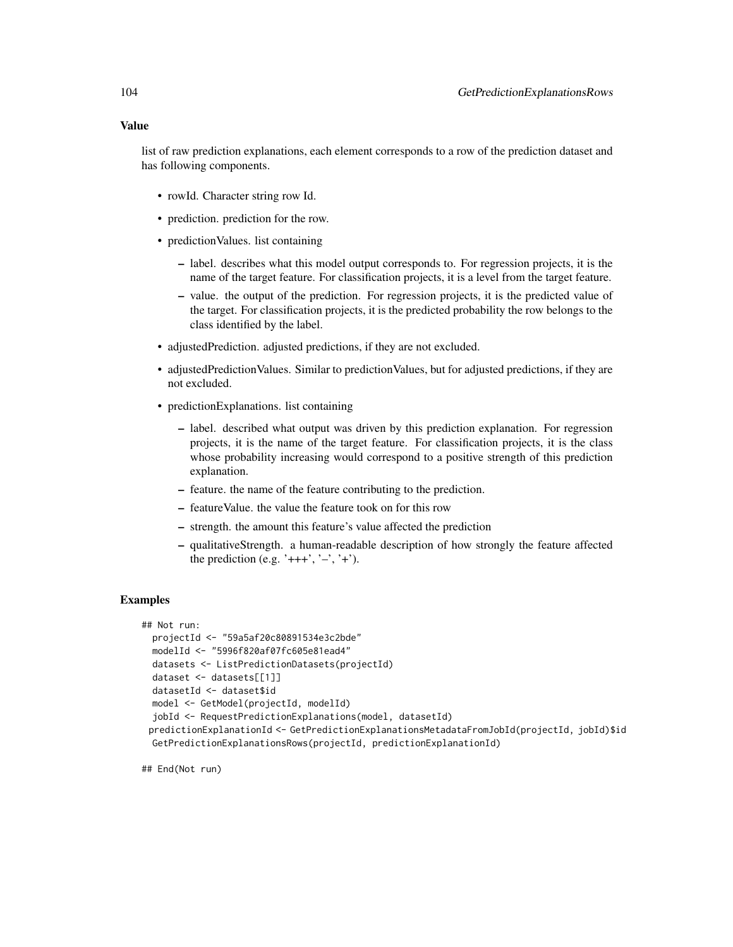#### Value

list of raw prediction explanations, each element corresponds to a row of the prediction dataset and has following components.

- rowId. Character string row Id.
- prediction. prediction for the row.
- prediction Values. list containing
	- label. describes what this model output corresponds to. For regression projects, it is the name of the target feature. For classification projects, it is a level from the target feature.
	- value. the output of the prediction. For regression projects, it is the predicted value of the target. For classification projects, it is the predicted probability the row belongs to the class identified by the label.
- adjustedPrediction. adjusted predictions, if they are not excluded.
- adjustedPredictionValues. Similar to predictionValues, but for adjusted predictions, if they are not excluded.
- predictionExplanations. list containing
	- label. described what output was driven by this prediction explanation. For regression projects, it is the name of the target feature. For classification projects, it is the class whose probability increasing would correspond to a positive strength of this prediction explanation.
	- feature. the name of the feature contributing to the prediction.
	- featureValue. the value the feature took on for this row
	- strength. the amount this feature's value affected the prediction
	- qualitativeStrength. a human-readable description of how strongly the feature affected the prediction (e.g. ' $+++$ ', ' $-$ ', ' $+$ ').

## Examples

```
## Not run:
 projectId <- "59a5af20c80891534e3c2bde"
 modelId <- "5996f820af07fc605e81ead4"
 datasets <- ListPredictionDatasets(projectId)
 dataset <- datasets[[1]]
 datasetId <- dataset$id
 model <- GetModel(projectId, modelId)
 jobId <- RequestPredictionExplanations(model, datasetId)
 predictionExplanationId <- GetPredictionExplanationsMetadataFromJobId(projectId, jobId)$id
 GetPredictionExplanationsRows(projectId, predictionExplanationId)
```
## End(Not run)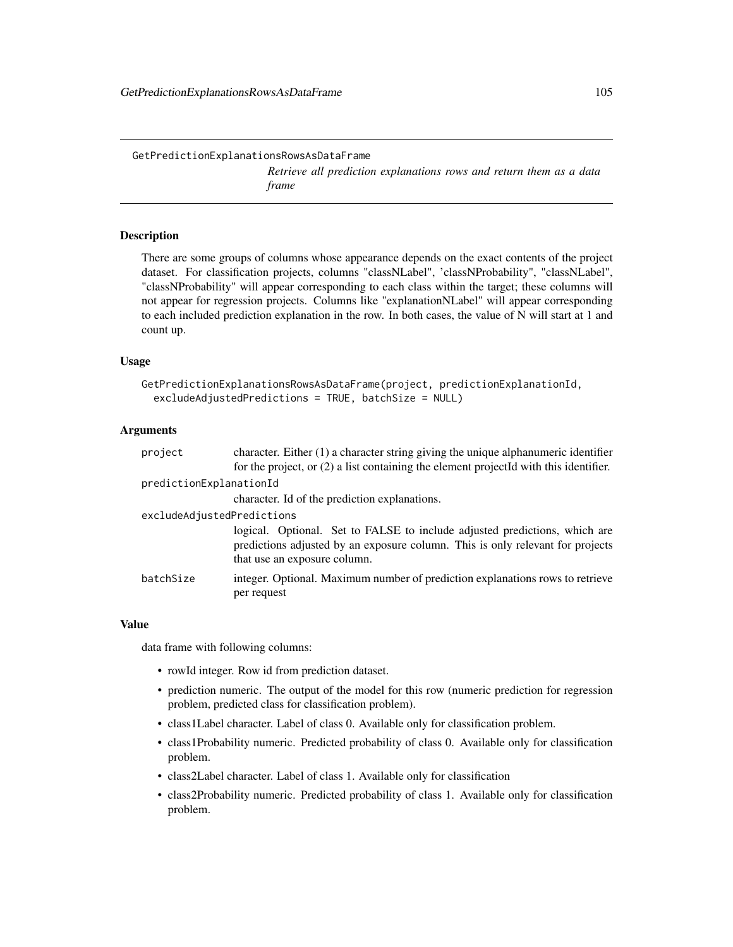GetPredictionExplanationsRowsAsDataFrame *Retrieve all prediction explanations rows and return them as a data frame*

# **Description**

There are some groups of columns whose appearance depends on the exact contents of the project dataset. For classification projects, columns "classNLabel", 'classNProbability", "classNLabel", "classNProbability" will appear corresponding to each class within the target; these columns will not appear for regression projects. Columns like "explanationNLabel" will appear corresponding to each included prediction explanation in the row. In both cases, the value of N will start at 1 and count up.

## Usage

```
GetPredictionExplanationsRowsAsDataFrame(project, predictionExplanationId,
  excludeAdjustedPredictions = TRUE, batchSize = NULL)
```
## Arguments

| project                    | character. Either $(1)$ a character string giving the unique alphanumeric identifier                                                                                                         |
|----------------------------|----------------------------------------------------------------------------------------------------------------------------------------------------------------------------------------------|
|                            | for the project, or (2) a list containing the element projectId with this identifier.                                                                                                        |
| predictionExplanationId    |                                                                                                                                                                                              |
|                            | character. Id of the prediction explanations.                                                                                                                                                |
| excludeAdjustedPredictions |                                                                                                                                                                                              |
|                            | logical. Optional. Set to FALSE to include adjusted predictions, which are<br>predictions adjusted by an exposure column. This is only relevant for projects<br>that use an exposure column. |
| batchSize                  | integer. Optional. Maximum number of prediction explanations rows to retrieve<br>per request                                                                                                 |

## Value

data frame with following columns:

- rowId integer. Row id from prediction dataset.
- prediction numeric. The output of the model for this row (numeric prediction for regression problem, predicted class for classification problem).
- class1Label character. Label of class 0. Available only for classification problem.
- class1Probability numeric. Predicted probability of class 0. Available only for classification problem.
- class2Label character. Label of class 1. Available only for classification
- class2Probability numeric. Predicted probability of class 1. Available only for classification problem.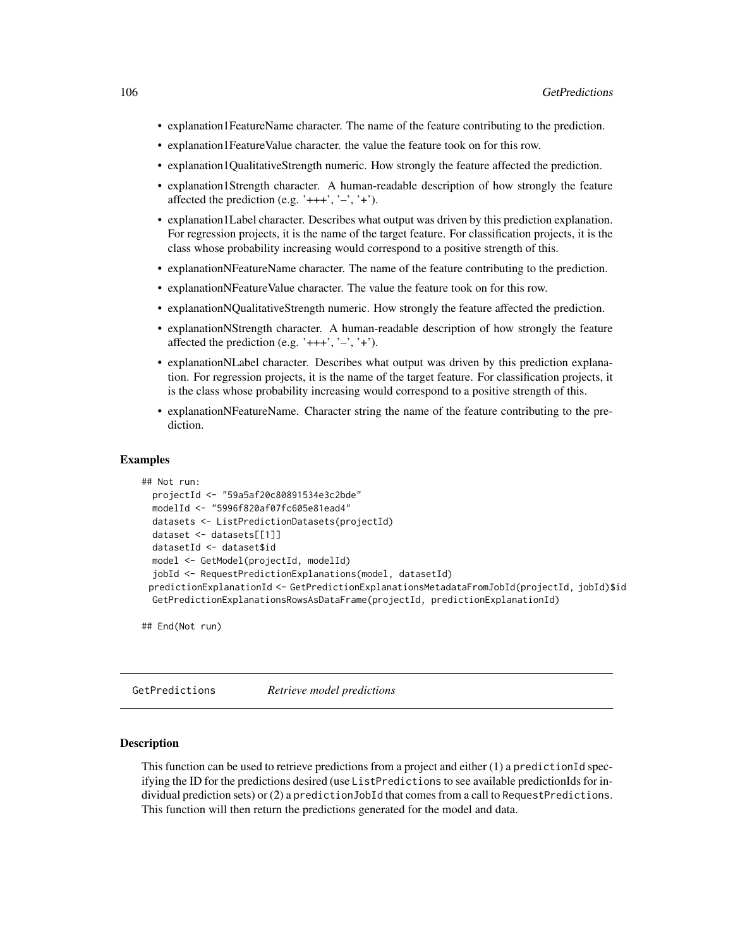- explanation1FeatureName character. The name of the feature contributing to the prediction.
- explanation1FeatureValue character. the value the feature took on for this row.
- explanation1QualitativeStrength numeric. How strongly the feature affected the prediction.
- explanation1Strength character. A human-readable description of how strongly the feature affected the prediction (e.g. ' $+++$ ', ' $-$ ', ' $+$ ').
- explanation1Label character. Describes what output was driven by this prediction explanation. For regression projects, it is the name of the target feature. For classification projects, it is the class whose probability increasing would correspond to a positive strength of this.
- explanationNFeatureName character. The name of the feature contributing to the prediction.
- explanationNFeatureValue character. The value the feature took on for this row.
- explanationNQualitativeStrength numeric. How strongly the feature affected the prediction.
- explanationNStrength character. A human-readable description of how strongly the feature affected the prediction (e.g. ' $+++$ ', ' $-$ ', ' $+$ ').
- explanationNLabel character. Describes what output was driven by this prediction explanation. For regression projects, it is the name of the target feature. For classification projects, it is the class whose probability increasing would correspond to a positive strength of this.
- explanationNFeatureName. Character string the name of the feature contributing to the prediction.

## Examples

```
## Not run:
 projectId <- "59a5af20c80891534e3c2bde"
 modelId <- "5996f820af07fc605e81ead4"
 datasets <- ListPredictionDatasets(projectId)
 dataset <- datasets[[1]]
 datasetId <- dataset$id
 model <- GetModel(projectId, modelId)
  jobId <- RequestPredictionExplanations(model, datasetId)
 predictionExplanationId <- GetPredictionExplanationsMetadataFromJobId(projectId, jobId)$id
 GetPredictionExplanationsRowsAsDataFrame(projectId, predictionExplanationId)
```
## End(Not run)

GetPredictions *Retrieve model predictions*

# Description

This function can be used to retrieve predictions from a project and either (1) a predictionId specifying the ID for the predictions desired (use ListPredictions to see available predictionIds for individual prediction sets) or (2) a predictionJobId that comes from a call to RequestPredictions. This function will then return the predictions generated for the model and data.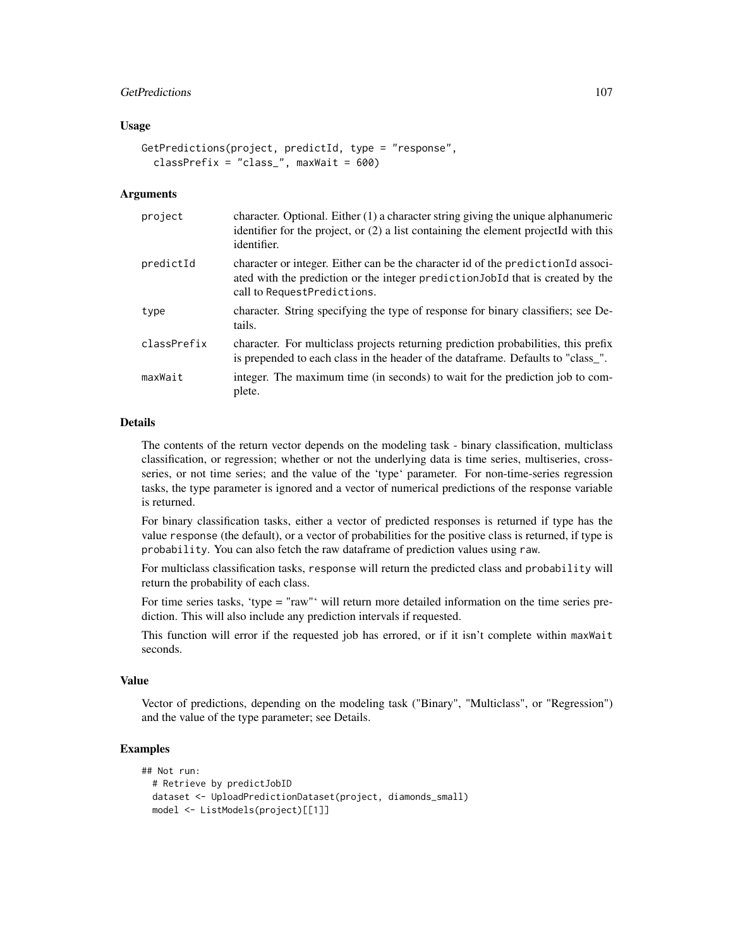# GetPredictions 107

## Usage

```
GetPredictions(project, predictId, type = "response",
 classPrefix = "class", maxWait = 600)
```
## **Arguments**

| project     | character. Optional. Either $(1)$ a character string giving the unique alphanumeric<br>identifier for the project, or (2) a list containing the element projectId with this<br>identifier.          |
|-------------|-----------------------------------------------------------------------------------------------------------------------------------------------------------------------------------------------------|
| predictId   | character or integer. Either can be the character id of the prediction Id associ-<br>ated with the prediction or the integer prediction JobId that is created by the<br>call to RequestPredictions. |
| type        | character. String specifying the type of response for binary classifiers; see De-<br>tails.                                                                                                         |
| classPrefix | character. For multiclass projects returning prediction probabilities, this prefix<br>is prepended to each class in the header of the dataframe. Defaults to "class_".                              |
| maxWait     | integer. The maximum time (in seconds) to wait for the prediction job to com-<br>plete.                                                                                                             |

## Details

The contents of the return vector depends on the modeling task - binary classification, multiclass classification, or regression; whether or not the underlying data is time series, multiseries, crossseries, or not time series; and the value of the 'type' parameter. For non-time-series regression tasks, the type parameter is ignored and a vector of numerical predictions of the response variable is returned.

For binary classification tasks, either a vector of predicted responses is returned if type has the value response (the default), or a vector of probabilities for the positive class is returned, if type is probability. You can also fetch the raw dataframe of prediction values using raw.

For multiclass classification tasks, response will return the predicted class and probability will return the probability of each class.

For time series tasks, 'type = "raw"' will return more detailed information on the time series prediction. This will also include any prediction intervals if requested.

This function will error if the requested job has errored, or if it isn't complete within maxWait seconds.

## Value

Vector of predictions, depending on the modeling task ("Binary", "Multiclass", or "Regression") and the value of the type parameter; see Details.

# Examples

```
## Not run:
 # Retrieve by predictJobID
 dataset <- UploadPredictionDataset(project, diamonds_small)
 model <- ListModels(project)[[1]]
```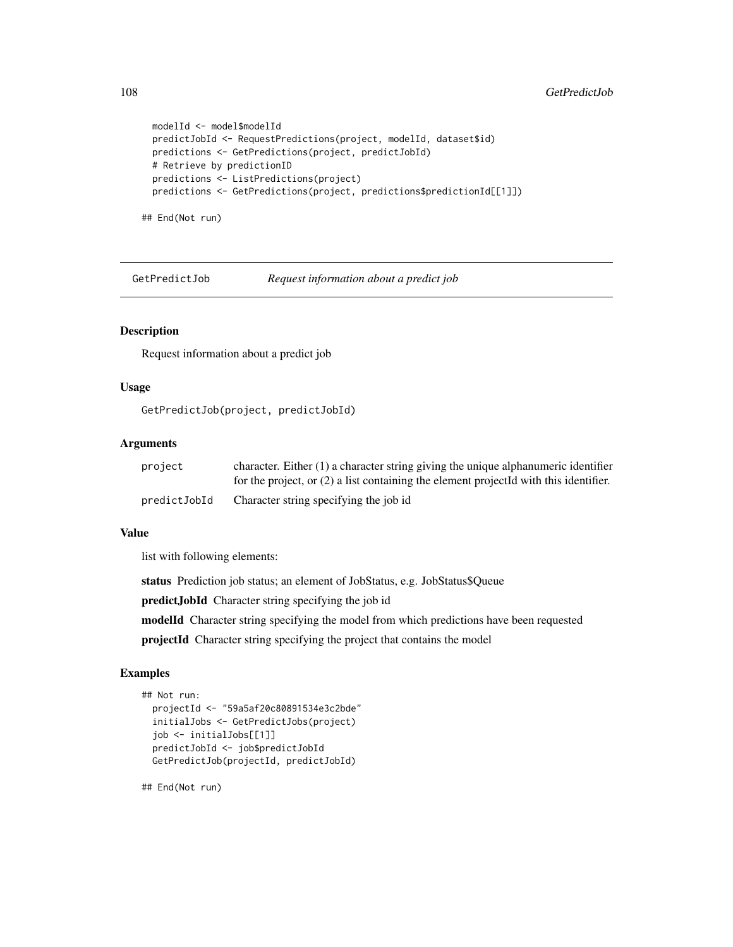```
modelId <- model$modelId
predictJobId <- RequestPredictions(project, modelId, dataset$id)
predictions <- GetPredictions(project, predictJobId)
# Retrieve by predictionID
predictions <- ListPredictions(project)
predictions <- GetPredictions(project, predictions$predictionId[[1]])
```
## End(Not run)

GetPredictJob *Request information about a predict job*

## Description

Request information about a predict job

# Usage

GetPredictJob(project, predictJobId)

# Arguments

| project      | character. Either $(1)$ a character string giving the unique alphanumeric identifier    |
|--------------|-----------------------------------------------------------------------------------------|
|              | for the project, or $(2)$ a list containing the element projected with this identifier. |
| predictJobId | Character string specifying the job id                                                  |

#### Value

list with following elements:

status Prediction job status; an element of JobStatus, e.g. JobStatus\$Queue

predictJobId Character string specifying the job id

modelId Character string specifying the model from which predictions have been requested

projectId Character string specifying the project that contains the model

# Examples

```
## Not run:
 projectId <- "59a5af20c80891534e3c2bde"
 initialJobs <- GetPredictJobs(project)
 job <- initialJobs[[1]]
 predictJobId <- job$predictJobId
 GetPredictJob(projectId, predictJobId)
```
## End(Not run)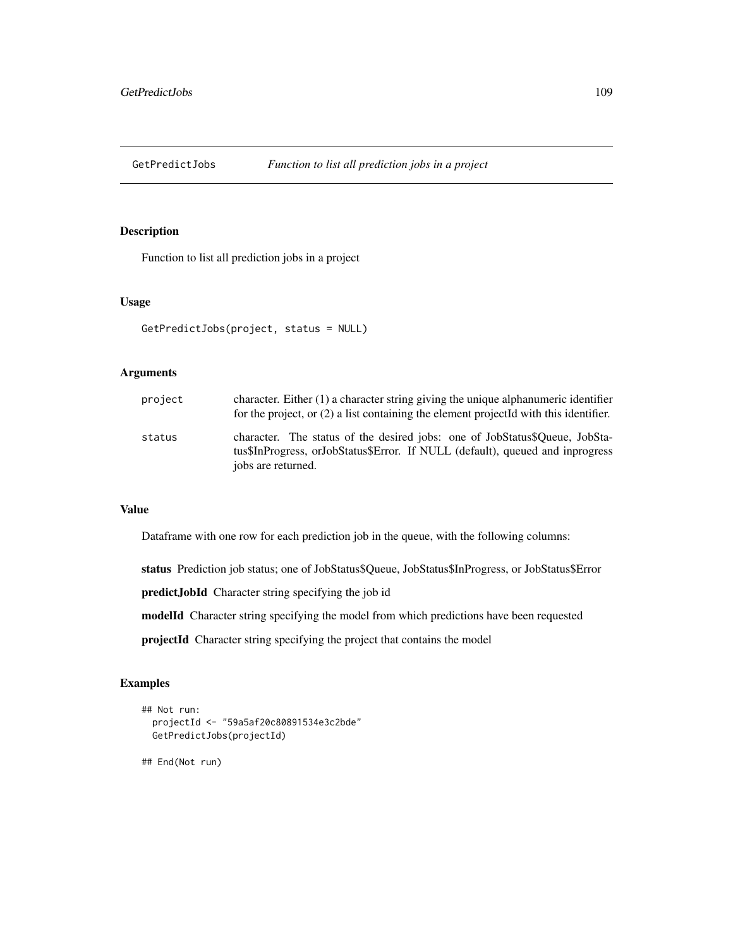Function to list all prediction jobs in a project

## Usage

```
GetPredictJobs(project, status = NULL)
```
## Arguments

| project | character. Either (1) a character string giving the unique alphanumeric identifier<br>for the project, or $(2)$ a list containing the element projected with this identifier.      |
|---------|------------------------------------------------------------------------------------------------------------------------------------------------------------------------------------|
| status  | character. The status of the desired jobs: one of JobStatus\$Oueue, JobSta-<br>tus\$InProgress, orJobStatus\$Error. If NULL (default), queued and inprogress<br>jobs are returned. |

## Value

Dataframe with one row for each prediction job in the queue, with the following columns:

status Prediction job status; one of JobStatus\$Queue, JobStatus\$InProgress, or JobStatus\$Error

predictJobId Character string specifying the job id

modelId Character string specifying the model from which predictions have been requested

projectId Character string specifying the project that contains the model

# Examples

```
## Not run:
 projectId <- "59a5af20c80891534e3c2bde"
 GetPredictJobs(projectId)
```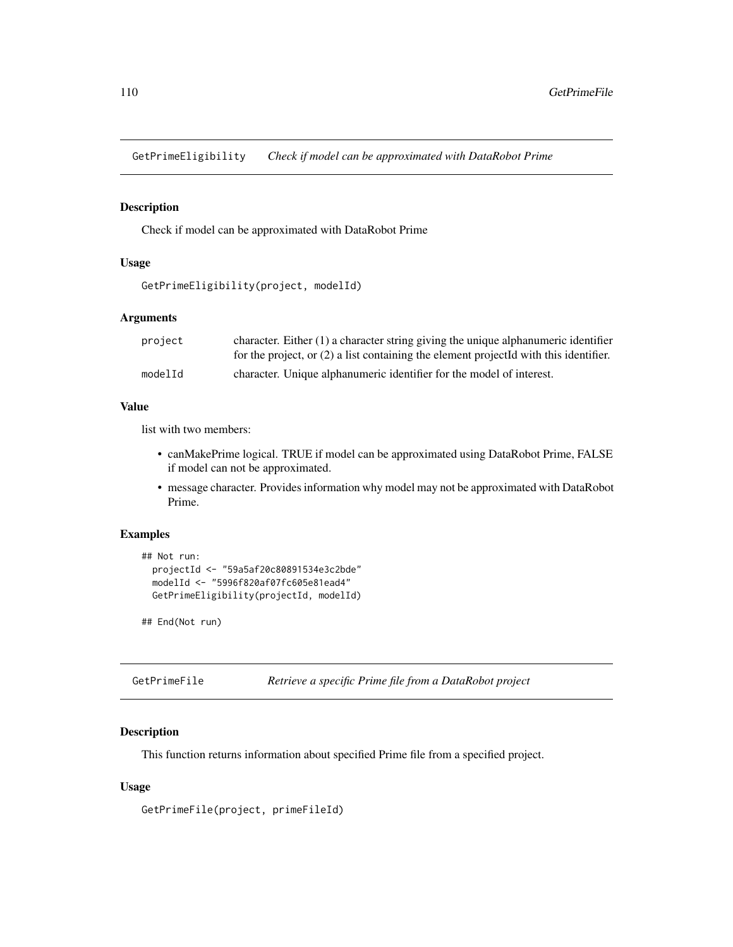GetPrimeEligibility *Check if model can be approximated with DataRobot Prime*

## Description

Check if model can be approximated with DataRobot Prime

# Usage

```
GetPrimeEligibility(project, modelId)
```
## Arguments

| project | character. Either $(1)$ a character string giving the unique alphanumeric identifier    |
|---------|-----------------------------------------------------------------------------------------|
|         | for the project, or $(2)$ a list containing the element projected with this identifier. |
| modelId | character. Unique alphanumeric identifier for the model of interest.                    |

## Value

list with two members:

- canMakePrime logical. TRUE if model can be approximated using DataRobot Prime, FALSE if model can not be approximated.
- message character. Provides information why model may not be approximated with DataRobot Prime.

## Examples

```
## Not run:
  projectId <- "59a5af20c80891534e3c2bde"
  modelId <- "5996f820af07fc605e81ead4"
  GetPrimeEligibility(projectId, modelId)
```
## End(Not run)

| GetPrimeFile |  |  |  |  | Retrieve a specific Prime file from a DataRobot project |  |
|--------------|--|--|--|--|---------------------------------------------------------|--|
|--------------|--|--|--|--|---------------------------------------------------------|--|

#### Description

This function returns information about specified Prime file from a specified project.

## Usage

GetPrimeFile(project, primeFileId)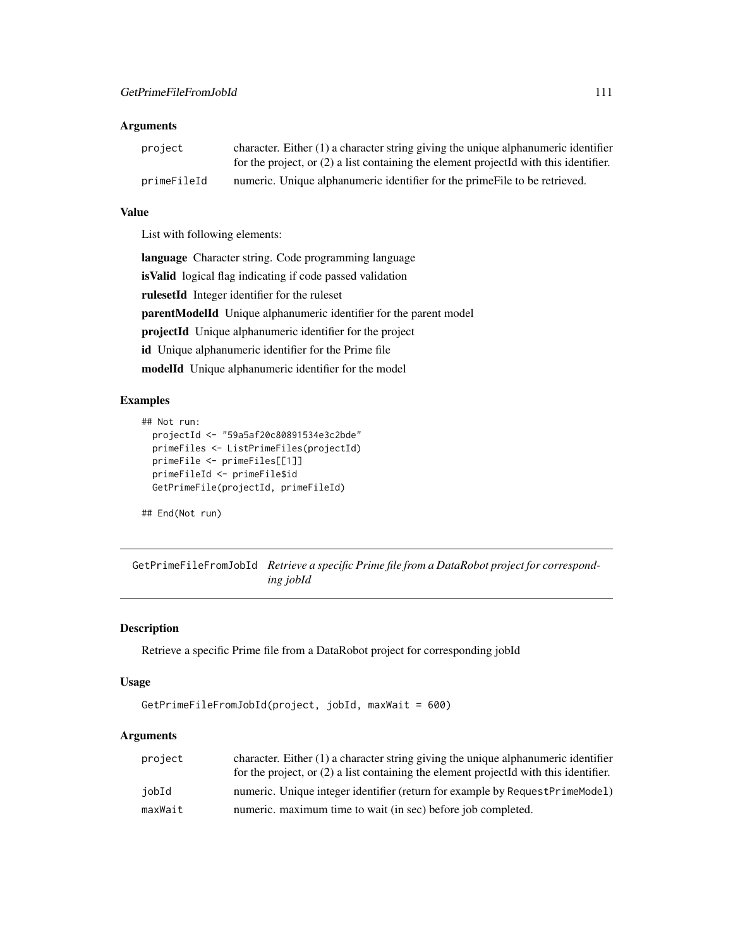# Arguments

| project     | character. Either $(1)$ a character string giving the unique alphanumeric identifier    |
|-------------|-----------------------------------------------------------------------------------------|
|             | for the project, or $(2)$ a list containing the element projected with this identifier. |
| primeFileId | numeric. Unique alphanumeric identifier for the prime File to be retrieved.             |

# Value

List with following elements:

language Character string. Code programming language isValid logical flag indicating if code passed validation rulesetId Integer identifier for the ruleset parentModelId Unique alphanumeric identifier for the parent model projectId Unique alphanumeric identifier for the project id Unique alphanumeric identifier for the Prime file modelId Unique alphanumeric identifier for the model

# Examples

```
## Not run:
 projectId <- "59a5af20c80891534e3c2bde"
 primeFiles <- ListPrimeFiles(projectId)
 primeFile <- primeFiles[[1]]
 primeFileId <- primeFile$id
 GetPrimeFile(projectId, primeFileId)
```
## End(Not run)

GetPrimeFileFromJobId *Retrieve a specific Prime file from a DataRobot project for corresponding jobId*

## Description

Retrieve a specific Prime file from a DataRobot project for corresponding jobId

## Usage

```
GetPrimeFileFromJobId(project, jobId, maxWait = 600)
```
# Arguments

| project | character. Either $(1)$ a character string giving the unique alphanumeric identifier    |
|---------|-----------------------------------------------------------------------------------------|
|         | for the project, or $(2)$ a list containing the element projected with this identifier. |
| jobId   | numeric. Unique integer identifier (return for example by RequestPrimeModel)            |
| maxWait | numeric. maximum time to wait (in sec) before job completed.                            |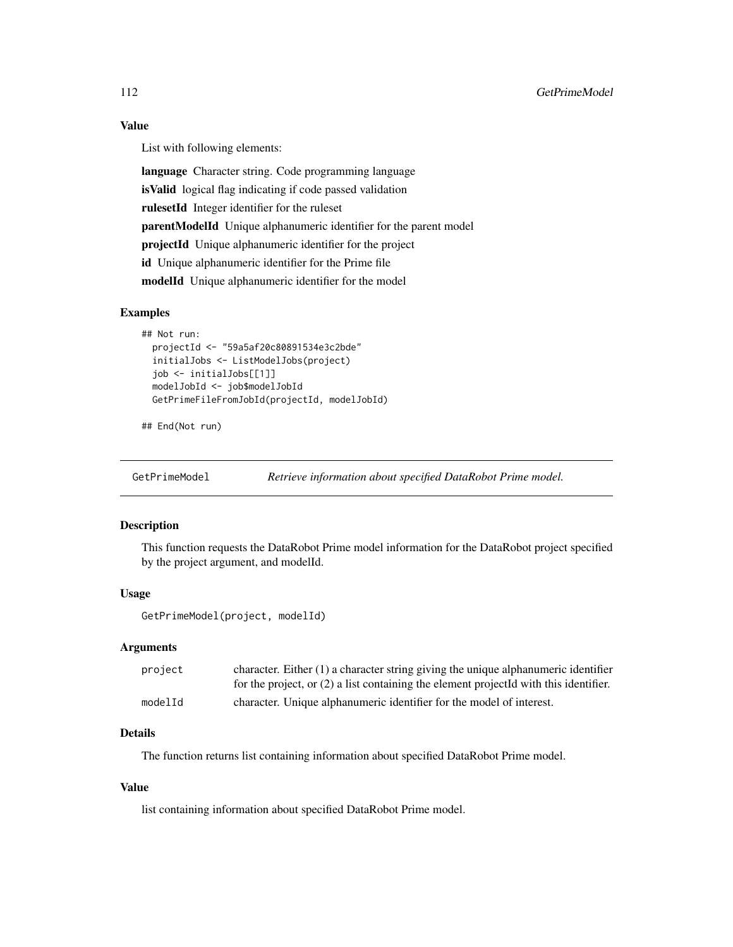## Value

List with following elements:

language Character string. Code programming language isValid logical flag indicating if code passed validation rulesetId Integer identifier for the ruleset parentModelId Unique alphanumeric identifier for the parent model projectId Unique alphanumeric identifier for the project id Unique alphanumeric identifier for the Prime file modelId Unique alphanumeric identifier for the model

#### Examples

```
## Not run:
 projectId <- "59a5af20c80891534e3c2bde"
 initialJobs <- ListModelJobs(project)
 job <- initialJobs[[1]]
 modelJobId <- job$modelJobId
 GetPrimeFileFromJobId(projectId, modelJobId)
```

```
## End(Not run)
```
GetPrimeModel *Retrieve information about specified DataRobot Prime model.*

# Description

This function requests the DataRobot Prime model information for the DataRobot project specified by the project argument, and modelId.

## Usage

GetPrimeModel(project, modelId)

#### Arguments

| project | character. Either $(1)$ a character string giving the unique alphanumeric identifier    |
|---------|-----------------------------------------------------------------------------------------|
|         | for the project, or $(2)$ a list containing the element projected with this identifier. |
| modelId | character. Unique alphanumeric identifier for the model of interest.                    |

# Details

The function returns list containing information about specified DataRobot Prime model.

# Value

list containing information about specified DataRobot Prime model.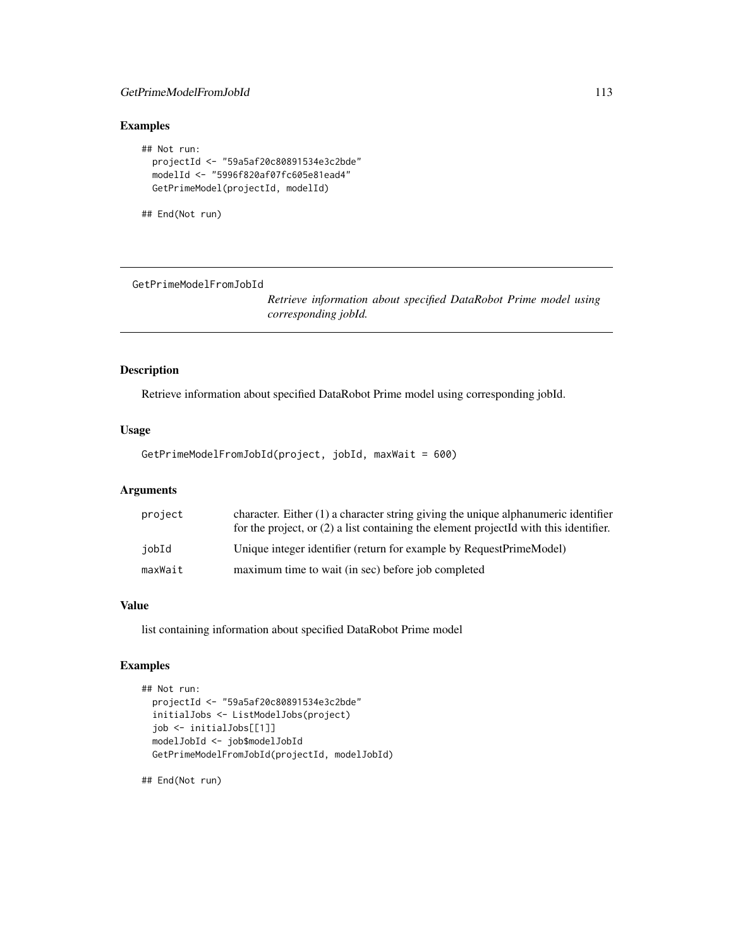# GetPrimeModelFromJobId 113

# Examples

```
## Not run:
 projectId <- "59a5af20c80891534e3c2bde"
 modelId <- "5996f820af07fc605e81ead4"
 GetPrimeModel(projectId, modelId)
```
## End(Not run)

GetPrimeModelFromJobId

*Retrieve information about specified DataRobot Prime model using corresponding jobId.*

## Description

Retrieve information about specified DataRobot Prime model using corresponding jobId.

## Usage

GetPrimeModelFromJobId(project, jobId, maxWait = 600)

# Arguments

| project | character. Either (1) a character string giving the unique alphanumeric identifier<br>for the project, or (2) a list containing the element projectId with this identifier. |
|---------|-----------------------------------------------------------------------------------------------------------------------------------------------------------------------------|
| iobId   | Unique integer identifier (return for example by RequestPrimeModel)                                                                                                         |
| maxWait | maximum time to wait (in sec) before job completed                                                                                                                          |

## Value

list containing information about specified DataRobot Prime model

## Examples

```
## Not run:
 projectId <- "59a5af20c80891534e3c2bde"
 initialJobs <- ListModelJobs(project)
 job <- initialJobs[[1]]
 modelJobId <- job$modelJobId
 GetPrimeModelFromJobId(projectId, modelJobId)
```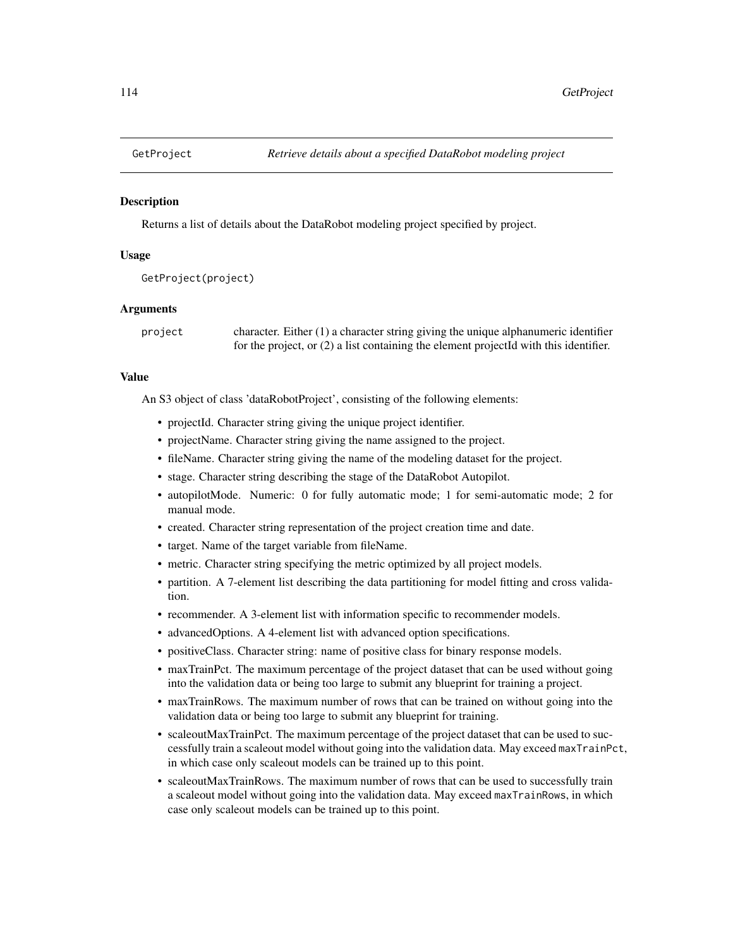Returns a list of details about the DataRobot modeling project specified by project.

## Usage

```
GetProject(project)
```
## Arguments

project character. Either (1) a character string giving the unique alphanumeric identifier for the project, or (2) a list containing the element projectId with this identifier.

# Value

An S3 object of class 'dataRobotProject', consisting of the following elements:

- projectId. Character string giving the unique project identifier.
- projectName. Character string giving the name assigned to the project.
- fileName. Character string giving the name of the modeling dataset for the project.
- stage. Character string describing the stage of the DataRobot Autopilot.
- autopilotMode. Numeric: 0 for fully automatic mode; 1 for semi-automatic mode; 2 for manual mode.
- created. Character string representation of the project creation time and date.
- target. Name of the target variable from fileName.
- metric. Character string specifying the metric optimized by all project models.
- partition. A 7-element list describing the data partitioning for model fitting and cross validation.
- recommender. A 3-element list with information specific to recommender models.
- advancedOptions. A 4-element list with advanced option specifications.
- positiveClass. Character string: name of positive class for binary response models.
- maxTrainPct. The maximum percentage of the project dataset that can be used without going into the validation data or being too large to submit any blueprint for training a project.
- maxTrainRows. The maximum number of rows that can be trained on without going into the validation data or being too large to submit any blueprint for training.
- scaleoutMaxTrainPct. The maximum percentage of the project dataset that can be used to successfully train a scaleout model without going into the validation data. May exceed maxTrainPct, in which case only scaleout models can be trained up to this point.
- scaleoutMaxTrainRows. The maximum number of rows that can be used to successfully train a scaleout model without going into the validation data. May exceed maxTrainRows, in which case only scaleout models can be trained up to this point.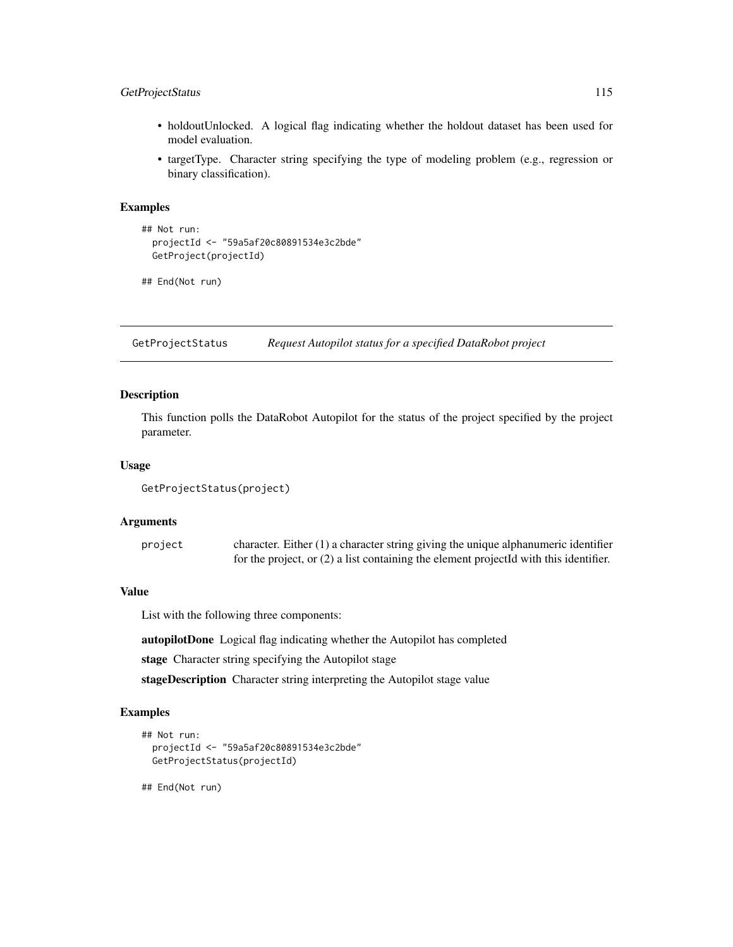# GetProjectStatus 115

- holdoutUnlocked. A logical flag indicating whether the holdout dataset has been used for model evaluation.
- targetType. Character string specifying the type of modeling problem (e.g., regression or binary classification).

## Examples

```
## Not run:
 projectId <- "59a5af20c80891534e3c2bde"
 GetProject(projectId)
```

```
## End(Not run)
```
GetProjectStatus *Request Autopilot status for a specified DataRobot project*

# Description

This function polls the DataRobot Autopilot for the status of the project specified by the project parameter.

## Usage

```
GetProjectStatus(project)
```
## **Arguments**

project character. Either (1) a character string giving the unique alphanumeric identifier for the project, or (2) a list containing the element projectId with this identifier.

## Value

List with the following three components:

autopilotDone Logical flag indicating whether the Autopilot has completed

stage Character string specifying the Autopilot stage

stageDescription Character string interpreting the Autopilot stage value

#### Examples

```
## Not run:
 projectId <- "59a5af20c80891534e3c2bde"
 GetProjectStatus(projectId)
```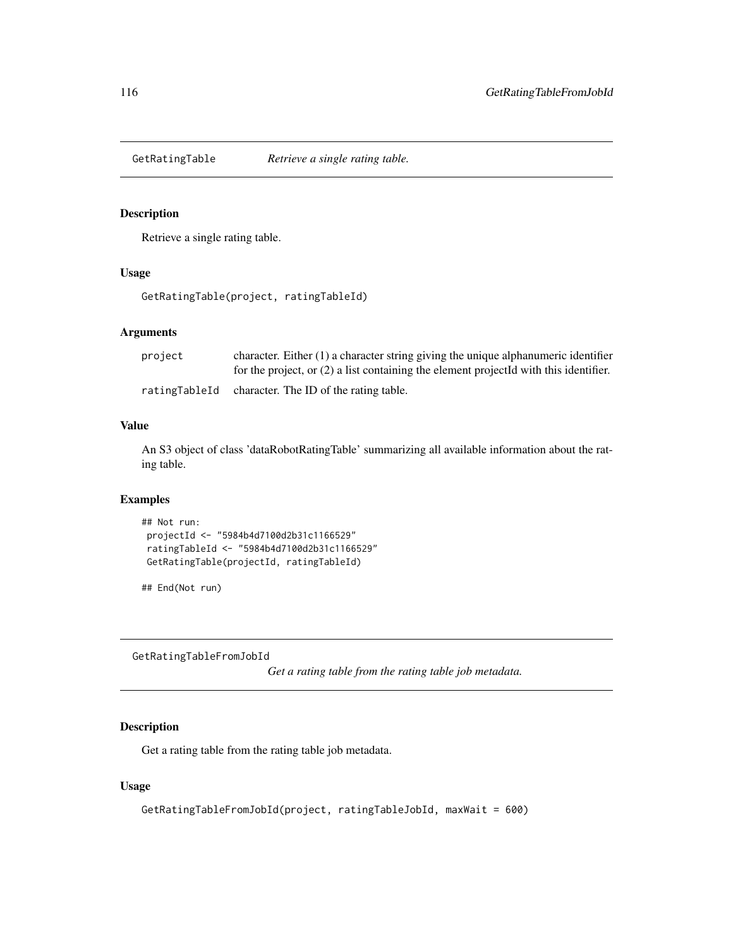Retrieve a single rating table.

## Usage

GetRatingTable(project, ratingTableId)

# Arguments

| project | character. Either $(1)$ a character string giving the unique alphanumeric identifier    |
|---------|-----------------------------------------------------------------------------------------|
|         | for the project, or $(2)$ a list containing the element projected with this identifier. |
|         | ratingTableId character. The ID of the rating table.                                    |

#### Value

An S3 object of class 'dataRobotRatingTable' summarizing all available information about the rating table.

# Examples

```
## Not run:
projectId <- "5984b4d7100d2b31c1166529"
ratingTableId <- "5984b4d7100d2b31c1166529"
GetRatingTable(projectId, ratingTableId)
```
## End(Not run)

GetRatingTableFromJobId

*Get a rating table from the rating table job metadata.*

# Description

Get a rating table from the rating table job metadata.

## Usage

```
GetRatingTableFromJobId(project, ratingTableJobId, maxWait = 600)
```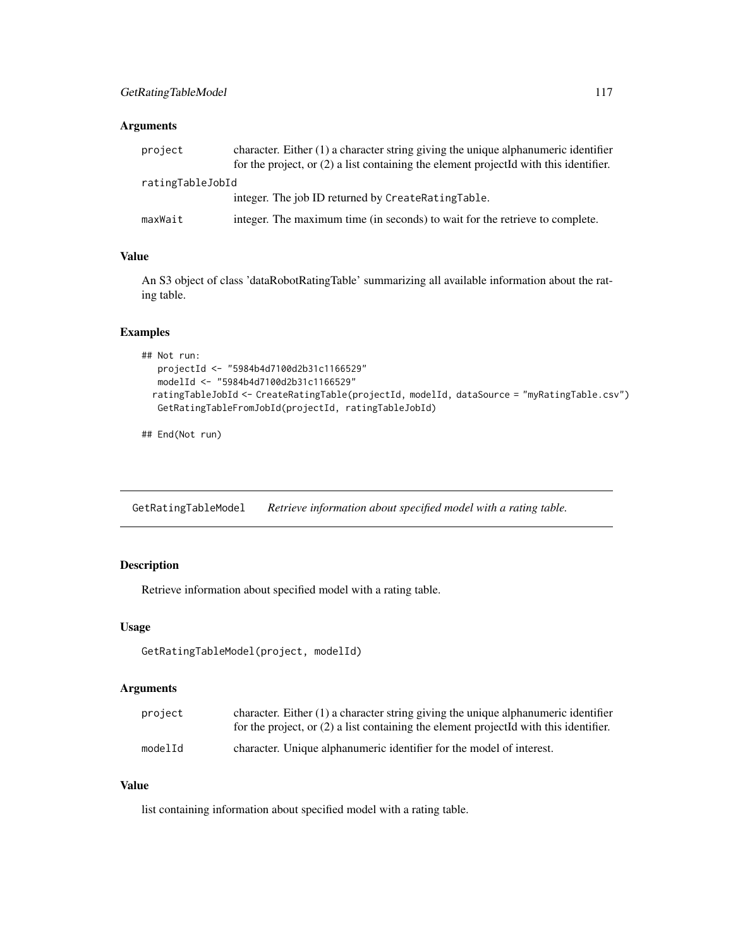# Arguments

| project          | character. Either (1) a character string giving the unique alphanumeric identifier<br>for the project, or $(2)$ a list containing the element projected with this identifier. |
|------------------|-------------------------------------------------------------------------------------------------------------------------------------------------------------------------------|
| ratingTableJobId |                                                                                                                                                                               |
|                  | integer. The job ID returned by CreateRatingTable.                                                                                                                            |
| maxWait          | integer. The maximum time (in seconds) to wait for the retrieve to complete.                                                                                                  |

# Value

An S3 object of class 'dataRobotRatingTable' summarizing all available information about the rating table.

# Examples

```
## Not run:
  projectId <- "5984b4d7100d2b31c1166529"
  modelId <- "5984b4d7100d2b31c1166529"
 ratingTableJobId <- CreateRatingTable(projectId, modelId, dataSource = "myRatingTable.csv")
  GetRatingTableFromJobId(projectId, ratingTableJobId)
```
## End(Not run)

GetRatingTableModel *Retrieve information about specified model with a rating table.*

# Description

Retrieve information about specified model with a rating table.

#### Usage

```
GetRatingTableModel(project, modelId)
```
## Arguments

| project | character. Either $(1)$ a character string giving the unique alphanumeric identifier<br>for the project, or $(2)$ a list containing the element projected with this identifier. |
|---------|---------------------------------------------------------------------------------------------------------------------------------------------------------------------------------|
| modelId | character. Unique alphanumeric identifier for the model of interest.                                                                                                            |

## Value

list containing information about specified model with a rating table.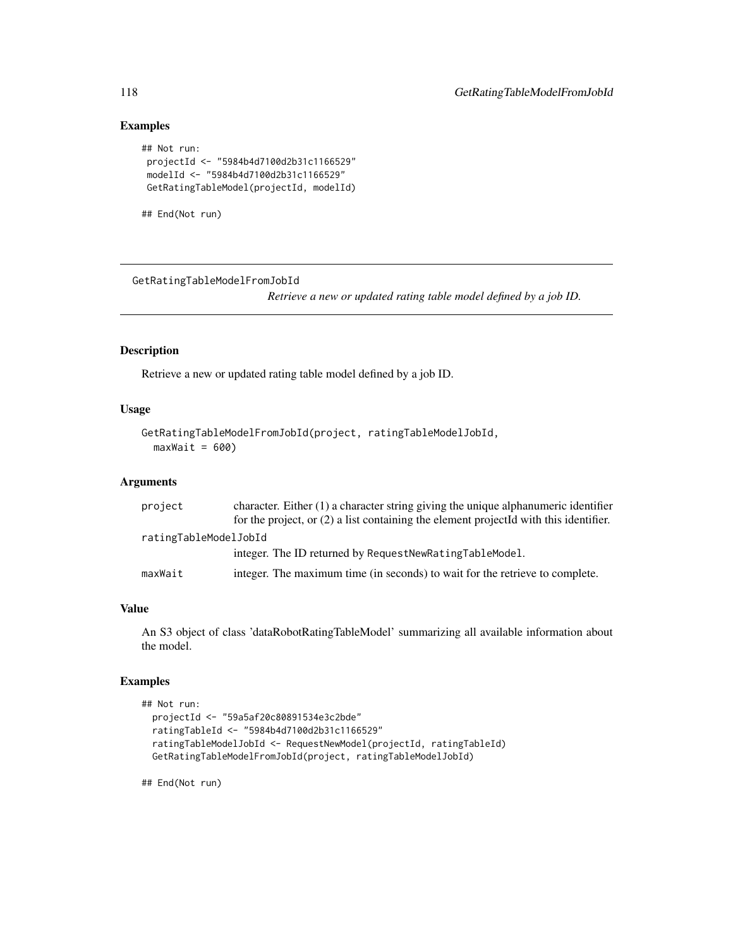# Examples

```
## Not run:
projectId <- "5984b4d7100d2b31c1166529"
modelId <- "5984b4d7100d2b31c1166529"
GetRatingTableModel(projectId, modelId)
```

```
## End(Not run)
```
GetRatingTableModelFromJobId

*Retrieve a new or updated rating table model defined by a job ID.*

# Description

Retrieve a new or updated rating table model defined by a job ID.

## Usage

```
GetRatingTableModelFromJobId(project, ratingTableModelJobId,
  maxWait = 600)
```
#### Arguments

| project               | character. Either $(1)$ a character string giving the unique alphanumeric identifier    |
|-----------------------|-----------------------------------------------------------------------------------------|
|                       | for the project, or $(2)$ a list containing the element projected with this identifier. |
| ratingTableModelJobId |                                                                                         |
|                       | integer. The ID returned by RequestNewRatingTableModel.                                 |
| maxWait               | integer. The maximum time (in seconds) to wait for the retrieve to complete.            |

## Value

An S3 object of class 'dataRobotRatingTableModel' summarizing all available information about the model.

#### Examples

```
## Not run:
 projectId <- "59a5af20c80891534e3c2bde"
 ratingTableId <- "5984b4d7100d2b31c1166529"
 ratingTableModelJobId <- RequestNewModel(projectId, ratingTableId)
 GetRatingTableModelFromJobId(project, ratingTableModelJobId)
```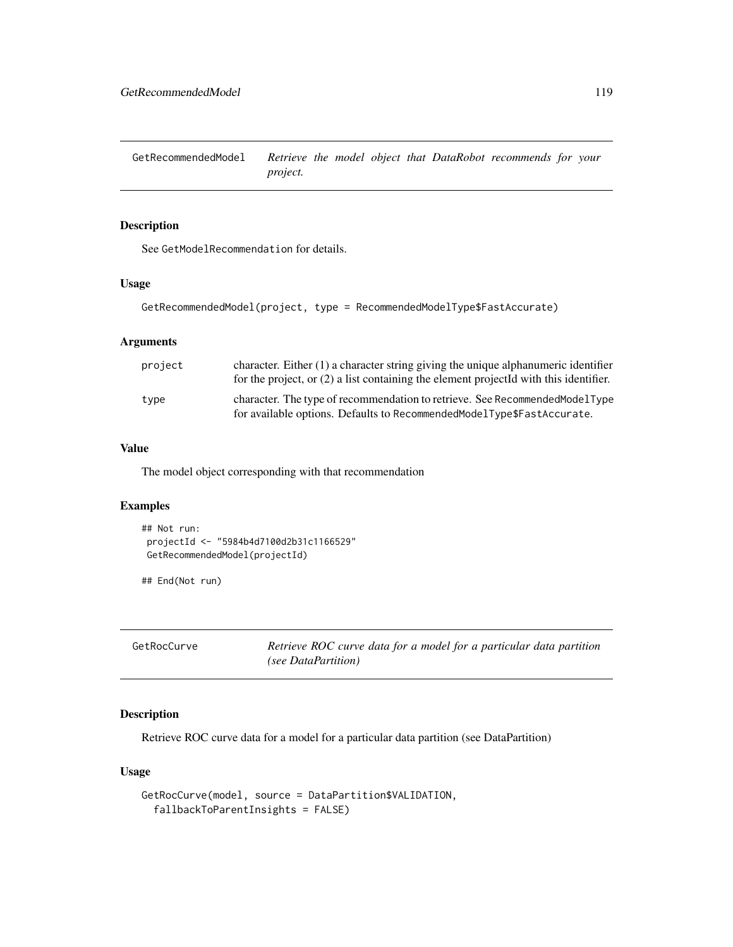GetRecommendedModel *Retrieve the model object that DataRobot recommends for your project.*

# Description

See GetModelRecommendation for details.

#### Usage

```
GetRecommendedModel(project, type = RecommendedModelType$FastAccurate)
```
# Arguments

| project | character. Either $(1)$ a character string giving the unique alphanumeric identifier<br>for the project, or $(2)$ a list containing the element projected with this identifier. |
|---------|---------------------------------------------------------------------------------------------------------------------------------------------------------------------------------|
| type    | character. The type of recommendation to retrieve. See Recommended Model Type<br>for available options. Defaults to RecommendedModelType\$FastAccurate.                         |

# Value

The model object corresponding with that recommendation

# Examples

```
## Not run:
projectId <- "5984b4d7100d2b31c1166529"
GetRecommendedModel(projectId)
```
## End(Not run)

GetRocCurve *Retrieve ROC curve data for a model for a particular data partition (see DataPartition)*

# Description

Retrieve ROC curve data for a model for a particular data partition (see DataPartition)

# Usage

```
GetRocCurve(model, source = DataPartition$VALIDATION,
  fallbackToParentInsights = FALSE)
```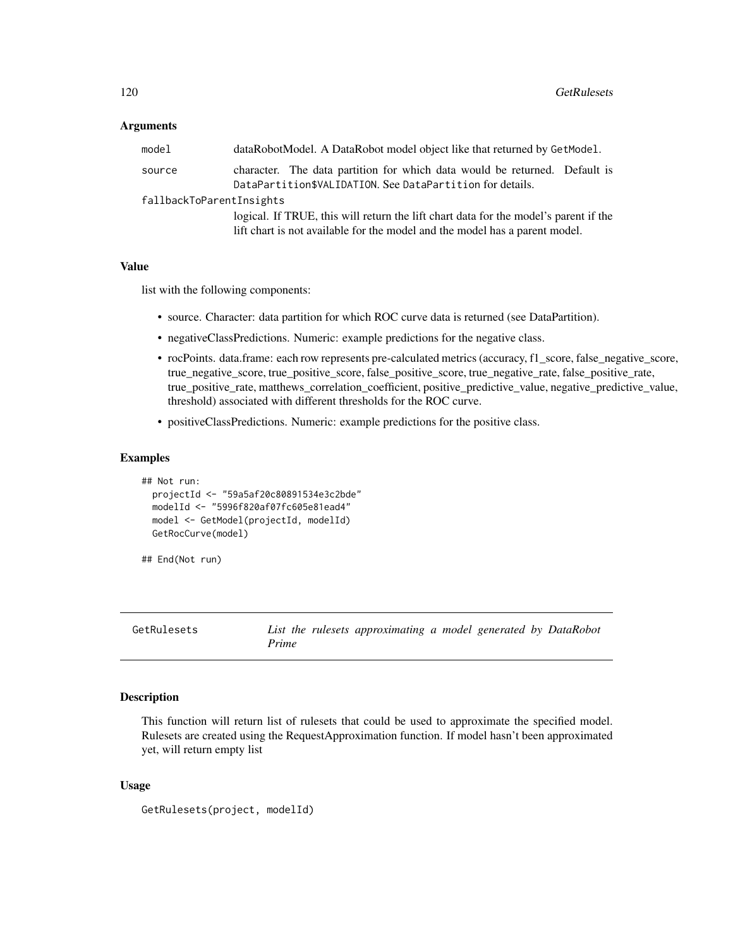## Arguments

| model                    | dataRobotModel. A DataRobot model object like that returned by GetModel.                                                                                            |  |
|--------------------------|---------------------------------------------------------------------------------------------------------------------------------------------------------------------|--|
| source                   | character. The data partition for which data would be returned. Default is<br>DataPartition\$VALIDATION. See DataPartition for details.                             |  |
| fallbackToParentInsights |                                                                                                                                                                     |  |
|                          | logical. If TRUE, this will return the lift chart data for the model's parent if the<br>lift chart is not available for the model and the model has a parent model. |  |

## Value

list with the following components:

- source. Character: data partition for which ROC curve data is returned (see DataPartition).
- negativeClassPredictions. Numeric: example predictions for the negative class.
- rocPoints. data.frame: each row represents pre-calculated metrics (accuracy, f1\_score, false\_negative\_score, true\_negative\_score, true\_positive\_score, false\_positive\_score, true\_negative\_rate, false\_positive\_rate, true\_positive\_rate, matthews\_correlation\_coefficient, positive\_predictive\_value, negative\_predictive\_value, threshold) associated with different thresholds for the ROC curve.
- positiveClassPredictions. Numeric: example predictions for the positive class.

## Examples

```
## Not run:
 projectId <- "59a5af20c80891534e3c2bde"
 modelId <- "5996f820af07fc605e81ead4"
 model <- GetModel(projectId, modelId)
 GetRocCurve(model)
```
## End(Not run)

```
GetRulesets List the rulesets approximating a model generated by DataRobot
                     Prime
```
#### Description

This function will return list of rulesets that could be used to approximate the specified model. Rulesets are created using the RequestApproximation function. If model hasn't been approximated yet, will return empty list

## Usage

```
GetRulesets(project, modelId)
```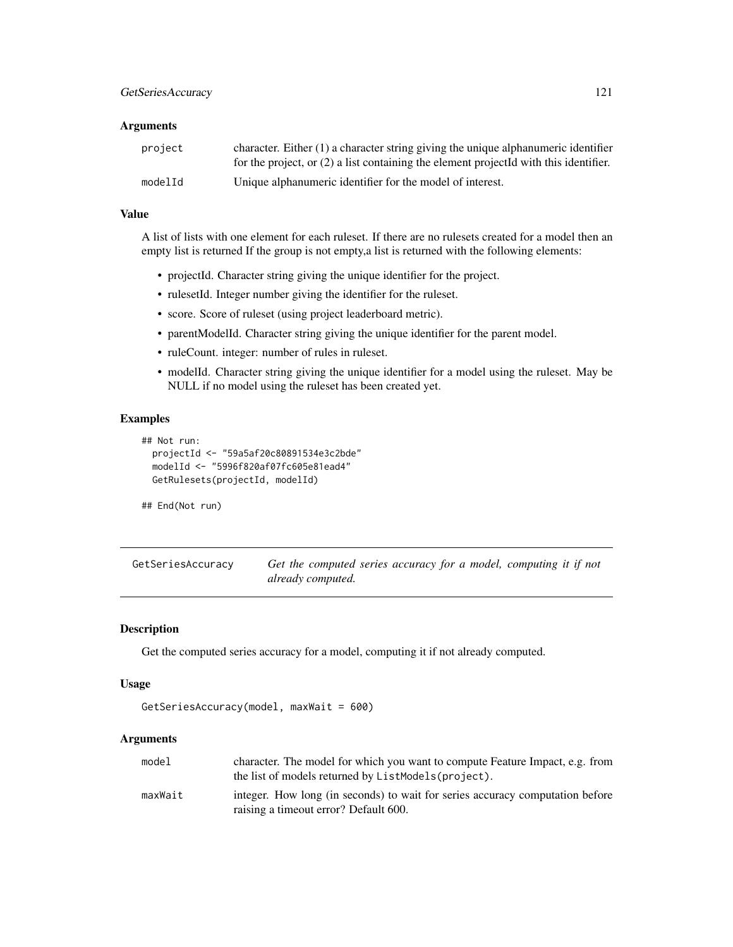### **Arguments**

| project | character. Either $(1)$ a character string giving the unique alphanumeric identifier<br>for the project, or $(2)$ a list containing the element projected with this identifier. |
|---------|---------------------------------------------------------------------------------------------------------------------------------------------------------------------------------|
| modelId | Unique alphanumeric identifier for the model of interest.                                                                                                                       |

## Value

A list of lists with one element for each ruleset. If there are no rulesets created for a model then an empty list is returned If the group is not empty,a list is returned with the following elements:

- projectId. Character string giving the unique identifier for the project.
- rulesetId. Integer number giving the identifier for the ruleset.
- score. Score of ruleset (using project leaderboard metric).
- parentModelId. Character string giving the unique identifier for the parent model.
- ruleCount. integer: number of rules in ruleset.
- modelId. Character string giving the unique identifier for a model using the ruleset. May be NULL if no model using the ruleset has been created yet.

## Examples

```
## Not run:
 projectId <- "59a5af20c80891534e3c2bde"
 modelId <- "5996f820af07fc605e81ead4"
 GetRulesets(projectId, modelId)
```
## End(Not run)

GetSeriesAccuracy *Get the computed series accuracy for a model, computing it if not already computed.*

## Description

Get the computed series accuracy for a model, computing it if not already computed.

#### Usage

```
GetSeriesAccuracy(model, maxWait = 600)
```
# Arguments

| model   | character. The model for which you want to compute Feature Impact, e.g. from<br>the list of models returned by ListModels (project). |
|---------|--------------------------------------------------------------------------------------------------------------------------------------|
| maxWait | integer. How long (in seconds) to wait for series accuracy computation before<br>raising a timeout error? Default 600.               |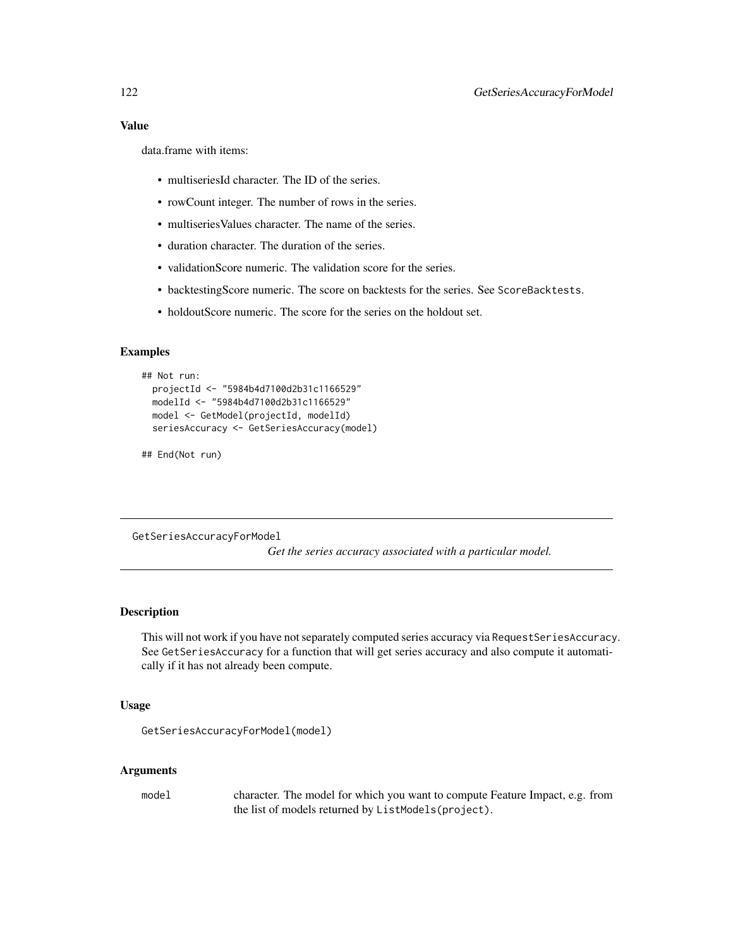data.frame with items:

- multiseriesId character. The ID of the series.
- rowCount integer. The number of rows in the series.
- multiseries Values character. The name of the series.
- duration character. The duration of the series.
- validationScore numeric. The validation score for the series.
- backtestingScore numeric. The score on backtests for the series. See ScoreBacktests.
- holdoutScore numeric. The score for the series on the holdout set.

## Examples

```
## Not run:
 projectId <- "5984b4d7100d2b31c1166529"
 modelId <- "5984b4d7100d2b31c1166529"
 model <- GetModel(projectId, modelId)
 seriesAccuracy <- GetSeriesAccuracy(model)
```
## End(Not run)

GetSeriesAccuracyForModel

*Get the series accuracy associated with a particular model.*

## **Description**

This will not work if you have not separately computed series accuracy via RequestSeriesAccuracy. See GetSeriesAccuracy for a function that will get series accuracy and also compute it automatically if it has not already been compute.

#### Usage

```
GetSeriesAccuracyForModel(model)
```
## Arguments

model character. The model for which you want to compute Feature Impact, e.g. from the list of models returned by ListModels(project).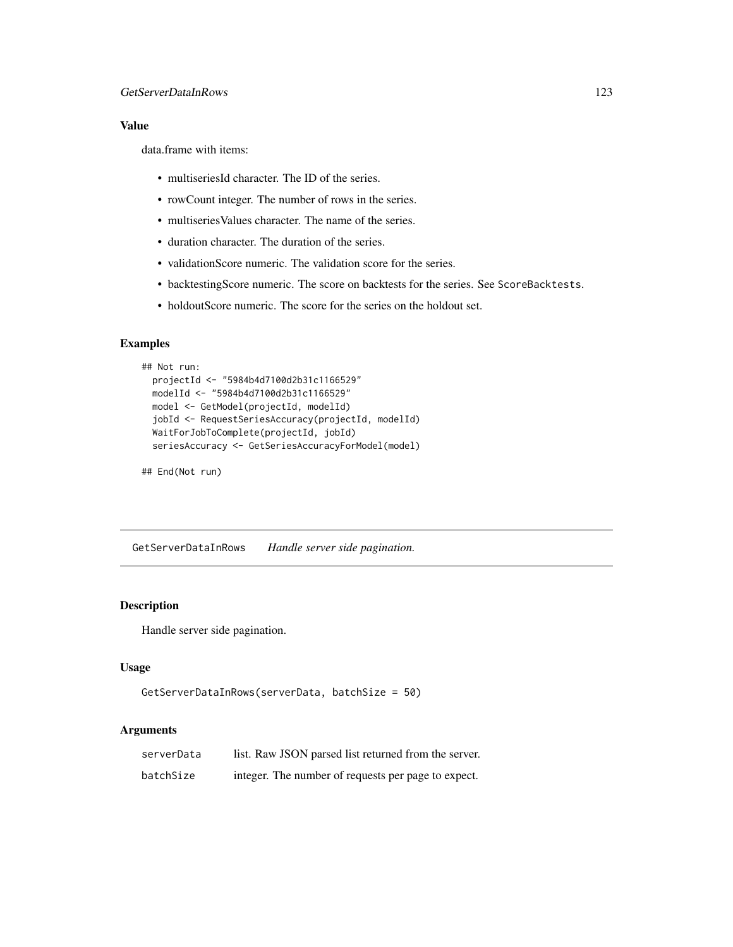# Value

data.frame with items:

- multiseriesId character. The ID of the series.
- rowCount integer. The number of rows in the series.
- multiseriesValues character. The name of the series.
- duration character. The duration of the series.
- validationScore numeric. The validation score for the series.
- backtestingScore numeric. The score on backtests for the series. See ScoreBacktests.
- holdoutScore numeric. The score for the series on the holdout set.

# Examples

```
## Not run:
 projectId <- "5984b4d7100d2b31c1166529"
 modelId <- "5984b4d7100d2b31c1166529"
 model <- GetModel(projectId, modelId)
 jobId <- RequestSeriesAccuracy(projectId, modelId)
 WaitForJobToComplete(projectId, jobId)
 seriesAccuracy <- GetSeriesAccuracyForModel(model)
```
## End(Not run)

GetServerDataInRows *Handle server side pagination.*

## Description

Handle server side pagination.

## Usage

```
GetServerDataInRows(serverData, batchSize = 50)
```
## Arguments

| serverData | list. Raw JSON parsed list returned from the server. |
|------------|------------------------------------------------------|
| batchSize  | integer. The number of requests per page to expect.  |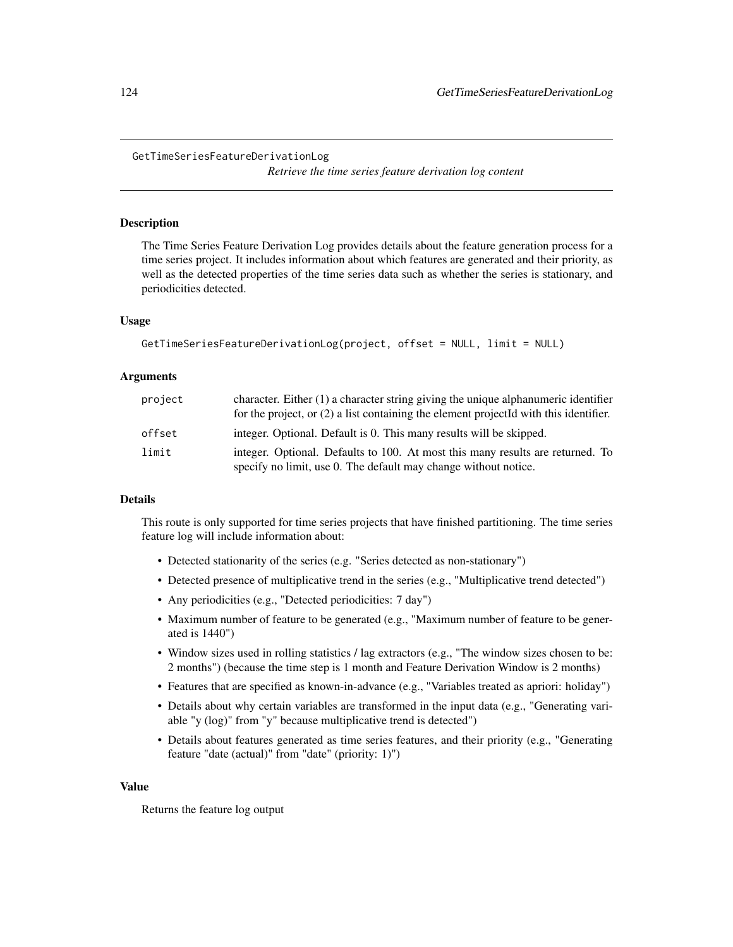*Retrieve the time series feature derivation log content*

#### Description

The Time Series Feature Derivation Log provides details about the feature generation process for a time series project. It includes information about which features are generated and their priority, as well as the detected properties of the time series data such as whether the series is stationary, and periodicities detected.

## Usage

```
GetTimeSeriesFeatureDerivationLog(project, offset = NULL, limit = NULL)
```
#### **Arguments**

| project | character. Either $(1)$ a character string giving the unique alphanumeric identifier<br>for the project, or $(2)$ a list containing the element projected with this identifier. |
|---------|---------------------------------------------------------------------------------------------------------------------------------------------------------------------------------|
| offset  | integer. Optional. Default is 0. This many results will be skipped.                                                                                                             |
| limit   | integer. Optional. Defaults to 100. At most this many results are returned. To<br>specify no limit, use 0. The default may change without notice.                               |

## Details

This route is only supported for time series projects that have finished partitioning. The time series feature log will include information about:

- Detected stationarity of the series (e.g. "Series detected as non-stationary")
- Detected presence of multiplicative trend in the series (e.g., "Multiplicative trend detected")
- Any periodicities (e.g., "Detected periodicities: 7 day")
- Maximum number of feature to be generated (e.g., "Maximum number of feature to be generated is 1440")
- Window sizes used in rolling statistics / lag extractors (e.g., "The window sizes chosen to be: 2 months") (because the time step is 1 month and Feature Derivation Window is 2 months)
- Features that are specified as known-in-advance (e.g., "Variables treated as apriori: holiday")
- Details about why certain variables are transformed in the input data (e.g., "Generating variable "y (log)" from "y" because multiplicative trend is detected")
- Details about features generated as time series features, and their priority (e.g., "Generating feature "date (actual)" from "date" (priority: 1)")

#### Value

Returns the feature log output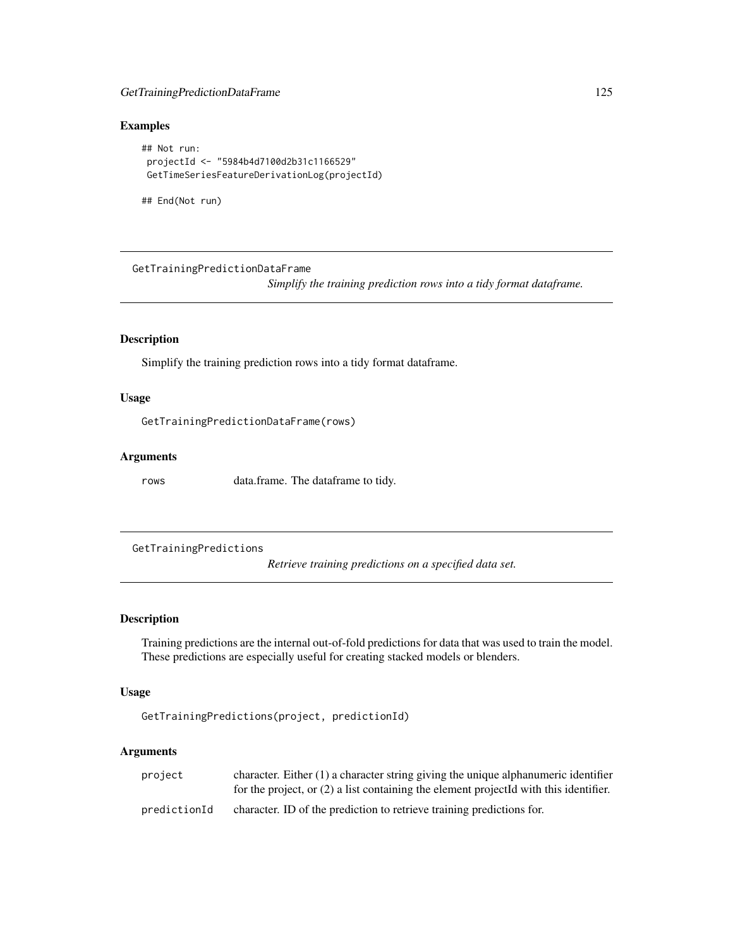# GetTrainingPredictionDataFrame 125

# Examples

```
## Not run:
projectId <- "5984b4d7100d2b31c1166529"
GetTimeSeriesFeatureDerivationLog(projectId)
```
## End(Not run)

GetTrainingPredictionDataFrame

*Simplify the training prediction rows into a tidy format dataframe.*

# Description

Simplify the training prediction rows into a tidy format dataframe.

### Usage

GetTrainingPredictionDataFrame(rows)

## Arguments

rows data.frame. The dataframe to tidy.

GetTrainingPredictions

*Retrieve training predictions on a specified data set.*

## Description

Training predictions are the internal out-of-fold predictions for data that was used to train the model. These predictions are especially useful for creating stacked models or blenders.

# Usage

GetTrainingPredictions(project, predictionId)

## Arguments

| project      | character. Either $(1)$ a character string giving the unique alphanumeric identifier    |
|--------------|-----------------------------------------------------------------------------------------|
|              | for the project, or $(2)$ a list containing the element projected with this identifier. |
| predictionId | character. ID of the prediction to retrieve training predictions for.                   |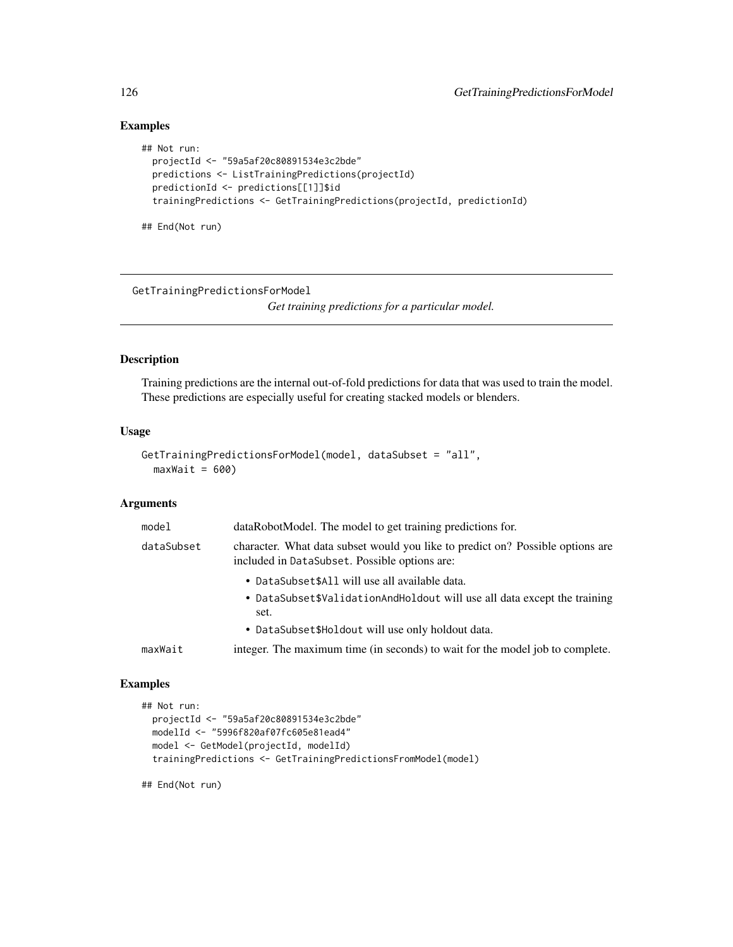# Examples

```
## Not run:
 projectId <- "59a5af20c80891534e3c2bde"
 predictions <- ListTrainingPredictions(projectId)
 predictionId <- predictions[[1]]$id
 trainingPredictions <- GetTrainingPredictions(projectId, predictionId)
```
## End(Not run)

GetTrainingPredictionsForModel

*Get training predictions for a particular model.*

#### Description

Training predictions are the internal out-of-fold predictions for data that was used to train the model. These predictions are especially useful for creating stacked models or blenders.

## Usage

```
GetTrainingPredictionsForModel(model, dataSubset = "all",
 maxWait = 600
```
## Arguments

| model      | dataRobotModel. The model to get training predictions for.                                                                      |
|------------|---------------------------------------------------------------------------------------------------------------------------------|
| dataSubset | character. What data subset would you like to predict on? Possible options are<br>included in DataSubset. Possible options are: |
|            | • DataSubset\$All will use all available data.                                                                                  |
|            | • DataSubset\$ValidationAndHoldout will use all data except the training<br>set.                                                |
|            | • DataSubset\$Holdout will use only holdout data.                                                                               |
| maxWait    | integer. The maximum time (in seconds) to wait for the model job to complete.                                                   |

## Examples

```
## Not run:
 projectId <- "59a5af20c80891534e3c2bde"
 modelId <- "5996f820af07fc605e81ead4"
 model <- GetModel(projectId, modelId)
 trainingPredictions <- GetTrainingPredictionsFromModel(model)
```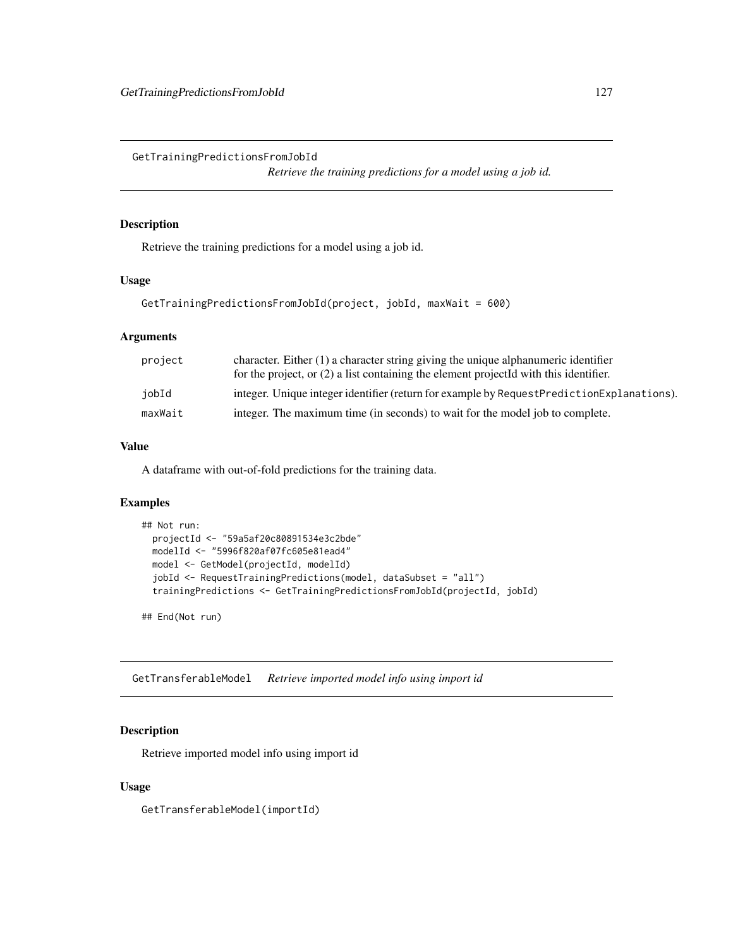GetTrainingPredictionsFromJobId

*Retrieve the training predictions for a model using a job id.*

# Description

Retrieve the training predictions for a model using a job id.

## Usage

```
GetTrainingPredictionsFromJobId(project, jobId, maxWait = 600)
```
# Arguments

| project | character. Either $(1)$ a character string giving the unique alphanumeric identifier<br>for the project, or $(2)$ a list containing the element projected with this identifier. |
|---------|---------------------------------------------------------------------------------------------------------------------------------------------------------------------------------|
| iobId   | integer. Unique integer identifier (return for example by Request Prediction Explanations).                                                                                     |
| maxWait | integer. The maximum time (in seconds) to wait for the model job to complete.                                                                                                   |

## Value

A dataframe with out-of-fold predictions for the training data.

# Examples

```
## Not run:
 projectId <- "59a5af20c80891534e3c2bde"
 modelId <- "5996f820af07fc605e81ead4"
 model <- GetModel(projectId, modelId)
 jobId <- RequestTrainingPredictions(model, dataSubset = "all")
 trainingPredictions <- GetTrainingPredictionsFromJobId(projectId, jobId)
```
## End(Not run)

GetTransferableModel *Retrieve imported model info using import id*

# Description

Retrieve imported model info using import id

## Usage

GetTransferableModel(importId)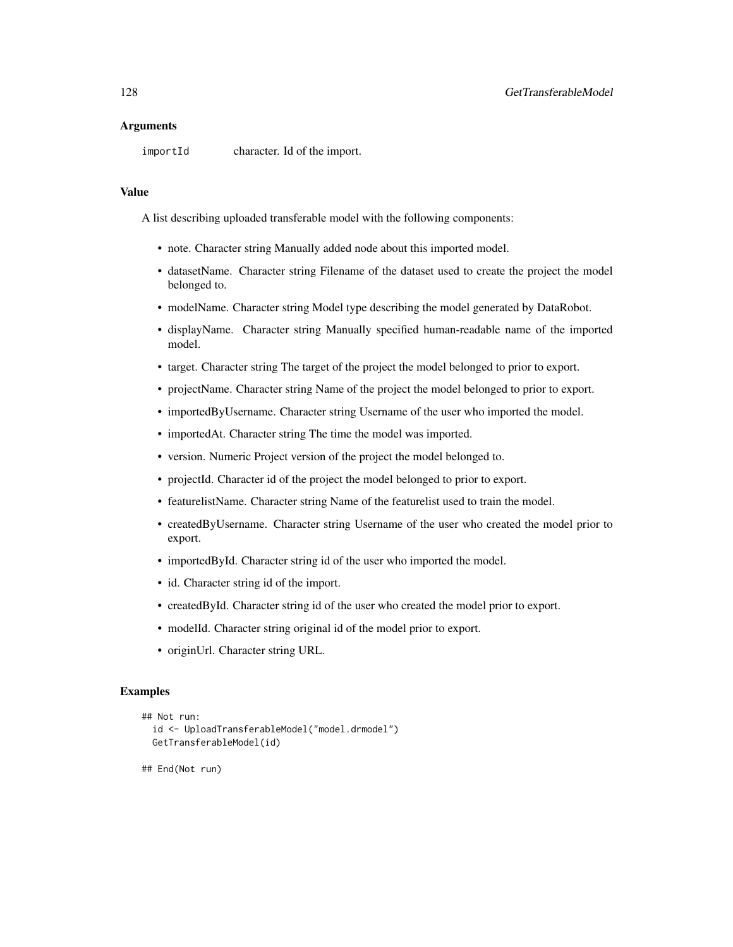## **Arguments**

importId character. Id of the import.

#### Value

A list describing uploaded transferable model with the following components:

- note. Character string Manually added node about this imported model.
- datasetName. Character string Filename of the dataset used to create the project the model belonged to.
- modelName. Character string Model type describing the model generated by DataRobot.
- displayName. Character string Manually specified human-readable name of the imported model.
- target. Character string The target of the project the model belonged to prior to export.
- projectName. Character string Name of the project the model belonged to prior to export.
- importedByUsername. Character string Username of the user who imported the model.
- importedAt. Character string The time the model was imported.
- version. Numeric Project version of the project the model belonged to.
- projectId. Character id of the project the model belonged to prior to export.
- featurelistName. Character string Name of the featurelist used to train the model.
- createdByUsername. Character string Username of the user who created the model prior to export.
- importedById. Character string id of the user who imported the model.
- id. Character string id of the import.
- createdById. Character string id of the user who created the model prior to export.
- modelId. Character string original id of the model prior to export.
- originUrl. Character string URL.

## Examples

```
## Not run:
 id <- UploadTransferableModel("model.drmodel")
 GetTransferableModel(id)
```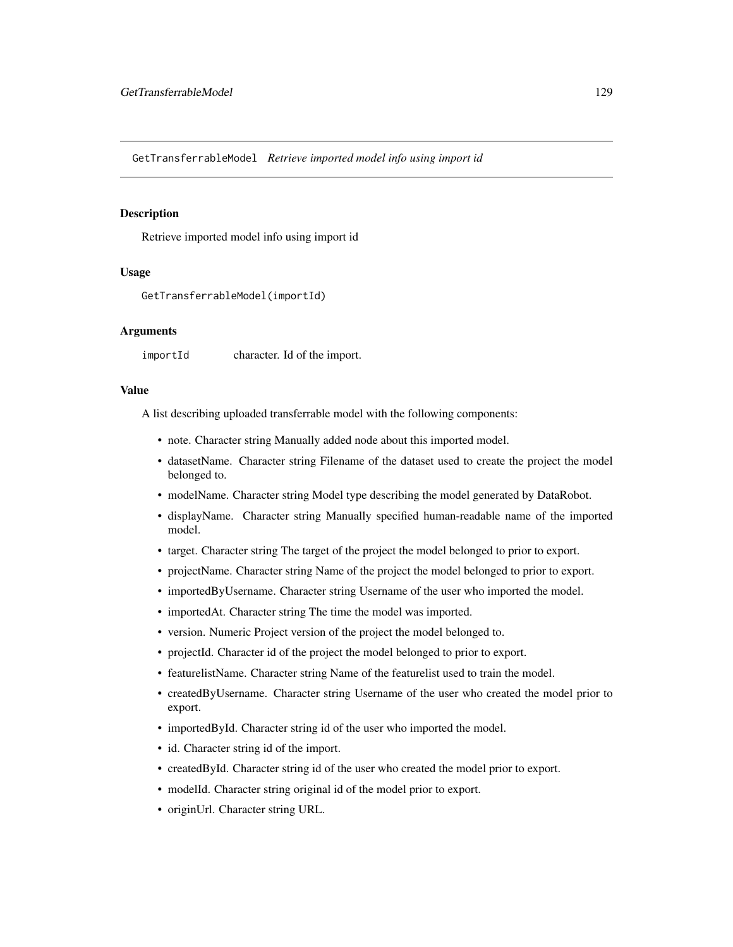GetTransferrableModel *Retrieve imported model info using import id*

#### Description

Retrieve imported model info using import id

## Usage

```
GetTransferrableModel(importId)
```
#### Arguments

importId character. Id of the import.

#### Value

A list describing uploaded transferrable model with the following components:

- note. Character string Manually added node about this imported model.
- datasetName. Character string Filename of the dataset used to create the project the model belonged to.
- modelName. Character string Model type describing the model generated by DataRobot.
- displayName. Character string Manually specified human-readable name of the imported model.
- target. Character string The target of the project the model belonged to prior to export.
- projectName. Character string Name of the project the model belonged to prior to export.
- importedByUsername. Character string Username of the user who imported the model.
- importedAt. Character string The time the model was imported.
- version. Numeric Project version of the project the model belonged to.
- projectId. Character id of the project the model belonged to prior to export.
- featurelistName. Character string Name of the featurelist used to train the model.
- createdByUsername. Character string Username of the user who created the model prior to export.
- importedById. Character string id of the user who imported the model.
- id. Character string id of the import.
- createdById. Character string id of the user who created the model prior to export.
- modelId. Character string original id of the model prior to export.
- originUrl. Character string URL.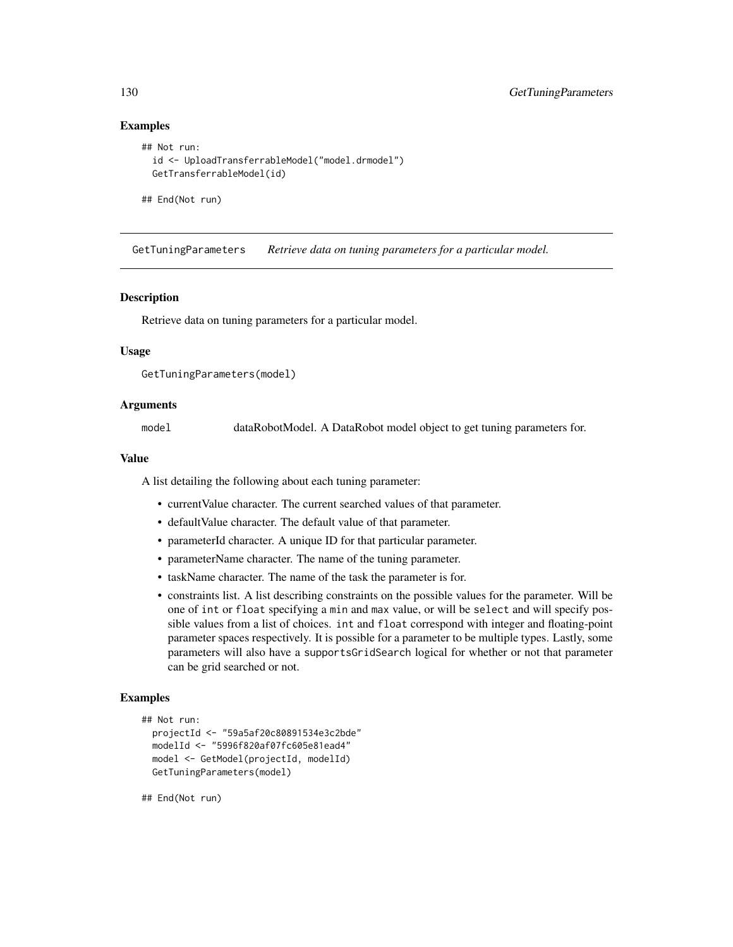## Examples

```
## Not run:
 id <- UploadTransferrableModel("model.drmodel")
 GetTransferrableModel(id)
```
## End(Not run)

GetTuningParameters *Retrieve data on tuning parameters for a particular model.*

## **Description**

Retrieve data on tuning parameters for a particular model.

## Usage

```
GetTuningParameters(model)
```
## Arguments

model dataRobotModel. A DataRobot model object to get tuning parameters for.

## Value

A list detailing the following about each tuning parameter:

- currentValue character. The current searched values of that parameter.
- defaultValue character. The default value of that parameter.
- parameterId character. A unique ID for that particular parameter.
- parameterName character. The name of the tuning parameter.
- taskName character. The name of the task the parameter is for.
- constraints list. A list describing constraints on the possible values for the parameter. Will be one of int or float specifying a min and max value, or will be select and will specify possible values from a list of choices. int and float correspond with integer and floating-point parameter spaces respectively. It is possible for a parameter to be multiple types. Lastly, some parameters will also have a supportsGridSearch logical for whether or not that parameter can be grid searched or not.

# **Examples**

```
## Not run:
 projectId <- "59a5af20c80891534e3c2bde"
 modelId <- "5996f820af07fc605e81ead4"
 model <- GetModel(projectId, modelId)
 GetTuningParameters(model)
```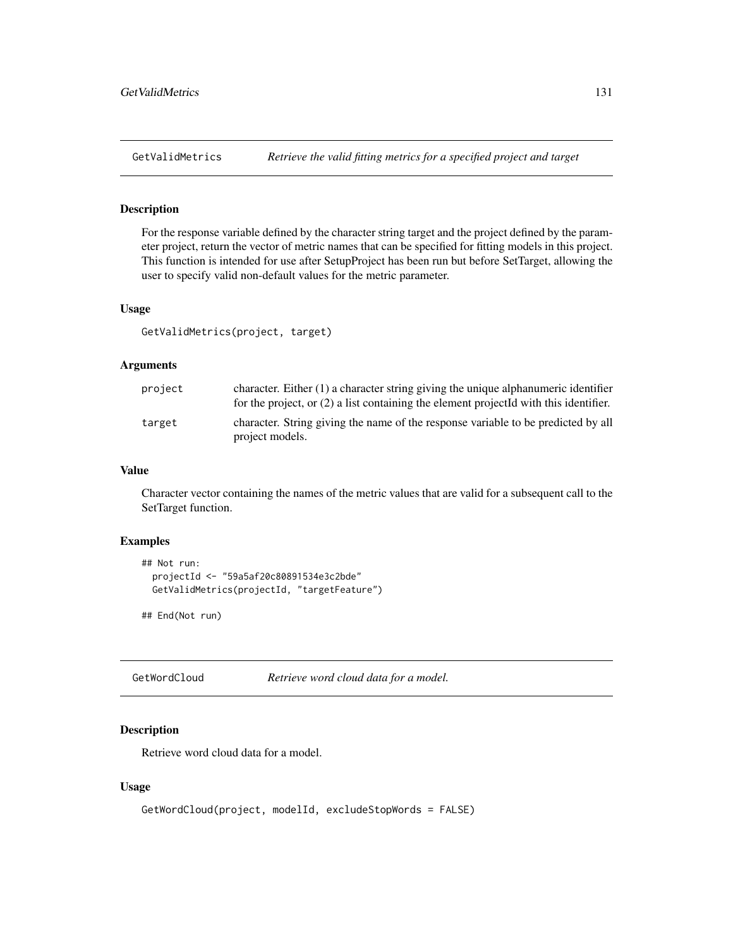For the response variable defined by the character string target and the project defined by the parameter project, return the vector of metric names that can be specified for fitting models in this project. This function is intended for use after SetupProject has been run but before SetTarget, allowing the user to specify valid non-default values for the metric parameter.

#### Usage

GetValidMetrics(project, target)

## Arguments

| project | character. Either $(1)$ a character string giving the unique alphanumeric identifier<br>for the project, or $(2)$ a list containing the element projected with this identifier. |
|---------|---------------------------------------------------------------------------------------------------------------------------------------------------------------------------------|
| target  | character. String giving the name of the response variable to be predicted by all<br>project models.                                                                            |

#### Value

Character vector containing the names of the metric values that are valid for a subsequent call to the SetTarget function.

# Examples

```
## Not run:
 projectId <- "59a5af20c80891534e3c2bde"
 GetValidMetrics(projectId, "targetFeature")
```
## End(Not run)

GetWordCloud *Retrieve word cloud data for a model.*

# Description

Retrieve word cloud data for a model.

## Usage

```
GetWordCloud(project, modelId, excludeStopWords = FALSE)
```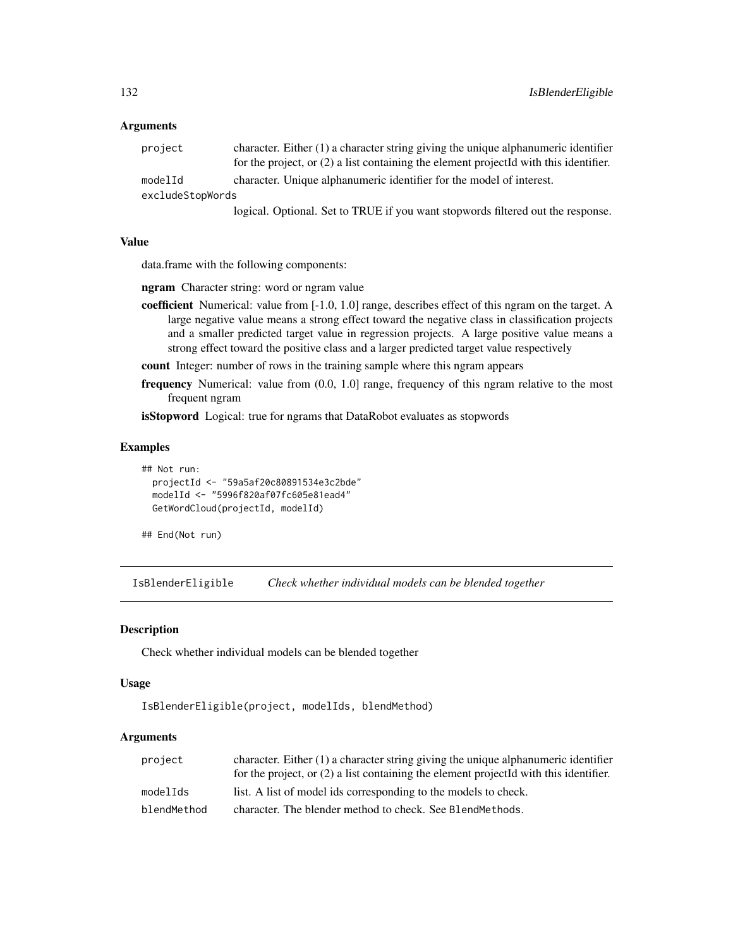## Arguments

| project          | character. Either $(1)$ a character string giving the unique alphanumeric identifier    |
|------------------|-----------------------------------------------------------------------------------------|
|                  | for the project, or $(2)$ a list containing the element projected with this identifier. |
| modelId          | character. Unique alphanumeric identifier for the model of interest.                    |
| excludeStopWords |                                                                                         |
|                  |                                                                                         |

logical. Optional. Set to TRUE if you want stopwords filtered out the response.

## Value

data.frame with the following components:

ngram Character string: word or ngram value

- coefficient Numerical: value from [-1.0, 1.0] range, describes effect of this ngram on the target. A large negative value means a strong effect toward the negative class in classification projects and a smaller predicted target value in regression projects. A large positive value means a strong effect toward the positive class and a larger predicted target value respectively
- count Integer: number of rows in the training sample where this ngram appears
- frequency Numerical: value from  $(0.0, 1.0]$  range, frequency of this ngram relative to the most frequent ngram

isStopword Logical: true for ngrams that DataRobot evaluates as stopwords

#### Examples

```
## Not run:
 projectId <- "59a5af20c80891534e3c2bde"
 modelId <- "5996f820af07fc605e81ead4"
 GetWordCloud(projectId, modelId)
```
## End(Not run)

IsBlenderEligible *Check whether individual models can be blended together*

#### Description

Check whether individual models can be blended together

#### Usage

```
IsBlenderEligible(project, modelIds, blendMethod)
```
# Arguments

| project     | character. Either $(1)$ a character string giving the unique alphanumeric identifier    |
|-------------|-----------------------------------------------------------------------------------------|
|             | for the project, or $(2)$ a list containing the element projected with this identifier. |
| modelIds    | list. A list of model ids corresponding to the models to check.                         |
| blendMethod | character. The blender method to check. See BlendMethods.                               |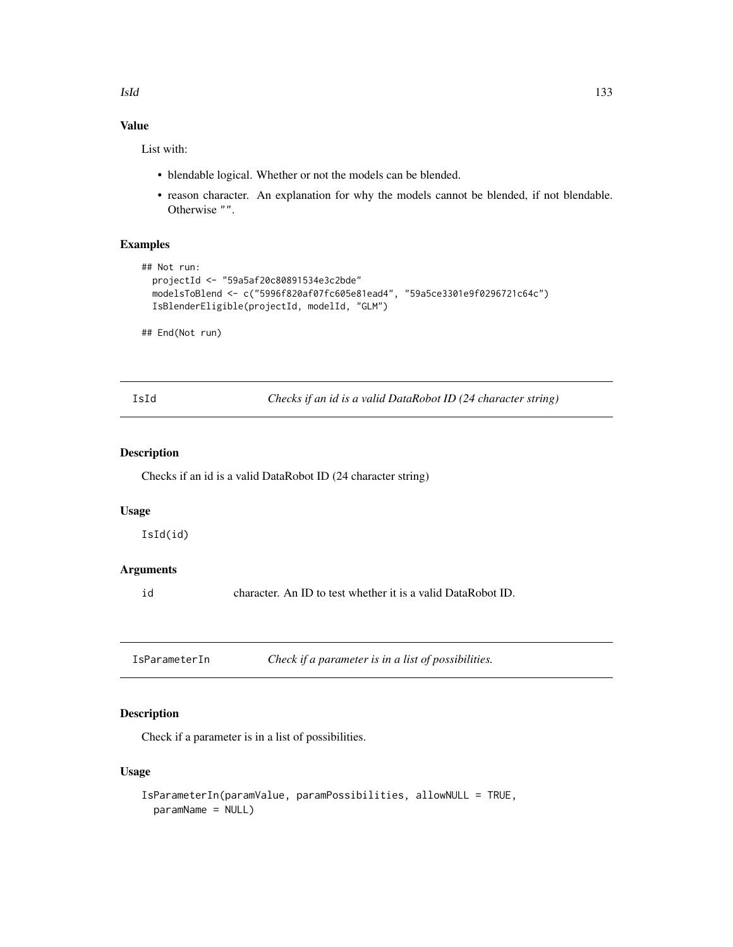# Value

List with:

- blendable logical. Whether or not the models can be blended.
- reason character. An explanation for why the models cannot be blended, if not blendable. Otherwise "".

# Examples

```
## Not run:
 projectId <- "59a5af20c80891534e3c2bde"
 modelsToBlend <- c("5996f820af07fc605e81ead4", "59a5ce3301e9f0296721c64c")
 IsBlenderEligible(projectId, modelId, "GLM")
```
## End(Not run)

IsId *Checks if an id is a valid DataRobot ID (24 character string)*

# Description

Checks if an id is a valid DataRobot ID (24 character string)

#### Usage

IsId(id)

# Arguments

id character. An ID to test whether it is a valid DataRobot ID.

IsParameterIn *Check if a parameter is in a list of possibilities.*

# Description

Check if a parameter is in a list of possibilities.

## Usage

```
IsParameterIn(paramValue, paramPossibilities, allowNULL = TRUE,
 paramName = NULL)
```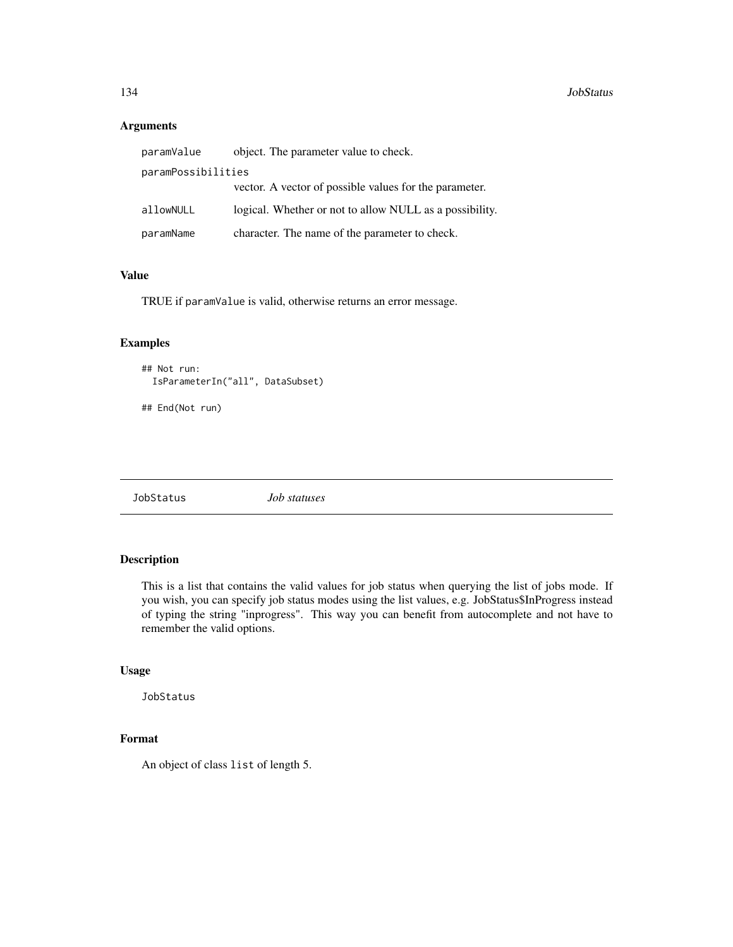## Arguments

| paramValue         | object. The parameter value to check.                   |
|--------------------|---------------------------------------------------------|
| paramPossibilities |                                                         |
|                    | vector. A vector of possible values for the parameter.  |
| allowNULL          | logical. Whether or not to allow NULL as a possibility. |
| paramName          | character. The name of the parameter to check.          |

## Value

TRUE if paramValue is valid, otherwise returns an error message.

## Examples

```
## Not run:
 IsParameterIn("all", DataSubset)
```
## End(Not run)

JobStatus *Job statuses*

## Description

This is a list that contains the valid values for job status when querying the list of jobs mode. If you wish, you can specify job status modes using the list values, e.g. JobStatus\$InProgress instead of typing the string "inprogress". This way you can benefit from autocomplete and not have to remember the valid options.

# Usage

JobStatus

# Format

An object of class list of length 5.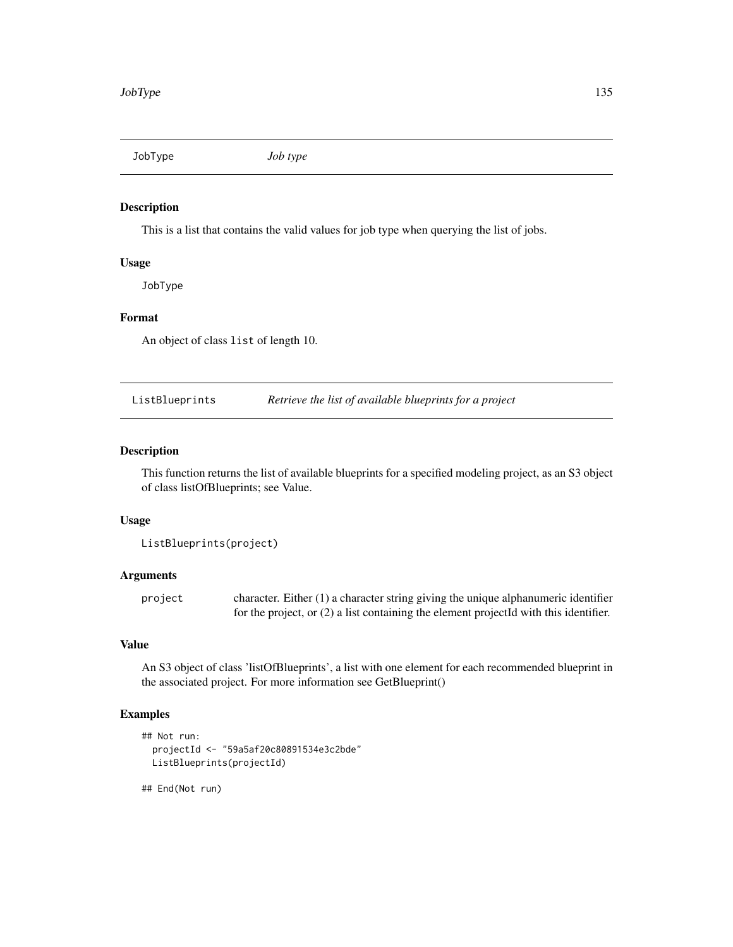JobType *Job type*

## Description

This is a list that contains the valid values for job type when querying the list of jobs.

# Usage

JobType

#### Format

An object of class list of length 10.

ListBlueprints *Retrieve the list of available blueprints for a project*

## Description

This function returns the list of available blueprints for a specified modeling project, as an S3 object of class listOfBlueprints; see Value.

## Usage

ListBlueprints(project)

# Arguments

project character. Either (1) a character string giving the unique alphanumeric identifier for the project, or (2) a list containing the element projectId with this identifier.

# Value

An S3 object of class 'listOfBlueprints', a list with one element for each recommended blueprint in the associated project. For more information see GetBlueprint()

# Examples

```
## Not run:
 projectId <- "59a5af20c80891534e3c2bde"
 ListBlueprints(projectId)
```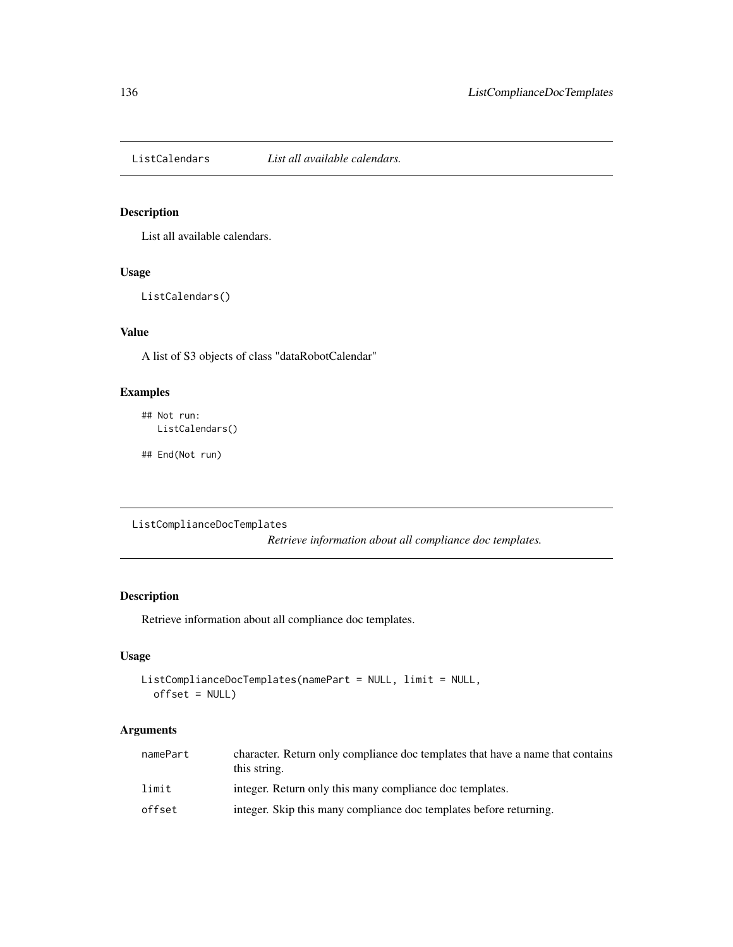ListCalendars *List all available calendars.*

# Description

List all available calendars.

# Usage

ListCalendars()

# Value

A list of S3 objects of class "dataRobotCalendar"

# Examples

## Not run: ListCalendars()

## End(Not run)

ListComplianceDocTemplates

*Retrieve information about all compliance doc templates.*

# Description

Retrieve information about all compliance doc templates.

## Usage

```
ListComplianceDocTemplates(namePart = NULL, limit = NULL,
  offset = NULL)
```
# Arguments

| namePart | character. Return only compliance doc templates that have a name that contains<br>this string. |
|----------|------------------------------------------------------------------------------------------------|
| limit    | integer. Return only this many compliance doc templates.                                       |
| offset   | integer. Skip this many compliance doc templates before returning.                             |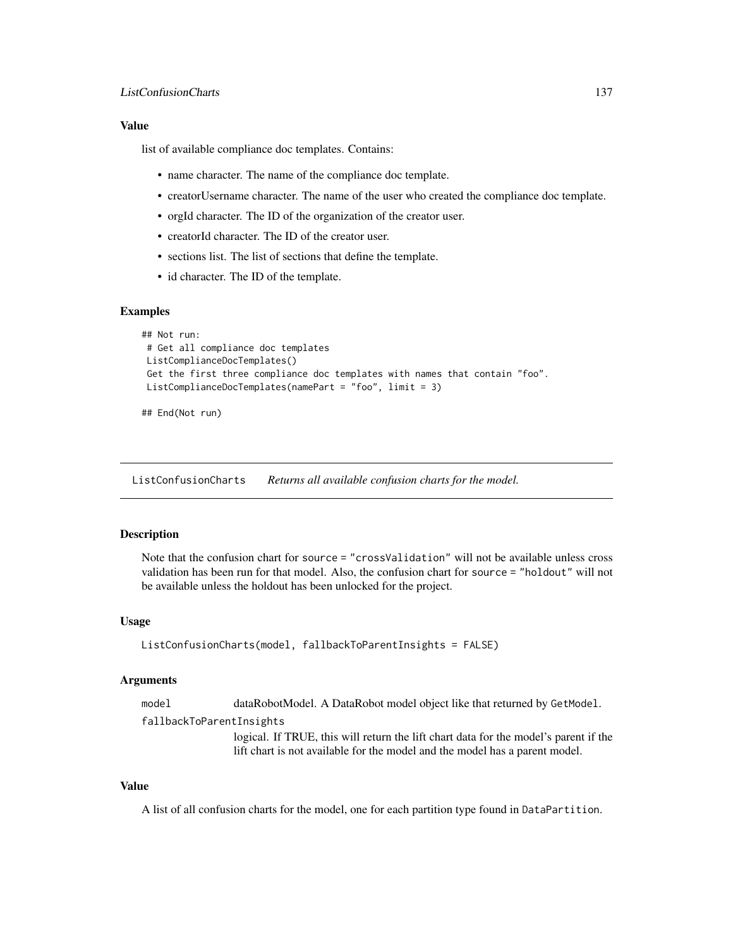## Value

list of available compliance doc templates. Contains:

- name character. The name of the compliance doc template.
- creatorUsername character. The name of the user who created the compliance doc template.
- orgId character. The ID of the organization of the creator user.
- creatorId character. The ID of the creator user.
- sections list. The list of sections that define the template.
- id character. The ID of the template.

#### Examples

```
## Not run:
# Get all compliance doc templates
ListComplianceDocTemplates()
Get the first three compliance doc templates with names that contain "foo".
ListComplianceDocTemplates(namePart = "foo", limit = 3)
```

```
## End(Not run)
```
ListConfusionCharts *Returns all available confusion charts for the model.*

# **Description**

Note that the confusion chart for source = "crossValidation" will not be available unless cross validation has been run for that model. Also, the confusion chart for source = "holdout" will not be available unless the holdout has been unlocked for the project.

#### Usage

```
ListConfusionCharts(model, fallbackToParentInsights = FALSE)
```
#### Arguments

model dataRobotModel. A DataRobot model object like that returned by GetModel.

fallbackToParentInsights

logical. If TRUE, this will return the lift chart data for the model's parent if the lift chart is not available for the model and the model has a parent model.

## Value

A list of all confusion charts for the model, one for each partition type found in DataPartition.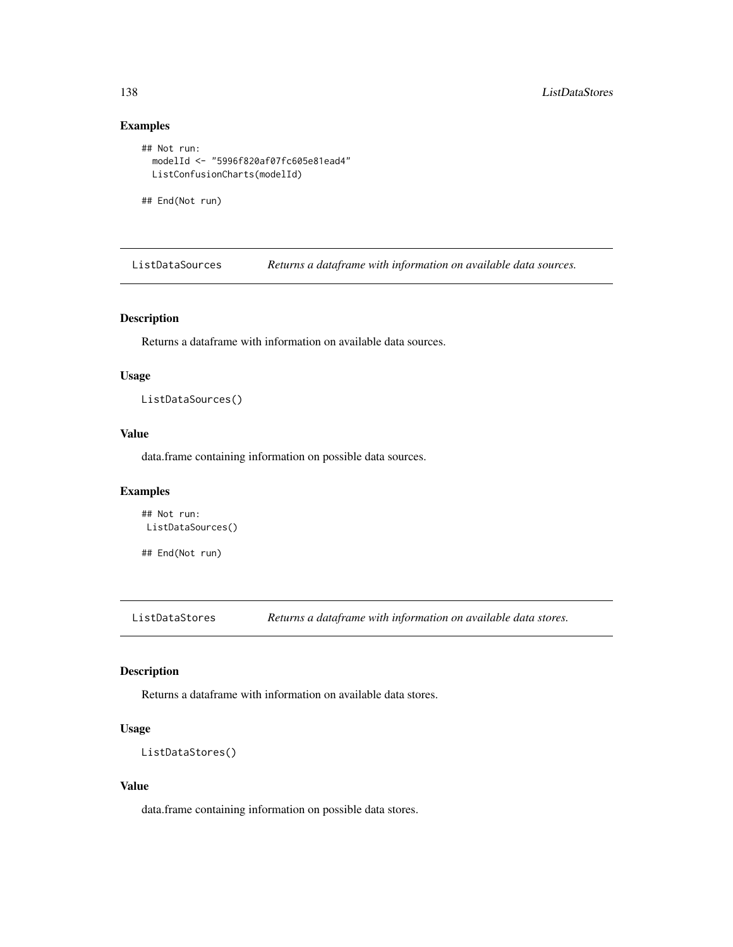# Examples

```
## Not run:
 modelId <- "5996f820af07fc605e81ead4"
 ListConfusionCharts(modelId)
```
## End(Not run)

ListDataSources *Returns a dataframe with information on available data sources.*

# Description

Returns a dataframe with information on available data sources.

## Usage

ListDataSources()

# Value

data.frame containing information on possible data sources.

# Examples

```
## Not run:
ListDataSources()
```
## End(Not run)

ListDataStores *Returns a dataframe with information on available data stores.*

# Description

Returns a dataframe with information on available data stores.

# Usage

```
ListDataStores()
```
#### Value

data.frame containing information on possible data stores.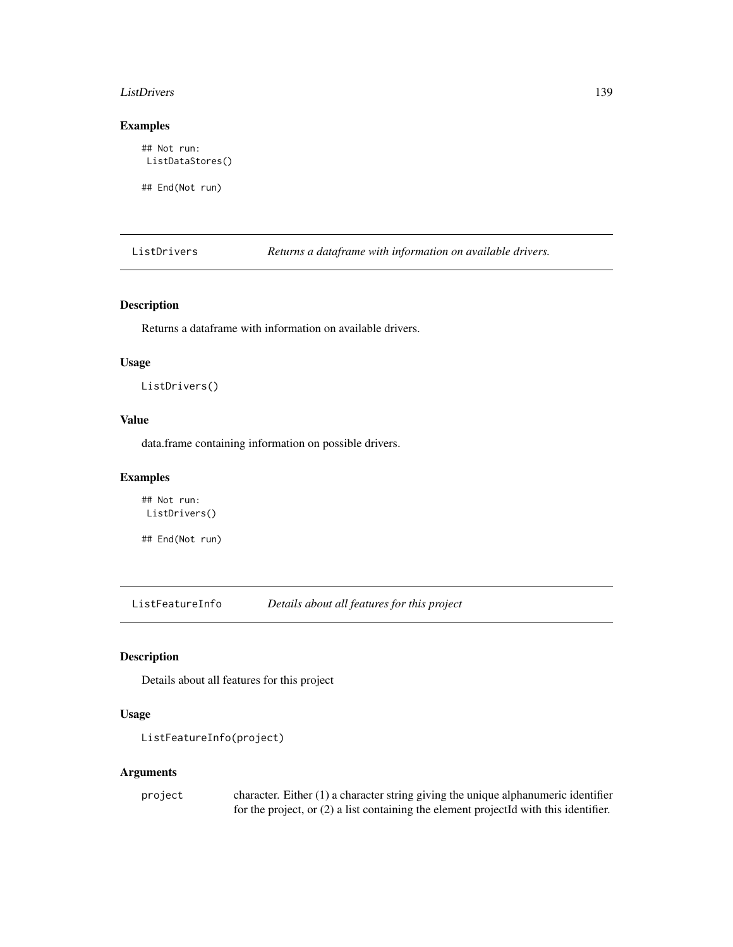#### ListDrivers 139

# Examples

## Not run: ListDataStores()

## End(Not run)

ListDrivers *Returns a dataframe with information on available drivers.*

# Description

Returns a dataframe with information on available drivers.

# Usage

ListDrivers()

## Value

data.frame containing information on possible drivers.

# Examples

## Not run: ListDrivers()

## End(Not run)

ListFeatureInfo *Details about all features for this project*

# Description

Details about all features for this project

# Usage

```
ListFeatureInfo(project)
```
## Arguments

| project | character. Either $(1)$ a character string giving the unique alphanumeric identifier    |
|---------|-----------------------------------------------------------------------------------------|
|         | for the project, or $(2)$ a list containing the element projected with this identifier. |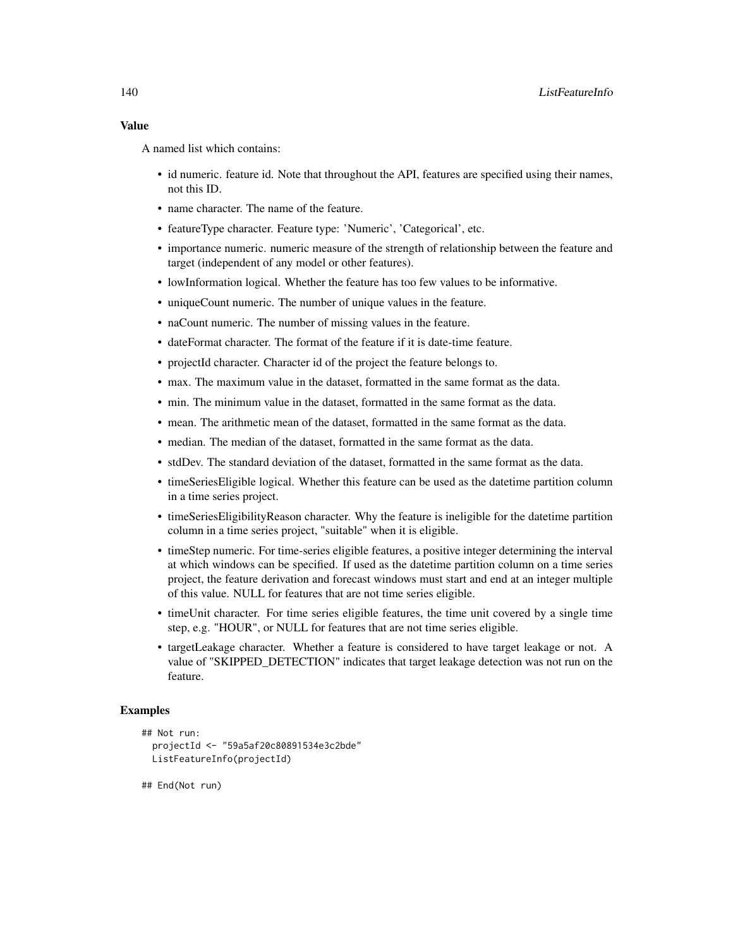A named list which contains:

- id numeric. feature id. Note that throughout the API, features are specified using their names, not this ID.
- name character. The name of the feature.
- featureType character. Feature type: 'Numeric', 'Categorical', etc.
- importance numeric. numeric measure of the strength of relationship between the feature and target (independent of any model or other features).
- lowInformation logical. Whether the feature has too few values to be informative.
- uniqueCount numeric. The number of unique values in the feature.
- naCount numeric. The number of missing values in the feature.
- dateFormat character. The format of the feature if it is date-time feature.
- projectId character. Character id of the project the feature belongs to.
- max. The maximum value in the dataset, formatted in the same format as the data.
- min. The minimum value in the dataset, formatted in the same format as the data.
- mean. The arithmetic mean of the dataset, formatted in the same format as the data.
- median. The median of the dataset, formatted in the same format as the data.
- stdDev. The standard deviation of the dataset, formatted in the same format as the data.
- timeSeriesEligible logical. Whether this feature can be used as the datetime partition column in a time series project.
- timeSeriesEligibilityReason character. Why the feature is ineligible for the datetime partition column in a time series project, "suitable" when it is eligible.
- timeStep numeric. For time-series eligible features, a positive integer determining the interval at which windows can be specified. If used as the datetime partition column on a time series project, the feature derivation and forecast windows must start and end at an integer multiple of this value. NULL for features that are not time series eligible.
- timeUnit character. For time series eligible features, the time unit covered by a single time step, e.g. "HOUR", or NULL for features that are not time series eligible.
- targetLeakage character. Whether a feature is considered to have target leakage or not. A value of "SKIPPED\_DETECTION" indicates that target leakage detection was not run on the feature.

## Examples

```
## Not run:
 projectId <- "59a5af20c80891534e3c2bde"
 ListFeatureInfo(projectId)
```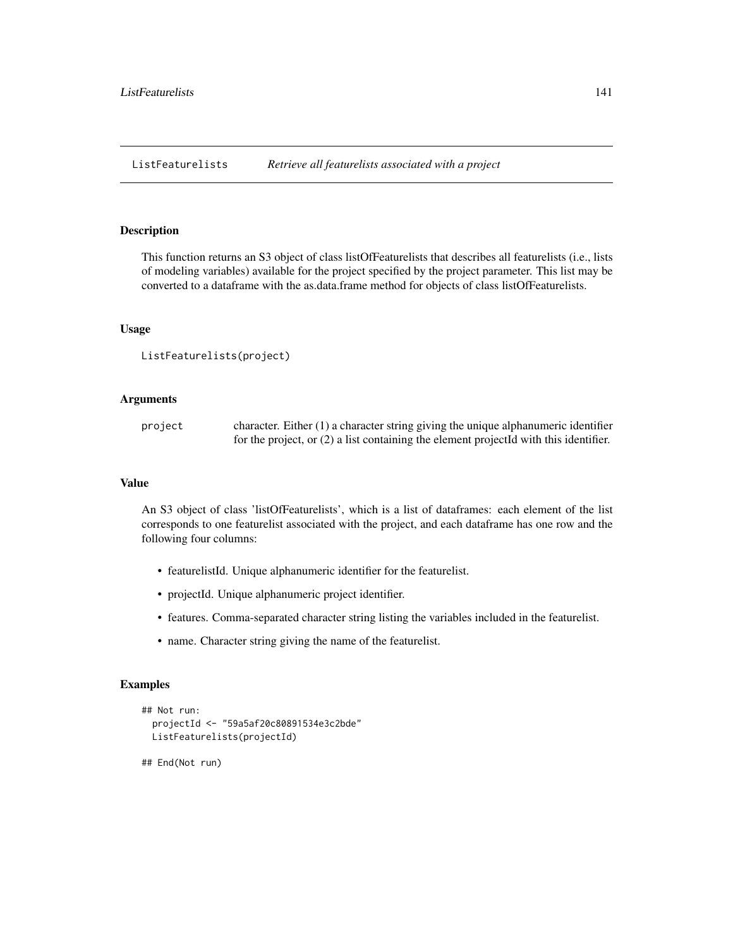ListFeaturelists *Retrieve all featurelists associated with a project*

## Description

This function returns an S3 object of class listOfFeaturelists that describes all featurelists (i.e., lists of modeling variables) available for the project specified by the project parameter. This list may be converted to a dataframe with the as.data.frame method for objects of class listOfFeaturelists.

# Usage

```
ListFeaturelists(project)
```
## Arguments

project character. Either (1) a character string giving the unique alphanumeric identifier for the project, or (2) a list containing the element projectId with this identifier.

#### Value

An S3 object of class 'listOfFeaturelists', which is a list of dataframes: each element of the list corresponds to one featurelist associated with the project, and each dataframe has one row and the following four columns:

- featurelistId. Unique alphanumeric identifier for the featurelist.
- projectId. Unique alphanumeric project identifier.
- features. Comma-separated character string listing the variables included in the featurelist.
- name. Character string giving the name of the featurelist.

## Examples

```
## Not run:
 projectId <- "59a5af20c80891534e3c2bde"
 ListFeaturelists(projectId)
```

```
## End(Not run)
```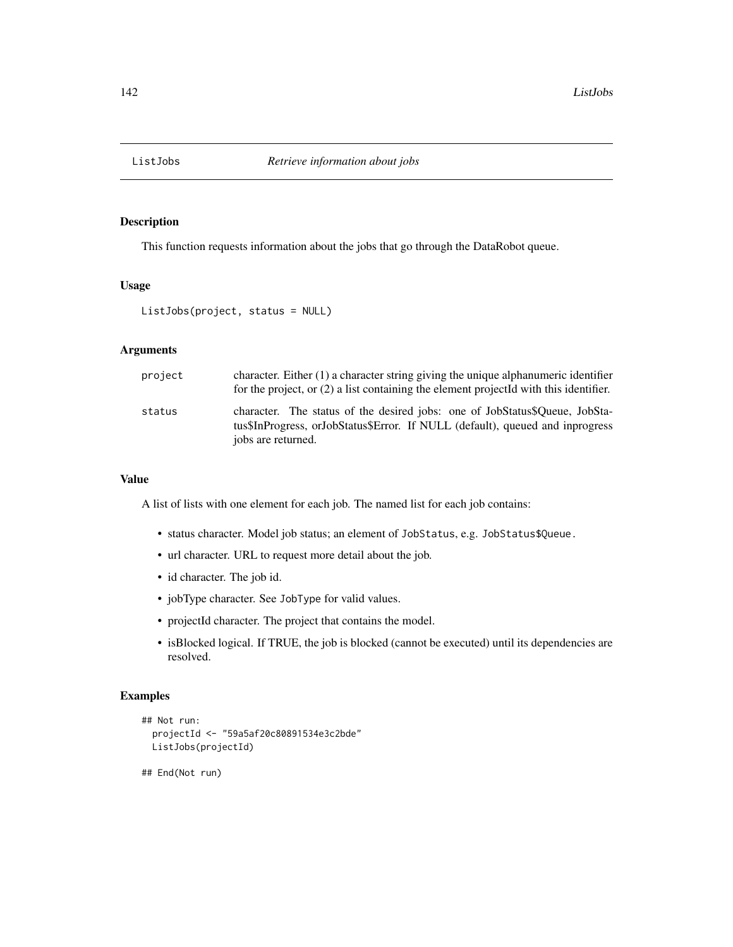This function requests information about the jobs that go through the DataRobot queue.

## Usage

```
ListJobs(project, status = NULL)
```
# Arguments

| project | character. Either $(1)$ a character string giving the unique alphanumeric identifier<br>for the project, or $(2)$ a list containing the element projected with this identifier.    |
|---------|------------------------------------------------------------------------------------------------------------------------------------------------------------------------------------|
| status  | character. The status of the desired jobs: one of JobStatus\$Queue, JobSta-<br>tus\$InProgress, orJobStatus\$Error. If NULL (default), queued and inprogress<br>jobs are returned. |

# Value

A list of lists with one element for each job. The named list for each job contains:

- status character. Model job status; an element of JobStatus, e.g. JobStatus\$Queue.
- url character. URL to request more detail about the job.
- id character. The job id.
- jobType character. See JobType for valid values.
- projectId character. The project that contains the model.
- isBlocked logical. If TRUE, the job is blocked (cannot be executed) until its dependencies are resolved.

## Examples

```
## Not run:
 projectId <- "59a5af20c80891534e3c2bde"
 ListJobs(projectId)
```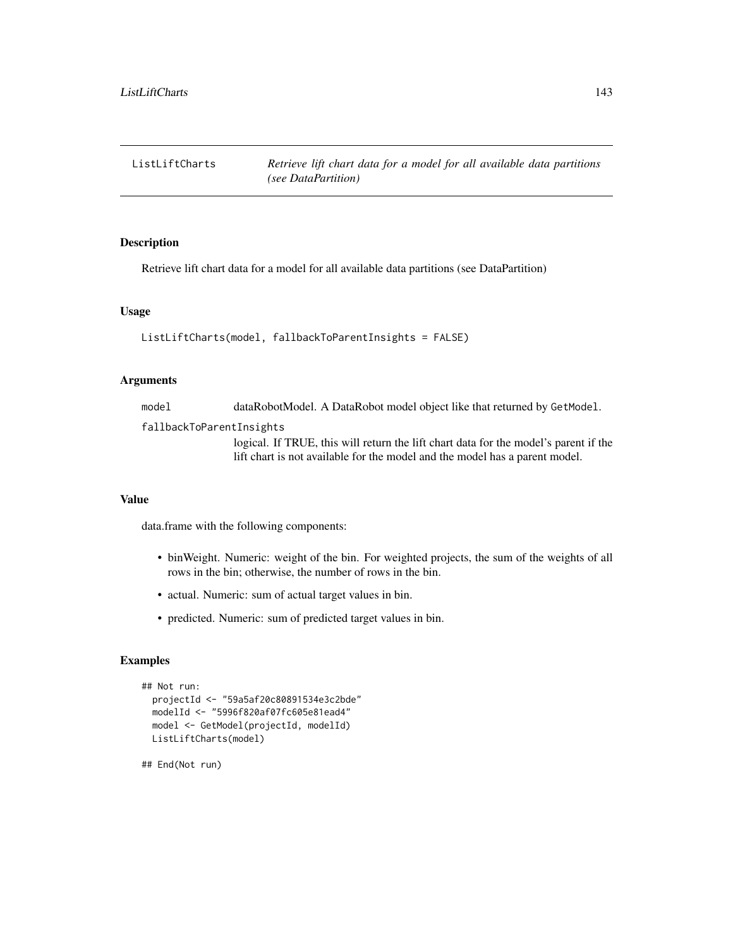Retrieve lift chart data for a model for all available data partitions (see DataPartition)

#### Usage

```
ListLiftCharts(model, fallbackToParentInsights = FALSE)
```
## Arguments

model dataRobotModel. A DataRobot model object like that returned by GetModel.

fallbackToParentInsights

logical. If TRUE, this will return the lift chart data for the model's parent if the lift chart is not available for the model and the model has a parent model.

# Value

data.frame with the following components:

- binWeight. Numeric: weight of the bin. For weighted projects, the sum of the weights of all rows in the bin; otherwise, the number of rows in the bin.
- actual. Numeric: sum of actual target values in bin.
- predicted. Numeric: sum of predicted target values in bin.

# Examples

```
## Not run:
 projectId <- "59a5af20c80891534e3c2bde"
 modelId <- "5996f820af07fc605e81ead4"
 model <- GetModel(projectId, modelId)
 ListLiftCharts(model)
```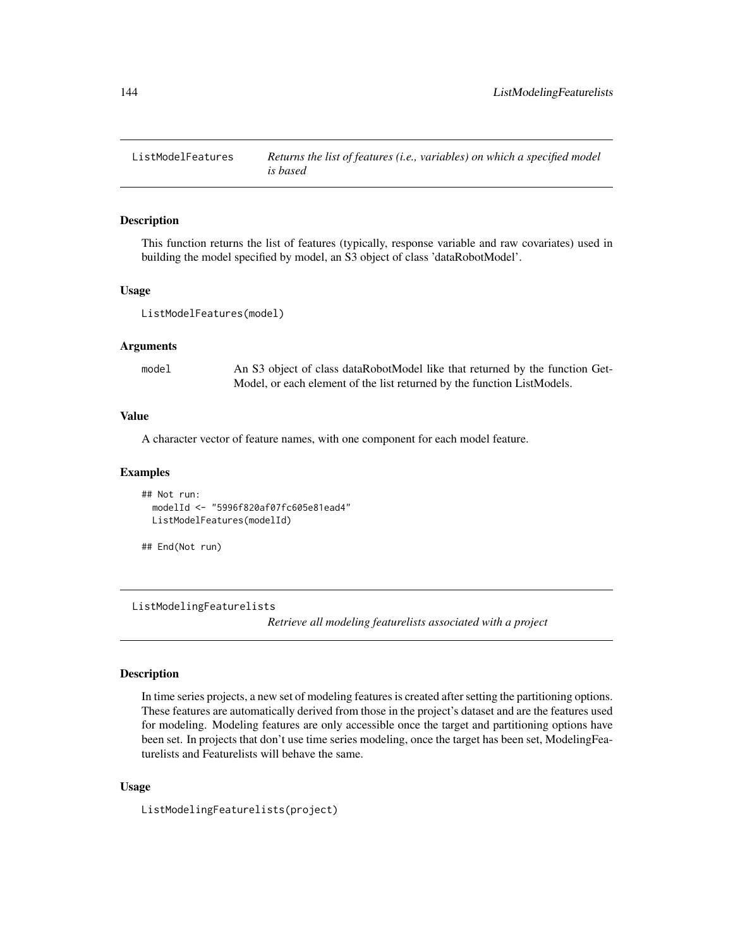This function returns the list of features (typically, response variable and raw covariates) used in building the model specified by model, an S3 object of class 'dataRobotModel'.

## Usage

ListModelFeatures(model)

## Arguments

model An S3 object of class dataRobotModel like that returned by the function Get-Model, or each element of the list returned by the function ListModels.

#### Value

A character vector of feature names, with one component for each model feature.

#### Examples

```
## Not run:
 modelId <- "5996f820af07fc605e81ead4"
 ListModelFeatures(modelId)
```

```
## End(Not run)
```
ListModelingFeaturelists

*Retrieve all modeling featurelists associated with a project*

## Description

In time series projects, a new set of modeling features is created after setting the partitioning options. These features are automatically derived from those in the project's dataset and are the features used for modeling. Modeling features are only accessible once the target and partitioning options have been set. In projects that don't use time series modeling, once the target has been set, ModelingFeaturelists and Featurelists will behave the same.

# Usage

ListModelingFeaturelists(project)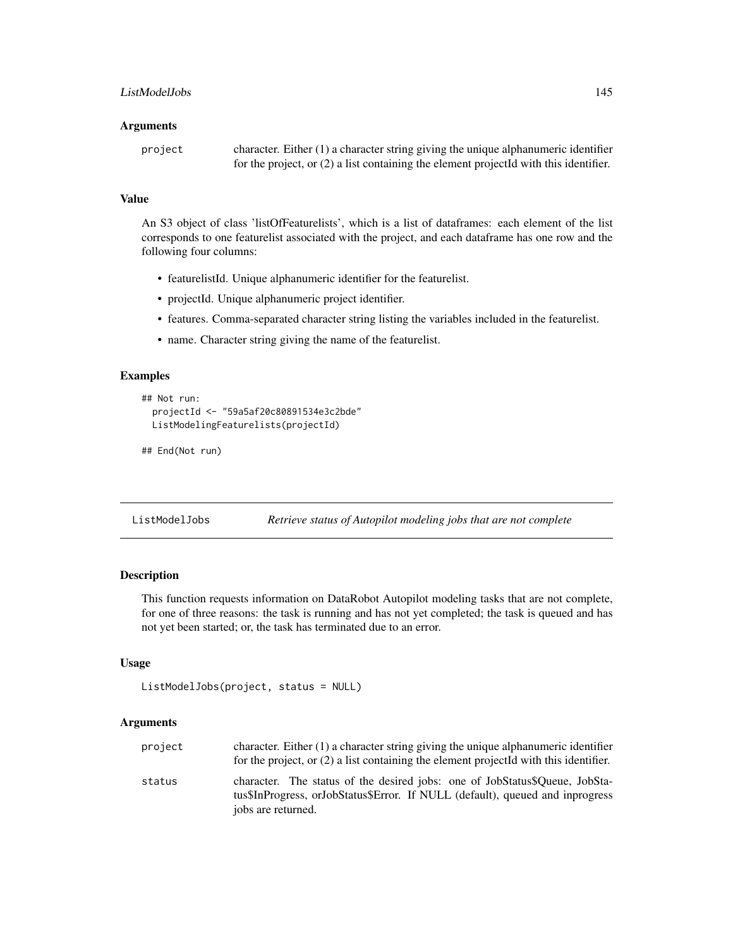#### **Arguments**

| project | character. Either $(1)$ a character string giving the unique alphanumeric identifier    |
|---------|-----------------------------------------------------------------------------------------|
|         | for the project, or $(2)$ a list containing the element projected with this identifier. |

## Value

An S3 object of class 'listOfFeaturelists', which is a list of dataframes: each element of the list corresponds to one featurelist associated with the project, and each dataframe has one row and the following four columns:

- featurelistId. Unique alphanumeric identifier for the featurelist.
- projectId. Unique alphanumeric project identifier.
- features. Comma-separated character string listing the variables included in the featurelist.
- name. Character string giving the name of the featurelist.

# Examples

```
## Not run:
 projectId <- "59a5af20c80891534e3c2bde"
 ListModelingFeaturelists(projectId)
```

```
## End(Not run)
```
ListModelJobs *Retrieve status of Autopilot modeling jobs that are not complete*

# Description

This function requests information on DataRobot Autopilot modeling tasks that are not complete, for one of three reasons: the task is running and has not yet completed; the task is queued and has not yet been started; or, the task has terminated due to an error.

# Usage

```
ListModelJobs(project, status = NULL)
```
# Arguments

| project | character. Either $(1)$ a character string giving the unique alphanumeric identifier<br>for the project, or $(2)$ a list containing the element projected with this identifier.    |
|---------|------------------------------------------------------------------------------------------------------------------------------------------------------------------------------------|
| status  | character. The status of the desired jobs: one of JobStatus\$Oueue, JobSta-<br>tus\$InProgress, orJobStatus\$Error. If NULL (default), queued and inprogress<br>jobs are returned. |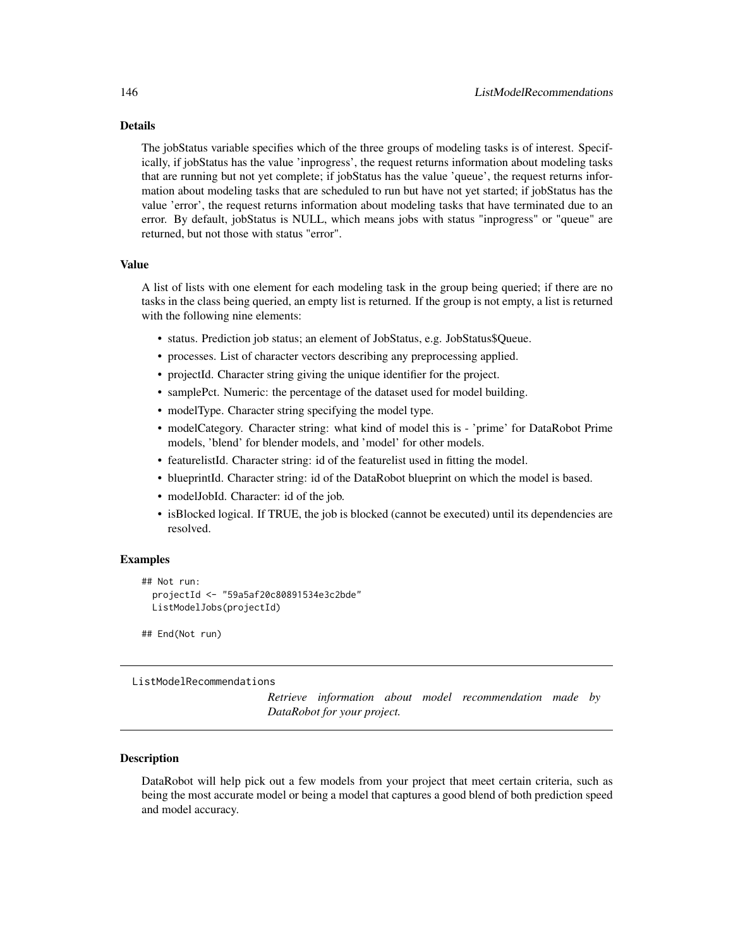## Details

The jobStatus variable specifies which of the three groups of modeling tasks is of interest. Specifically, if jobStatus has the value 'inprogress', the request returns information about modeling tasks that are running but not yet complete; if jobStatus has the value 'queue', the request returns information about modeling tasks that are scheduled to run but have not yet started; if jobStatus has the value 'error', the request returns information about modeling tasks that have terminated due to an error. By default, jobStatus is NULL, which means jobs with status "inprogress" or "queue" are returned, but not those with status "error".

## Value

A list of lists with one element for each modeling task in the group being queried; if there are no tasks in the class being queried, an empty list is returned. If the group is not empty, a list is returned with the following nine elements:

- status. Prediction job status; an element of JobStatus, e.g. JobStatus\$Queue.
- processes. List of character vectors describing any preprocessing applied.
- projectId. Character string giving the unique identifier for the project.
- samplePct. Numeric: the percentage of the dataset used for model building.
- modelType. Character string specifying the model type.
- modelCategory. Character string: what kind of model this is 'prime' for DataRobot Prime models, 'blend' for blender models, and 'model' for other models.
- featurelistId. Character string: id of the featurelist used in fitting the model.
- blueprintId. Character string: id of the DataRobot blueprint on which the model is based.
- modelJobId. Character: id of the job.
- isBlocked logical. If TRUE, the job is blocked (cannot be executed) until its dependencies are resolved.

## Examples

```
## Not run:
 projectId <- "59a5af20c80891534e3c2bde"
 ListModelJobs(projectId)
```
## End(Not run)

ListModelRecommendations

*Retrieve information about model recommendation made by DataRobot for your project.*

#### **Description**

DataRobot will help pick out a few models from your project that meet certain criteria, such as being the most accurate model or being a model that captures a good blend of both prediction speed and model accuracy.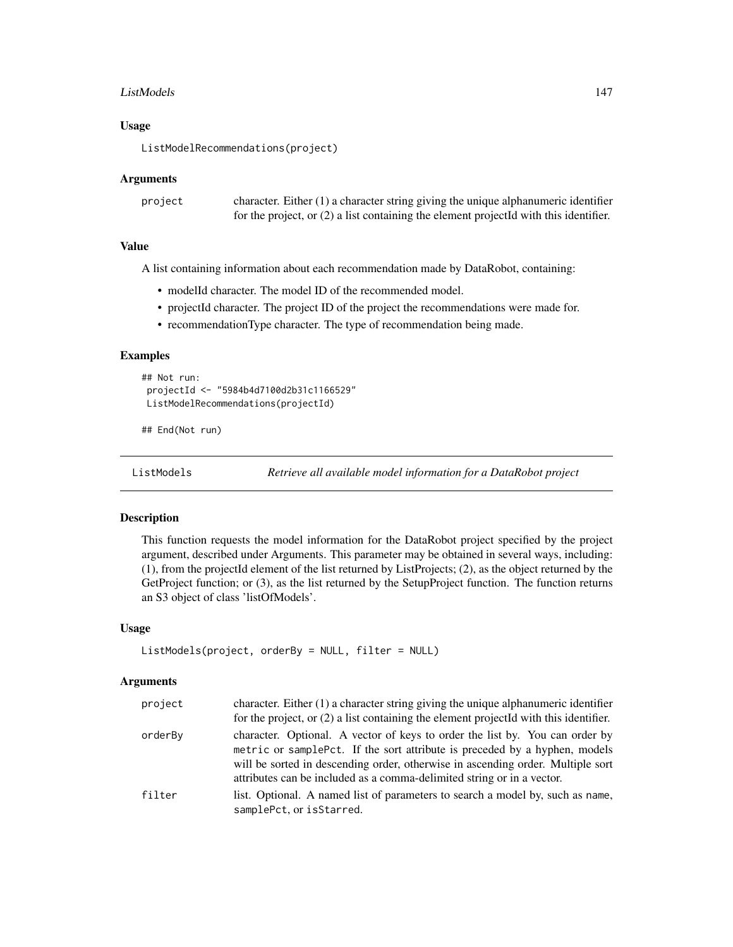## ListModels 147

#### Usage

ListModelRecommendations(project)

## Arguments

| project | character. Either $(1)$ a character string giving the unique alphanumeric identifier    |
|---------|-----------------------------------------------------------------------------------------|
|         | for the project, or $(2)$ a list containing the element projected with this identifier. |

## Value

A list containing information about each recommendation made by DataRobot, containing:

- modelId character. The model ID of the recommended model.
- projectId character. The project ID of the project the recommendations were made for.
- recommendationType character. The type of recommendation being made.

# Examples

```
## Not run:
projectId <- "5984b4d7100d2b31c1166529"
ListModelRecommendations(projectId)
```
## End(Not run)

ListModels *Retrieve all available model information for a DataRobot project*

# Description

This function requests the model information for the DataRobot project specified by the project argument, described under Arguments. This parameter may be obtained in several ways, including: (1), from the projectId element of the list returned by ListProjects; (2), as the object returned by the GetProject function; or (3), as the list returned by the SetupProject function. The function returns an S3 object of class 'listOfModels'.

#### Usage

```
ListModels(project, orderBy = NULL, filter = NULL)
```
#### Arguments

| project | character. Either (1) a character string giving the unique alphanumeric identifier<br>for the project, or (2) a list containing the element projectId with this identifier.                                                                                                                                             |
|---------|-------------------------------------------------------------------------------------------------------------------------------------------------------------------------------------------------------------------------------------------------------------------------------------------------------------------------|
| orderBy | character. Optional. A vector of keys to order the list by. You can order by<br>metric or samplePct. If the sort attribute is preceded by a hyphen, models<br>will be sorted in descending order, otherwise in ascending order. Multiple sort<br>attributes can be included as a comma-delimited string or in a vector. |
| filter  | list. Optional. A named list of parameters to search a model by, such as name,<br>samplePct, or isStarred.                                                                                                                                                                                                              |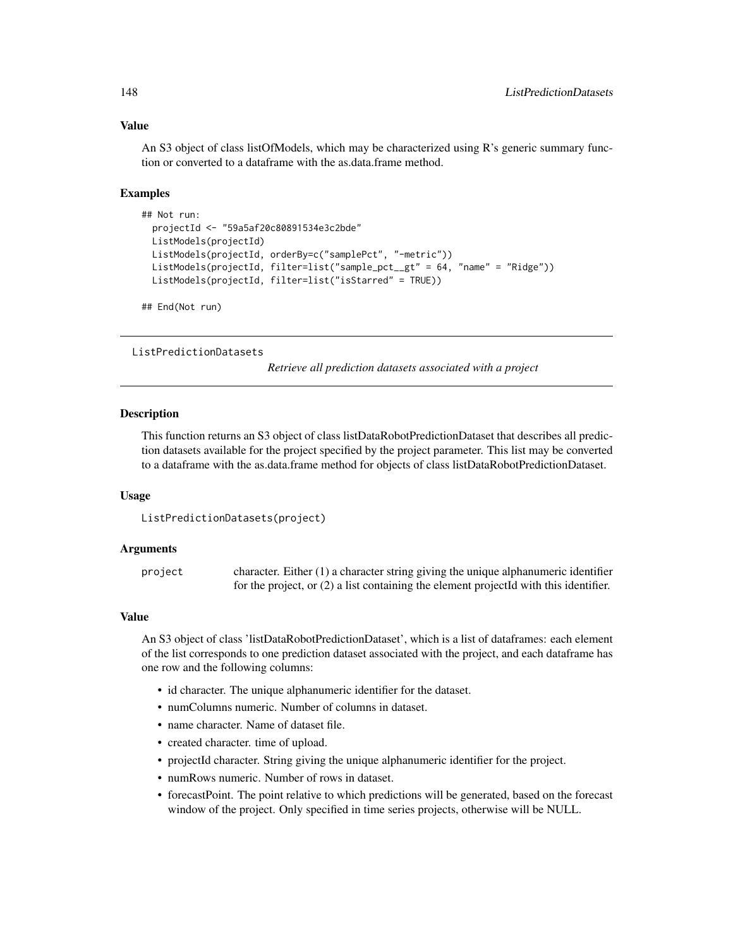#### Value

An S3 object of class listOfModels, which may be characterized using R's generic summary function or converted to a dataframe with the as.data.frame method.

## Examples

```
## Not run:
 projectId <- "59a5af20c80891534e3c2bde"
 ListModels(projectId)
 ListModels(projectId, orderBy=c("samplePct", "-metric"))
 ListModels(projectId, filter=list("sample_pct__gt" = 64, "name" = "Ridge"))
 ListModels(projectId, filter=list("isStarred" = TRUE))
## End(Not run)
```
ListPredictionDatasets

*Retrieve all prediction datasets associated with a project*

# Description

This function returns an S3 object of class listDataRobotPredictionDataset that describes all prediction datasets available for the project specified by the project parameter. This list may be converted to a dataframe with the as.data.frame method for objects of class listDataRobotPredictionDataset.

#### Usage

```
ListPredictionDatasets(project)
```
## Arguments

project character. Either (1) a character string giving the unique alphanumeric identifier for the project, or (2) a list containing the element projectId with this identifier.

#### Value

An S3 object of class 'listDataRobotPredictionDataset', which is a list of dataframes: each element of the list corresponds to one prediction dataset associated with the project, and each dataframe has one row and the following columns:

- id character. The unique alphanumeric identifier for the dataset.
- numColumns numeric. Number of columns in dataset.
- name character. Name of dataset file.
- created character. time of upload.
- projectId character. String giving the unique alphanumeric identifier for the project.
- numRows numeric. Number of rows in dataset.
- forecastPoint. The point relative to which predictions will be generated, based on the forecast window of the project. Only specified in time series projects, otherwise will be NULL.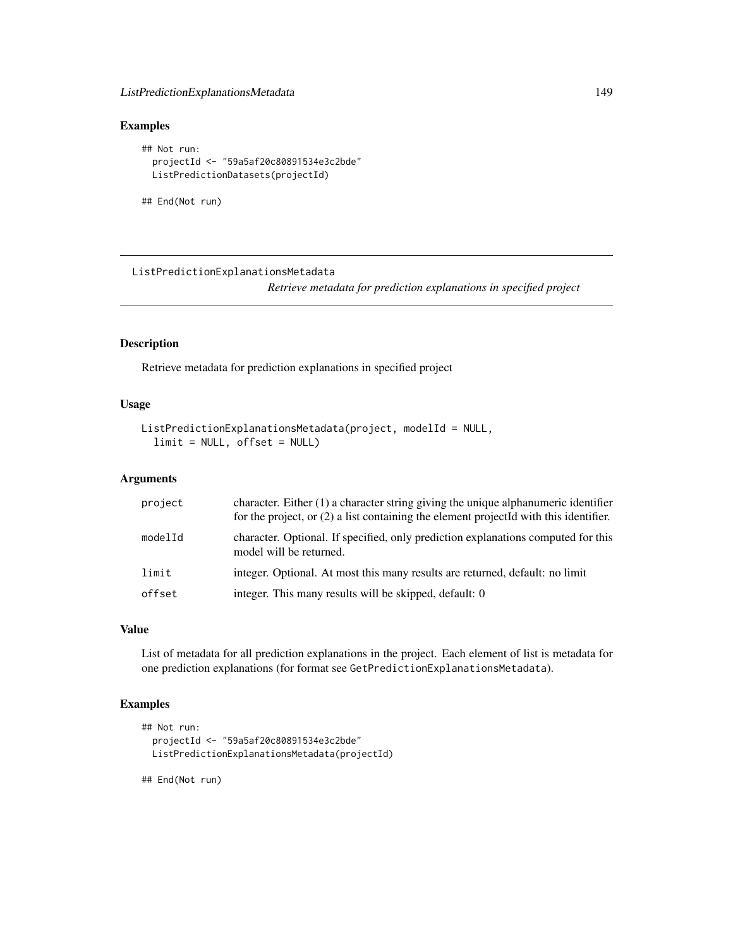# ListPredictionExplanationsMetadata 149

# Examples

```
## Not run:
 projectId <- "59a5af20c80891534e3c2bde"
 ListPredictionDatasets(projectId)
```
## End(Not run)

ListPredictionExplanationsMetadata

*Retrieve metadata for prediction explanations in specified project*

# Description

Retrieve metadata for prediction explanations in specified project

## Usage

```
ListPredictionExplanationsMetadata(project, modelId = NULL,
  limit = NULL, offset = NULL)
```
## Arguments

| project | character. Either $(1)$ a character string giving the unique alphanumeric identifier<br>for the project, or $(2)$ a list containing the element projectId with this identifier. |
|---------|---------------------------------------------------------------------------------------------------------------------------------------------------------------------------------|
| modelId | character. Optional. If specified, only prediction explanations computed for this<br>model will be returned.                                                                    |
| limit   | integer. Optional. At most this many results are returned, default: no limit                                                                                                    |
| offset  | integer. This many results will be skipped, default: 0                                                                                                                          |

# Value

List of metadata for all prediction explanations in the project. Each element of list is metadata for one prediction explanations (for format see GetPredictionExplanationsMetadata).

# Examples

```
## Not run:
 projectId <- "59a5af20c80891534e3c2bde"
 ListPredictionExplanationsMetadata(projectId)
```
## End(Not run)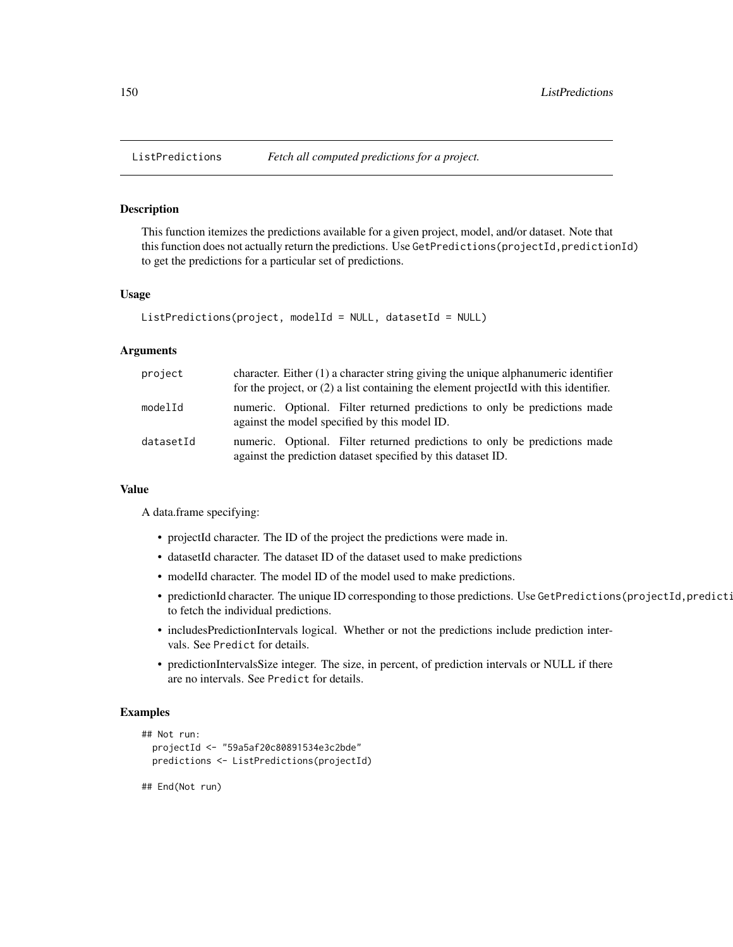# Description

This function itemizes the predictions available for a given project, model, and/or dataset. Note that this function does not actually return the predictions. Use GetPredictions(projectId,predictionId) to get the predictions for a particular set of predictions.

#### Usage

```
ListPredictions(project, modelId = NULL, datasetId = NULL)
```
#### Arguments

| project   | character. Either (1) a character string giving the unique alphanumeric identifier<br>for the project, or $(2)$ a list containing the element projected with this identifier. |
|-----------|-------------------------------------------------------------------------------------------------------------------------------------------------------------------------------|
| modelId   | numeric. Optional. Filter returned predictions to only be predictions made<br>against the model specified by this model ID.                                                   |
| datasetId | numeric. Optional. Filter returned predictions to only be predictions made<br>against the prediction dataset specified by this dataset ID.                                    |

#### Value

A data.frame specifying:

- projectId character. The ID of the project the predictions were made in.
- datasetId character. The dataset ID of the dataset used to make predictions
- modelId character. The model ID of the model used to make predictions.
- predictionId character. The unique ID corresponding to those predictions. Use GetPredictions(projectId,predicti to fetch the individual predictions.
- includesPredictionIntervals logical. Whether or not the predictions include prediction intervals. See Predict for details.
- predictionIntervalsSize integer. The size, in percent, of prediction intervals or NULL if there are no intervals. See Predict for details.

# Examples

```
## Not run:
 projectId <- "59a5af20c80891534e3c2bde"
 predictions <- ListPredictions(projectId)
```
## End(Not run)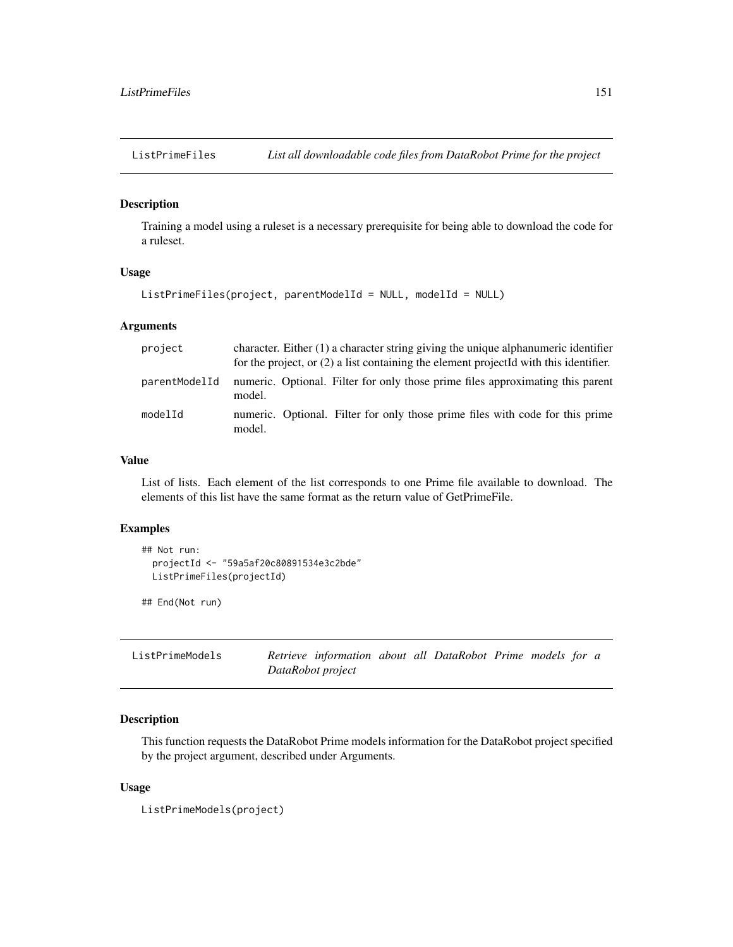# Description

Training a model using a ruleset is a necessary prerequisite for being able to download the code for a ruleset.

# Usage

```
ListPrimeFiles(project, parentModelId = NULL, modelId = NULL)
```
## Arguments

| project       | character. Either $(1)$ a character string giving the unique alphanumeric identifier<br>for the project, or $(2)$ a list containing the element projected with this identifier. |
|---------------|---------------------------------------------------------------------------------------------------------------------------------------------------------------------------------|
| parentModelId | numeric. Optional. Filter for only those prime files approximating this parent<br>model.                                                                                        |
| modelId       | numeric. Optional. Filter for only those prime files with code for this prime<br>model.                                                                                         |

# Value

List of lists. Each element of the list corresponds to one Prime file available to download. The elements of this list have the same format as the return value of GetPrimeFile.

# Examples

```
## Not run:
 projectId <- "59a5af20c80891534e3c2bde"
 ListPrimeFiles(projectId)
```
## End(Not run)

| ListPrimeModels | Retrieve information about all DataRobot Prime models for a |  |  |  |  |
|-----------------|-------------------------------------------------------------|--|--|--|--|
|                 | DataRobot project                                           |  |  |  |  |

# Description

This function requests the DataRobot Prime models information for the DataRobot project specified by the project argument, described under Arguments.

## Usage

```
ListPrimeModels(project)
```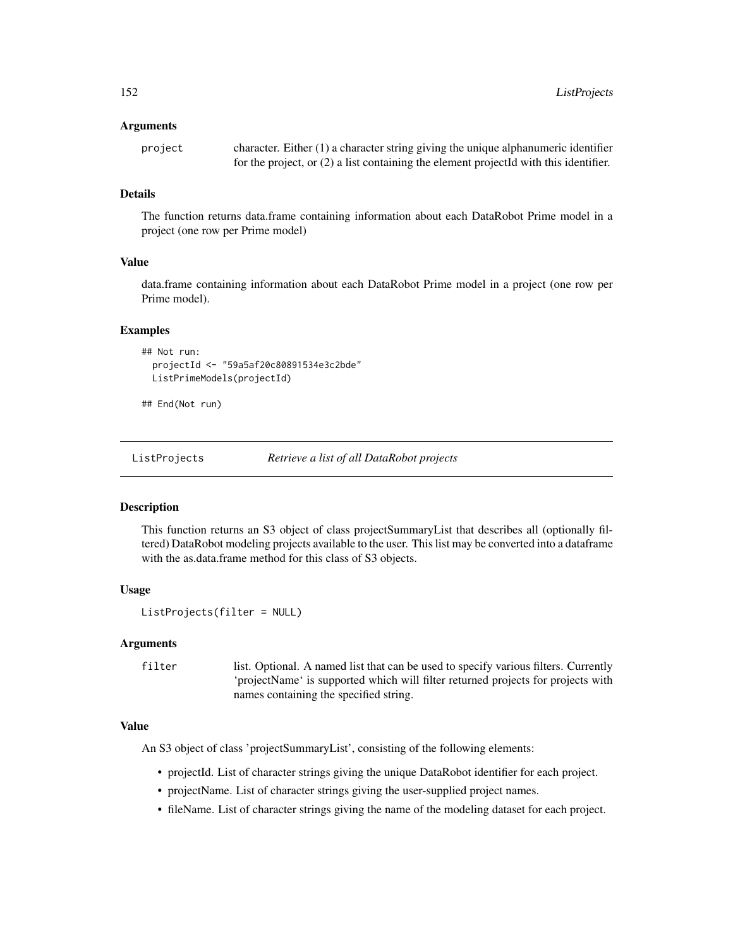#### Arguments

| project | character. Either $(1)$ a character string giving the unique alphanumeric identifier    |
|---------|-----------------------------------------------------------------------------------------|
|         | for the project, or $(2)$ a list containing the element projected with this identifier. |

# Details

The function returns data.frame containing information about each DataRobot Prime model in a project (one row per Prime model)

# Value

data.frame containing information about each DataRobot Prime model in a project (one row per Prime model).

#### Examples

```
## Not run:
 projectId <- "59a5af20c80891534e3c2bde"
 ListPrimeModels(projectId)
```
## End(Not run)

ListProjects *Retrieve a list of all DataRobot projects*

## Description

This function returns an S3 object of class projectSummaryList that describes all (optionally filtered) DataRobot modeling projects available to the user. This list may be converted into a dataframe with the as.data.frame method for this class of S3 objects.

#### Usage

```
ListProjects(filter = NULL)
```
# Arguments

```
filter list. Optional. A named list that can be used to specify various filters. Currently
                   'projectName' is supported which will filter returned projects for projects with
                  names containing the specified string.
```
#### Value

An S3 object of class 'projectSummaryList', consisting of the following elements:

- projectId. List of character strings giving the unique DataRobot identifier for each project.
- projectName. List of character strings giving the user-supplied project names.
- fileName. List of character strings giving the name of the modeling dataset for each project.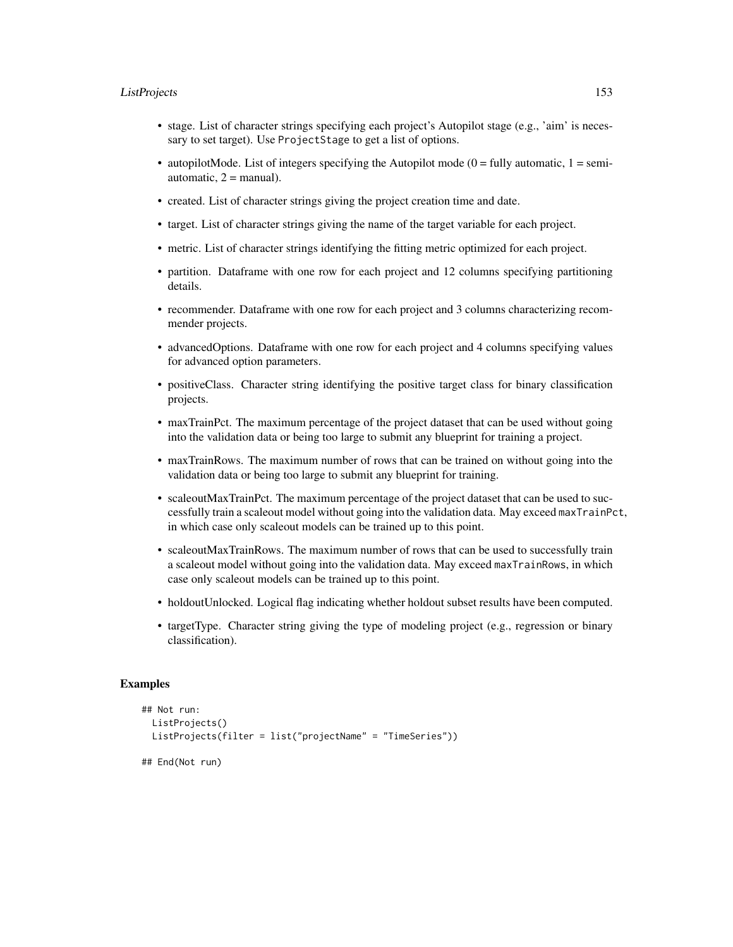## ListProjects 153

- stage. List of character strings specifying each project's Autopilot stage (e.g., 'aim' is necessary to set target). Use ProjectStage to get a list of options.
- autopilotMode. List of integers specifying the Autopilot mode ( $0 =$  fully automatic,  $1 =$  semiautomatic,  $2 =$  manual).
- created. List of character strings giving the project creation time and date.
- target. List of character strings giving the name of the target variable for each project.
- metric. List of character strings identifying the fitting metric optimized for each project.
- partition. Dataframe with one row for each project and 12 columns specifying partitioning details.
- recommender. Dataframe with one row for each project and 3 columns characterizing recommender projects.
- advancedOptions. Dataframe with one row for each project and 4 columns specifying values for advanced option parameters.
- positiveClass. Character string identifying the positive target class for binary classification projects.
- maxTrainPct. The maximum percentage of the project dataset that can be used without going into the validation data or being too large to submit any blueprint for training a project.
- maxTrainRows. The maximum number of rows that can be trained on without going into the validation data or being too large to submit any blueprint for training.
- scaleoutMaxTrainPct. The maximum percentage of the project dataset that can be used to successfully train a scaleout model without going into the validation data. May exceed maxTrainPct, in which case only scaleout models can be trained up to this point.
- scaleoutMaxTrainRows. The maximum number of rows that can be used to successfully train a scaleout model without going into the validation data. May exceed maxTrainRows, in which case only scaleout models can be trained up to this point.
- holdoutUnlocked. Logical flag indicating whether holdout subset results have been computed.
- targetType. Character string giving the type of modeling project (e.g., regression or binary classification).

#### Examples

```
## Not run:
 ListProjects()
 ListProjects(filter = list("projectName" = "TimeSeries"))
## End(Not run)
```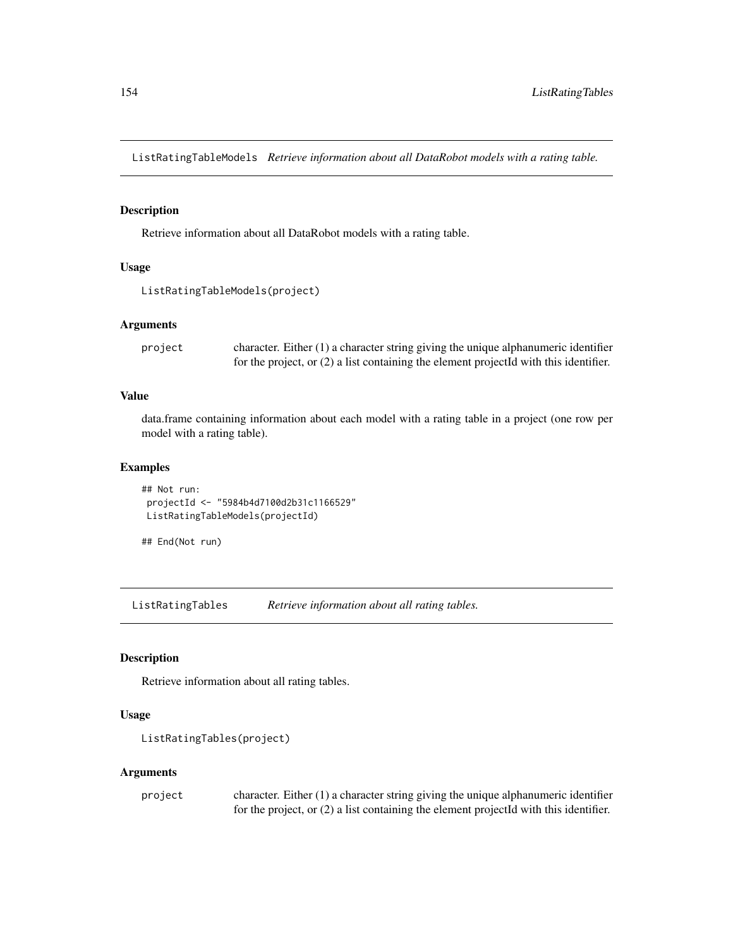ListRatingTableModels *Retrieve information about all DataRobot models with a rating table.*

# Description

Retrieve information about all DataRobot models with a rating table.

# Usage

```
ListRatingTableModels(project)
```
## Arguments

project character. Either (1) a character string giving the unique alphanumeric identifier for the project, or (2) a list containing the element projectId with this identifier.

## Value

data.frame containing information about each model with a rating table in a project (one row per model with a rating table).

## Examples

```
## Not run:
projectId <- "5984b4d7100d2b31c1166529"
ListRatingTableModels(projectId)
```

```
## End(Not run)
```
ListRatingTables *Retrieve information about all rating tables.*

# Description

Retrieve information about all rating tables.

## Usage

```
ListRatingTables(project)
```
## Arguments

| project | character. Either $(1)$ a character string giving the unique alphanumeric identifier    |
|---------|-----------------------------------------------------------------------------------------|
|         | for the project, or $(2)$ a list containing the element projected with this identifier. |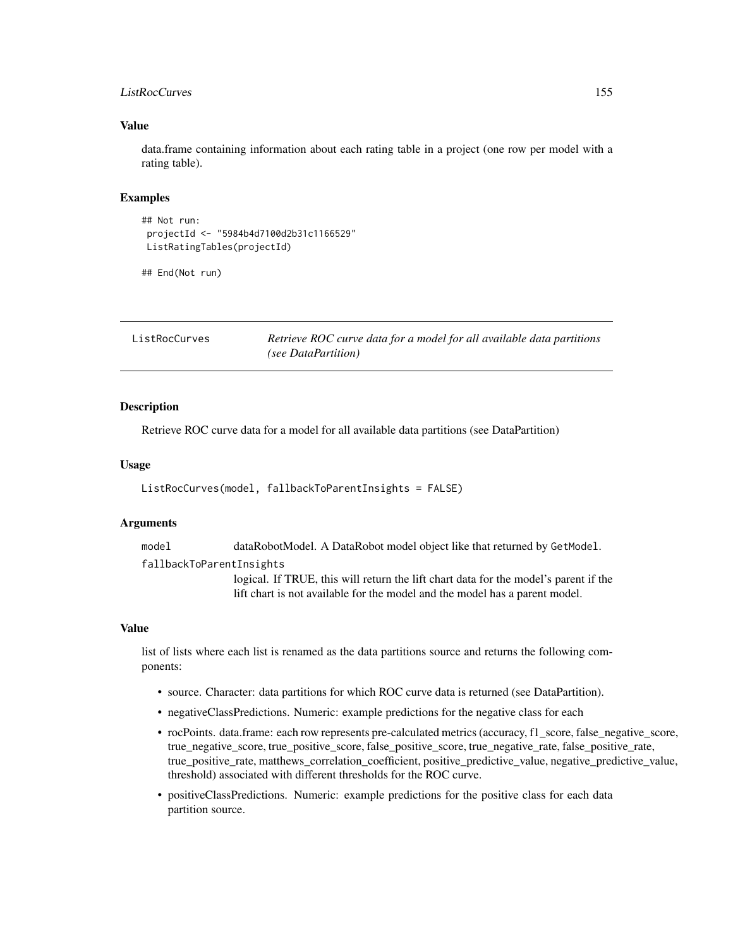# ListRocCurves 155

## Value

data.frame containing information about each rating table in a project (one row per model with a rating table).

#### Examples

```
## Not run:
projectId <- "5984b4d7100d2b31c1166529"
ListRatingTables(projectId)
```

```
## End(Not run)
```
ListRocCurves *Retrieve ROC curve data for a model for all available data partitions (see DataPartition)*

#### Description

Retrieve ROC curve data for a model for all available data partitions (see DataPartition)

#### Usage

```
ListRocCurves(model, fallbackToParentInsights = FALSE)
```
#### Arguments

model dataRobotModel. A DataRobot model object like that returned by GetModel.

fallbackToParentInsights

logical. If TRUE, this will return the lift chart data for the model's parent if the lift chart is not available for the model and the model has a parent model.

#### Value

list of lists where each list is renamed as the data partitions source and returns the following components:

- source. Character: data partitions for which ROC curve data is returned (see DataPartition).
- negativeClassPredictions. Numeric: example predictions for the negative class for each
- rocPoints. data.frame: each row represents pre-calculated metrics (accuracy, f1\_score, false\_negative\_score, true\_negative\_score, true\_positive\_score, false\_positive\_score, true\_negative\_rate, false\_positive\_rate, true\_positive\_rate, matthews\_correlation\_coefficient, positive\_predictive\_value, negative\_predictive\_value, threshold) associated with different thresholds for the ROC curve.
- positiveClassPredictions. Numeric: example predictions for the positive class for each data partition source.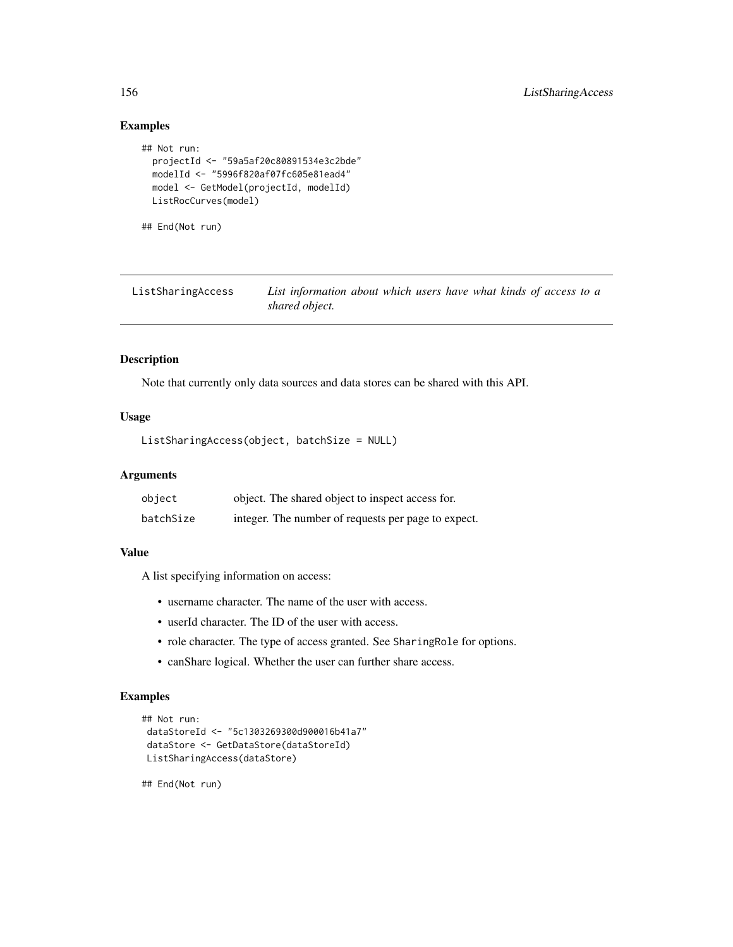# Examples

```
## Not run:
 projectId <- "59a5af20c80891534e3c2bde"
 modelId <- "5996f820af07fc605e81ead4"
 model <- GetModel(projectId, modelId)
 ListRocCurves(model)
```
## End(Not run)

| ListSharingAccess | List information about which users have what kinds of access to a |
|-------------------|-------------------------------------------------------------------|
|                   | shared object.                                                    |

#### Description

Note that currently only data sources and data stores can be shared with this API.

# Usage

```
ListSharingAccess(object, batchSize = NULL)
```
## Arguments

| object    | object. The shared object to inspect access for.    |
|-----------|-----------------------------------------------------|
| batchSize | integer. The number of requests per page to expect. |

## Value

A list specifying information on access:

- username character. The name of the user with access.
- userId character. The ID of the user with access.
- role character. The type of access granted. See SharingRole for options.
- canShare logical. Whether the user can further share access.

# Examples

```
## Not run:
dataStoreId <- "5c1303269300d900016b41a7"
dataStore <- GetDataStore(dataStoreId)
ListSharingAccess(dataStore)
```
## End(Not run)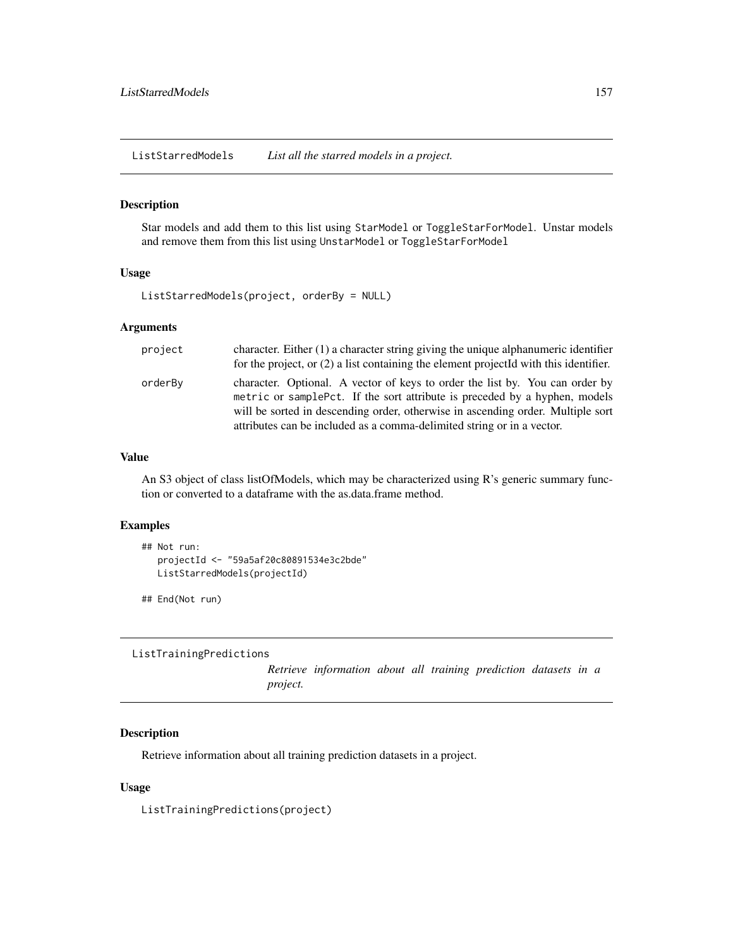ListStarredModels *List all the starred models in a project.*

## Description

Star models and add them to this list using StarModel or ToggleStarForModel. Unstar models and remove them from this list using UnstarModel or ToggleStarForModel

## Usage

ListStarredModels(project, orderBy = NULL)

## Arguments

| project | character. Either (1) a character string giving the unique alphanumeric identifier<br>for the project, or $(2)$ a list containing the element projected with this identifier.                                                                                                                                            |
|---------|--------------------------------------------------------------------------------------------------------------------------------------------------------------------------------------------------------------------------------------------------------------------------------------------------------------------------|
| orderBy | character. Optional. A vector of keys to order the list by. You can order by<br>metric or sample Pct. If the sort attribute is preceded by a hyphen, models<br>will be sorted in descending order, otherwise in ascending order. Multiple sort<br>attributes can be included as a comma-delimited string or in a vector. |

#### Value

An S3 object of class listOfModels, which may be characterized using R's generic summary function or converted to a dataframe with the as.data.frame method.

## Examples

```
## Not run:
  projectId <- "59a5af20c80891534e3c2bde"
  ListStarredModels(projectId)
```
## End(Not run)

ListTrainingPredictions

*Retrieve information about all training prediction datasets in a project.*

# Description

Retrieve information about all training prediction datasets in a project.

## Usage

ListTrainingPredictions(project)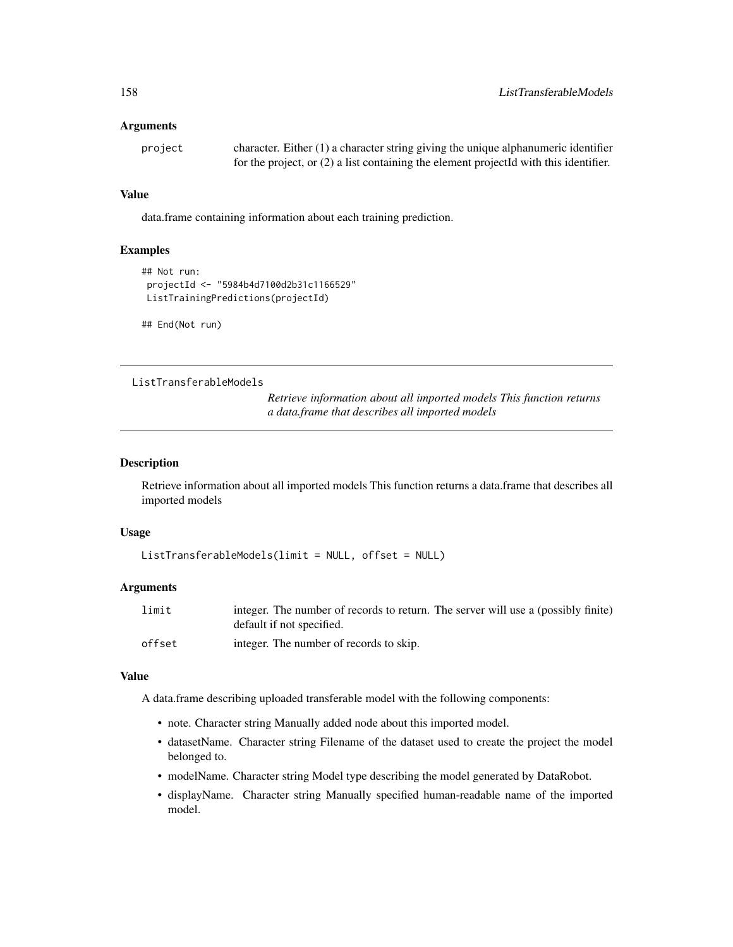## Arguments

project character. Either (1) a character string giving the unique alphanumeric identifier for the project, or (2) a list containing the element projectId with this identifier.

## Value

data.frame containing information about each training prediction.

# Examples

```
## Not run:
projectId <- "5984b4d7100d2b31c1166529"
ListTrainingPredictions(projectId)
```
## End(Not run)

ListTransferableModels

*Retrieve information about all imported models This function returns a data.frame that describes all imported models*

#### Description

Retrieve information about all imported models This function returns a data.frame that describes all imported models

#### Usage

```
ListTransferableModels(limit = NULL, offset = NULL)
```
#### Arguments

| limit  | integer. The number of records to return. The server will use a (possibly finite)<br>default if not specified. |
|--------|----------------------------------------------------------------------------------------------------------------|
| offset | integer. The number of records to skip.                                                                        |

#### Value

A data.frame describing uploaded transferable model with the following components:

- note. Character string Manually added node about this imported model.
- datasetName. Character string Filename of the dataset used to create the project the model belonged to.
- modelName. Character string Model type describing the model generated by DataRobot.
- displayName. Character string Manually specified human-readable name of the imported model.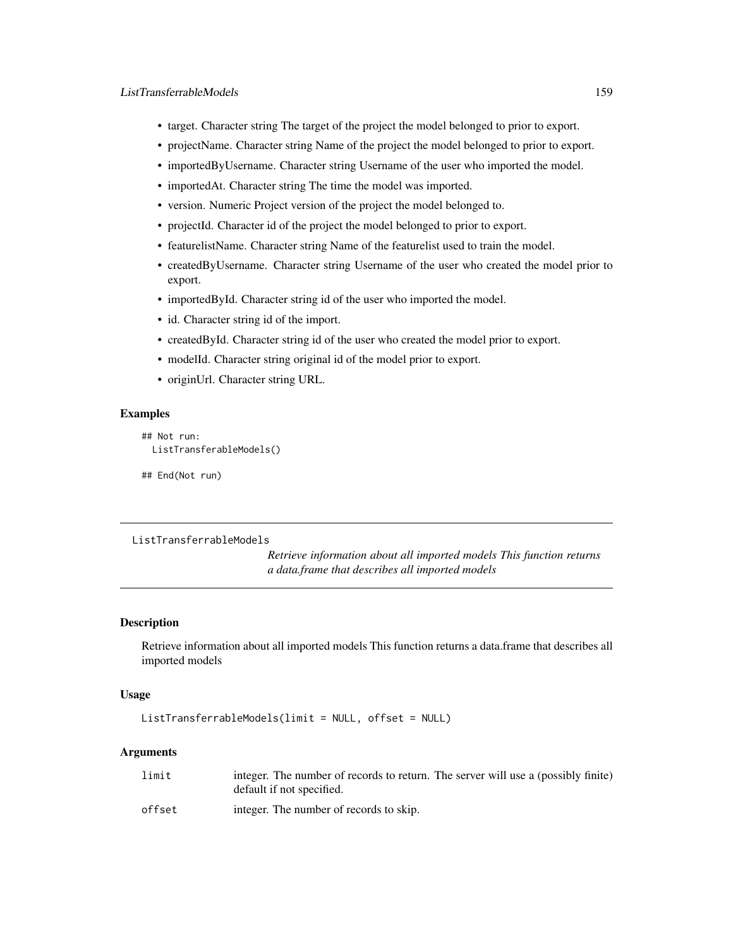- target. Character string The target of the project the model belonged to prior to export.
- projectName. Character string Name of the project the model belonged to prior to export.
- importedByUsername. Character string Username of the user who imported the model.
- importedAt. Character string The time the model was imported.
- version. Numeric Project version of the project the model belonged to.
- projectId. Character id of the project the model belonged to prior to export.
- featurelistName. Character string Name of the featurelist used to train the model.
- createdByUsername. Character string Username of the user who created the model prior to export.
- importedById. Character string id of the user who imported the model.
- id. Character string id of the import.
- createdById. Character string id of the user who created the model prior to export.
- modelId. Character string original id of the model prior to export.
- originUrl. Character string URL.

# **Examples**

```
## Not run:
 ListTransferableModels()
```
## End(Not run)

```
ListTransferrableModels
```
*Retrieve information about all imported models This function returns a data.frame that describes all imported models*

## Description

Retrieve information about all imported models This function returns a data.frame that describes all imported models

#### Usage

```
ListTransferrableModels(limit = NULL, offset = NULL)
```
# **Arguments**

| limit  | integer. The number of records to return. The server will use a (possibly finite)<br>default if not specified. |
|--------|----------------------------------------------------------------------------------------------------------------|
| offset | integer. The number of records to skip.                                                                        |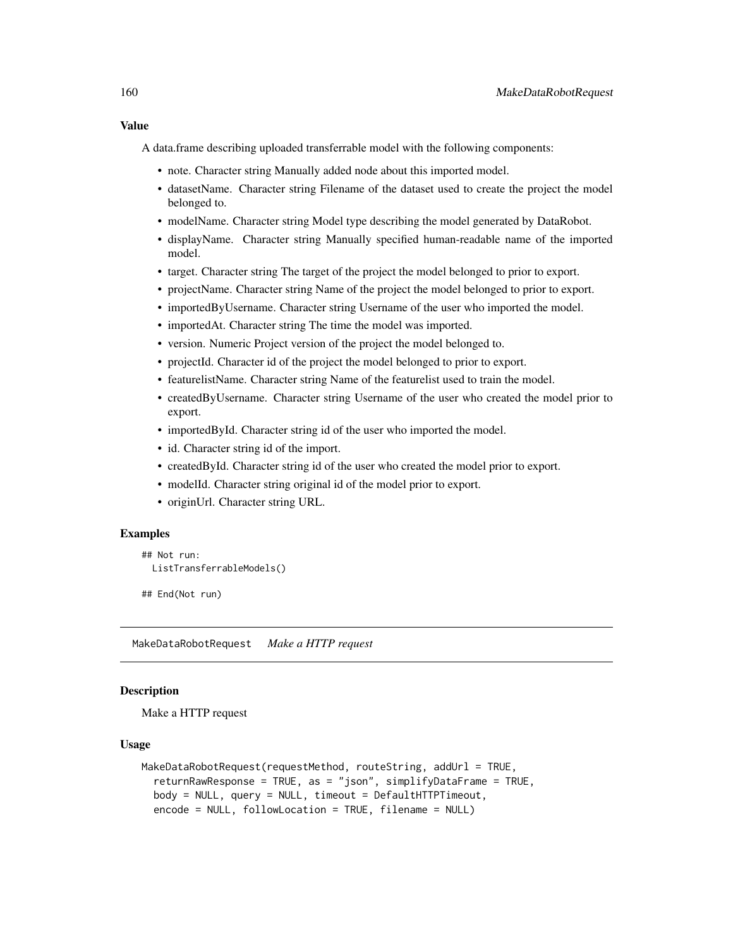# Value

A data.frame describing uploaded transferrable model with the following components:

- note. Character string Manually added node about this imported model.
- datasetName. Character string Filename of the dataset used to create the project the model belonged to.
- modelName. Character string Model type describing the model generated by DataRobot.
- displayName. Character string Manually specified human-readable name of the imported model.
- target. Character string The target of the project the model belonged to prior to export.
- projectName. Character string Name of the project the model belonged to prior to export.
- importedByUsername. Character string Username of the user who imported the model.
- importedAt. Character string The time the model was imported.
- version. Numeric Project version of the project the model belonged to.
- projectId. Character id of the project the model belonged to prior to export.
- featurelistName. Character string Name of the featurelist used to train the model.
- createdByUsername. Character string Username of the user who created the model prior to export.
- importedById. Character string id of the user who imported the model.
- id. Character string id of the import.
- createdById. Character string id of the user who created the model prior to export.
- modelId. Character string original id of the model prior to export.
- originUrl. Character string URL.

## Examples

```
## Not run:
 ListTransferrableModels()
```
## End(Not run)

MakeDataRobotRequest *Make a HTTP request*

#### Description

Make a HTTP request

## Usage

```
MakeDataRobotRequest(requestMethod, routeString, addUrl = TRUE,
  returnRawResponse = TRUE, as = "json", simplifyDataFrame = TRUE,
 body = NULL, query = NULL, timeout = DefaultHTTPTimeout,
  encode = NULL, followLocation = TRUE, filename = NULL)
```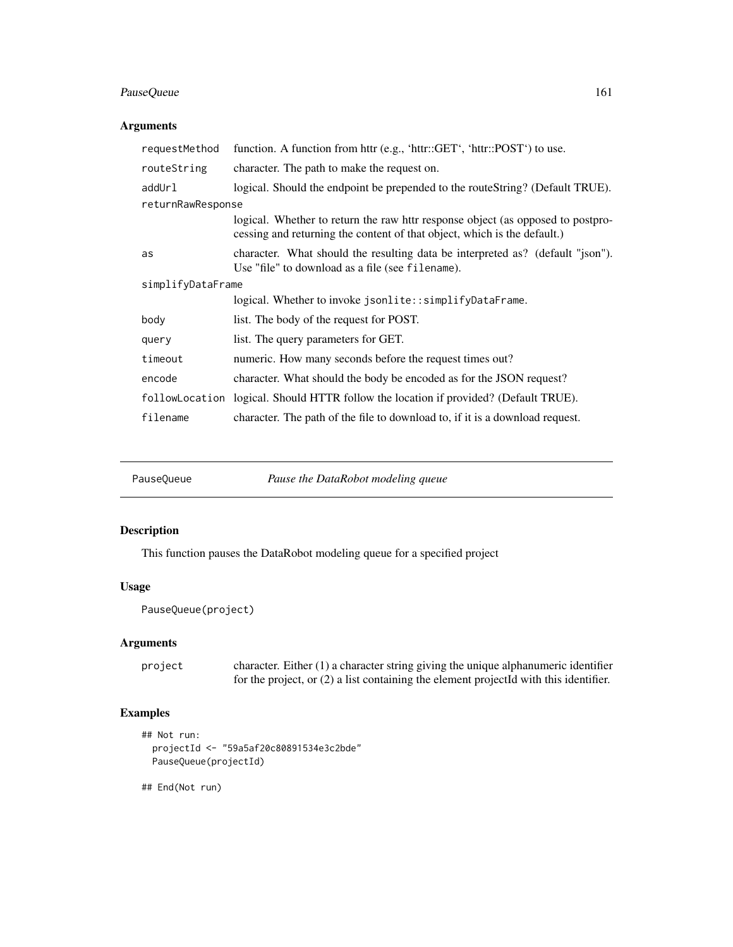# PauseQueue 161

# Arguments

| requestMethod     | function. A function from httr (e.g., 'httr::GET', 'httr::POST') to use.                                                                                    |  |
|-------------------|-------------------------------------------------------------------------------------------------------------------------------------------------------------|--|
| routeString       | character. The path to make the request on.                                                                                                                 |  |
| addUrl            | logical. Should the endpoint be prepended to the routeString? (Default TRUE).                                                                               |  |
| returnRawResponse |                                                                                                                                                             |  |
|                   | logical. Whether to return the raw httr response object (as opposed to postpro-<br>cessing and returning the content of that object, which is the default.) |  |
| as                | character. What should the resulting data be interpreted as? (default "json").<br>Use "file" to download as a file (see filename).                          |  |
| simplifyDataFrame |                                                                                                                                                             |  |
|                   | logical. Whether to invoke jsonlite::simplifyDataFrame.                                                                                                     |  |
| body              | list. The body of the request for POST.                                                                                                                     |  |
| query             | list. The query parameters for GET.                                                                                                                         |  |
| timeout           | numeric. How many seconds before the request times out?                                                                                                     |  |
| encode            | character. What should the body be encoded as for the JSON request?                                                                                         |  |
|                   | followLocation logical. Should HTTR follow the location if provided? (Default TRUE).                                                                        |  |
| filename          | character. The path of the file to download to, if it is a download request.                                                                                |  |

PauseQueue *Pause the DataRobot modeling queue*

# Description

This function pauses the DataRobot modeling queue for a specified project

# Usage

```
PauseQueue(project)
```
## Arguments

project character. Either (1) a character string giving the unique alphanumeric identifier for the project, or (2) a list containing the element projectId with this identifier.

# Examples

```
## Not run:
 projectId <- "59a5af20c80891534e3c2bde"
 PauseQueue(projectId)
```
## End(Not run)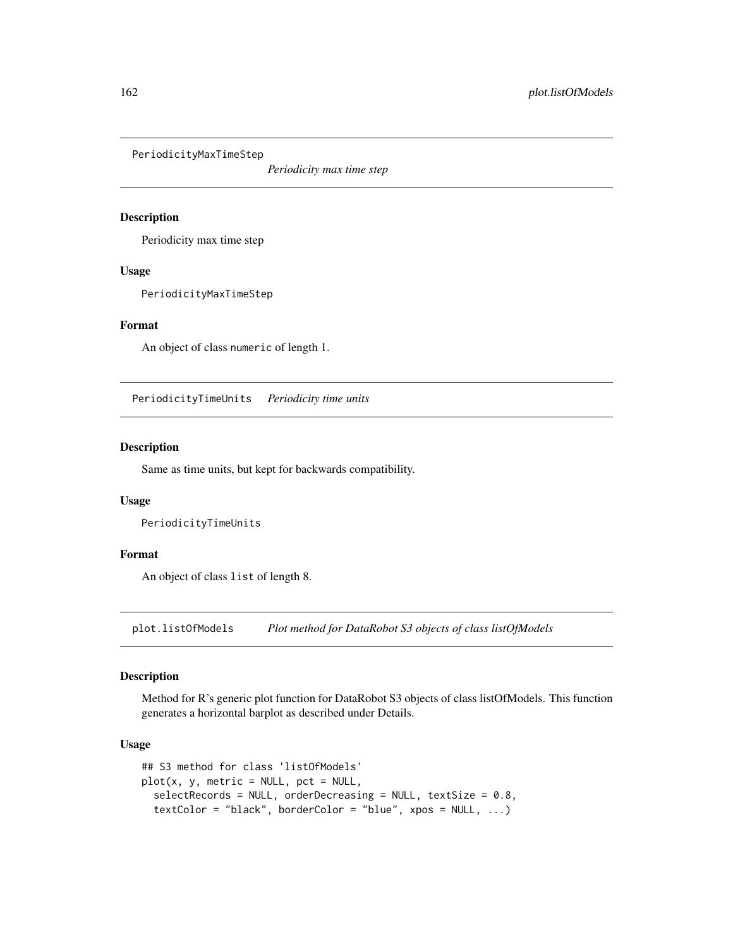PeriodicityMaxTimeStep

*Periodicity max time step*

# Description

Periodicity max time step

## Usage

PeriodicityMaxTimeStep

#### Format

An object of class numeric of length 1.

PeriodicityTimeUnits *Periodicity time units*

# Description

Same as time units, but kept for backwards compatibility.

#### Usage

PeriodicityTimeUnits

#### Format

An object of class list of length 8.

plot.listOfModels *Plot method for DataRobot S3 objects of class listOfModels*

# Description

Method for R's generic plot function for DataRobot S3 objects of class listOfModels. This function generates a horizontal barplot as described under Details.

## Usage

```
## S3 method for class 'listOfModels'
plot(x, y, metric = NULL, pot = NULL,selectRecords = NULL, orderDecreasing = NULL, textSize = 0.8,
  textColor = "black", borderColor = "blue", xpos = NULL, ...)
```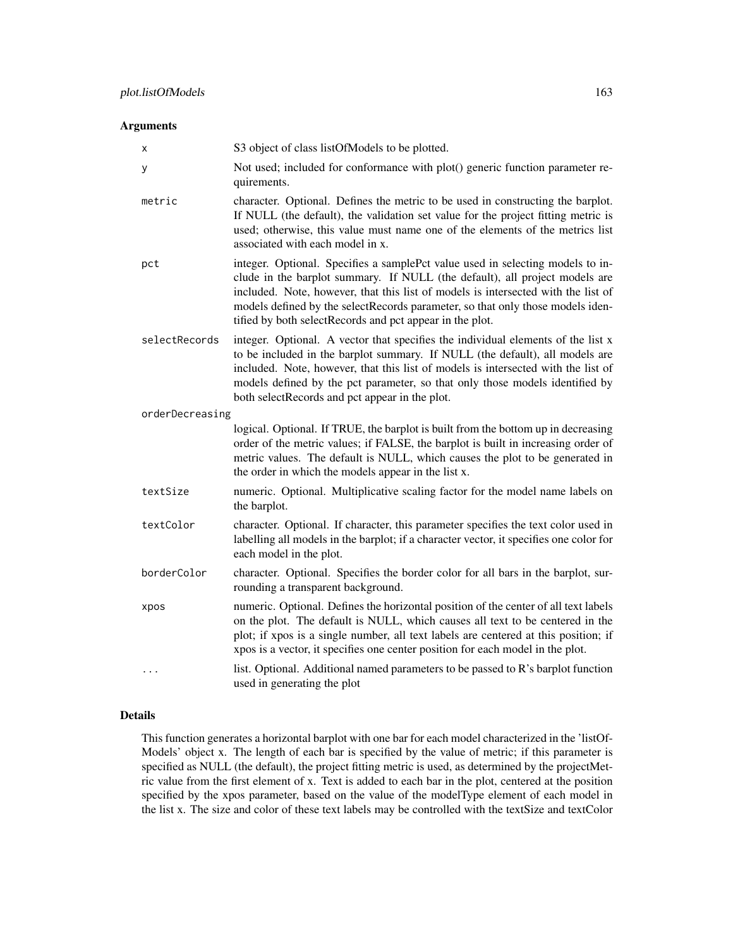## Arguments

| х               | S3 object of class listOfModels to be plotted.                                                                                                                                                                                                                                                                                                                                                   |
|-----------------|--------------------------------------------------------------------------------------------------------------------------------------------------------------------------------------------------------------------------------------------------------------------------------------------------------------------------------------------------------------------------------------------------|
| У               | Not used; included for conformance with plot() generic function parameter re-<br>quirements.                                                                                                                                                                                                                                                                                                     |
| metric          | character. Optional. Defines the metric to be used in constructing the barplot.<br>If NULL (the default), the validation set value for the project fitting metric is<br>used; otherwise, this value must name one of the elements of the metrics list<br>associated with each model in x.                                                                                                        |
| pct             | integer. Optional. Specifies a samplePct value used in selecting models to in-<br>clude in the barplot summary. If NULL (the default), all project models are<br>included. Note, however, that this list of models is intersected with the list of<br>models defined by the selectRecords parameter, so that only those models iden-<br>tified by both selectRecords and pct appear in the plot. |
| selectRecords   | integer. Optional. A vector that specifies the individual elements of the list x<br>to be included in the barplot summary. If NULL (the default), all models are<br>included. Note, however, that this list of models is intersected with the list of<br>models defined by the pct parameter, so that only those models identified by<br>both selectRecords and pct appear in the plot.          |
| orderDecreasing |                                                                                                                                                                                                                                                                                                                                                                                                  |
|                 | logical. Optional. If TRUE, the barplot is built from the bottom up in decreasing<br>order of the metric values; if FALSE, the barplot is built in increasing order of<br>metric values. The default is NULL, which causes the plot to be generated in<br>the order in which the models appear in the list x.                                                                                    |
| textSize        | numeric. Optional. Multiplicative scaling factor for the model name labels on<br>the barplot.                                                                                                                                                                                                                                                                                                    |
| textColor       | character. Optional. If character, this parameter specifies the text color used in<br>labelling all models in the barplot; if a character vector, it specifies one color for<br>each model in the plot.                                                                                                                                                                                          |
| borderColor     | character. Optional. Specifies the border color for all bars in the barplot, sur-<br>rounding a transparent background.                                                                                                                                                                                                                                                                          |
| xpos            | numeric. Optional. Defines the horizontal position of the center of all text labels<br>on the plot. The default is NULL, which causes all text to be centered in the<br>plot; if xpos is a single number, all text labels are centered at this position; if<br>xpos is a vector, it specifies one center position for each model in the plot.                                                    |
| $\cdots$        | list. Optional. Additional named parameters to be passed to R's barplot function<br>used in generating the plot                                                                                                                                                                                                                                                                                  |

# Details

This function generates a horizontal barplot with one bar for each model characterized in the 'listOf-Models' object x. The length of each bar is specified by the value of metric; if this parameter is specified as NULL (the default), the project fitting metric is used, as determined by the projectMetric value from the first element of x. Text is added to each bar in the plot, centered at the position specified by the xpos parameter, based on the value of the modelType element of each model in the list x. The size and color of these text labels may be controlled with the textSize and textColor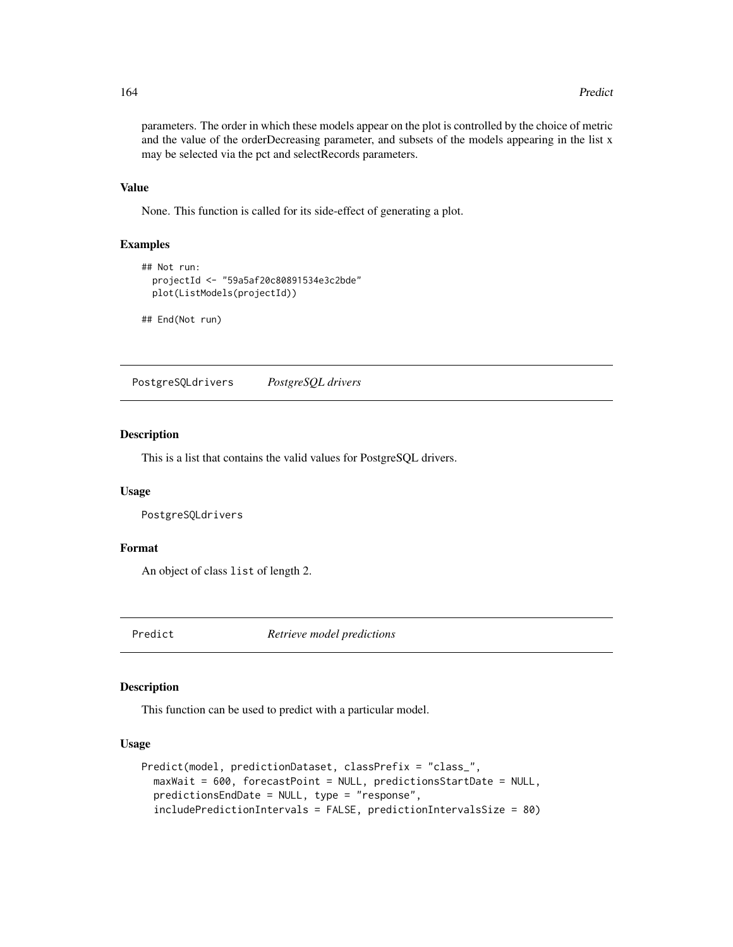#### 164 Predict Predict Predict Predict Predict Predict Predict Predict Predict Predict Predict Predict Predict Predict Predict Predict Predict Predict Predict Predict Predict Predict Predict Predict Predict Predict Predict Pr

parameters. The order in which these models appear on the plot is controlled by the choice of metric and the value of the orderDecreasing parameter, and subsets of the models appearing in the list x may be selected via the pct and selectRecords parameters.

# Value

None. This function is called for its side-effect of generating a plot.

# Examples

```
## Not run:
 projectId <- "59a5af20c80891534e3c2bde"
 plot(ListModels(projectId))
```
## End(Not run)

PostgreSQLdrivers *PostgreSQL drivers*

# Description

This is a list that contains the valid values for PostgreSQL drivers.

## Usage

PostgreSQLdrivers

## Format

An object of class list of length 2.

Predict *Retrieve model predictions*

## Description

This function can be used to predict with a particular model.

## Usage

```
Predict(model, predictionDataset, classPrefix = "class_",
 maxWait = 600, forecastPoint = NULL, predictionsStartDate = NULL,
 predictionsEndDate = NULL, type = "response",
  includePredictionIntervals = FALSE, predictionIntervalsSize = 80)
```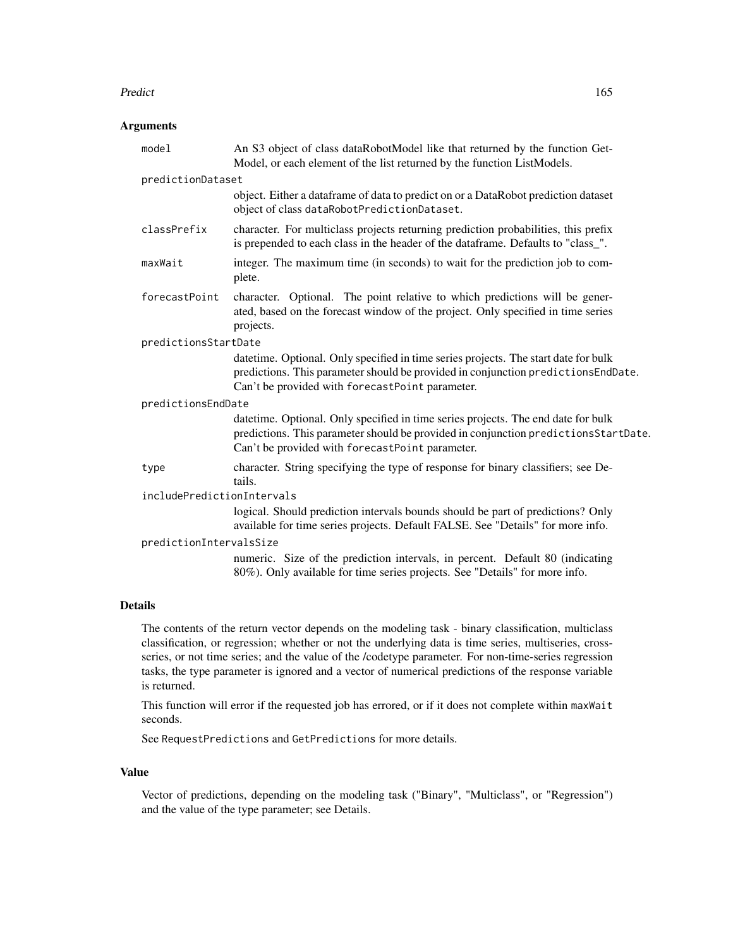#### Predict 265 and 200 and 200 and 200 and 200 and 200 and 200 and 200 and 200 and 200 and 200 and 200 and 200 and 200 and 200 and 200 and 200 and 200 and 200 and 200 and 200 and 200 and 200 and 200 and 200 and 200 and 200 an

# Arguments

| model                      | An S3 object of class dataRobotModel like that returned by the function Get-<br>Model, or each element of the list returned by the function ListModels.                                                                      |  |
|----------------------------|------------------------------------------------------------------------------------------------------------------------------------------------------------------------------------------------------------------------------|--|
| predictionDataset          |                                                                                                                                                                                                                              |  |
|                            | object. Either a dataframe of data to predict on or a DataRobot prediction dataset<br>object of class dataRobotPredictionDataset.                                                                                            |  |
| classPrefix                | character. For multiclass projects returning prediction probabilities, this prefix<br>is prepended to each class in the header of the dataframe. Defaults to "class_".                                                       |  |
| maxWait                    | integer. The maximum time (in seconds) to wait for the prediction job to com-<br>plete.                                                                                                                                      |  |
| forecastPoint              | character. Optional. The point relative to which predictions will be gener-<br>ated, based on the forecast window of the project. Only specified in time series<br>projects.                                                 |  |
| predictionsStartDate       |                                                                                                                                                                                                                              |  |
|                            | datetime. Optional. Only specified in time series projects. The start date for bulk<br>predictions. This parameter should be provided in conjunction predictionsEndDate.<br>Can't be provided with forecastPoint parameter.  |  |
| predictionsEndDate         |                                                                                                                                                                                                                              |  |
|                            | datetime. Optional. Only specified in time series projects. The end date for bulk<br>predictions. This parameter should be provided in conjunction predictions StartDate.<br>Can't be provided with forecastPoint parameter. |  |
| type                       | character. String specifying the type of response for binary classifiers; see De-<br>tails.                                                                                                                                  |  |
| includePredictionIntervals |                                                                                                                                                                                                                              |  |
|                            | logical. Should prediction intervals bounds should be part of predictions? Only<br>available for time series projects. Default FALSE. See "Details" for more info.                                                           |  |
| predictionIntervalsSize    |                                                                                                                                                                                                                              |  |
|                            | numeric. Size of the prediction intervals, in percent. Default 80 (indicating<br>80%). Only available for time series projects. See "Details" for more info.                                                                 |  |
|                            |                                                                                                                                                                                                                              |  |

# Details

The contents of the return vector depends on the modeling task - binary classification, multiclass classification, or regression; whether or not the underlying data is time series, multiseries, crossseries, or not time series; and the value of the /codetype parameter. For non-time-series regression tasks, the type parameter is ignored and a vector of numerical predictions of the response variable is returned.

This function will error if the requested job has errored, or if it does not complete within maxWait seconds.

See RequestPredictions and GetPredictions for more details.

## Value

Vector of predictions, depending on the modeling task ("Binary", "Multiclass", or "Regression") and the value of the type parameter; see Details.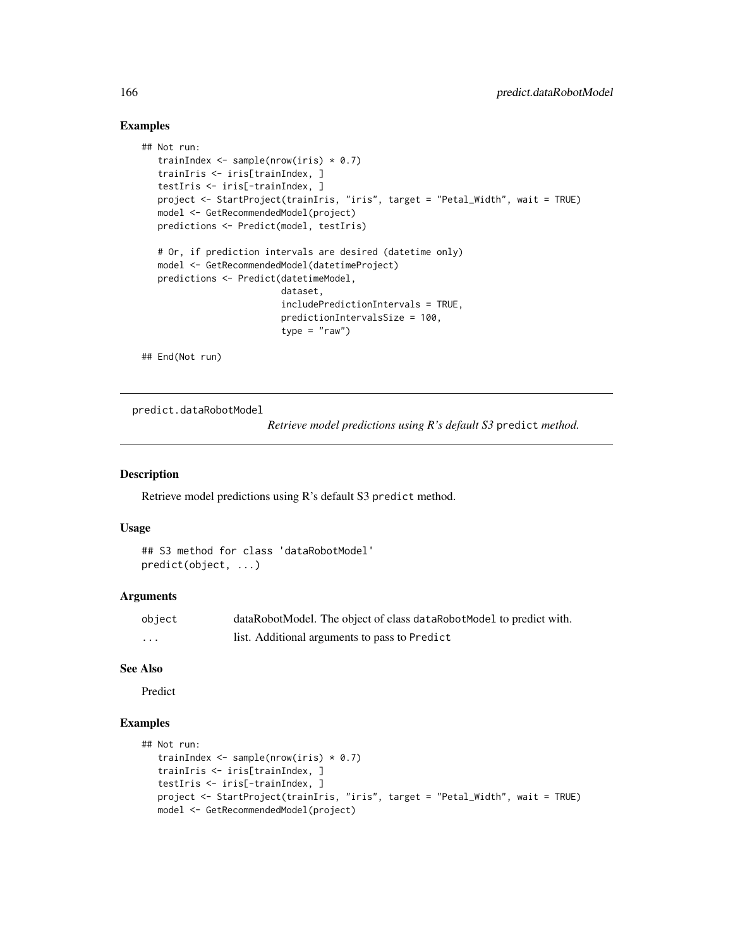# Examples

```
## Not run:
  trainIndex \leq sample(nrow(iris) \neq 0.7)
  trainIris <- iris[trainIndex, ]
  testIris <- iris[-trainIndex, ]
  project <- StartProject(trainIris, "iris", target = "Petal_Width", wait = TRUE)
  model <- GetRecommendedModel(project)
  predictions <- Predict(model, testIris)
  # Or, if prediction intervals are desired (datetime only)
  model <- GetRecommendedModel(datetimeProject)
  predictions <- Predict(datetimeModel,
                          dataset,
                          includePredictionIntervals = TRUE,
                          predictionIntervalsSize = 100,
                          type = "raw")
## End(Not run)
```
predict.dataRobotModel

*Retrieve model predictions using R's default S3* predict *method.*

# Description

Retrieve model predictions using R's default S3 predict method.

## Usage

```
## S3 method for class 'dataRobotModel'
predict(object, ...)
```
## Arguments

| object | dataRobotModel. The object of class dataRobotModel to predict with. |
|--------|---------------------------------------------------------------------|
| .      | list. Additional arguments to pass to Predict                       |

#### See Also

Predict

# Examples

```
## Not run:
  trainIndex \leq sample(nrow(iris) \neq 0.7)
  trainIris <- iris[trainIndex, ]
  testIris <- iris[-trainIndex, ]
  project <- StartProject(trainIris, "iris", target = "Petal_Width", wait = TRUE)
  model <- GetRecommendedModel(project)
```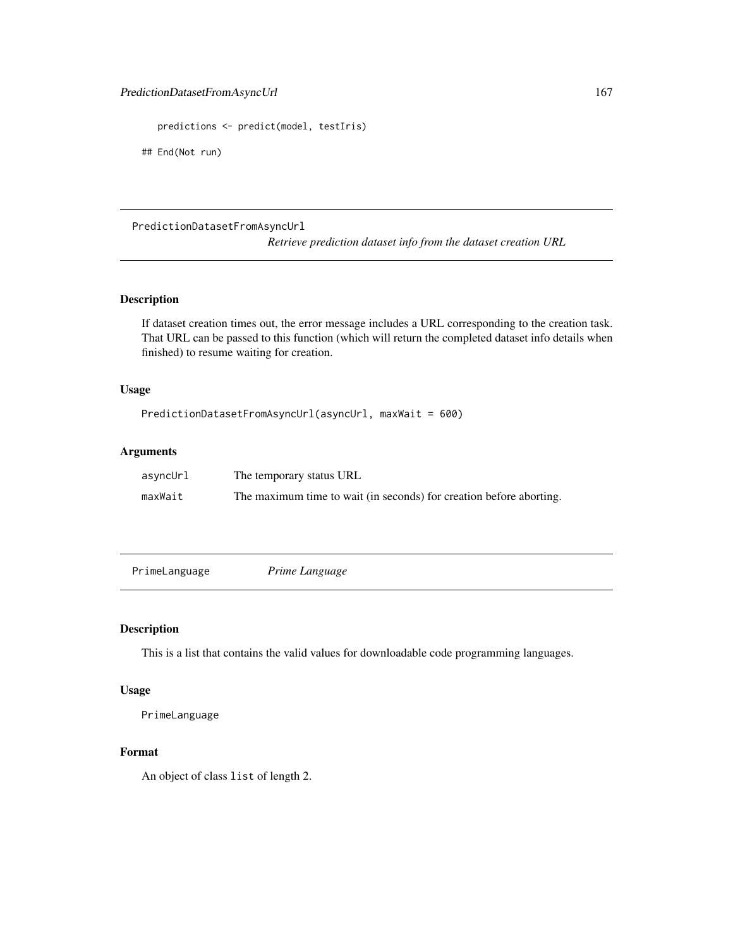```
predictions <- predict(model, testIris)
```
## End(Not run)

## PredictionDatasetFromAsyncUrl

*Retrieve prediction dataset info from the dataset creation URL*

# Description

If dataset creation times out, the error message includes a URL corresponding to the creation task. That URL can be passed to this function (which will return the completed dataset info details when finished) to resume waiting for creation.

# Usage

PredictionDatasetFromAsyncUrl(asyncUrl, maxWait = 600)

# Arguments

| asyncUrl | The temporary status URL                                            |
|----------|---------------------------------------------------------------------|
| maxWait  | The maximum time to wait (in seconds) for creation before aborting. |

PrimeLanguage *Prime Language*

# Description

This is a list that contains the valid values for downloadable code programming languages.

# Usage

PrimeLanguage

# Format

An object of class list of length 2.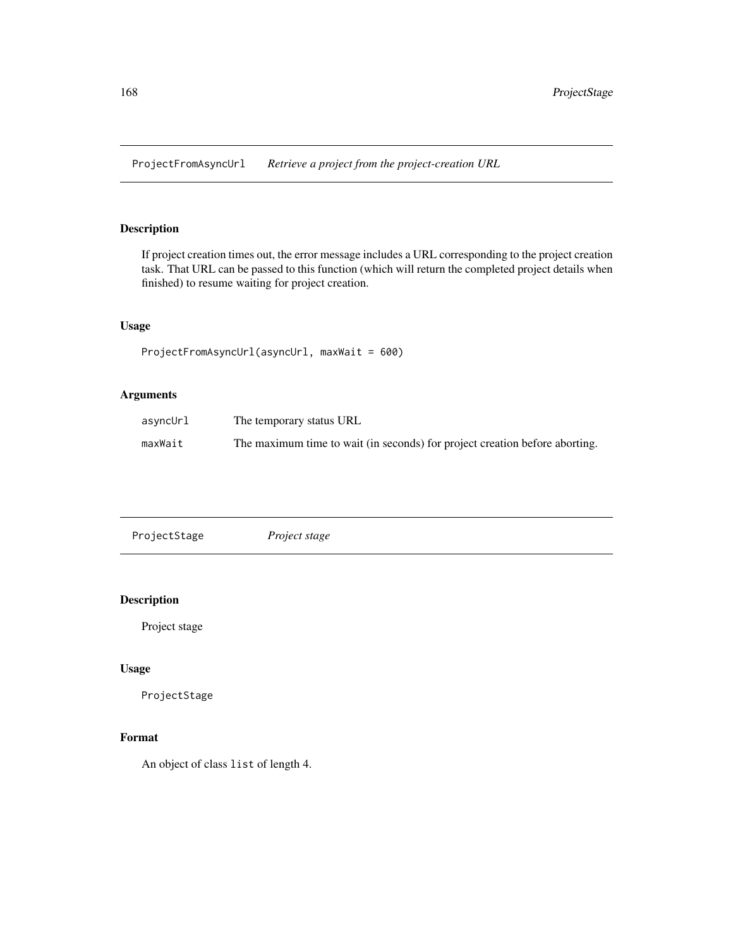ProjectFromAsyncUrl *Retrieve a project from the project-creation URL*

# Description

If project creation times out, the error message includes a URL corresponding to the project creation task. That URL can be passed to this function (which will return the completed project details when finished) to resume waiting for project creation.

# Usage

```
ProjectFromAsyncUrl(asyncUrl, maxWait = 600)
```
# Arguments

| asyncUrl | The temporary status URL                                                    |
|----------|-----------------------------------------------------------------------------|
| maxWait  | The maximum time to wait (in seconds) for project creation before aborting. |

# Description

Project stage

## Usage

ProjectStage

# Format

An object of class list of length 4.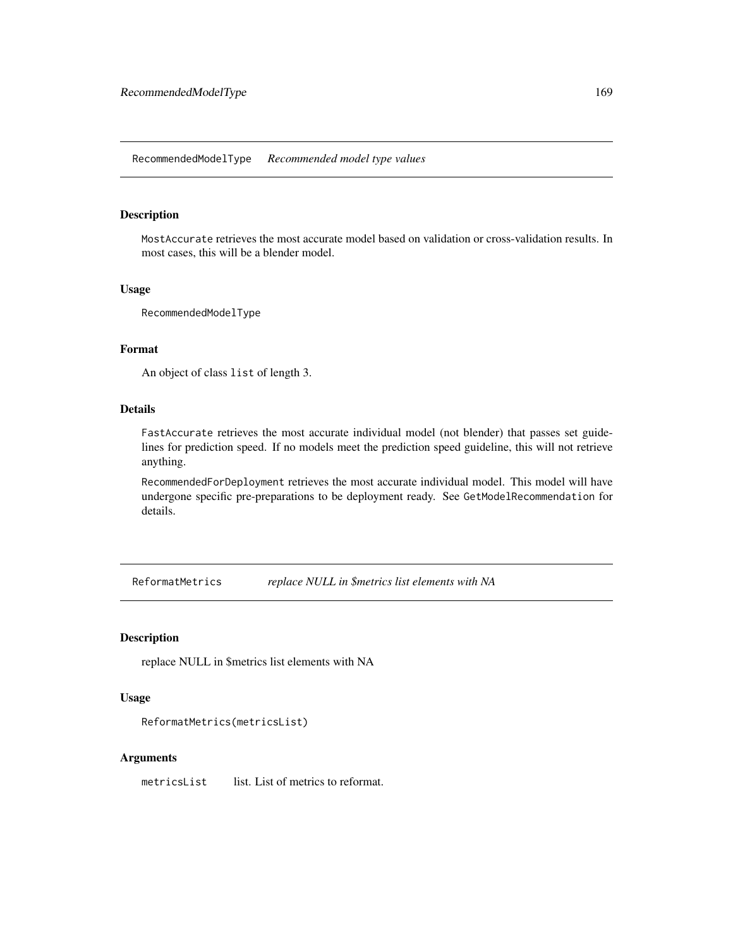# Description

MostAccurate retrieves the most accurate model based on validation or cross-validation results. In most cases, this will be a blender model.

# Usage

RecommendedModelType

# Format

An object of class list of length 3.

# Details

FastAccurate retrieves the most accurate individual model (not blender) that passes set guidelines for prediction speed. If no models meet the prediction speed guideline, this will not retrieve anything.

RecommendedForDeployment retrieves the most accurate individual model. This model will have undergone specific pre-preparations to be deployment ready. See GetModelRecommendation for details.

ReformatMetrics *replace NULL in \$metrics list elements with NA*

## Description

replace NULL in \$metrics list elements with NA

## Usage

```
ReformatMetrics(metricsList)
```
## Arguments

metricsList list. List of metrics to reformat.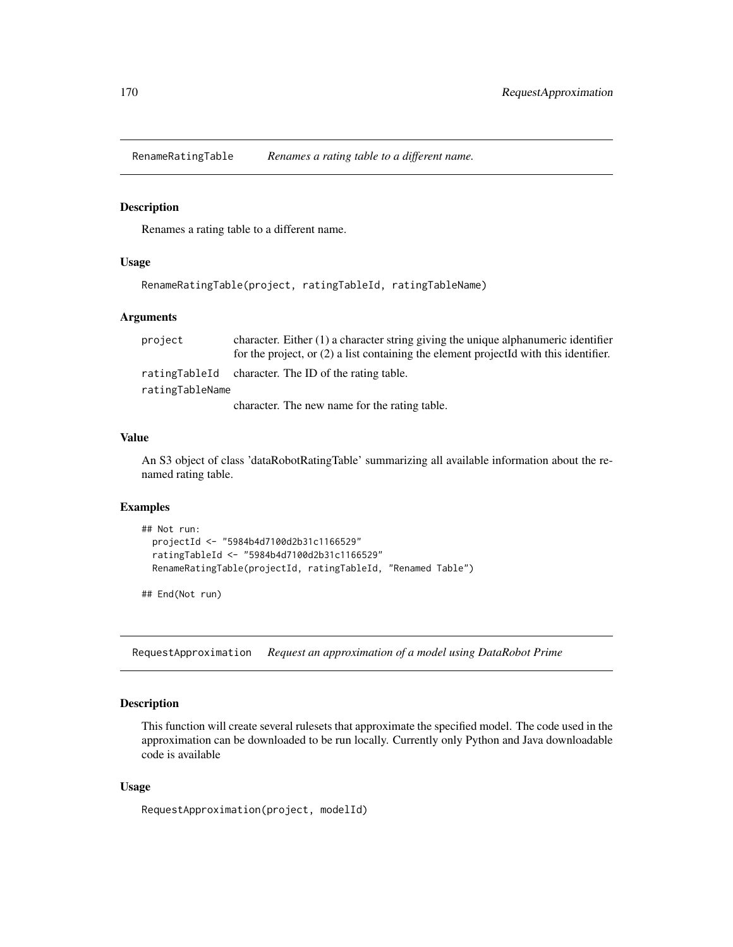RenameRatingTable *Renames a rating table to a different name.*

#### Description

Renames a rating table to a different name.

# Usage

```
RenameRatingTable(project, ratingTableId, ratingTableName)
```
## Arguments

| project         | character. Either $(1)$ a character string giving the unique alphanumeric identifier    |  |
|-----------------|-----------------------------------------------------------------------------------------|--|
|                 | for the project, or $(2)$ a list containing the element projected with this identifier. |  |
| ratingTableId   | character. The ID of the rating table.                                                  |  |
| ratingTableName |                                                                                         |  |
|                 | character. The new name for the rating table.                                           |  |

## Value

An S3 object of class 'dataRobotRatingTable' summarizing all available information about the renamed rating table.

# Examples

```
## Not run:
 projectId <- "5984b4d7100d2b31c1166529"
 ratingTableId <- "5984b4d7100d2b31c1166529"
 RenameRatingTable(projectId, ratingTableId, "Renamed Table")
```
## End(Not run)

RequestApproximation *Request an approximation of a model using DataRobot Prime*

# Description

This function will create several rulesets that approximate the specified model. The code used in the approximation can be downloaded to be run locally. Currently only Python and Java downloadable code is available

#### Usage

```
RequestApproximation(project, modelId)
```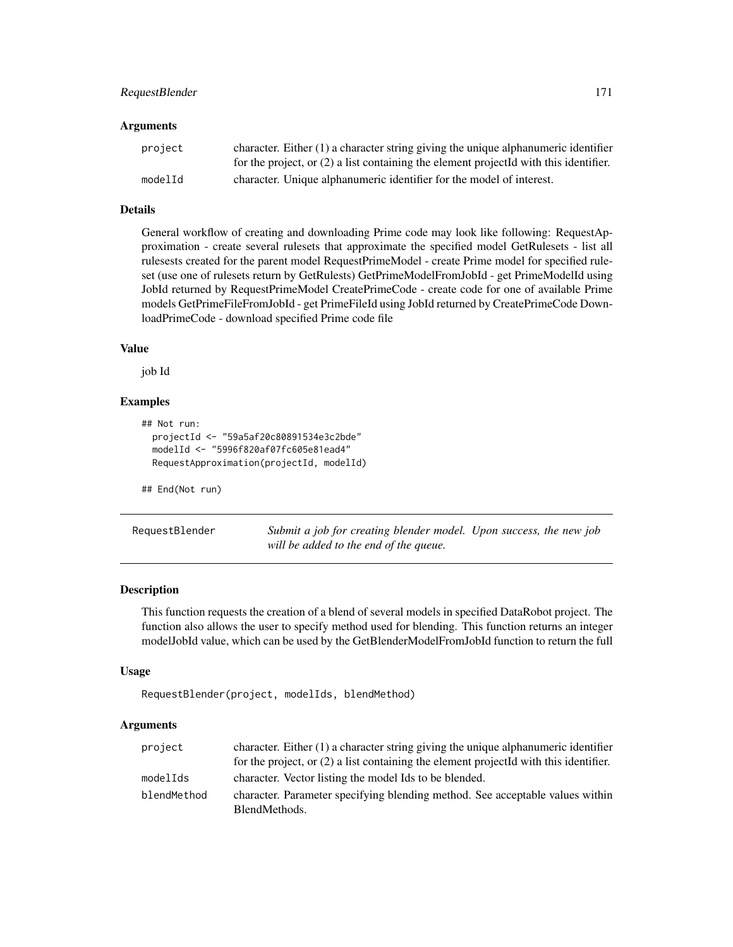# RequestBlender 171

#### Arguments

| project | character. Either $(1)$ a character string giving the unique alphanumeric identifier    |
|---------|-----------------------------------------------------------------------------------------|
|         | for the project, or $(2)$ a list containing the element projected with this identifier. |
| modelId | character. Unique alphanumeric identifier for the model of interest.                    |

# Details

General workflow of creating and downloading Prime code may look like following: RequestApproximation - create several rulesets that approximate the specified model GetRulesets - list all rulesests created for the parent model RequestPrimeModel - create Prime model for specified ruleset (use one of rulesets return by GetRulests) GetPrimeModelFromJobId - get PrimeModelId using JobId returned by RequestPrimeModel CreatePrimeCode - create code for one of available Prime models GetPrimeFileFromJobId - get PrimeFileId using JobId returned by CreatePrimeCode DownloadPrimeCode - download specified Prime code file

# Value

job Id

# Examples

```
## Not run:
 projectId <- "59a5af20c80891534e3c2bde"
 modelId <- "5996f820af07fc605e81ead4"
 RequestApproximation(projectId, modelId)
```
## End(Not run)

RequestBlender *Submit a job for creating blender model. Upon success, the new job will be added to the end of the queue.*

#### Description

This function requests the creation of a blend of several models in specified DataRobot project. The function also allows the user to specify method used for blending. This function returns an integer modelJobId value, which can be used by the GetBlenderModelFromJobId function to return the full

## Usage

```
RequestBlender(project, modelIds, blendMethod)
```
#### Arguments

| project     | character. Either $(1)$ a character string giving the unique alphanumeric identifier    |
|-------------|-----------------------------------------------------------------------------------------|
|             | for the project, or $(2)$ a list containing the element projected with this identifier. |
| modelIds    | character. Vector listing the model Ids to be blended.                                  |
| blendMethod | character. Parameter specifying blending method. See acceptable values within           |
|             | BlendMethods.                                                                           |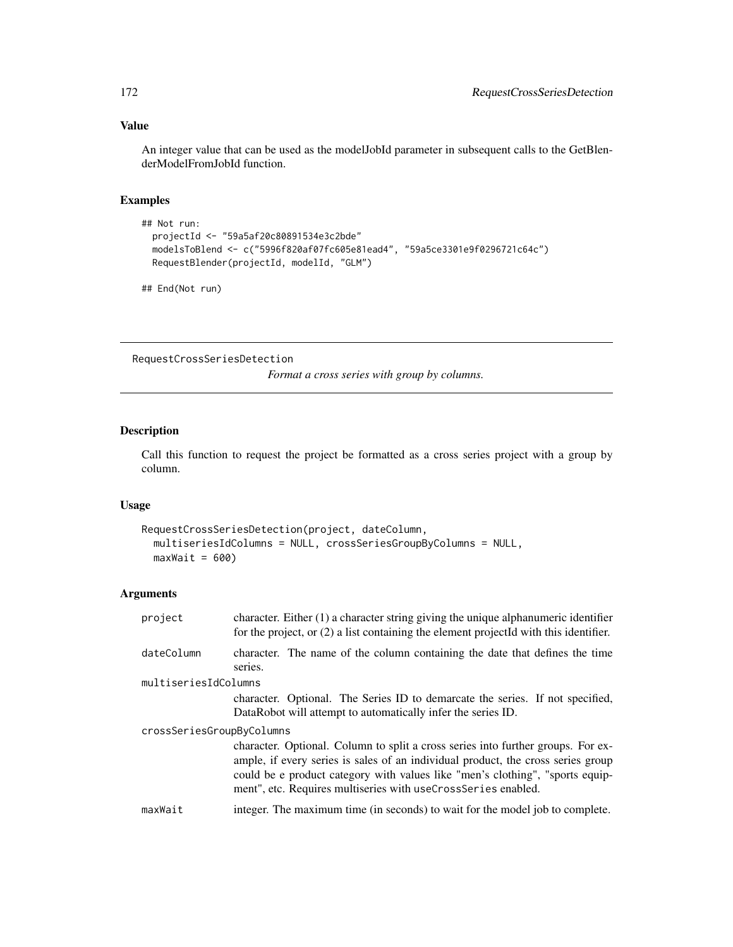# Value

An integer value that can be used as the modelJobId parameter in subsequent calls to the GetBlenderModelFromJobId function.

## Examples

```
## Not run:
 projectId <- "59a5af20c80891534e3c2bde"
 modelsToBlend <- c("5996f820af07fc605e81ead4", "59a5ce3301e9f0296721c64c")
 RequestBlender(projectId, modelId, "GLM")
```
## End(Not run)

RequestCrossSeriesDetection

*Format a cross series with group by columns.*

# Description

Call this function to request the project be formatted as a cross series project with a group by column.

# Usage

```
RequestCrossSeriesDetection(project, dateColumn,
 multiseriesIdColumns = NULL, crossSeriesGroupByColumns = NULL,
 maxWait = 600)
```
# Arguments

| project                   | character. Either $(1)$ a character string giving the unique alphanumeric identifier<br>for the project, or $(2)$ a list containing the element projectId with this identifier.                                                                                                                                        |
|---------------------------|------------------------------------------------------------------------------------------------------------------------------------------------------------------------------------------------------------------------------------------------------------------------------------------------------------------------|
| dateColumn                | character. The name of the column containing the date that defines the time<br>series.                                                                                                                                                                                                                                 |
| multiseriesIdColumns      |                                                                                                                                                                                                                                                                                                                        |
|                           | character. Optional. The Series ID to demarcate the series. If not specified,<br>DataRobot will attempt to automatically infer the series ID.                                                                                                                                                                          |
| crossSeriesGroupByColumns |                                                                                                                                                                                                                                                                                                                        |
|                           | character. Optional. Column to split a cross series into further groups. For ex-<br>ample, if every series is sales of an individual product, the cross series group<br>could be e product category with values like "men's clothing", "sports equip-<br>ment", etc. Requires multiseries with useCrossSeries enabled. |
| maxWait                   | integer. The maximum time (in seconds) to wait for the model job to complete.                                                                                                                                                                                                                                          |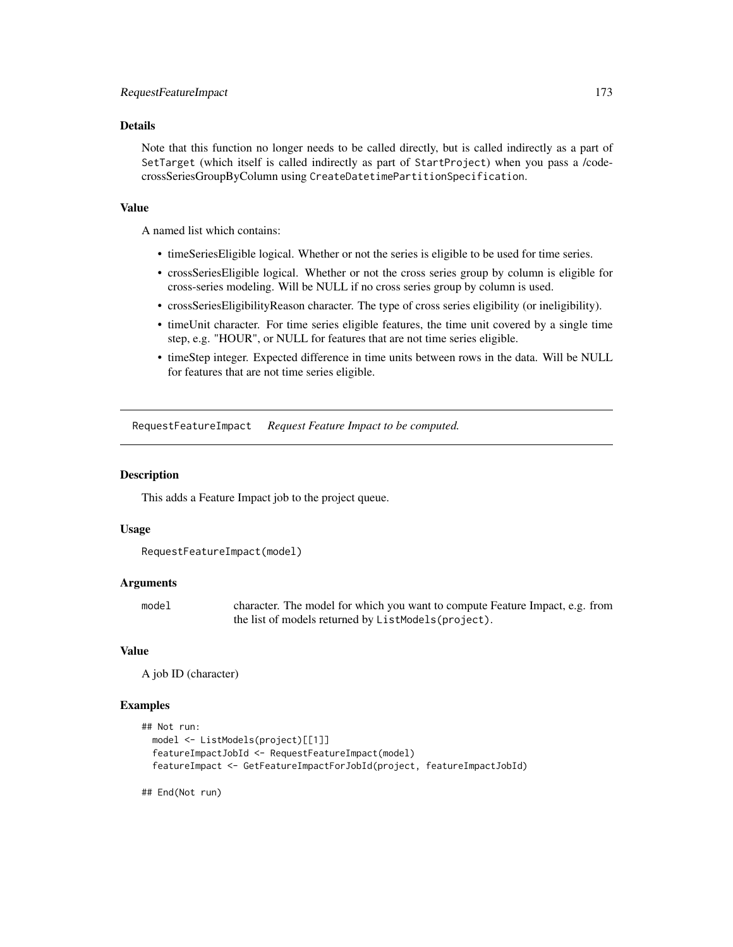# Details

Note that this function no longer needs to be called directly, but is called indirectly as a part of SetTarget (which itself is called indirectly as part of StartProject) when you pass a /codecrossSeriesGroupByColumn using CreateDatetimePartitionSpecification.

#### Value

A named list which contains:

- timeSeriesEligible logical. Whether or not the series is eligible to be used for time series.
- crossSeriesEligible logical. Whether or not the cross series group by column is eligible for cross-series modeling. Will be NULL if no cross series group by column is used.
- crossSeriesEligibilityReason character. The type of cross series eligibility (or ineligibility).
- timeUnit character. For time series eligible features, the time unit covered by a single time step, e.g. "HOUR", or NULL for features that are not time series eligible.
- timeStep integer. Expected difference in time units between rows in the data. Will be NULL for features that are not time series eligible.

RequestFeatureImpact *Request Feature Impact to be computed.*

## **Description**

This adds a Feature Impact job to the project queue.

#### Usage

```
RequestFeatureImpact(model)
```
## Arguments

model character. The model for which you want to compute Feature Impact, e.g. from the list of models returned by ListModels(project).

# Value

A job ID (character)

#### Examples

```
## Not run:
 model <- ListModels(project)[[1]]
 featureImpactJobId <- RequestFeatureImpact(model)
 featureImpact <- GetFeatureImpactForJobId(project, featureImpactJobId)
```
## End(Not run)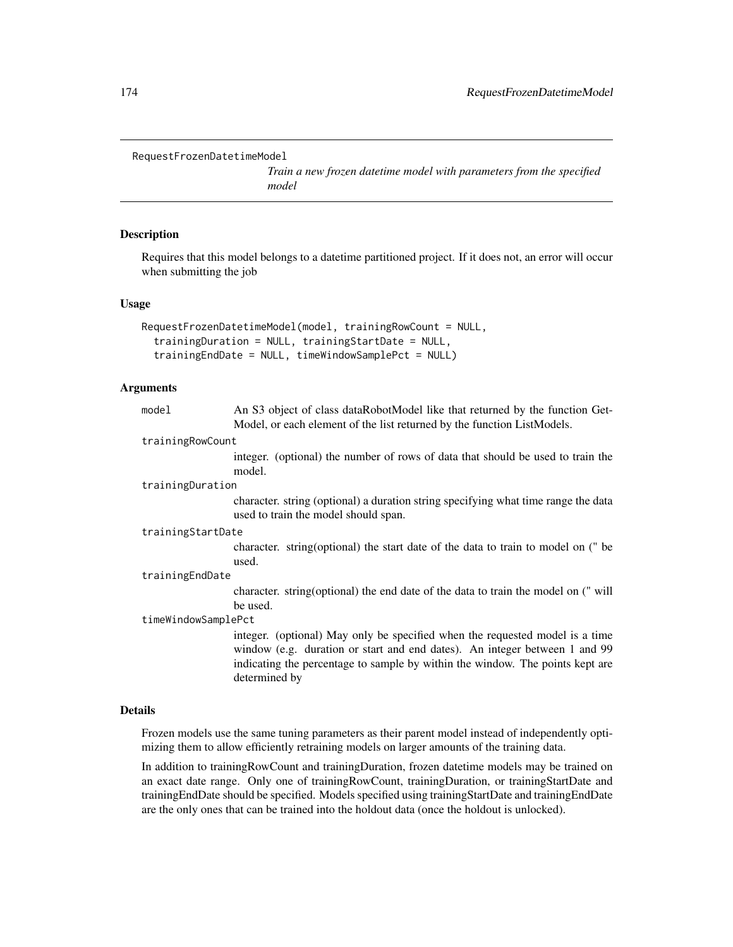```
RequestFrozenDatetimeModel
```
*Train a new frozen datetime model with parameters from the specified model*

#### Description

Requires that this model belongs to a datetime partitioned project. If it does not, an error will occur when submitting the job

## Usage

```
RequestFrozenDatetimeModel(model, trainingRowCount = NULL,
  trainingDuration = NULL, trainingStartDate = NULL,
  trainingEndDate = NULL, timeWindowSamplePct = NULL)
```
## Arguments

| model               | An S3 object of class dataRobotModel like that returned by the function Get-                                               |
|---------------------|----------------------------------------------------------------------------------------------------------------------------|
|                     | Model, or each element of the list returned by the function ListModels.                                                    |
| trainingRowCount    |                                                                                                                            |
|                     | integer. (optional) the number of rows of data that should be used to train the                                            |
|                     | model.                                                                                                                     |
| trainingDuration    |                                                                                                                            |
|                     | character. string (optional) a duration string specifying what time range the data<br>used to train the model should span. |
| trainingStartDate   |                                                                                                                            |
|                     | character. string (optional) the start date of the data to train to model on (" be                                         |
|                     | used.                                                                                                                      |
| trainingEndDate     |                                                                                                                            |
|                     | character. string (optional) the end date of the data to train the model on (" will                                        |
|                     | be used.                                                                                                                   |
| timeWindowSamplePct |                                                                                                                            |
|                     | integer. (optional) May only be specified when the requested model is a time                                               |
|                     | window (e.g. duration or start and end dates). An integer between 1 and 99                                                 |
|                     | indicating the percentage to sample by within the window. The points kept are                                              |
|                     | determined by                                                                                                              |

## Details

Frozen models use the same tuning parameters as their parent model instead of independently optimizing them to allow efficiently retraining models on larger amounts of the training data.

In addition to trainingRowCount and trainingDuration, frozen datetime models may be trained on an exact date range. Only one of trainingRowCount, trainingDuration, or trainingStartDate and trainingEndDate should be specified. Models specified using trainingStartDate and trainingEndDate are the only ones that can be trained into the holdout data (once the holdout is unlocked).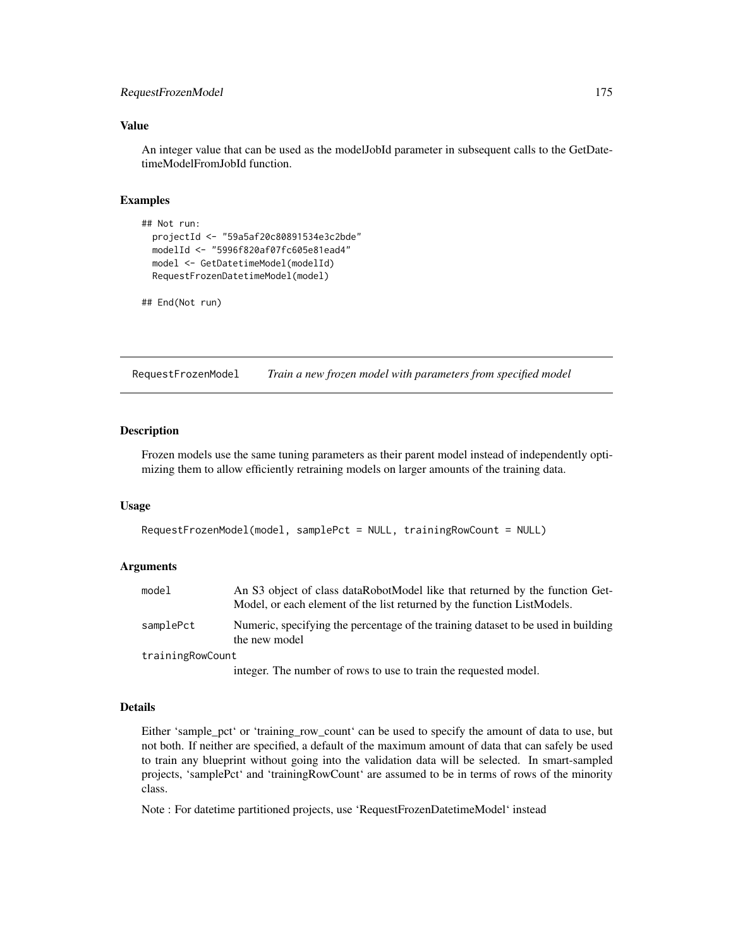# RequestFrozenModel 175

## Value

An integer value that can be used as the modelJobId parameter in subsequent calls to the GetDatetimeModelFromJobId function.

# Examples

```
## Not run:
 projectId <- "59a5af20c80891534e3c2bde"
 modelId <- "5996f820af07fc605e81ead4"
 model <- GetDatetimeModel(modelId)
 RequestFrozenDatetimeModel(model)
```

```
## End(Not run)
```
RequestFrozenModel *Train a new frozen model with parameters from specified model*

## Description

Frozen models use the same tuning parameters as their parent model instead of independently optimizing them to allow efficiently retraining models on larger amounts of the training data.

#### Usage

```
RequestFrozenModel(model, samplePct = NULL, trainingRowCount = NULL)
```
## Arguments

| model            | An S3 object of class dataRobotModel like that returned by the function Get-<br>Model, or each element of the list returned by the function ListModels. |
|------------------|---------------------------------------------------------------------------------------------------------------------------------------------------------|
| samplePct        | Numeric, specifying the percentage of the training dataset to be used in building<br>the new model                                                      |
| trainingRowCount |                                                                                                                                                         |
|                  | integer. The number of rows to use to train the requested model.                                                                                        |

#### Details

Either 'sample\_pct' or 'training\_row\_count' can be used to specify the amount of data to use, but not both. If neither are specified, a default of the maximum amount of data that can safely be used to train any blueprint without going into the validation data will be selected. In smart-sampled projects, 'samplePct' and 'trainingRowCount' are assumed to be in terms of rows of the minority class.

Note : For datetime partitioned projects, use 'RequestFrozenDatetimeModel' instead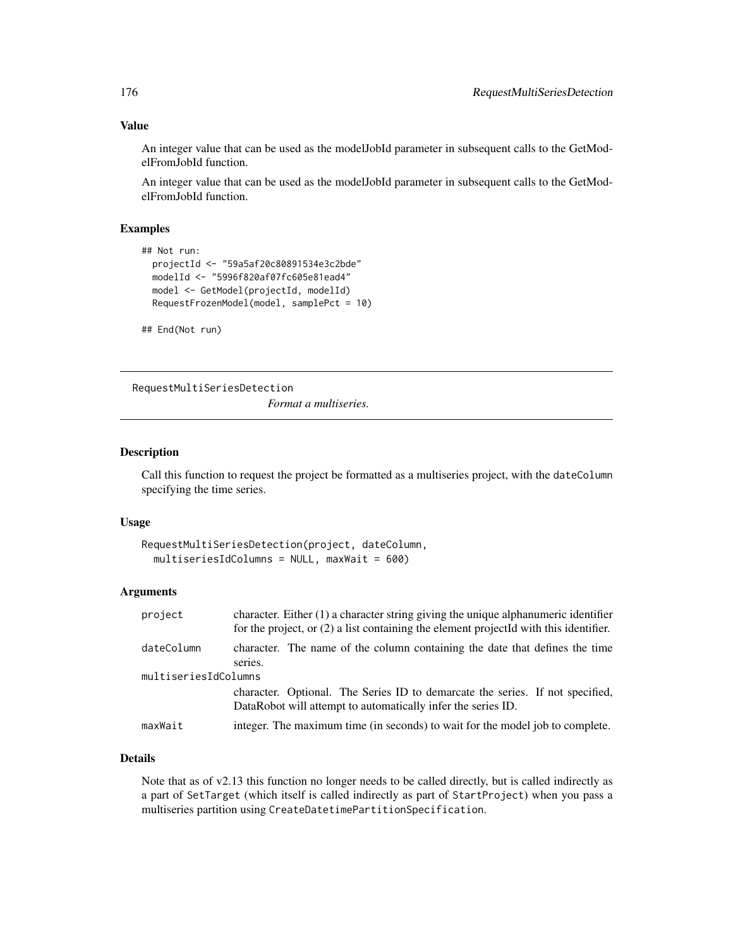# Value

An integer value that can be used as the modelJobId parameter in subsequent calls to the GetModelFromJobId function.

An integer value that can be used as the modelJobId parameter in subsequent calls to the GetModelFromJobId function.

# Examples

```
## Not run:
 projectId <- "59a5af20c80891534e3c2bde"
 modelId <- "5996f820af07fc605e81ead4"
 model <- GetModel(projectId, modelId)
 RequestFrozenModel(model, samplePct = 10)
```
## End(Not run)

RequestMultiSeriesDetection

*Format a multiseries.*

# Description

Call this function to request the project be formatted as a multiseries project, with the dateColumn specifying the time series.

#### Usage

```
RequestMultiSeriesDetection(project, dateColumn,
 multiseriesIdColumns = NULL, maxWait = 600)
```
# Arguments

| project              | character. Either $(1)$ a character string giving the unique alphanumeric identifier<br>for the project, or $(2)$ a list containing the element project Id with this identifier. |
|----------------------|----------------------------------------------------------------------------------------------------------------------------------------------------------------------------------|
| dateColumn           | character. The name of the column containing the date that defines the time<br>series.                                                                                           |
| multiseriesIdColumns |                                                                                                                                                                                  |
|                      | character. Optional. The Series ID to demarcate the series. If not specified,<br>DataRobot will attempt to automatically infer the series ID.                                    |
| maxWait              | integer. The maximum time (in seconds) to wait for the model job to complete.                                                                                                    |

# Details

Note that as of v2.13 this function no longer needs to be called directly, but is called indirectly as a part of SetTarget (which itself is called indirectly as part of StartProject) when you pass a multiseries partition using CreateDatetimePartitionSpecification.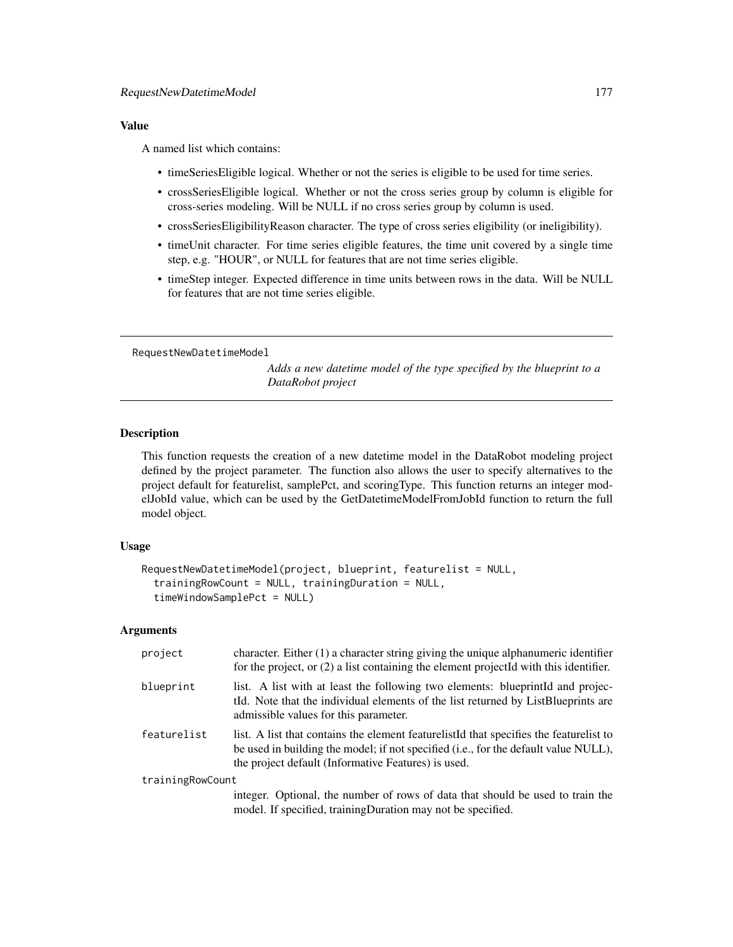## Value

A named list which contains:

- timeSeriesEligible logical. Whether or not the series is eligible to be used for time series.
- crossSeriesEligible logical. Whether or not the cross series group by column is eligible for cross-series modeling. Will be NULL if no cross series group by column is used.
- crossSeriesEligibilityReason character. The type of cross series eligibility (or ineligibility).
- timeUnit character. For time series eligible features, the time unit covered by a single time step, e.g. "HOUR", or NULL for features that are not time series eligible.
- timeStep integer. Expected difference in time units between rows in the data. Will be NULL for features that are not time series eligible.

RequestNewDatetimeModel

*Adds a new datetime model of the type specified by the blueprint to a DataRobot project*

# Description

This function requests the creation of a new datetime model in the DataRobot modeling project defined by the project parameter. The function also allows the user to specify alternatives to the project default for featurelist, samplePct, and scoringType. This function returns an integer modelJobId value, which can be used by the GetDatetimeModelFromJobId function to return the full model object.

#### Usage

```
RequestNewDatetimeModel(project, blueprint, featurelist = NULL,
  trainingRowCount = NULL, trainingDuration = NULL,
  timeWindowSamplePct = NULL)
```
# Arguments

| project          | character. Either $(1)$ a character string giving the unique alphanumeric identifier<br>for the project, or $(2)$ a list containing the element projected with this identifier.                                                         |
|------------------|-----------------------------------------------------------------------------------------------------------------------------------------------------------------------------------------------------------------------------------------|
| blueprint        | list. A list with at least the following two elements: blueprint and projec-<br>tild. Note that the individual elements of the list returned by ListBlueprints are<br>admissible values for this parameter.                             |
| featurelist      | list. A list that contains the element feature list of that specifies the feature list to<br>be used in building the model; if not specified (i.e., for the default value NULL),<br>the project default (Informative Features) is used. |
| trainingRowCount |                                                                                                                                                                                                                                         |
|                  | integer. Optional, the number of rows of data that should be used to train the<br>model. If specified, training Duration may not be specified.                                                                                          |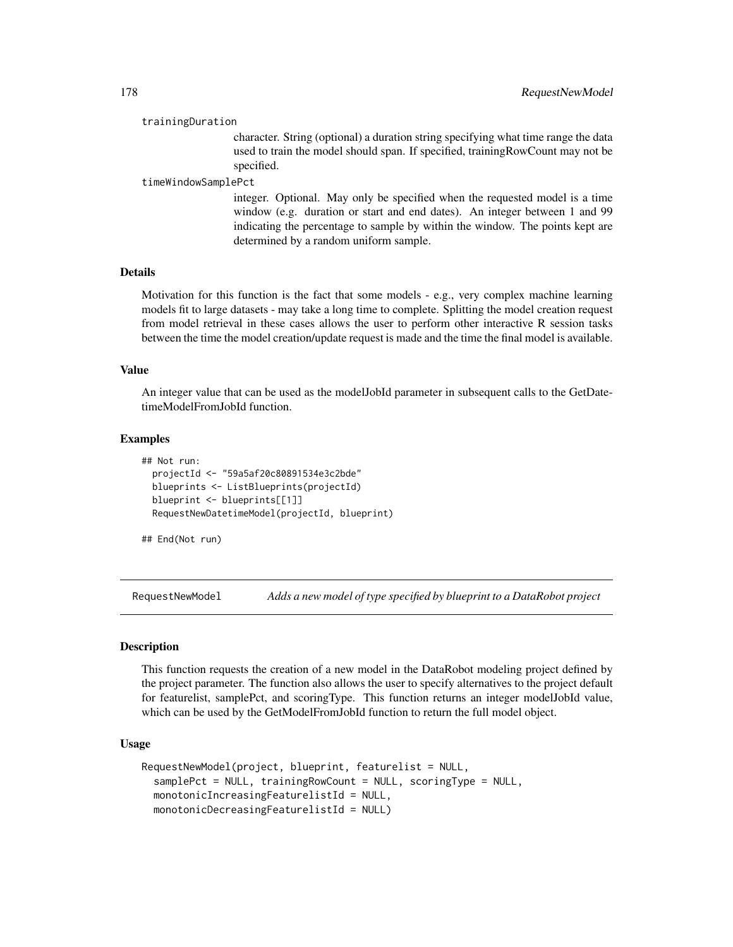#### trainingDuration

character. String (optional) a duration string specifying what time range the data used to train the model should span. If specified, trainingRowCount may not be specified.

#### timeWindowSamplePct

integer. Optional. May only be specified when the requested model is a time window (e.g. duration or start and end dates). An integer between 1 and 99 indicating the percentage to sample by within the window. The points kept are determined by a random uniform sample.

#### Details

Motivation for this function is the fact that some models - e.g., very complex machine learning models fit to large datasets - may take a long time to complete. Splitting the model creation request from model retrieval in these cases allows the user to perform other interactive R session tasks between the time the model creation/update request is made and the time the final model is available.

#### Value

An integer value that can be used as the modelJobId parameter in subsequent calls to the GetDatetimeModelFromJobId function.

#### Examples

```
## Not run:
 projectId <- "59a5af20c80891534e3c2bde"
 blueprints <- ListBlueprints(projectId)
 blueprint <- blueprints[[1]]
 RequestNewDatetimeModel(projectId, blueprint)
```
## End(Not run)

RequestNewModel *Adds a new model of type specified by blueprint to a DataRobot project*

#### Description

This function requests the creation of a new model in the DataRobot modeling project defined by the project parameter. The function also allows the user to specify alternatives to the project default for featurelist, samplePct, and scoringType. This function returns an integer modelJobId value, which can be used by the GetModelFromJobId function to return the full model object.

## Usage

```
RequestNewModel(project, blueprint, featurelist = NULL,
  samplePct = NULL, trainingRowCount = NULL, scoringType = NULL,
  monotonicIncreasingFeaturelistId = NULL,
 monotonicDecreasingFeaturelistId = NULL)
```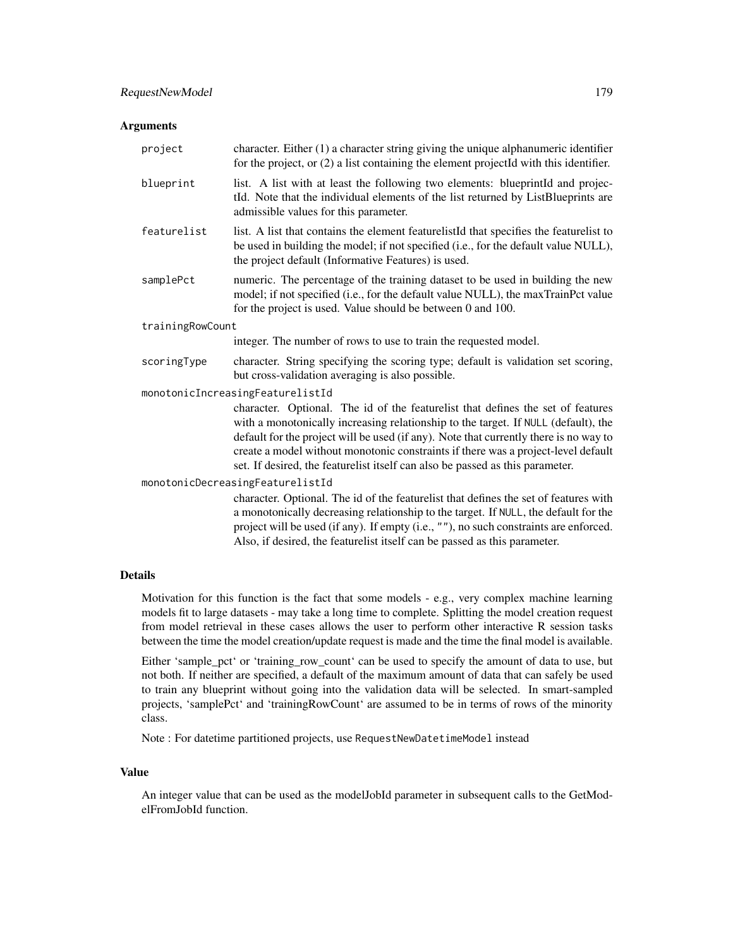#### Arguments

| project                          | character. Either $(1)$ a character string giving the unique alphanumeric identifier<br>for the project, or (2) a list containing the element projectId with this identifier.                                                                                                                                                                                                                                                        |
|----------------------------------|--------------------------------------------------------------------------------------------------------------------------------------------------------------------------------------------------------------------------------------------------------------------------------------------------------------------------------------------------------------------------------------------------------------------------------------|
| blueprint                        | list. A list with at least the following two elements: blueprintId and projec-<br>tId. Note that the individual elements of the list returned by ListBlueprints are<br>admissible values for this parameter.                                                                                                                                                                                                                         |
| featurelist                      | list. A list that contains the element featurelistId that specifies the featurelist to<br>be used in building the model; if not specified (i.e., for the default value NULL),<br>the project default (Informative Features) is used.                                                                                                                                                                                                 |
| samplePct                        | numeric. The percentage of the training dataset to be used in building the new<br>model; if not specified (i.e., for the default value NULL), the maxTrainPct value<br>for the project is used. Value should be between 0 and 100.                                                                                                                                                                                                   |
| trainingRowCount                 |                                                                                                                                                                                                                                                                                                                                                                                                                                      |
|                                  | integer. The number of rows to use to train the requested model.                                                                                                                                                                                                                                                                                                                                                                     |
| scoringType                      | character. String specifying the scoring type; default is validation set scoring,<br>but cross-validation averaging is also possible.                                                                                                                                                                                                                                                                                                |
|                                  | monotonicIncreasingFeaturelistId                                                                                                                                                                                                                                                                                                                                                                                                     |
|                                  | character. Optional. The id of the featurelist that defines the set of features<br>with a monotonically increasing relationship to the target. If NULL (default), the<br>default for the project will be used (if any). Note that currently there is no way to<br>create a model without monotonic constraints if there was a project-level default<br>set. If desired, the featurelist itself can also be passed as this parameter. |
| monotonicDecreasingFeaturelistId |                                                                                                                                                                                                                                                                                                                                                                                                                                      |
|                                  | character. Optional. The id of the featurelist that defines the set of features with<br>a monotonically decreasing relationship to the target. If NULL, the default for the<br>project will be used (if any). If empty (i.e., ""), no such constraints are enforced.<br>Also, if desired, the featurelist itself can be passed as this parameter.                                                                                    |

# Details

Motivation for this function is the fact that some models - e.g., very complex machine learning models fit to large datasets - may take a long time to complete. Splitting the model creation request from model retrieval in these cases allows the user to perform other interactive R session tasks between the time the model creation/update request is made and the time the final model is available.

Either 'sample\_pct' or 'training\_row\_count' can be used to specify the amount of data to use, but not both. If neither are specified, a default of the maximum amount of data that can safely be used to train any blueprint without going into the validation data will be selected. In smart-sampled projects, 'samplePct' and 'trainingRowCount' are assumed to be in terms of rows of the minority class.

Note : For datetime partitioned projects, use RequestNewDatetimeModel instead

## Value

An integer value that can be used as the modelJobId parameter in subsequent calls to the GetModelFromJobId function.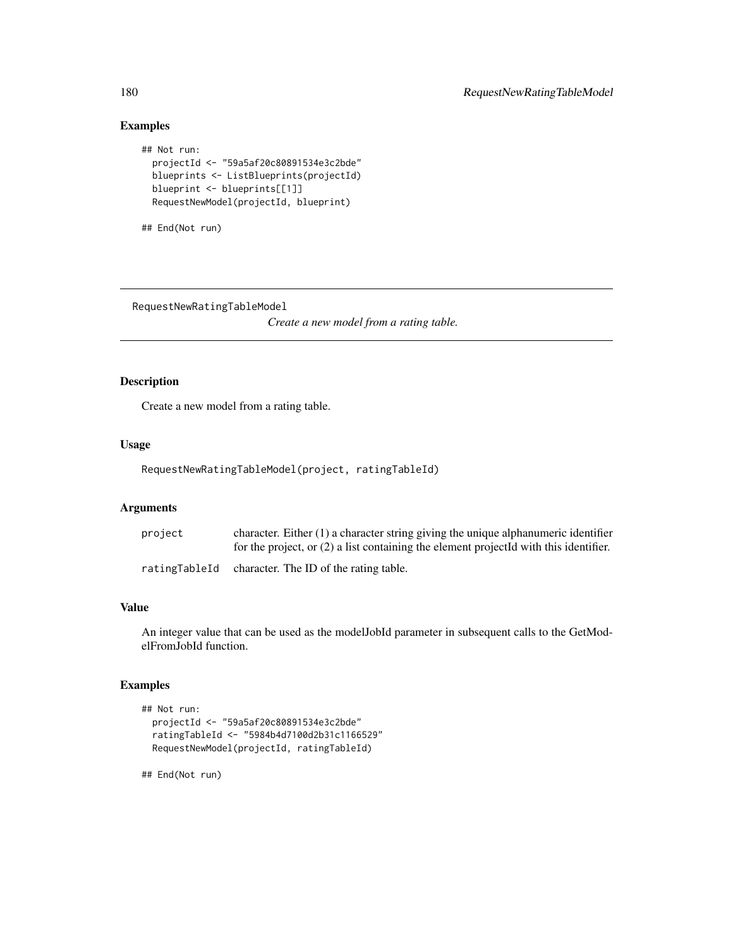# Examples

```
## Not run:
 projectId <- "59a5af20c80891534e3c2bde"
 blueprints <- ListBlueprints(projectId)
 blueprint <- blueprints[[1]]
 RequestNewModel(projectId, blueprint)
```

```
## End(Not run)
```
RequestNewRatingTableModel

*Create a new model from a rating table.*

# Description

Create a new model from a rating table.

## Usage

RequestNewRatingTableModel(project, ratingTableId)

## Arguments

| project | character. Either $(1)$ a character string giving the unique alphanumeric identifier<br>for the project, or $(2)$ a list containing the element projected with this identifier. |
|---------|---------------------------------------------------------------------------------------------------------------------------------------------------------------------------------|
|         | ratingTableId character. The ID of the rating table.                                                                                                                            |

# Value

An integer value that can be used as the modelJobId parameter in subsequent calls to the GetModelFromJobId function.

## Examples

```
## Not run:
 projectId <- "59a5af20c80891534e3c2bde"
 ratingTableId <- "5984b4d7100d2b31c1166529"
 RequestNewModel(projectId, ratingTableId)
```
## End(Not run)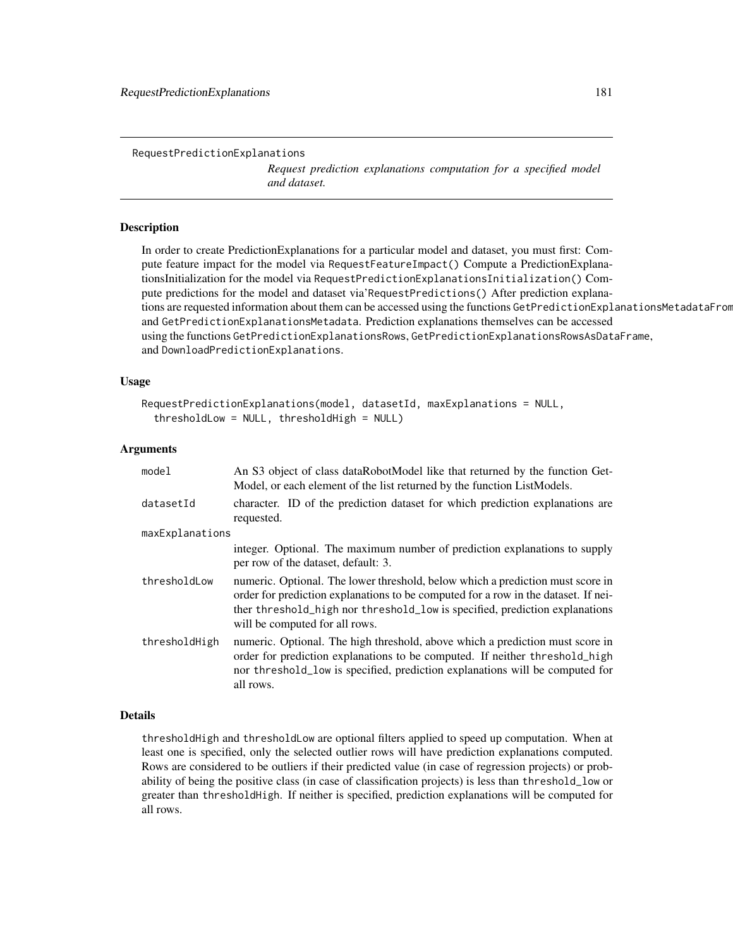RequestPredictionExplanations

*Request prediction explanations computation for a specified model and dataset.*

#### **Description**

In order to create PredictionExplanations for a particular model and dataset, you must first: Compute feature impact for the model via RequestFeatureImpact() Compute a PredictionExplanationsInitialization for the model via RequestPredictionExplanationsInitialization() Compute predictions for the model and dataset via'RequestPredictions() After prediction explanations are requested information about them can be accessed using the functions GetPredictionExplanationsMetadataFrom and GetPredictionExplanationsMetadata. Prediction explanations themselves can be accessed using the functions GetPredictionExplanationsRows, GetPredictionExplanationsRowsAsDataFrame, and DownloadPredictionExplanations.

#### Usage

```
RequestPredictionExplanations(model, datasetId, maxExplanations = NULL,
  thresholdLow = NULL, thresholdHigh = NULL)
```
#### Arguments

| model           | An S3 object of class dataRobotModel like that returned by the function Get-<br>Model, or each element of the list returned by the function ListModels.                                                                                                                               |
|-----------------|---------------------------------------------------------------------------------------------------------------------------------------------------------------------------------------------------------------------------------------------------------------------------------------|
| datasetId       | character. ID of the prediction dataset for which prediction explanations are<br>requested.                                                                                                                                                                                           |
| maxExplanations |                                                                                                                                                                                                                                                                                       |
|                 | integer. Optional. The maximum number of prediction explanations to supply<br>per row of the dataset, default: 3.                                                                                                                                                                     |
| thresholdLow    | numeric. Optional. The lower threshold, below which a prediction must score in<br>order for prediction explanations to be computed for a row in the dataset. If nei-<br>ther threshold_high nor threshold_low is specified, prediction explanations<br>will be computed for all rows. |
| thresholdHigh   | numeric. Optional. The high threshold, above which a prediction must score in<br>order for prediction explanations to be computed. If neither threshold_high<br>nor threshold_low is specified, prediction explanations will be computed for<br>all rows.                             |

#### Details

thresholdHigh and thresholdLow are optional filters applied to speed up computation. When at least one is specified, only the selected outlier rows will have prediction explanations computed. Rows are considered to be outliers if their predicted value (in case of regression projects) or probability of being the positive class (in case of classification projects) is less than threshold\_low or greater than thresholdHigh. If neither is specified, prediction explanations will be computed for all rows.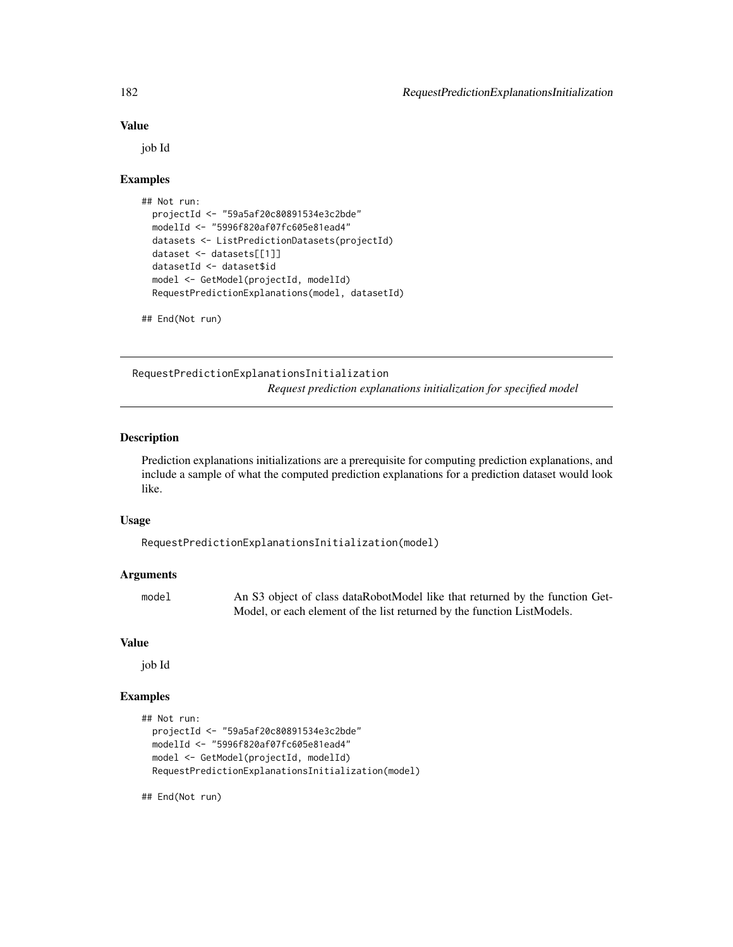#### Value

job Id

#### Examples

```
## Not run:
 projectId <- "59a5af20c80891534e3c2bde"
 modelId <- "5996f820af07fc605e81ead4"
 datasets <- ListPredictionDatasets(projectId)
 dataset <- datasets[[1]]
 datasetId <- dataset$id
 model <- GetModel(projectId, modelId)
 RequestPredictionExplanations(model, datasetId)
```
## End(Not run)

RequestPredictionExplanationsInitialization *Request prediction explanations initialization for specified model*

#### Description

Prediction explanations initializations are a prerequisite for computing prediction explanations, and include a sample of what the computed prediction explanations for a prediction dataset would look like.

#### Usage

RequestPredictionExplanationsInitialization(model)

#### Arguments

| model | An S3 object of class dataRobotModel like that returned by the function Get- |
|-------|------------------------------------------------------------------------------|
|       | Model, or each element of the list returned by the function ListModels.      |

#### Value

job Id

# Examples

```
## Not run:
 projectId <- "59a5af20c80891534e3c2bde"
 modelId <- "5996f820af07fc605e81ead4"
 model <- GetModel(projectId, modelId)
 RequestPredictionExplanationsInitialization(model)
```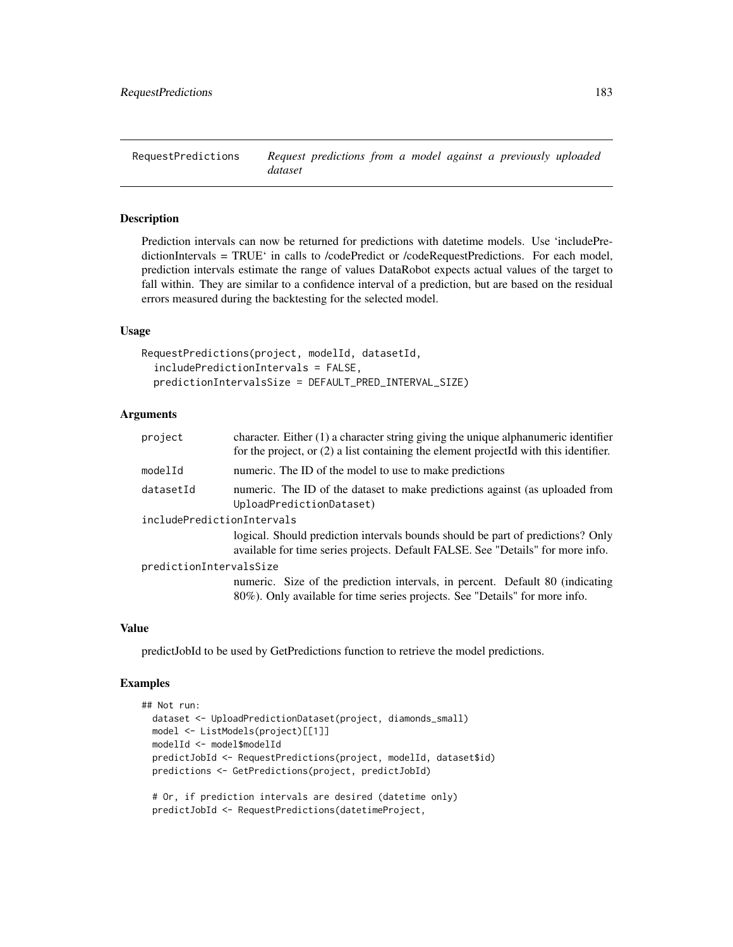RequestPredictions *Request predictions from a model against a previously uploaded dataset*

# **Description**

Prediction intervals can now be returned for predictions with datetime models. Use 'includePredictionIntervals = TRUE' in calls to /codePredict or /codeRequestPredictions. For each model, prediction intervals estimate the range of values DataRobot expects actual values of the target to fall within. They are similar to a confidence interval of a prediction, but are based on the residual errors measured during the backtesting for the selected model.

#### Usage

```
RequestPredictions(project, modelId, datasetId,
  includePredictionIntervals = FALSE,
 predictionIntervalsSize = DEFAULT_PRED_INTERVAL_SIZE)
```
# Arguments

| character. Either $(1)$ a character string giving the unique alphanumeric identifier<br>for the project, or $(2)$ a list containing the element projected with this identifier. |  |  |
|---------------------------------------------------------------------------------------------------------------------------------------------------------------------------------|--|--|
| numeric. The ID of the model to use to make predictions                                                                                                                         |  |  |
| numeric. The ID of the dataset to make predictions against (as uploaded from<br>UploadPredictionDataset)                                                                        |  |  |
| includePredictionIntervals                                                                                                                                                      |  |  |
| logical. Should prediction intervals bounds should be part of predictions? Only<br>available for time series projects. Default FALSE. See "Details" for more info.              |  |  |
| predictionIntervalsSize                                                                                                                                                         |  |  |
| numeric. Size of the prediction intervals, in percent. Default 80 (indicating<br>80%). Only available for time series projects. See "Details" for more info.                    |  |  |
|                                                                                                                                                                                 |  |  |

#### Value

predictJobId to be used by GetPredictions function to retrieve the model predictions.

#### Examples

```
## Not run:
 dataset <- UploadPredictionDataset(project, diamonds_small)
 model <- ListModels(project)[[1]]
 modelId <- model$modelId
 predictJobId <- RequestPredictions(project, modelId, dataset$id)
 predictions <- GetPredictions(project, predictJobId)
 # Or, if prediction intervals are desired (datetime only)
```

```
predictJobId <- RequestPredictions(datetimeProject,
```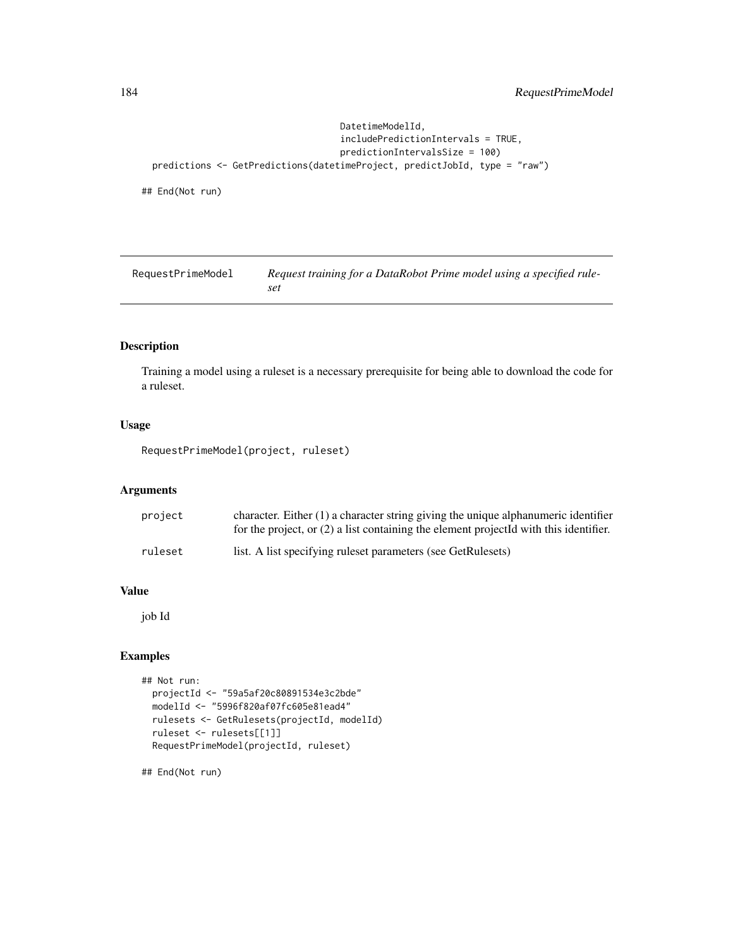```
DatetimeModelId,
                                   includePredictionIntervals = TRUE,
                                   predictionIntervalsSize = 100)
predictions <- GetPredictions(datetimeProject, predictJobId, type = "raw")
```
## End(Not run)

RequestPrimeModel *Request training for a DataRobot Prime model using a specified ruleset*

# Description

Training a model using a ruleset is a necessary prerequisite for being able to download the code for a ruleset.

#### Usage

RequestPrimeModel(project, ruleset)

## Arguments

| project | character. Either $(1)$ a character string giving the unique alphanumeric identifier<br>for the project, or $(2)$ a list containing the element projected with this identifier. |
|---------|---------------------------------------------------------------------------------------------------------------------------------------------------------------------------------|
| ruleset | list. A list specifying rules t parameters (see GetRules ets)                                                                                                                   |

# Value

job Id

# Examples

```
## Not run:
 projectId <- "59a5af20c80891534e3c2bde"
 modelId <- "5996f820af07fc605e81ead4"
 rulesets <- GetRulesets(projectId, modelId)
 ruleset <- rulesets[[1]]
 RequestPrimeModel(projectId, ruleset)
```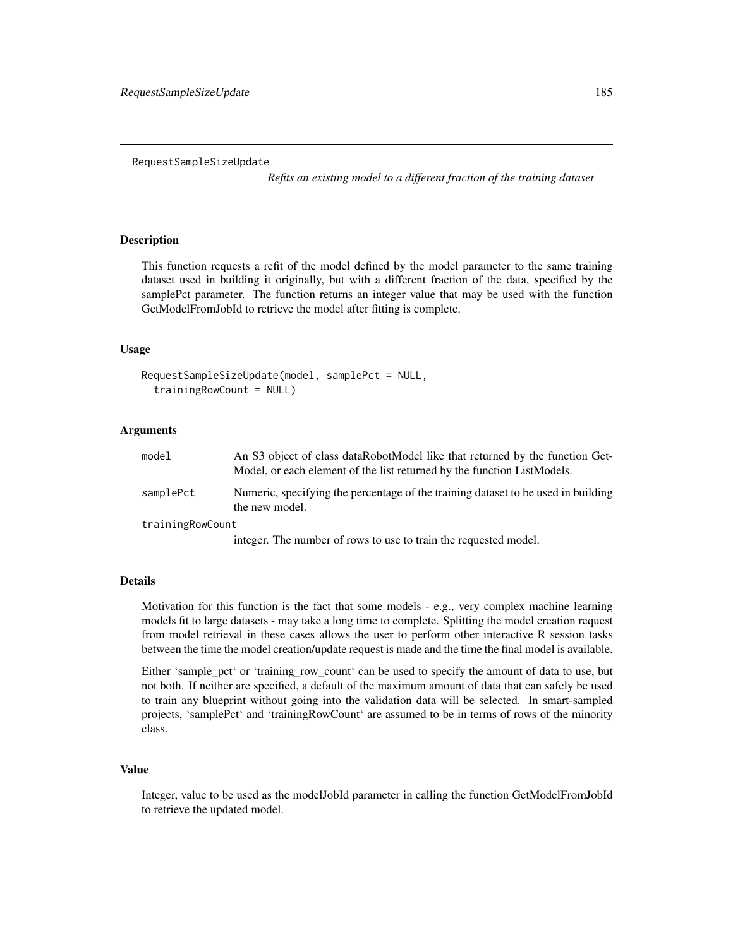RequestSampleSizeUpdate

*Refits an existing model to a different fraction of the training dataset*

#### Description

This function requests a refit of the model defined by the model parameter to the same training dataset used in building it originally, but with a different fraction of the data, specified by the samplePct parameter. The function returns an integer value that may be used with the function GetModelFromJobId to retrieve the model after fitting is complete.

#### Usage

```
RequestSampleSizeUpdate(model, samplePct = NULL,
  trainingRowCount = NULL)
```
#### Arguments

| model            | An S3 object of class dataRobotModel like that returned by the function Get-<br>Model, or each element of the list returned by the function ListModels. |
|------------------|---------------------------------------------------------------------------------------------------------------------------------------------------------|
| samplePct        | Numeric, specifying the percentage of the training dataset to be used in building<br>the new model.                                                     |
| trainingRowCount |                                                                                                                                                         |
|                  | integer. The number of rows to use to train the requested model.                                                                                        |

#### Details

Motivation for this function is the fact that some models - e.g., very complex machine learning models fit to large datasets - may take a long time to complete. Splitting the model creation request from model retrieval in these cases allows the user to perform other interactive R session tasks between the time the model creation/update request is made and the time the final model is available.

Either 'sample\_pct' or 'training\_row\_count' can be used to specify the amount of data to use, but not both. If neither are specified, a default of the maximum amount of data that can safely be used to train any blueprint without going into the validation data will be selected. In smart-sampled projects, 'samplePct' and 'trainingRowCount' are assumed to be in terms of rows of the minority class.

#### Value

Integer, value to be used as the modelJobId parameter in calling the function GetModelFromJobId to retrieve the updated model.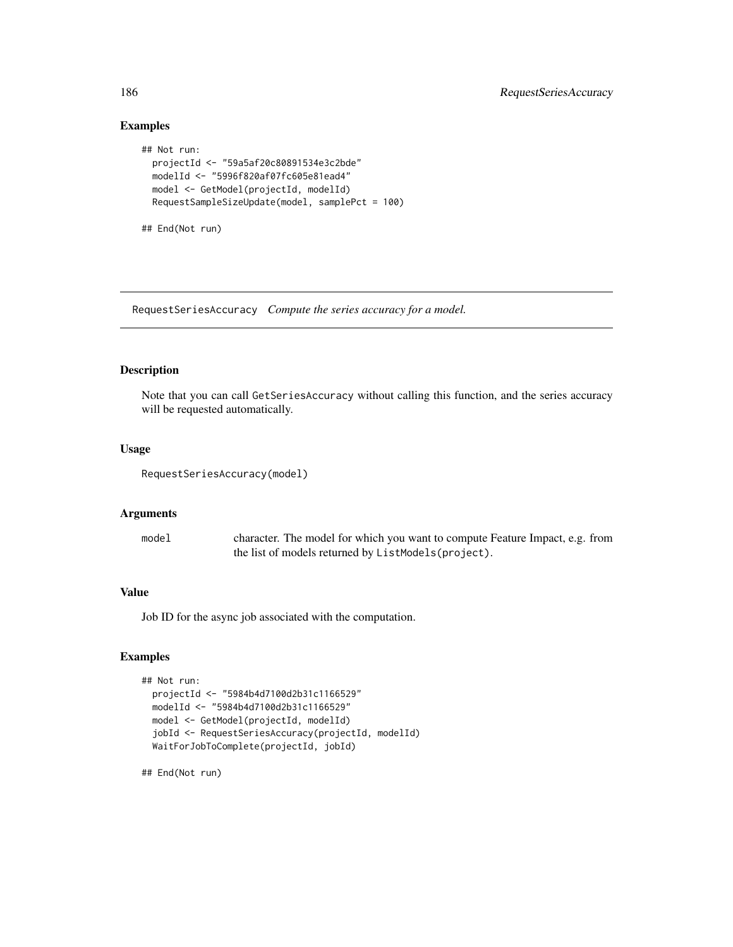## Examples

```
## Not run:
 projectId <- "59a5af20c80891534e3c2bde"
 modelId <- "5996f820af07fc605e81ead4"
 model <- GetModel(projectId, modelId)
 RequestSampleSizeUpdate(model, samplePct = 100)
```
## End(Not run)

RequestSeriesAccuracy *Compute the series accuracy for a model.*

## Description

Note that you can call GetSeriesAccuracy without calling this function, and the series accuracy will be requested automatically.

## Usage

RequestSeriesAccuracy(model)

## Arguments

| model | character. The model for which you want to compute Feature Impact, e.g. from |
|-------|------------------------------------------------------------------------------|
|       | the list of models returned by ListModels (project).                         |

# Value

Job ID for the async job associated with the computation.

## Examples

```
## Not run:
 projectId <- "5984b4d7100d2b31c1166529"
 modelId <- "5984b4d7100d2b31c1166529"
 model <- GetModel(projectId, modelId)
 jobId <- RequestSeriesAccuracy(projectId, modelId)
 WaitForJobToComplete(projectId, jobId)
```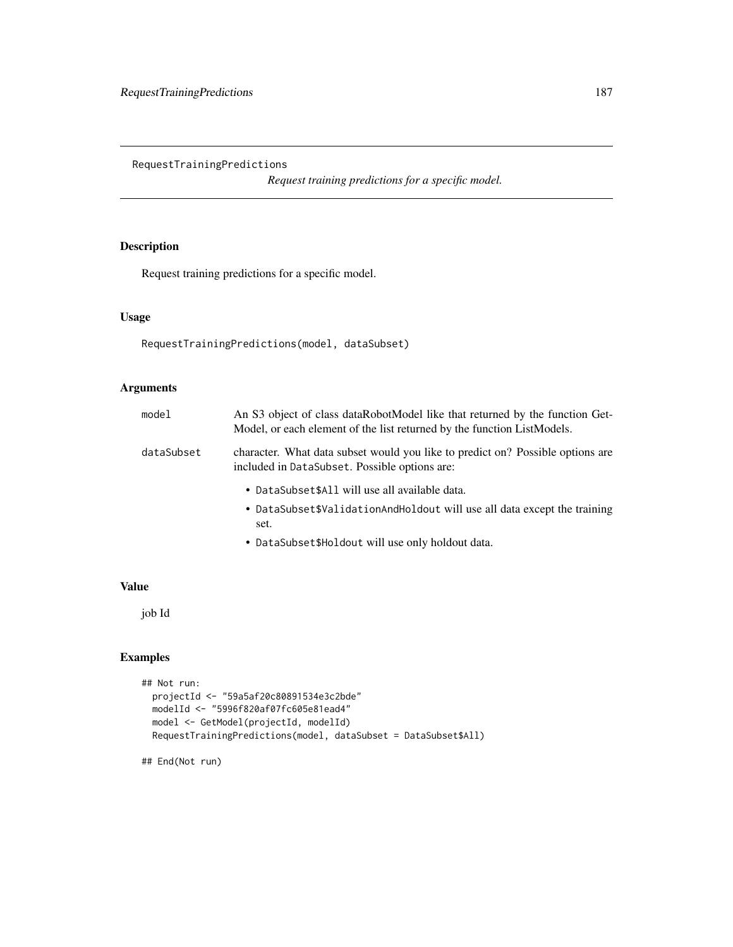RequestTrainingPredictions

*Request training predictions for a specific model.*

# Description

Request training predictions for a specific model.

## Usage

```
RequestTrainingPredictions(model, dataSubset)
```
## Arguments

| model      | An S3 object of class dataRobotModel like that returned by the function Get-<br>Model, or each element of the list returned by the function ListModels. |
|------------|---------------------------------------------------------------------------------------------------------------------------------------------------------|
| dataSubset | character. What data subset would you like to predict on? Possible options are<br>included in DataSubset. Possible options are:                         |
|            | • DataSubset\$All will use all available data.<br>• DataSubset\$ValidationAndHoldout will use all data except the training<br>set.                      |

• DataSubset\$Holdout will use only holdout data.

# Value

job Id

## Examples

```
## Not run:
  projectId <- "59a5af20c80891534e3c2bde"
  modelId <- "5996f820af07fc605e81ead4"
  model <- GetModel(projectId, modelId)
  RequestTrainingPredictions(model, dataSubset = DataSubset$All)
```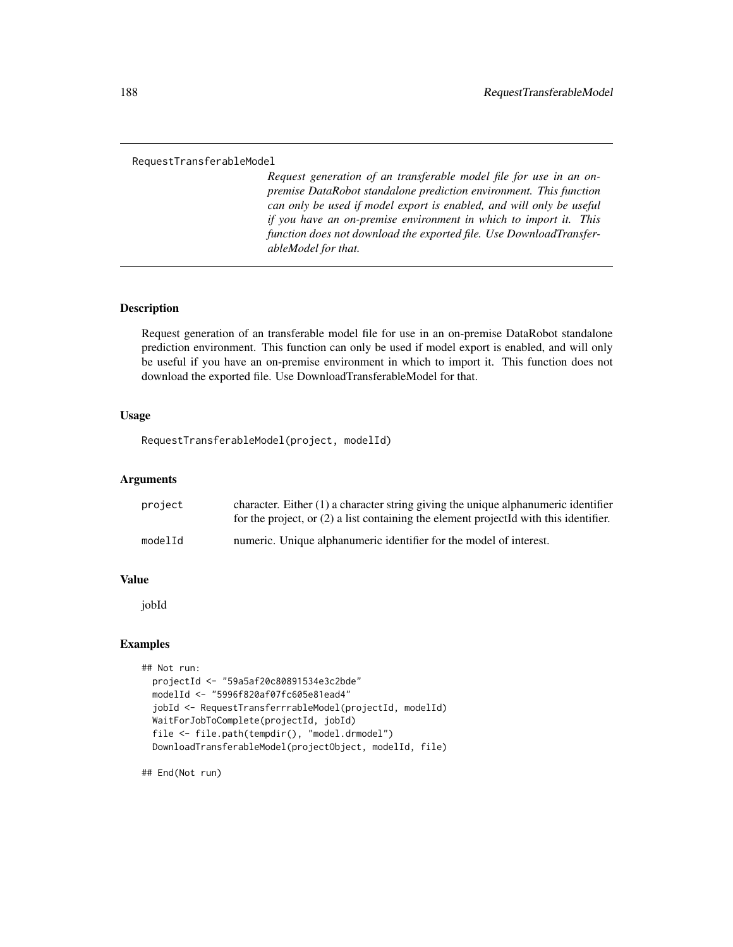#### RequestTransferableModel

*Request generation of an transferable model file for use in an onpremise DataRobot standalone prediction environment. This function can only be used if model export is enabled, and will only be useful if you have an on-premise environment in which to import it. This function does not download the exported file. Use DownloadTransferableModel for that.*

# **Description**

Request generation of an transferable model file for use in an on-premise DataRobot standalone prediction environment. This function can only be used if model export is enabled, and will only be useful if you have an on-premise environment in which to import it. This function does not download the exported file. Use DownloadTransferableModel for that.

#### Usage

RequestTransferableModel(project, modelId)

#### Arguments

| project | character. Either $(1)$ a character string giving the unique alphanumeric identifier<br>for the project, or $(2)$ a list containing the element projected with this identifier. |
|---------|---------------------------------------------------------------------------------------------------------------------------------------------------------------------------------|
| modelId | numeric. Unique alphanumeric identifier for the model of interest.                                                                                                              |

## Value

jobId

## Examples

```
## Not run:
 projectId <- "59a5af20c80891534e3c2bde"
 modelId <- "5996f820af07fc605e81ead4"
 jobId <- RequestTransferrrableModel(projectId, modelId)
 WaitForJobToComplete(projectId, jobId)
 file <- file.path(tempdir(), "model.drmodel")
 DownloadTransferableModel(projectObject, modelId, file)
```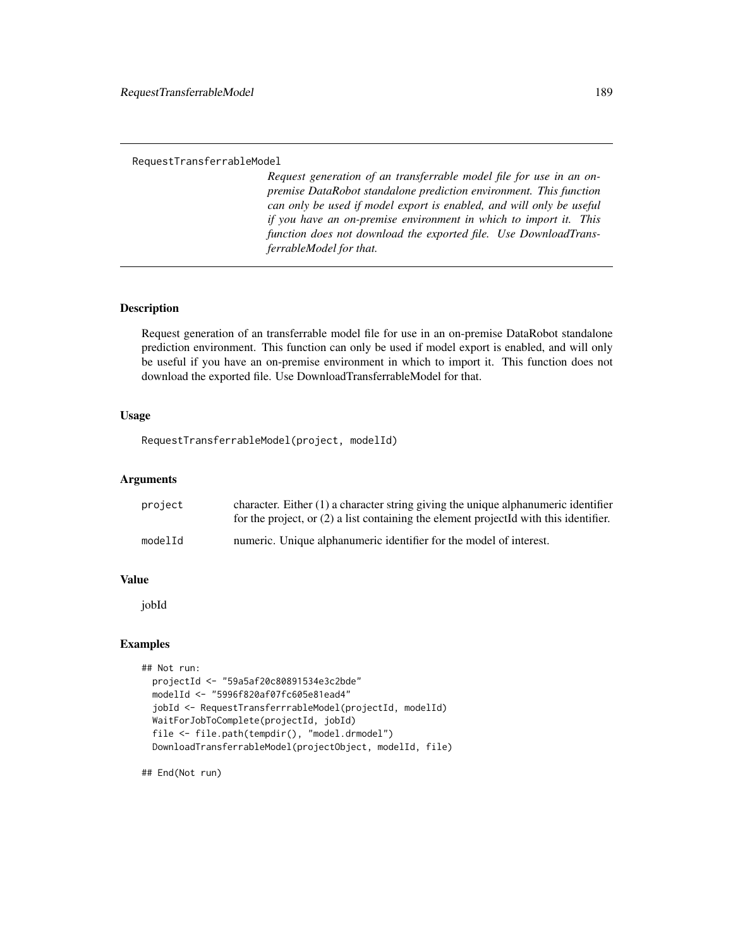#### RequestTransferrableModel

*Request generation of an transferrable model file for use in an onpremise DataRobot standalone prediction environment. This function can only be used if model export is enabled, and will only be useful if you have an on-premise environment in which to import it. This function does not download the exported file. Use DownloadTransferrableModel for that.*

## **Description**

Request generation of an transferrable model file for use in an on-premise DataRobot standalone prediction environment. This function can only be used if model export is enabled, and will only be useful if you have an on-premise environment in which to import it. This function does not download the exported file. Use DownloadTransferrableModel for that.

#### Usage

```
RequestTransferrableModel(project, modelId)
```
## Arguments

| project | character. Either $(1)$ a character string giving the unique alphanumeric identifier<br>for the project, or $(2)$ a list containing the element projected with this identifier. |
|---------|---------------------------------------------------------------------------------------------------------------------------------------------------------------------------------|
| modelId | numeric. Unique alphanumeric identifier for the model of interest.                                                                                                              |

## Value

jobId

## Examples

```
## Not run:
 projectId <- "59a5af20c80891534e3c2bde"
 modelId <- "5996f820af07fc605e81ead4"
 jobId <- RequestTransferrrableModel(projectId, modelId)
 WaitForJobToComplete(projectId, jobId)
 file <- file.path(tempdir(), "model.drmodel")
 DownloadTransferrableModel(projectObject, modelId, file)
```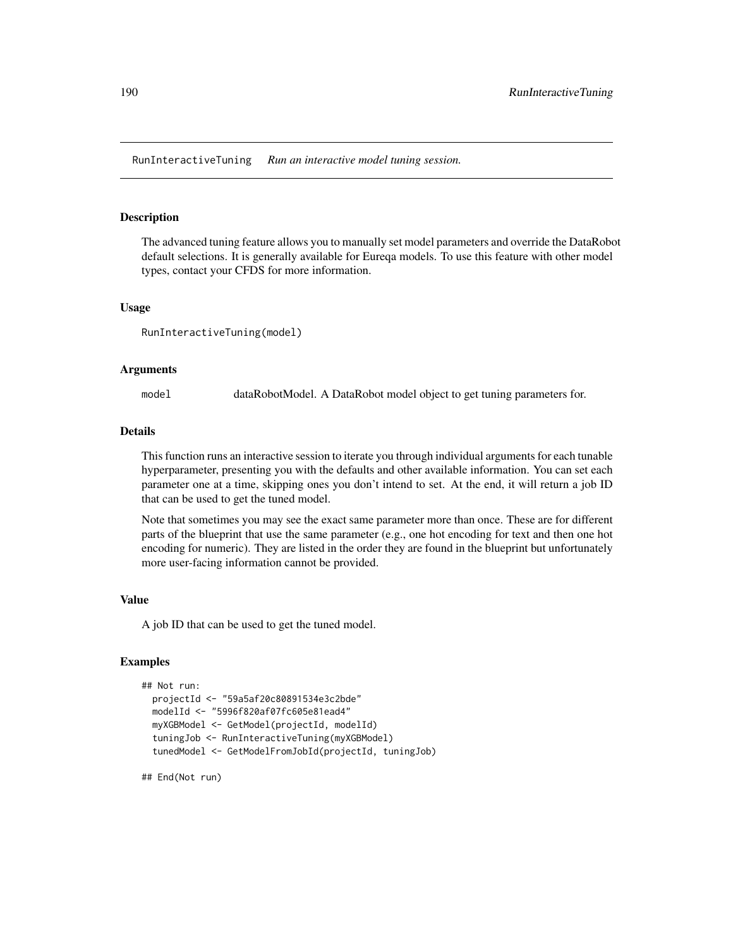RunInteractiveTuning *Run an interactive model tuning session.*

#### Description

The advanced tuning feature allows you to manually set model parameters and override the DataRobot default selections. It is generally available for Eureqa models. To use this feature with other model types, contact your CFDS for more information.

#### Usage

```
RunInteractiveTuning(model)
```
#### Arguments

model dataRobotModel. A DataRobot model object to get tuning parameters for.

#### Details

This function runs an interactive session to iterate you through individual arguments for each tunable hyperparameter, presenting you with the defaults and other available information. You can set each parameter one at a time, skipping ones you don't intend to set. At the end, it will return a job ID that can be used to get the tuned model.

Note that sometimes you may see the exact same parameter more than once. These are for different parts of the blueprint that use the same parameter (e.g., one hot encoding for text and then one hot encoding for numeric). They are listed in the order they are found in the blueprint but unfortunately more user-facing information cannot be provided.

### Value

A job ID that can be used to get the tuned model.

## Examples

```
## Not run:
 projectId <- "59a5af20c80891534e3c2bde"
 modelId <- "5996f820af07fc605e81ead4"
 myXGBModel <- GetModel(projectId, modelId)
 tuningJob <- RunInteractiveTuning(myXGBModel)
 tunedModel <- GetModelFromJobId(projectId, tuningJob)
```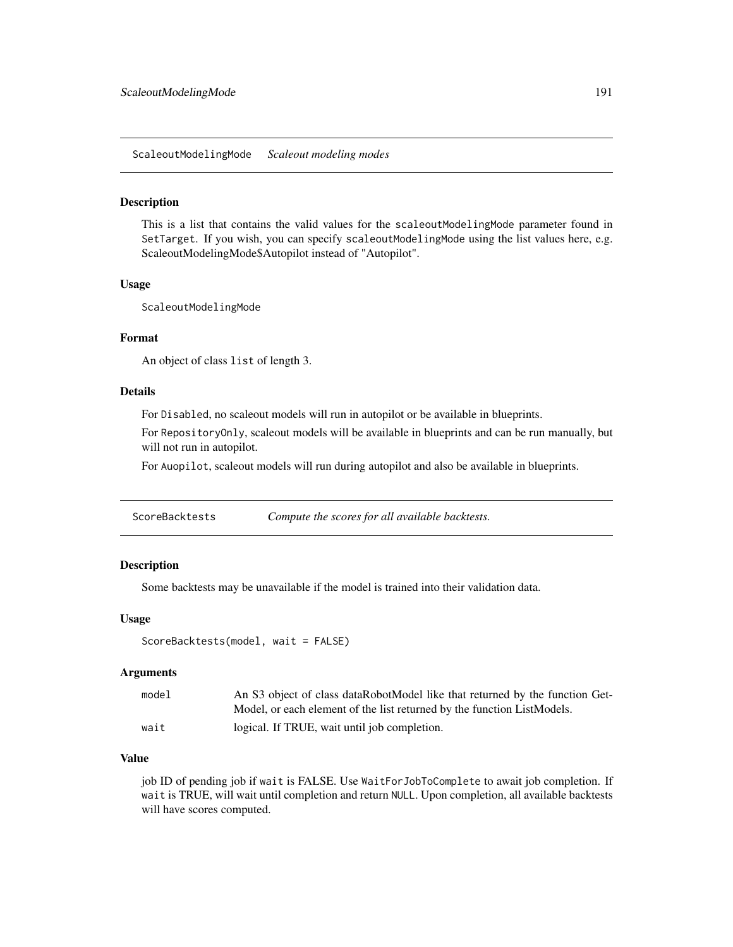ScaleoutModelingMode *Scaleout modeling modes*

#### Description

This is a list that contains the valid values for the scaleoutModelingMode parameter found in SetTarget. If you wish, you can specify scaleoutModelingMode using the list values here, e.g. ScaleoutModelingMode\$Autopilot instead of "Autopilot".

#### Usage

ScaleoutModelingMode

#### Format

An object of class list of length 3.

#### Details

For Disabled, no scaleout models will run in autopilot or be available in blueprints.

For RepositoryOnly, scaleout models will be available in blueprints and can be run manually, but will not run in autopilot.

For Auopilot, scaleout models will run during autopilot and also be available in blueprints.

ScoreBacktests *Compute the scores for all available backtests.*

## Description

Some backtests may be unavailable if the model is trained into their validation data.

#### Usage

```
ScoreBacktests(model, wait = FALSE)
```
#### Arguments

| model | An S3 object of class dataRobotModel like that returned by the function Get- |
|-------|------------------------------------------------------------------------------|
|       | Model, or each element of the list returned by the function ListModels.      |
| wait  | logical. If TRUE, wait until job completion.                                 |

## Value

job ID of pending job if wait is FALSE. Use WaitForJobToComplete to await job completion. If wait is TRUE, will wait until completion and return NULL. Upon completion, all available backtests will have scores computed.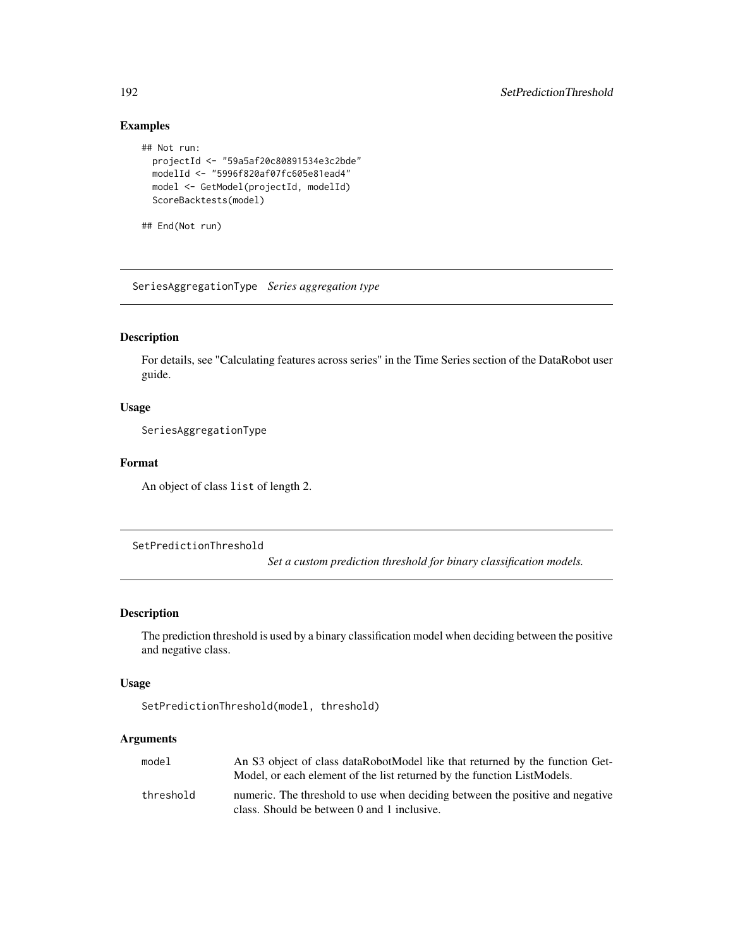# Examples

```
## Not run:
 projectId <- "59a5af20c80891534e3c2bde"
 modelId <- "5996f820af07fc605e81ead4"
 model <- GetModel(projectId, modelId)
 ScoreBacktests(model)
```
## End(Not run)

SeriesAggregationType *Series aggregation type*

## Description

For details, see "Calculating features across series" in the Time Series section of the DataRobot user guide.

## Usage

SeriesAggregationType

#### Format

An object of class list of length 2.

SetPredictionThreshold

*Set a custom prediction threshold for binary classification models.*

#### Description

The prediction threshold is used by a binary classification model when deciding between the positive and negative class.

## Usage

```
SetPredictionThreshold(model, threshold)
```
## Arguments

| model     | An S3 object of class dataRobotModel like that returned by the function Get-<br>Model, or each element of the list returned by the function ListModels. |
|-----------|---------------------------------------------------------------------------------------------------------------------------------------------------------|
| threshold | numeric. The threshold to use when deciding between the positive and negative<br>class. Should be between 0 and 1 inclusive.                            |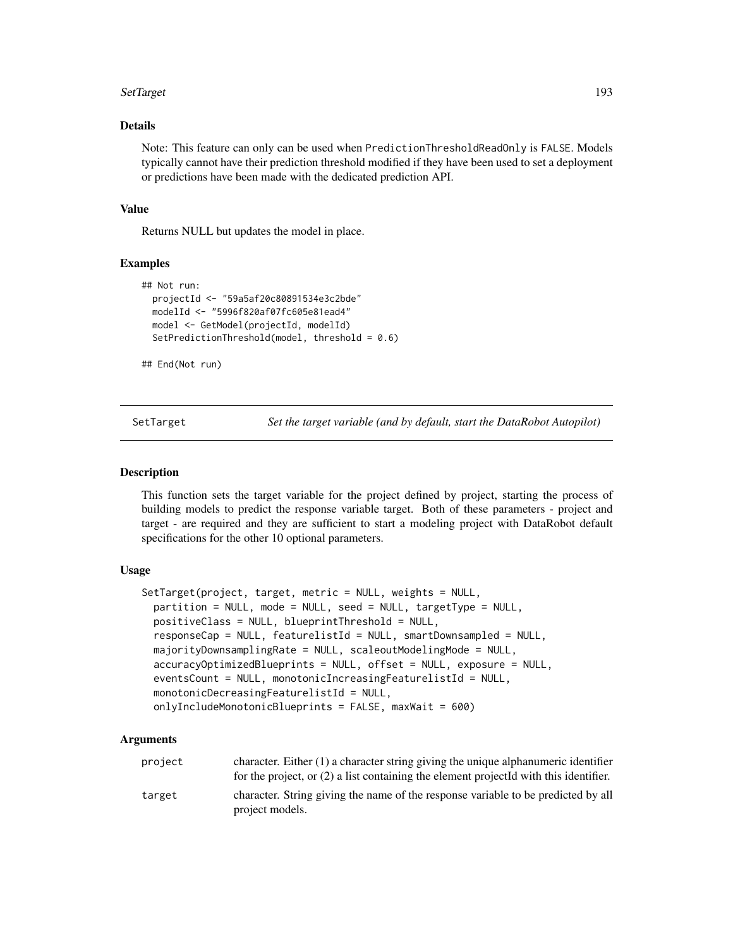#### SetTarget 193

## Details

Note: This feature can only can be used when PredictionThresholdReadOnly is FALSE. Models typically cannot have their prediction threshold modified if they have been used to set a deployment or predictions have been made with the dedicated prediction API.

#### Value

Returns NULL but updates the model in place.

# Examples

```
## Not run:
 projectId <- "59a5af20c80891534e3c2bde"
 modelId <- "5996f820af07fc605e81ead4"
 model <- GetModel(projectId, modelId)
 SetPredictionThreshold(model, threshold = 0.6)
```
## End(Not run)

SetTarget *Set the target variable (and by default, start the DataRobot Autopilot)*

#### Description

This function sets the target variable for the project defined by project, starting the process of building models to predict the response variable target. Both of these parameters - project and target - are required and they are sufficient to start a modeling project with DataRobot default specifications for the other 10 optional parameters.

#### Usage

```
SetTarget(project, target, metric = NULL, weights = NULL,
 partition = NULL, mode = NULL, seed = NULL, targetType = NULL,
 positiveClass = NULL, blueprintThreshold = NULL,
 responseCap = NULL, featurelistId = NULL, smartDownsampled = NULL,
 majorityDownsamplingRate = NULL, scaleoutModelingMode = NULL,
 accuracyOptimizedBlueprints = NULL, offset = NULL, exposure = NULL,
 eventsCount = NULL, monotonicIncreasingFeaturelistId = NULL,
 monotonicDecreasingFeaturelistId = NULL,
 onlyIncludeMonotonicBlueprints = FALSE, maxWait = 600)
```
#### Arguments

| project | character. Either $(1)$ a character string giving the unique alphanumeric identifier<br>for the project, or $(2)$ a list containing the element projected with this identifier. |
|---------|---------------------------------------------------------------------------------------------------------------------------------------------------------------------------------|
| target  | character. String giving the name of the response variable to be predicted by all<br>project models.                                                                            |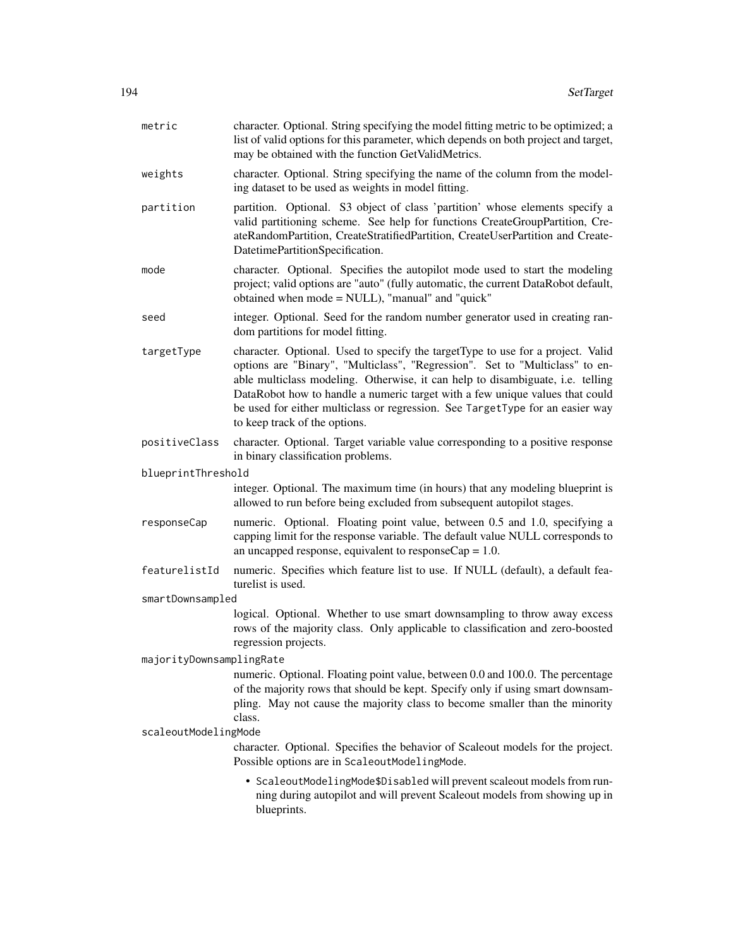| metric                   | character. Optional. String specifying the model fitting metric to be optimized; a<br>list of valid options for this parameter, which depends on both project and target,<br>may be obtained with the function GetValidMetrics.                                                                                                                                                                                                                     |
|--------------------------|-----------------------------------------------------------------------------------------------------------------------------------------------------------------------------------------------------------------------------------------------------------------------------------------------------------------------------------------------------------------------------------------------------------------------------------------------------|
| weights                  | character. Optional. String specifying the name of the column from the model-<br>ing dataset to be used as weights in model fitting.                                                                                                                                                                                                                                                                                                                |
| partition                | partition. Optional. S3 object of class 'partition' whose elements specify a<br>valid partitioning scheme. See help for functions CreateGroupPartition, Cre-<br>ateRandomPartition, CreateStratifiedPartition, CreateUserPartition and Create-<br>DatetimePartitionSpecification.                                                                                                                                                                   |
| mode                     | character. Optional. Specifies the autopilot mode used to start the modeling<br>project; valid options are "auto" (fully automatic, the current DataRobot default,<br>obtained when mode = NULL), "manual" and "quick"                                                                                                                                                                                                                              |
| seed                     | integer. Optional. Seed for the random number generator used in creating ran-<br>dom partitions for model fitting.                                                                                                                                                                                                                                                                                                                                  |
| targetType               | character. Optional. Used to specify the targetType to use for a project. Valid<br>options are "Binary", "Multiclass", "Regression". Set to "Multiclass" to en-<br>able multiclass modeling. Otherwise, it can help to disambiguate, i.e. telling<br>DataRobot how to handle a numeric target with a few unique values that could<br>be used for either multiclass or regression. See TargetType for an easier way<br>to keep track of the options. |
| positiveClass            | character. Optional. Target variable value corresponding to a positive response<br>in binary classification problems.                                                                                                                                                                                                                                                                                                                               |
| blueprintThreshold       |                                                                                                                                                                                                                                                                                                                                                                                                                                                     |
|                          | integer. Optional. The maximum time (in hours) that any modeling blueprint is<br>allowed to run before being excluded from subsequent autopilot stages.                                                                                                                                                                                                                                                                                             |
| responseCap              | numeric. Optional. Floating point value, between 0.5 and 1.0, specifying a<br>capping limit for the response variable. The default value NULL corresponds to<br>an uncapped response, equivalent to response $Cap = 1.0$ .                                                                                                                                                                                                                          |
| featurelistId            | numeric. Specifies which feature list to use. If NULL (default), a default fea-<br>turelist is used.                                                                                                                                                                                                                                                                                                                                                |
| smartDownsampled         |                                                                                                                                                                                                                                                                                                                                                                                                                                                     |
|                          | logical. Optional. Whether to use smart downsampling to throw away excess<br>rows of the majority class. Only applicable to classification and zero-boosted<br>regression projects.                                                                                                                                                                                                                                                                 |
| majorityDownsamplingRate |                                                                                                                                                                                                                                                                                                                                                                                                                                                     |
|                          | numeric. Optional. Floating point value, between 0.0 and 100.0. The percentage<br>of the majority rows that should be kept. Specify only if using smart downsam-<br>pling. May not cause the majority class to become smaller than the minority<br>class.                                                                                                                                                                                           |
| scaleoutModelingMode     |                                                                                                                                                                                                                                                                                                                                                                                                                                                     |
|                          | character. Optional. Specifies the behavior of Scaleout models for the project.<br>Possible options are in ScaleoutModelingMode.                                                                                                                                                                                                                                                                                                                    |
|                          | • ScaleoutModelingMode\$Disabled will prevent scaleout models from run-<br>ning during autopilot and will prevent Scaleout models from showing up in<br>blueprints.                                                                                                                                                                                                                                                                                 |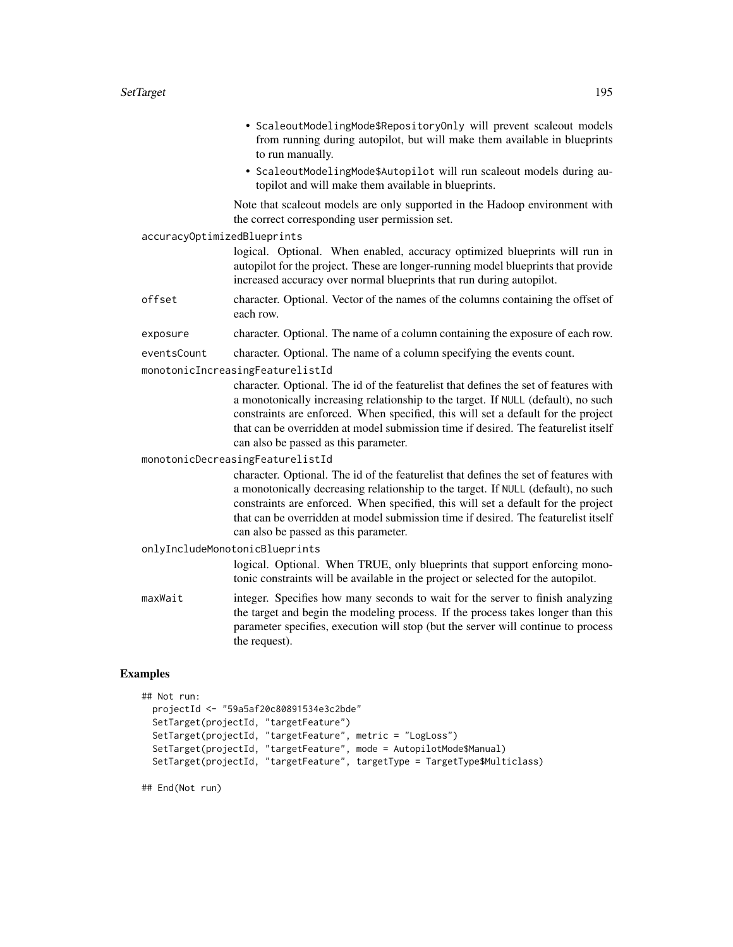|             | • ScaleoutModelingMode\$RepositoryOnly will prevent scaleout models<br>from running during autopilot, but will make them available in blueprints<br>to run manually.                                                                                                                                                                                                                          |  |  |
|-------------|-----------------------------------------------------------------------------------------------------------------------------------------------------------------------------------------------------------------------------------------------------------------------------------------------------------------------------------------------------------------------------------------------|--|--|
|             | • ScaleoutModelingMode\$Autopilot will run scaleout models during au-<br>topilot and will make them available in blueprints.                                                                                                                                                                                                                                                                  |  |  |
|             | Note that scaleout models are only supported in the Hadoop environment with<br>the correct corresponding user permission set.                                                                                                                                                                                                                                                                 |  |  |
|             | accuracyOptimizedBlueprints                                                                                                                                                                                                                                                                                                                                                                   |  |  |
|             | logical. Optional. When enabled, accuracy optimized blueprints will run in<br>autopilot for the project. These are longer-running model blueprints that provide<br>increased accuracy over normal blueprints that run during autopilot.                                                                                                                                                       |  |  |
| offset      | character. Optional. Vector of the names of the columns containing the offset of<br>each row.                                                                                                                                                                                                                                                                                                 |  |  |
| exposure    | character. Optional. The name of a column containing the exposure of each row.                                                                                                                                                                                                                                                                                                                |  |  |
| eventsCount | character. Optional. The name of a column specifying the events count.                                                                                                                                                                                                                                                                                                                        |  |  |
|             | monotonicIncreasingFeaturelistId                                                                                                                                                                                                                                                                                                                                                              |  |  |
|             | character. Optional. The id of the featurelist that defines the set of features with<br>a monotonically increasing relationship to the target. If NULL (default), no such<br>constraints are enforced. When specified, this will set a default for the project<br>that can be overridden at model submission time if desired. The featurelist itself<br>can also be passed as this parameter. |  |  |
|             | monotonicDecreasingFeaturelistId                                                                                                                                                                                                                                                                                                                                                              |  |  |
|             | character. Optional. The id of the featurelist that defines the set of features with<br>a monotonically decreasing relationship to the target. If NULL (default), no such<br>constraints are enforced. When specified, this will set a default for the project<br>that can be overridden at model submission time if desired. The featurelist itself<br>can also be passed as this parameter. |  |  |
|             | onlyIncludeMonotonicBlueprints                                                                                                                                                                                                                                                                                                                                                                |  |  |
|             | logical. Optional. When TRUE, only blueprints that support enforcing mono-<br>tonic constraints will be available in the project or selected for the autopilot.                                                                                                                                                                                                                               |  |  |
| maxWait     | integer. Specifies how many seconds to wait for the server to finish analyzing<br>the target and begin the modeling process. If the process takes longer than this<br>parameter specifies, execution will stop (but the server will continue to process<br>the request).                                                                                                                      |  |  |

# Examples

```
## Not run:
 projectId <- "59a5af20c80891534e3c2bde"
  SetTarget(projectId, "targetFeature")
  SetTarget(projectId, "targetFeature", metric = "LogLoss")
  SetTarget(projectId, "targetFeature", mode = AutopilotMode$Manual)
  SetTarget(projectId, "targetFeature", targetType = TargetType$Multiclass)
```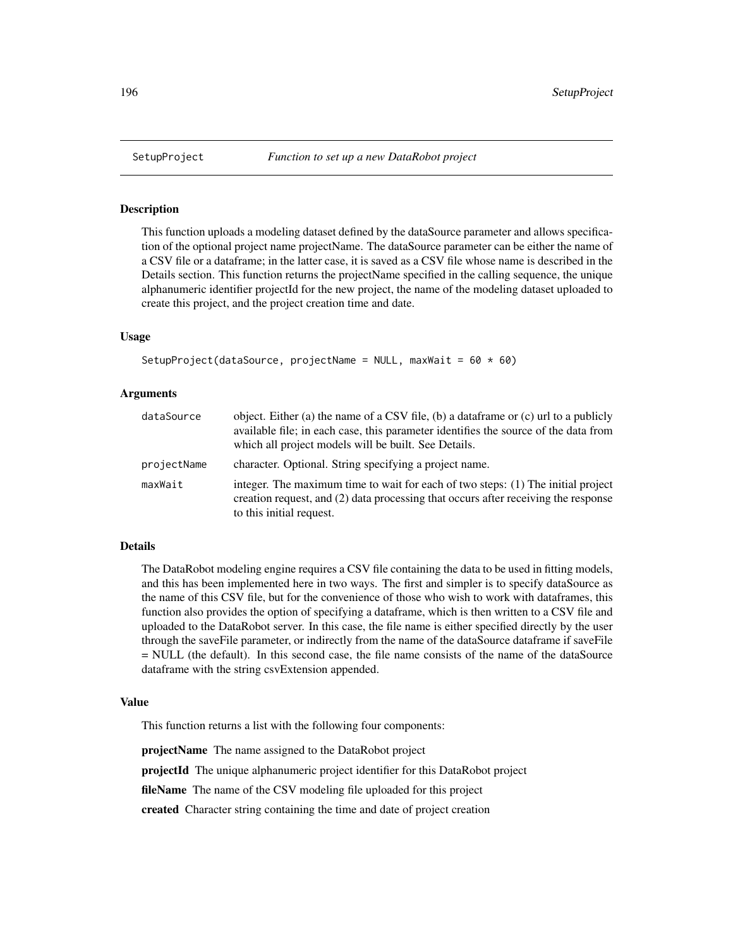## **Description**

This function uploads a modeling dataset defined by the dataSource parameter and allows specification of the optional project name projectName. The dataSource parameter can be either the name of a CSV file or a dataframe; in the latter case, it is saved as a CSV file whose name is described in the Details section. This function returns the projectName specified in the calling sequence, the unique alphanumeric identifier projectId for the new project, the name of the modeling dataset uploaded to create this project, and the project creation time and date.

#### Usage

```
SetupProject(dataSource, projectName = NULL, maxWait = 60 \times 60)
```
#### Arguments

| dataSource  | object. Either (a) the name of a CSV file, (b) a data frame or (c) url to a publicly<br>available file; in each case, this parameter identifies the source of the data from<br>which all project models will be built. See Details. |
|-------------|-------------------------------------------------------------------------------------------------------------------------------------------------------------------------------------------------------------------------------------|
| projectName | character. Optional. String specifying a project name.                                                                                                                                                                              |
| maxWait     | integer. The maximum time to wait for each of two steps: (1) The initial project<br>creation request, and (2) data processing that occurs after receiving the response<br>to this initial request.                                  |

#### Details

The DataRobot modeling engine requires a CSV file containing the data to be used in fitting models, and this has been implemented here in two ways. The first and simpler is to specify dataSource as the name of this CSV file, but for the convenience of those who wish to work with dataframes, this function also provides the option of specifying a dataframe, which is then written to a CSV file and uploaded to the DataRobot server. In this case, the file name is either specified directly by the user through the saveFile parameter, or indirectly from the name of the dataSource dataframe if saveFile = NULL (the default). In this second case, the file name consists of the name of the dataSource dataframe with the string csvExtension appended.

#### Value

This function returns a list with the following four components:

projectName The name assigned to the DataRobot project

projectId The unique alphanumeric project identifier for this DataRobot project

fileName The name of the CSV modeling file uploaded for this project

created Character string containing the time and date of project creation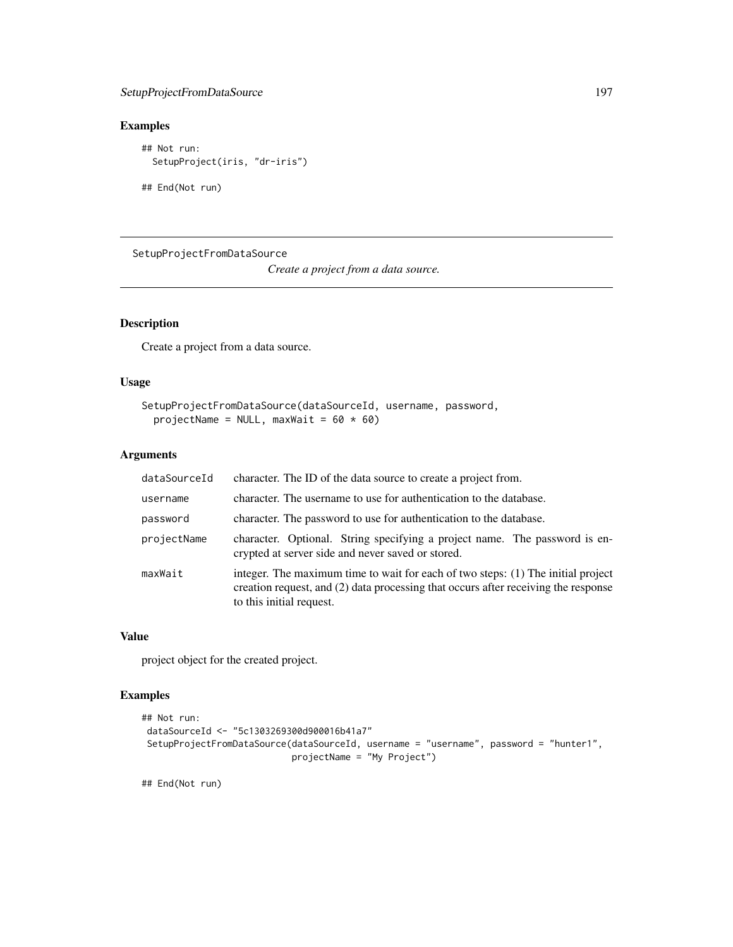## SetupProjectFromDataSource 197

# Examples

```
## Not run:
  SetupProject(iris, "dr-iris")
```
## End(Not run)

SetupProjectFromDataSource

*Create a project from a data source.*

# Description

Create a project from a data source.

# Usage

```
SetupProjectFromDataSource(dataSourceId, username, password,
 projectName = NULL, maxWait = 60 \times 60)
```
## Arguments

| dataSourceId | character. The ID of the data source to create a project from.                                                                                                                                     |  |
|--------------|----------------------------------------------------------------------------------------------------------------------------------------------------------------------------------------------------|--|
| username     | character. The username to use for authentication to the database.                                                                                                                                 |  |
| password     | character. The password to use for authentication to the database.                                                                                                                                 |  |
| projectName  | character. Optional. String specifying a project name. The password is en-<br>crypted at server side and never saved or stored.                                                                    |  |
| maxWait      | integer. The maximum time to wait for each of two steps: (1) The initial project<br>creation request, and (2) data processing that occurs after receiving the response<br>to this initial request. |  |

## Value

project object for the created project.

# Examples

```
## Not run:
dataSourceId <- "5c1303269300d900016b41a7"
SetupProjectFromDataSource(dataSourceId, username = "username", password = "hunter1",
                            projectName = "My Project")
```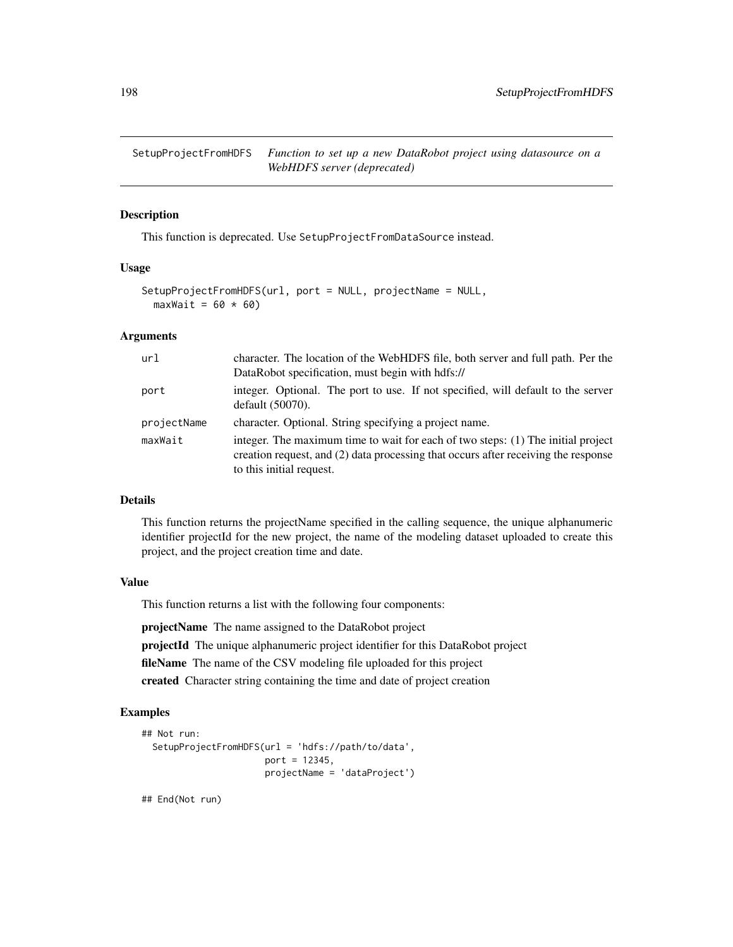SetupProjectFromHDFS *Function to set up a new DataRobot project using datasource on a WebHDFS server (deprecated)*

#### Description

This function is deprecated. Use SetupProjectFromDataSource instead.

#### Usage

```
SetupProjectFromHDFS(url, port = NULL, projectName = NULL,
 maxWait = 60 * 60)
```
# Arguments

| url         | character. The location of the WebHDFS file, both server and full path. Per the<br>DataRobot specification, must begin with hdfs://                                                                |
|-------------|----------------------------------------------------------------------------------------------------------------------------------------------------------------------------------------------------|
| port        | integer. Optional. The port to use. If not specified, will default to the server<br>default $(50070)$ .                                                                                            |
| projectName | character. Optional. String specifying a project name.                                                                                                                                             |
| maxWait     | integer. The maximum time to wait for each of two steps: (1) The initial project<br>creation request, and (2) data processing that occurs after receiving the response<br>to this initial request. |

# Details

This function returns the projectName specified in the calling sequence, the unique alphanumeric identifier projectId for the new project, the name of the modeling dataset uploaded to create this project, and the project creation time and date.

#### Value

This function returns a list with the following four components:

projectName The name assigned to the DataRobot project

projectId The unique alphanumeric project identifier for this DataRobot project

fileName The name of the CSV modeling file uploaded for this project

created Character string containing the time and date of project creation

# Examples

```
## Not run:
 SetupProjectFromHDFS(url = 'hdfs://path/to/data',
                       port = 12345,
                       projectName = 'dataProject')
```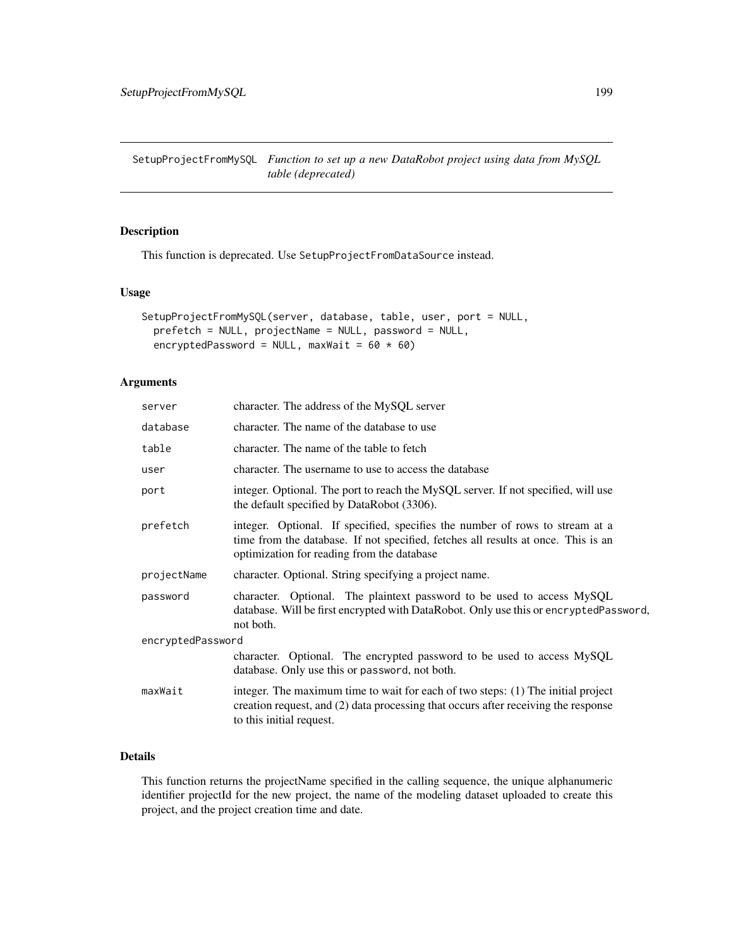SetupProjectFromMySQL *Function to set up a new DataRobot project using data from MySQL table (deprecated)*

## Description

This function is deprecated. Use SetupProjectFromDataSource instead.

## Usage

```
SetupProjectFromMySQL(server, database, table, user, port = NULL,
 prefetch = NULL, projectName = NULL, password = NULL,
 encryptedPassword = NULL, maxWait = 60 \times 60)
```
## Arguments

| server            | character. The address of the MySQL server                                                                                                                                                                      |
|-------------------|-----------------------------------------------------------------------------------------------------------------------------------------------------------------------------------------------------------------|
| database          | character. The name of the database to use                                                                                                                                                                      |
| table             | character. The name of the table to fetch                                                                                                                                                                       |
| user              | character. The username to use to access the database                                                                                                                                                           |
| port              | integer. Optional. The port to reach the MySQL server. If not specified, will use<br>the default specified by DataRobot (3306).                                                                                 |
| prefetch          | integer. Optional. If specified, specifies the number of rows to stream at a<br>time from the database. If not specified, fetches all results at once. This is an<br>optimization for reading from the database |
| projectName       | character. Optional. String specifying a project name.                                                                                                                                                          |
| password          | character. Optional. The plaintext password to be used to access MySQL<br>database. Will be first encrypted with DataRobot. Only use this or encryptedPassword,<br>not both.                                    |
| encryptedPassword |                                                                                                                                                                                                                 |
|                   | character. Optional. The encrypted password to be used to access MySQL<br>database. Only use this or password, not both.                                                                                        |
| maxWait           | integer. The maximum time to wait for each of two steps: (1) The initial project<br>creation request, and (2) data processing that occurs after receiving the response<br>to this initial request.              |
|                   |                                                                                                                                                                                                                 |

# Details

This function returns the projectName specified in the calling sequence, the unique alphanumeric identifier projectId for the new project, the name of the modeling dataset uploaded to create this project, and the project creation time and date.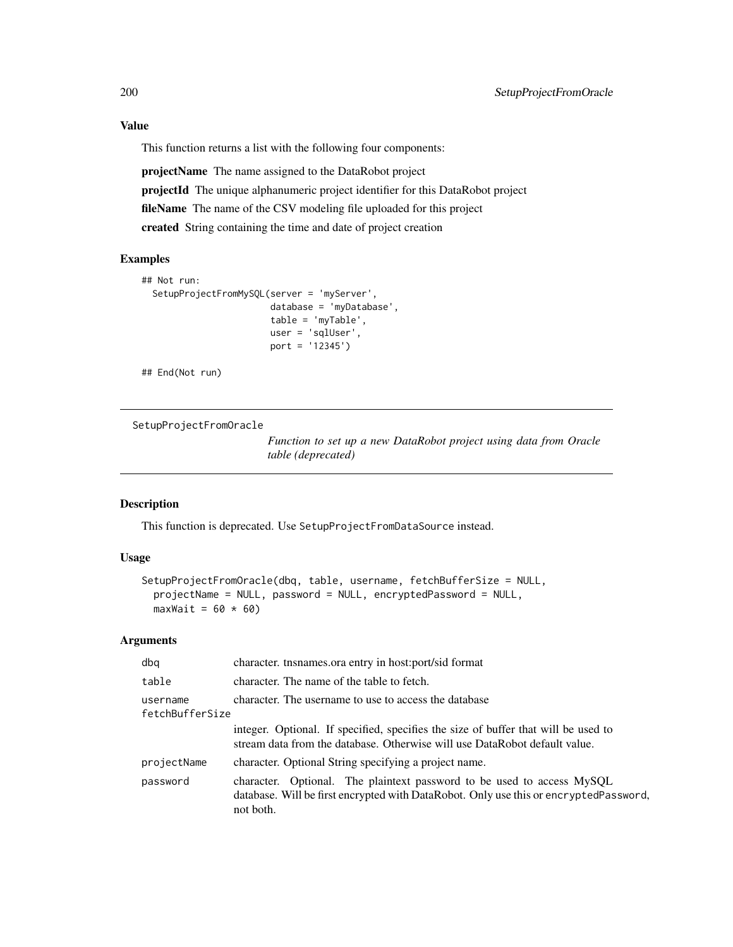## Value

This function returns a list with the following four components:

projectName The name assigned to the DataRobot project projectId The unique alphanumeric project identifier for this DataRobot project fileName The name of the CSV modeling file uploaded for this project created String containing the time and date of project creation

#### Examples

```
## Not run:
 SetupProjectFromMySQL(server = 'myServer',
                        database = 'myDatabase',
                        table = 'myTable',
                        user = 'sqlUser',
                        port = '12345')
```
## End(Not run)

SetupProjectFromOracle

*Function to set up a new DataRobot project using data from Oracle table (deprecated)*

#### Description

This function is deprecated. Use SetupProjectFromDataSource instead.

## Usage

```
SetupProjectFromOracle(dbq, table, username, fetchBufferSize = NULL,
 projectName = NULL, password = NULL, encryptedPassword = NULL,
 maxWait = 60 * 60)
```
#### Arguments

| dbq                         | character. tnsnames.ora entry in host:port/sid format                                                                                                                        |  |
|-----------------------------|------------------------------------------------------------------------------------------------------------------------------------------------------------------------------|--|
| table                       | character. The name of the table to fetch.                                                                                                                                   |  |
| username<br>fetchBufferSize | character. The username to use to access the database                                                                                                                        |  |
|                             | integer. Optional. If specified, specifies the size of buffer that will be used to<br>stream data from the database. Otherwise will use DataRobot default value.             |  |
| projectName                 | character. Optional String specifying a project name.                                                                                                                        |  |
| password                    | character. Optional. The plaintext password to be used to access MySQL<br>database. Will be first encrypted with DataRobot. Only use this or encryptedPassword,<br>not both. |  |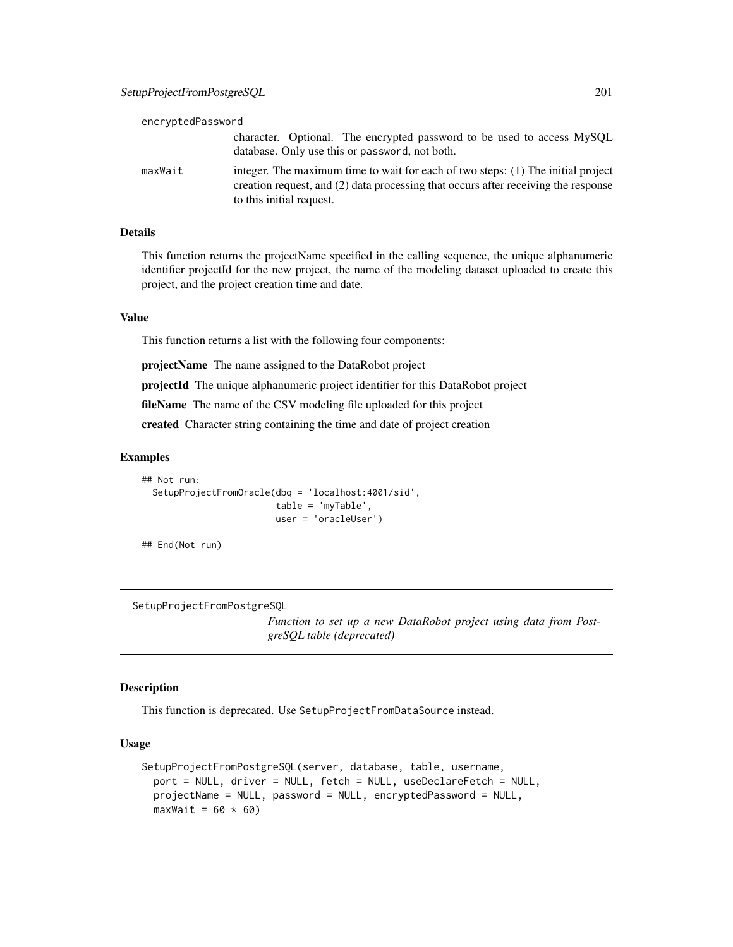| encryptedPassword |                                                                                                                                                                                                    |
|-------------------|----------------------------------------------------------------------------------------------------------------------------------------------------------------------------------------------------|
|                   | character. Optional. The encrypted password to be used to access MySQL<br>database. Only use this or password, not both.                                                                           |
| maxWait           | integer. The maximum time to wait for each of two steps: (1) The initial project<br>creation request, and (2) data processing that occurs after receiving the response<br>to this initial request. |

#### Details

This function returns the projectName specified in the calling sequence, the unique alphanumeric identifier projectId for the new project, the name of the modeling dataset uploaded to create this project, and the project creation time and date.

#### Value

This function returns a list with the following four components:

projectName The name assigned to the DataRobot project

projectId The unique alphanumeric project identifier for this DataRobot project

fileName The name of the CSV modeling file uploaded for this project

created Character string containing the time and date of project creation

#### Examples

```
## Not run:
 SetupProjectFromOracle(dbq = 'localhost:4001/sid',
                         table = 'myTable',
                         user = 'oracleUser')
```
## End(Not run)

SetupProjectFromPostgreSQL

*Function to set up a new DataRobot project using data from PostgreSQL table (deprecated)*

#### Description

This function is deprecated. Use SetupProjectFromDataSource instead.

#### Usage

```
SetupProjectFromPostgreSQL(server, database, table, username,
 port = NULL, driver = NULL, fetch = NULL, useDeclareFetch = NULL,
 projectName = NULL, password = NULL, encryptedPassword = NULL,
 maxWait = 60 * 60)
```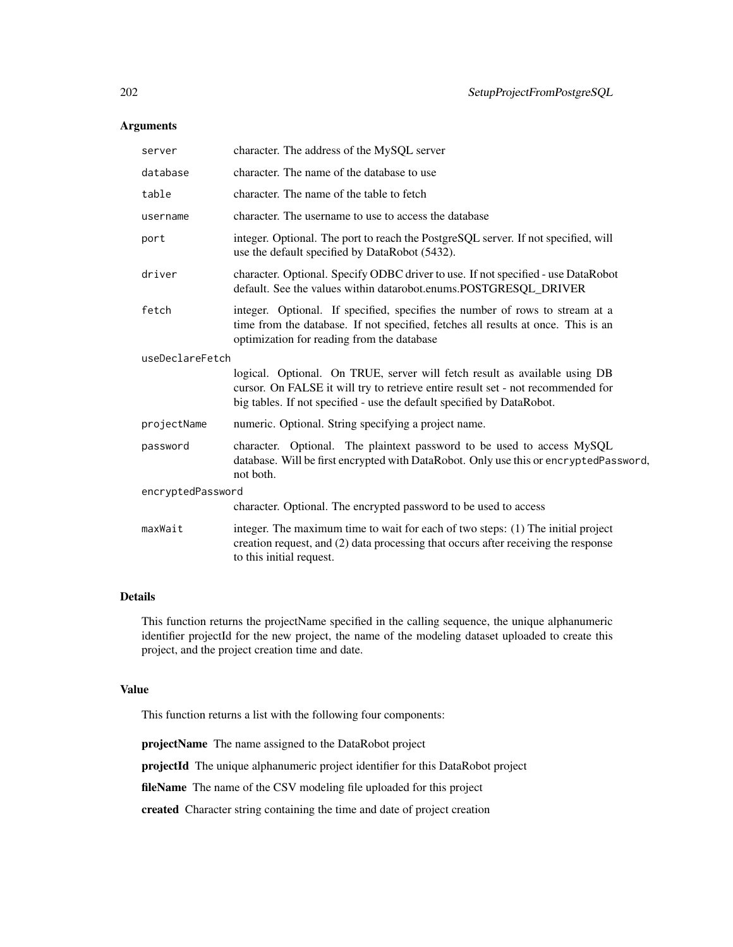## Arguments

| server            | character. The address of the MySQL server                                                                                                                                                                                               |  |
|-------------------|------------------------------------------------------------------------------------------------------------------------------------------------------------------------------------------------------------------------------------------|--|
| database          | character. The name of the database to use                                                                                                                                                                                               |  |
| table             | character. The name of the table to fetch                                                                                                                                                                                                |  |
| username          | character. The username to use to access the database                                                                                                                                                                                    |  |
| port              | integer. Optional. The port to reach the PostgreSQL server. If not specified, will<br>use the default specified by DataRobot (5432).                                                                                                     |  |
| driver            | character. Optional. Specify ODBC driver to use. If not specified - use DataRobot<br>default. See the values within datarobot.enums.POSTGRESQL_DRIVER                                                                                    |  |
| fetch             | integer. Optional. If specified, specifies the number of rows to stream at a<br>time from the database. If not specified, fetches all results at once. This is an<br>optimization for reading from the database                          |  |
| useDeclareFetch   |                                                                                                                                                                                                                                          |  |
|                   | logical. Optional. On TRUE, server will fetch result as available using DB<br>cursor. On FALSE it will try to retrieve entire result set - not recommended for<br>big tables. If not specified - use the default specified by DataRobot. |  |
| projectName       | numeric. Optional. String specifying a project name.                                                                                                                                                                                     |  |
| password          | character. Optional. The plaintext password to be used to access MySQL<br>database. Will be first encrypted with DataRobot. Only use this or encryptedPassword,<br>not both.                                                             |  |
| encryptedPassword |                                                                                                                                                                                                                                          |  |
|                   | character. Optional. The encrypted password to be used to access                                                                                                                                                                         |  |
| maxWait           | integer. The maximum time to wait for each of two steps: (1) The initial project<br>creation request, and (2) data processing that occurs after receiving the response<br>to this initial request.                                       |  |
|                   |                                                                                                                                                                                                                                          |  |

#### Details

This function returns the projectName specified in the calling sequence, the unique alphanumeric identifier projectId for the new project, the name of the modeling dataset uploaded to create this project, and the project creation time and date.

#### Value

This function returns a list with the following four components:

projectName The name assigned to the DataRobot project

projectId The unique alphanumeric project identifier for this DataRobot project

fileName The name of the CSV modeling file uploaded for this project

created Character string containing the time and date of project creation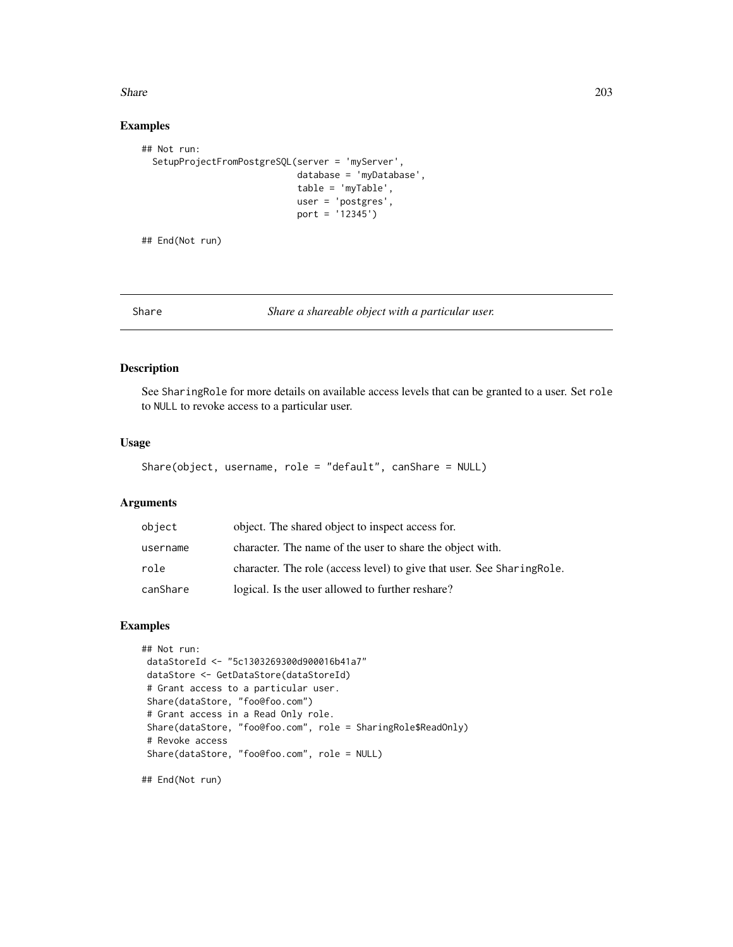#### Share 203

## Examples

```
## Not run:
 SetupProjectFromPostgreSQL(server = 'myServer',
                             database = 'myDatabase',
                             table = 'myTable',
                             user = 'postgres',
                             port = '12345')
```
## End(Not run)

Share *Share a shareable object with a particular user.*

# Description

See SharingRole for more details on available access levels that can be granted to a user. Set role to NULL to revoke access to a particular user.

## Usage

```
Share(object, username, role = "default", canShare = NULL)
```
# Arguments

| object   | object. The shared object to inspect access for.                        |
|----------|-------------------------------------------------------------------------|
| username | character. The name of the user to share the object with.               |
| role     | character. The role (access level) to give that user. See Sharing Role. |
| canShare | logical. Is the user allowed to further reshare?                        |

## Examples

```
## Not run:
dataStoreId <- "5c1303269300d900016b41a7"
dataStore <- GetDataStore(dataStoreId)
# Grant access to a particular user.
Share(dataStore, "foo@foo.com")
# Grant access in a Read Only role.
Share(dataStore, "foo@foo.com", role = SharingRole$ReadOnly)
# Revoke access
Share(dataStore, "foo@foo.com", role = NULL)
```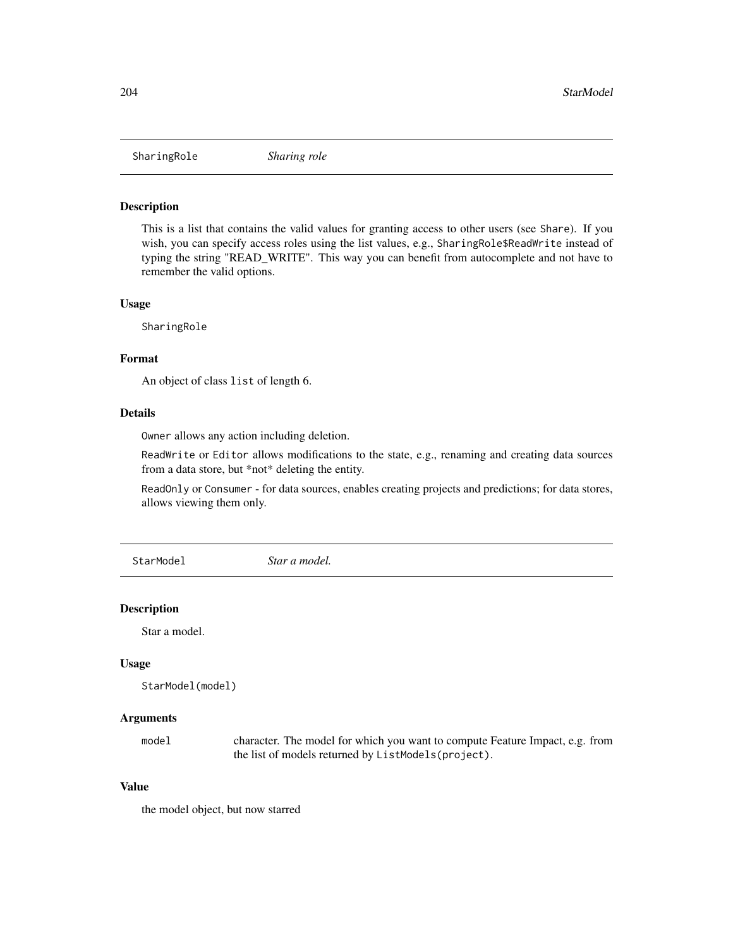SharingRole *Sharing role*

#### Description

This is a list that contains the valid values for granting access to other users (see Share). If you wish, you can specify access roles using the list values, e.g., SharingRole\$ReadWrite instead of typing the string "READ\_WRITE". This way you can benefit from autocomplete and not have to remember the valid options.

#### Usage

SharingRole

## Format

An object of class list of length 6.

## Details

Owner allows any action including deletion.

ReadWrite or Editor allows modifications to the state, e.g., renaming and creating data sources from a data store, but \*not\* deleting the entity.

ReadOnly or Consumer - for data sources, enables creating projects and predictions; for data stores, allows viewing them only.

StarModel *Star a model.*

#### Description

Star a model.

#### Usage

```
StarModel(model)
```
#### Arguments

model character. The model for which you want to compute Feature Impact, e.g. from the list of models returned by ListModels(project).

## Value

the model object, but now starred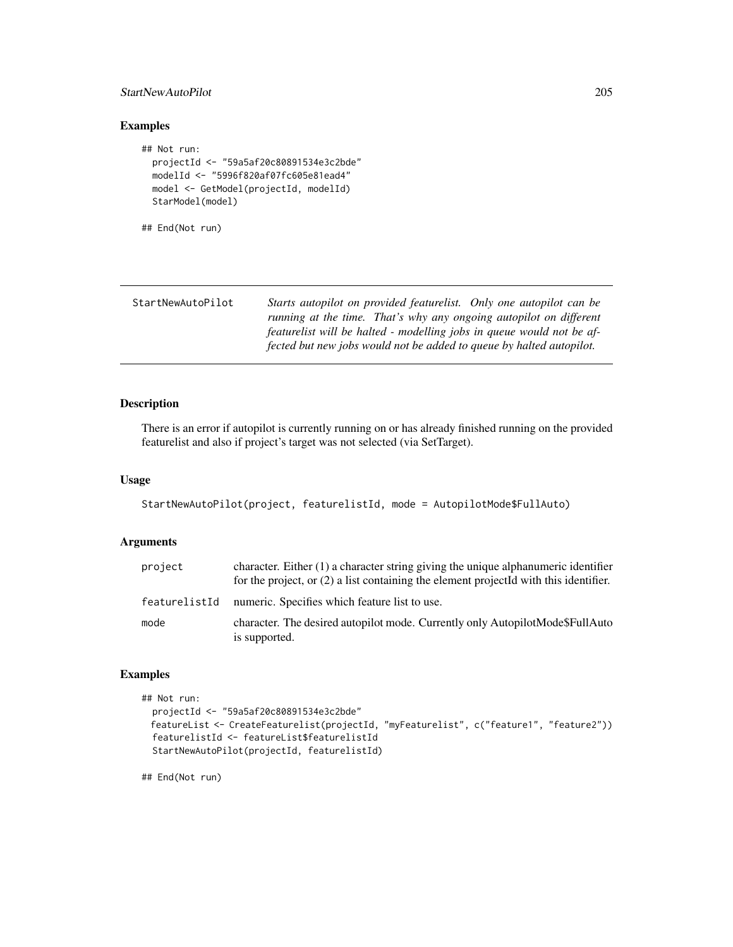## StartNewAutoPilot 205

## Examples

```
## Not run:
  projectId <- "59a5af20c80891534e3c2bde"
  modelId <- "5996f820af07fc605e81ead4"
  model <- GetModel(projectId, modelId)
  StarModel(model)
```

```
## End(Not run)
```

| StartNewAutoPilot | Starts autopilot on provided featurelist. Only one autopilot can be   |
|-------------------|-----------------------------------------------------------------------|
|                   | running at the time. That's why any ongoing autopilot on different    |
|                   | featurelist will be halted - modelling jobs in queue would not be af- |
|                   | fected but new jobs would not be added to queue by halted autopilot.  |

## Description

There is an error if autopilot is currently running on or has already finished running on the provided featurelist and also if project's target was not selected (via SetTarget).

#### Usage

```
StartNewAutoPilot(project, featurelistId, mode = AutopilotMode$FullAuto)
```
## Arguments

| project       | character. Either $(1)$ a character string giving the unique alphanumeric identifier<br>for the project, or (2) a list containing the element projectId with this identifier. |
|---------------|-------------------------------------------------------------------------------------------------------------------------------------------------------------------------------|
| featurelistId | numeric. Specifies which feature list to use.                                                                                                                                 |
| mode          | character. The desired autopilot mode. Currently only AutopilotMode\$FullAuto<br>is supported.                                                                                |

## Examples

```
## Not run:
 projectId <- "59a5af20c80891534e3c2bde"
 featureList <- CreateFeaturelist(projectId, "myFeaturelist", c("feature1", "feature2"))
 featurelistId <- featureList$featurelistId
 StartNewAutoPilot(projectId, featurelistId)
```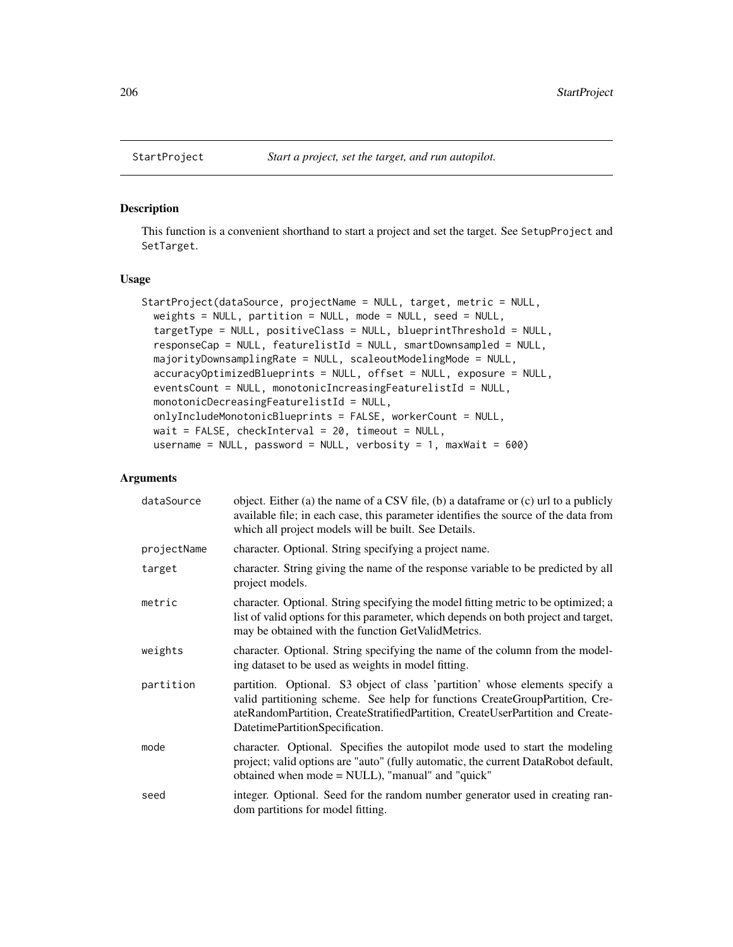#### Description

This function is a convenient shorthand to start a project and set the target. See SetupProject and SetTarget.

#### Usage

```
StartProject(dataSource, projectName = NULL, target, metric = NULL,
 weights = NULL, partition = NULL, mode = NULL, seed = NULL,
  targetType = NULL, positiveClass = NULL, blueprintThreshold = NULL,
  responseCap = NULL, featurelistId = NULL, smartDownsampled = NULL,
 majorityDownsamplingRate = NULL, scaleoutModelingMode = NULL,
  accuracyOptimizedBlueprints = NULL, offset = NULL, exposure = NULL,
 eventsCount = NULL, monotonicIncreasingFeaturelistId = NULL,
 monotonicDecreasingFeaturelistId = NULL,
 onlyIncludeMonotonicBlueprints = FALSE, workerCount = NULL,
 wait = FALSE, checkInterval = 20, timeout = NULL,
 username = NULL, password = NULL, verbosity = 1, maxWait = 600)
```
#### Arguments

| dataSource  | object. Either (a) the name of a CSV file, (b) a dataframe or (c) url to a publicly<br>available file; in each case, this parameter identifies the source of the data from<br>which all project models will be built. See Details.                                                |
|-------------|-----------------------------------------------------------------------------------------------------------------------------------------------------------------------------------------------------------------------------------------------------------------------------------|
| projectName | character. Optional. String specifying a project name.                                                                                                                                                                                                                            |
| target      | character. String giving the name of the response variable to be predicted by all<br>project models.                                                                                                                                                                              |
| metric      | character. Optional. String specifying the model fitting metric to be optimized; a<br>list of valid options for this parameter, which depends on both project and target,<br>may be obtained with the function GetValidMetrics.                                                   |
| weights     | character. Optional. String specifying the name of the column from the model-<br>ing dataset to be used as weights in model fitting.                                                                                                                                              |
| partition   | partition. Optional. S3 object of class 'partition' whose elements specify a<br>valid partitioning scheme. See help for functions CreateGroupPartition, Cre-<br>ateRandomPartition, CreateStratifiedPartition, CreateUserPartition and Create-<br>DatetimePartitionSpecification. |
| mode        | character. Optional. Specifies the autopilot mode used to start the modeling<br>project; valid options are "auto" (fully automatic, the current DataRobot default,<br>obtained when mode = NULL), "manual" and "quick"                                                            |
| seed        | integer. Optional. Seed for the random number generator used in creating ran-<br>dom partitions for model fitting.                                                                                                                                                                |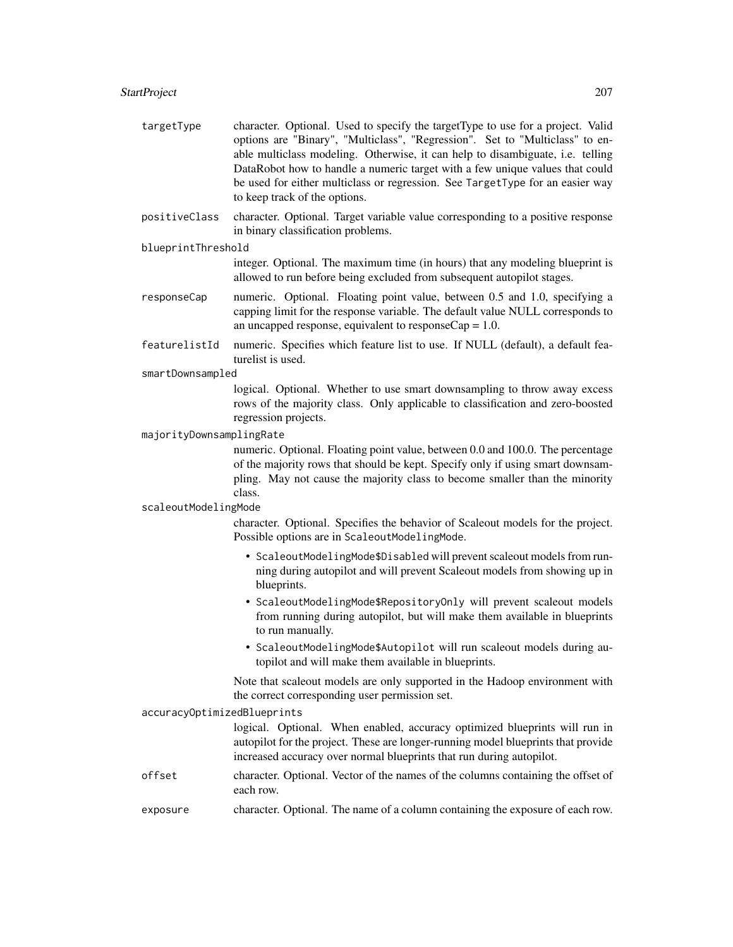| targetType                  | character. Optional. Used to specify the targetType to use for a project. Valid<br>options are "Binary", "Multiclass", "Regression". Set to "Multiclass" to en-<br>able multiclass modeling. Otherwise, it can help to disambiguate, i.e. telling<br>DataRobot how to handle a numeric target with a few unique values that could<br>be used for either multiclass or regression. See TargetType for an easier way<br>to keep track of the options. |
|-----------------------------|-----------------------------------------------------------------------------------------------------------------------------------------------------------------------------------------------------------------------------------------------------------------------------------------------------------------------------------------------------------------------------------------------------------------------------------------------------|
| positiveClass               | character. Optional. Target variable value corresponding to a positive response<br>in binary classification problems.                                                                                                                                                                                                                                                                                                                               |
| blueprintThreshold          |                                                                                                                                                                                                                                                                                                                                                                                                                                                     |
|                             | integer. Optional. The maximum time (in hours) that any modeling blueprint is<br>allowed to run before being excluded from subsequent autopilot stages.                                                                                                                                                                                                                                                                                             |
| responseCap                 | numeric. Optional. Floating point value, between 0.5 and 1.0, specifying a<br>capping limit for the response variable. The default value NULL corresponds to<br>an uncapped response, equivalent to response $Cap = 1.0$ .                                                                                                                                                                                                                          |
| featurelistId               | numeric. Specifies which feature list to use. If NULL (default), a default fea-<br>turelist is used.                                                                                                                                                                                                                                                                                                                                                |
| smartDownsampled            |                                                                                                                                                                                                                                                                                                                                                                                                                                                     |
|                             | logical. Optional. Whether to use smart downsampling to throw away excess<br>rows of the majority class. Only applicable to classification and zero-boosted<br>regression projects.                                                                                                                                                                                                                                                                 |
| majorityDownsamplingRate    |                                                                                                                                                                                                                                                                                                                                                                                                                                                     |
|                             | numeric. Optional. Floating point value, between 0.0 and 100.0. The percentage<br>of the majority rows that should be kept. Specify only if using smart downsam-<br>pling. May not cause the majority class to become smaller than the minority<br>class.                                                                                                                                                                                           |
| scaleoutModelingMode        |                                                                                                                                                                                                                                                                                                                                                                                                                                                     |
|                             | character. Optional. Specifies the behavior of Scaleout models for the project.<br>Possible options are in ScaleoutModelingMode.                                                                                                                                                                                                                                                                                                                    |
|                             | • ScaleoutModelingMode\$Disabled will prevent scaleout models from run-<br>ning during autopilot and will prevent Scaleout models from showing up in<br>blueprints.                                                                                                                                                                                                                                                                                 |
|                             | • ScaleoutModelingMode\$RepositoryOnly will prevent scaleout models<br>from running during autopilot, but will make them available in blueprints<br>to run manually.                                                                                                                                                                                                                                                                                |
|                             | · ScaleoutModelingMode\$Autopilot will run scaleout models during au-<br>topilot and will make them available in blueprints.                                                                                                                                                                                                                                                                                                                        |
|                             | Note that scaleout models are only supported in the Hadoop environment with<br>the correct corresponding user permission set.                                                                                                                                                                                                                                                                                                                       |
| accuracyOptimizedBlueprints |                                                                                                                                                                                                                                                                                                                                                                                                                                                     |
|                             | logical. Optional. When enabled, accuracy optimized blueprints will run in<br>autopilot for the project. These are longer-running model blueprints that provide<br>increased accuracy over normal blueprints that run during autopilot.                                                                                                                                                                                                             |
| offset                      | character. Optional. Vector of the names of the columns containing the offset of<br>each row.                                                                                                                                                                                                                                                                                                                                                       |
| exposure                    | character. Optional. The name of a column containing the exposure of each row.                                                                                                                                                                                                                                                                                                                                                                      |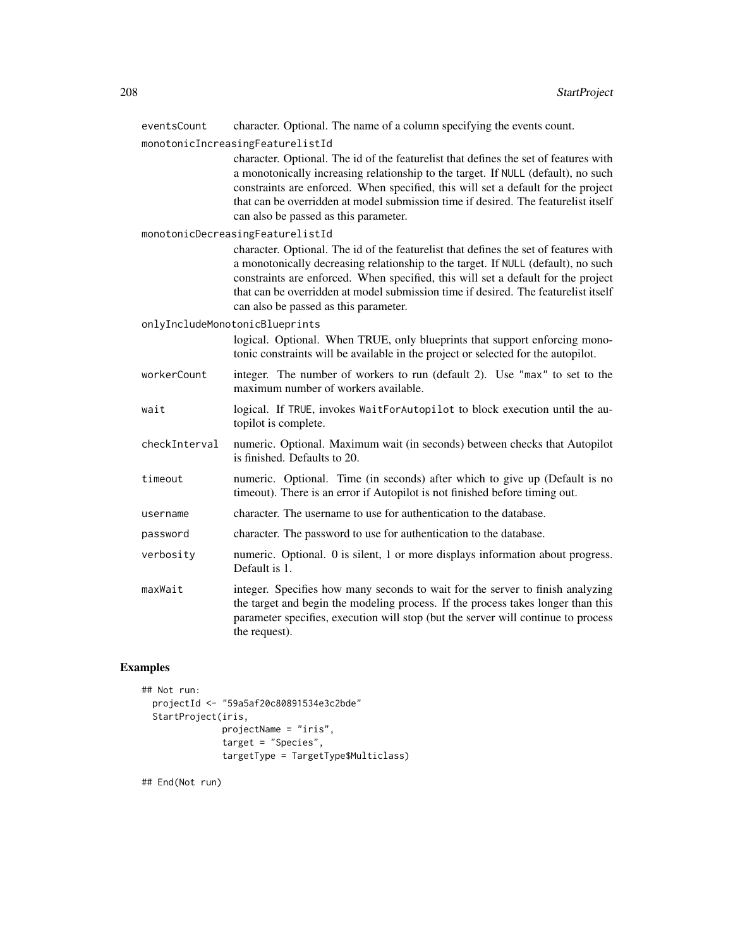| eventsCount   | character. Optional. The name of a column specifying the events count.                                                                                                                                                                                                                                                                                                                        |
|---------------|-----------------------------------------------------------------------------------------------------------------------------------------------------------------------------------------------------------------------------------------------------------------------------------------------------------------------------------------------------------------------------------------------|
|               | monotonicIncreasingFeaturelistId                                                                                                                                                                                                                                                                                                                                                              |
|               | character. Optional. The id of the featurelist that defines the set of features with<br>a monotonically increasing relationship to the target. If NULL (default), no such<br>constraints are enforced. When specified, this will set a default for the project<br>that can be overridden at model submission time if desired. The featurelist itself<br>can also be passed as this parameter. |
|               | monotonicDecreasingFeaturelistId                                                                                                                                                                                                                                                                                                                                                              |
|               | character. Optional. The id of the featurelist that defines the set of features with<br>a monotonically decreasing relationship to the target. If NULL (default), no such<br>constraints are enforced. When specified, this will set a default for the project<br>that can be overridden at model submission time if desired. The featurelist itself<br>can also be passed as this parameter. |
|               | onlyIncludeMonotonicBlueprints                                                                                                                                                                                                                                                                                                                                                                |
|               | logical. Optional. When TRUE, only blueprints that support enforcing mono-<br>tonic constraints will be available in the project or selected for the autopilot.                                                                                                                                                                                                                               |
| workerCount   | integer. The number of workers to run (default 2). Use "max" to set to the<br>maximum number of workers available.                                                                                                                                                                                                                                                                            |
| wait          | logical. If TRUE, invokes WaitForAutopilot to block execution until the au-<br>topilot is complete.                                                                                                                                                                                                                                                                                           |
| checkInterval | numeric. Optional. Maximum wait (in seconds) between checks that Autopilot<br>is finished. Defaults to 20.                                                                                                                                                                                                                                                                                    |
| timeout       | numeric. Optional. Time (in seconds) after which to give up (Default is no<br>timeout). There is an error if Autopilot is not finished before timing out.                                                                                                                                                                                                                                     |
| username      | character. The username to use for authentication to the database.                                                                                                                                                                                                                                                                                                                            |
| password      | character. The password to use for authentication to the database.                                                                                                                                                                                                                                                                                                                            |
| verbosity     | numeric. Optional. 0 is silent, 1 or more displays information about progress.<br>Default is 1.                                                                                                                                                                                                                                                                                               |
| maxWait       | integer. Specifies how many seconds to wait for the server to finish analyzing<br>the target and begin the modeling process. If the process takes longer than this<br>parameter specifies, execution will stop (but the server will continue to process<br>the request).                                                                                                                      |

# Examples

```
## Not run:
 projectId <- "59a5af20c80891534e3c2bde"
  StartProject(iris,
              projectName = "iris",
              target = "Species",
              targetType = TargetType$Multiclass)
```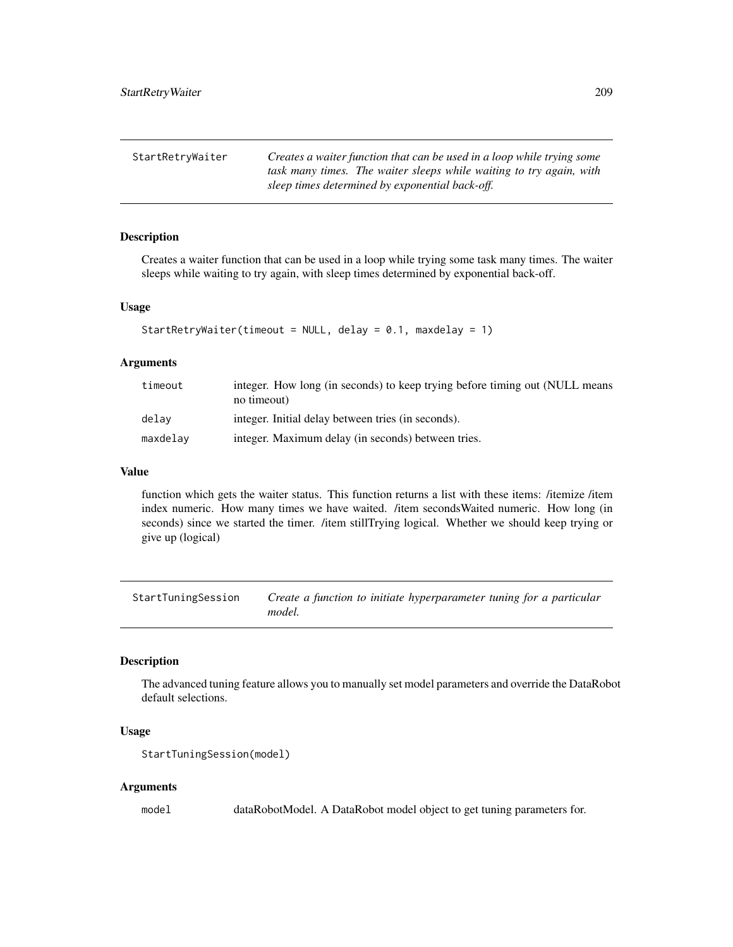| StartRetryWaiter | Creates a waiter function that can be used in a loop while trying some |
|------------------|------------------------------------------------------------------------|
|                  | task many times. The waiter sleeps while waiting to try again, with    |
|                  | sleep times determined by exponential back-off.                        |

## **Description**

Creates a waiter function that can be used in a loop while trying some task many times. The waiter sleeps while waiting to try again, with sleep times determined by exponential back-off.

#### Usage

```
StartRetryWaiter(timeout = NULL, delay = 0.1, maxdelay = 1)
```
#### Arguments

| timeout  | integer. How long (in seconds) to keep trying before timing out (NULL means<br>no timeout) |
|----------|--------------------------------------------------------------------------------------------|
| delav    | integer. Initial delay between tries (in seconds).                                         |
| maxdelay | integer. Maximum delay (in seconds) between tries.                                         |

#### Value

function which gets the waiter status. This function returns a list with these items: /itemize /item index numeric. How many times we have waited. /item secondsWaited numeric. How long (in seconds) since we started the timer. /item stillTrying logical. Whether we should keep trying or give up (logical)

StartTuningSession *Create a function to initiate hyperparameter tuning for a particular model.*

# Description

The advanced tuning feature allows you to manually set model parameters and override the DataRobot default selections.

#### Usage

```
StartTuningSession(model)
```
#### Arguments

model dataRobotModel. A DataRobot model object to get tuning parameters for.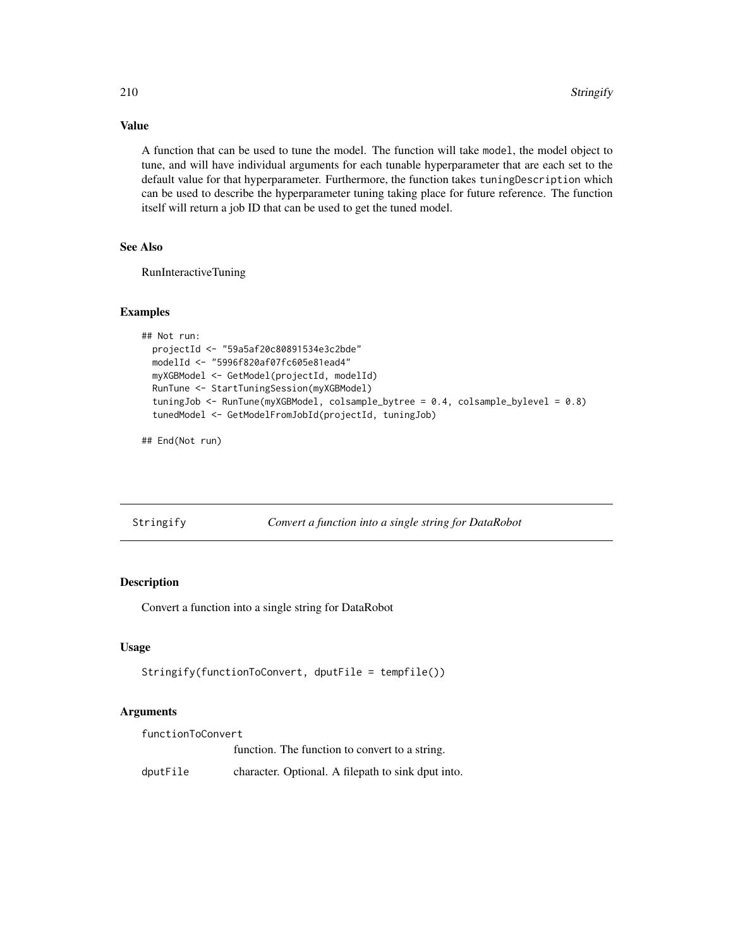## Value

A function that can be used to tune the model. The function will take model, the model object to tune, and will have individual arguments for each tunable hyperparameter that are each set to the default value for that hyperparameter. Furthermore, the function takes tuningDescription which can be used to describe the hyperparameter tuning taking place for future reference. The function itself will return a job ID that can be used to get the tuned model.

# See Also

RunInteractiveTuning

#### Examples

```
## Not run:
 projectId <- "59a5af20c80891534e3c2bde"
 modelId <- "5996f820af07fc605e81ead4"
 myXGBModel <- GetModel(projectId, modelId)
 RunTune <- StartTuningSession(myXGBModel)
 tuningJob <- RunTune(myXGBModel, colsample_bytree = 0.4, colsample_bylevel = 0.8)
 tunedModel <- GetModelFromJobId(projectId, tuningJob)
```
## End(Not run)

| Stringify | Convert a function into a single string for DataRobot |  |
|-----------|-------------------------------------------------------|--|

## Description

Convert a function into a single string for DataRobot

#### Usage

```
Stringify(functionToConvert, dputFile = tempfile())
```
# Arguments

| functionToConvert |                                                    |
|-------------------|----------------------------------------------------|
|                   | function. The function to convert to a string.     |
| dputFile          | character. Optional. A filepath to sink dput into. |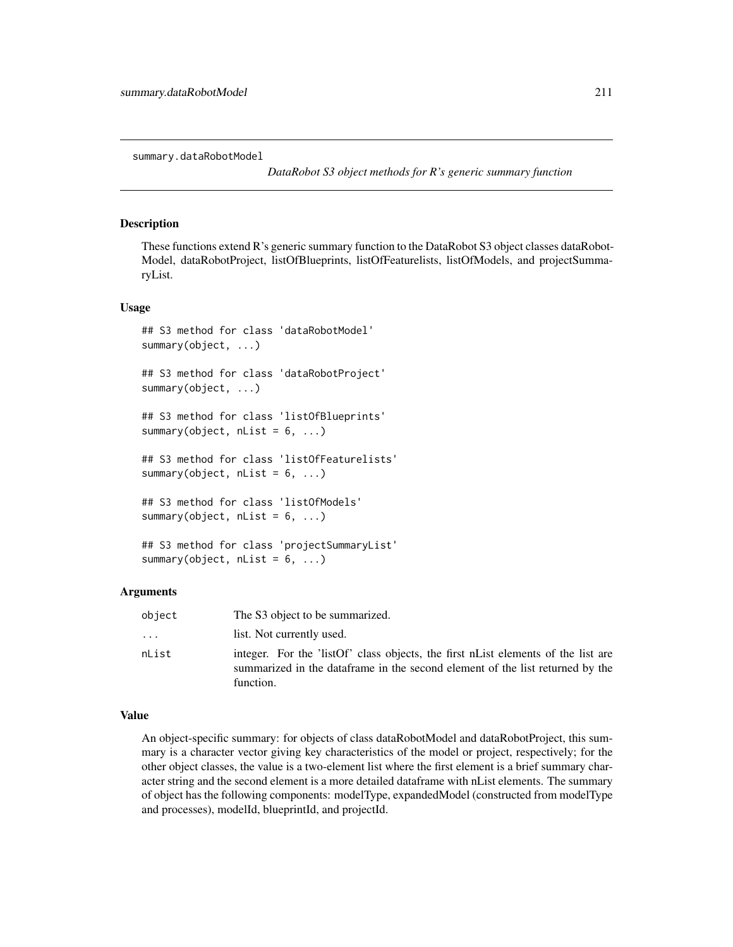summary.dataRobotModel

*DataRobot S3 object methods for R's generic summary function*

#### **Description**

These functions extend R's generic summary function to the DataRobot S3 object classes dataRobot-Model, dataRobotProject, listOfBlueprints, listOfFeaturelists, listOfModels, and projectSummaryList.

#### Usage

```
## S3 method for class 'dataRobotModel'
summary(object, ...)
## S3 method for class 'dataRobotProject'
summary(object, ...)
## S3 method for class 'listOfBlueprints'
summary(object, nList = 6, ...)
## S3 method for class 'listOfFeaturelists'
summary(object, nList = 6, ...)
## S3 method for class 'listOfModels'
summary(object, nList = 6, ...)
## S3 method for class 'projectSummaryList'
summary(object, nList = 6, ...)
```
#### Arguments

| object   | The S3 object to be summarized.                                                                                                                                                  |
|----------|----------------------------------------------------------------------------------------------------------------------------------------------------------------------------------|
| $\ddots$ | list. Not currently used.                                                                                                                                                        |
| nList    | integer. For the 'listOf' class objects, the first nList elements of the list are<br>summarized in the data frame in the second element of the list returned by the<br>function. |

#### Value

An object-specific summary: for objects of class dataRobotModel and dataRobotProject, this summary is a character vector giving key characteristics of the model or project, respectively; for the other object classes, the value is a two-element list where the first element is a brief summary character string and the second element is a more detailed dataframe with nList elements. The summary of object has the following components: modelType, expandedModel (constructed from modelType and processes), modelId, blueprintId, and projectId.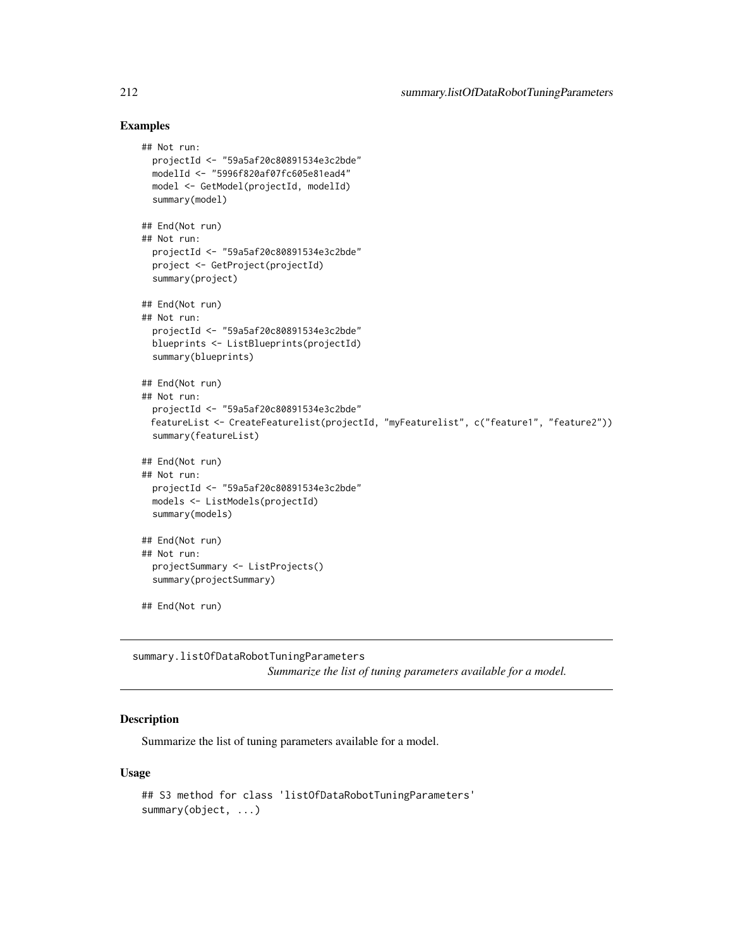#### Examples

```
## Not run:
 projectId <- "59a5af20c80891534e3c2bde"
 modelId <- "5996f820af07fc605e81ead4"
 model <- GetModel(projectId, modelId)
 summary(model)
## End(Not run)
## Not run:
 projectId <- "59a5af20c80891534e3c2bde"
 project <- GetProject(projectId)
 summary(project)
## End(Not run)
## Not run:
 projectId <- "59a5af20c80891534e3c2bde"
 blueprints <- ListBlueprints(projectId)
 summary(blueprints)
## End(Not run)
## Not run:
 projectId <- "59a5af20c80891534e3c2bde"
 featureList <- CreateFeaturelist(projectId, "myFeaturelist", c("feature1", "feature2"))
 summary(featureList)
## End(Not run)
## Not run:
 projectId <- "59a5af20c80891534e3c2bde"
 models <- ListModels(projectId)
 summary(models)
## End(Not run)
## Not run:
 projectSummary <- ListProjects()
 summary(projectSummary)
## End(Not run)
```
summary.listOfDataRobotTuningParameters *Summarize the list of tuning parameters available for a model.*

## Description

Summarize the list of tuning parameters available for a model.

#### Usage

```
## S3 method for class 'listOfDataRobotTuningParameters'
summary(object, ...)
```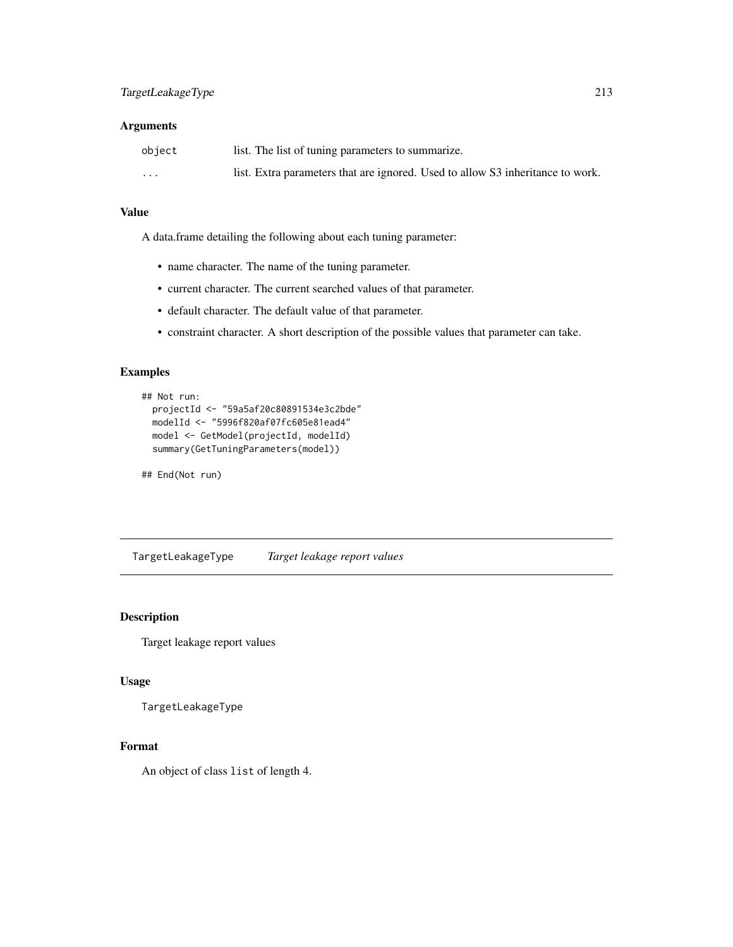#### Arguments

| object  | list. The list of tuning parameters to summarize.                              |
|---------|--------------------------------------------------------------------------------|
| $\cdot$ | list. Extra parameters that are ignored. Used to allow S3 inheritance to work. |

## Value

A data.frame detailing the following about each tuning parameter:

- name character. The name of the tuning parameter.
- current character. The current searched values of that parameter.
- default character. The default value of that parameter.
- constraint character. A short description of the possible values that parameter can take.

## Examples

```
## Not run:
 projectId <- "59a5af20c80891534e3c2bde"
 modelId <- "5996f820af07fc605e81ead4"
 model <- GetModel(projectId, modelId)
 summary(GetTuningParameters(model))
```
## End(Not run)

TargetLeakageType *Target leakage report values*

## Description

Target leakage report values

#### Usage

```
TargetLeakageType
```
#### Format

An object of class list of length 4.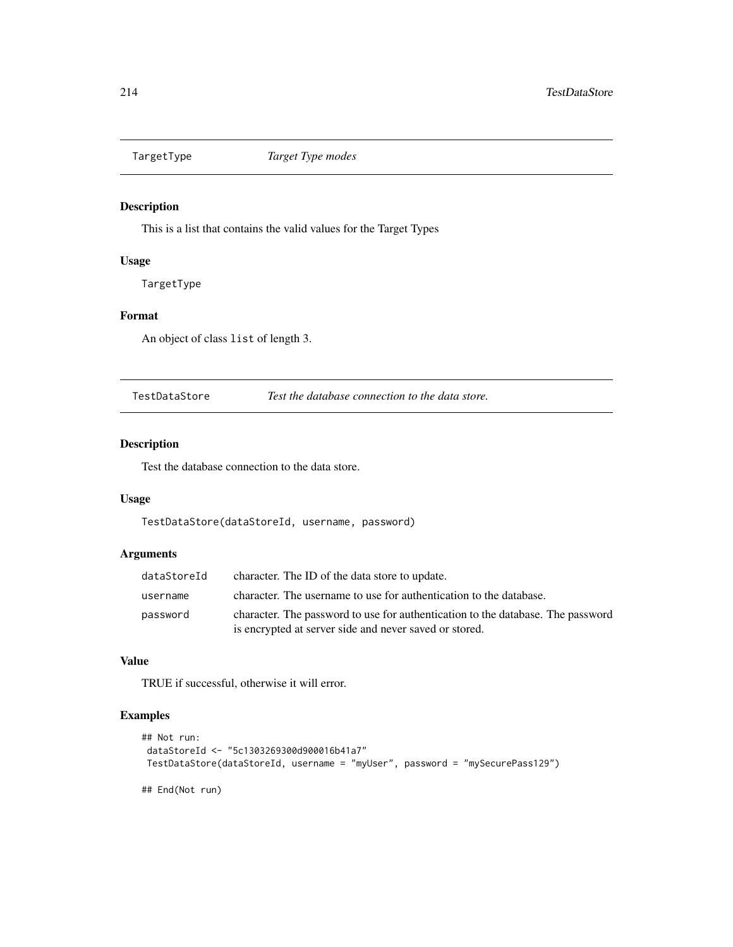## Description

This is a list that contains the valid values for the Target Types

## Usage

TargetType

# Format

An object of class list of length 3.

TestDataStore *Test the database connection to the data store.*

## Description

Test the database connection to the data store.

# Usage

TestDataStore(dataStoreId, username, password)

#### Arguments

| dataStoreId | character. The ID of the data store to update.                                                                                            |
|-------------|-------------------------------------------------------------------------------------------------------------------------------------------|
| username    | character. The username to use for authentication to the database.                                                                        |
| password    | character. The password to use for authentication to the database. The password<br>is encrypted at server side and never saved or stored. |

## Value

TRUE if successful, otherwise it will error.

## Examples

```
## Not run:
dataStoreId <- "5c1303269300d900016b41a7"
TestDataStore(dataStoreId, username = "myUser", password = "mySecurePass129")
```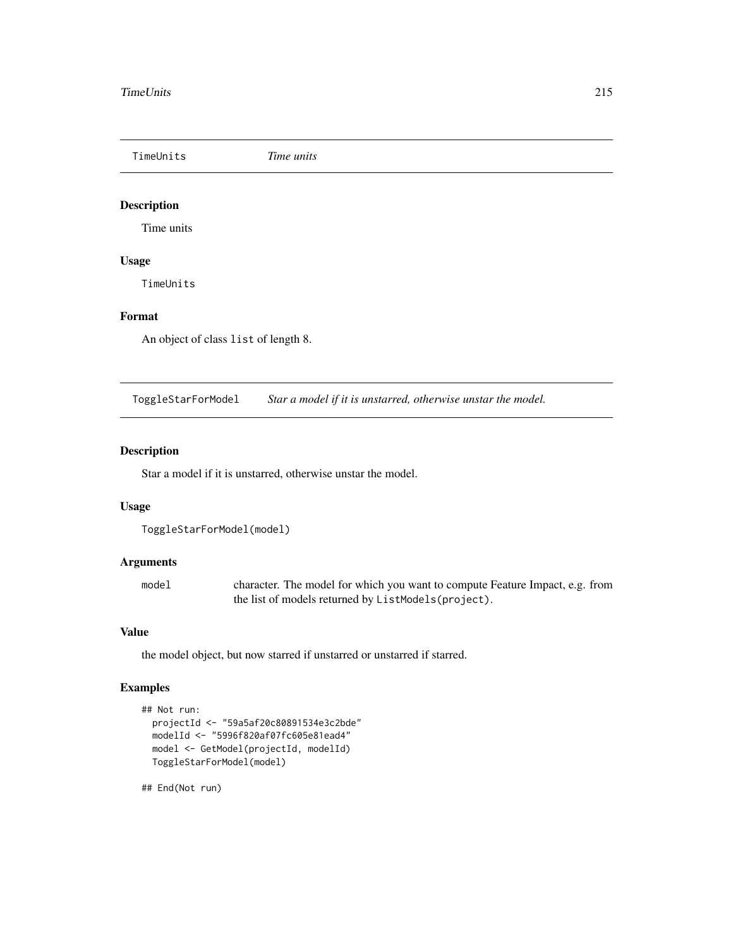TimeUnits *Time units*

# Description

Time units

## Usage

TimeUnits

# Format

An object of class list of length 8.

ToggleStarForModel *Star a model if it is unstarred, otherwise unstar the model.*

## Description

Star a model if it is unstarred, otherwise unstar the model.

## Usage

```
ToggleStarForModel(model)
```
#### Arguments

model character. The model for which you want to compute Feature Impact, e.g. from the list of models returned by ListModels(project).

## Value

the model object, but now starred if unstarred or unstarred if starred.

#### Examples

```
## Not run:
 projectId <- "59a5af20c80891534e3c2bde"
 modelId <- "5996f820af07fc605e81ead4"
 model <- GetModel(projectId, modelId)
 ToggleStarForModel(model)
```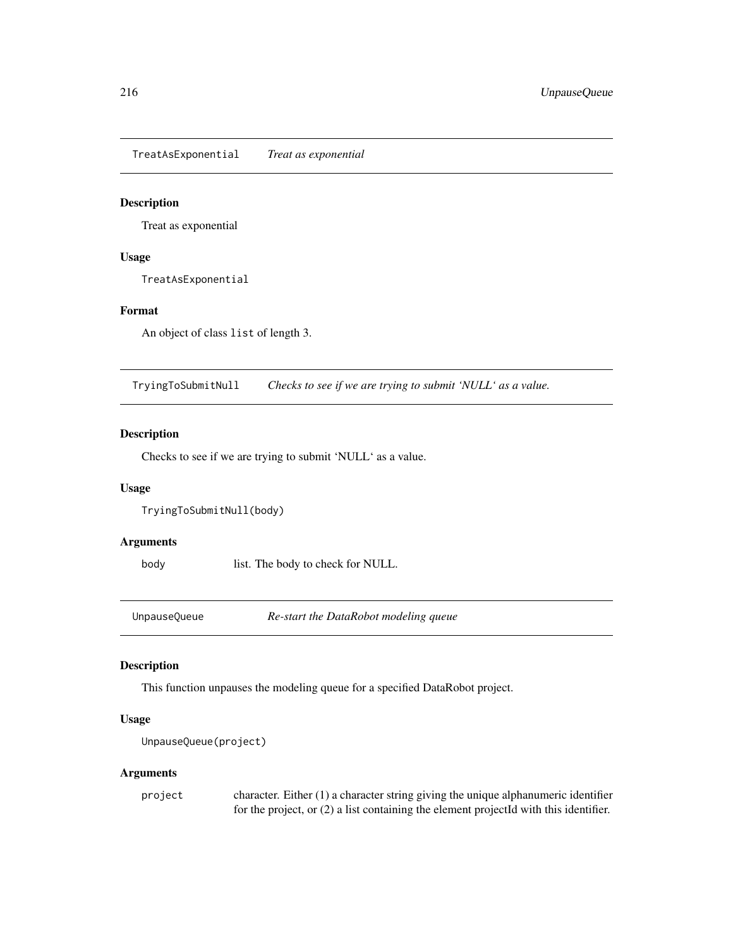TreatAsExponential *Treat as exponential*

## Description

Treat as exponential

# Usage

TreatAsExponential

# Format

An object of class list of length 3.

TryingToSubmitNull *Checks to see if we are trying to submit 'NULL' as a value.*

## Description

Checks to see if we are trying to submit 'NULL' as a value.

## Usage

TryingToSubmitNull(body)

# Arguments

body list. The body to check for NULL.

UnpauseQueue *Re-start the DataRobot modeling queue*

# Description

This function unpauses the modeling queue for a specified DataRobot project.

## Usage

```
UnpauseQueue(project)
```
#### Arguments

| project | character. Either $(1)$ a character string giving the unique alphanumeric identifier    |
|---------|-----------------------------------------------------------------------------------------|
|         | for the project, or $(2)$ a list containing the element projected with this identifier. |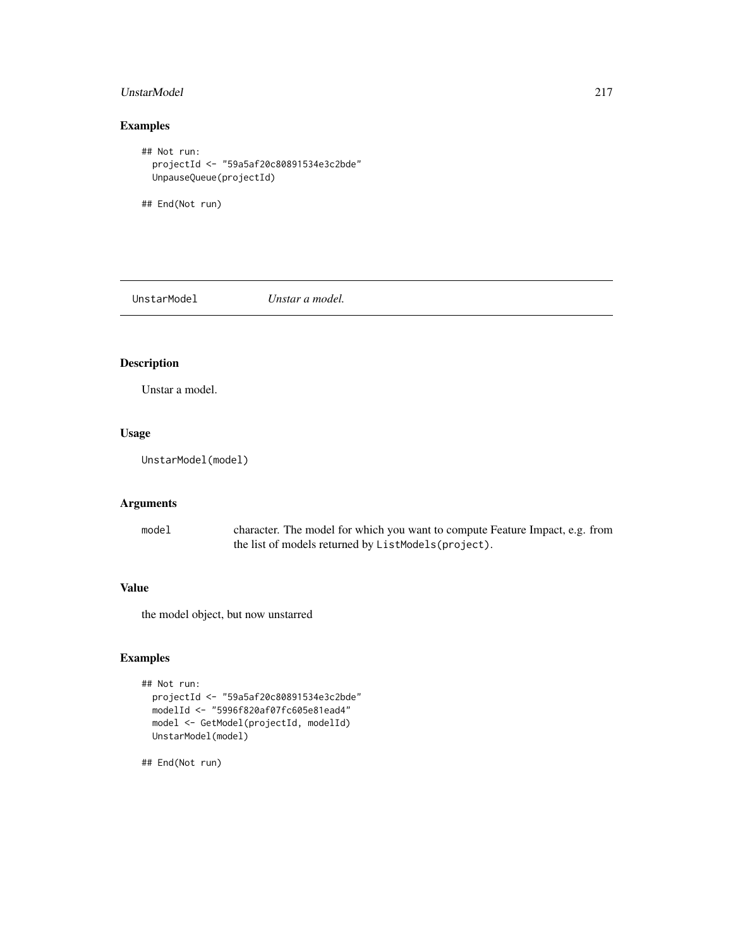# <span id="page-216-0"></span>UnstarModel 217

# Examples

```
## Not run:
  projectId <- "59a5af20c80891534e3c2bde"
  UnpauseQueue(projectId)
```
## End(Not run)

UnstarModel *Unstar a model.*

# Description

Unstar a model.

# Usage

UnstarModel(model)

# Arguments

model character. The model for which you want to compute Feature Impact, e.g. from the list of models returned by ListModels(project).

# Value

the model object, but now unstarred

# Examples

```
## Not run:
  projectId <- "59a5af20c80891534e3c2bde"
  modelId <- "5996f820af07fc605e81ead4"
  model <- GetModel(projectId, modelId)
  UnstarModel(model)
```
## End(Not run)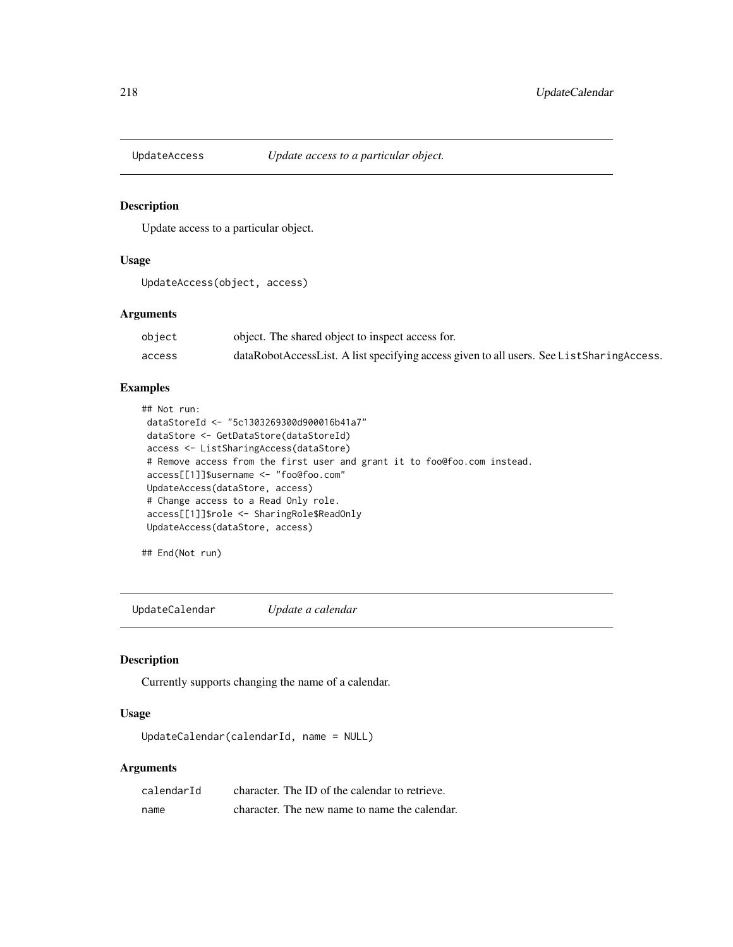<span id="page-217-0"></span>

# Description

Update access to a particular object.

#### Usage

UpdateAccess(object, access)

# Arguments

| object | object. The shared object to inspect access for.                                         |
|--------|------------------------------------------------------------------------------------------|
| access | dataRobotAccessList. A list specifying access given to all users. See ListSharingAccess. |

# Examples

```
## Not run:
dataStoreId <- "5c1303269300d900016b41a7"
dataStore <- GetDataStore(dataStoreId)
access <- ListSharingAccess(dataStore)
# Remove access from the first user and grant it to foo@foo.com instead.
access[[1]]$username <- "foo@foo.com"
UpdateAccess(dataStore, access)
# Change access to a Read Only role.
access[[1]]$role <- SharingRole$ReadOnly
UpdateAccess(dataStore, access)
```
## End(Not run)

UpdateCalendar *Update a calendar*

# Description

Currently supports changing the name of a calendar.

#### Usage

UpdateCalendar(calendarId, name = NULL)

| calendarId | character. The ID of the calendar to retrieve. |
|------------|------------------------------------------------|
| name       | character. The new name to name the calendar.  |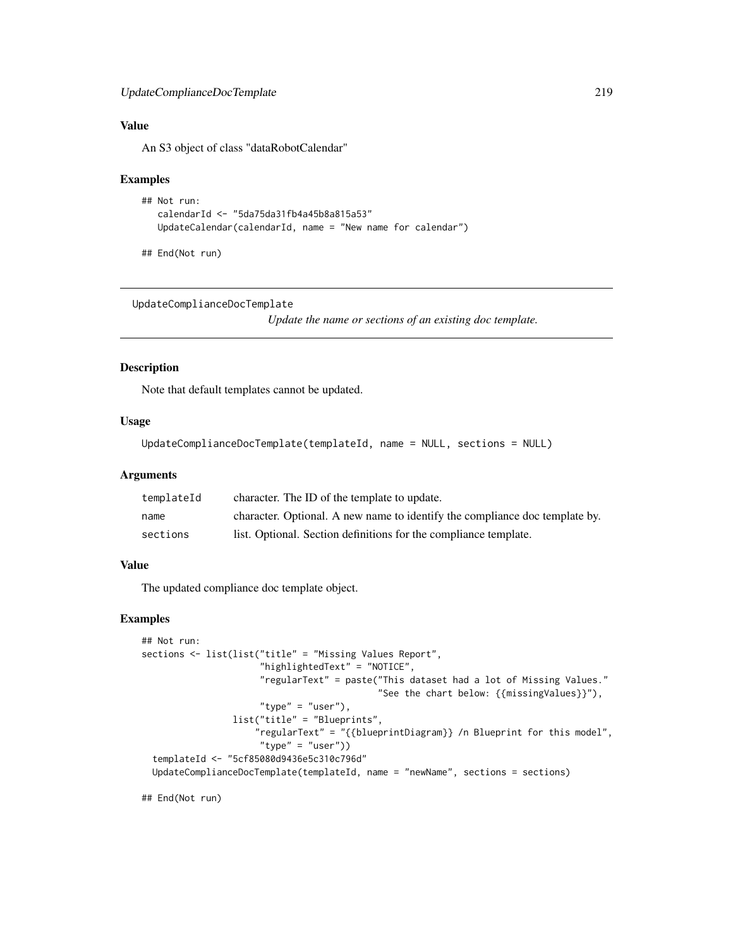# <span id="page-218-0"></span>UpdateComplianceDocTemplate 219

# Value

An S3 object of class "dataRobotCalendar"

#### Examples

```
## Not run:
  calendarId <- "5da75da31fb4a45b8a815a53"
  UpdateCalendar(calendarId, name = "New name for calendar")
```
## End(Not run)

UpdateComplianceDocTemplate

*Update the name or sections of an existing doc template.*

# Description

Note that default templates cannot be updated.

# Usage

```
UpdateComplianceDocTemplate(templateId, name = NULL, sections = NULL)
```
#### Arguments

| templateId | character. The ID of the template to update.                                |
|------------|-----------------------------------------------------------------------------|
| name       | character. Optional. A new name to identify the compliance doc template by. |
| sections   | list. Optional. Section definitions for the compliance template.            |

# Value

The updated compliance doc template object.

# Examples

```
## Not run:
sections <- list(list("title" = "Missing Values Report",
                      "highlightedText" = "NOTICE",
                      "regularText" = paste("This dataset had a lot of Missing Values."
                                            "See the chart below: {{missingValues}}"),
                      "type" = "user"),
                 list("title" = "Blueprints",
                     "regularText" = "{{blueprintDiagram}} /n Blueprint for this model",
                      "type" = "user"))templateId <- "5cf85080d9436e5c310c796d"
 UpdateComplianceDocTemplate(templateId, name = "newName", sections = sections)
```
## End(Not run)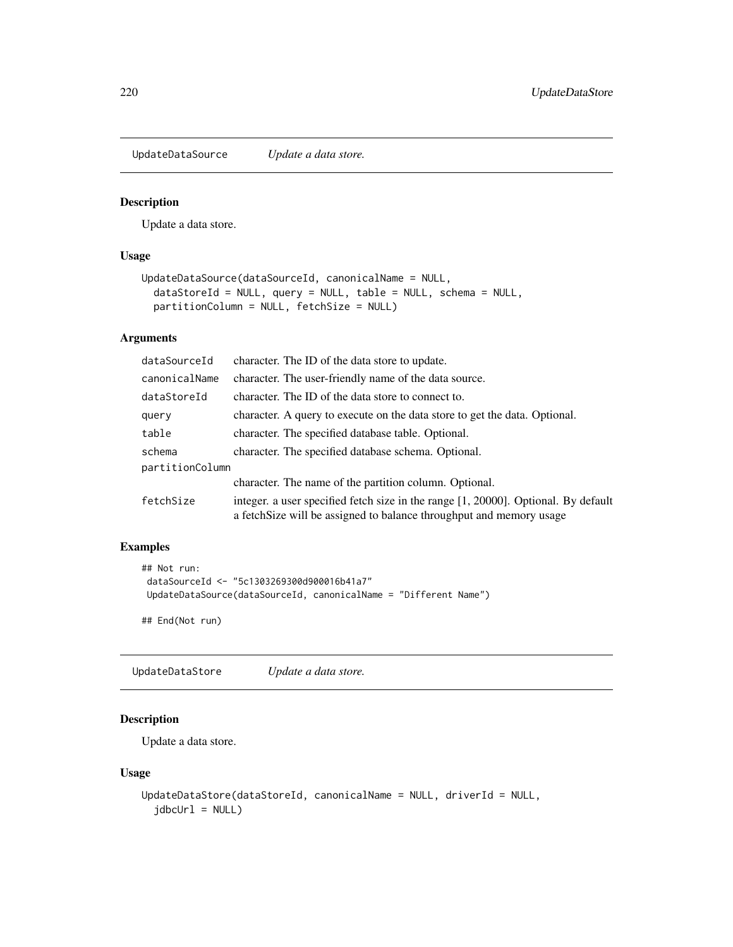<span id="page-219-0"></span>UpdateDataSource *Update a data store.*

#### Description

Update a data store.

# Usage

```
UpdateDataSource(dataSourceId, canonicalName = NULL,
  dataStoreId = NULL, query = NULL, table = NULL, schema = NULL,
 partitionColumn = NULL, fetchSize = NULL)
```
# Arguments

| dataSourceId    | character. The ID of the data store to update.                                                                                                            |
|-----------------|-----------------------------------------------------------------------------------------------------------------------------------------------------------|
| canonicalName   | character. The user-friendly name of the data source.                                                                                                     |
| dataStoreId     | character. The ID of the data store to connect to.                                                                                                        |
| query           | character. A query to execute on the data store to get the data. Optional.                                                                                |
| table           | character. The specified database table. Optional.                                                                                                        |
| schema          | character. The specified database schema. Optional.                                                                                                       |
| partitionColumn |                                                                                                                                                           |
|                 | character. The name of the partition column. Optional.                                                                                                    |
| fetchSize       | integer. a user specified fetch size in the range [1, 20000]. Optional. By default<br>a fetchSize will be assigned to balance throughput and memory usage |

# Examples

```
## Not run:
dataSourceId <- "5c1303269300d900016b41a7"
UpdateDataSource(dataSourceId, canonicalName = "Different Name")
```
## End(Not run)

UpdateDataStore *Update a data store.*

# Description

Update a data store.

#### Usage

```
UpdateDataStore(dataStoreId, canonicalName = NULL, driverId = NULL,
  jdbcUr1 = NULL
```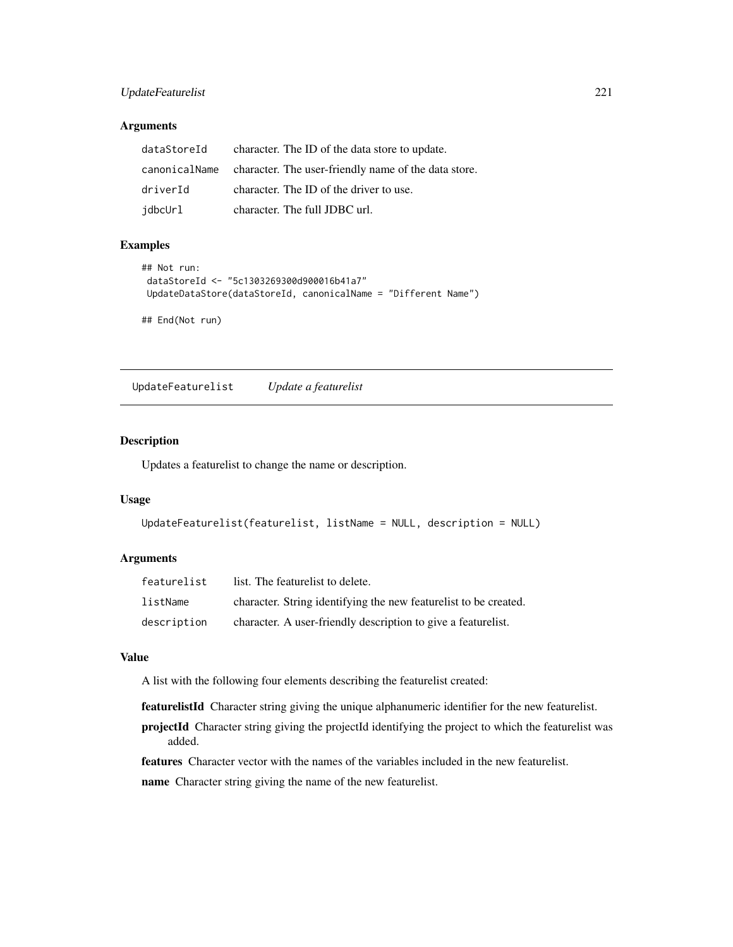# <span id="page-220-0"></span>UpdateFeaturelist 221

# Arguments

| dataStoreId | character. The ID of the data store to update.                     |
|-------------|--------------------------------------------------------------------|
|             | canonicalName character. The user-friendly name of the data store. |
| driverId    | character. The ID of the driver to use.                            |
| jdbcUrl     | character. The full JDBC url.                                      |

# Examples

```
## Not run:
dataStoreId <- "5c1303269300d900016b41a7"
UpdateDataStore(dataStoreId, canonicalName = "Different Name")
## End(Not run)
```
UpdateFeaturelist *Update a featurelist*

# Description

Updates a featurelist to change the name or description.

# Usage

```
UpdateFeaturelist(featurelist, listName = NULL, description = NULL)
```
# Arguments

| featurelist | list. The featurelist to delete.                                 |
|-------------|------------------------------------------------------------------|
| listName    | character. String identifying the new featurelist to be created. |
| description | character. A user-friendly description to give a featurelist.    |

#### Value

A list with the following four elements describing the featurelist created:

featurelistId Character string giving the unique alphanumeric identifier for the new featurelist.

projectId Character string giving the projectId identifying the project to which the featurelist was added.

features Character vector with the names of the variables included in the new featurelist.

name Character string giving the name of the new featurelist.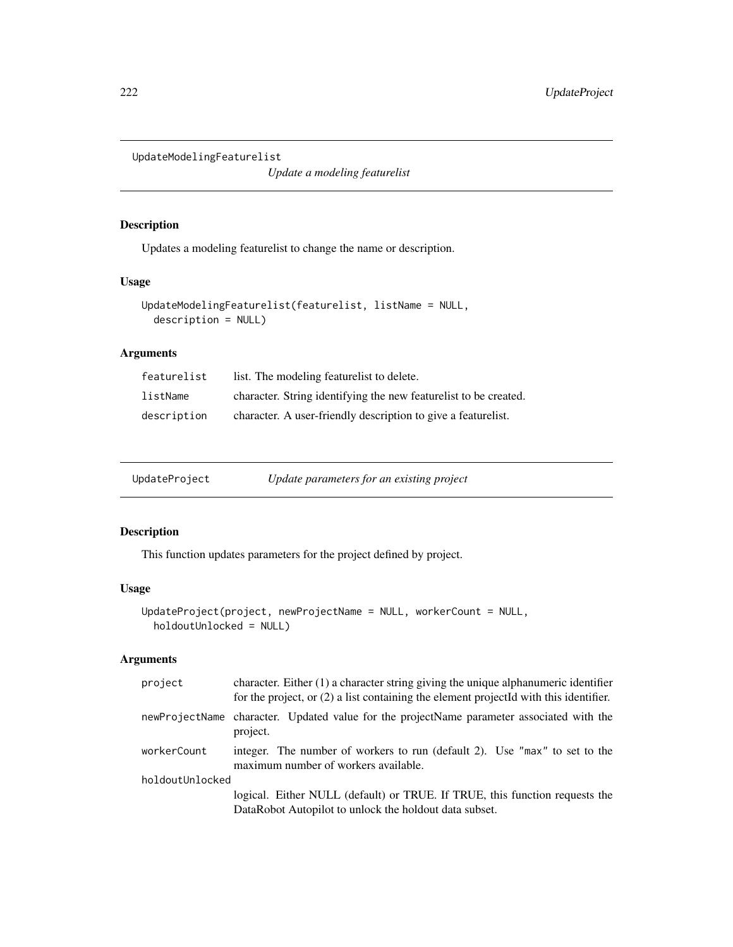<span id="page-221-0"></span>UpdateModelingFeaturelist

*Update a modeling featurelist*

# Description

Updates a modeling featurelist to change the name or description.

# Usage

```
UpdateModelingFeaturelist(featurelist, listName = NULL,
  description = NULL)
```
# Arguments

| featurelist | list. The modeling featurelist to delete.                        |
|-------------|------------------------------------------------------------------|
| listName    | character. String identifying the new featurelist to be created. |
| description | character. A user-friendly description to give a featurelist.    |

UpdateProject *Update parameters for an existing project*

# Description

This function updates parameters for the project defined by project.

# Usage

```
UpdateProject(project, newProjectName = NULL, workerCount = NULL,
  holdoutUnlocked = NULL)
```

| project         | character. Either $(1)$ a character string giving the unique alphanumeric identifier<br>for the project, or (2) a list containing the element projectId with this identifier. |
|-----------------|-------------------------------------------------------------------------------------------------------------------------------------------------------------------------------|
|                 | newProjectName character. Updated value for the projectName parameter associated with the<br>project.                                                                         |
| workerCount     | integer. The number of workers to run (default 2). Use "max" to set to the<br>maximum number of workers available.                                                            |
| holdoutUnlocked |                                                                                                                                                                               |
|                 | logical. Either NULL (default) or TRUE. If TRUE, this function requests the<br>DataRobot Autopilot to unlock the holdout data subset.                                         |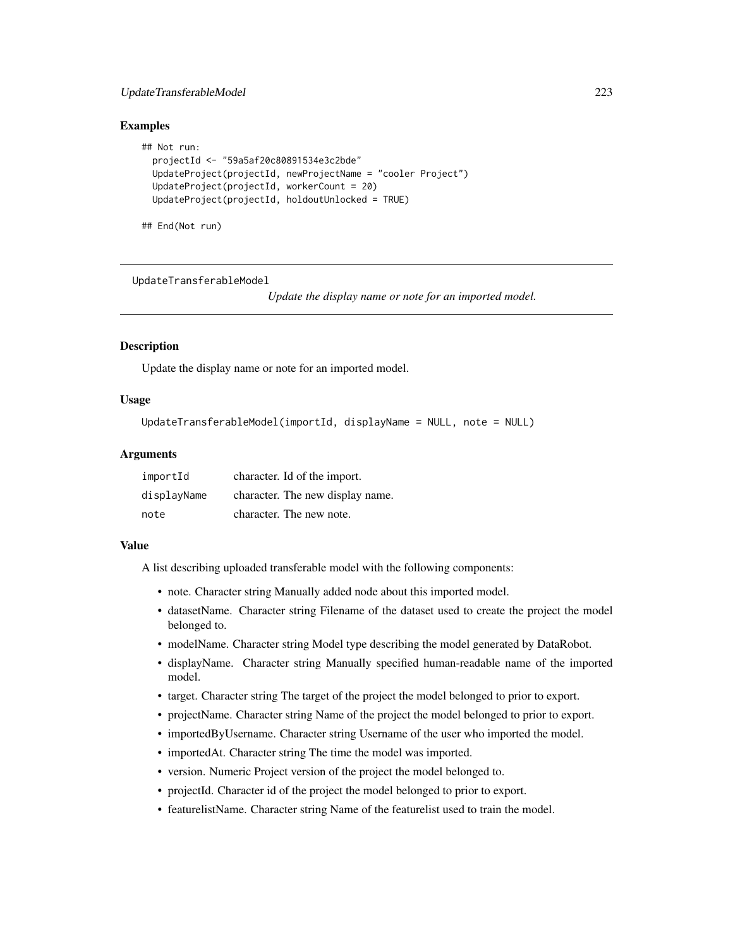# <span id="page-222-0"></span>UpdateTransferableModel 223

#### Examples

```
## Not run:
 projectId <- "59a5af20c80891534e3c2bde"
 UpdateProject(projectId, newProjectName = "cooler Project")
 UpdateProject(projectId, workerCount = 20)
 UpdateProject(projectId, holdoutUnlocked = TRUE)
```
## End(Not run)

UpdateTransferableModel

*Update the display name or note for an imported model.*

#### **Description**

Update the display name or note for an imported model.

# Usage

```
UpdateTransferableModel(importId, displayName = NULL, note = NULL)
```
#### **Arguments**

| importId    | character. Id of the import.     |
|-------------|----------------------------------|
| displayName | character. The new display name. |
| note        | character. The new note.         |

#### Value

A list describing uploaded transferable model with the following components:

- note. Character string Manually added node about this imported model.
- datasetName. Character string Filename of the dataset used to create the project the model belonged to.
- modelName. Character string Model type describing the model generated by DataRobot.
- displayName. Character string Manually specified human-readable name of the imported model.
- target. Character string The target of the project the model belonged to prior to export.
- projectName. Character string Name of the project the model belonged to prior to export.
- importedByUsername. Character string Username of the user who imported the model.
- importedAt. Character string The time the model was imported.
- version. Numeric Project version of the project the model belonged to.
- projectId. Character id of the project the model belonged to prior to export.
- featurelistName. Character string Name of the featurelist used to train the model.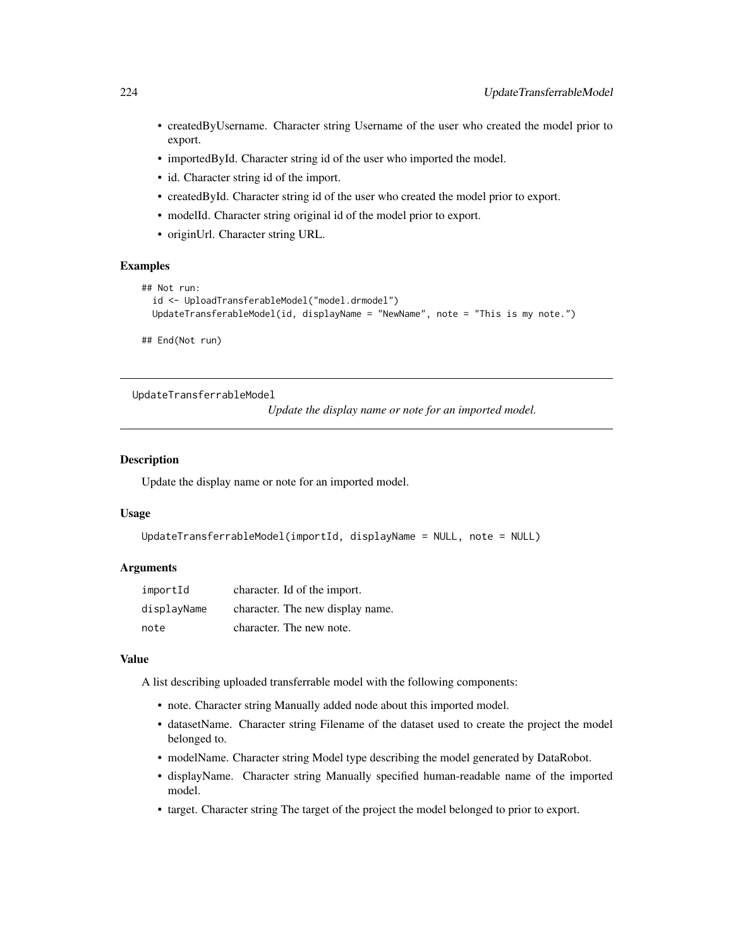- <span id="page-223-0"></span>• createdByUsername. Character string Username of the user who created the model prior to export.
- importedById. Character string id of the user who imported the model.
- id. Character string id of the import.
- createdById. Character string id of the user who created the model prior to export.
- modelId. Character string original id of the model prior to export.
- originUrl. Character string URL.

```
## Not run:
 id <- UploadTransferableModel("model.drmodel")
 UpdateTransferableModel(id, displayName = "NewName", note = "This is my note.")
```
## End(Not run)

UpdateTransferrableModel

*Update the display name or note for an imported model.*

# **Description**

Update the display name or note for an imported model.

#### Usage

```
UpdateTransferrableModel(importId, displayName = NULL, note = NULL)
```
#### Arguments

| importId    | character. Id of the import.     |
|-------------|----------------------------------|
| displayName | character. The new display name. |
| note        | character. The new note.         |

#### Value

A list describing uploaded transferrable model with the following components:

- note. Character string Manually added node about this imported model.
- datasetName. Character string Filename of the dataset used to create the project the model belonged to.
- modelName. Character string Model type describing the model generated by DataRobot.
- displayName. Character string Manually specified human-readable name of the imported model.
- target. Character string The target of the project the model belonged to prior to export.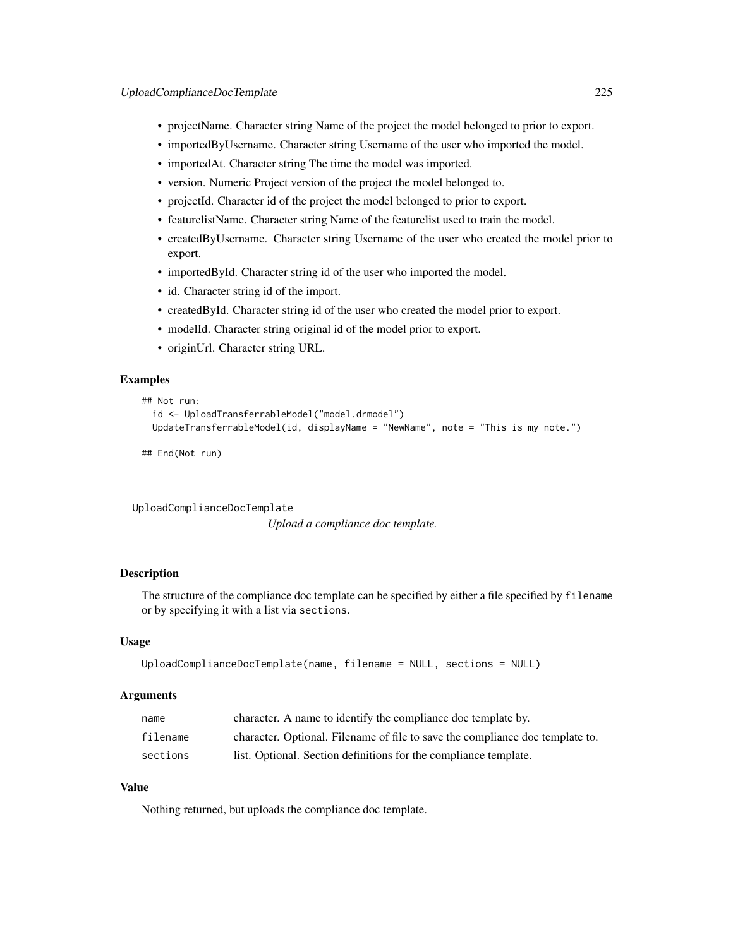- <span id="page-224-0"></span>• projectName. Character string Name of the project the model belonged to prior to export.
- importedByUsername. Character string Username of the user who imported the model.
- importedAt. Character string The time the model was imported.
- version. Numeric Project version of the project the model belonged to.
- projectId. Character id of the project the model belonged to prior to export.
- featurelistName. Character string Name of the featurelist used to train the model.
- createdByUsername. Character string Username of the user who created the model prior to export.
- importedById. Character string id of the user who imported the model.
- id. Character string id of the import.
- createdById. Character string id of the user who created the model prior to export.
- modelId. Character string original id of the model prior to export.
- originUrl. Character string URL.

```
## Not run:
 id <- UploadTransferrableModel("model.drmodel")
 UpdateTransferrableModel(id, displayName = "NewName", note = "This is my note.")
```
## End(Not run)

```
UploadComplianceDocTemplate
```
*Upload a compliance doc template.*

# Description

The structure of the compliance doc template can be specified by either a file specified by filename or by specifying it with a list via sections.

#### Usage

```
UploadComplianceDocTemplate(name, filename = NULL, sections = NULL)
```
#### Arguments

| name     | character. A name to identify the compliance doc template by.                 |
|----------|-------------------------------------------------------------------------------|
| filename | character. Optional. Filename of file to save the compliance doc template to. |
| sections | list. Optional. Section definitions for the compliance template.              |

#### Value

Nothing returned, but uploads the compliance doc template.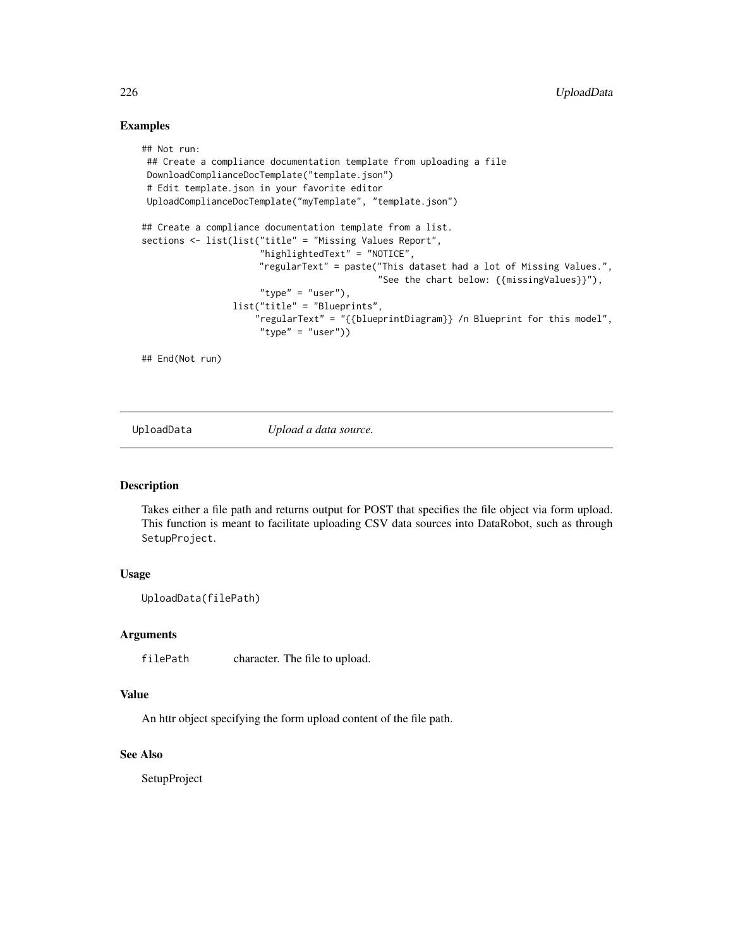```
## Not run:
## Create a compliance documentation template from uploading a file
DownloadComplianceDocTemplate("template.json")
 # Edit template.json in your favorite editor
UploadComplianceDocTemplate("myTemplate", "template.json")
## Create a compliance documentation template from a list.
sections <- list(list("title" = "Missing Values Report",
                      "highlightedText" = "NOTICE",
                      "regularText" = paste("This dataset had a lot of Missing Values.",
                                            "See the chart below: {{missingValues}}"),
                      "type" = "user"),
                 list("title" = "Blueprints",
                     "regularText" = "{{blueprintDiagram}} /n Blueprint for this model",
                     "type" = "user")
```
## End(Not run)

UploadData *Upload a data source.*

# Description

Takes either a file path and returns output for POST that specifies the file object via form upload. This function is meant to facilitate uploading CSV data sources into DataRobot, such as through SetupProject.

#### Usage

```
UploadData(filePath)
```
#### Arguments

filePath character. The file to upload.

#### Value

An httr object specifying the form upload content of the file path.

#### See Also

SetupProject

<span id="page-225-0"></span>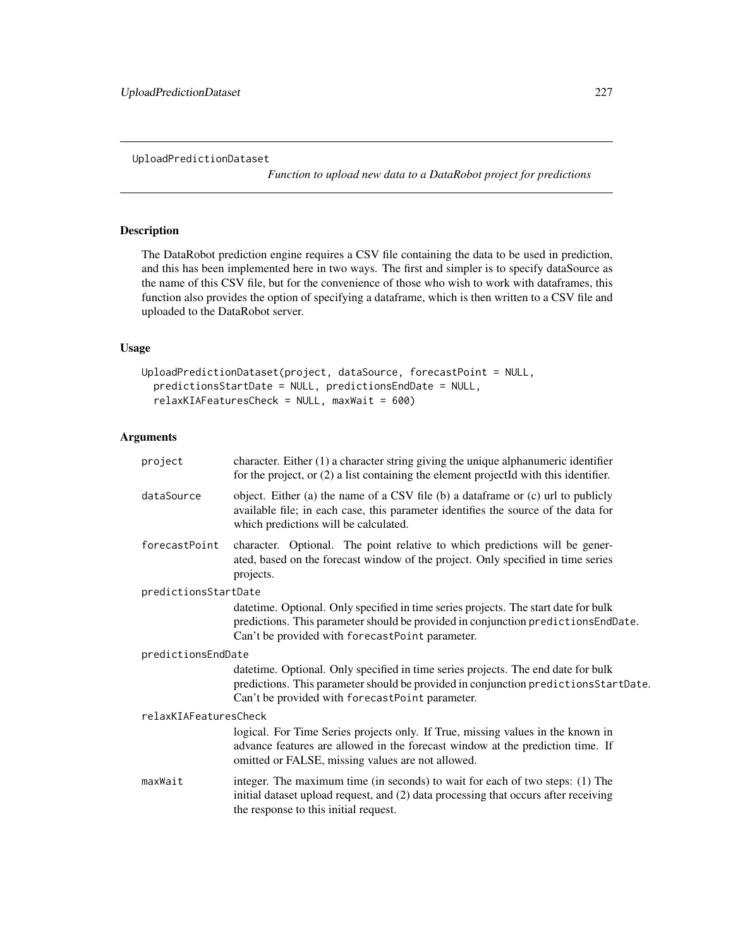<span id="page-226-0"></span>UploadPredictionDataset

*Function to upload new data to a DataRobot project for predictions*

# Description

The DataRobot prediction engine requires a CSV file containing the data to be used in prediction, and this has been implemented here in two ways. The first and simpler is to specify dataSource as the name of this CSV file, but for the convenience of those who wish to work with dataframes, this function also provides the option of specifying a dataframe, which is then written to a CSV file and uploaded to the DataRobot server.

# Usage

```
UploadPredictionDataset(project, dataSource, forecastPoint = NULL,
  predictionsStartDate = NULL, predictionsEndDate = NULL,
  relaxKIAFeaturesCheck = NULL, maxWait = 600)
```

| project               | character. Either $(1)$ a character string giving the unique alphanumeric identifier<br>for the project, or $(2)$ a list containing the element projectId with this identifier.                                              |
|-----------------------|------------------------------------------------------------------------------------------------------------------------------------------------------------------------------------------------------------------------------|
| dataSource            | object. Either (a) the name of a CSV file (b) a dataframe or (c) url to publicly<br>available file; in each case, this parameter identifies the source of the data for<br>which predictions will be calculated.              |
| forecastPoint         | character. Optional. The point relative to which predictions will be gener-<br>ated, based on the forecast window of the project. Only specified in time series<br>projects.                                                 |
| predictionsStartDate  |                                                                                                                                                                                                                              |
|                       | datetime. Optional. Only specified in time series projects. The start date for bulk<br>predictions. This parameter should be provided in conjunction predictions EndDate.<br>Can't be provided with forecastPoint parameter. |
| predictionsEndDate    |                                                                                                                                                                                                                              |
|                       | datetime. Optional. Only specified in time series projects. The end date for bulk<br>predictions. This parameter should be provided in conjunction predictionsStartDate.<br>Can't be provided with forecastPoint parameter.  |
| relaxKIAFeaturesCheck |                                                                                                                                                                                                                              |
|                       | logical. For Time Series projects only. If True, missing values in the known in<br>advance features are allowed in the forecast window at the prediction time. If<br>omitted or FALSE, missing values are not allowed.       |
| maxWait               | integer. The maximum time (in seconds) to wait for each of two steps: (1) The<br>initial dataset upload request, and (2) data processing that occurs after receiving<br>the response to this initial request.                |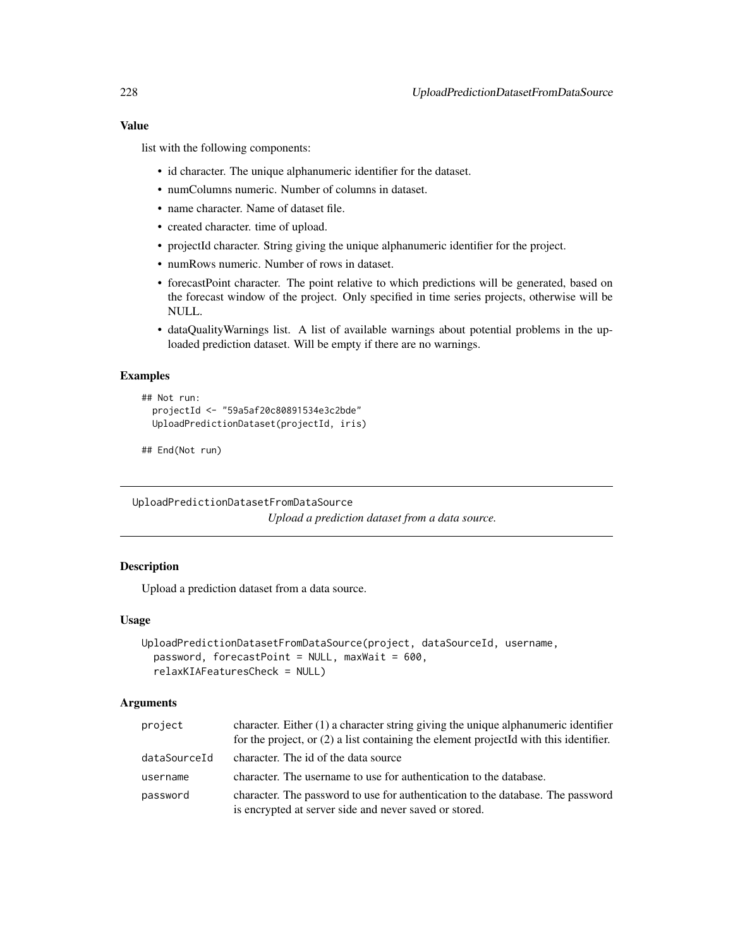list with the following components:

- id character. The unique alphanumeric identifier for the dataset.
- numColumns numeric. Number of columns in dataset.
- name character. Name of dataset file.
- created character. time of upload.
- projectId character. String giving the unique alphanumeric identifier for the project.
- numRows numeric. Number of rows in dataset.
- forecastPoint character. The point relative to which predictions will be generated, based on the forecast window of the project. Only specified in time series projects, otherwise will be NULL.
- dataQualityWarnings list. A list of available warnings about potential problems in the uploaded prediction dataset. Will be empty if there are no warnings.

#### Examples

```
## Not run:
 projectId <- "59a5af20c80891534e3c2bde"
 UploadPredictionDataset(projectId, iris)
```

```
## End(Not run)
```
UploadPredictionDatasetFromDataSource

*Upload a prediction dataset from a data source.*

# **Description**

Upload a prediction dataset from a data source.

#### Usage

```
UploadPredictionDatasetFromDataSource(project, dataSourceId, username,
 password, forecastPoint = NULL, maxWait = 600,
  relaxKIAFeaturesCheck = NULL)
```

| project      | character. Either (1) a character string giving the unique alphanumeric identifier<br>for the project, or $(2)$ a list containing the element projected with this identifier. |
|--------------|-------------------------------------------------------------------------------------------------------------------------------------------------------------------------------|
| dataSourceId | character. The id of the data source                                                                                                                                          |
| username     | character. The username to use for authentication to the database.                                                                                                            |
| password     | character. The password to use for authentication to the database. The password<br>is encrypted at server side and never saved or stored.                                     |

<span id="page-227-0"></span>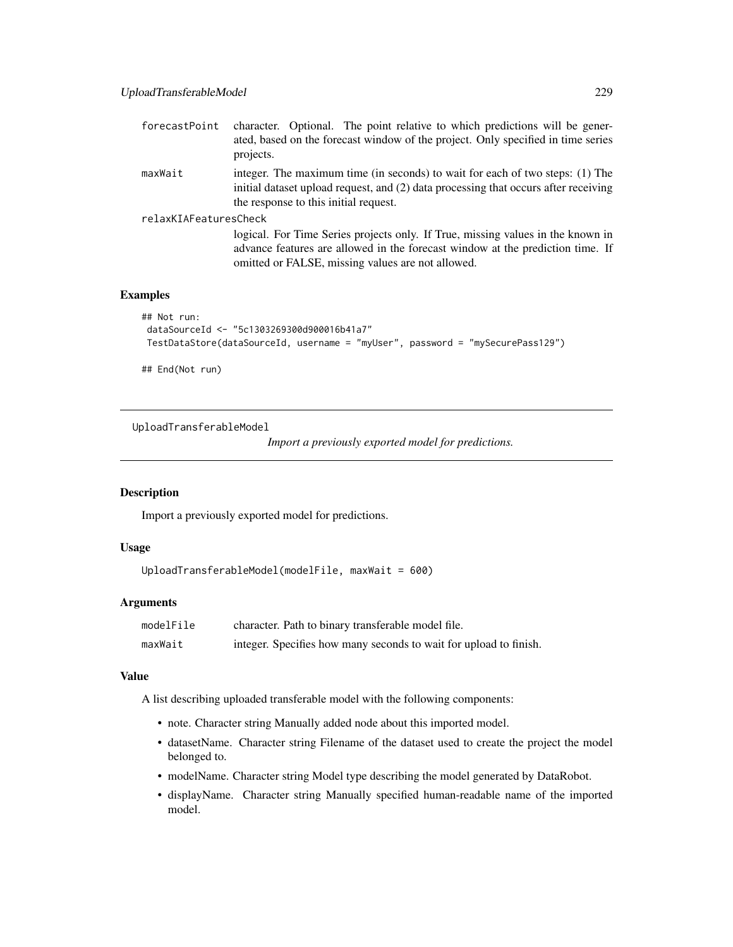<span id="page-228-0"></span>

| forecastPoint         | character. Optional. The point relative to which predictions will be gener-<br>ated, based on the forecast window of the project. Only specified in time series<br>projects.                                           |
|-----------------------|------------------------------------------------------------------------------------------------------------------------------------------------------------------------------------------------------------------------|
| maxWait               | integer. The maximum time (in seconds) to wait for each of two steps: (1) The<br>initial dataset upload request, and (2) data processing that occurs after receiving<br>the response to this initial request.          |
| relaxKIAFeaturesCheck |                                                                                                                                                                                                                        |
|                       | logical. For Time Series projects only. If True, missing values in the known in<br>advance features are allowed in the forecast window at the prediction time. If<br>omitted or FALSE, missing values are not allowed. |

```
## Not run:
dataSourceId <- "5c1303269300d900016b41a7"
TestDataStore(dataSourceId, username = "myUser", password = "mySecurePass129")
```
## End(Not run)

UploadTransferableModel

*Import a previously exported model for predictions.*

# Description

Import a previously exported model for predictions.

# Usage

```
UploadTransferableModel(modelFile, maxWait = 600)
```
# Arguments

| modelFile | character. Path to binary transferable model file.                |
|-----------|-------------------------------------------------------------------|
| maxWait   | integer. Specifies how many seconds to wait for upload to finish. |

#### Value

A list describing uploaded transferable model with the following components:

- note. Character string Manually added node about this imported model.
- datasetName. Character string Filename of the dataset used to create the project the model belonged to.
- modelName. Character string Model type describing the model generated by DataRobot.
- displayName. Character string Manually specified human-readable name of the imported model.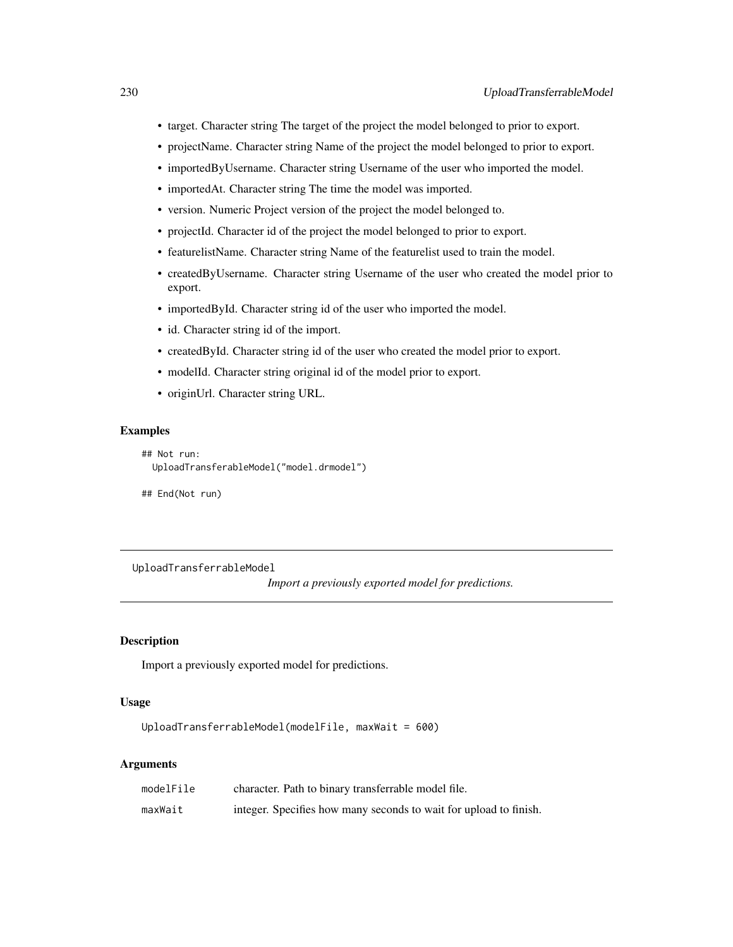- <span id="page-229-0"></span>• target. Character string The target of the project the model belonged to prior to export.
- projectName. Character string Name of the project the model belonged to prior to export.
- importedByUsername. Character string Username of the user who imported the model.
- importedAt. Character string The time the model was imported.
- version. Numeric Project version of the project the model belonged to.
- projectId. Character id of the project the model belonged to prior to export.
- featurelistName. Character string Name of the featurelist used to train the model.
- createdByUsername. Character string Username of the user who created the model prior to export.
- importedById. Character string id of the user who imported the model.
- id. Character string id of the import.
- createdById. Character string id of the user who created the model prior to export.
- modelId. Character string original id of the model prior to export.
- originUrl. Character string URL.

```
## Not run:
 UploadTransferableModel("model.drmodel")
```
## End(Not run)

UploadTransferrableModel

*Import a previously exported model for predictions.*

#### Description

Import a previously exported model for predictions.

#### Usage

```
UploadTransferrableModel(modelFile, maxWait = 600)
```

| modelFile | character. Path to binary transferrable model file.               |
|-----------|-------------------------------------------------------------------|
| maxWait   | integer. Specifies how many seconds to wait for upload to finish. |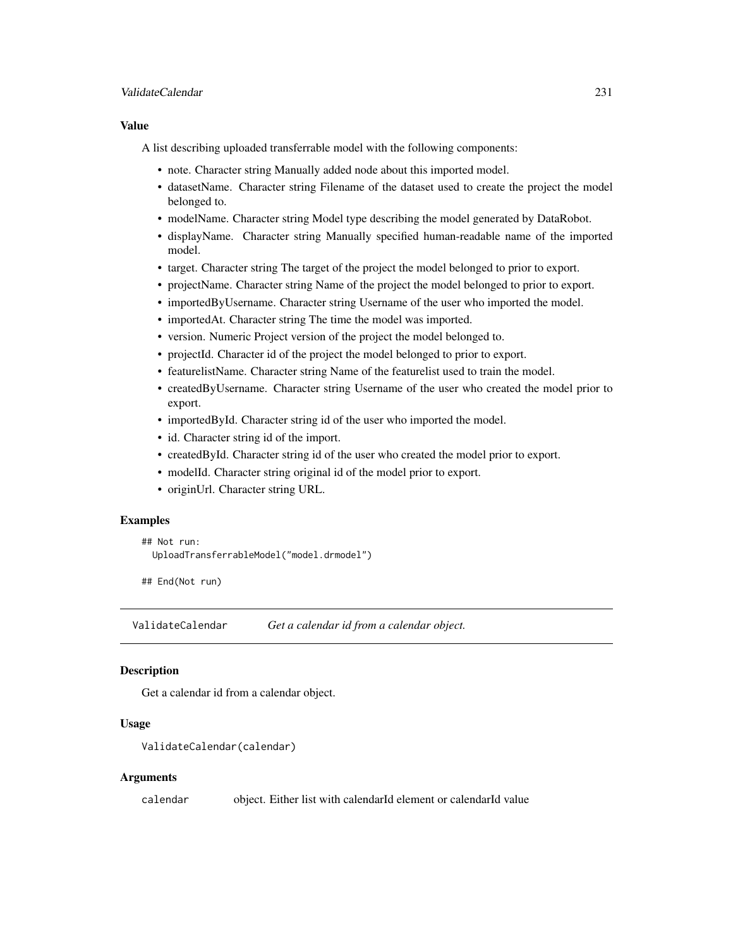#### <span id="page-230-0"></span>ValidateCalendar 231

#### Value

A list describing uploaded transferrable model with the following components:

- note. Character string Manually added node about this imported model.
- datasetName. Character string Filename of the dataset used to create the project the model belonged to.
- modelName. Character string Model type describing the model generated by DataRobot.
- displayName. Character string Manually specified human-readable name of the imported model.
- target. Character string The target of the project the model belonged to prior to export.
- projectName. Character string Name of the project the model belonged to prior to export.
- importedByUsername. Character string Username of the user who imported the model.
- importedAt. Character string The time the model was imported.
- version. Numeric Project version of the project the model belonged to.
- projectId. Character id of the project the model belonged to prior to export.
- featurelistName. Character string Name of the featurelist used to train the model.
- createdByUsername. Character string Username of the user who created the model prior to export.
- importedById. Character string id of the user who imported the model.
- id. Character string id of the import.
- createdById. Character string id of the user who created the model prior to export.
- modelId. Character string original id of the model prior to export.
- originUrl. Character string URL.

#### Examples

```
## Not run:
 UploadTransferrableModel("model.drmodel")
```
## End(Not run)

ValidateCalendar *Get a calendar id from a calendar object.*

# Description

Get a calendar id from a calendar object.

#### Usage

```
ValidateCalendar(calendar)
```
#### Arguments

calendar object. Either list with calendarId element or calendarId value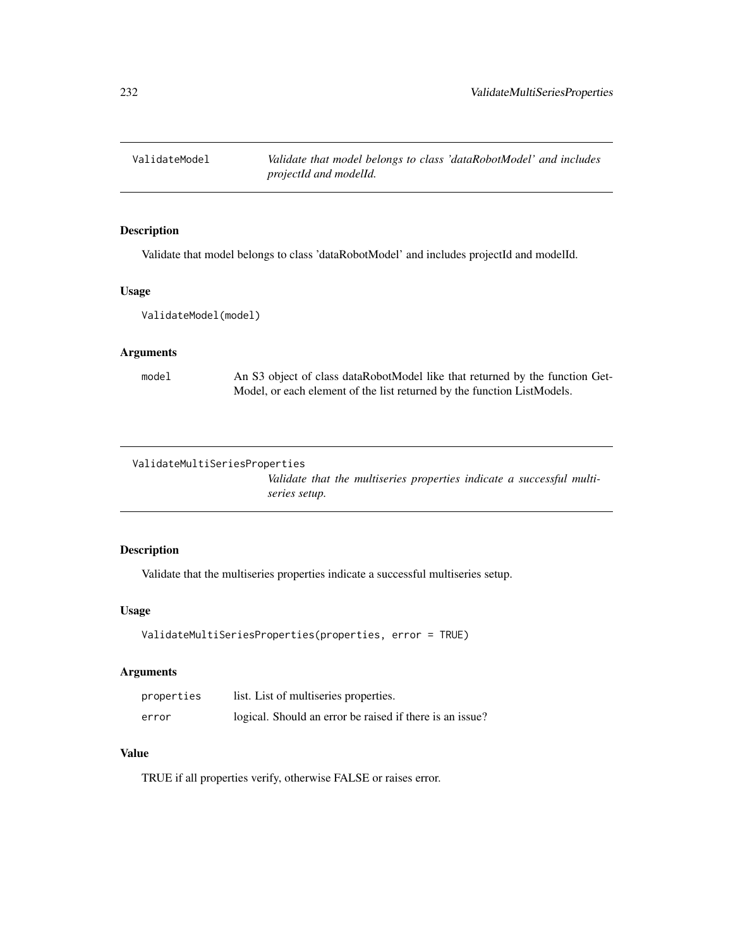<span id="page-231-0"></span>

# Description

Validate that model belongs to class 'dataRobotModel' and includes projectId and modelId.

# Usage

ValidateModel(model)

#### Arguments

model An S3 object of class dataRobotModel like that returned by the function Get-Model, or each element of the list returned by the function ListModels.

ValidateMultiSeriesProperties

*Validate that the multiseries properties indicate a successful multiseries setup.*

# Description

Validate that the multiseries properties indicate a successful multiseries setup.

# Usage

```
ValidateMultiSeriesProperties(properties, error = TRUE)
```
# Arguments

| properties | list. List of multiseries properties.                    |
|------------|----------------------------------------------------------|
| error      | logical. Should an error be raised if there is an issue? |

#### Value

TRUE if all properties verify, otherwise FALSE or raises error.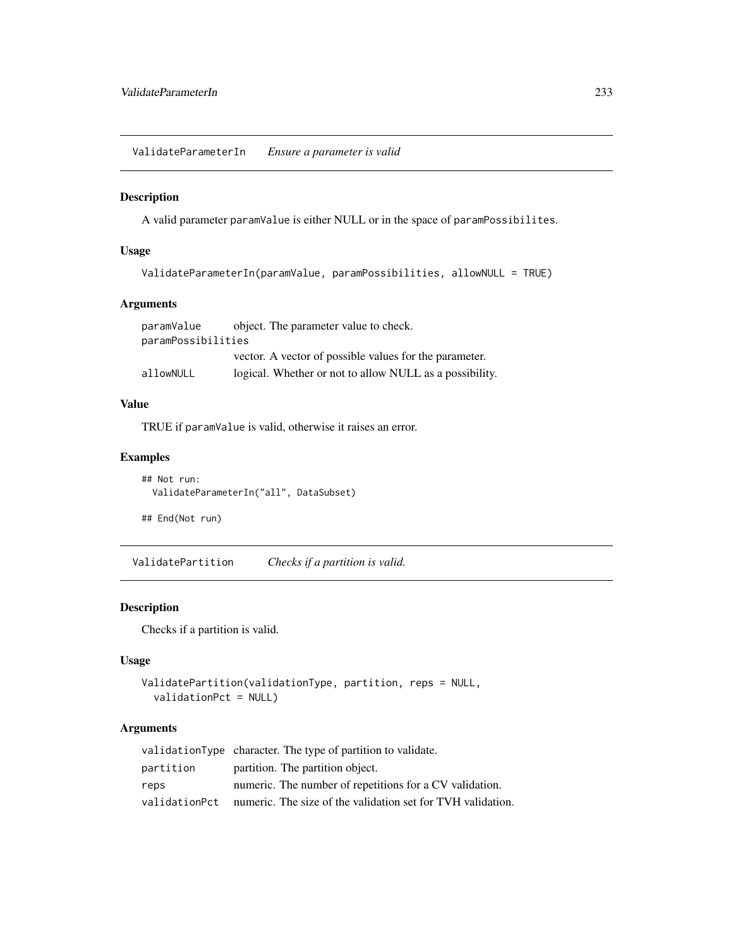<span id="page-232-0"></span>ValidateParameterIn *Ensure a parameter is valid*

# Description

A valid parameter paramValue is either NULL or in the space of paramPossibilites.

# Usage

```
ValidateParameterIn(paramValue, paramPossibilities, allowNULL = TRUE)
```
# Arguments

| paramValue         | object. The parameter value to check.                   |
|--------------------|---------------------------------------------------------|
| paramPossibilities |                                                         |
|                    | vector. A vector of possible values for the parameter.  |
| allowNULL          | logical. Whether or not to allow NULL as a possibility. |

# Value

TRUE if paramValue is valid, otherwise it raises an error.

# Examples

## Not run: ValidateParameterIn("all", DataSubset)

## End(Not run)

ValidatePartition *Checks if a partition is valid.*

# Description

Checks if a partition is valid.

# Usage

```
ValidatePartition(validationType, partition, reps = NULL,
  validationPct = NULL)
```

|           | validationType character. The type of partition to validate.               |
|-----------|----------------------------------------------------------------------------|
| partition | partition. The partition object.                                           |
| reps      | numeric. The number of repetitions for a CV validation.                    |
|           | validation Pct numeric. The size of the validation set for TVH validation. |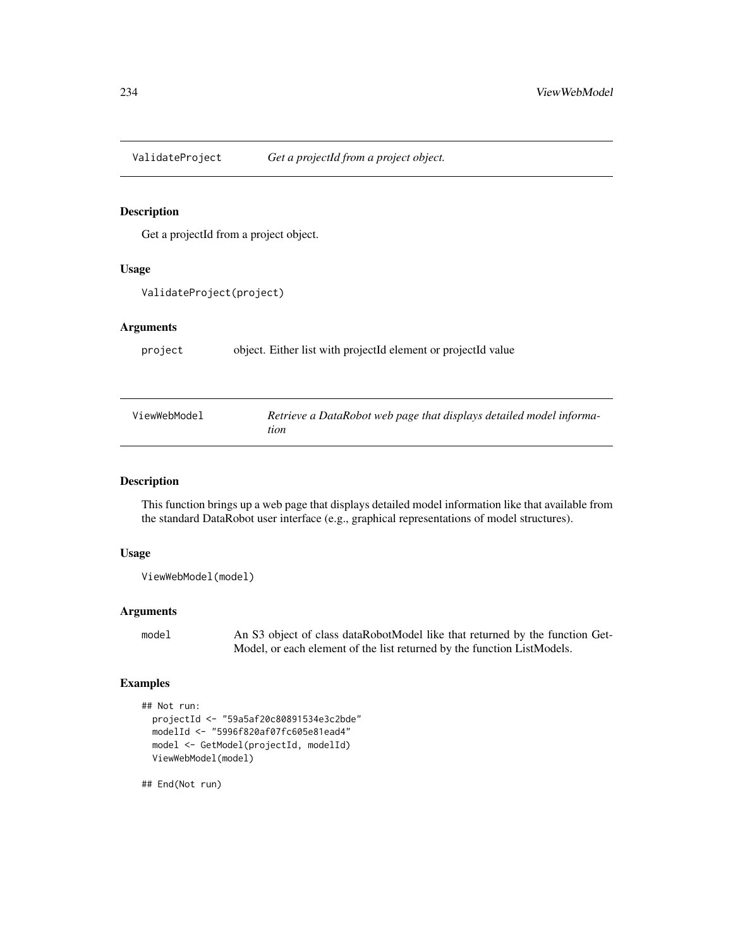<span id="page-233-0"></span>ValidateProject *Get a projectId from a project object.*

# Description

Get a projectId from a project object.

# Usage

```
ValidateProject(project)
```
#### Arguments

project object. Either list with projectId element or projectId value

| ViewWebModel | Retrieve a DataRobot web page that displays detailed model informa- |
|--------------|---------------------------------------------------------------------|
|              | tion                                                                |

# Description

This function brings up a web page that displays detailed model information like that available from the standard DataRobot user interface (e.g., graphical representations of model structures).

# Usage

```
ViewWebModel(model)
```
# Arguments

```
model An S3 object of class dataRobotModel like that returned by the function Get-
                 Model, or each element of the list returned by the function ListModels.
```
# Examples

```
## Not run:
 projectId <- "59a5af20c80891534e3c2bde"
 modelId <- "5996f820af07fc605e81ead4"
 model <- GetModel(projectId, modelId)
 ViewWebModel(model)
```
## End(Not run)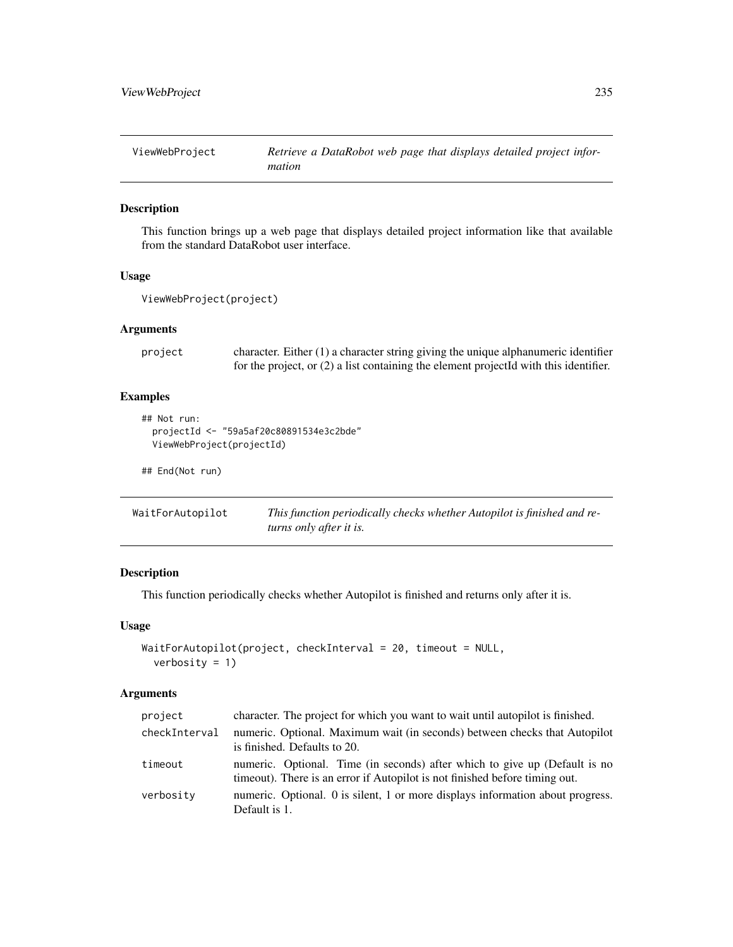<span id="page-234-0"></span>ViewWebProject *Retrieve a DataRobot web page that displays detailed project information*

#### Description

This function brings up a web page that displays detailed project information like that available from the standard DataRobot user interface.

# Usage

```
ViewWebProject(project)
```
# Arguments

```
project character. Either (1) a character string giving the unique alphanumeric identifier
                  for the project, or (2) a list containing the element projectId with this identifier.
```
# Examples

```
## Not run:
 projectId <- "59a5af20c80891534e3c2bde"
 ViewWebProject(projectId)
```
## End(Not run)

| WaitForAutopilot | This function periodically checks whether Autopilot is finished and re- |
|------------------|-------------------------------------------------------------------------|
|                  | turns only after it is.                                                 |

# Description

This function periodically checks whether Autopilot is finished and returns only after it is.

# Usage

```
WaitForAutopilot(project, checkInterval = 20, timeout = NULL,
  verbosity = 1)
```

| project       | character. The project for which you want to wait until autopilot is finished.                                                                             |
|---------------|------------------------------------------------------------------------------------------------------------------------------------------------------------|
| checkInterval | numeric. Optional. Maximum wait (in seconds) between checks that Autopilot<br>is finished. Defaults to 20.                                                 |
| timeout       | numeric. Optional. Time (in seconds) after which to give up (Default is no<br>time out). There is an error if Autopilot is not finished before timing out. |
| verbosity     | numeric. Optional. 0 is silent, 1 or more displays information about progress.<br>Default is 1.                                                            |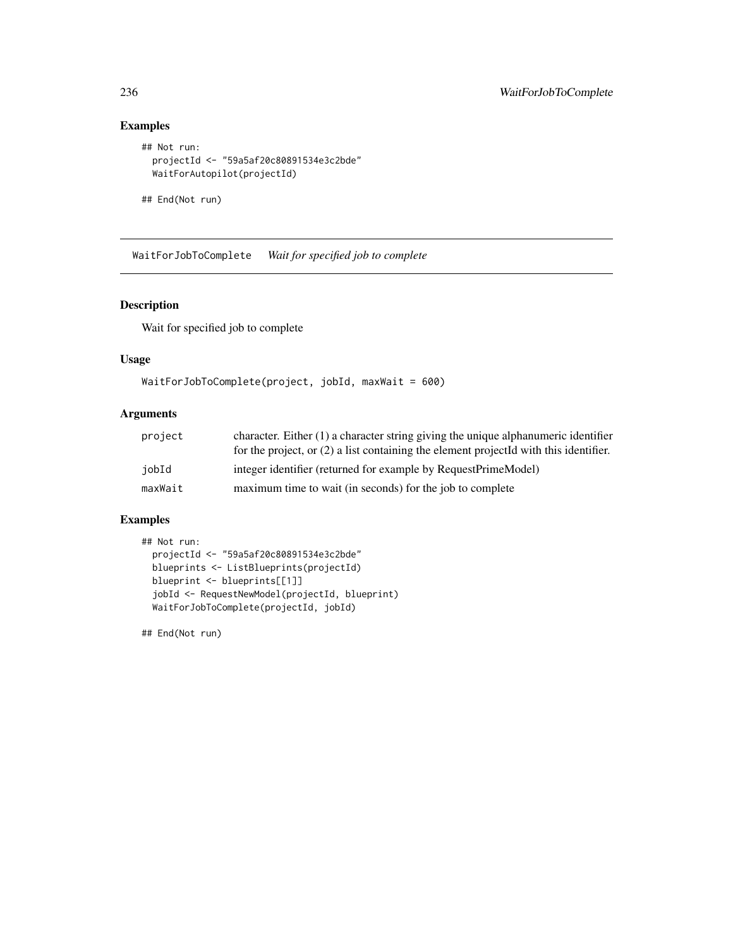```
## Not run:
  projectId <- "59a5af20c80891534e3c2bde"
  WaitForAutopilot(projectId)
```
## End(Not run)

WaitForJobToComplete *Wait for specified job to complete*

# Description

Wait for specified job to complete

#### Usage

```
WaitForJobToComplete(project, jobId, maxWait = 600)
```
# Arguments

| project | character. Either $(1)$ a character string giving the unique alphanumeric identifier    |
|---------|-----------------------------------------------------------------------------------------|
|         | for the project, or $(2)$ a list containing the element projected with this identifier. |
| iobId   | integer identifier (returned for example by RequestPrimeModel)                          |
| maxWait | maximum time to wait (in seconds) for the job to complete                               |

# Examples

```
## Not run:
 projectId <- "59a5af20c80891534e3c2bde"
 blueprints <- ListBlueprints(projectId)
 blueprint <- blueprints[[1]]
 jobId <- RequestNewModel(projectId, blueprint)
 WaitForJobToComplete(projectId, jobId)
```
## End(Not run)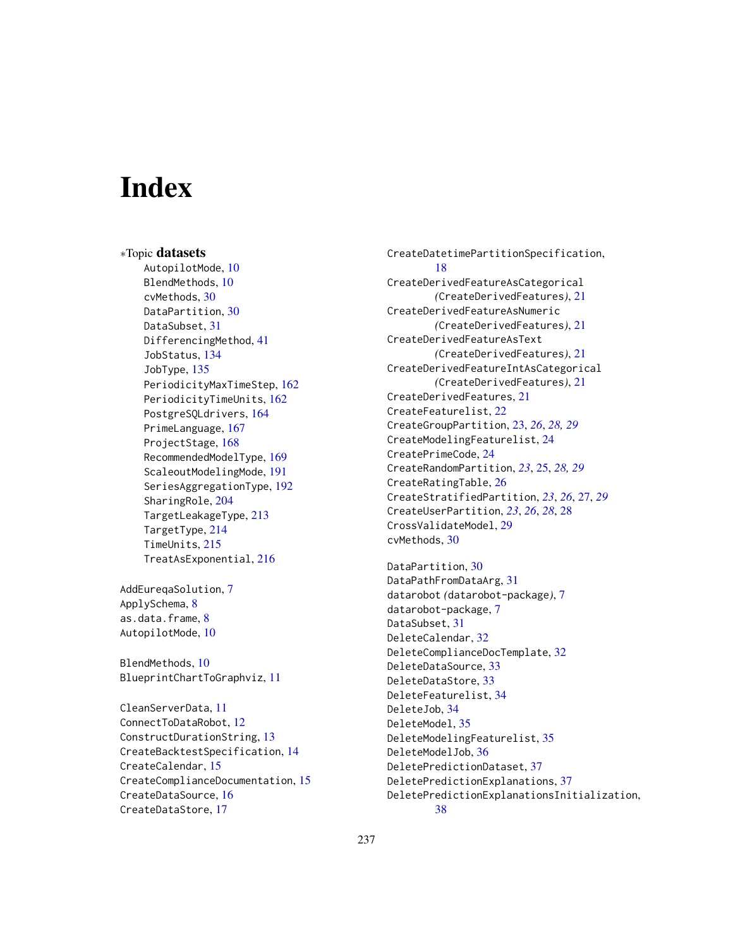# **Index**

∗Topic datasets AutopilotMode, [10](#page-9-0) BlendMethods, [10](#page-9-0) cvMethods, [30](#page-29-0) DataPartition, [30](#page-29-0) DataSubset, [31](#page-30-0) DifferencingMethod, [41](#page-40-0) JobStatus, [134](#page-133-0) JobType, [135](#page-134-0) PeriodicityMaxTimeStep, [162](#page-161-0) PeriodicityTimeUnits, [162](#page-161-0) PostgreSQLdrivers, [164](#page-163-0) PrimeLanguage, [167](#page-166-0) ProjectStage, [168](#page-167-0) RecommendedModelType, [169](#page-168-0) ScaleoutModelingMode, [191](#page-190-0) SeriesAggregationType, [192](#page-191-0) SharingRole, [204](#page-203-0) TargetLeakageType, [213](#page-212-0) TargetType, [214](#page-213-0) TimeUnits, [215](#page-214-0) TreatAsExponential, [216](#page-215-0)

AddEureqaSolution, [7](#page-6-0) ApplySchema, [8](#page-7-0) as.data.frame, [8](#page-7-0) AutopilotMode, [10](#page-9-0)

BlendMethods, [10](#page-9-0) BlueprintChartToGraphviz, [11](#page-10-0)

CleanServerData, [11](#page-10-0) ConnectToDataRobot, [12](#page-11-0) ConstructDurationString, [13](#page-12-0) CreateBacktestSpecification, [14](#page-13-0) CreateCalendar, [15](#page-14-0) CreateComplianceDocumentation, [15](#page-14-0) CreateDataSource, [16](#page-15-0) CreateDataStore, [17](#page-16-0)

CreateDatetimePartitionSpecification, [18](#page-17-0) CreateDerivedFeatureAsCategorical *(*CreateDerivedFeatures*)*, [21](#page-20-0) CreateDerivedFeatureAsNumeric *(*CreateDerivedFeatures*)*, [21](#page-20-0) CreateDerivedFeatureAsText *(*CreateDerivedFeatures*)*, [21](#page-20-0) CreateDerivedFeatureIntAsCategorical *(*CreateDerivedFeatures*)*, [21](#page-20-0) CreateDerivedFeatures, [21](#page-20-0) CreateFeaturelist, [22](#page-21-0) CreateGroupPartition, [23,](#page-22-0) *[26](#page-25-0)*, *[28,](#page-27-0) [29](#page-28-0)* CreateModelingFeaturelist, [24](#page-23-0) CreatePrimeCode, [24](#page-23-0) CreateRandomPartition, *[23](#page-22-0)*, [25,](#page-24-0) *[28,](#page-27-0) [29](#page-28-0)* CreateRatingTable, [26](#page-25-0) CreateStratifiedPartition, *[23](#page-22-0)*, *[26](#page-25-0)*, [27,](#page-26-0) *[29](#page-28-0)* CreateUserPartition, *[23](#page-22-0)*, *[26](#page-25-0)*, *[28](#page-27-0)*, [28](#page-27-0) CrossValidateModel, [29](#page-28-0) cvMethods, [30](#page-29-0)

DataPartition, [30](#page-29-0) DataPathFromDataArg, [31](#page-30-0) datarobot *(*datarobot-package*)*, [7](#page-6-0) datarobot-package, [7](#page-6-0) DataSubset, [31](#page-30-0) DeleteCalendar, [32](#page-31-0) DeleteComplianceDocTemplate, [32](#page-31-0) DeleteDataSource, [33](#page-32-0) DeleteDataStore, [33](#page-32-0) DeleteFeaturelist, [34](#page-33-0) DeleteJob, [34](#page-33-0) DeleteModel, [35](#page-34-0) DeleteModelingFeaturelist, [35](#page-34-0) DeleteModelJob, [36](#page-35-0) DeletePredictionDataset, [37](#page-36-0) DeletePredictionExplanations, [37](#page-36-0) DeletePredictionExplanationsInitialization, [38](#page-37-0)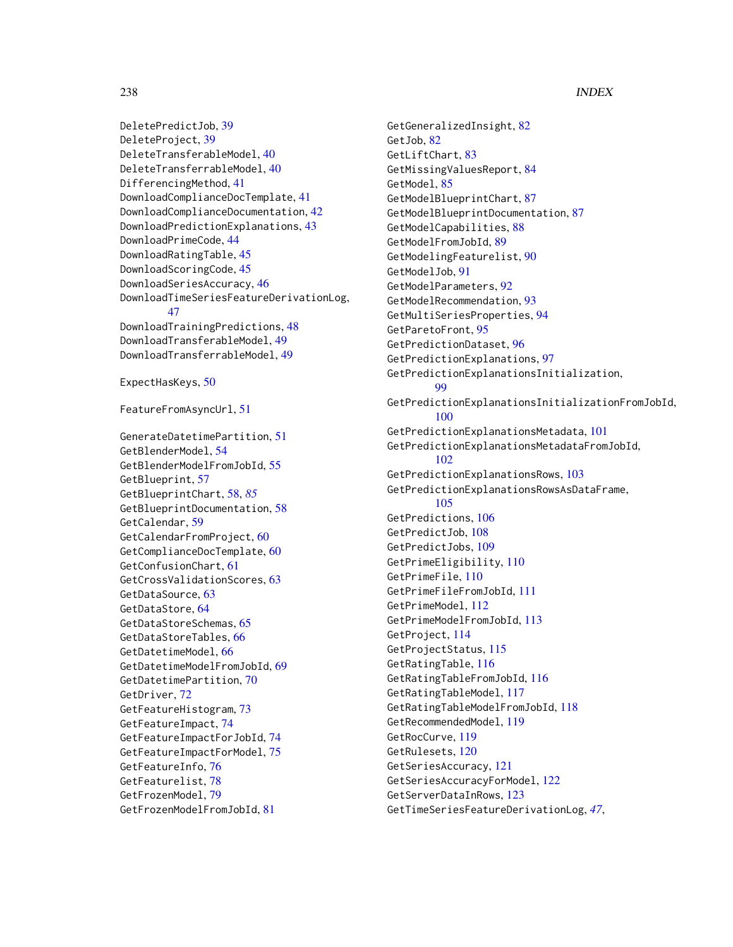DeletePredictJob, [39](#page-38-0) DeleteProject, [39](#page-38-0) DeleteTransferableModel, [40](#page-39-0) DeleteTransferrableModel, [40](#page-39-0) DifferencingMethod, [41](#page-40-0) DownloadComplianceDocTemplate, [41](#page-40-0) DownloadComplianceDocumentation, [42](#page-41-0) DownloadPredictionExplanations, [43](#page-42-0) DownloadPrimeCode, [44](#page-43-0) DownloadRatingTable, [45](#page-44-0) DownloadScoringCode, [45](#page-44-0) DownloadSeriesAccuracy, [46](#page-45-0) DownloadTimeSeriesFeatureDerivationLog, [47](#page-46-0) DownloadTrainingPredictions, [48](#page-47-0) DownloadTransferableModel, [49](#page-48-0) DownloadTransferrableModel, [49](#page-48-0)

ExpectHasKeys, [50](#page-49-0)

FeatureFromAsyncUrl, [51](#page-50-0)

GenerateDatetimePartition, [51](#page-50-0) GetBlenderModel, [54](#page-53-0) GetBlenderModelFromJobId, [55](#page-54-0) GetBlueprint, [57](#page-56-0) GetBlueprintChart, [58,](#page-57-0) *[85](#page-84-0)* GetBlueprintDocumentation, [58](#page-57-0) GetCalendar, [59](#page-58-0) GetCalendarFromProject, [60](#page-59-0) GetComplianceDocTemplate, [60](#page-59-0) GetConfusionChart, [61](#page-60-0) GetCrossValidationScores, [63](#page-62-0) GetDataSource, [63](#page-62-0) GetDataStore, [64](#page-63-0) GetDataStoreSchemas, [65](#page-64-0) GetDataStoreTables, [66](#page-65-0) GetDatetimeModel, [66](#page-65-0) GetDatetimeModelFromJobId, [69](#page-68-0) GetDatetimePartition, [70](#page-69-0) GetDriver, [72](#page-71-0) GetFeatureHistogram, [73](#page-72-0) GetFeatureImpact, [74](#page-73-0) GetFeatureImpactForJobId, [74](#page-73-0) GetFeatureImpactForModel, [75](#page-74-0) GetFeatureInfo, [76](#page-75-0) GetFeaturelist, [78](#page-77-0) GetFrozenModel, [79](#page-78-0) GetFrozenModelFromJobId, [81](#page-80-0)

GetGeneralizedInsight, [82](#page-81-0) GetJob, [82](#page-81-0) GetLiftChart, [83](#page-82-0) GetMissingValuesReport, [84](#page-83-0) GetModel, [85](#page-84-0) GetModelBlueprintChart, [87](#page-86-0) GetModelBlueprintDocumentation, [87](#page-86-0) GetModelCapabilities, [88](#page-87-0) GetModelFromJobId, [89](#page-88-0) GetModelingFeaturelist, [90](#page-89-0) GetModelJob, [91](#page-90-0) GetModelParameters, [92](#page-91-0) GetModelRecommendation, [93](#page-92-0) GetMultiSeriesProperties, [94](#page-93-0) GetParetoFront, [95](#page-94-0) GetPredictionDataset, [96](#page-95-0) GetPredictionExplanations, [97](#page-96-0) GetPredictionExplanationsInitialization, [99](#page-98-0) GetPredictionExplanationsInitializationFromJobId, [100](#page-99-0) GetPredictionExplanationsMetadata, [101](#page-100-0) GetPredictionExplanationsMetadataFromJobId, [102](#page-101-0) GetPredictionExplanationsRows, [103](#page-102-0) GetPredictionExplanationsRowsAsDataFrame, [105](#page-104-0) GetPredictions, [106](#page-105-0) GetPredictJob, [108](#page-107-0) GetPredictJobs, [109](#page-108-0) GetPrimeEligibility, [110](#page-109-0) GetPrimeFile, [110](#page-109-0) GetPrimeFileFromJobId, [111](#page-110-0) GetPrimeModel, [112](#page-111-0) GetPrimeModelFromJobId, [113](#page-112-0) GetProject, [114](#page-113-0) GetProjectStatus, [115](#page-114-0) GetRatingTable, [116](#page-115-0) GetRatingTableFromJobId, [116](#page-115-0) GetRatingTableModel, [117](#page-116-0) GetRatingTableModelFromJobId, [118](#page-117-0) GetRecommendedModel, [119](#page-118-0) GetRocCurve, [119](#page-118-0) GetRulesets, [120](#page-119-0) GetSeriesAccuracy, [121](#page-120-0) GetSeriesAccuracyForModel, [122](#page-121-0) GetServerDataInRows, [123](#page-122-0) GetTimeSeriesFeatureDerivationLog, *[47](#page-46-0)*,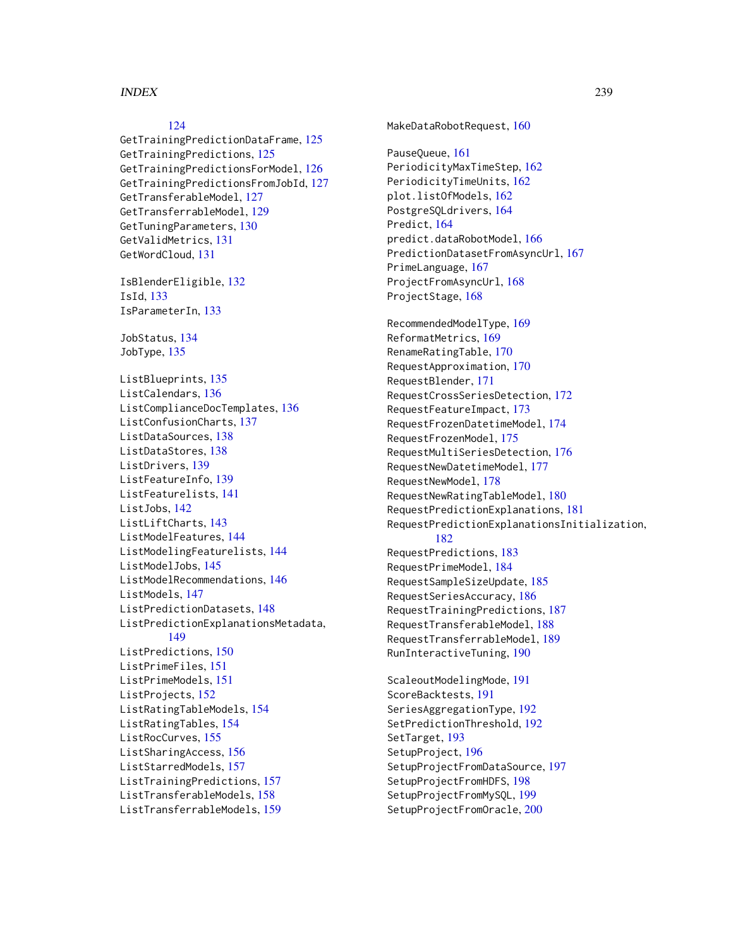#### INDEX 239

# [124](#page-123-0)

GetTrainingPredictionDataFrame, [125](#page-124-0) GetTrainingPredictions, [125](#page-124-0) GetTrainingPredictionsForModel, [126](#page-125-0) GetTrainingPredictionsFromJobId, [127](#page-126-0) GetTransferableModel, [127](#page-126-0) GetTransferrableModel, [129](#page-128-0) GetTuningParameters, [130](#page-129-0) GetValidMetrics, [131](#page-130-0) GetWordCloud, [131](#page-130-0)

IsBlenderEligible, [132](#page-131-0) IsId, [133](#page-132-0) IsParameterIn, [133](#page-132-0)

JobStatus, [134](#page-133-0) JobType, [135](#page-134-0)

ListBlueprints, [135](#page-134-0) ListCalendars, [136](#page-135-0) ListComplianceDocTemplates, [136](#page-135-0) ListConfusionCharts, [137](#page-136-0) ListDataSources, [138](#page-137-0) ListDataStores, [138](#page-137-0) ListDrivers, [139](#page-138-0) ListFeatureInfo, [139](#page-138-0) ListFeaturelists, [141](#page-140-0) ListJobs, [142](#page-141-0) ListLiftCharts, [143](#page-142-0) ListModelFeatures, [144](#page-143-0) ListModelingFeaturelists, [144](#page-143-0) ListModelJobs, [145](#page-144-0) ListModelRecommendations, [146](#page-145-0) ListModels, [147](#page-146-0) ListPredictionDatasets, [148](#page-147-0) ListPredictionExplanationsMetadata, [149](#page-148-0) ListPredictions, [150](#page-149-0) ListPrimeFiles, [151](#page-150-0) ListPrimeModels, [151](#page-150-0) ListProjects, [152](#page-151-0) ListRatingTableModels, [154](#page-153-0) ListRatingTables, [154](#page-153-0) ListRocCurves, [155](#page-154-0) ListSharingAccess, [156](#page-155-0) ListStarredModels, [157](#page-156-0) ListTrainingPredictions, [157](#page-156-0) ListTransferableModels, [158](#page-157-0) ListTransferrableModels, [159](#page-158-0)

MakeDataRobotRequest, [160](#page-159-0) PauseQueue, [161](#page-160-0) PeriodicityMaxTimeStep, [162](#page-161-0) PeriodicityTimeUnits, [162](#page-161-0) plot.listOfModels, [162](#page-161-0) PostgreSQLdrivers, [164](#page-163-0) Predict, [164](#page-163-0) predict.dataRobotModel, [166](#page-165-0) PredictionDatasetFromAsyncUrl, [167](#page-166-0) PrimeLanguage, [167](#page-166-0) ProjectFromAsyncUrl, [168](#page-167-0) ProjectStage, [168](#page-167-0) RecommendedModelType, [169](#page-168-0) ReformatMetrics, [169](#page-168-0) RenameRatingTable, [170](#page-169-0) RequestApproximation, [170](#page-169-0) RequestBlender, [171](#page-170-0) RequestCrossSeriesDetection, [172](#page-171-0) RequestFeatureImpact, [173](#page-172-0) RequestFrozenDatetimeModel, [174](#page-173-0) RequestFrozenModel, [175](#page-174-0) RequestMultiSeriesDetection, [176](#page-175-0) RequestNewDatetimeModel, [177](#page-176-0) RequestNewModel, [178](#page-177-0) RequestNewRatingTableModel, [180](#page-179-0) RequestPredictionExplanations, [181](#page-180-0) RequestPredictionExplanationsInitialization, [182](#page-181-0) RequestPredictions, [183](#page-182-0) RequestPrimeModel, [184](#page-183-0) RequestSampleSizeUpdate, [185](#page-184-0) RequestSeriesAccuracy, [186](#page-185-0) RequestTrainingPredictions, [187](#page-186-0) RequestTransferableModel, [188](#page-187-0) RequestTransferrableModel, [189](#page-188-0) RunInteractiveTuning, [190](#page-189-0) ScaleoutModelingMode, [191](#page-190-0) ScoreBacktests, [191](#page-190-0) SeriesAggregationType, [192](#page-191-0) SetPredictionThreshold, [192](#page-191-0) SetTarget, [193](#page-192-0) SetupProject, [196](#page-195-0) SetupProjectFromDataSource, [197](#page-196-0) SetupProjectFromHDFS, [198](#page-197-0)

SetupProjectFromMySQL, [199](#page-198-0) SetupProjectFromOracle, [200](#page-199-0)